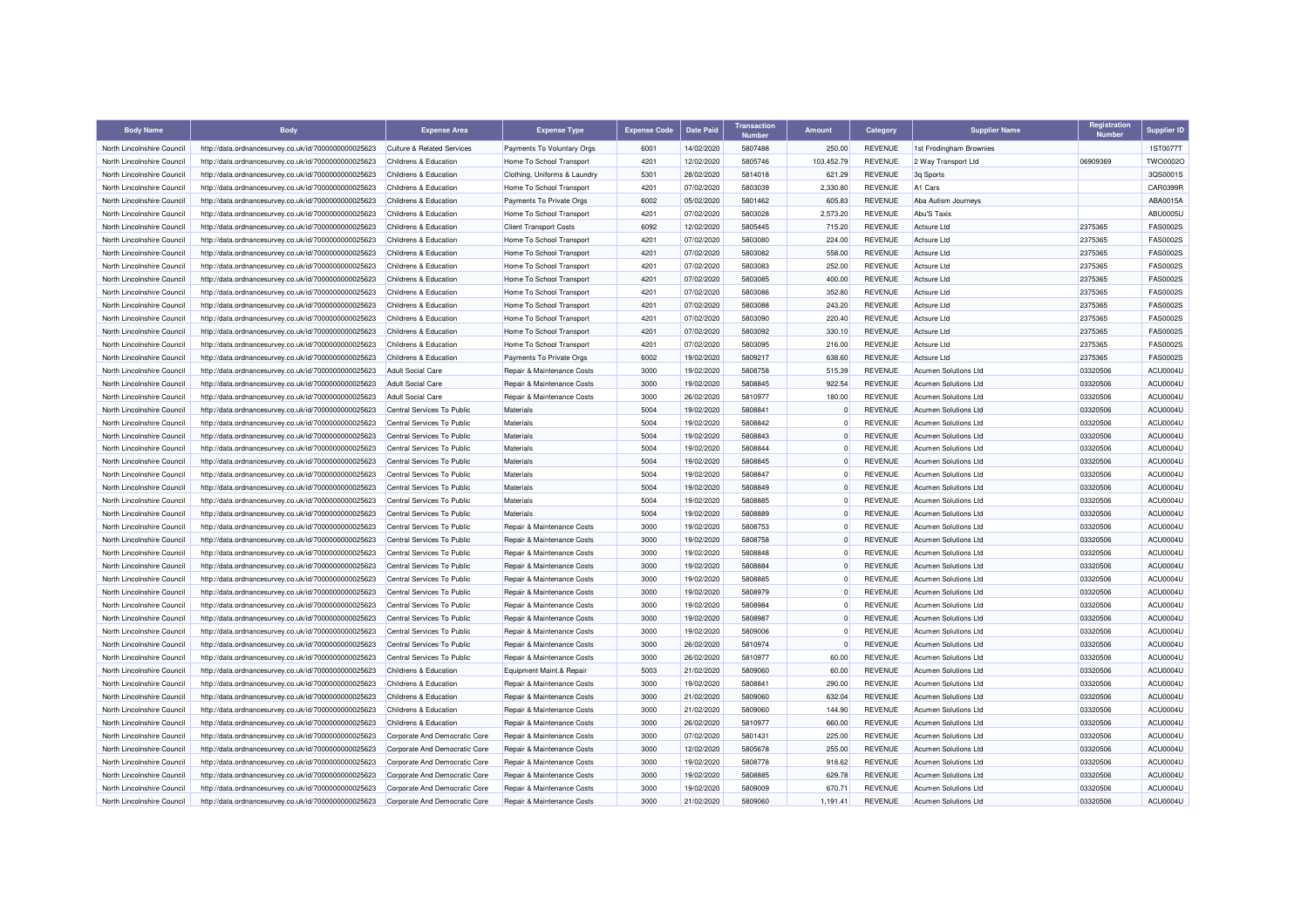| <b>Body Name</b>                                         | <b>Body</b>                                          | <b>Expense Area</b>                                      | <b>Expense Type</b>           | <b>Expense Code</b> | <b>Date Paid</b>         | <b>Transaction</b><br><b>Number</b> | Amount     | Category       | <b>Supplier Name</b>                         | Registration<br><b>Number</b> | <b>Supplier ID</b>          |
|----------------------------------------------------------|------------------------------------------------------|----------------------------------------------------------|-------------------------------|---------------------|--------------------------|-------------------------------------|------------|----------------|----------------------------------------------|-------------------------------|-----------------------------|
| North Lincolnshire Council                               | http://data.ordnancesurvey.co.uk/id/7000000000025623 | <b>Culture &amp; Related Services</b>                    | Payments To Voluntary Orgs    | 6001                | 14/02/2020               | 5807488                             | 250.00     | <b>REVENUE</b> | 1st Frodingham Brownies                      |                               | 1ST0077T                    |
| North Lincolnshire Council                               | http://data.ordnancesurvey.co.uk/id/7000000000025623 | Childrens & Education                                    | Home To School Transport      | 4201                | 12/02/2020               | 5805746                             | 103.452.79 | <b>REVENUE</b> | 2 Way Transport Ltd                          | 06909369                      | TWO0002O                    |
| North Lincolnshire Council                               | http://data.ordnancesurvey.co.uk/id/7000000000025623 | Childrens & Education                                    | Clothing, Uniforms & Laundry  | 5301                | 28/02/2020               | 5814018                             | 621.29     | <b>REVENUE</b> | 3q Sports                                    |                               | 3QS0001S                    |
| North Lincolnshire Council                               | http://data.ordnancesurvey.co.uk/id/7000000000025623 | Childrens & Education                                    | Home To School Transport      | 4201                | 07/02/2020               | 5803039                             | 2.330.80   | <b>REVENUE</b> | A <sub>1</sub> Cars                          |                               | CAR0399R                    |
| North Lincolnshire Council                               | http://data.ordnancesurvey.co.uk/id/7000000000025623 | Childrens & Education                                    | Payments To Private Orgs      | 6002                | 05/02/2020               | 5801462                             | 605.83     | <b>REVENUE</b> | Aba Autism Journeys                          |                               | ABA0015A                    |
| North Lincolnshire Council                               | http://data.ordnancesurvey.co.uk/id/7000000000025623 | Childrens & Education                                    | Home To School Transport      | 4201                | 07/02/2020               | 5803028                             | 2,573.20   | <b>REVENUE</b> | Abu'S Taxis                                  |                               | ABU0005U                    |
| North Lincolnshire Council                               | http://data.ordnancesurvey.co.uk/id/7000000000025623 | Childrens & Education                                    | <b>Client Transport Costs</b> | 6092                | 12/02/2020               | 5805445                             | 715.20     | <b>REVENUE</b> | <b>Actsure Ltd</b>                           | 2375365                       | <b>FAS0002S</b>             |
| North Lincolnshire Council                               | http://data.ordnancesurvey.co.uk/id/7000000000025623 | Childrens & Education                                    | Home To School Transport      | 4201                | 07/02/2020               | 5803080                             | 224.00     | <b>REVENUE</b> | Actsure I to                                 | 2375365                       | <b>FAS0002S</b>             |
| North Lincolnshire Council                               | http://data.ordnancesurvey.co.uk/id/7000000000025623 | Childrens & Education                                    | Home To School Transport      | 4201                | 07/02/2020               | 5803082                             | 558.00     | <b>REVENUE</b> | Actsure Ltd                                  | 2375365                       | <b>FAS0002S</b>             |
| North Lincolnshire Council                               | http://data.ordnancesurvey.co.uk/id/7000000000025623 | Childrens & Education                                    | Home To School Transport      | 4201                | 07/02/2020               | 5803083                             | 252.00     | <b>REVENUE</b> | <b>Actsure Ltd</b>                           | 2375365                       | <b>FAS0002S</b>             |
| North Lincolnshire Council                               | http://data.ordnancesurvey.co.uk/id/7000000000025623 | Childrens & Education                                    | Home To School Transport      | 4201                | 07/02/2020               | 5803085                             | 400.00     | <b>REVENUE</b> | Actsure Ltd                                  | 2375365                       | <b>FAS0002S</b>             |
| North Lincolnshire Council                               | http://data.ordnancesurvey.co.uk/id/7000000000025623 | Childrens & Education                                    | Home To School Transport      | 4201                | 07/02/2020               | 5803086                             | 352.80     | <b>REVENUE</b> | Actsure Ltd                                  | 2375365                       | <b>FAS0002S</b>             |
| North Lincolnshire Council                               | http://data.ordnancesurvey.co.uk/id/7000000000025623 | Childrens & Education                                    | Home To School Transport      | 4201                | 07/02/2020               | 5803088                             | 243.20     | <b>REVENUE</b> | Actsure Ltd                                  | 2375365                       | <b>FAS0002S</b>             |
| North Lincolnshire Council                               | http://data.ordnancesurvey.co.uk/id/7000000000025623 | Childrens & Education                                    | Home To School Transport      | 4201                | 07/02/2020               | 5803090                             | 220.40     | <b>REVENUE</b> | Actsure I to                                 | 2375365                       | <b>FAS0002S</b>             |
| North Lincolnshire Council                               | http://data.ordnancesurvey.co.uk/id/7000000000025623 | Childrens & Education                                    | Home To School Transport      | 4201                | 07/02/2020               | 5803092                             | 330.10     | <b>REVENUE</b> | Actsure Ltd                                  | 2375365                       | <b>FAS0002S</b>             |
| North Lincolnshire Council                               | http://data.ordnancesurvey.co.uk/id/7000000000025623 | Childrens & Education                                    | Home To School Transport      | 4201                | 07/02/2020               | 5803095                             | 216.00     | <b>REVENUE</b> | Actsure Ltd                                  | 2375365                       | <b>FAS0002S</b>             |
| North Lincolnshire Council                               | http://data.ordnancesurvey.co.uk/id/7000000000025623 | Childrens & Education                                    | Payments To Private Orgs      | 6002                | 19/02/2020               | 5809217                             | 638.60     | <b>REVENUE</b> | <b>Actsure Ltd</b>                           | 2375365                       | <b>FAS0002S</b>             |
| North Lincolnshire Council                               | http://data.ordnancesurvey.co.uk/id/7000000000025623 | <b>Adult Social Care</b>                                 | Repair & Maintenance Costs    | 3000                | 19/02/2020               | 5808758                             | 515.39     | <b>REVENUE</b> | <b>Acumen Solutions Ltd</b>                  | 03320506                      | ACU0004U                    |
| North Lincolnshire Council                               | http://data.ordnancesurvey.co.uk/id/7000000000025623 | <b>Adult Social Care</b>                                 | Repair & Maintenance Costs    | 3000                | 19/02/2020               | 5808845                             | 922.54     | <b>REVENUE</b> | Acumen Solutions Ltd                         | 03320506                      | ACU0004U                    |
| North Lincolnshire Council                               | http://data.ordnancesurvey.co.uk/id/7000000000025623 | Adult Social Care                                        | Repair & Maintenance Costs    | 3000                | 26/02/2020               | 5810977                             | 180.00     | <b>REVENUE</b> | Acumen Solutions Ltd                         | 03320506                      | ACU0004U                    |
| North Lincolnshire Council                               | http://data.ordnancesurvey.co.uk/id/7000000000025623 | Central Services To Public                               | Materials                     | 5004                | 19/02/2020               | 5808841                             |            | <b>REVENUE</b> | <b>Acumen Solutions Ltd</b>                  | 03320506                      | ACU0004U                    |
| North Lincolnshire Council                               | http://data.ordnancesurvey.co.uk/id/7000000000025623 | Central Services To Public                               | Materials                     | 5004                | 19/02/2020               | 5808842                             | $\Omega$   | <b>REVENUE</b> | Acumen Solutions Ltd                         | 03320506                      | ACU0004U                    |
|                                                          |                                                      | Central Services To Public                               | Materials                     | 5004                |                          | 5808843                             | $\Omega$   | <b>REVENUE</b> | Acumen Solutions Ltd                         |                               |                             |
| North Lincolnshire Council<br>North Lincolnshire Council | http://data.ordnancesurvey.co.uk/id/7000000000025623 | Central Services To Public                               | Materials                     | 5004                | 19/02/2020               | 5808844                             |            | <b>REVENUE</b> | <b>Acumen Solutions Ltd</b>                  | 03320506                      | ACU0004U<br>ACU0004U        |
|                                                          | http://data.ordnancesurvey.co.uk/id/7000000000025623 |                                                          |                               | 5004                | 19/02/2020<br>19/02/2020 | 5808845                             | $\Omega$   | <b>REVENUE</b> | Acumen Solutions Ltd                         | 03320506<br>03320506          | ACU0004U                    |
| North Lincolnshire Council                               | http://data.ordnancesurvey.co.uk/id/7000000000025623 | Central Services To Public                               | Materials                     | 5004                |                          |                                     | $\Omega$   | <b>REVENUE</b> |                                              |                               |                             |
| North Lincolnshire Council                               | http://data.ordnancesurvey.co.uk/id/7000000000025623 | Central Services To Public<br>Central Services To Public | Materials<br>Materials        | 5004                | 19/02/2020<br>19/02/2020 | 5808847<br>5808849                  | $\Omega$   | <b>REVENUE</b> | Acumen Solutions Ltd<br>Acumen Solutions Ltd | 03320506                      | ACU0004U<br><b>ACU0004U</b> |
| North Lincolnshire Council                               | http://data.ordnancesurvey.co.uk/id/7000000000025623 |                                                          |                               |                     |                          |                                     | $\Omega$   |                |                                              | 03320506                      |                             |
| North Lincolnshire Council                               | http://data.ordnancesurvey.co.uk/id/7000000000025623 | Central Services To Public                               | Materials                     | 5004                | 19/02/2020               | 5808885                             |            | <b>REVENUE</b> | Acumen Solutions Ltd                         | 03320506                      | ACU0004U                    |
| North Lincolnshire Council                               | http://data.ordnancesurvey.co.uk/id/7000000000025623 | Central Services To Public                               | Materials                     | 5004                | 19/02/2020               | 5808889                             | $\Omega$   | <b>REVENUE</b> | <b>Acumen Solutions Ltd</b>                  | 03320506                      | ACU0004U                    |
| North Lincolnshire Council                               | http://data.ordnancesurvey.co.uk/id/7000000000025623 | Central Services To Public                               | Repair & Maintenance Costs    | 3000                | 19/02/2020               | 5808753                             |            | <b>REVENUE</b> | <b>Acumen Solutions Ltd</b>                  | 03320506                      | ACU0004U                    |
| North Lincolnshire Council                               | http://data.ordnancesurvey.co.uk/id/7000000000025623 | Central Services To Public                               | Repair & Maintenance Costs    | 3000                | 19/02/2020               | 5808758                             | $\Omega$   | <b>REVENUE</b> | Acumen Solutions Ltd                         | 03320506                      | ACU0004U                    |
| North Lincolnshire Council                               | http://data.ordnancesurvey.co.uk/id/7000000000025623 | Central Services To Public                               | Repair & Maintenance Costs    | 3000                | 19/02/2020               | 5808848                             | $\Omega$   | <b>REVENUE</b> | Acumen Solutions Ltd                         | 03320506                      | ACU0004U                    |
| North Lincolnshire Council                               | http://data.ordnancesurvey.co.uk/id/7000000000025623 | Central Services To Public                               | Repair & Maintenance Costs    | 3000                | 19/02/2020               | 5808884                             | $\Omega$   | <b>REVENUE</b> | Acumen Solutions Ltd                         | 03320506                      | ACU0004U                    |
| North Lincolnshire Council                               | http://data.ordnancesurvey.co.uk/id/7000000000025623 | Central Services To Public                               | Repair & Maintenance Costs    | 3000                | 19/02/2020               | 5808885                             | $\Omega$   | <b>REVENUE</b> | Acumen Solutions Ltd                         | 03320506                      | ACU0004U                    |
| North Lincolnshire Council                               | http://data.ordnancesurvey.co.uk/id/7000000000025623 | Central Services To Public                               | Repair & Maintenance Costs    | 3000                | 19/02/2020               | 5808979                             | $\Omega$   | <b>REVENUE</b> | <b>Acumen Solutions Ltd</b>                  | 03320506                      | ACU0004U                    |
| North Lincolnshire Council                               | http://data.ordnancesurvey.co.uk/id/7000000000025623 | Central Services To Public                               | Repair & Maintenance Costs    | 3000                | 19/02/2020               | 5808984                             | $\Omega$   | <b>REVENUE</b> | Acumen Solutions Ltd                         | 03320506                      | ACU0004U                    |
| North Lincolnshire Council                               | http://data.ordnancesurvey.co.uk/id/7000000000025623 | Central Services To Public                               | Repair & Maintenance Costs    | 3000                | 19/02/2020               | 5808987                             | $\Omega$   | <b>REVENUE</b> | Acumen Solutions Ltd                         | 03320506                      | ACU0004U                    |
| North Lincolnshire Council                               | http://data.ordnancesurvey.co.uk/id/7000000000025623 | Central Services To Public                               | Repair & Maintenance Costs    | 3000                | 19/02/2020               | 5809006                             |            | <b>REVENUE</b> | Acumen Solutions Ltd                         | 03320506                      | ACU0004U                    |
| North Lincolnshire Council                               | http://data.ordnancesurvey.co.uk/id/7000000000025623 | Central Services To Public                               | Repair & Maintenance Costs    | 3000                | 26/02/2020               | 5810974                             | $\Omega$   | <b>REVENUE</b> | Acumen Solutions Ltd                         | 03320506                      | ACU0004U                    |
| North Lincolnshire Council                               | http://data.ordnancesurvey.co.uk/id/7000000000025623 | Central Services To Public                               | Repair & Maintenance Costs    | 3000                | 26/02/2020               | 5810977                             | 60.00      | <b>REVENUE</b> | Acumen Solutions Ltd                         | 03320506                      | ACU0004U                    |
| North Lincolnshire Council                               | http://data.ordnancesurvey.co.uk/id/7000000000025623 | Childrens & Education                                    | Equipment Maint.& Repair      | 5003                | 21/02/2020               | 5809060                             | 60.00      | <b>REVENUE</b> | Acumen Solutions Ltd                         | 03320506                      | ACU0004U                    |
| North Lincolnshire Council                               | http://data.ordnancesurvey.co.uk/id/7000000000025623 | Childrens & Education                                    | Repair & Maintenance Costs    | 3000                | 19/02/2020               | 5808841                             | 290.00     | <b>REVENUE</b> | Acumen Solutions Ltd                         | 03320506                      | ACU0004U                    |
| North Lincolnshire Council                               | http://data.ordnancesurvey.co.uk/id/7000000000025623 | Childrens & Education                                    | Repair & Maintenance Costs    | 3000                | 21/02/2020               | 5809060                             | 632.04     | <b>REVENUE</b> | <b>Acumen Solutions Ltd</b>                  | 03320506                      | ACU0004U                    |
| North Lincolnshire Council                               | http://data.ordnancesurvey.co.uk/id/7000000000025623 | Childrens & Education                                    | Repair & Maintenance Costs    | 3000                | 21/02/2020               | 5809060                             | 144.90     | <b>REVENUE</b> | <b>Acumen Solutions Ltd</b>                  | 03320506                      | ACU0004U                    |
| North Lincolnshire Council                               | http://data.ordnancesurvey.co.uk/id/7000000000025623 | Childrens & Education                                    | Repair & Maintenance Costs    | 3000                | 26/02/2020               | 5810977                             | 660.00     | <b>REVENUE</b> | Acumen Solutions Ltd                         | 03320506                      | ACU0004U                    |
| North Lincolnshire Council                               | http://data.ordnancesurvey.co.uk/id/7000000000025623 | Corporate And Democratic Core                            | Repair & Maintenance Costs    | 3000                | 07/02/2020               | 5801431                             | 225.00     | <b>REVENUE</b> | <b>Acumen Solutions Ltd</b>                  | 03320506                      | ACU0004U                    |
| North Lincolnshire Council                               | http://data.ordnancesurvey.co.uk/id/7000000000025623 | Corporate And Democratic Core                            | Repair & Maintenance Costs    | 3000                | 12/02/2020               | 5805678                             | 255.00     | <b>REVENUE</b> | <b>Acumen Solutions Ltd</b>                  | 03320506                      | ACU0004U                    |
| North Lincolnshire Council                               | http://data.ordnancesurvey.co.uk/id/7000000000025623 | Corporate And Democratic Core                            | Repair & Maintenance Costs    | 3000                | 19/02/2020               | 5808778                             | 918.62     | <b>REVENUE</b> | Acumen Solutions Ltd                         | 03320506                      | ACU0004U                    |
| North Lincolnshire Council                               | http://data.ordnancesurvey.co.uk/id/7000000000025623 | Corporate And Democratic Core                            | Repair & Maintenance Costs    | 3000                | 19/02/2020               | 5808885                             | 629.78     | <b>REVENUE</b> | Acumen Solutions Ltd                         | 03320506                      | ACU0004U                    |
| North Lincolnshire Council                               | http://data.ordnancesurvey.co.uk/id/7000000000025623 | Corporate And Democratic Core                            | Repair & Maintenance Costs    | 3000                | 19/02/2020               | 5809009                             | 670.71     | <b>REVENUE</b> | <b>Acumen Solutions Ltd</b>                  | 03320506                      | ACU0004U                    |
| North Lincolnshire Council                               | http://data.ordnancesurvey.co.uk/id/7000000000025623 | Corporate And Democratic Core                            | Repair & Maintenance Costs    | 3000                | 21/02/2020               | 5809060                             | 1,191.41   | <b>REVENUE</b> | Acumen Solutions Ltd                         | 03320506                      | ACU0004U                    |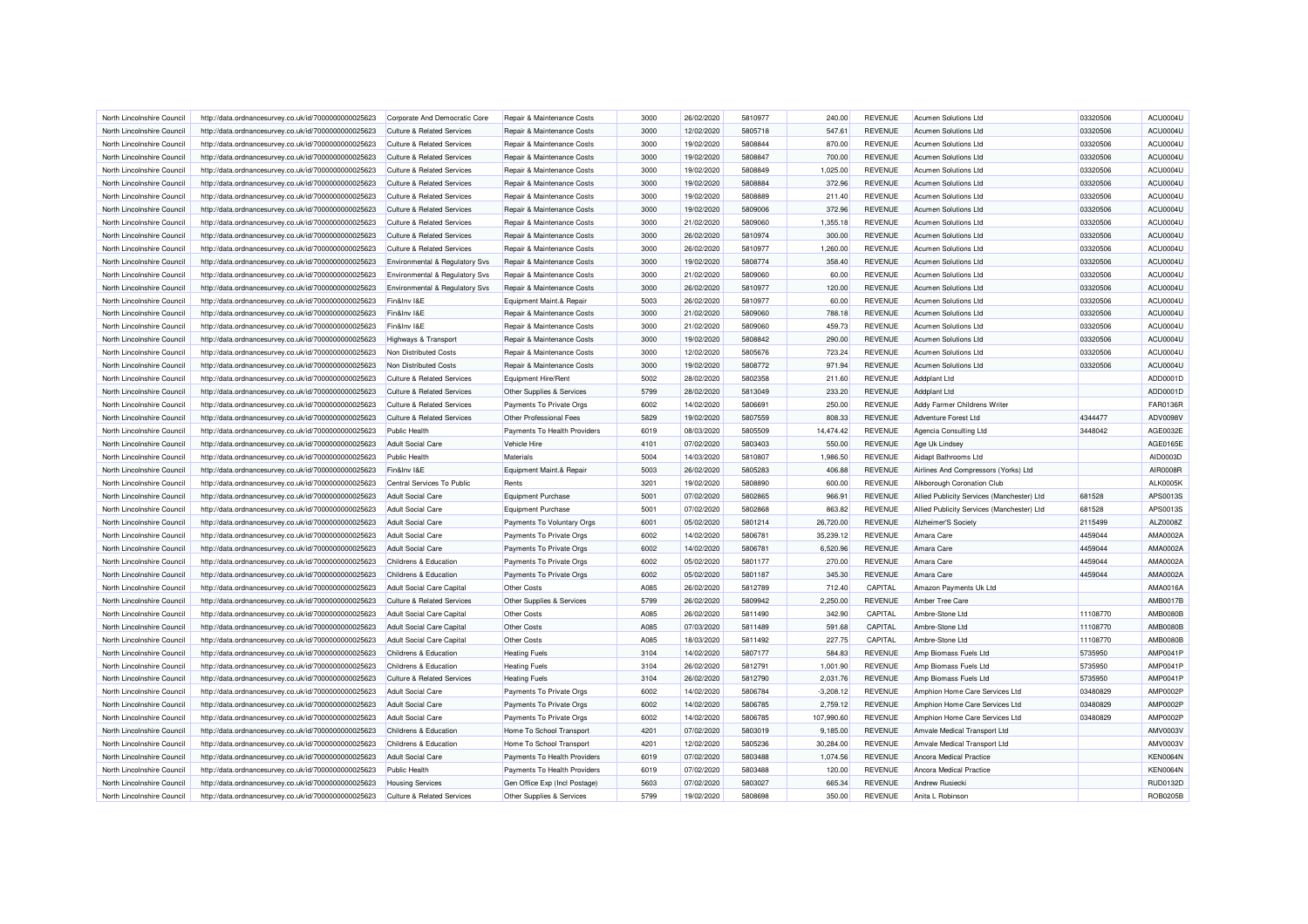| North Lincolnshire Council | http://data.ordnancesurvey.co.uk/id/7000000000025623 | Corporate And Democratic Core             | Repair & Maintenance Costs    | 3000 | 26/02/2020 | 5810977 | 240.00      | <b>REVENUE</b> | <b>Acumen Solutions Ltd</b>                | 03320506 | ACU0004U        |
|----------------------------|------------------------------------------------------|-------------------------------------------|-------------------------------|------|------------|---------|-------------|----------------|--------------------------------------------|----------|-----------------|
| North Lincolnshire Council | http://data.ordnancesurvey.co.uk/id/7000000000025623 | <b>Culture &amp; Related Services</b>     | Repair & Maintenance Costs    | 3000 | 12/02/2020 | 5805718 | 547.61      | <b>REVENUE</b> | Acumen Solutions Ltd                       | 03320506 | <b>ACU0004U</b> |
| North Lincolnshire Council | http://data.ordnancesurvey.co.uk/id/7000000000025623 | <b>Culture &amp; Related Services</b>     | Repair & Maintenance Costs    | 3000 | 19/02/2020 | 5808844 | 870.00      | <b>REVENUE</b> | Acumen Solutions Ltd                       | 03320506 | ACU0004U        |
| North Lincolnshire Council | http://data.ordnancesurvey.co.uk/id/7000000000025623 | <b>Culture &amp; Related Services</b>     | Repair & Maintenance Costs    | 3000 | 19/02/2020 | 5808847 | 700.00      | <b>REVENUE</b> | Acumen Solutions Ltd                       | 03320506 | ACU0004U        |
| North Lincolnshire Council | http://data.ordnancesurvey.co.uk/id/7000000000025623 | <b>Culture &amp; Related Services</b>     | Repair & Maintenance Costs    | 3000 | 19/02/2020 | 5808849 | 1,025.00    | <b>REVENUE</b> | Acumen Solutions Ltd                       | 03320506 | ACU0004U        |
| North Lincolnshire Council | http://data.ordnancesurvey.co.uk/id/7000000000025623 | <b>Culture &amp; Related Services</b>     | Repair & Maintenance Costs    | 3000 | 19/02/2020 | 5808884 | 372.96      | <b>REVENUE</b> | Acumen Solutions Ltd                       | 03320506 | ACU0004U        |
| North Lincolnshire Council | http://data.ordnancesurvey.co.uk/id/7000000000025623 | <b>Culture &amp; Related Services</b>     | Repair & Maintenance Costs    | 3000 | 19/02/2020 | 5808889 | 211.40      | <b>REVENUE</b> | <b>Acumen Solutions Ltd</b>                | 03320506 | ACU0004U        |
| North Lincolnshire Council | http://data.ordnancesurvey.co.uk/id/7000000000025623 | <b>Culture &amp; Related Services</b>     | Repair & Maintenance Costs    | 3000 | 19/02/2020 | 5809006 | 372.96      | <b>REVENUE</b> | <b>Acumen Solutions Ltd</b>                | 03320506 | ACU0004U        |
| North Lincolnshire Council | http://data.ordnancesurvey.co.uk/id/7000000000025623 | <b>Culture &amp; Related Services</b>     | Repair & Maintenance Costs    | 3000 | 21/02/2020 | 5809060 | 1,355.18    | <b>REVENUE</b> | Acumen Solutions Ltd                       | 03320506 | ACU0004U        |
| North Lincolnshire Council |                                                      | <b>Culture &amp; Related Services</b>     | Repair & Maintenance Costs    | 3000 | 26/02/2020 | 5810974 | 300.00      | <b>REVENUE</b> | <b>Acumen Solutions Ltd</b>                | 03320506 | ACU0004U        |
|                            | http://data.ordnancesurvey.co.uk/id/7000000000025623 |                                           |                               | 3000 | 26/02/2020 | 5810977 | 1,260.00    | <b>REVENUE</b> |                                            | 03320506 | ACU0004U        |
| North Lincolnshire Council | http://data.ordnancesurvey.co.uk/id/7000000000025623 | <b>Culture &amp; Related Services</b>     | Repair & Maintenance Costs    |      |            |         |             |                | Acumen Solutions Ltd                       |          |                 |
| North Lincolnshire Council | http://data.ordnancesurvey.co.uk/id/7000000000025623 | <b>Environmental &amp; Regulatory Svs</b> | Repair & Maintenance Costs    | 3000 | 19/02/2020 | 5808774 | 358.40      | <b>REVENUE</b> | <b>Acumen Solutions Ltd</b>                | 03320506 | ACU0004U        |
| North Lincolnshire Council | http://data.ordnancesurvey.co.uk/id/7000000000025623 | Environmental & Regulatory Svs            | Repair & Maintenance Costs    | 3000 | 21/02/2020 | 5809060 | 60.00       | <b>REVENUE</b> | <b>Acumen Solutions Ltd</b>                | 03320506 | ACU0004U        |
| North Lincolnshire Council | http://data.ordnancesurvey.co.uk/id/7000000000025623 | Environmental & Regulatory Svs            | Repair & Maintenance Costs    | 3000 | 26/02/2020 | 5810977 | 120.00      | <b>REVENUE</b> | <b>Acumen Solutions Ltd</b>                | 03320506 | ACU0004U        |
| North Lincolnshire Council | http://data.ordnancesurvey.co.uk/id/7000000000025623 | Fin&Inv I&E                               | Equipment Maint.& Repair      | 5003 | 26/02/2020 | 5810977 | 60.00       | <b>REVENUE</b> | Acumen Solutions Ltd                       | 03320506 | ACU0004U        |
| North Lincolnshire Council | http://data.ordnancesurvey.co.uk/id/7000000000025623 | Fin&Inv I&E                               | Repair & Maintenance Costs    | 3000 | 21/02/2020 | 5809060 | 788.18      | <b>REVENUE</b> | Acumen Solutions Ltd                       | 03320506 | ACU0004U        |
| North Lincolnshire Council | http://data.ordnancesurvey.co.uk/id/7000000000025623 | Fin&Inv I&E                               | Repair & Maintenance Costs    | 3000 | 21/02/2020 | 5809060 | 459.73      | <b>REVENUE</b> | Acumen Solutions Ltd                       | 03320506 | ACU0004U        |
| North Lincolnshire Council | http://data.ordnancesurvey.co.uk/id/7000000000025623 | <b>Highways &amp; Transport</b>           | Repair & Maintenance Costs    | 3000 | 19/02/2020 | 5808842 | 290.00      | <b>REVENUE</b> | <b>Acumen Solutions Ltd</b>                | 03320506 | ACU0004U        |
| North Lincolnshire Council | http://data.ordnancesurvey.co.uk/id/7000000000025623 | Non Distributed Costs                     | Repair & Maintenance Costs    | 3000 | 12/02/2020 | 5805676 | 723.24      | <b>REVENUE</b> | <b>Acumen Solutions Ltd</b>                | 03320506 | ACU0004U        |
| North Lincolnshire Council | http://data.ordnancesurvey.co.uk/id/7000000000025623 | Non Distributed Costs                     | Repair & Maintenance Costs    | 3000 | 19/02/2020 | 5808772 | 971.94      | <b>REVENUE</b> | Acumen Solutions Ltd                       | 03320506 | ACU0004U        |
| North Lincolnshire Council | http://data.ordnancesurvey.co.uk/id/7000000000025623 | <b>Culture &amp; Related Services</b>     | Equipment Hire/Rent           | 5002 | 28/02/2020 | 5802358 | 211.60      | <b>REVENUE</b> | <b>Addplant Ltd</b>                        |          | ADD0001D        |
| North Lincolnshire Council | http://data.ordnancesurvey.co.uk/id/7000000000025623 | Culture & Related Services                | Other Supplies & Services     | 5799 | 28/02/2020 | 5813049 | 233.20      | <b>REVENUE</b> | Addplant Ltd                               |          | ADD0001D        |
| North Lincolnshire Council | http://data.ordnancesurvey.co.uk/id/7000000000025623 | Culture & Related Services                | Payments To Private Orgs      | 6002 | 14/02/2020 | 580669  | 250.00      | <b>REVENUE</b> | Addy Farmer Childrens Writer               |          | FAR0136R        |
| North Lincolnshire Council | http://data.ordnancesurvey.co.uk/id/7000000000025623 | <b>Culture &amp; Related Services</b>     | Other Professional Fees       | 5829 | 19/02/2020 | 5807559 | 808.33      | <b>REVENUE</b> | <b>Adventure Forest Ltd</b>                | 4344477  | ADV0098V        |
| North Lincolnshire Council | http://data.ordnancesurvey.co.uk/id/7000000000025623 | Public Health                             | Payments To Health Providers  | 6019 | 08/03/2020 | 5805509 | 14.474.42   | <b>REVENUE</b> | Agencia Consulting Ltd                     | 3448042  | AGE0032E        |
| North Lincolnshire Council | http://data.ordnancesurvey.co.uk/id/7000000000025623 | <b>Adult Social Care</b>                  | Vehicle Hire                  | 4101 | 07/02/2020 | 5803403 | 550.00      | <b>REVENUE</b> | Age Uk Lindsey                             |          | AGE0165E        |
| North Lincolnshire Council | http://data.ordnancesurvey.co.uk/id/7000000000025623 | <b>Public Health</b>                      | Materials                     | 5004 | 14/03/2020 | 5810807 | 1,986.50    | <b>REVENUE</b> | Aidapt Bathrooms Ltd                       |          | AID0003D        |
| North Lincolnshire Council | http://data.ordnancesurvey.co.uk/id/7000000000025623 | Fin&Inv I&E                               | Equipment Maint.& Repair      | 5003 | 26/02/2020 | 5805283 | 406.88      | <b>REVENUE</b> | Airlines And Compressors (Yorks) Ltd       |          | AIR0008R        |
| North Lincolnshire Council | http://data.ordnancesurvey.co.uk/id/7000000000025623 | Central Services To Public                | Rents                         | 3201 | 19/02/2020 | 5808890 | 600.00      | <b>REVENUE</b> | Alkborough Coronation Club                 |          | <b>ALK0005K</b> |
| North Lincolnshire Council | http://data.ordnancesurvey.co.uk/id/7000000000025623 | <b>Adult Social Care</b>                  | Equipment Purchase            | 5001 | 07/02/2020 | 5802865 | 966.91      | <b>REVENUE</b> | Allied Publicity Services (Manchester) Ltd | 681528   | APS0013S        |
| North Lincolnshire Council | http://data.ordnancesurvey.co.uk/id/7000000000025623 | Adult Social Care                         | Equipment Purchase            | 5001 | 07/02/2020 | 5802868 | 863.82      | <b>REVENUE</b> | Allied Publicity Services (Manchester) Ltd | 681528   | APS0013S        |
| North Lincolnshire Council | http://data.ordnancesurvey.co.uk/id/7000000000025623 | <b>Adult Social Care</b>                  | Payments To Voluntary Orgs    | 6001 | 05/02/2020 | 5801214 | 26,720.00   | <b>REVENUE</b> | Alzheimer'S Society                        | 2115499  | ALZ0008Z        |
| North Lincolnshire Council | http://data.ordnancesurvey.co.uk/id/7000000000025623 | <b>Adult Social Care</b>                  | Payments To Private Orgs      | 6002 | 14/02/2020 | 5806781 | 35,239.12   | <b>REVENUE</b> | Amara Care                                 | 4459044  | AMA0002A        |
| North Lincolnshire Council | http://data.ordnancesurvey.co.uk/id/7000000000025623 | <b>Adult Social Care</b>                  | Payments To Private Orgs      | 6002 | 14/02/2020 | 5806781 | 6,520.96    | <b>REVENUE</b> | Amara Care                                 | 4459044  | AMA0002A        |
| North Lincolnshire Council | http://data.ordnancesurvey.co.uk/id/7000000000025623 | Childrens & Education                     | Payments To Private Orgs      | 6002 | 05/02/2020 | 5801177 | 270.00      | <b>REVENUE</b> | Amara Care                                 | 4459044  | AMA0002A        |
| North Lincolnshire Council | http://data.ordnancesurvey.co.uk/id/7000000000025623 | Childrens & Education                     | Payments To Private Orgs      | 6002 | 05/02/2020 | 5801187 | 345.30      | <b>REVENUE</b> | Amara Care                                 | 4459044  | AMA0002A        |
| North Lincolnshire Council | http://data.ordnancesurvey.co.uk/id/7000000000025623 | <b>Adult Social Care Capital</b>          | Other Costs                   | A085 | 26/02/2020 | 5812789 | 712.40      | CAPITAL        | Amazon Payments Uk Ltd                     |          | AMA0016A        |
| North Lincolnshire Council | http://data.ordnancesurvey.co.uk/id/7000000000025623 | <b>Culture &amp; Related Services</b>     | Other Supplies & Services     | 5799 | 26/02/2020 | 5809942 | 2,250.00    | <b>REVENUE</b> | Amber Tree Care                            |          | <b>AMB0017B</b> |
| North Lincolnshire Council |                                                      | <b>Adult Social Care Capital</b>          | Other Costs                   | A085 | 26/02/2020 | 5811490 | 342.90      | CAPITAL        | Ambre-Stone Ltd                            | 11108770 | <b>AMB0080B</b> |
|                            | http://data.ordnancesurvey.co.uk/id/7000000000025623 |                                           |                               |      |            |         |             |                |                                            |          |                 |
| North Lincolnshire Council | http://data.ordnancesurvey.co.uk/id/7000000000025623 | Adult Social Care Capital                 | <b>Other Costs</b>            | A085 | 07/03/2020 | 5811489 | 591.68      | CAPITAL        | Ambre-Stone Ltd                            | 11108770 | <b>AMB0080B</b> |
| North Lincolnshire Council | http://data.ordnancesurvey.co.uk/id/7000000000025623 | Adult Social Care Capital                 | Other Costs                   | A085 | 18/03/2020 | 5811492 | 227.75      | CAPITAL        | Ambre-Stone Ltd                            | 11108770 | <b>AMB0080B</b> |
| North Lincolnshire Council | http://data.ordnancesurvey.co.uk/id/7000000000025623 | Childrens & Education                     | <b>Heating Fuels</b>          | 3104 | 14/02/2020 | 5807177 | 584.83      | <b>REVENUE</b> | Amp Biomass Fuels Ltd                      | 5735950  | AMP0041P        |
| North Lincolnshire Council | http://data.ordnancesurvey.co.uk/id/7000000000025623 | Childrens & Education                     | <b>Heating Fuels</b>          | 3104 | 26/02/2020 | 5812791 | 1,001.90    | <b>REVENUE</b> | Amp Biomass Fuels Ltd                      | 5735950  | AMP0041P        |
| North Lincolnshire Council | http://data.ordnancesurvey.co.uk/id/7000000000025623 | <b>Culture &amp; Related Services</b>     | <b>Heating Fuels</b>          | 3104 | 26/02/2020 | 5812790 | 2,031.76    | <b>REVENUE</b> | Amp Biomass Fuels Ltd                      | 5735950  | AMP0041P        |
| North Lincolnshire Council | http://data.ordnancesurvey.co.uk/id/7000000000025623 | <b>Adult Social Care</b>                  | Payments To Private Orgs      | 6002 | 14/02/2020 | 5806784 | $-3,208.12$ | <b>REVENUE</b> | Amphion Home Care Services Ltd             | 03480829 | AMP0002P        |
| North Lincolnshire Council | http://data.ordnancesurvey.co.uk/id/7000000000025623 | <b>Adult Social Care</b>                  | Payments To Private Orgs      | 6002 | 14/02/2020 | 5806785 | 2,759.12    | <b>REVENUE</b> | Amphion Home Care Services Ltd             | 03480829 | AMP0002P        |
| North Lincolnshire Council | http://data.ordnancesurvey.co.uk/id/7000000000025623 | <b>Adult Social Care</b>                  | Payments To Private Orgs      | 6002 | 14/02/2020 | 5806785 | 107,990.60  | <b>REVENUE</b> | Amphion Home Care Services Ltd             | 03480829 | AMP0002P        |
| North Lincolnshire Council | http://data.ordnancesurvey.co.uk/id/7000000000025623 | Childrens & Education                     | Home To School Transport      | 4201 | 07/02/2020 | 5803019 | 9,185.00    | <b>REVENUE</b> | Amvale Medical Transport Ltd               |          | AMV0003V        |
| North Lincolnshire Council | http://data.ordnancesurvey.co.uk/id/7000000000025623 | Childrens & Education                     | Home To School Transport      | 4201 | 12/02/2020 | 5805236 | 30,284.00   | <b>REVENUE</b> | Amvale Medical Transport Ltd               |          | AMV0003V        |
| North Lincolnshire Council | http://data.ordnancesurvey.co.uk/id/7000000000025623 | <b>Adult Social Care</b>                  | Payments To Health Providers  | 6019 | 07/02/2020 | 5803488 | 1,074.56    | <b>REVENUE</b> | Ancora Medical Practice                    |          | <b>KEN0064N</b> |
| North Lincolnshire Council | http://data.ordnancesurvey.co.uk/id/7000000000025623 | <b>Public Health</b>                      | Payments To Health Providers  | 6019 | 07/02/2020 | 5803488 | 120.00      | <b>REVENUE</b> | <b>Ancora Medical Practice</b>             |          | KEN0064N        |
| North Lincolnshire Council | http://data.ordnancesurvey.co.uk/id/7000000000025623 | <b>Housing Services</b>                   | Gen Office Exp (Incl Postage) | 5603 | 07/02/2020 | 5803027 | 665.34      | <b>REVENUE</b> | <b>Andrew Rusiecki</b>                     |          | <b>RUD0132D</b> |
| North Lincolnshire Council | http://data.ordnancesurvey.co.uk/id/7000000000025623 | <b>Culture &amp; Related Services</b>     | Other Supplies & Services     | 5799 | 19/02/2020 | 5808698 | 350.00      | <b>REVENUE</b> | Anita L Robinson                           |          | <b>ROB0205B</b> |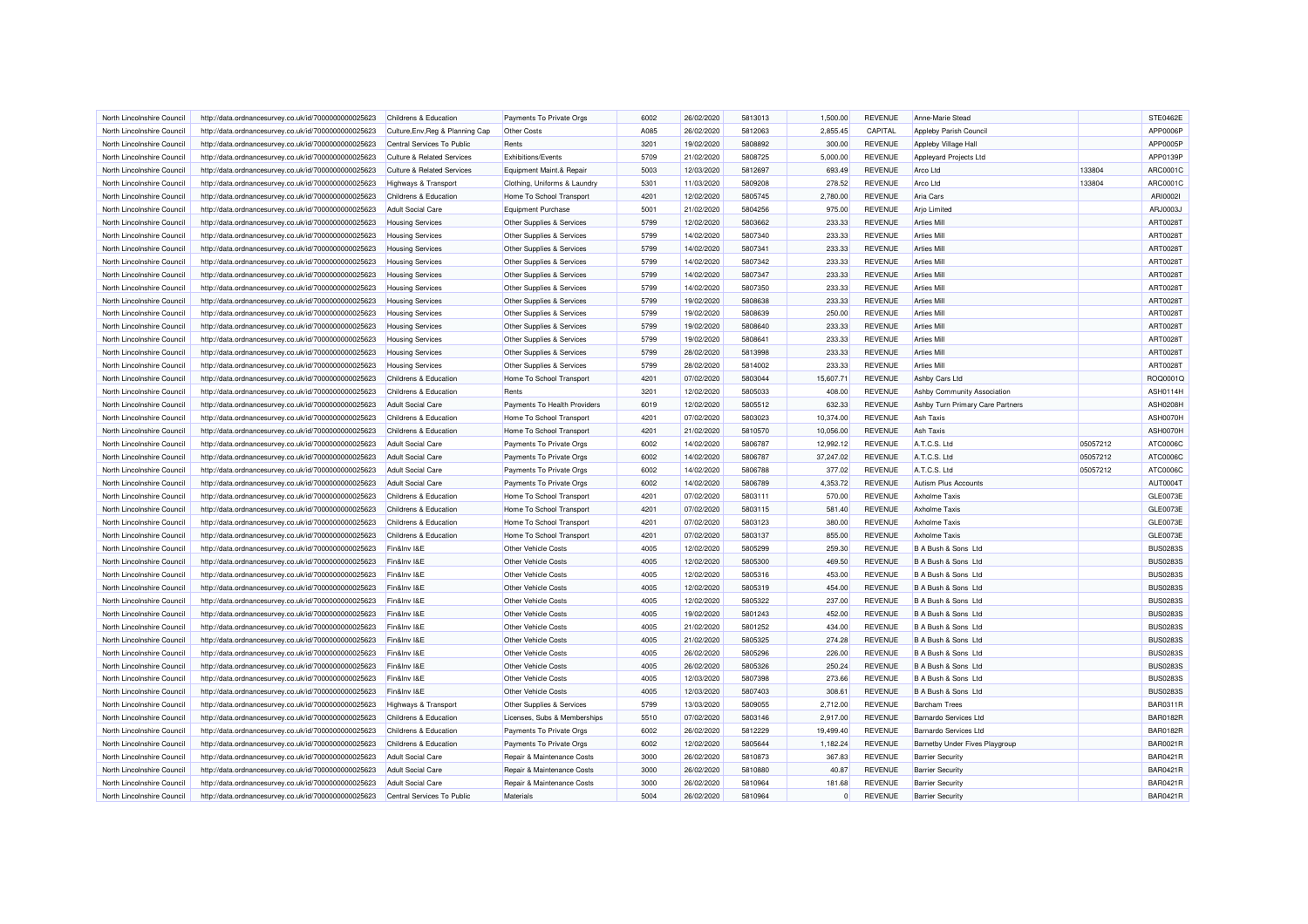| North Lincolnshire Council | http://data.ordnancesurvey.co.uk/id/7000000000025623 | Childrens & Education                            | Payments To Private Orgs          | 6002 | 26/02/2020 | 5813013 | 1.500.00  | <b>REVENUE</b> | Anne-Marie Stead                 |          | <b>STE0462E</b>                    |
|----------------------------|------------------------------------------------------|--------------------------------------------------|-----------------------------------|------|------------|---------|-----------|----------------|----------------------------------|----------|------------------------------------|
| North Lincolnshire Council | http://data.ordnancesurvey.co.uk/id/7000000000025623 | Culture, Env, Reg & Planning Cap                 | Other Costs                       | A085 | 26/02/2020 | 5812063 | 2,855.45  | CAPITAL        | Appleby Parish Council           |          | APP0006P                           |
| North Lincolnshire Council | http://data.ordnancesurvey.co.uk/id/7000000000025623 | Central Services To Public                       | Rents                             | 3201 | 19/02/2020 | 5808892 | 300.00    | <b>REVENUE</b> | Appleby Village Hall             |          | APP0005P                           |
| North Lincolnshire Council | http://data.ordnancesurvey.co.uk/id/7000000000025623 | Culture & Related Services                       | Exhibitions/Events                | 5709 | 21/02/2020 | 5808725 | 5,000.00  | <b>REVENUE</b> | Appleyard Projects Ltd           |          | APP0139P                           |
| North Lincolnshire Council | http://data.ordnancesurvey.co.uk/id/7000000000025623 | <b>Culture &amp; Related Services</b>            | Equipment Maint.& Repair          | 5003 | 12/03/2020 | 5812697 | 693.49    | <b>REVENUE</b> | Arco Ltd                         | 133804   | ARC0001C                           |
| North Lincolnshire Council | http://data.ordnancesurvey.co.uk/id/7000000000025623 | <b>Highways &amp; Transport</b>                  | Clothing, Uniforms & Laundry      | 5301 | 11/03/2020 | 5809208 | 278.52    | <b>REVENUE</b> | Arco Ltd                         | 133804   | ARC0001C                           |
| North Lincolnshire Council | http://data.ordnancesurvey.co.uk/id/7000000000025623 | Childrens & Education                            | Home To School Transport          | 4201 | 12/02/2020 | 5805745 | 2,780.00  | <b>REVENUE</b> | Aria Cars                        |          | ARI00021                           |
| North Lincolnshire Council | http://data.ordnancesurvey.co.uk/id/7000000000025623 | <b>Adult Social Care</b>                         | Equipment Purchase                | 5001 | 21/02/2020 | 5804256 | 975.00    | <b>REVENUE</b> | <b>Arjo Limited</b>              |          | ARJ0003J                           |
| North Lincolnshire Council | http://data.ordnancesurvey.co.uk/id/7000000000025623 | <b>Housing Services</b>                          | Other Supplies & Services         | 5799 | 12/02/2020 | 5803662 | 233.33    | <b>REVENUE</b> | <b>Arties Mill</b>               |          | ART0028T                           |
| North Lincolnshire Council | http://data.ordnancesurvey.co.uk/id/7000000000025623 | <b>Housing Services</b>                          | Other Supplies & Services         | 5799 | 14/02/2020 | 5807340 | 233.33    | <b>REVENUE</b> | <b>Arties Mill</b>               |          | ART00281                           |
| North Lincolnshire Council | http://data.ordnancesurvey.co.uk/id/7000000000025623 | <b>Housing Services</b>                          | Other Supplies & Services         | 5799 | 14/02/2020 | 5807341 | 233.33    | <b>REVENUE</b> | <b>Arties Mill</b>               |          | ART00281                           |
| North Lincolnshire Council | http://data.ordnancesurvey.co.uk/id/7000000000025623 | <b>Housing Services</b>                          | Other Supplies & Services         | 5799 | 14/02/2020 | 5807342 | 233.33    | <b>REVENUE</b> | <b>Arties Mill</b>               |          | ART0028T                           |
| North Lincolnshire Council | http://data.ordnancesurvey.co.uk/id/7000000000025623 | <b>Housing Services</b>                          | Other Supplies & Services         | 5799 | 14/02/2020 | 5807347 | 233.33    | <b>REVENUE</b> | <b>Arties Mill</b>               |          | ART00281                           |
| North Lincolnshire Council | http://data.ordnancesurvey.co.uk/id/7000000000025623 | <b>Housing Services</b>                          | Other Supplies & Services         | 5799 | 14/02/2020 | 5807350 | 233.33    | <b>REVENUE</b> | <b>Arties Mill</b>               |          | ART0028T                           |
| North Lincolnshire Council | http://data.ordnancesurvey.co.uk/id/7000000000025623 | <b>Housing Services</b>                          | Other Supplies & Services         | 5799 | 19/02/2020 | 5808638 | 233.33    | <b>REVENUE</b> | <b>Arties Mill</b>               |          | ART00281                           |
| North Lincolnshire Council | http://data.ordnancesurvey.co.uk/id/7000000000025623 | <b>Housing Services</b>                          | Other Supplies & Services         | 5799 | 19/02/2020 | 5808639 | 250.00    | <b>REVENUE</b> | <b>Arties Mil</b>                |          | ART0028T                           |
| North Lincolnshire Council | http://data.ordnancesurvey.co.uk/id/7000000000025623 | <b>Housing Services</b>                          | Other Supplies & Services         | 5799 | 19/02/2020 | 5808640 | 233.33    | <b>REVENUE</b> | <b>Arties Mill</b>               |          | ART0028T                           |
| North Lincolnshire Council | http://data.ordnancesurvey.co.uk/id/7000000000025623 | <b>Housing Services</b>                          | Other Supplies & Services         | 5799 | 19/02/2020 | 5808641 | 233.33    | <b>REVENUE</b> | <b>Arties Mill</b>               |          | ART00281                           |
| North Lincolnshire Council | http://data.ordnancesurvey.co.uk/id/7000000000025623 | <b>Housing Services</b>                          | Other Supplies & Services         | 5799 | 28/02/2020 | 5813998 | 233.33    | <b>REVENUE</b> | <b>Arties Mill</b>               |          | ART0028T                           |
| North Lincolnshire Council | http://data.ordnancesurvey.co.uk/id/7000000000025623 |                                                  | Other Supplies & Services         | 5799 | 28/02/2020 | 5814002 | 233.33    | <b>REVENUE</b> | <b>Arties Mill</b>               |          | <b>ART0028T</b>                    |
| North Lincolnshire Council |                                                      | <b>Housing Services</b><br>Childrens & Education |                                   | 4201 | 07/02/2020 | 5803044 | 15,607.71 | <b>REVENUE</b> |                                  |          | ROQ0001C                           |
|                            | http://data.ordnancesurvey.co.uk/id/7000000000025623 |                                                  | Home To School Transport<br>Rents |      |            |         |           |                | Ashby Cars Ltd                   |          |                                    |
| North Lincolnshire Council | http://data.ordnancesurvey.co.uk/id/7000000000025623 | Childrens & Education                            |                                   | 3201 | 12/02/2020 | 5805033 | 408.00    | <b>REVENUE</b> | Ashby Community Association      |          | <b>ASH0114H</b><br><b>ASH0208H</b> |
| North Lincolnshire Council | http://data.ordnancesurvey.co.uk/id/7000000000025623 | <b>Adult Social Care</b>                         | Payments To Health Providers      | 6019 | 12/02/2020 | 5805512 | 632.33    | <b>REVENUE</b> | Ashby Turn Primary Care Partners |          |                                    |
| North Lincolnshire Council | http://data.ordnancesurvey.co.uk/id/7000000000025623 | Childrens & Education                            | Home To School Transport          | 4201 | 07/02/2020 | 5803023 | 10,374.00 | <b>REVENUE</b> | Ash Taxis                        |          | ASH0070H                           |
| North Lincolnshire Council | http://data.ordnancesurvey.co.uk/id/7000000000025623 | Childrens & Education                            | Home To School Transport          | 4201 | 21/02/2020 | 5810570 | 10,056.00 | <b>REVENUE</b> | <b>Ash Taxis</b>                 |          | ASH0070H                           |
| North Lincolnshire Council | http://data.ordnancesurvey.co.uk/id/7000000000025623 | <b>Adult Social Care</b>                         | Payments To Private Orgs          | 6002 | 14/02/2020 | 5806787 | 12,992.12 | <b>REVENUE</b> | A.T.C.S. Ltd                     | 05057212 | ATC0006C                           |
| North Lincolnshire Council | http://data.ordnancesurvey.co.uk/id/7000000000025623 | <b>Adult Social Care</b>                         | Payments To Private Orgs          | 6002 | 14/02/2020 | 5806787 | 37,247.02 | <b>REVENUE</b> | A.T.C.S. Ltd                     | 05057212 | ATC0006C                           |
| North Lincolnshire Council | http://data.ordnancesurvey.co.uk/id/7000000000025623 | <b>Adult Social Care</b>                         | Payments To Private Orgs          | 6002 | 14/02/2020 | 5806788 | 377.02    | <b>REVENUE</b> | A.T.C.S. Ltd                     | 05057212 | ATC0006C                           |
| North Lincolnshire Council | http://data.ordnancesurvey.co.uk/id/7000000000025623 | <b>Adult Social Care</b>                         | Payments To Private Orgs          | 6002 | 14/02/2020 | 5806789 | 4,353.72  | <b>REVENUE</b> | Autism Plus Accounts             |          | AUT0004T                           |
| North Lincolnshire Council | http://data.ordnancesurvey.co.uk/id/7000000000025623 | Childrens & Education                            | Home To School Transport          | 4201 | 07/02/2020 | 5803111 | 570.00    | <b>REVENUE</b> | <b>Axholme Taxis</b>             |          | GLE0073E                           |
| North Lincolnshire Council | http://data.ordnancesurvey.co.uk/id/7000000000025623 | Childrens & Education                            | Home To School Transport          | 4201 | 07/02/2020 | 5803115 | 581.40    | <b>REVENUE</b> | <b>Axholme Taxis</b>             |          | GLE0073E                           |
| North Lincolnshire Council | http://data.ordnancesurvey.co.uk/id/7000000000025623 | Childrens & Education                            | Home To School Transport          | 4201 | 07/02/2020 | 5803123 | 380.00    | <b>REVENUE</b> | <b>Axholme Taxis</b>             |          | GLE0073E                           |
| North Lincolnshire Council | http://data.ordnancesurvey.co.uk/id/7000000000025623 | Childrens & Education                            | Home To School Transport          | 4201 | 07/02/2020 | 5803137 | 855.00    | <b>REVENUE</b> | <b>Axholme Taxis</b>             |          | GLE0073E                           |
| North Lincolnshire Council | http://data.ordnancesurvey.co.uk/id/7000000000025623 | Fin&Inv I&E                                      | Other Vehicle Costs               | 4005 | 12/02/2020 | 5805299 | 259.30    | <b>REVENUE</b> | B A Bush & Sons Ltd              |          | <b>BUS0283S</b>                    |
| North Lincolnshire Council | http://data.ordnancesurvey.co.uk/id/7000000000025623 | Fin&Inv I&E                                      | Other Vehicle Costs               | 4005 | 12/02/2020 | 5805300 | 469.50    | <b>REVENUE</b> | B A Bush & Sons Ltd              |          | <b>BUS0283S</b>                    |
| North Lincolnshire Council | http://data.ordnancesurvey.co.uk/id/7000000000025623 | Fin&Inv I&E                                      | Other Vehicle Costs               | 4005 | 12/02/2020 | 5805316 | 453.00    | <b>REVENUE</b> | B A Bush & Sons Ltd              |          | <b>BUS0283S</b>                    |
| North Lincolnshire Council | http://data.ordnancesurvey.co.uk/id/7000000000025623 | Fin&Inv I&E                                      | Other Vehicle Costs               | 4005 | 12/02/2020 | 5805319 | 454.00    | <b>REVENUE</b> | B A Bush & Sons Ltd              |          | <b>BUS0283S</b>                    |
| North Lincolnshire Council | http://data.ordnancesurvey.co.uk/id/7000000000025623 | Fin&Inv I&E                                      | Other Vehicle Costs               | 4005 | 12/02/2020 | 5805322 | 237.00    | <b>REVENUE</b> | B A Bush & Sons Ltd              |          | <b>BUS0283S</b>                    |
| North Lincolnshire Council | http://data.ordnancesurvey.co.uk/id/7000000000025623 | Fin&Inv I&E                                      | Other Vehicle Costs               | 4005 | 19/02/2020 | 5801243 | 452.00    | <b>REVENUE</b> | B A Bush & Sons Ltd              |          | <b>BUS0283S</b>                    |
| North Lincolnshire Council | http://data.ordnancesurvey.co.uk/id/7000000000025623 | Fin&Inv I&E                                      | Other Vehicle Costs               | 4005 | 21/02/2020 | 5801252 | 434.00    | <b>REVENUE</b> | B A Bush & Sons Ltd              |          | <b>BUS0283S</b>                    |
| North Lincolnshire Council | http://data.ordnancesurvey.co.uk/id/7000000000025623 | Fin&Inv I&E                                      | Other Vehicle Costs               | 4005 | 21/02/2020 | 5805325 | 274.28    | <b>REVENUE</b> | B A Bush & Sons Ltd              |          | <b>BUS0283S</b>                    |
| North Lincolnshire Council | http://data.ordnancesurvey.co.uk/id/7000000000025623 | Fin&Inv I&E                                      | Other Vehicle Costs               | 4005 | 26/02/2020 | 5805296 | 226.00    | <b>REVENUE</b> | B A Bush & Sons Ltd              |          | <b>BUS0283S</b>                    |
| North Lincolnshire Council | http://data.ordnancesurvey.co.uk/id/7000000000025623 | Fin&Inv I&E                                      | <b>Other Vehicle Costs</b>        | 4005 | 26/02/2020 | 5805326 | 250.24    | <b>REVENUE</b> | B A Bush & Sons Ltd              |          | <b>BUS0283S</b>                    |
| North Lincolnshire Council | http://data.ordnancesurvey.co.uk/id/7000000000025623 | Fin&Inv I&E                                      | Other Vehicle Costs               | 4005 | 12/03/2020 | 5807398 | 273.66    | <b>REVENUE</b> | B A Bush & Sons Ltd              |          | <b>BUS0283S</b>                    |
| North Lincolnshire Council | http://data.ordnancesurvey.co.uk/id/7000000000025623 | Fin&Inv I&E                                      | <b>Other Vehicle Costs</b>        | 4005 | 12/03/2020 | 5807403 | 308.61    | <b>REVENUE</b> | B A Bush & Sons Ltd              |          | <b>BUS0283S</b>                    |
| North Lincolnshire Council | http://data.ordnancesurvey.co.uk/id/7000000000025623 | Highways & Transport                             | Other Supplies & Services         | 5799 | 13/03/2020 | 5809055 | 2.712.00  | <b>REVENUE</b> | <b>Barcham Trees</b>             |          | <b>BAR0311R</b>                    |
| North Lincolnshire Council | http://data.ordnancesurvey.co.uk/id/7000000000025623 | Childrens & Education                            | Licenses, Subs & Memberships      | 5510 | 07/02/2020 | 5803146 | 2,917.00  | <b>REVENUE</b> | Barnardo Services Ltd            |          | <b>BAR0182R</b>                    |
| North Lincolnshire Council | http://data.ordnancesurvey.co.uk/id/7000000000025623 | Childrens & Education                            | Payments To Private Orgs          | 6002 | 26/02/2020 | 5812229 | 19,499.40 | <b>REVENUE</b> | <b>Barnardo Services Ltd</b>     |          | <b>BAR0182R</b>                    |
| North Lincolnshire Council | http://data.ordnancesurvey.co.uk/id/7000000000025623 | Childrens & Education                            | Payments To Private Orgs          | 6002 | 12/02/2020 | 5805644 | 1,182.24  | <b>REVENUE</b> | Barnetby Under Fives Playgroup   |          | <b>BAR0021R</b>                    |
| North Lincolnshire Council | http://data.ordnancesurvey.co.uk/id/7000000000025623 | <b>Adult Social Care</b>                         | Repair & Maintenance Costs        | 3000 | 26/02/2020 | 5810873 | 367.83    | <b>REVENUE</b> | <b>Barrier Security</b>          |          | <b>BAR0421R</b>                    |
| North Lincolnshire Council | http://data.ordnancesurvey.co.uk/id/7000000000025623 | <b>Adult Social Care</b>                         | Repair & Maintenance Costs        | 3000 | 26/02/2020 | 5810880 | 40.87     | <b>REVENUE</b> | <b>Barrier Security</b>          |          | <b>BAR0421R</b>                    |
| North Lincolnshire Council | http://data.ordnancesurvey.co.uk/id/7000000000025623 | Adult Social Care                                | Repair & Maintenance Costs        | 3000 | 26/02/2020 | 5810964 | 181.68    | <b>REVENUE</b> | <b>Barrier Security</b>          |          | <b>BAR0421R</b>                    |
| North Lincolnshire Council | http://data.ordnancesurvey.co.uk/id/7000000000025623 | Central Services To Public                       | Materials                         | 5004 | 26/02/2020 | 5810964 | $\Omega$  | <b>REVENUE</b> | <b>Barrier Security</b>          |          | <b>BAR0421R</b>                    |
|                            |                                                      |                                                  |                                   |      |            |         |           |                |                                  |          |                                    |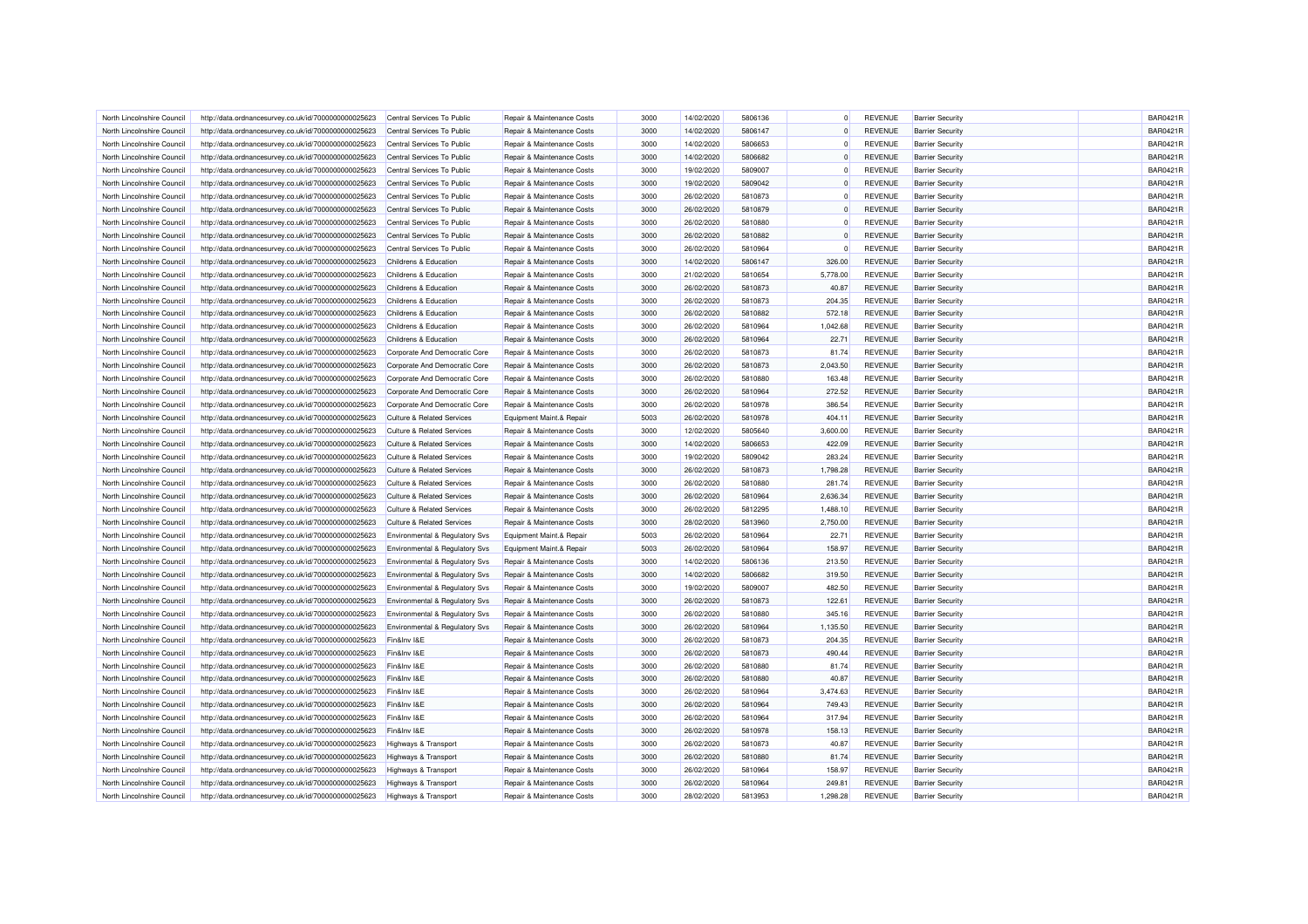| North Lincolnshire Council                               | http://data.ordnancesurvey.co.uk/id/7000000000025623                                                         | Central Services To Public                                     | Repair & Maintenance Costs            | 3000 | 14/02/2020 | 5806136 | $\Omega$ | <b>REVENUE</b> | <b>Barrier Security</b>                            | <b>BAR0421R</b> |
|----------------------------------------------------------|--------------------------------------------------------------------------------------------------------------|----------------------------------------------------------------|---------------------------------------|------|------------|---------|----------|----------------|----------------------------------------------------|-----------------|
| North Lincolnshire Council                               | http://data.ordnancesurvey.co.uk/id/7000000000025623                                                         | Central Services To Public                                     | Repair & Maintenance Costs            | 3000 | 14/02/2020 | 5806147 | $\Omega$ | <b>REVENUE</b> | <b>Barrier Security</b>                            | <b>BAR0421R</b> |
| North Lincolnshire Council                               | http://data.ordnancesurvey.co.uk/id/7000000000025623                                                         | Central Services To Public                                     | Repair & Maintenance Costs            | 3000 | 14/02/2020 | 5806653 | $\Omega$ | <b>REVENUE</b> | <b>Barrier Security</b>                            | <b>BAR0421R</b> |
| North Lincolnshire Council                               | http://data.ordnancesurvey.co.uk/id/7000000000025623                                                         | Central Services To Public                                     | Repair & Maintenance Costs            | 3000 | 14/02/2020 | 5806682 | $\Omega$ | <b>REVENUE</b> | <b>Barrier Security</b>                            | BAR0421R        |
| North Lincolnshire Council                               | http://data.ordnancesurvey.co.uk/id/7000000000025623                                                         | Central Services To Public                                     | Repair & Maintenance Costs            | 3000 | 19/02/2020 | 5809007 | $\Omega$ | <b>REVENUE</b> | <b>Barrier Security</b>                            | <b>BAR0421R</b> |
| North Lincolnshire Council                               | http://data.ordnancesurvey.co.uk/id/7000000000025623                                                         | Central Services To Public                                     | Repair & Maintenance Costs            | 3000 | 19/02/2020 | 5809042 | $\Omega$ | <b>REVENUE</b> | <b>Barrier Security</b>                            | BAR0421R        |
| North Lincolnshire Council                               | http://data.ordnancesurvey.co.uk/id/7000000000025623                                                         | Central Services To Public                                     | Repair & Maintenance Costs            | 3000 | 26/02/2020 | 5810873 | $\Omega$ | <b>REVENUE</b> | <b>Barrier Security</b>                            | <b>BAR0421R</b> |
| North Lincolnshire Council                               | http://data.ordnancesurvey.co.uk/id/7000000000025623                                                         | Central Services To Public                                     | Repair & Maintenance Costs            | 3000 | 26/02/2020 | 5810879 | $\Omega$ | <b>REVENUE</b> | <b>Barrier Security</b>                            | <b>BAR0421R</b> |
| North Lincolnshire Council                               | http://data.ordnancesurvey.co.uk/id/7000000000025623                                                         | Central Services To Public                                     | Repair & Maintenance Costs            | 3000 | 26/02/2020 | 5810880 | $\Omega$ | <b>REVENUE</b> | <b>Barrier Security</b>                            | <b>BAR0421R</b> |
| North Lincolnshire Council                               | http://data.ordnancesurvey.co.uk/id/7000000000025623                                                         | Central Services To Public                                     | Repair & Maintenance Costs            | 3000 | 26/02/2020 | 5810882 | $\Omega$ | <b>REVENUE</b> | <b>Barrier Security</b>                            | BAR0421R        |
| North Lincolnshire Council                               | http://data.ordnancesurvey.co.uk/id/7000000000025623                                                         | Central Services To Public                                     | Repair & Maintenance Costs            | 3000 | 26/02/2020 | 5810964 | $\Omega$ | <b>REVENUE</b> | <b>Barrier Security</b>                            | <b>BAR0421R</b> |
| North Lincolnshire Council                               | http://data.ordnancesurvey.co.uk/id/7000000000025623                                                         | Childrens & Education                                          | Repair & Maintenance Costs            | 3000 | 14/02/2020 | 5806147 | 326.00   | <b>REVENUE</b> | <b>Barrier Security</b>                            | BAR0421R        |
| North Lincolnshire Council                               | http://data.ordnancesurvey.co.uk/id/7000000000025623                                                         | Childrens & Education                                          | Repair & Maintenance Costs            | 3000 | 21/02/2020 | 5810654 | 5,778.00 | <b>REVENUE</b> | <b>Barrier Security</b>                            | <b>BAR0421R</b> |
| North Lincolnshire Council                               | http://data.ordnancesurvey.co.uk/id/7000000000025623                                                         | Childrens & Education                                          | Repair & Maintenance Costs            | 3000 | 26/02/2020 | 5810873 | 40.87    | <b>REVENUE</b> | <b>Barrier Security</b>                            | <b>BAR0421R</b> |
| North Lincolnshire Council                               | http://data.ordnancesurvey.co.uk/id/7000000000025623                                                         | Childrens & Education                                          | Repair & Maintenance Costs            | 3000 | 26/02/2020 | 5810873 | 204.35   | <b>REVENUE</b> | <b>Barrier Security</b>                            | <b>BAR0421R</b> |
| North Lincolnshire Council                               | http://data.ordnancesurvey.co.uk/id/7000000000025623                                                         | Childrens & Education                                          | Repair & Maintenance Costs            | 3000 | 26/02/2020 | 5810882 | 572.18   | <b>REVENUE</b> | <b>Barrier Security</b>                            | <b>BAR0421R</b> |
| North Lincolnshire Council                               | http://data.ordnancesurvey.co.uk/id/7000000000025623                                                         | Childrens & Education                                          | Repair & Maintenance Costs            | 3000 | 26/02/2020 | 5810964 | 1,042.68 | <b>REVENUE</b> | <b>Barrier Security</b>                            | <b>BAR0421R</b> |
| North Lincolnshire Council                               | http://data.ordnancesurvey.co.uk/id/7000000000025623                                                         | Childrens & Education                                          | Repair & Maintenance Costs            | 3000 | 26/02/2020 | 5810964 | 22.71    | <b>REVENUE</b> | <b>Barrier Security</b>                            | BAR0421R        |
|                                                          |                                                                                                              |                                                                | Repair & Maintenance Costs            | 3000 | 26/02/2020 | 5810873 | 81.74    | <b>REVENUE</b> |                                                    | <b>BAR0421R</b> |
| North Lincolnshire Council<br>North Lincolnshire Council | http://data.ordnancesurvey.co.uk/id/7000000000025623<br>http://data.ordnancesurvey.co.uk/id/7000000000025623 | Corporate And Democratic Core<br>Corporate And Democratic Core | Repair & Maintenance Costs            | 3000 | 26/02/2020 | 5810873 | 2,043.50 | <b>REVENUE</b> | <b>Barrier Security</b><br><b>Barrier Security</b> | BAR0421R        |
| North Lincolnshire Council                               | http://data.ordnancesurvey.co.uk/id/7000000000025623                                                         | Corporate And Democratic Core                                  | Repair & Maintenance Costs            | 3000 | 26/02/2020 | 5810880 | 163.48   | <b>REVENUE</b> | <b>Barrier Security</b>                            | <b>BAR0421R</b> |
|                                                          |                                                                                                              |                                                                |                                       |      |            |         |          |                |                                                    | <b>BAR0421R</b> |
| North Lincolnshire Council                               | http://data.ordnancesurvey.co.uk/id/7000000000025623                                                         | Corporate And Democratic Core                                  | Repair & Maintenance Costs            | 3000 | 26/02/2020 | 5810964 | 272.52   | <b>REVENUE</b> | <b>Barrier Security</b>                            |                 |
| North Lincolnshire Council                               | http://data.ordnancesurvey.co.uk/id/7000000000025623                                                         | Corporate And Democratic Core                                  | Repair & Maintenance Costs            | 3000 | 26/02/2020 | 5810978 | 386.54   | <b>REVENUE</b> | <b>Barrier Security</b>                            | <b>BAR0421R</b> |
| North Lincolnshire Council                               | http://data.ordnancesurvey.co.uk/id/7000000000025623                                                         | <b>Culture &amp; Related Services</b>                          | Equipment Maint.& Repair              | 5003 | 26/02/2020 | 5810978 | 404.11   | <b>REVENUE</b> | <b>Barrier Security</b>                            | <b>BAR0421R</b> |
| North Lincolnshire Council                               | http://data.ordnancesurvey.co.uk/id/7000000000025623                                                         | <b>Culture &amp; Related Services</b>                          | Repair & Maintenance Costs            | 3000 | 12/02/2020 | 5805640 | 3,600.00 | <b>REVENUE</b> | <b>Barrier Security</b>                            | <b>BAR0421R</b> |
| North Lincolnshire Council                               | http://data.ordnancesurvey.co.uk/id/7000000000025623                                                         | <b>Culture &amp; Related Services</b>                          | Repair & Maintenance Costs            | 3000 | 14/02/2020 | 5806653 | 422.09   | <b>REVENUE</b> | <b>Barrier Security</b>                            | <b>BAR0421R</b> |
| North Lincolnshire Council                               | http://data.ordnancesurvey.co.uk/id/7000000000025623                                                         | <b>Culture &amp; Related Services</b>                          | Repair & Maintenance Costs            | 3000 | 19/02/2020 | 5809042 | 283.24   | <b>REVENUE</b> | <b>Barrier Security</b>                            | <b>BAR0421R</b> |
| North Lincolnshire Council                               | http://data.ordnancesurvey.co.uk/id/7000000000025623                                                         | <b>Culture &amp; Related Services</b>                          | Repair & Maintenance Costs            | 3000 | 26/02/2020 | 5810873 | 1.798.28 | <b>REVENUE</b> | <b>Barrier Security</b>                            | <b>BAR0421R</b> |
| North Lincolnshire Council                               | http://data.ordnancesurvey.co.uk/id/7000000000025623                                                         | <b>Culture &amp; Related Services</b>                          | Repair & Maintenance Costs            | 3000 | 26/02/2020 | 5810880 | 281.74   | <b>REVENUE</b> | <b>Barrier Security</b>                            | <b>BAR0421R</b> |
| North Lincolnshire Council                               | http://data.ordnancesurvey.co.uk/id/7000000000025623                                                         | <b>Culture &amp; Related Services</b>                          | Repair & Maintenance Costs            | 3000 | 26/02/2020 | 5810964 | 2,636.34 | <b>REVENUE</b> | <b>Barrier Security</b>                            | <b>BAR0421R</b> |
| North Lincolnshire Council                               | http://data.ordnancesurvey.co.uk/id/7000000000025623                                                         | Culture & Related Services                                     | Repair & Maintenance Costs            | 3000 | 26/02/2020 | 5812295 | 1,488.10 | <b>REVENUE</b> | <b>Barrier Security</b>                            | <b>BAR0421R</b> |
| North Lincolnshire Council                               | http://data.ordnancesurvey.co.uk/id/7000000000025623                                                         | <b>Culture &amp; Related Services</b>                          | Repair & Maintenance Costs            | 3000 | 28/02/2020 | 5813960 | 2,750.00 | <b>REVENUE</b> | <b>Barrier Security</b>                            | <b>BAR0421R</b> |
| North Lincolnshire Council                               | http://data.ordnancesurvey.co.uk/id/7000000000025623                                                         | Environmental & Regulatory Svs                                 | Equipment Maint.& Repair              | 5003 | 26/02/2020 | 5810964 | 22.71    | <b>REVENUE</b> | <b>Barrier Security</b>                            | <b>BAR0421R</b> |
| North Lincolnshire Council                               | http://data.ordnancesurvey.co.uk/id/7000000000025623                                                         | Environmental & Regulatory Svs                                 | Equipment Maint.& Repair              | 5003 | 26/02/2020 | 5810964 | 158.97   | <b>REVENUE</b> | <b>Barrier Security</b>                            | <b>BAR0421R</b> |
| North Lincolnshire Council                               | http://data.ordnancesurvey.co.uk/id/7000000000025623                                                         | Environmental & Regulatory Svs                                 | Repair & Maintenance Costs            | 3000 | 14/02/2020 | 5806136 | 213.50   | <b>REVENUE</b> | <b>Barrier Security</b>                            | <b>BAR0421R</b> |
| North Lincolnshire Council                               | http://data.ordnancesurvey.co.uk/id/7000000000025623                                                         | Environmental & Regulatory Svs                                 | Repair & Maintenance Costs            | 3000 | 14/02/2020 | 5806682 | 319.50   | <b>REVENUE</b> | <b>Barrier Security</b>                            | <b>BAR0421R</b> |
| North Lincolnshire Council                               | http://data.ordnancesurvey.co.uk/id/7000000000025623                                                         | <b>Environmental &amp; Regulatory Svs</b>                      | Repair & Maintenance Costs            | 3000 | 19/02/2020 | 5809007 | 482.50   | <b>REVENUE</b> | <b>Barrier Security</b>                            | <b>BAR0421R</b> |
| North Lincolnshire Council                               | http://data.ordnancesurvey.co.uk/id/7000000000025623                                                         | Environmental & Regulatory Svs                                 | Repair & Maintenance Costs            | 3000 | 26/02/2020 | 5810873 | 122.61   | <b>REVENUE</b> | <b>Barrier Security</b>                            | <b>BAR0421R</b> |
| North Lincolnshire Council                               | http://data.ordnancesurvey.co.uk/id/7000000000025623                                                         | Environmental & Regulatory Svs                                 | Repair & Maintenance Costs            | 3000 | 26/02/2020 | 5810880 | 345.16   | <b>REVENUE</b> | <b>Barrier Security</b>                            | <b>BAR0421R</b> |
| North Lincolnshire Council                               | http://data.ordnancesurvey.co.uk/id/7000000000025623                                                         | Environmental & Regulatory Svs                                 | Repair & Maintenance Costs            | 3000 | 26/02/2020 | 5810964 | 1.135.50 | <b>REVENUE</b> | <b>Barrier Security</b>                            | <b>BAR0421R</b> |
| North Lincolnshire Council                               | http://data.ordnancesurvey.co.uk/id/7000000000025623                                                         | Fin&Inv I&E                                                    | <b>Benair &amp; Maintenance Costs</b> | 3000 | 26/02/2020 | 5810873 | 204.35   | <b>REVENUE</b> | <b>Barrier Security</b>                            | <b>BAR0421R</b> |
| North Lincolnshire Council                               | http://data.ordnancesurvey.co.uk/id/7000000000025623                                                         | Fin&Inv I&E                                                    | Repair & Maintenance Costs            | 3000 | 26/02/2020 | 5810873 | 490.44   | <b>REVENUE</b> | <b>Barrier Security</b>                            | <b>BAR0421R</b> |
| North Lincolnshire Council                               | http://data.ordnancesurvey.co.uk/id/7000000000025623                                                         | Fin&Inv I&E                                                    | Repair & Maintenance Costs            | 3000 | 26/02/2020 | 5810880 | 81.74    | <b>REVENUE</b> | <b>Barrier Security</b>                            | <b>BAR0421R</b> |
| North Lincolnshire Council                               | http://data.ordnancesurvey.co.uk/id/7000000000025623                                                         | Fin&Inv I&E                                                    | Repair & Maintenance Costs            | 3000 | 26/02/2020 | 5810880 | 40.87    | <b>REVENUE</b> | <b>Barrier Security</b>                            | <b>BAR0421R</b> |
| North Lincolnshire Council                               | http://data.ordnancesurvey.co.uk/id/7000000000025623                                                         | Fin&Inv I&E                                                    | Repair & Maintenance Costs            | 3000 | 26/02/2020 | 5810964 | 3,474.63 | <b>REVENUE</b> | <b>Barrier Security</b>                            | <b>BAR0421R</b> |
| North Lincolnshire Council                               | http://data.ordnancesurvey.co.uk/id/7000000000025623                                                         | Fin&Inv I&E                                                    | Repair & Maintenance Costs            | 3000 | 26/02/2020 | 5810964 | 749.43   | <b>REVENUE</b> | <b>Barrier Security</b>                            | <b>BAR0421R</b> |
| North Lincolnshire Council                               | http://data.ordnancesurvey.co.uk/id/7000000000025623                                                         | Fin&Inv I&E                                                    | Repair & Maintenance Costs            | 3000 | 26/02/2020 | 5810964 | 317.94   | <b>REVENUE</b> | <b>Barrier Security</b>                            | <b>BAR0421R</b> |
| North Lincolnshire Council                               | http://data.ordnancesurvey.co.uk/id/7000000000025623                                                         | Fin&Inv I&E                                                    | Repair & Maintenance Costs            | 3000 | 26/02/2020 | 5810978 | 158.13   | <b>REVENUE</b> | <b>Barrier Security</b>                            | BAR0421R        |
| North Lincolnshire Council                               | http://data.ordnancesurvey.co.uk/id/7000000000025623                                                         | <b>Highways &amp; Transport</b>                                | Repair & Maintenance Costs            | 3000 | 26/02/2020 | 5810873 | 40.87    | <b>REVENUE</b> | <b>Barrier Security</b>                            | BAR0421R        |
| North Lincolnshire Council                               | http://data.ordnancesurvey.co.uk/id/7000000000025623                                                         | Highways & Transport                                           | Repair & Maintenance Costs            | 3000 | 26/02/2020 | 5810880 | 81.74    | <b>REVENUE</b> | <b>Barrier Security</b>                            | <b>BAR0421R</b> |
| North Lincolnshire Council                               | http://data.ordnancesurvey.co.uk/id/7000000000025623                                                         | Highways & Transport                                           | Repair & Maintenance Costs            | 3000 | 26/02/2020 | 5810964 | 158.97   | <b>REVENUE</b> | <b>Barrier Security</b>                            | BAR0421R        |
| North Lincolnshire Council                               | http://data.ordnancesurvey.co.uk/id/7000000000025623                                                         | Highways & Transport                                           | Repair & Maintenance Costs            | 3000 | 26/02/2020 | 5810964 | 249.81   | <b>REVENUE</b> | <b>Barrier Security</b>                            | BAR0421R        |
| North Lincolnshire Council                               | http://data.ordnancesurvey.co.uk/id/7000000000025623                                                         | Highways & Transport                                           | Repair & Maintenance Costs            | 3000 | 28/02/2020 | 5813953 | 1,298.28 | <b>REVENUE</b> | <b>Barrier Security</b>                            | <b>BAR0421R</b> |
|                                                          |                                                                                                              |                                                                |                                       |      |            |         |          |                |                                                    |                 |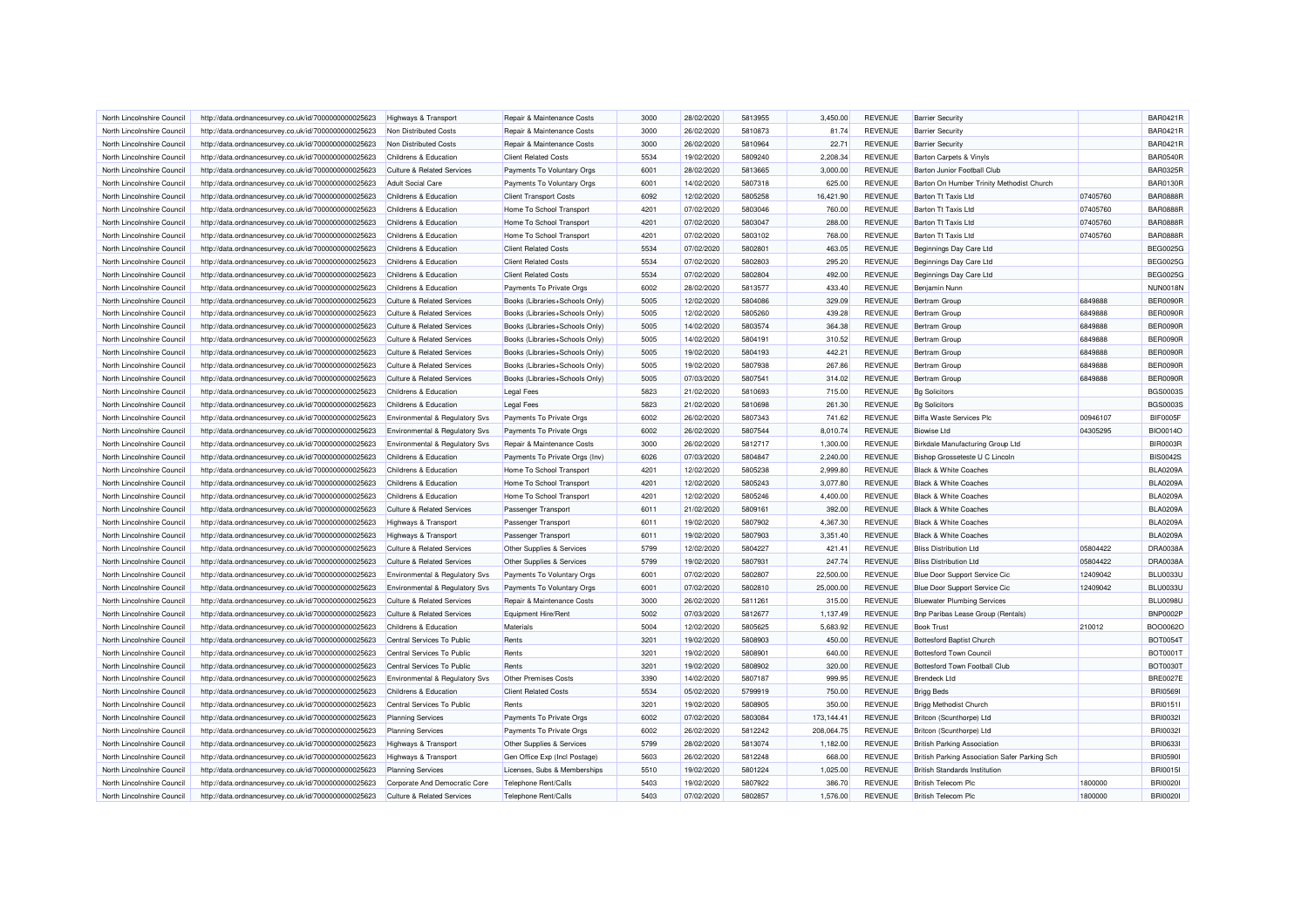| North Lincolnshire Council                               | http://data.ordnancesurvey.co.uk/id/7000000000025623 | <b>Highways &amp; Transport</b>           | Repair & Maintenance Costs     | 3000 | 28/02/2020 | 5813955 | 3.450.00   | <b>REVENUE</b> | <b>Barrier Security</b>                       |          | <b>BAR0421R</b> |
|----------------------------------------------------------|------------------------------------------------------|-------------------------------------------|--------------------------------|------|------------|---------|------------|----------------|-----------------------------------------------|----------|-----------------|
| North Lincolnshire Council                               | http://data.ordnancesurvey.co.uk/id/7000000000025623 | Non Distributed Costs                     | Repair & Maintenance Costs     | 3000 | 26/02/2020 | 5810873 | 81.74      | <b>REVENUE</b> | <b>Barrier Security</b>                       |          | <b>BAR0421R</b> |
| North Lincolnshire Council                               | http://data.ordnancesurvey.co.uk/id/7000000000025623 | Non Distributed Costs                     | Repair & Maintenance Costs     | 3000 | 26/02/2020 | 5810964 | 22.71      | <b>REVENUE</b> | <b>Barrier Security</b>                       |          | <b>BAR0421R</b> |
| North Lincolnshire Council                               | http://data.ordnancesurvey.co.uk/id/7000000000025623 | Childrens & Education                     | <b>Client Related Costs</b>    | 5534 | 19/02/2020 | 5809240 | 2,208.34   | <b>REVENUE</b> | <b>Barton Carpets &amp; Vinyls</b>            |          | <b>BAR0540R</b> |
| North Lincolnshire Council                               | http://data.ordnancesurvey.co.uk/id/7000000000025623 | <b>Culture &amp; Related Services</b>     | Payments To Voluntary Orgs     | 6001 | 28/02/2020 | 5813665 | 3,000.00   | <b>REVENUE</b> | Barton Junior Football Club                   |          | <b>BAR0325R</b> |
| North Lincolnshire Council                               | http://data.ordnancesurvey.co.uk/id/7000000000025623 | <b>Adult Social Care</b>                  | Payments To Voluntary Orgs     | 6001 | 14/02/2020 | 5807318 | 625.00     | <b>REVENUE</b> | Barton On Humber Trinity Methodist Church     |          | <b>BAR0130R</b> |
| North Lincolnshire Council                               | http://data.ordnancesurvey.co.uk/id/7000000000025623 | Childrens & Education                     | <b>Client Transport Costs</b>  | 6092 | 12/02/2020 | 5805258 | 16,421.90  | <b>REVENUE</b> | <b>Barton Tt Taxis Ltd</b>                    | 07405760 | <b>BAR0888F</b> |
| North Lincolnshire Council                               | http://data.ordnancesurvey.co.uk/id/7000000000025623 | Childrens & Education                     | Home To School Transport       | 4201 | 07/02/2020 | 5803046 | 760.00     | <b>REVENUE</b> | <b>Barton Tt Taxis Ltd</b>                    | 07405760 | <b>BAR0888R</b> |
| North Lincolnshire Council                               | http://data.ordnancesurvey.co.uk/id/7000000000025623 | Childrens & Education                     | Home To School Transport       | 4201 | 07/02/2020 | 5803047 | 288.00     | <b>REVENUE</b> | Barton Tt Taxis Ltd                           | 07405760 | <b>BAR0888R</b> |
| North Lincolnshire Council                               | http://data.ordnancesurvey.co.uk/id/7000000000025623 | Childrens & Education                     | Home To School Transport       | 4201 | 07/02/2020 | 5803102 | 768.00     | <b>REVENUE</b> | <b>Barton Tt Taxis Ltd</b>                    | 07405760 | <b>BAR0888R</b> |
| North Lincolnshire Council                               | http://data.ordnancesurvey.co.uk/id/7000000000025623 | Childrens & Education                     | <b>Client Related Costs</b>    | 5534 | 07/02/2020 | 5802801 | 463.05     | <b>REVENUE</b> | Beginnings Day Care Ltd                       |          | <b>BEG0025G</b> |
| North Lincolnshire Council                               | http://data.ordnancesurvey.co.uk/id/7000000000025623 | Childrens & Education                     | <b>Client Related Costs</b>    | 5534 | 07/02/2020 | 5802803 | 295.20     | <b>REVENUE</b> | Beginnings Day Care Ltd                       |          | <b>BEG0025G</b> |
| North Lincolnshire Council                               | http://data.ordnancesurvey.co.uk/id/7000000000025623 | Childrens & Education                     | <b>Client Related Costs</b>    | 5534 | 07/02/2020 | 5802804 | 492.00     | <b>REVENUE</b> | Beginnings Day Care Ltd                       |          | <b>BEG0025G</b> |
| North Lincolnshire Council                               | http://data.ordnancesurvey.co.uk/id/7000000000025623 | Childrens & Education                     | Payments To Private Orgs       | 6002 | 28/02/2020 | 5813577 | 433.40     | <b>REVENUE</b> | Benjamin Nunn                                 |          | <b>NUN0018N</b> |
| North Lincolnshire Council                               | http://data.ordnancesurvey.co.uk/id/7000000000025623 | <b>Culture &amp; Related Services</b>     | Books (Libraries+Schools Only) | 5005 | 12/02/2020 | 5804086 | 329.09     | <b>REVENUE</b> | Bertram Group                                 | 6849888  | <b>BER0090F</b> |
| North Lincolnshire Council                               | http://data.ordnancesurvey.co.uk/id/7000000000025623 | <b>Culture &amp; Related Services</b>     | Books (Libraries+Schools Only) | 5005 | 12/02/2020 | 5805260 | 439.28     | <b>REVENUE</b> | Bertram Group                                 | 6849888  | <b>BER0090R</b> |
| North Lincolnshire Council                               | http://data.ordnancesurvey.co.uk/id/7000000000025623 | Culture & Related Services                | Books (Libraries+Schools Only) | 5005 | 14/02/2020 | 5803574 | 364.38     | <b>REVENUE</b> | Bertram Group                                 | 6849888  | <b>BER0090R</b> |
| North Lincolnshire Council                               | http://data.ordnancesurvey.co.uk/id/7000000000025623 | <b>Culture &amp; Related Services</b>     | Books (Libraries+Schools Only) | 5005 | 14/02/2020 | 5804191 | 310.52     | <b>REVENUE</b> | Bertram Group                                 | 6849888  | <b>BER0090F</b> |
|                                                          | http://data.ordnancesurvey.co.uk/id/7000000000025623 | <b>Culture &amp; Related Services</b>     | Books (Libraries+Schools Only) | 5005 | 19/02/2020 | 5804193 | 442.21     | <b>REVENUE</b> |                                               | 6849888  | <b>BER0090R</b> |
| North Lincolnshire Council<br>North Lincolnshire Council | http://data.ordnancesurvey.co.uk/id/7000000000025623 | <b>Culture &amp; Related Services</b>     | Books (Libraries+Schools Only) | 5005 | 19/02/2020 | 5807938 | 267.86     | <b>REVENUE</b> | Bertram Group<br>Bertram Group                | 6849888  | <b>BER0090R</b> |
| North Lincolnshire Council                               | http://data.ordnancesurvey.co.uk/id/7000000000025623 | <b>Culture &amp; Related Services</b>     | Books (Libraries+Schools Only) | 5005 | 07/03/2020 | 5807541 | 314.02     | <b>REVENUE</b> | Bertram Group                                 | 6849888  | <b>BER0090R</b> |
|                                                          |                                                      |                                           |                                |      |            |         |            |                |                                               |          | <b>BGS0003S</b> |
| North Lincolnshire Council                               | http://data.ordnancesurvey.co.uk/id/7000000000025623 | Childrens & Education                     | <b>Legal Fees</b>              | 5823 | 21/02/2020 | 5810693 | 715.00     | <b>REVENUE</b> | <b>Bg Solicitors</b>                          |          |                 |
| North Lincolnshire Council                               | http://data.ordnancesurvey.co.uk/id/7000000000025623 | Childrens & Education                     | <b>Legal Fees</b>              | 5823 | 21/02/2020 | 5810698 | 261.30     | <b>REVENUE</b> | <b>Bg Solicitors</b>                          |          | <b>BGS0003S</b> |
| North Lincolnshire Council                               | http://data.ordnancesurvey.co.uk/id/7000000000025623 | <b>Environmental &amp; Regulatory Svs</b> | Payments To Private Orgs       | 6002 | 26/02/2020 | 5807343 | 741.62     | <b>REVENUE</b> | <b>Biffa Waste Services Plc</b>               | 00946107 | BIF0005F        |
| North Lincolnshire Council                               | http://data.ordnancesurvey.co.uk/id/7000000000025623 | Environmental & Regulatory Svs            | Payments To Private Orgs       | 6002 | 26/02/2020 | 5807544 | 8,010.74   | <b>REVENUE</b> | <b>Biowise I td</b>                           | 04305295 | <b>BIO0014O</b> |
| North Lincolnshire Council                               | http://data.ordnancesurvey.co.uk/id/7000000000025623 | <b>Environmental &amp; Regulatory Svs</b> | Repair & Maintenance Costs     | 3000 | 26/02/2020 | 5812717 | 1,300.00   | <b>REVENUE</b> | Birkdale Manufacturing Group Ltd              |          | <b>BIR0003R</b> |
| North Lincolnshire Council                               | http://data.ordnancesurvey.co.uk/id/7000000000025623 | Childrens & Education                     | Payments To Private Orgs (Inv) | 6026 | 07/03/2020 | 5804847 | 2,240.00   | <b>REVENUE</b> | Bishop Grosseteste U C Lincoln                |          | <b>BIS0042S</b> |
| North Lincolnshire Council                               | http://data.ordnancesurvey.co.uk/id/7000000000025623 | Childrens & Education                     | Home To School Transport       | 4201 | 12/02/2020 | 5805238 | 2.999.80   | <b>REVENUE</b> | <b>Black &amp; White Coaches</b>              |          | <b>BLA0209A</b> |
| North Lincolnshire Council                               | http://data.ordnancesurvey.co.uk/id/7000000000025623 | Childrens & Education                     | Home To School Transport       | 4201 | 12/02/2020 | 5805243 | 3,077.80   | <b>REVENUE</b> | <b>Black &amp; White Coaches</b>              |          | <b>BLA0209A</b> |
| North Lincolnshire Council                               | http://data.ordnancesurvey.co.uk/id/7000000000025623 | Childrens & Education                     | Home To School Transport       | 4201 | 12/02/2020 | 5805246 | 4,400.00   | <b>REVENUE</b> | <b>Black &amp; White Coaches</b>              |          | <b>BLA0209A</b> |
| North Lincolnshire Council                               | http://data.ordnancesurvey.co.uk/id/7000000000025623 | <b>Culture &amp; Related Services</b>     | Passenger Transport            | 6011 | 21/02/2020 | 5809161 | 392.00     | <b>REVENUE</b> | <b>Black &amp; White Coaches</b>              |          | <b>BLA0209A</b> |
| North Lincolnshire Council                               | http://data.ordnancesurvey.co.uk/id/7000000000025623 | <b>Highways &amp; Transport</b>           | Passenger Transport            | 6011 | 19/02/2020 | 5807902 | 4,367.30   | <b>REVENUE</b> | <b>Black &amp; White Coaches</b>              |          | <b>BLA0209A</b> |
| North Lincolnshire Council                               | http://data.ordnancesurvey.co.uk/id/7000000000025623 | Highways & Transport                      | Passenger Transport            | 6011 | 19/02/2020 | 5807903 | 3,351.40   | <b>REVENUE</b> | <b>Black &amp; White Coaches</b>              |          | <b>BLA0209A</b> |
| North Lincolnshire Council                               | http://data.ordnancesurvey.co.uk/id/7000000000025623 | <b>Culture &amp; Related Services</b>     | Other Supplies & Services      | 5799 | 12/02/2020 | 5804227 | 421.41     | <b>REVENUE</b> | <b>Bliss Distribution Ltd</b>                 | 05804422 | <b>DRA0038A</b> |
| North Lincolnshire Council                               | http://data.ordnancesurvey.co.uk/id/7000000000025623 | <b>Culture &amp; Related Services</b>     | Other Supplies & Services      | 5799 | 19/02/2020 | 5807931 | 247.74     | <b>REVENUE</b> | <b>Bliss Distribution Ltd</b>                 | 05804422 | DRA0038A        |
| North Lincolnshire Council                               | http://data.ordnancesurvey.co.uk/id/7000000000025623 | <b>Environmental &amp; Regulatory Svs</b> | Payments To Voluntary Orgs     | 6001 | 07/02/2020 | 5802807 | 22,500.00  | <b>REVENUE</b> | Blue Door Support Service Cic                 | 12409042 | <b>BLU0033U</b> |
| North Lincolnshire Council                               | http://data.ordnancesurvey.co.uk/id/7000000000025623 | <b>Environmental &amp; Regulatory Svs</b> | Payments To Voluntary Orgs     | 6001 | 07/02/2020 | 5802810 | 25,000.00  | <b>REVENUE</b> | Blue Door Support Service Cic                 | 12409042 | <b>BLU0033U</b> |
| North Lincolnshire Council                               | http://data.ordnancesurvey.co.uk/id/7000000000025623 | <b>Culture &amp; Related Services</b>     | Repair & Maintenance Costs     | 3000 | 26/02/2020 | 5811261 | 315.00     | <b>REVENUE</b> | <b>Bluewater Plumbing Services</b>            |          | <b>BLU0098U</b> |
| North Lincolnshire Council                               | http://data.ordnancesurvey.co.uk/id/7000000000025623 | Culture & Related Services                | Equipment Hire/Rent            | 5002 | 07/03/2020 | 5812677 | 1,137.49   | <b>REVENUE</b> | Bnp Paribas Lease Group (Rentals)             |          | <b>BNP0002P</b> |
| North Lincolnshire Council                               | http://data.ordnancesurvey.co.uk/id/7000000000025623 | Childrens & Education                     | Materials                      | 5004 | 12/02/2020 | 5805625 | 5.683.92   | <b>REVENUE</b> | <b>Book Trust</b>                             | 210012   | BOO0062C        |
| North Lincolnshire Council                               | http://data.ordnancesurvey.co.uk/id/7000000000025623 | Central Services To Public                | Rents                          | 3201 | 19/02/2020 | 5808903 | 450.00     | <b>REVENUE</b> | <b>Bottesford Baptist Church</b>              |          | <b>BOT0054T</b> |
| North Lincolnshire Council                               | http://data.ordnancesurvey.co.uk/id/7000000000025623 | Central Services To Public                | Rents                          | 3201 | 19/02/2020 | 5808901 | 640.00     | <b>REVENUE</b> | <b>Bottesford Town Council</b>                |          | <b>BOT0001T</b> |
| North Lincolnshire Council                               | http://data.ordnancesurvey.co.uk/id/7000000000025623 | Central Services To Public                | Rents                          | 3201 | 19/02/2020 | 5808902 | 320.00     | <b>REVENUE</b> | Bottesford Town Football Club                 |          | <b>BOT0030T</b> |
| North Lincolnshire Council                               | http://data.ordnancesurvey.co.uk/id/7000000000025623 | Environmental & Regulatory Svs            | Other Premises Costs           | 3390 | 14/02/2020 | 5807187 | 999.95     | <b>REVENUE</b> | <b>Brendeck Ltd</b>                           |          | <b>BRE0027E</b> |
| North Lincolnshire Council                               | http://data.ordnancesurvey.co.uk/id/7000000000025623 | Childrens & Education                     | <b>Client Related Costs</b>    | 5534 | 05/02/2020 | 5799919 | 750.00     | <b>REVENUE</b> | <b>Brigg Beds</b>                             |          | <b>BRI05691</b> |
| North Lincolnshire Council                               | http://data.ordnancesurvey.co.uk/id/7000000000025623 | Central Services To Public                | Rents                          | 3201 | 19/02/2020 | 5808905 | 350.00     | <b>REVENUE</b> | <b>Brigg Methodist Church</b>                 |          | <b>BRI01511</b> |
| North Lincolnshire Council                               | http://data.ordnancesurvey.co.uk/id/7000000000025623 | <b>Planning Services</b>                  | Payments To Private Orgs       | 6002 | 07/02/2020 | 5803084 | 173,144.41 | <b>REVENUE</b> | Britcon (Scunthorpe) Ltd                      |          | <b>BRI00321</b> |
| North Lincolnshire Council                               | http://data.ordnancesurvey.co.uk/id/7000000000025623 | <b>Planning Services</b>                  | Payments To Private Orgs       | 6002 | 26/02/2020 | 5812242 | 208,064.75 | <b>REVENUE</b> | Britcon (Scunthorpe) Ltd                      |          | <b>BRI00321</b> |
| North Lincolnshire Council                               | http://data.ordnancesurvey.co.uk/id/7000000000025623 | <b>Highways &amp; Transport</b>           | Other Supplies & Services      | 5799 | 28/02/2020 | 5813074 | 1,182.00   | <b>REVENUE</b> | <b>British Parking Association</b>            |          | <b>BRI06331</b> |
| North Lincolnshire Council                               | http://data.ordnancesurvey.co.uk/id/7000000000025623 | Highways & Transport                      | Gen Office Exp (Incl Postage)  | 5603 | 26/02/2020 | 5812248 | 668.00     | <b>REVENUE</b> | British Parking Association Safer Parking Sch |          | <b>BRI05901</b> |
| North Lincolnshire Council                               | http://data.ordnancesurvey.co.uk/id/7000000000025623 | <b>Planning Services</b>                  | Licenses, Subs & Memberships   | 5510 | 19/02/2020 | 5801224 | 1,025.00   | <b>REVENUE</b> | <b>British Standards Institution</b>          |          | <b>BRI0015I</b> |
| North Lincolnshire Council                               | http://data.ordnancesurvey.co.uk/id/7000000000025623 | Corporate And Democratic Core             | Telephone Rent/Calls           | 5403 | 19/02/2020 | 5807922 | 386.70     | <b>REVENUE</b> | <b>British Telecom Plc</b>                    | 1800000  | <b>BRI00201</b> |
| North Lincolnshire Council                               | http://data.ordnancesurvey.co.uk/id/7000000000025623 | <b>Culture &amp; Related Services</b>     | Telephone Rent/Calls           | 5403 | 07/02/2020 | 5802857 | 1,576.00   | <b>REVENUE</b> | <b>British Telecom Plc</b>                    | 1800000  | <b>BRI00201</b> |
|                                                          |                                                      |                                           |                                |      |            |         |            |                |                                               |          |                 |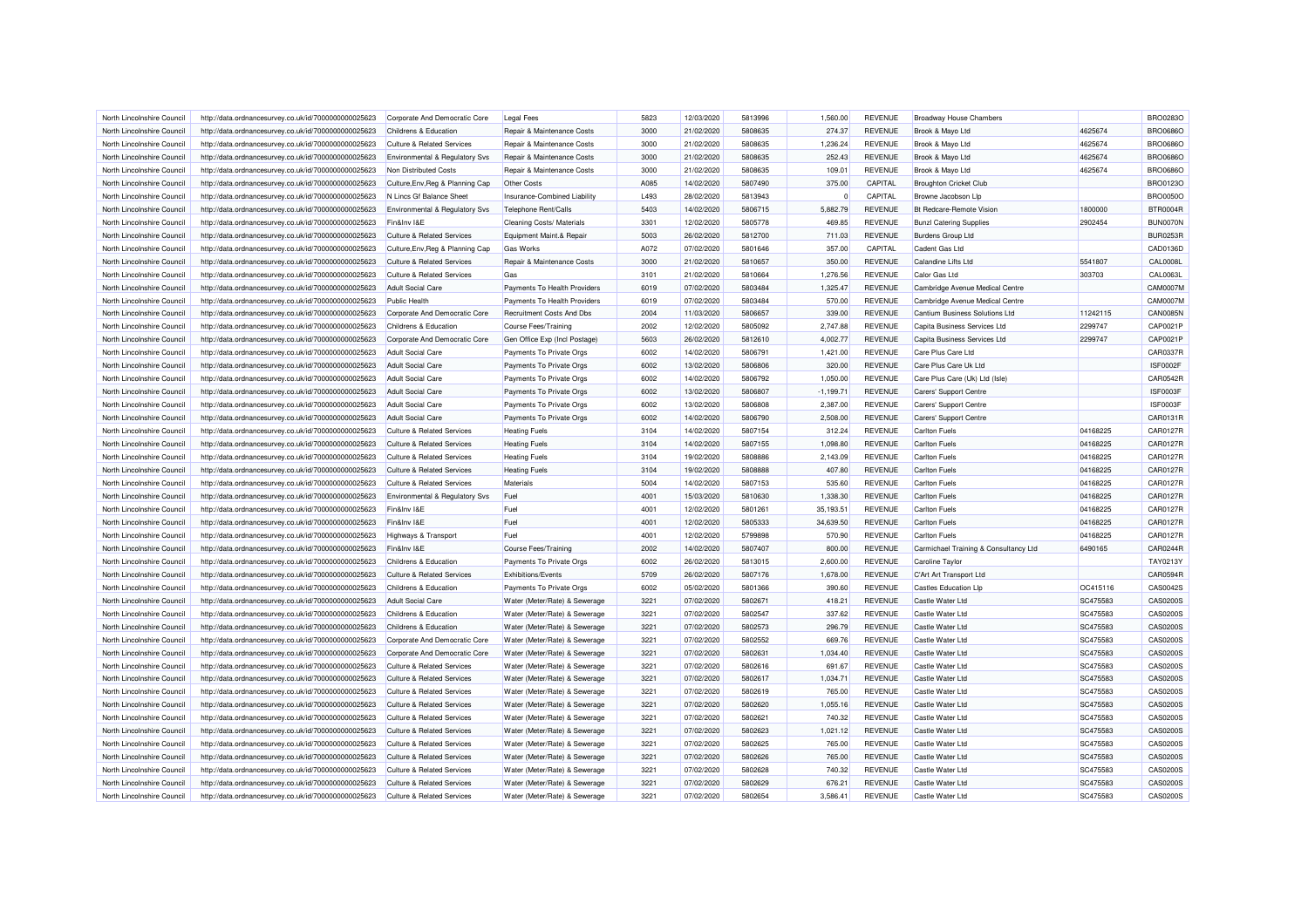| North Lincolnshire Council | http://data.ordnancesurvey.co.uk/id/7000000000025623                                                         | Corporate And Democratic Core             | <b>Legal Fees</b>                                    | 5823 | 12/03/2020 | 5813996 | 1,560.00    | <b>REVENUE</b> | <b>Broadway House Chambers</b>        |          | <b>BRO0283O</b> |
|----------------------------|--------------------------------------------------------------------------------------------------------------|-------------------------------------------|------------------------------------------------------|------|------------|---------|-------------|----------------|---------------------------------------|----------|-----------------|
| North Lincolnshire Council | http://data.ordnancesurvey.co.uk/id/7000000000025623                                                         | Childrens & Education                     | Repair & Maintenance Costs                           | 3000 | 21/02/2020 | 5808635 | 274.37      | <b>REVENUE</b> | Brook & Mayo Ltd                      | 4625674  | <b>BRO0686O</b> |
| North Lincolnshire Council | http://data.ordnancesurvey.co.uk/id/7000000000025623                                                         | <b>Culture &amp; Related Services</b>     | Repair & Maintenance Costs                           | 3000 | 21/02/2020 | 5808635 | 1,236.24    | <b>REVENUE</b> | Brook & Mayo Ltd                      | 4625674  | <b>BRO0686O</b> |
| North Lincolnshire Council | http://data.ordnancesurvey.co.uk/id/7000000000025623                                                         | <b>Environmental &amp; Regulatory Svs</b> | Repair & Maintenance Costs                           | 3000 | 21/02/2020 | 5808635 | 252.43      | <b>REVENUE</b> | Brook & Mayo Ltd                      | 4625674  | <b>BRO0686O</b> |
| North Lincolnshire Council | http://data.ordnancesurvey.co.uk/id/7000000000025623                                                         | Non Distributed Costs                     | Repair & Maintenance Costs                           | 3000 | 21/02/2020 | 5808635 | 109.01      | <b>REVENUE</b> | Brook & Mayo Ltd                      | 4625674  | <b>BRO0686O</b> |
| North Lincolnshire Council | http://data.ordnancesurvey.co.uk/id/7000000000025623                                                         | Culture, Env, Reg & Planning Cap          | <b>Other Costs</b>                                   | A085 | 14/02/2020 | 5807490 | 375.00      | CAPITAL        | <b>Broughton Cricket Club</b>         |          | <b>BRO0123O</b> |
| North Lincolnshire Council | http://data.ordnancesurvey.co.uk/id/7000000000025623                                                         | N Lincs Gf Balance Sheet                  | Insurance-Combined Liability                         | L493 | 28/02/2020 | 5813943 | $\Omega$    | CAPITAL        | Browne Jacobson Lip                   |          | <b>BRO0050O</b> |
| North Lincolnshire Council | http://data.ordnancesurvey.co.uk/id/7000000000025623                                                         | Environmental & Regulatory Svs            | Telephone Rent/Calls                                 | 5403 | 14/02/2020 | 5806715 | 5.882.79    | <b>REVENUE</b> | <b>Bt Redcare-Remote Vision</b>       | 1800000  | <b>BTR0004R</b> |
| North Lincolnshire Council | http://data.ordnancesurvey.co.uk/id/7000000000025623                                                         | Fin&Inv I&F                               | <b>Cleaning Costs/ Materials</b>                     | 3301 | 12/02/2020 | 5805778 | 469.85      | <b>REVENUE</b> | <b>Bunzl Catering Supplies</b>        | 2902454  | BUN0070N        |
| North Lincolnshire Council | http://data.ordnancesurvey.co.uk/id/7000000000025623                                                         | <b>Culture &amp; Related Services</b>     | Equipment Maint.& Repair                             | 5003 | 26/02/2020 | 5812700 | 711.03      | <b>REVENUE</b> | <b>Burdens Group Ltd</b>              |          | <b>BUR0253R</b> |
| North Lincolnshire Council | http://data.ordnancesurvey.co.uk/id/7000000000025623                                                         | Culture, Env, Reg & Planning Cap          | <b>Gas Works</b>                                     | A072 | 07/02/2020 | 5801646 | 357.00      | CAPITAL        | Cadent Gas Ltd                        |          | CAD0136D        |
| North Lincolnshire Council | http://data.ordnancesurvey.co.uk/id/7000000000025623                                                         | Culture & Related Services                | Repair & Maintenance Costs                           | 3000 | 21/02/2020 | 5810657 | 350.00      | <b>REVENUE</b> | <b>Calandine Lifts Ltd</b>            | 5541807  | <b>CAL0008L</b> |
| North Lincolnshire Council | http://data.ordnancesurvey.co.uk/id/7000000000025623                                                         | Culture & Related Services                | Gas                                                  | 3101 | 21/02/2020 | 5810664 | 1,276.56    | <b>REVENUE</b> | Calor Gas Ltd                         | 303703   | CAL0063L        |
| North Lincolnshire Council | http://data.ordnancesurvey.co.uk/id/7000000000025623                                                         | Adult Social Care                         | Payments To Health Providers                         | 6019 | 07/02/2020 | 5803484 | 1,325.47    | <b>REVENUE</b> | Cambridge Avenue Medical Centre       |          | <b>CAM0007M</b> |
| North Lincolnshire Council | http://data.ordnancesurvey.co.uk/id/7000000000025623                                                         | <b>Public Health</b>                      | Payments To Health Providers                         | 6019 | 07/02/2020 | 5803484 | 570.00      | <b>REVENUE</b> | Cambridge Avenue Medical Centre       |          | <b>CAM0007M</b> |
| North Lincolnshire Council | http://data.ordnancesurvey.co.uk/id/7000000000025623                                                         | Corporate And Democratic Core             | Recruitment Costs And Dbs                            | 2004 | 11/03/2020 | 5806657 | 339.00      | <b>REVENUE</b> | Cantium Business Solutions Ltd        | 11242115 | <b>CAN0085N</b> |
| North Lincolnshire Council | http://data.ordnancesurvey.co.uk/id/7000000000025623                                                         | Childrens & Education                     | Course Fees/Training                                 | 2002 | 12/02/2020 | 5805092 | 2,747.88    | <b>REVENUE</b> | Capita Business Services Ltd          | 2299747  | CAP0021P        |
| North Lincolnshire Council | http://data.ordnancesurvey.co.uk/id/7000000000025623                                                         | Corporate And Democratic Core             | Gen Office Exp (Incl Postage)                        | 5603 | 26/02/2020 | 5812610 | 4,002.77    | <b>REVENUE</b> | Capita Business Services Ltd          | 2299747  | CAP0021P        |
| North Lincolnshire Council |                                                                                                              | <b>Adult Social Care</b>                  |                                                      | 6002 | 14/02/2020 | 5806791 | 1,421.00    | <b>REVENUE</b> | Care Plus Care Ltd                    |          | CAR0337R        |
| North Lincolnshire Council | http://data.ordnancesurvey.co.uk/id/7000000000025623<br>http://data.ordnancesurvey.co.uk/id/7000000000025623 | <b>Adult Social Care</b>                  | Payments To Private Orgs<br>Payments To Private Orgs | 6002 | 13/02/2020 | 5806806 | 320.00      | <b>REVENUE</b> | Care Plus Care Uk Ltd                 |          | <b>ISF0002F</b> |
|                            |                                                                                                              |                                           |                                                      |      |            |         |             |                |                                       |          |                 |
| North Lincolnshire Council | http://data.ordnancesurvey.co.uk/id/7000000000025623                                                         | <b>Adult Social Care</b>                  | Payments To Private Orgs                             | 6002 | 14/02/2020 | 5806792 | 1,050.00    | <b>REVENUE</b> | Care Plus Care (Uk) Ltd (Isle)        |          | CAR0542R        |
| North Lincolnshire Council | http://data.ordnancesurvey.co.uk/id/7000000000025623                                                         | <b>Adult Social Care</b>                  | Payments To Private Orgs                             | 6002 | 13/02/2020 | 5806807 | $-1,199.71$ | <b>REVENUE</b> | Carers' Support Centre                |          | ISF0003F        |
| North Lincolnshire Council | http://data.ordnancesurvey.co.uk/id/7000000000025623                                                         | <b>Adult Social Care</b>                  | Payments To Private Orgs                             | 6002 | 13/02/2020 | 5806808 | 2,387.00    | <b>REVENUE</b> | Carers' Support Centre                |          | ISF0003F        |
| North Lincolnshire Council | http://data.ordnancesurvey.co.uk/id/7000000000025623                                                         | <b>Adult Social Care</b>                  | Payments To Private Orgs                             | 6002 | 14/02/2020 | 5806790 | 2,508.00    | <b>REVENUE</b> | Carers' Support Centre                |          | CAR0131R        |
| North Lincolnshire Council | http://data.ordnancesurvey.co.uk/id/7000000000025623                                                         | Culture & Related Services                | <b>Heating Fuels</b>                                 | 3104 | 14/02/2020 | 5807154 | 312.24      | <b>REVENUE</b> | <b>Carlton Fuels</b>                  | 04168225 | CAR0127R        |
| North Lincolnshire Council | http://data.ordnancesurvey.co.uk/id/7000000000025623                                                         | <b>Culture &amp; Related Services</b>     | <b>Heating Fuels</b>                                 | 3104 | 14/02/2020 | 5807155 | 1,098.80    | <b>REVENUE</b> | <b>Carlton Fuels</b>                  | 04168225 | CAR0127R        |
| North Lincolnshire Council | http://data.ordnancesurvey.co.uk/id/7000000000025623                                                         | <b>Culture &amp; Related Services</b>     | <b>Heating Fuels</b>                                 | 3104 | 19/02/2020 | 5808886 | 2,143.09    | <b>REVENUE</b> | <b>Carlton Fuels</b>                  | 04168225 | CAR0127R        |
| North Lincolnshire Council | http://data.ordnancesurvey.co.uk/id/7000000000025623                                                         | <b>Culture &amp; Related Services</b>     | <b>Heating Fuels</b>                                 | 3104 | 19/02/2020 | 5808888 | 407.80      | <b>REVENUE</b> | <b>Carlton Fuels</b>                  | 04168225 | CAR0127R        |
| North Lincolnshire Council | http://data.ordnancesurvey.co.uk/id/7000000000025623                                                         | <b>Culture &amp; Related Services</b>     | Materials                                            | 5004 | 14/02/2020 | 5807153 | 535.60      | <b>REVENUE</b> | <b>Carlton Fuels</b>                  | 04168225 | CAR0127R        |
| North Lincolnshire Council | http://data.ordnancesurvey.co.uk/id/7000000000025623                                                         | Environmental & Regulatory Svs            | Fuel                                                 | 4001 | 15/03/2020 | 5810630 | 1,338.30    | <b>REVENUE</b> | <b>Carlton Fuels</b>                  | 04168225 | CAR0127R        |
| North Lincolnshire Council | http://data.ordnancesurvey.co.uk/id/7000000000025623                                                         | Fin&Inv I&E                               | Fuel                                                 | 4001 | 12/02/2020 | 5801261 | 35,193.51   | <b>REVENUE</b> | <b>Carlton Fuels</b>                  | 04168225 | CAR0127R        |
| North Lincolnshire Council | http://data.ordnancesurvey.co.uk/id/7000000000025623                                                         | Fin&Inv I&E                               | Fuel                                                 | 4001 | 12/02/2020 | 5805333 | 34,639.50   | <b>REVENUE</b> | <b>Carlton Fuels</b>                  | 04168225 | CAR0127R        |
| North Lincolnshire Council | http://data.ordnancesurvey.co.uk/id/7000000000025623                                                         | Highways & Transport                      | Fuel                                                 | 4001 | 12/02/2020 | 5799898 | 570.90      | <b>REVENUE</b> | <b>Carlton Fuels</b>                  | 04168225 | CAR0127R        |
| North Lincolnshire Council | http://data.ordnancesurvey.co.uk/id/7000000000025623                                                         | Fin&Inv I&E                               | Course Fees/Training                                 | 2002 | 14/02/2020 | 5807407 | 800.00      | <b>REVENUE</b> | Carmichael Training & Consultancy Ltd | 6490165  | CAR0244R        |
| North Lincolnshire Council | http://data.ordnancesurvey.co.uk/id/7000000000025623                                                         | Childrens & Education                     | Payments To Private Orgs                             | 6002 | 26/02/2020 | 5813015 | 2,600.00    | <b>REVENUE</b> | Caroline Taylor                       |          | TAY0213Y        |
| North Lincolnshire Council | http://data.ordnancesurvey.co.uk/id/7000000000025623                                                         | Culture & Related Services                | <b>Exhibitions/Events</b>                            | 5709 | 26/02/2020 | 5807176 | 1,678.00    | <b>REVENUE</b> | C'Art Art Transport Ltd               |          | CAR0594R        |
| North Lincolnshire Council | http://data.ordnancesurvey.co.uk/id/7000000000025623                                                         | Childrens & Education                     | Payments To Private Orgs                             | 6002 | 05/02/2020 | 5801366 | 390.60      | <b>REVENUE</b> | <b>Castles Education Llp</b>          | OC415116 | CAS0042S        |
| North Lincolnshire Council | http://data.ordnancesurvey.co.uk/id/7000000000025623                                                         | <b>Adult Social Care</b>                  | Water (Meter/Rate) & Sewerage                        | 3221 | 07/02/2020 | 5802671 | 418.21      | <b>REVENUE</b> | <b>Castle Water Ltd</b>               | SC475583 | <b>CAS0200S</b> |
| North Lincolnshire Council | http://data.ordnancesurvey.co.uk/id/7000000000025623                                                         | Childrens & Education                     | Water (Meter/Rate) & Sewerage                        | 3221 | 07/02/2020 | 5802547 | 337.62      | <b>REVENUE</b> | Castle Water Ltd                      | SC475583 | CAS0200S        |
| North Lincolnshire Council | http://data.ordnancesurvey.co.uk/id/7000000000025623                                                         | Childrens & Education                     | Water (Meter/Rate) & Sewerage                        | 3221 | 07/02/2020 | 5802573 | 296.79      | <b>REVENUE</b> | Castle Water Ltd                      | SC475583 | CAS0200S        |
| North Lincolnshire Council | http://data.ordnancesurvey.co.uk/id/7000000000025623                                                         | Corporate And Democratic Core             | Water (Meter/Rate) & Sewerage                        | 3221 | 07/02/2020 | 5802552 | 669.76      | <b>REVENUE</b> | Castle Water Ltd                      | SC475583 | CAS0200S        |
| North Lincolnshire Council | http://data.ordnancesurvey.co.uk/id/7000000000025623                                                         | Corporate And Democratic Core             | Water (Meter/Rate) & Sewerage                        | 3221 | 07/02/2020 | 5802631 | 1.034.40    | <b>REVENUE</b> | Castle Water Ltd                      | SC475583 | CAS0200S        |
| North Lincolnshire Council | http://data.ordnancesurvey.co.uk/id/7000000000025623                                                         | <b>Culture &amp; Related Services</b>     | Water (Meter/Rate) & Sewerage                        | 3221 | 07/02/2020 | 5802616 | 691.67      | <b>REVENUE</b> | Castle Water Ltd                      | SC475583 | <b>CAS0200S</b> |
| North Lincolnshire Council | http://data.ordnancesurvey.co.uk/id/7000000000025623                                                         | <b>Culture &amp; Related Services</b>     | Water (Meter/Rate) & Sewerage                        | 3221 | 07/02/2020 | 5802617 | 1,034.71    | <b>REVENUE</b> | Castle Water Ltd                      | SC475583 | CAS0200S        |
| North Lincolnshire Council | http://data.ordnancesurvey.co.uk/id/7000000000025623                                                         | <b>Culture &amp; Related Services</b>     | Water (Meter/Rate) & Sewerage                        | 3221 | 07/02/2020 | 5802619 | 765.00      | <b>REVENUE</b> | Castle Water Ltd                      | SC475583 | <b>CAS0200S</b> |
| North Lincolnshire Council | http://data.ordnancesurvey.co.uk/id/7000000000025623                                                         | <b>Culture &amp; Related Services</b>     | Water (Meter/Rate) & Sewerage                        | 3221 | 07/02/2020 | 5802620 | 1,055.16    | <b>REVENUE</b> | Castle Water Ltd                      | SC475583 | CAS0200S        |
| North Lincolnshire Council | http://data.ordnancesurvey.co.uk/id/7000000000025623                                                         | <b>Culture &amp; Related Services</b>     | Water (Meter/Rate) & Sewerage                        | 3221 | 07/02/2020 | 5802621 | 740.32      | <b>REVENUE</b> | Castle Water Ltd                      | SC475583 | <b>CAS0200S</b> |
| North Lincolnshire Council | http://data.ordnancesurvey.co.uk/id/7000000000025623                                                         | <b>Culture &amp; Related Services</b>     | Water (Meter/Rate) & Sewerage                        | 3221 | 07/02/2020 | 5802623 | 1,021.12    | <b>REVENUE</b> | Castle Water Ltd                      | SC475583 | CAS0200S        |
| North Lincolnshire Council | http://data.ordnancesurvey.co.uk/id/7000000000025623                                                         | <b>Culture &amp; Related Services</b>     | Water (Meter/Rate) & Sewerage                        | 3221 | 07/02/2020 | 5802625 | 765.00      | <b>REVENUE</b> | Castle Water Ltd                      | SC475583 | CAS0200S        |
| North Lincolnshire Council | http://data.ordnancesurvey.co.uk/id/7000000000025623                                                         | <b>Culture &amp; Related Services</b>     | Water (Meter/Rate) & Sewerage                        | 3221 | 07/02/2020 | 5802626 | 765.00      | <b>REVENUE</b> | Castle Water Ltd                      | SC475583 | CAS0200S        |
| North Lincolnshire Council | http://data.ordnancesurvey.co.uk/id/7000000000025623                                                         | <b>Culture &amp; Related Services</b>     | Water (Meter/Rate) & Sewerage                        | 3221 | 07/02/2020 | 5802628 | 740.32      | <b>REVENUE</b> | Castle Water Ltd                      | SC475583 | CAS0200S        |
| North Lincolnshire Council | http://data.ordnancesurvey.co.uk/id/7000000000025623                                                         | <b>Culture &amp; Related Services</b>     | Water (Meter/Rate) & Sewerage                        | 3221 | 07/02/2020 | 5802629 | 676.21      | <b>REVENUE</b> | Castle Water Ltd                      | SC475583 | CAS0200S        |
| North Lincolnshire Council | http://data.ordnancesurvey.co.uk/id/7000000000025623                                                         | <b>Culture &amp; Related Services</b>     | Water (Meter/Rate) & Sewerage                        | 3221 | 07/02/2020 | 5802654 | 3.586.41    | <b>REVENUE</b> | Castle Water Ltd                      | SC475583 | CAS0200S        |
|                            |                                                                                                              |                                           |                                                      |      |            |         |             |                |                                       |          |                 |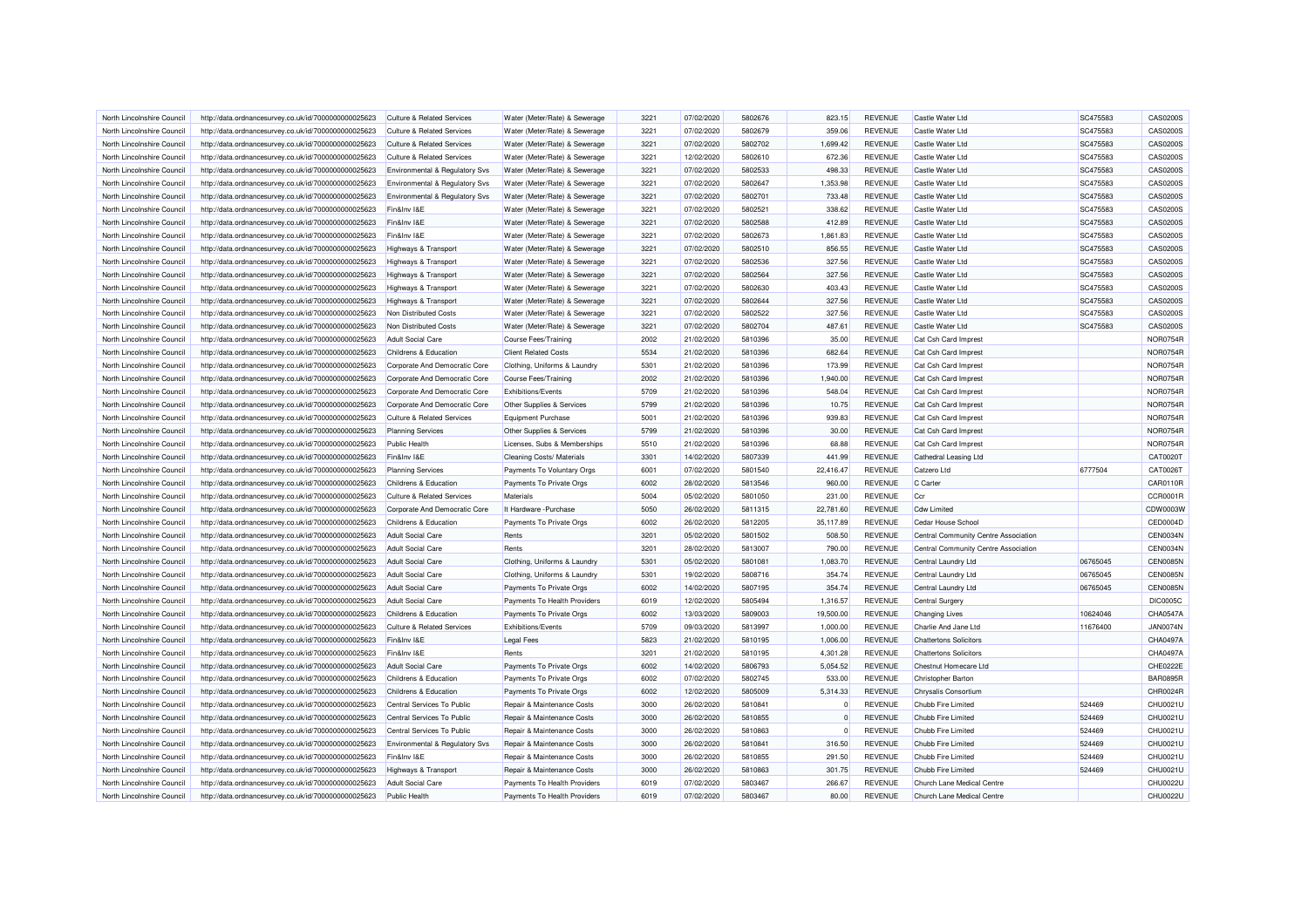| North Lincolnshire Council                               | http://data.ordnancesurvey.co.uk/id/7000000000025623                                                         | Culture & Related Services            | Water (Meter/Rate) & Sewerage                           | 3221         | 07/02/2020               | 5802676            | 823.15          | <b>REVENUE</b>                   | Castle Water Ltd                      | SC475583 | CAS0200S             |
|----------------------------------------------------------|--------------------------------------------------------------------------------------------------------------|---------------------------------------|---------------------------------------------------------|--------------|--------------------------|--------------------|-----------------|----------------------------------|---------------------------------------|----------|----------------------|
| North Lincolnshire Council                               | http://data.ordnancesurvey.co.uk/id/7000000000025623                                                         | <b>Culture &amp; Related Services</b> | Water (Meter/Rate) & Sewerage                           | 3221         | 07/02/2020               | 5802679            | 359.06          | <b>REVENUE</b>                   | Castle Water Ltd                      | SC475583 | CAS0200S             |
| North Lincolnshire Council                               | http://data.ordnancesurvey.co.uk/id/7000000000025623                                                         | Culture & Related Services            | Water (Meter/Rate) & Sewerage                           | 3221         | 07/02/2020               | 5802702            | 1.699.42        | <b>REVENUE</b>                   | Castle Water Ltd                      | SC475583 | CAS0200S             |
| North Lincolnshire Council                               | http://data.ordnancesurvey.co.uk/id/7000000000025623                                                         | <b>Culture &amp; Related Services</b> | Water (Meter/Rate) & Sewerage                           | 3221         | 12/02/2020               | 5802610            | 672.36          | <b>REVENUE</b>                   | Castle Water Ltd                      | SC475583 | CAS0200S             |
| North Lincolnshire Council                               | http://data.ordnancesurvey.co.uk/id/7000000000025623                                                         | Environmental & Regulatory Svs        | Water (Meter/Rate) & Sewerage                           | 3221         | 07/02/2020               | 5802533            | 498.33          | <b>REVENUE</b>                   | Castle Water Ltd                      | SC475583 | CAS0200S             |
| North Lincolnshire Council                               | http://data.ordnancesurvey.co.uk/id/7000000000025623                                                         | Environmental & Regulatory Svs        | Water (Meter/Rate) & Sewerage                           | 3221         | 07/02/2020               | 5802647            | 1,353.98        | <b>REVENUE</b>                   | Castle Water Ltd                      | SC475583 | CAS0200S             |
| North Lincolnshire Council                               | http://data.ordnancesurvey.co.uk/id/7000000000025623                                                         | Environmental & Regulatory Svs        | Water (Meter/Rate) & Sewerage                           | 3221         | 07/02/2020               | 5802701            | 733.48          | <b>REVENUE</b>                   | Castle Water Ltd                      | SC475583 | CAS0200S             |
| North Lincolnshire Council                               | http://data.ordnancesurvey.co.uk/id/7000000000025623                                                         | Fin&Inv I&E                           | Water (Meter/Rate) & Sewerage                           | 3221         | 07/02/2020               | 5802521            | 338.62          | <b>REVENUE</b>                   | Castle Water Ltd                      | SC475583 | CAS0200S             |
| North Lincolnshire Council                               | http://data.ordnancesurvey.co.uk/id/7000000000025623                                                         | Fin&Inv I&E                           | Water (Meter/Rate) & Sewerage                           | 3221         | 07/02/2020               | 5802588            | 412.89          | <b>REVENUE</b>                   | Castle Water Ltd                      | SC475583 | CAS0200S             |
| North Lincolnshire Council                               | http://data.ordnancesurvey.co.uk/id/7000000000025623                                                         | Fin&Inv I&E                           | Water (Meter/Rate) & Sewerage                           | 3221         | 07/02/2020               | 5802673            | 1,861.83        | <b>REVENUE</b>                   | Castle Water Ltd                      | SC475583 | CAS0200S             |
| North Lincolnshire Council                               | http://data.ordnancesurvey.co.uk/id/7000000000025623                                                         | Highways & Transport                  | Water (Meter/Rate) & Sewerage                           | 3221         | 07/02/2020               | 5802510            | 856.55          | <b>REVENUE</b>                   | Castle Water Ltd                      | SC475583 | CAS0200S             |
| North Lincolnshire Council                               | http://data.ordnancesurvey.co.uk/id/7000000000025623                                                         | Highways & Transport                  | Water (Meter/Rate) & Sewerage                           | 3221         | 07/02/2020               | 5802536            | 327.56          | <b>REVENUE</b>                   | Castle Water Ltd                      | SC475583 | CAS0200S             |
| North Lincolnshire Council                               | http://data.ordnancesurvey.co.uk/id/7000000000025623                                                         | Highways & Transport                  | Water (Meter/Rate) & Sewerage                           | 3221         | 07/02/2020               | 5802564            | 327.56          | <b>REVENUE</b>                   | <b>Castle Water Ltd</b>               | SC475583 | CAS0200S             |
| North Lincolnshire Council                               | http://data.ordnancesurvey.co.uk/id/7000000000025623                                                         | Highways & Transport                  | Water (Meter/Rate) & Sewerage                           | 3221         | 07/02/2020               | 5802630            | 403.43          | <b>REVENUE</b>                   | Castle Water Ltd                      | SC475583 | CAS0200S             |
| North Lincolnshire Council                               | http://data.ordnancesurvey.co.uk/id/7000000000025623                                                         | <b>Highways &amp; Transport</b>       | Water (Meter/Rate) & Sewerage                           | 3221         | 07/02/2020               | 5802644            | 327.56          | <b>REVENUE</b>                   | Castle Water Ltd                      | SC475583 | CAS0200S             |
| North Lincolnshire Council                               | http://data.ordnancesurvey.co.uk/id/7000000000025623                                                         | Non Distributed Costs                 | Water (Meter/Rate) & Sewerage                           | 3221         | 07/02/2020               | 5802522            | 327.56          | <b>REVENUE</b>                   | Castle Water Ltd                      | SC475583 | CAS0200S             |
| North Lincolnshire Council                               | http://data.ordnancesurvey.co.uk/id/7000000000025623                                                         | Non Distributed Costs                 | Water (Meter/Rate) & Sewerage                           | 3221         | 07/02/2020               | 5802704            | 487.61          | <b>REVENUE</b>                   | Castle Water Ltd                      | SC475583 | CAS0200S             |
| North Lincolnshire Council                               | http://data.ordnancesurvey.co.uk/id/7000000000025623                                                         | <b>Adult Social Care</b>              | Course Fees/Training                                    | 2002         | 21/02/2020               | 5810396            | 35.00           | <b>REVENUE</b>                   | Cat Csh Card Imprest                  |          | NOR0754R             |
| North Lincolnshire Council                               | http://data.ordnancesurvey.co.uk/id/7000000000025623                                                         | Childrens & Education                 | <b>Client Related Costs</b>                             | 5534         | 21/02/2020               | 5810396            | 682.64          | <b>REVENUE</b>                   | Cat Csh Card Imprest                  |          | NOR0754R             |
| North Lincolnshire Council                               | http://data.ordnancesurvey.co.uk/id/7000000000025623                                                         | Corporate And Democratic Core         | Clothing, Uniforms & Laundry                            | 5301         | 21/02/2020               | 5810396            | 173.99          | <b>REVENUE</b>                   | Cat Csh Card Imprest                  |          | NOR0754R             |
| North Lincolnshire Council                               | http://data.ordnancesurvey.co.uk/id/7000000000025623                                                         | Corporate And Democratic Core         | Course Fees/Training                                    | 2002         | 21/02/2020               | 5810396            | 1,940.00        | <b>REVENUE</b>                   | Cat Csh Card Imprest                  |          | NOR0754R             |
| North Lincolnshire Council                               | http://data.ordnancesurvey.co.uk/id/7000000000025623                                                         | Corporate And Democratic Core         | Exhibitions/Events                                      | 5709         | 21/02/2020               | 5810396            | 548.04          | <b>REVENUE</b>                   | Cat Csh Card Imprest                  |          | <b>NOR0754R</b>      |
| North Lincolnshire Council                               | http://data.ordnancesurvey.co.uk/id/7000000000025623                                                         | Corporate And Democratic Core         | Other Supplies & Services                               | 5799         | 21/02/2020               | 5810396            | 10.75           | <b>REVENUE</b>                   | Cat Csh Card Imprest                  |          | <b>NOR0754R</b>      |
| North Lincolnshire Council                               | http://data.ordnancesurvey.co.uk/id/7000000000025623                                                         | <b>Culture &amp; Related Services</b> | Equipment Purchase                                      | 5001         | 21/02/2020               | 5810396            | 939.83          | <b>REVENUE</b>                   | Cat Csh Card Imprest                  |          | NOR0754R             |
| North Lincolnshire Council                               | http://data.ordnancesurvey.co.uk/id/7000000000025623                                                         | <b>Planning Services</b>              | Other Supplies & Services                               | 5799         | 21/02/2020               | 5810396            | 30.00           | <b>REVENUE</b>                   | Cat Csh Card Imprest                  |          | NOR0754R             |
|                                                          |                                                                                                              |                                       |                                                         |              |                          |                    |                 |                                  |                                       |          | <b>NOR0754R</b>      |
| North Lincolnshire Council                               | http://data.ordnancesurvey.co.uk/id/7000000000025623                                                         | <b>Public Health</b>                  | Licenses, Subs & Memberships                            | 5510<br>3301 | 21/02/2020               | 5810396<br>5807339 | 68.88<br>441.99 | <b>REVENUE</b><br><b>REVENUE</b> | Cat Csh Card Imprest                  |          | CAT0020T             |
| North Lincolnshire Council<br>North Lincolnshire Council | http://data.ordnancesurvey.co.uk/id/7000000000025623<br>http://data.ordnancesurvey.co.uk/id/7000000000025623 | Fin&Inv I&E                           | Cleaning Costs/ Materials<br>Payments To Voluntary Orgs | 6001         | 14/02/2020<br>07/02/2020 | 5801540            | 22,416.47       | <b>REVENUE</b>                   | Cathedral Leasing Ltd<br>Catzero I td | 6777504  | CAT0026T             |
|                                                          |                                                                                                              | <b>Planning Services</b>              |                                                         | 6002         |                          |                    |                 | <b>REVENUE</b>                   | C Carter                              |          |                      |
| North Lincolnshire Council                               | http://data.ordnancesurvey.co.uk/id/7000000000025623                                                         | Childrens & Education                 | Payments To Private Orgs                                |              | 28/02/2020               | 5813546            | 960.00          | <b>REVENUE</b>                   |                                       |          | CAR0110R<br>CCR0001R |
| North Lincolnshire Council                               | http://data.ordnancesurvey.co.uk/id/7000000000025623                                                         | <b>Culture &amp; Related Services</b> | Materials                                               | 5004         | 05/02/2020               | 5801050            | 231.00          |                                  | Ccr                                   |          |                      |
| North Lincolnshire Council                               | http://data.ordnancesurvey.co.uk/id/7000000000025623                                                         | Corporate And Democratic Core         | It Hardware - Purchase                                  | 5050         | 26/02/2020               | 5811315            | 22,781.60       | <b>REVENUE</b>                   | <b>Cdw Limited</b>                    |          | CDW0003W             |
| North Lincolnshire Council                               | http://data.ordnancesurvey.co.uk/id/7000000000025623                                                         | Childrens & Education                 | Payments To Private Orgs                                | 6002         | 26/02/2020               | 5812205            | 35,117.89       | <b>REVENUE</b>                   | Cedar House School                    |          | CED0004D             |
| North Lincolnshire Council                               | http://data.ordnancesurvey.co.uk/id/7000000000025623                                                         | <b>Adult Social Care</b>              | Rents                                                   | 3201         | 05/02/2020               | 5801502            | 508.50          | <b>REVENUE</b>                   | Central Community Centre Association  |          | <b>CEN0034N</b>      |
| North Lincolnshire Council                               | http://data.ordnancesurvey.co.uk/id/7000000000025623                                                         | <b>Adult Social Care</b>              | Rents                                                   | 3201         | 28/02/2020               | 5813007            | 790.00          | <b>REVENUE</b>                   | Central Community Centre Association  |          | <b>CEN0034N</b>      |
| North Lincolnshire Council                               | http://data.ordnancesurvey.co.uk/id/7000000000025623                                                         | <b>Adult Social Care</b>              | Clothing, Uniforms & Laundry                            | 5301         | 05/02/2020               | 5801081            | 1,083.70        | <b>REVENUE</b>                   | Central Laundry Ltd                   | 06765045 | <b>CEN0085N</b>      |
| North Lincolnshire Council                               | http://data.ordnancesurvey.co.uk/id/7000000000025623                                                         | <b>Adult Social Care</b>              | Clothing, Uniforms & Laundry                            | 5301         | 19/02/2020               | 5808716            | 354.74          | <b>REVENUE</b>                   | Central Laundry Ltd                   | 06765045 | <b>CEN0085N</b>      |
| North Lincolnshire Council                               | http://data.ordnancesurvey.co.uk/id/7000000000025623                                                         | <b>Adult Social Care</b>              | Payments To Private Orgs                                | 6002         | 14/02/2020               | 5807195            | 354.74          | <b>REVENUE</b>                   | Central Laundry Ltd                   | 06765045 | <b>CEN0085N</b>      |
| North Lincolnshire Council                               | http://data.ordnancesurvey.co.uk/id/7000000000025623                                                         | <b>Adult Social Care</b>              | Payments To Health Providers                            | 6019         | 12/02/2020               | 5805494            | 1,316.57        | <b>REVENUE</b>                   | Central Surgery                       |          | <b>DIC0005C</b>      |
| North Lincolnshire Council                               | http://data.ordnancesurvey.co.uk/id/7000000000025623                                                         | Childrens & Education                 | Payments To Private Orgs                                | 6002         | 13/03/2020               | 5809003            | 19,500.00       | <b>REVENUE</b>                   | <b>Changing Lives</b>                 | 10624046 | CHA0547A             |
| North Lincolnshire Council                               | http://data.ordnancesurvey.co.uk/id/7000000000025623                                                         | Culture & Related Services            | Exhibitions/Events                                      | 5709         | 09/03/2020               | 5813997            | 1,000.00        | <b>REVENUE</b>                   | Charlie And Jane Ltd                  | 11676400 | <b>JAN0074N</b>      |
| North Lincolnshire Council                               | http://data.ordnancesurvey.co.uk/id/7000000000025623                                                         | Fin&Inv I&E                           | <b>Legal Fees</b>                                       | 5823         | 21/02/2020               | 5810195            | 1,006.00        | <b>REVENUE</b>                   | <b>Chattertons Solicitors</b>         |          | CHA0497A             |
| North Lincolnshire Council                               | http://data.ordnancesurvey.co.uk/id/7000000000025623                                                         | Fin&Inv I&E                           | Rents                                                   | 3201         | 21/02/2020               | 5810195            | 4,301.28        | <b>REVENUE</b>                   | <b>Chattertons Solicitors</b>         |          | CHA0497A             |
| North Lincolnshire Council                               | http://data.ordnancesurvey.co.uk/id/7000000000025623                                                         | <b>Adult Social Care</b>              | Payments To Private Orgs                                | 6002         | 14/02/2020               | 5806793            | 5,054.52        | <b>REVENUE</b>                   | Chestnut Homecare Ltd                 |          | CHE0222E             |
| North Lincolnshire Council                               | http://data.ordnancesurvey.co.uk/id/7000000000025623                                                         | Childrens & Education                 | Payments To Private Orgs                                | 6002         | 07/02/2020               | 5802745            | 533.00          | <b>REVENUE</b>                   | Christopher Barton                    |          | <b>BAR0895R</b>      |
| North Lincolnshire Council                               | http://data.ordnancesurvey.co.uk/id/7000000000025623                                                         | Childrens & Education                 | Payments To Private Orgs                                | 6002         | 12/02/2020               | 5805009            | 5,314.33        | <b>REVENUE</b>                   | Chrysalis Consortium                  |          | CHR0024R             |
| North Lincolnshire Council                               | http://data.ordnancesurvey.co.uk/id/7000000000025623                                                         | Central Services To Public            | Repair & Maintenance Costs                              | 3000         | 26/02/2020               | 5810841            |                 | <b>REVENUE</b>                   | Chubb Fire Limited                    | 524469   | CHU0021U             |
| North Lincolnshire Council                               | http://data.ordnancesurvey.co.uk/id/7000000000025623                                                         | Central Services To Public            | Repair & Maintenance Costs                              | 3000         | 26/02/2020               | 5810855            |                 | <b>REVENUE</b>                   | Chubb Fire Limited                    | 524469   | CHU0021U             |
| North Lincolnshire Council                               | http://data.ordnancesurvey.co.uk/id/7000000000025623                                                         | Central Services To Public            | Repair & Maintenance Costs                              | 3000         | 26/02/2020               | 5810863            | $\Omega$        | <b>REVENUE</b>                   | Chubb Fire Limited                    | 524469   | CHU0021U             |
| North Lincolnshire Council                               | http://data.ordnancesurvey.co.uk/id/7000000000025623                                                         | Environmental & Regulatory Svs        | Repair & Maintenance Costs                              | 3000         | 26/02/2020               | 5810841            | 316.50          | <b>REVENUE</b>                   | Chubb Fire Limited                    | 524469   | CHU0021U             |
| North Lincolnshire Council                               | http://data.ordnancesurvey.co.uk/id/7000000000025623                                                         | Fin&Inv I&F                           | Repair & Maintenance Costs                              | 3000         | 26/02/2020               | 5810855            | 291.50          | <b>REVENUE</b>                   | Chubb Fire Limited                    | 524469   | CHU0021U             |
| North Lincolnshire Council                               | http://data.ordnancesurvey.co.uk/id/7000000000025623                                                         | Highways & Transport                  | Repair & Maintenance Costs                              | 3000         | 26/02/2020               | 5810863            | 301.75          | <b>REVENUE</b>                   | Chubb Fire Limited                    | 524469   | CHU0021U             |
| North Lincolnshire Council                               | http://data.ordnancesurvey.co.uk/id/7000000000025623                                                         | Adult Social Care                     | Payments To Health Providers                            | 6019         | 07/02/2020               | 5803467            | 266.67          | <b>REVENUE</b>                   | Church Lane Medical Centre            |          | <b>CHU0022U</b>      |
| North Lincolnshire Council                               | http://data.ordnancesurvey.co.uk/id/7000000000025623                                                         | <b>Public Health</b>                  | Payments To Health Providers                            | 6019         | 07/02/2020               | 5803467            | 80.00           | <b>REVENUE</b>                   | Church Lane Medical Centre            |          | CHU0022U             |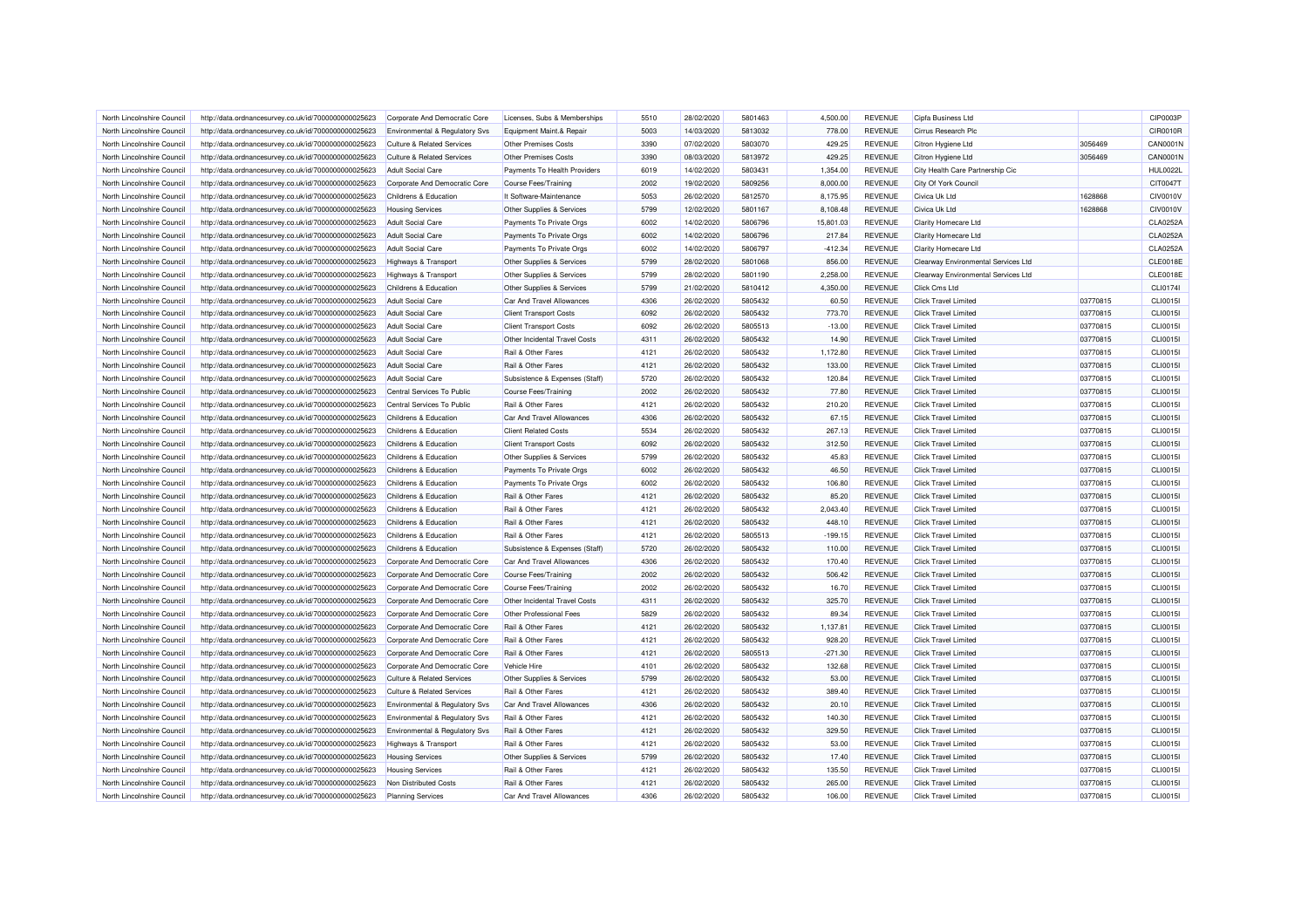| North Lincolnshire Council                               | http://data.ordnancesurvey.co.uk/id/7000000000025623                                                         | Corporate And Democratic Core                        | Licenses. Subs & Memberships                         | 5510         | 28/02/2020               | 5801463            | 4.500.00           | <b>REVENUE</b>                   | Cipfa Business Ltd                                         |                      | CIP0003P                    |
|----------------------------------------------------------|--------------------------------------------------------------------------------------------------------------|------------------------------------------------------|------------------------------------------------------|--------------|--------------------------|--------------------|--------------------|----------------------------------|------------------------------------------------------------|----------------------|-----------------------------|
| North Lincolnshire Council                               | http://data.ordnancesurvey.co.uk/id/7000000000025623                                                         | <b>Environmental &amp; Regulatory Svs</b>            | Equipment Maint.& Repair                             | 5003         | 14/03/2020               | 5813032            | 778.00             | <b>REVENUE</b>                   | Cirrus Research Plc                                        |                      | CIR0010R                    |
| North Lincolnshire Council                               | http://data.ordnancesurvey.co.uk/id/7000000000025623                                                         | <b>Culture &amp; Related Services</b>                | <b>Other Premises Costs</b>                          | 3390         | 07/02/2020               | 5803070            | 429.25             | <b>REVENUE</b>                   | Citron Hygiene Ltd                                         | 3056469              | CAN0001N                    |
| North Lincolnshire Council                               | http://data.ordnancesurvey.co.uk/id/7000000000025623                                                         | <b>Culture &amp; Related Services</b>                | Other Premises Costs                                 | 3390         | 08/03/2020               | 5813972            | 429.25             | <b>REVENUE</b>                   | Citron Hygiene Ltd                                         | 3056469              | CAN0001N                    |
| North Lincolnshire Council                               | http://data.ordnancesurvey.co.uk/id/7000000000025623                                                         | <b>Adult Social Care</b>                             | Payments To Health Providers                         | 6019         | 14/02/2020               | 5803431            | 1,354.00           | <b>REVENUE</b>                   | City Health Care Partnership Cic                           |                      | <b>HUL0022L</b>             |
| North Lincolnshire Council                               | http://data.ordnancesurvey.co.uk/id/7000000000025623                                                         | Corporate And Democratic Core                        | <b>Course Fees/Training</b>                          | 2002         | 19/02/2020               | 5809256            | 8,000.00           | <b>REVENUE</b>                   | City Of York Council                                       |                      | CIT0047T                    |
| North Lincolnshire Council                               | http://data.ordnancesurvey.co.uk/id/7000000000025623                                                         | Childrens & Education                                | It Software-Maintenance                              | 5053         | 26/02/2020               | 5812570            | 8.175.95           | <b>REVENUE</b>                   | Civica Uk Ltd                                              | 1628868              | <b>CIV0010V</b>             |
| North Lincolnshire Council                               | http://data.ordnancesurvey.co.uk/id/7000000000025623                                                         | <b>Housing Services</b>                              | Other Supplies & Services                            | 5799         | 12/02/2020               | 5801167            | 8,108.48           | <b>REVENUE</b>                   | Civica Uk Ltd                                              | 1628868              | <b>CIV0010V</b>             |
| North Lincolnshire Council                               | http://data.ordnancesurvey.co.uk/id/7000000000025623                                                         | <b>Adult Social Care</b>                             | Payments To Private Orgs                             | 6002         | 14/02/2020               | 5806796            | 15,801.03          | <b>REVENUE</b>                   | Clarity Homecare Ltd                                       |                      | <b>CLA0252A</b>             |
| North Lincolnshire Council                               | http://data.ordnancesurvey.co.uk/id/7000000000025623                                                         | <b>Adult Social Care</b>                             | Payments To Private Orgs                             | 6002         | 14/02/2020               | 5806796            | 217.84             | <b>REVENUE</b>                   | <b>Clarity Homecare Ltd</b>                                |                      | <b>CLA0252A</b>             |
| North Lincolnshire Council                               | http://data.ordnancesurvey.co.uk/id/7000000000025623                                                         | <b>Adult Social Care</b>                             | Payments To Private Orgs                             | 6002         | 14/02/2020               | 5806797            | $-412.34$          | <b>REVENUE</b>                   | Clarity Homecare Ltd                                       |                      | <b>CLA0252A</b>             |
| North Lincolnshire Council                               | http://data.ordnancesurvey.co.uk/id/7000000000025623                                                         | Highways & Transport                                 | Other Supplies & Services                            | 5799         | 28/02/2020               | 5801068            | 856.00             | <b>REVENUE</b>                   | Clearway Environmental Services Ltd                        |                      | <b>CLE0018E</b>             |
| North Lincolnshire Council                               | http://data.ordnancesurvey.co.uk/id/7000000000025623                                                         | Highways & Transport                                 | Other Supplies & Services                            | 5799         | 28/02/2020               | 5801190            | 2,258.00           | <b>REVENUE</b>                   | Clearway Environmental Services Ltd                        |                      | <b>CLE0018E</b>             |
| North Lincolnshire Council                               | http://data.ordnancesurvey.co.uk/id/7000000000025623                                                         | Childrens & Education                                | Other Supplies & Services                            | 5799         | 21/02/2020               | 5810412            | 4,350.00           | <b>REVENUE</b>                   | Click Cms Ltd                                              |                      | CLI0174                     |
| North Lincolnshire Council                               | http://data.ordnancesurvey.co.uk/id/7000000000025623                                                         | Adult Social Care                                    | Car And Travel Allowances                            | 4306         | 26/02/2020               | 5805432            | 60.50              | <b>REVENUE</b>                   | <b>Click Travel Limited</b>                                | 03770815             | CLI0015I                    |
| North Lincolnshire Council                               | http://data.ordnancesurvey.co.uk/id/7000000000025623                                                         | <b>Adult Social Care</b>                             | <b>Client Transport Costs</b>                        | 6092         | 26/02/2020               | 5805432            | 773.70             | <b>REVENUE</b>                   | <b>Click Travel Limited</b>                                | 03770815             | CLI0015I                    |
| North Lincolnshire Council                               | http://data.ordnancesurvey.co.uk/id/7000000000025623                                                         | <b>Adult Social Care</b>                             | <b>Client Transport Costs</b>                        | 6092         | 26/02/2020               | 5805513            | $-13.00$           | <b>REVENUE</b>                   | <b>Click Travel Limited</b>                                | 03770815             | CLI0015I                    |
| North Lincolnshire Council                               | http://data.ordnancesurvey.co.uk/id/7000000000025623                                                         | <b>Adult Social Care</b>                             | Other Incidental Travel Costs                        | 4311         | 26/02/2020               | 5805432            | 14.90              | <b>REVENUE</b>                   | <b>Click Travel Limited</b>                                | 03770815             | CLI0015I                    |
|                                                          |                                                                                                              |                                                      |                                                      |              |                          |                    |                    |                                  |                                                            |                      |                             |
| North Lincolnshire Council<br>North Lincolnshire Council | http://data.ordnancesurvey.co.uk/id/7000000000025623                                                         | <b>Adult Social Care</b>                             | Rail & Other Fares                                   | 4121<br>4121 | 26/02/2020<br>26/02/2020 | 5805432<br>5805432 | 1,172.80<br>133.00 | <b>REVENUE</b><br><b>REVENUE</b> | <b>Click Travel Limited</b><br><b>Click Travel Limited</b> | 03770815<br>03770815 | <b>CLI0015I</b><br>CLI0015I |
| North Lincolnshire Council                               | http://data.ordnancesurvey.co.uk/id/7000000000025623<br>http://data.ordnancesurvey.co.uk/id/7000000000025623 | <b>Adult Social Care</b><br><b>Adult Social Care</b> | Rail & Other Fares<br>Subsistence & Expenses (Staff) | 5720         | 26/02/2020               | 5805432            | 120.84             | <b>REVENUE</b>                   | <b>Click Travel Limited</b>                                | 03770815             | CLI0015I                    |
|                                                          |                                                                                                              |                                                      |                                                      |              |                          |                    |                    |                                  |                                                            |                      |                             |
| North Lincolnshire Council                               | http://data.ordnancesurvey.co.uk/id/7000000000025623                                                         | Central Services To Public                           | Course Fees/Training                                 | 2002         | 26/02/2020               | 5805432            | 77.80              | <b>REVENUE</b>                   | <b>Click Travel Limited</b>                                | 03770815             | CLI0015I                    |
| North Lincolnshire Council                               | http://data.ordnancesurvey.co.uk/id/7000000000025623                                                         | Central Services To Public                           | Rail & Other Fares                                   | 4121         | 26/02/2020               | 5805432            | 210.20             | <b>REVENUE</b>                   | <b>Click Travel Limited</b>                                | 03770815             | CLI0015I                    |
| North Lincolnshire Council                               | http://data.ordnancesurvey.co.uk/id/7000000000025623                                                         | Childrens & Education                                | Car And Travel Allowances                            | 4306         | 26/02/2020               | 5805432            | 67.15              | <b>REVENUE</b>                   | <b>Click Travel Limited</b>                                | 03770815             | CLI0015I                    |
| North Lincolnshire Council                               | http://data.ordnancesurvey.co.uk/id/7000000000025623                                                         | Childrens & Education                                | <b>Client Related Costs</b>                          | 5534         | 26/02/2020               | 5805432            | 267.13             | <b>REVENUE</b>                   | <b>Click Travel Limited</b>                                | 03770815             | CLI0015I                    |
| North Lincolnshire Council                               | http://data.ordnancesurvey.co.uk/id/7000000000025623                                                         | Childrens & Education                                | <b>Client Transport Costs</b>                        | 6092         | 26/02/2020               | 5805432            | 312.50             | <b>REVENUE</b>                   | <b>Click Travel Limited</b>                                | 03770815             | CLI0015I                    |
| North Lincolnshire Council                               | http://data.ordnancesurvey.co.uk/id/7000000000025623                                                         | Childrens & Education                                | Other Supplies & Services                            | 5799         | 26/02/2020               | 5805432            | 45.83              | <b>REVENUE</b>                   | <b>Click Travel Limited</b>                                | 03770815             | CLI0015I                    |
| North Lincolnshire Council                               | http://data.ordnancesurvey.co.uk/id/7000000000025623                                                         | Childrens & Education                                | Payments To Private Orgs                             | 6002         | 26/02/2020               | 5805432            | 46.50              | <b>REVENUE</b>                   | <b>Click Travel Limited</b>                                | 03770815             | CLI0015I                    |
| North Lincolnshire Council                               | http://data.ordnancesurvey.co.uk/id/7000000000025623                                                         | Childrens & Education                                | Payments To Private Orgs                             | 6002         | 26/02/2020               | 5805432            | 106.80             | <b>REVENUE</b>                   | <b>Click Travel Limited</b>                                | 03770815             | CLI0015I                    |
| North Lincolnshire Council                               | http://data.ordnancesurvey.co.uk/id/7000000000025623                                                         | Childrens & Education                                | Rail & Other Fares                                   | 4121         | 26/02/2020               | 5805432            | 85.20              | <b>REVENUE</b>                   | <b>Click Travel Limited</b>                                | 03770815             | CLI0015I                    |
| North Lincolnshire Council                               | http://data.ordnancesurvey.co.uk/id/7000000000025623                                                         | Childrens & Education                                | Rail & Other Fares                                   | 4121         | 26/02/2020               | 5805432            | 2,043.40           | <b>REVENUE</b>                   | <b>Click Travel Limited</b>                                | 03770815             | CLI0015I                    |
| North Lincolnshire Council                               | http://data.ordnancesurvey.co.uk/id/7000000000025623                                                         | Childrens & Education                                | Rail & Other Fares                                   | 4121         | 26/02/2020               | 5805432            | 448.10             | <b>REVENUE</b>                   | <b>Click Travel Limited</b>                                | 03770815             | <b>CLI0015I</b>             |
| North Lincolnshire Council                               | http://data.ordnancesurvey.co.uk/id/7000000000025623                                                         | Childrens & Education                                | Rail & Other Fares                                   | 4121         | 26/02/2020               | 5805513            | $-199.15$          | <b>REVENUE</b>                   | <b>Click Travel Limited</b>                                | 03770815             | <b>CLI0015I</b>             |
| North Lincolnshire Council                               | http://data.ordnancesurvey.co.uk/id/7000000000025623                                                         | Childrens & Education                                | Subsistence & Expenses (Staff)                       | 5720         | 26/02/2020               | 5805432            | 110.00             | <b>REVENUE</b>                   | <b>Click Travel Limited</b>                                | 03770815             | <b>CLI0015I</b>             |
| North Lincolnshire Council                               | http://data.ordnancesurvey.co.uk/id/7000000000025623                                                         | Corporate And Democratic Core                        | Car And Travel Allowances                            | 4306         | 26/02/2020               | 5805432            | 170.40             | <b>REVENUE</b>                   | <b>Click Travel Limited</b>                                | 03770815             | CLI0015I                    |
| North Lincolnshire Council                               | http://data.ordnancesurvey.co.uk/id/7000000000025623                                                         | Corporate And Democratic Core                        | Course Fees/Training                                 | 2002         | 26/02/2020               | 5805432            | 506.42             | <b>REVENUE</b>                   | <b>Click Travel Limited</b>                                | 03770815             | CLI0015I                    |
| North Lincolnshire Council                               | http://data.ordnancesurvey.co.uk/id/7000000000025623                                                         | Corporate And Democratic Core                        | Course Fees/Training                                 | 2002         | 26/02/2020               | 5805432            | 16.70              | <b>REVENUE</b>                   | <b>Click Travel Limited</b>                                | 03770815             | CLI0015I                    |
| North Lincolnshire Council                               | http://data.ordnancesurvey.co.uk/id/7000000000025623                                                         | Corporate And Democratic Core                        | Other Incidental Travel Costs                        | 4311         | 26/02/2020               | 5805432            | 325.70             | <b>REVENUE</b>                   | <b>Click Travel Limited</b>                                | 03770815             | <b>CLI0015I</b>             |
| North Lincolnshire Council                               | http://data.ordnancesurvey.co.uk/id/7000000000025623                                                         | Corporate And Democratic Core                        | Other Professional Fees                              | 5829         | 26/02/2020               | 5805432            | 89.34              | <b>REVENUE</b>                   | <b>Click Travel Limited</b>                                | 03770815             | <b>CLI0015I</b>             |
| North Lincolnshire Council                               | http://data.ordnancesurvey.co.uk/id/7000000000025623                                                         | Corporate And Democratic Core                        | Rail & Other Fares                                   | 4121         | 26/02/2020               | 5805432            | 1.137.81           | <b>REVENUE</b>                   | <b>Click Travel Limited</b>                                | 03770815             | CLI0015I                    |
| North Lincolnshire Council                               | http://data.ordnancesurvey.co.uk/id/7000000000025623                                                         | Corporate And Democratic Core                        | Rail & Other Fares                                   | 4121         | 26/02/2020               | 5805432            | 928.20             | <b>REVENUE</b>                   | <b>Click Travel Limited</b>                                | 03770815             | <b>CLI0015I</b>             |
| North Lincolnshire Council                               | http://data.ordnancesurvey.co.uk/id/7000000000025623                                                         | Corporate And Democratic Core                        | Rail & Other Fares                                   | 4121         | 26/02/2020               | 5805513            | $-271.30$          | <b>REVENUE</b>                   | <b>Click Travel Limited</b>                                | 03770815             | CLI0015I                    |
| North Lincolnshire Council                               | http://data.ordnancesurvey.co.uk/id/7000000000025623                                                         | Corporate And Democratic Core                        | Vehicle Hire                                         | 4101         | 26/02/2020               | 5805432            | 132.68             | <b>REVENUE</b>                   | <b>Click Travel Limited</b>                                | 03770815             | CLI0015I                    |
| North Lincolnshire Council                               | http://data.ordnancesurvey.co.uk/id/7000000000025623                                                         | <b>Culture &amp; Related Services</b>                | Other Supplies & Services                            | 5799         | 26/02/2020               | 5805432            | 53.00              | <b>REVENUE</b>                   | <b>Click Travel Limited</b>                                | 03770815             | CLI0015I                    |
| North Lincolnshire Council                               | http://data.ordnancesurvey.co.uk/id/7000000000025623                                                         | <b>Culture &amp; Related Services</b>                | Rail & Other Fares                                   | 4121         | 26/02/2020               | 5805432            | 389.40             | <b>REVENUE</b>                   | <b>Click Travel Limited</b>                                | 03770815             | CLI0015I                    |
| North Lincolnshire Council                               | http://data.ordnancesurvey.co.uk/id/7000000000025623                                                         | Environmental & Regulatory Svs                       | Car And Travel Allowances                            | 4306         | 26/02/2020               | 5805432            | 20.10              | <b>REVENUE</b>                   | <b>Click Travel Limited</b>                                | 03770815             | CLI0015I                    |
| North Lincolnshire Council                               | http://data.ordnancesurvey.co.uk/id/7000000000025623                                                         | <b>Environmental &amp; Regulatory Svs</b>            | Rail & Other Fares                                   | 4121         | 26/02/2020               | 5805432            | 140.30             | <b>REVENUE</b>                   | <b>Click Travel Limited</b>                                | 03770815             | <b>CLI0015I</b>             |
| North Lincolnshire Council                               | http://data.ordnancesurvey.co.uk/id/7000000000025623                                                         | <b>Environmental &amp; Regulatory Svs</b>            | Rail & Other Fares                                   | 4121         | 26/02/2020               | 5805432            | 329.50             | <b>REVENUE</b>                   | <b>Click Travel Limited</b>                                | 03770815             | CLI0015I                    |
| North Lincolnshire Council                               | http://data.ordnancesurvey.co.uk/id/7000000000025623                                                         | Highways & Transport                                 | Rail & Other Fares                                   | 4121         | 26/02/2020               | 5805432            | 53.00              | <b>REVENUE</b>                   | <b>Click Travel Limited</b>                                | 03770815             | CLI0015I                    |
| North Lincolnshire Council                               | http://data.ordnancesurvey.co.uk/id/7000000000025623                                                         | <b>Housing Services</b>                              | Other Supplies & Services                            | 5799         | 26/02/2020               | 5805432            | 17.40              | <b>REVENUE</b>                   | <b>Click Travel Limited</b>                                | 03770815             | CLI0015I                    |
| North Lincolnshire Council                               | http://data.ordnancesurvey.co.uk/id/7000000000025623                                                         | <b>Housing Services</b>                              | Rail & Other Fares                                   | 4121         | 26/02/2020               | 5805432            | 135.50             | <b>REVENUE</b>                   | <b>Click Travel Limited</b>                                | 03770815             | CLI0015I                    |
| North Lincolnshire Council                               | http://data.ordnancesurvey.co.uk/id/7000000000025623                                                         | Non Distributed Costs                                | Rail & Other Fares                                   | 4121         | 26/02/2020               | 5805432            | 265.00             | <b>REVENUE</b>                   | <b>Click Travel Limited</b>                                | 03770815             | CLI0015I                    |
| North Lincolnshire Council                               | http://data.ordnancesurvey.co.uk/id/7000000000025623                                                         | <b>Planning Services</b>                             | Car And Travel Allowances                            | 4306         | 26/02/2020               | 5805432            | 106.00             | <b>REVENUE</b>                   | Click Travel Limited                                       | 03770815             | CLI0015I                    |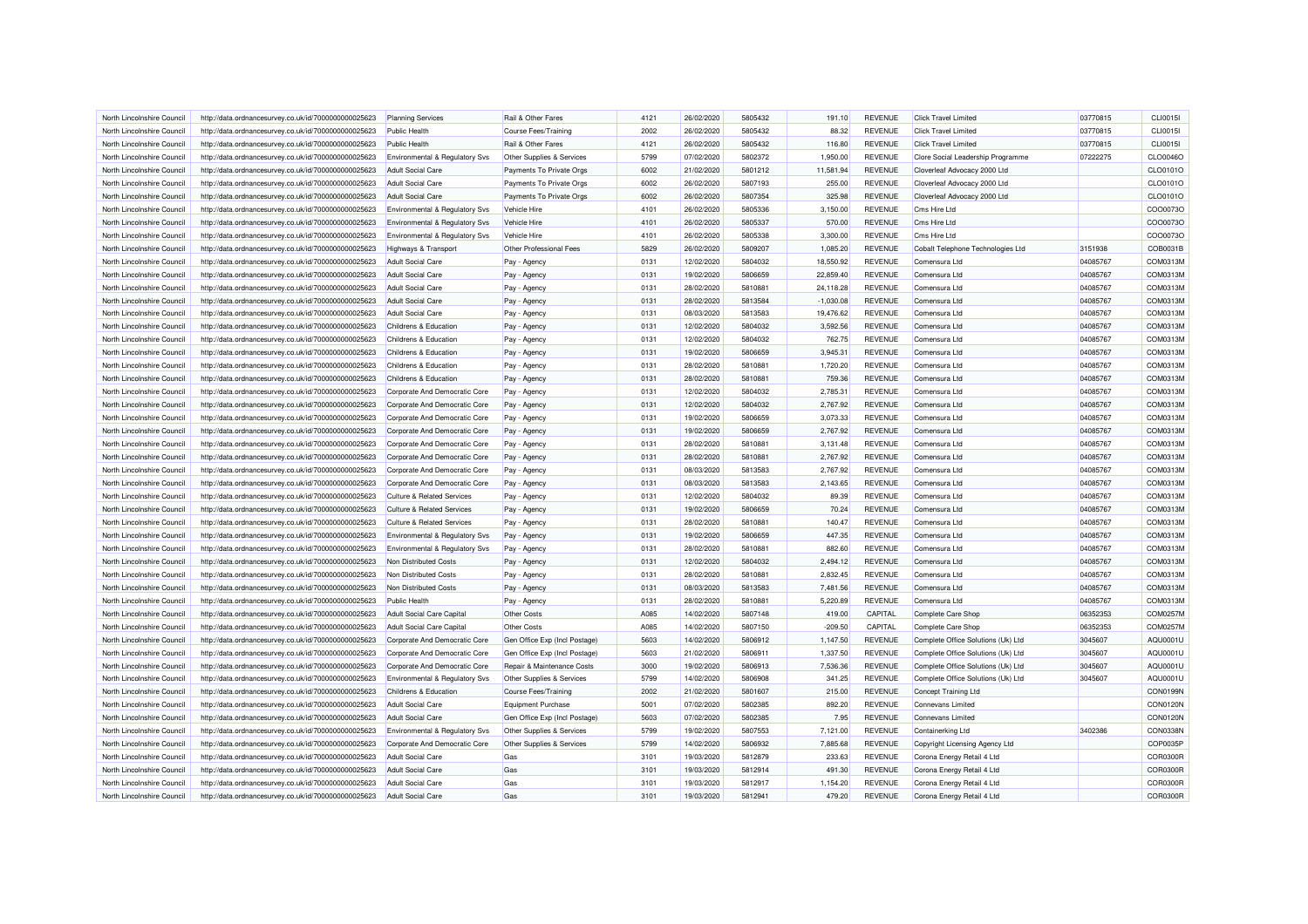| North Lincolnshire Council                               | http://data.ordnancesurvey.co.uk/id/7000000000025623 | <b>Planning Services</b>                  | Rail & Other Fares            | 4121         | 26/02/2020               | 5805432            | 191.10               | <b>REVENUE</b> | <b>Click Travel Limited</b>        | 03770815             | CLI0015I        |
|----------------------------------------------------------|------------------------------------------------------|-------------------------------------------|-------------------------------|--------------|--------------------------|--------------------|----------------------|----------------|------------------------------------|----------------------|-----------------|
| North Lincolnshire Council                               | http://data.ordnancesurvey.co.uk/id/7000000000025623 | <b>Public Health</b>                      | Course Fees/Training          | 2002         | 26/02/2020               | 5805432            | 88.32                | <b>REVENUE</b> | <b>Click Travel Limited</b>        | 03770815             | CLI0015I        |
| North Lincolnshire Council                               | http://data.ordnancesurvey.co.uk/id/7000000000025623 | <b>Public Health</b>                      | Rail & Other Fares            | 4121         | 26/02/2020               | 5805432            | 116.80               | <b>REVENUE</b> | <b>Click Travel Limited</b>        | 03770815             | CLI0015I        |
| North Lincolnshire Council                               | http://data.ordnancesurvey.co.uk/id/7000000000025623 | Environmental & Regulatory Svs            | Other Supplies & Services     | 5799         | 07/02/2020               | 5802372            | 1,950.00             | <b>REVENUE</b> | Clore Social Leadership Programme  | 07222275             | CLO0046O        |
| North Lincolnshire Council                               | http://data.ordnancesurvey.co.uk/id/7000000000025623 | <b>Adult Social Care</b>                  | Payments To Private Orgs      | 6002         | 21/02/2020               | 5801212            | 11,581.94            | <b>REVENUE</b> | Cloverleaf Advocacy 2000 Ltd       |                      | CLO0101O        |
| North Lincolnshire Council                               | http://data.ordnancesurvey.co.uk/id/7000000000025623 | <b>Adult Social Care</b>                  | Payments To Private Orgs      | 6002         | 26/02/2020               | 5807193            | 255.00               | <b>REVENUE</b> | Cloverleaf Advocacy 2000 Ltd       |                      | CLO0101O        |
| North Lincolnshire Council                               | http://data.ordnancesurvey.co.uk/id/7000000000025623 | <b>Adult Social Care</b>                  | Payments To Private Orgs      | 6002         | 26/02/2020               | 5807354            | 325.98               | <b>REVENUE</b> | Cloverleaf Advocacy 2000 Ltd       |                      | CLO0101O        |
| North Lincolnshire Council                               | http://data.ordnancesurvey.co.uk/id/7000000000025623 | <b>Environmental &amp; Regulatory Svs</b> | Vehicle Hire                  | 4101         | 26/02/2020               | 5805336            | 3,150.00             | <b>REVENUE</b> | Cms Hire Ltd                       |                      | COO0073O        |
| North Lincolnshire Council                               | http://data.ordnancesurvey.co.uk/id/7000000000025623 | <b>Environmental &amp; Regulatory Svs</b> | Vehicle Hire                  | 4101         | 26/02/2020               | 5805337            | 570.00               | <b>REVENUE</b> | Cms Hire Ltd                       |                      | COO0073O        |
| North Lincolnshire Council                               | http://data.ordnancesurvey.co.uk/id/7000000000025623 | Environmental & Regulatory Svs            | Vehicle Hire                  | 4101         | 26/02/2020               | 5805338            | 3,300.00             | <b>REVENUE</b> | Cms Hire Ltd                       |                      | COO0073O        |
| North Lincolnshire Council                               | http://data.ordnancesurvey.co.uk/id/7000000000025623 | <b>Highways &amp; Transport</b>           | Other Professional Fees       | 5829         | 26/02/2020               | 5809207            | 1,085.20             | <b>REVENUE</b> | Cobalt Telephone Technologies Ltd  | 3151938              | COB0031B        |
| North Lincolnshire Council                               | http://data.ordnancesurvey.co.uk/id/7000000000025623 | <b>Adult Social Care</b>                  | Pay - Agency                  | 0131         | 12/02/2020               | 5804032            | 18,550.92            | <b>REVENUE</b> | Comensura I td                     | 04085767             | COM0313M        |
| North Lincolnshire Council                               | http://data.ordnancesurvey.co.uk/id/7000000000025623 | <b>Adult Social Care</b>                  | Pay - Agency                  | 0131         | 19/02/2020               | 5806659            | 22,859.40            | <b>REVENUE</b> | Comensura Ltd                      | 04085767             | COM0313M        |
| North Lincolnshire Council                               | http://data.ordnancesurvey.co.uk/id/7000000000025623 | <b>Adult Social Care</b>                  | Pay - Agency                  | 0131         | 28/02/2020               | 581088             | 24,118.28            | <b>REVENUE</b> | Comensura Ltd                      | 04085767             | COM0313M        |
| North Lincolnshire Council                               | http://data.ordnancesurvey.co.uk/id/7000000000025623 | <b>Adult Social Care</b>                  | Pay - Agency                  | 0131         | 28/02/2020               | 5813584            | $-1,030.08$          | <b>REVENUE</b> | Comensura Ltd                      | 04085767             | COM0313M        |
| North Lincolnshire Council                               | http://data.ordnancesurvey.co.uk/id/7000000000025623 | <b>Adult Social Care</b>                  | Pay - Agency                  | 0131         | 08/03/2020               | 5813583            | 19,476.62            | <b>REVENUE</b> | Comensura Ltd                      | 04085767             | COM0313M        |
| North Lincolnshire Council                               | http://data.ordnancesurvey.co.uk/id/7000000000025623 | Childrens & Education                     | Pay - Agency                  | 0131         | 12/02/2020               | 5804032            | 3,592.56             | <b>REVENUE</b> | Comensura Ltd                      | 04085767             | COM0313M        |
| North Lincolnshire Council                               | http://data.ordnancesurvey.co.uk/id/7000000000025623 | Childrens & Education                     | Pay - Agency                  | 0131         | 12/02/2020               | 5804032            | 762.75               | <b>REVENUE</b> | Comensura I td                     | 04085767             | COM0313M        |
| North Lincolnshire Council                               | http://data.ordnancesurvey.co.uk/id/7000000000025623 | Childrens & Education                     | Pay - Agency                  | 0131         | 19/02/2020               | 5806659            | 3,945.31             | <b>REVENUE</b> | Comensura Ltd                      | 04085767             | COM0313M        |
| North Lincolnshire Council                               | http://data.ordnancesurvey.co.uk/id/7000000000025623 | Childrens & Education                     | Pay - Agency                  | 0131         | 28/02/2020               | 5810881            | 1,720.20             | <b>REVENUE</b> | Comensura Ltd                      | 04085767             | COM0313M        |
| North Lincolnshire Council                               | http://data.ordnancesurvey.co.uk/id/7000000000025623 | Childrens & Education                     | Pay - Agency                  | 0131         | 28/02/2020               | 5810881            | 759.36               | <b>REVENUE</b> | Comensura Ltd                      | 04085767             | COM0313M        |
| North Lincolnshire Council                               | http://data.ordnancesurvey.co.uk/id/7000000000025623 | Corporate And Democratic Core             | Pay - Agency                  | 0131         | 12/02/2020               | 5804032            | 2,785.31             | <b>REVENUE</b> | Comensura Ltd                      | 04085767             | COM0313M        |
| North Lincolnshire Council                               | http://data.ordnancesurvey.co.uk/id/7000000000025623 | Corporate And Democratic Core             | Pay - Agency                  | 0131         | 12/02/2020               | 5804032            | 2.767.92             | <b>REVENUE</b> | Comensura Ltd                      | 04085767             | COM0313M        |
| North Lincolnshire Council                               | http://data.ordnancesurvey.co.uk/id/7000000000025623 | Corporate And Democratic Core             | Pay - Agency                  | 0131         | 19/02/2020               | 5806659            | 3,073.33             | <b>REVENUE</b> | Comensura Ltd                      | 04085767             | COM0313M        |
| North Lincolnshire Council                               | http://data.ordnancesurvey.co.uk/id/7000000000025623 | Corporate And Democratic Core             | Pay - Agency                  | 0131         | 19/02/2020               | 5806659            | 2,767.92             | <b>REVENUE</b> | Comensura Ltd                      | 04085767             | COM0313M        |
| North Lincolnshire Council                               | http://data.ordnancesurvey.co.uk/id/7000000000025623 | Corporate And Democratic Core             |                               | 0131         | 28/02/2020               | 581088             | 3,131.48             | <b>REVENUE</b> | Comensura Ltd                      | 04085767             | COM0313M        |
|                                                          |                                                      |                                           | Pay - Agency                  |              |                          |                    |                      | <b>REVENUE</b> |                                    |                      | COM0313M        |
| North Lincolnshire Council<br>North Lincolnshire Council | http://data.ordnancesurvey.co.uk/id/7000000000025623 | Corporate And Democratic Core             | Pay - Agency                  | 0131<br>0131 | 28/02/2020<br>08/03/2020 | 5810881<br>5813583 | 2,767.92<br>2,767.92 | <b>REVENUE</b> | Comensura Ltd<br>Comensura I td    | 04085767<br>04085767 | COM0313M        |
|                                                          | http://data.ordnancesurvey.co.uk/id/7000000000025623 | Corporate And Democratic Core             | Pay - Agency                  |              |                          |                    |                      |                |                                    |                      |                 |
| North Lincolnshire Council                               | http://data.ordnancesurvey.co.uk/id/7000000000025623 | Corporate And Democratic Core             | Pay - Agency                  | 0131         | 08/03/2020               | 5813583            | 2,143.65             | <b>REVENUE</b> | Comensura Ltd                      | 04085767             | COM0313M        |
| North Lincolnshire Council                               | http://data.ordnancesurvey.co.uk/id/7000000000025623 | Culture & Related Services                | Pay - Agency                  | 0131         | 12/02/2020               | 5804032            | 89.39                | <b>REVENUE</b> | Comensura Ltd                      | 04085767             | COM0313M        |
| North Lincolnshire Council                               | http://data.ordnancesurvey.co.uk/id/7000000000025623 | Culture & Related Services                | Pay - Agency                  | 0131         | 19/02/2020               | 5806659            | 70.24                | <b>REVENUE</b> | Comensura Ltd                      | 04085767             | COM0313M        |
| North Lincolnshire Council                               | http://data.ordnancesurvey.co.uk/id/7000000000025623 | <b>Culture &amp; Related Services</b>     | Pay - Agency                  | 0131         | 28/02/2020               | 5810881            | 140.47               | <b>REVENUE</b> | Comensura Ltd                      | 04085767             | COM0313M        |
| North Lincolnshire Council                               | http://data.ordnancesurvey.co.uk/id/7000000000025623 | Environmental & Regulatory Svs            | Pay - Agency                  | 0131         | 19/02/2020               | 5806659            | 447.35               | <b>REVENUE</b> | Comensura Ltd                      | 04085767             | COM0313M        |
| North Lincolnshire Council                               | http://data.ordnancesurvey.co.uk/id/7000000000025623 | Environmental & Regulatory Svs            | Pay - Agency                  | 0131         | 28/02/2020               | 5810881            | 882.60               | <b>REVENUE</b> | Comensura Ltd                      | 04085767             | COM0313M        |
| North Lincolnshire Council                               | http://data.ordnancesurvey.co.uk/id/7000000000025623 | Non Distributed Costs                     | Pay - Agency                  | 0131         | 12/02/2020               | 5804032            | 2,494.12             | <b>REVENUE</b> | Comensura Ltd                      | 04085767             | COM0313M        |
| North Lincolnshire Council                               | http://data.ordnancesurvey.co.uk/id/7000000000025623 | Non Distributed Costs                     | Pay - Agency                  | 0131         | 28/02/2020               | 581088             | 2,832.45             | <b>REVENUE</b> | Comensura Ltd                      | 04085767             | COM0313M        |
| North Lincolnshire Council                               | http://data.ordnancesurvey.co.uk/id/7000000000025623 | Non Distributed Costs                     | Pay - Agency                  | 0131         | 08/03/2020               | 5813583            | 7,481.56             | <b>REVENUE</b> | Comensura Ltd                      | 04085767             | COM0313M        |
| North Lincolnshire Council                               | http://data.ordnancesurvey.co.uk/id/7000000000025623 | <b>Public Health</b>                      | Pay - Agency                  | 0131         | 28/02/2020               | 581088             | 5,220.89             | <b>REVENUE</b> | Comensura Ltd                      | 04085767             | COM0313M        |
| North Lincolnshire Council                               | http://data.ordnancesurvey.co.uk/id/7000000000025623 | <b>Adult Social Care Capital</b>          | Other Costs                   | A085         | 14/02/2020               | 5807148            | 419.00               | CAPITAL        | Complete Care Shop                 | 06352353             | COM0257M        |
| North Lincolnshire Council                               | http://data.ordnancesurvey.co.uk/id/7000000000025623 | <b>Adult Social Care Capital</b>          | Other Costs                   | A085         | 14/02/2020               | 5807150            | $-209.50$            | CAPITAL        | Complete Care Shop                 | 06352353             | COM0257M        |
| North Lincolnshire Council                               | http://data.ordnancesurvey.co.uk/id/7000000000025623 | Corporate And Democratic Core             | Gen Office Exp (Incl Postage) | 5603         | 14/02/2020               | 5806912            | 1,147.50             | <b>REVENUE</b> | Complete Office Solutions (Uk) Ltd | 3045607              | AQU0001U        |
| North Lincolnshire Council                               | http://data.ordnancesurvey.co.uk/id/7000000000025623 | Corporate And Democratic Core             | Gen Office Exp (Incl Postage) | 5603         | 21/02/2020               | 580691             | 1,337.50             | <b>REVENUE</b> | Complete Office Solutions (Uk) Ltd | 3045607              | AQU0001U        |
| North Lincolnshire Council                               | http://data.ordnancesurvey.co.uk/id/7000000000025623 | Corporate And Democratic Core             | Repair & Maintenance Costs    | 3000         | 19/02/2020               | 5806913            | 7,536.36             | <b>REVENUE</b> | Complete Office Solutions (Uk) Ltd | 3045607              | AQU0001U        |
| North Lincolnshire Council                               | http://data.ordnancesurvey.co.uk/id/7000000000025623 | Environmental & Regulatory Svs            | Other Supplies & Services     | 5799         | 14/02/2020               | 5806908            | 341.25               | <b>REVENUE</b> | Complete Office Solutions (Uk) Ltd | 3045607              | AQU0001U        |
| North Lincolnshire Council                               | http://data.ordnancesurvey.co.uk/id/7000000000025623 | Childrens & Education                     | Course Fees/Training          | 2002         | 21/02/2020               | 5801607            | 215.00               | <b>REVENUE</b> | Concept Training Ltd               |                      | CON0199N        |
| North Lincolnshire Council                               | http://data.ordnancesurvey.co.uk/id/7000000000025623 | <b>Adult Social Care</b>                  | Equipment Purchase            | 5001         | 07/02/2020               | 5802385            | 892.20               | <b>REVENUE</b> | <b>Connevans Limited</b>           |                      | <b>CON0120N</b> |
| North Lincolnshire Council                               | http://data.ordnancesurvey.co.uk/id/7000000000025623 | <b>Adult Social Care</b>                  | Gen Office Exp (Incl Postage) | 5603         | 07/02/2020               | 5802385            | 7.95                 | <b>REVENUE</b> | <b>Connevans Limited</b>           |                      | CON0120N        |
| North Lincolnshire Council                               | http://data.ordnancesurvey.co.uk/id/7000000000025623 | Environmental & Regulatory Svs            | Other Supplies & Services     | 5799         | 19/02/2020               | 5807553            | 7,121.00             | <b>REVENUE</b> | Containerking Ltd                  | 3402386              | CON0338N        |
| North Lincolnshire Council                               | http://data.ordnancesurvey.co.uk/id/7000000000025623 | Corporate And Democratic Core             | Other Supplies & Services     | 5799         | 14/02/2020               | 5806932            | 7,885.68             | <b>REVENUE</b> | Copyright Licensing Agency Ltd     |                      | COP0035P        |
| North Lincolnshire Council                               | http://data.ordnancesurvey.co.uk/id/7000000000025623 | <b>Adult Social Care</b>                  | Gas                           | 3101         | 19/03/2020               | 5812879            | 233.63               | <b>REVENUE</b> | Corona Energy Retail 4 Ltd         |                      | COR0300R        |
| North Lincolnshire Council                               | http://data.ordnancesurvey.co.uk/id/7000000000025623 | <b>Adult Social Care</b>                  | Gas                           | 3101         | 19/03/2020               | 5812914            | 491.30               | <b>REVENUE</b> | Corona Energy Retail 4 Ltd         |                      | COR0300R        |
| North Lincolnshire Council                               | http://data.ordnancesurvey.co.uk/id/7000000000025623 | Adult Social Care                         | Gas                           | 3101         | 19/03/2020               | 5812917            | 1,154.20             | <b>REVENUE</b> | Corona Energy Retail 4 Ltd         |                      | COR0300R        |
| North Lincolnshire Council                               | http://data.ordnancesurvey.co.uk/id/7000000000025623 | <b>Adult Social Care</b>                  | Gas                           | 3101         | 19/03/2020               | 5812941            | 479.20               | <b>REVENUE</b> | Corona Energy Retail 4 Ltd         |                      | COR0300R        |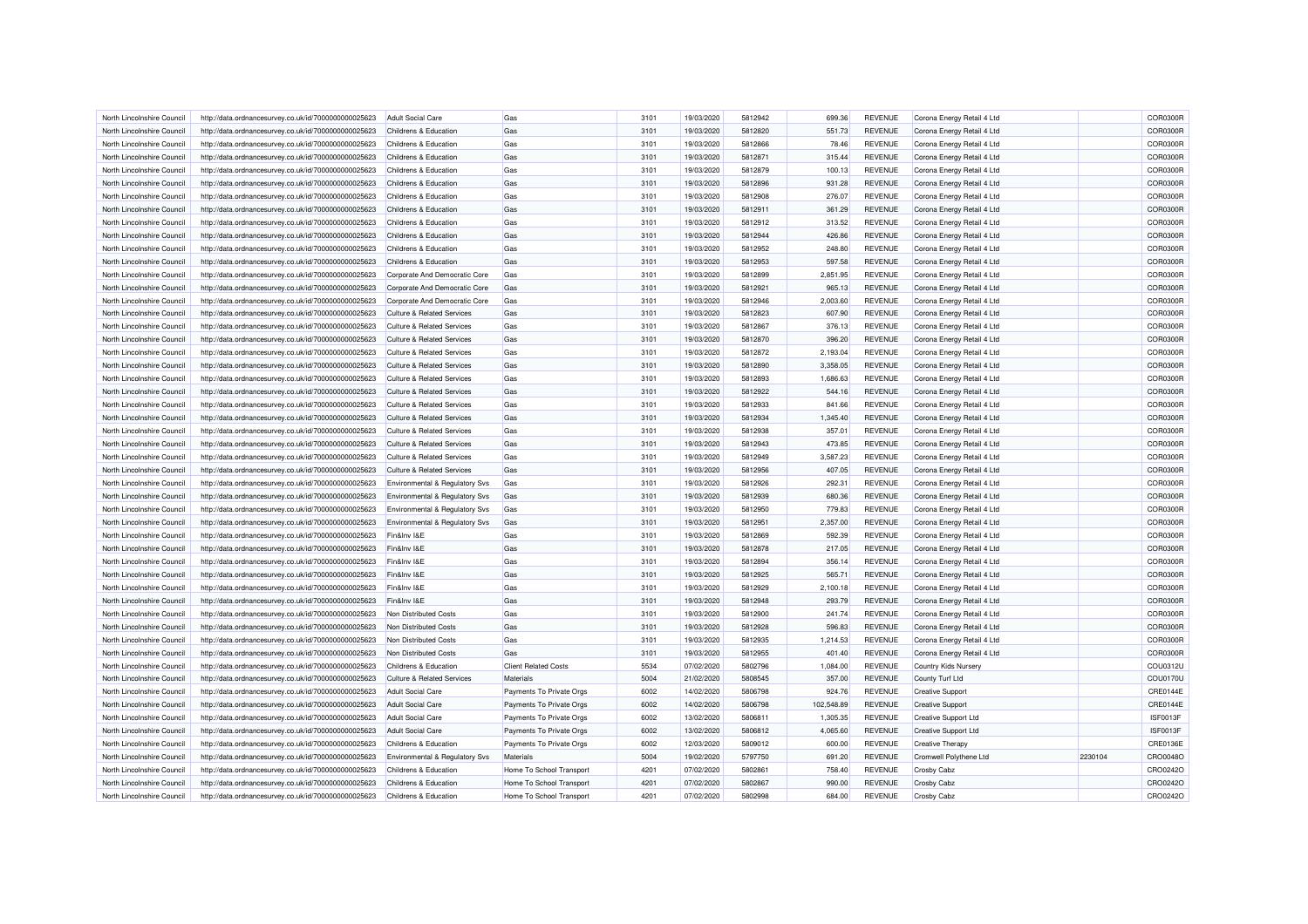| North Lincolnshire Council | http://data.ordnancesurvey.co.uk/id/7000000000025623 | Adult Social Care                         | Gas                         | 3101 | 19/03/2020 | 5812942 | 699.36     | <b>REVENUE</b> | Corona Energy Retail 4 Ltd  |         | COR0300R        |
|----------------------------|------------------------------------------------------|-------------------------------------------|-----------------------------|------|------------|---------|------------|----------------|-----------------------------|---------|-----------------|
| North Lincolnshire Council | http://data.ordnancesurvey.co.uk/id/7000000000025623 | Childrens & Education                     | Gas                         | 3101 | 19/03/2020 | 5812820 | 551.73     | <b>REVENUE</b> | Corona Energy Retail 4 Ltd  |         | COR0300R        |
| North Lincolnshire Council | http://data.ordnancesurvey.co.uk/id/7000000000025623 | Childrens & Education                     | Gas                         | 3101 | 19/03/2020 | 5812866 | 78.46      | <b>REVENUE</b> | Corona Energy Retail 4 Ltd  |         | COR0300R        |
| North Lincolnshire Council | http://data.ordnancesurvey.co.uk/id/7000000000025623 | Childrens & Education                     | Gas                         | 3101 | 19/03/2020 | 5812871 | 315.44     | <b>REVENUE</b> | Corona Energy Retail 4 Ltd  |         | COR0300R        |
| North Lincolnshire Council | http://data.ordnancesurvey.co.uk/id/7000000000025623 | Childrens & Education                     | Gas                         | 3101 | 19/03/2020 | 5812879 | 100.13     | <b>REVENUE</b> | Corona Energy Retail 4 Ltd  |         | COR0300R        |
|                            |                                                      |                                           |                             |      |            |         |            |                |                             |         | COR0300R        |
| North Lincolnshire Council | http://data.ordnancesurvey.co.uk/id/7000000000025623 | Childrens & Education                     | Gas                         | 3101 | 19/03/2020 | 5812896 | 931.28     | <b>REVENUE</b> | Corona Energy Retail 4 Ltd  |         |                 |
| North Lincolnshire Council | http://data.ordnancesurvey.co.uk/id/7000000000025623 | Childrens & Education                     | Gas                         | 3101 | 19/03/2020 | 5812908 | 276.07     | <b>REVENUE</b> | Corona Energy Retail 4 Ltd  |         | COR0300R        |
| North Lincolnshire Council | http://data.ordnancesurvey.co.uk/id/7000000000025623 | Childrens & Education                     | Gas                         | 3101 | 19/03/2020 | 5812911 | 361.29     | <b>REVENUE</b> | Corona Energy Retail 4 Ltd  |         | COR0300R        |
| North Lincolnshire Council | http://data.ordnancesurvey.co.uk/id/7000000000025623 | Childrens & Education                     | Gas                         | 3101 | 19/03/2020 | 5812912 | 313.52     | <b>REVENUE</b> | Corona Energy Retail 4 Ltd  |         | COR0300R        |
| North Lincolnshire Council | http://data.ordnancesurvey.co.uk/id/7000000000025623 | Childrens & Education                     | Gas                         | 3101 | 19/03/2020 | 5812944 | 426.86     | <b>REVENUE</b> | Corona Energy Retail 4 Ltd  |         | COR0300R        |
| North Lincolnshire Council | http://data.ordnancesurvey.co.uk/id/7000000000025623 | Childrens & Education                     | Gas                         | 3101 | 19/03/2020 | 5812952 | 248.80     | <b>REVENUE</b> | Corona Energy Retail 4 Ltd  |         | COR0300R        |
| North Lincolnshire Council | http://data.ordnancesurvey.co.uk/id/7000000000025623 | Childrens & Education                     | Gas                         | 3101 | 19/03/2020 | 5812953 | 597.58     | <b>REVENUE</b> | Corona Energy Retail 4 Ltd  |         | COR0300R        |
| North Lincolnshire Council | http://data.ordnancesurvey.co.uk/id/7000000000025623 | Corporate And Democratic Core             | Gas                         | 3101 | 19/03/2020 | 5812899 | 2,851.95   | <b>REVENUE</b> | Corona Energy Retail 4 Ltd  |         | COR0300R        |
| North Lincolnshire Council | http://data.ordnancesurvey.co.uk/id/7000000000025623 | Corporate And Democratic Core             | Gas                         | 3101 | 19/03/2020 | 5812921 | 965.13     | <b>REVENUE</b> | Corona Energy Retail 4 Ltd  |         | COR0300R        |
| North Lincolnshire Council | http://data.ordnancesurvey.co.uk/id/7000000000025623 | Corporate And Democratic Core             | Gas                         | 3101 | 19/03/2020 | 5812946 | 2,003.60   | <b>REVENUE</b> | Corona Energy Retail 4 Ltd  |         | COR0300R        |
| North Lincolnshire Council | http://data.ordnancesurvey.co.uk/id/7000000000025623 | Culture & Related Services                | Gas                         | 3101 | 19/03/2020 | 5812823 | 607.90     | <b>REVENUE</b> | Corona Energy Retail 4 Ltd  |         | COR0300R        |
| North Lincolnshire Council | http://data.ordnancesurvey.co.uk/id/7000000000025623 | Culture & Related Services                | Gas                         | 3101 | 19/03/2020 | 5812867 | 376.13     | <b>REVENUE</b> | Corona Energy Retail 4 Ltd  |         | COR0300R        |
| North Lincolnshire Council | http://data.ordnancesurvey.co.uk/id/7000000000025623 | <b>Culture &amp; Related Services</b>     | Gas                         | 3101 | 19/03/2020 | 5812870 | 396.20     | <b>REVENUE</b> | Corona Energy Retail 4 Ltd  |         | COR0300R        |
| North Lincolnshire Council | http://data.ordnancesurvey.co.uk/id/7000000000025623 | <b>Culture &amp; Related Services</b>     | Gas                         | 3101 | 19/03/2020 | 5812872 | 2,193.04   | <b>REVENUE</b> | Corona Energy Retail 4 Ltd  |         | COR0300R        |
| North Lincolnshire Council | http://data.ordnancesurvey.co.uk/id/7000000000025623 | <b>Culture &amp; Related Services</b>     | Gas                         | 3101 | 19/03/2020 | 5812890 | 3,358.05   | <b>REVENUE</b> | Corona Energy Retail 4 Ltd  |         | COR0300R        |
| North Lincolnshire Council | http://data.ordnancesurvey.co.uk/id/7000000000025623 | <b>Culture &amp; Related Services</b>     | Gas                         | 3101 | 19/03/2020 | 5812893 | 1,686.63   | <b>REVENUE</b> | Corona Energy Retail 4 Ltd  |         | COR0300R        |
|                            |                                                      | <b>Culture &amp; Related Services</b>     |                             |      |            | 5812922 |            |                |                             |         | COR0300R        |
| North Lincolnshire Council | http://data.ordnancesurvey.co.uk/id/7000000000025623 |                                           | Gas                         | 3101 | 19/03/2020 |         | 544.16     | <b>REVENUE</b> | Corona Energy Retail 4 Ltd  |         |                 |
| North Lincolnshire Council | http://data.ordnancesurvey.co.uk/id/7000000000025623 | <b>Culture &amp; Related Services</b>     | Gas                         | 3101 | 19/03/2020 | 5812933 | 841.66     | <b>REVENUE</b> | Corona Energy Retail 4 Ltd  |         | COR0300R        |
| North Lincolnshire Council | http://data.ordnancesurvey.co.uk/id/7000000000025623 | <b>Culture &amp; Related Services</b>     | Gas                         | 3101 | 19/03/2020 | 5812934 | 1,345.40   | <b>REVENUE</b> | Corona Energy Retail 4 Ltd  |         | COR0300R        |
| North Lincolnshire Council | http://data.ordnancesurvey.co.uk/id/7000000000025623 | <b>Culture &amp; Related Services</b>     | Gas                         | 3101 | 19/03/2020 | 5812938 | 357.01     | <b>REVENUE</b> | Corona Energy Retail 4 Ltd  |         | COR0300R        |
| North Lincolnshire Council | http://data.ordnancesurvey.co.uk/id/7000000000025623 | <b>Culture &amp; Related Services</b>     | Gas                         | 3101 | 19/03/2020 | 5812943 | 473.85     | <b>REVENUE</b> | Corona Energy Retail 4 Ltd  |         | COR0300R        |
| North Lincolnshire Council | http://data.ordnancesurvey.co.uk/id/7000000000025623 | Culture & Related Services                | Gas                         | 3101 | 19/03/2020 | 5812949 | 3,587.23   | <b>REVENUE</b> | Corona Energy Retail 4 Ltd  |         | COR0300R        |
| North Lincolnshire Council | http://data.ordnancesurvey.co.uk/id/7000000000025623 | <b>Culture &amp; Related Services</b>     | Gas                         | 3101 | 19/03/2020 | 5812956 | 407.05     | <b>REVENUE</b> | Corona Energy Retail 4 Ltd  |         | COR0300R        |
| North Lincolnshire Council | http://data.ordnancesurvey.co.uk/id/7000000000025623 | <b>Environmental &amp; Regulatory Svs</b> | Gas                         | 3101 | 19/03/2020 | 5812926 | 292.31     | <b>REVENUE</b> | Corona Energy Retail 4 Ltd  |         | COR0300R        |
| North Lincolnshire Council | http://data.ordnancesurvey.co.uk/id/7000000000025623 | Environmental & Regulatory Svs            | Gas                         | 3101 | 19/03/2020 | 5812939 | 680.36     | <b>REVENUE</b> | Corona Energy Retail 4 Ltd  |         | COR0300R        |
| North Lincolnshire Council | http://data.ordnancesurvey.co.uk/id/7000000000025623 | Environmental & Regulatory Svs            | Gas                         | 3101 | 19/03/2020 | 5812950 | 779.83     | <b>REVENUE</b> | Corona Energy Retail 4 Ltd  |         | COR0300R        |
| North Lincolnshire Council | http://data.ordnancesurvey.co.uk/id/7000000000025623 | Environmental & Regulatory Svs            | Gas                         | 3101 | 19/03/2020 | 5812951 | 2,357.00   | <b>REVENUE</b> | Corona Energy Retail 4 Ltd  |         | <b>COR0300R</b> |
| North Lincolnshire Council | http://data.ordnancesurvey.co.uk/id/7000000000025623 | Fin&Inv I&E                               | Gas                         | 3101 | 19/03/2020 | 5812869 | 592.39     | <b>REVENUE</b> | Corona Energy Retail 4 Ltd  |         | COR0300R        |
| North Lincolnshire Council | http://data.ordnancesurvey.co.uk/id/7000000000025623 | Fin&Inv I&E                               | Gas                         | 3101 | 19/03/2020 | 5812878 | 217.05     | <b>REVENUE</b> | Corona Energy Retail 4 Ltd  |         | COR0300R        |
| North Lincolnshire Council | http://data.ordnancesurvey.co.uk/id/7000000000025623 | Fin&Inv I&E                               | Gas                         | 3101 | 19/03/2020 | 5812894 | 356.14     | <b>REVENUE</b> | Corona Energy Retail 4 Ltd  |         | COR0300R        |
| North Lincolnshire Council | http://data.ordnancesurvey.co.uk/id/7000000000025623 | Fin&Inv I&F                               | Gas                         | 3101 | 19/03/2020 | 5812925 | 565.71     | <b>REVENUE</b> | Corona Energy Retail 4 Ltd  |         | COR0300R        |
| North Lincolnshire Council | http://data.ordnancesurvey.co.uk/id/7000000000025623 | Fin&Inv I&E                               | Gas                         | 3101 | 19/03/2020 | 5812929 | 2,100.18   | <b>REVENUE</b> | Corona Energy Retail 4 Ltd  |         | COR0300R        |
| North Lincolnshire Council | http://data.ordnancesurvey.co.uk/id/7000000000025623 | Fin&Inv I&E                               | Gas                         | 3101 | 19/03/2020 | 5812948 | 293.79     | <b>REVENUE</b> | Corona Energy Retail 4 Ltd  |         | COR0300R        |
| North Lincolnshire Council | http://data.ordnancesurvey.co.uk/id/7000000000025623 | Non Distributed Costs                     | Gas                         | 3101 | 19/03/2020 | 5812900 | 241.74     | <b>REVENUE</b> | Corona Energy Retail 4 Ltd  |         | COR0300R        |
| North Lincolnshire Council |                                                      | Non Distributed Costs                     | Gas                         | 3101 | 19/03/2020 | 5812928 | 596.83     | <b>REVENUE</b> |                             |         | COR0300R        |
|                            | http://data.ordnancesurvey.co.uk/id/7000000000025623 |                                           |                             |      |            |         |            |                | Corona Energy Retail 4 Ltd  |         |                 |
| North Lincolnshire Council | http://data.ordnancesurvey.co.uk/id/7000000000025623 | Non Distributed Costs                     | Gas                         | 3101 | 19/03/2020 | 5812935 | 1,214.53   | <b>REVENUE</b> | Corona Energy Retail 4 Ltd  |         | COR0300R        |
| North Lincolnshire Council | http://data.ordnancesurvey.co.uk/id/7000000000025623 | Non Distributed Costs                     | Gas                         | 3101 | 19/03/2020 | 5812955 | 401.40     | <b>REVENUE</b> | Corona Energy Retail 4 Ltd  |         | COR0300R        |
| North Lincolnshire Council | http://data.ordnancesurvey.co.uk/id/7000000000025623 | Childrens & Education                     | <b>Client Related Costs</b> | 5534 | 07/02/2020 | 5802796 | 1,084.00   | <b>REVENUE</b> | Country Kids Nursery        |         | COU0312U        |
| North Lincolnshire Council | http://data.ordnancesurvey.co.uk/id/7000000000025623 | <b>Culture &amp; Related Services</b>     | Materials                   | 5004 | 21/02/2020 | 5808545 | 357.00     | <b>REVENUE</b> | County Turf Ltd             |         | COU0170U        |
| North Lincolnshire Council | http://data.ordnancesurvey.co.uk/id/7000000000025623 | <b>Adult Social Care</b>                  | Payments To Private Orgs    | 6002 | 14/02/2020 | 5806798 | 924.76     | <b>REVENUE</b> | <b>Creative Support</b>     |         | CRE0144E        |
| North Lincolnshire Council | http://data.ordnancesurvey.co.uk/id/7000000000025623 | <b>Adult Social Care</b>                  | Payments To Private Orgs    | 6002 | 14/02/2020 | 5806798 | 102,548.89 | <b>REVENUE</b> | <b>Creative Support</b>     |         | <b>CRE0144E</b> |
| North Lincolnshire Council | http://data.ordnancesurvey.co.uk/id/7000000000025623 | <b>Adult Social Care</b>                  | Payments To Private Orgs    | 6002 | 13/02/2020 | 5806811 | 1,305.35   | <b>REVENUE</b> | <b>Creative Support Ltd</b> |         | ISF0013F        |
| North Lincolnshire Council | http://data.ordnancesurvey.co.uk/id/7000000000025623 | <b>Adult Social Care</b>                  | Payments To Private Orgs    | 6002 | 13/02/2020 | 5806812 | 4,065.60   | <b>REVENUE</b> | <b>Creative Support Ltd</b> |         | ISF0013F        |
| North Lincolnshire Council | http://data.ordnancesurvey.co.uk/id/7000000000025623 | Childrens & Education                     | Payments To Private Orgs    | 6002 | 12/03/2020 | 5809012 | 600.00     | <b>REVENUE</b> | <b>Creative Therapy</b>     |         | CRE0136E        |
| North Lincolnshire Council | http://data.ordnancesurvey.co.uk/id/7000000000025623 | Environmental & Regulatory Svs            | Materials                   | 5004 | 19/02/2020 | 5797750 | 691.20     | <b>REVENUE</b> | Cromwell Polythene Ltd      | 2230104 | CRO0048O        |
| North Lincolnshire Council | http://data.ordnancesurvey.co.uk/id/7000000000025623 | Childrens & Education                     | Home To School Transport    | 4201 | 07/02/2020 | 5802861 | 758.40     | <b>REVENUE</b> | <b>Crosby Cabz</b>          |         | CRO0242O        |
| North Lincolnshire Council | http://data.ordnancesurvey.co.uk/id/7000000000025623 | Childrens & Education                     | Home To School Transport    | 4201 | 07/02/2020 | 5802867 | 990.00     | <b>REVENUE</b> | Crosby Cabz                 |         | CRO0242O        |
| North Lincolnshire Council | http://data.ordnancesurvey.co.uk/id/7000000000025623 | Childrens & Education                     | Home To School Transport    | 4201 | 07/02/2020 | 5802998 | 684.00     | <b>REVENUE</b> | <b>Crosby Cabz</b>          |         | CRO0242O        |
|                            |                                                      |                                           |                             |      |            |         |            |                |                             |         |                 |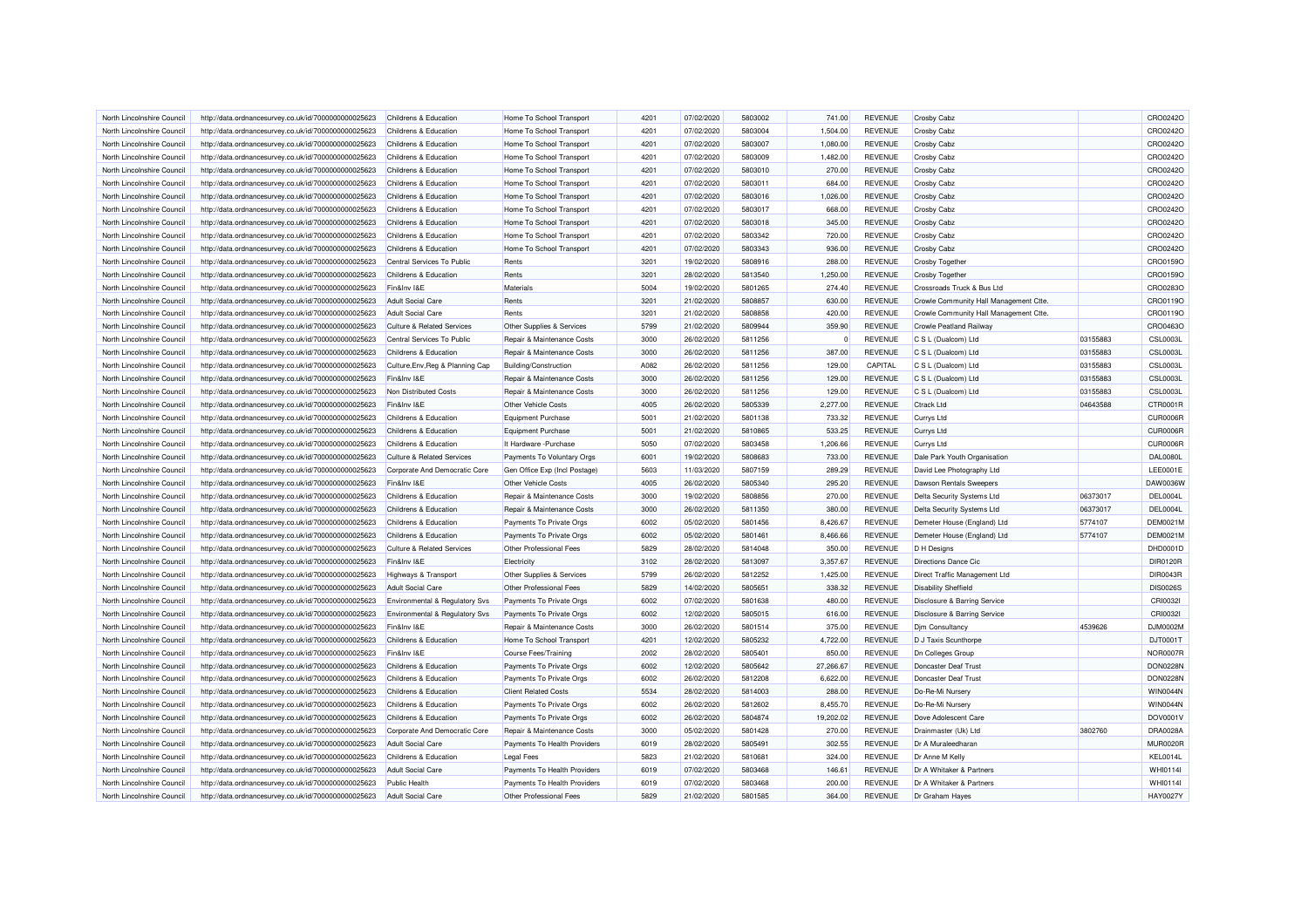| North Lincolnshire Council                               | http://data.ordnancesurvey.co.uk/id/7000000000025623                                                         | Childrens & Education                                  | Home To School Transport                               | 4201         | 07/02/2020               | 5803002            | 741.00                | <b>REVENUE</b>                   | <b>Crosby Cabz</b>                       |          | CRO0242O                    |
|----------------------------------------------------------|--------------------------------------------------------------------------------------------------------------|--------------------------------------------------------|--------------------------------------------------------|--------------|--------------------------|--------------------|-----------------------|----------------------------------|------------------------------------------|----------|-----------------------------|
| North Lincolnshire Council                               | http://data.ordnancesurvey.co.uk/id/7000000000025623                                                         | Childrens & Education                                  | Home To School Transport                               | 4201         | 07/02/2020               | 5803004            | 1,504.00              | <b>REVENUE</b>                   | <b>Crosby Cabz</b>                       |          | CRO0242O                    |
| North Lincolnshire Council                               | http://data.ordnancesurvey.co.uk/id/7000000000025623                                                         | Childrens & Education                                  | Home To School Transport                               | 4201         | 07/02/2020               | 5803007            | 1,080.00              | <b>REVENUE</b>                   | Crosby Cabz                              |          | CRO0242O                    |
| North Lincolnshire Council                               | http://data.ordnancesurvey.co.uk/id/7000000000025623                                                         | Childrens & Education                                  | Home To School Transport                               | 4201         | 07/02/2020               | 5803009            | 1,482.00              | <b>REVENUE</b>                   | Crosby Cabz                              |          | CRO0242C                    |
| North Lincolnshire Council                               | http://data.ordnancesurvey.co.uk/id/7000000000025623                                                         | Childrens & Education                                  | Home To School Transport                               | 4201         | 07/02/2020               | 5803010            | 270.00                | <b>REVENUE</b>                   | <b>Crosby Cabz</b>                       |          | CRO0242O                    |
| North Lincolnshire Council                               | http://data.ordnancesurvey.co.uk/id/7000000000025623                                                         | Childrens & Education                                  | Home To School Transport                               | 4201         | 07/02/2020               | 5803011            | 684.00                | <b>REVENUE</b>                   | <b>Crosby Cabz</b>                       |          | CRO0242O                    |
| North Lincolnshire Council                               | http://data.ordnancesurvey.co.uk/id/7000000000025623                                                         | Childrens & Education                                  | Home To School Transport                               | 4201         | 07/02/2020               | 5803016            | 1,026.00              | <b>REVENUE</b>                   | Crosby Cabz                              |          | CRO0242C                    |
| North Lincolnshire Council                               | http://data.ordnancesurvey.co.uk/id/7000000000025623                                                         | Childrens & Education                                  | Home To School Transport                               | 4201         | 07/02/2020               | 5803017            | 668.00                | <b>REVENUE</b>                   | Crosby Cabz                              |          | CRO0242O                    |
| North Lincolnshire Council                               | http://data.ordnancesurvey.co.uk/id/7000000000025623                                                         | Childrens & Education                                  | Home To School Transport                               | 4201         | 07/02/2020               | 5803018            | 345.00                | <b>REVENUE</b>                   | Crosby Cabz                              |          | CRO0242O                    |
| North Lincolnshire Council                               | http://data.ordnancesurvey.co.uk/id/7000000000025623                                                         | Childrens & Education                                  | Home To School Transport                               | 4201         | 07/02/2020               | 5803342            | 720.00                | <b>REVENUE</b>                   | Crosby Cabz                              |          | CRO0242C                    |
| North Lincolnshire Council                               | http://data.ordnancesurvey.co.uk/id/7000000000025623                                                         | Childrens & Education                                  | Home To School Transport                               | 4201         | 07/02/2020               | 5803343            | 936.00                | <b>REVENUE</b>                   | <b>Crosby Cabz</b>                       |          | CRO0242C                    |
| North Lincolnshire Council                               | http://data.ordnancesurvey.co.uk/id/7000000000025623                                                         | Central Services To Public                             | Rents                                                  | 3201         | 19/02/2020               | 5808916            | 288.00                | <b>REVENUE</b>                   | Crosby Together                          |          | CRO0159O                    |
| North Lincolnshire Council                               | http://data.ordnancesurvey.co.uk/id/7000000000025623                                                         | Childrens & Education                                  | Rents                                                  | 3201         | 28/02/2020               | 5813540            | 1,250.00              | <b>REVENUE</b>                   | <b>Crosby Together</b>                   |          | CRO0159O                    |
| North Lincolnshire Council                               | http://data.ordnancesurvey.co.uk/id/7000000000025623                                                         | Fin&Inv I&E                                            | Materials                                              | 5004         | 19/02/2020               | 5801265            | 274.40                | <b>REVENUE</b>                   | Crossroads Truck & Bus Ltd               |          | CRO0283O                    |
| North Lincolnshire Council                               | http://data.ordnancesurvey.co.uk/id/7000000000025623                                                         | <b>Adult Social Care</b>                               | Rents                                                  | 3201         | 21/02/2020               | 5808857            | 630.00                | <b>REVENUE</b>                   | Crowle Community Hall Management Ctte    |          | CRO0119C                    |
| North Lincolnshire Council                               | http://data.ordnancesurvey.co.uk/id/7000000000025623                                                         | <b>Adult Social Care</b>                               | Rents                                                  | 3201         | 21/02/2020               | 5808858            | 420.00                | <b>REVENUE</b>                   | Crowle Community Hall Management Ctte    |          | CRO0119O                    |
| North Lincolnshire Council                               | http://data.ordnancesurvey.co.uk/id/7000000000025623                                                         | <b>Culture &amp; Related Services</b>                  | Other Supplies & Services                              | 5799         | 21/02/2020               | 5809944            | 359.90                | <b>REVENUE</b>                   | Crowle Peatland Railway                  |          | CRO0463O                    |
|                                                          |                                                                                                              |                                                        |                                                        |              |                          |                    |                       |                                  |                                          | 03155883 | <b>CSL0003L</b>             |
| North Lincolnshire Council                               | http://data.ordnancesurvey.co.uk/id/7000000000025623                                                         | Central Services To Public                             | Repair & Maintenance Costs                             | 3000         | 26/02/2020               | 5811256            |                       | <b>REVENUE</b>                   | C S L (Dualcom) Ltd                      |          |                             |
| North Lincolnshire Council                               | http://data.ordnancesurvey.co.uk/id/7000000000025623                                                         | Childrens & Education                                  | Repair & Maintenance Costs                             | 3000         | 26/02/2020               | 5811256            | 387.00                | <b>REVENUE</b>                   | C S L (Dualcom) Ltd                      | 03155883 | <b>CSL0003L</b>             |
| North Lincolnshire Council                               | http://data.ordnancesurvey.co.uk/id/7000000000025623                                                         | Culture, Env, Reg & Planning Cap                       | Building/Construction                                  | A082         | 26/02/2020               | 5811256            | 129.00                | CAPITAL                          | C S L (Dualcom) Ltd                      | 03155883 | <b>CSL0003L</b>             |
| North Lincolnshire Council                               | http://data.ordnancesurvey.co.uk/id/7000000000025623                                                         | Fin&Inv I&E                                            | Repair & Maintenance Costs                             | 3000         | 26/02/2020               | 5811256            | 129.00                | <b>REVENUE</b>                   | C S L (Dualcom) Ltd                      | 03155883 | <b>CSL0003L</b>             |
| North Lincolnshire Council                               | http://data.ordnancesurvey.co.uk/id/7000000000025623                                                         | Non Distributed Costs                                  | Repair & Maintenance Costs                             | 3000         | 26/02/2020               | 5811256            | 129.00                | <b>REVENUE</b>                   | C S L (Dualcom) Ltd                      | 03155883 | <b>CSL0003L</b>             |
| North Lincolnshire Council                               | http://data.ordnancesurvey.co.uk/id/7000000000025623                                                         | Fin&Inv I&E                                            | Other Vehicle Costs                                    | 4005         | 26/02/2020               | 5805339            | 2,277.00              | <b>REVENUE</b>                   | Ctrack Ltd                               | 04643588 | CTR0001R                    |
| North Lincolnshire Council                               | http://data.ordnancesurvey.co.uk/id/7000000000025623                                                         | Childrens & Education                                  | Equipment Purchase                                     | 5001         | 21/02/2020               | 5801138            | 733.32                | <b>REVENUE</b>                   | Currys Ltd                               |          | CUR0006R                    |
| North Lincolnshire Council                               | http://data.ordnancesurvey.co.uk/id/7000000000025623                                                         | Childrens & Education                                  | Equipment Purchase                                     | 5001         | 21/02/2020               | 5810865            | 533.25                | <b>REVENUE</b>                   | Currys Ltd                               |          | CUR0006R                    |
| North Lincolnshire Council                               | http://data.ordnancesurvey.co.uk/id/7000000000025623                                                         | Childrens & Education                                  | It Hardware - Purchase                                 | 5050         | 07/02/2020               | 5803458            | 1,206.66              | <b>REVENUE</b>                   | Currys Ltd                               |          | CUR0006R                    |
| North Lincolnshire Council                               | http://data.ordnancesurvey.co.uk/id/7000000000025623                                                         | <b>Culture &amp; Related Services</b>                  | Payments To Voluntary Orgs                             | 6001         | 19/02/2020               | 5808683            | 733.00                | <b>REVENUE</b>                   | Dale Park Youth Organisation             |          | <b>DAL0080L</b>             |
| North Lincolnshire Council                               | http://data.ordnancesurvey.co.uk/id/7000000000025623                                                         | Corporate And Democratic Core                          | Gen Office Exp (Incl Postage)                          | 5603         | 11/03/2020               | 5807159            | 289.29                | <b>REVENUE</b>                   | David Lee Photography Ltd                |          | LEE0001E                    |
| North Lincolnshire Council                               | http://data.ordnancesurvey.co.uk/id/7000000000025623                                                         | Fin&Inv I&E                                            | Other Vehicle Costs                                    | 4005         | 26/02/2020               | 5805340            | 295.20                | <b>REVENUE</b>                   | Dawson Rentals Sweepers                  |          | DAW0036W                    |
| North Lincolnshire Council                               | http://data.ordnancesurvey.co.uk/id/7000000000025623                                                         | Childrens & Education                                  | Repair & Maintenance Costs                             | 3000         | 19/02/2020               | 5808856            | 270.00                | <b>REVENUE</b>                   | Delta Security Systems Ltd               | 06373017 | DEL0004L                    |
| North Lincolnshire Council                               | http://data.ordnancesurvey.co.uk/id/7000000000025623                                                         | Childrens & Education                                  | Repair & Maintenance Costs                             | 3000         | 26/02/2020               | 5811350            | 380.00                | <b>REVENUE</b>                   | Delta Security Systems Ltd               | 06373017 | DEL0004L                    |
| North Lincolnshire Council                               | http://data.ordnancesurvey.co.uk/id/7000000000025623                                                         | Childrens & Education                                  | Payments To Private Orgs                               | 6002         | 05/02/2020               | 5801456            | 8,426.67              | <b>REVENUE</b>                   | Demeter House (England) Ltd              | 5774107  | <b>DEM0021M</b>             |
| North Lincolnshire Council                               | http://data.ordnancesurvey.co.uk/id/7000000000025623                                                         | Childrens & Education                                  | Payments To Private Orgs                               | 6002         | 05/02/2020               | 5801461            | 8,466.66              | <b>REVENUE</b>                   | Demeter House (England) Ltd              | 5774107  | <b>DEM0021M</b>             |
| North Lincolnshire Council                               | http://data.ordnancesurvey.co.uk/id/7000000000025623                                                         | <b>Culture &amp; Related Services</b>                  | Other Professional Fees                                | 5829         | 28/02/2020               | 5814048            | 350.00                | <b>REVENUE</b>                   | D H Designs                              |          | DHD0001D                    |
| North Lincolnshire Council                               | http://data.ordnancesurvey.co.uk/id/7000000000025623                                                         | Fin&Inv I&E                                            | Electricity                                            | 3102         | 28/02/2020               | 5813097            | 3,357.67              | <b>REVENUE</b>                   | <b>Directions Dance Cic</b>              |          | <b>DIR0120R</b>             |
| North Lincolnshire Council                               | http://data.ordnancesurvey.co.uk/id/7000000000025623                                                         | <b>Highways &amp; Transport</b>                        | Other Supplies & Services                              | 5799         | 26/02/2020               | 5812252            | 1,425.00              | <b>REVENUE</b>                   | Direct Traffic Management Ltd            |          | <b>DIR0043R</b>             |
| North Lincolnshire Council                               | http://data.ordnancesurvey.co.uk/id/7000000000025623                                                         | <b>Adult Social Care</b>                               | Other Professional Fees                                | 5829         | 14/02/2020               | 5805651            | 338.32                | <b>REVENUE</b>                   | <b>Disability Sheffield</b>              |          | <b>DIS0026S</b>             |
| North Lincolnshire Council                               | http://data.ordnancesurvey.co.uk/id/7000000000025623                                                         | Environmental & Regulatory Svs                         | Payments To Private Orgs                               | 6002         | 07/02/2020               | 5801638            | 480.00                | <b>REVENUE</b>                   | Disclosure & Barring Service             |          | CRI0032                     |
| North Lincolnshire Council                               | http://data.ordnancesurvey.co.uk/id/7000000000025623                                                         | Environmental & Regulatory Svs                         | Payments To Private Orgs                               | 6002         | 12/02/2020               | 5805015            | 616.00                | <b>REVENUE</b>                   | Disclosure & Barring Service             |          | CRI0032I                    |
| North Lincolnshire Council                               | http://data.ordnancesurvey.co.uk/id/7000000000025623                                                         | Fin&Inv I&E                                            | Repair & Maintenance Costs                             | 3000         | 26/02/2020               | 5801514            | 375.00                | <b>REVENUE</b>                   | <b>Dim Consultancy</b>                   | 4539626  | DJM0002M                    |
| North Lincolnshire Council                               | http://data.ordnancesurvey.co.uk/id/7000000000025623                                                         | Childrens & Education                                  | Home To School Transport                               | 4201         | 12/02/2020               | 5805232            | 4,722.00              | <b>REVENUE</b>                   | D J Taxis Scunthorpe                     |          | DJT0001T                    |
| North Lincolnshire Council                               | http://data.ordnancesurvey.co.uk/id/7000000000025623                                                         | Fin&Inv I&E                                            | Course Fees/Training                                   | 2002         | 28/02/2020               | 5805401            | 850.00                | <b>REVENUE</b>                   | <b>Dn Colleges Group</b>                 |          | <b>NOR0007R</b>             |
| North Lincolnshire Council                               | http://data.ordnancesurvey.co.uk/id/7000000000025623                                                         | Childrens & Education                                  | Payments To Private Orgs                               | 6002         | 12/02/2020               | 5805642            | 27,266.67             | <b>REVENUE</b>                   | <b>Doncaster Deaf Trust</b>              |          | <b>DON0228N</b>             |
| North Lincolnshire Council                               | http://data.ordnancesurvey.co.uk/id/7000000000025623                                                         | Childrens & Education                                  | Payments To Private Orgs                               | 6002         | 26/02/2020               | 5812208            | 6,622.00              | <b>REVENUE</b>                   | <b>Doncaster Deaf Trust</b>              |          | <b>DON0228N</b>             |
| North Lincolnshire Council                               | http://data.ordnancesurvey.co.uk/id/7000000000025623                                                         | Childrens & Education                                  | <b>Client Related Costs</b>                            | 5534         | 28/02/2020               | 5814003            | 288.00                | <b>REVENUE</b>                   | Do-Re-Mi Nursery                         |          | <b>WIN0044N</b>             |
|                                                          |                                                                                                              |                                                        |                                                        |              |                          |                    |                       |                                  |                                          |          |                             |
| North Lincolnshire Council<br>North Lincolnshire Council | http://data.ordnancesurvey.co.uk/id/7000000000025623                                                         | Childrens & Education                                  | Payments To Private Orgs                               | 6002<br>6002 | 26/02/2020<br>26/02/2020 | 5812602<br>5804874 | 8,455.70<br>19,202.02 | <b>REVENUE</b><br><b>REVENUE</b> | Do-Re-Mi Nursery<br>Dove Adolescent Care |          | <b>WIN0044N</b><br>DOV0001V |
| North Lincolnshire Council                               | http://data.ordnancesurvey.co.uk/id/7000000000025623<br>http://data.ordnancesurvey.co.uk/id/7000000000025623 | Childrens & Education<br>Corporate And Democratic Core | Payments To Private Orgs<br>Repair & Maintenance Costs | 3000         | 05/02/2020               | 5801428            | 270.00                | <b>REVENUE</b>                   | Drainmaster (Uk) Ltd                     | 3802760  | <b>DRA0028A</b>             |
|                                                          |                                                                                                              |                                                        |                                                        |              |                          |                    |                       |                                  |                                          |          |                             |
| North Lincolnshire Council                               | http://data.ordnancesurvey.co.uk/id/7000000000025623                                                         | <b>Adult Social Care</b>                               | Payments To Health Providers                           | 6019         | 28/02/2020               | 5805491            | 302.55                | <b>REVENUE</b>                   | Dr A Muraleedharan                       |          | <b>MUR0020R</b>             |
| North Lincolnshire Council                               | http://data.ordnancesurvey.co.uk/id/7000000000025623                                                         | Childrens & Education                                  | <b>Legal Fees</b>                                      | 5823         | 21/02/2020               | 5810681            | 324.00                | <b>REVENUE</b>                   | Dr Anne M Kelly                          |          | KEL0014L                    |
| North Lincolnshire Council                               | http://data.ordnancesurvey.co.uk/id/7000000000025623                                                         | <b>Adult Social Care</b>                               | Payments To Health Providers                           | 6019         | 07/02/2020               | 5803468            | 146.61                | <b>REVENUE</b>                   | Dr A Whitaker & Partners                 |          | WHI0114I                    |
| North Lincolnshire Council                               | http://data.ordnancesurvey.co.uk/id/7000000000025623                                                         | <b>Public Health</b>                                   | Payments To Health Providers                           | 6019         | 07/02/2020               | 5803468            | 200.00                | <b>REVENUE</b>                   | Dr A Whitaker & Partners                 |          | WHI0114I                    |
| North Lincolnshire Council                               | http://data.ordnancesurvey.co.uk/id/7000000000025623                                                         | <b>Adult Social Care</b>                               | Other Professional Fees                                | 5829         | 21/02/2020               | 5801585            | 364.00                | <b>REVENUE</b>                   | Dr Graham Hayes                          |          | <b>HAY0027Y</b>             |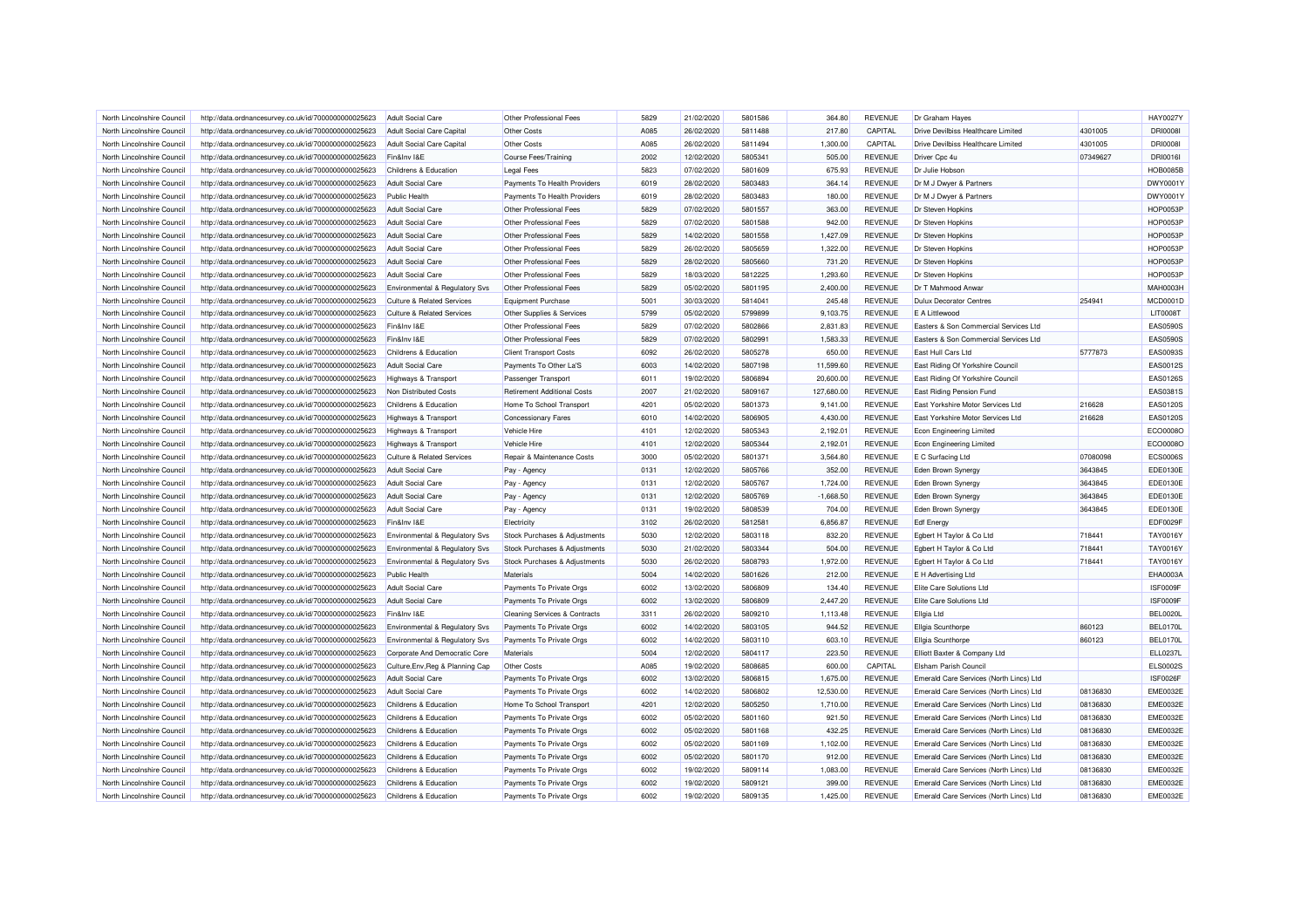| North Lincolnshire Council | http://data.ordnancesurvey.co.uk/id/7000000000025623                                                         | Adult Social Care                         | Other Professional Fees                                 | 5829 | 21/02/2020 | 5801586 | 364.80      | <b>REVENUE</b> | Dr Graham Hayes                         |          | <b>HAY0027Y</b> |
|----------------------------|--------------------------------------------------------------------------------------------------------------|-------------------------------------------|---------------------------------------------------------|------|------------|---------|-------------|----------------|-----------------------------------------|----------|-----------------|
| North Lincolnshire Council | http://data.ordnancesurvey.co.uk/id/7000000000025623                                                         | <b>Adult Social Care Capital</b>          | Other Costs                                             | A085 | 26/02/2020 | 5811488 | 217.80      | CAPITAL        | Drive Devilbiss Healthcare Limited      | 4301005  | <b>DRI0008I</b> |
| North Lincolnshire Council | http://data.ordnancesurvey.co.uk/id/7000000000025623                                                         | Adult Social Care Capital                 | Other Costs                                             | A085 | 26/02/2020 | 5811494 | 1,300.00    | CAPITAL        | Drive Devilbiss Healthcare Limited      | 4301005  | <b>DRI0008I</b> |
| North Lincolnshire Council | http://data.ordnancesurvey.co.uk/id/7000000000025623                                                         | Fin&Inv I&E                               | Course Fees/Training                                    | 2002 | 12/02/2020 | 5805341 | 505.00      | <b>REVENUE</b> | Driver Cpc 4u                           | 07349627 | DRI0016I        |
| North Lincolnshire Council | http://data.ordnancesurvey.co.uk/id/7000000000025623                                                         | Childrens & Education                     | <b>Legal Fees</b>                                       | 5823 | 07/02/2020 | 5801609 | 675.93      | <b>REVENUE</b> | Dr Julie Hobson                         |          | <b>HOB0085B</b> |
| North Lincolnshire Council | http://data.ordnancesurvey.co.uk/id/7000000000025623                                                         | <b>Adult Social Care</b>                  | Payments To Health Providers                            | 6019 | 28/02/2020 | 5803483 | 364.14      | <b>REVENUE</b> | Dr M J Dwyer & Partners                 |          | DWY0001Y        |
| North Lincolnshire Council | http://data.ordnancesurvey.co.uk/id/7000000000025623                                                         | <b>Public Health</b>                      | Payments To Health Providers                            | 6019 | 28/02/2020 | 5803483 | 180.00      | <b>REVENUE</b> | Dr M J Dwyer & Partners                 |          | DWY0001Y        |
| North Lincolnshire Council | http://data.ordnancesurvey.co.uk/id/7000000000025623                                                         | <b>Adult Social Care</b>                  | Other Professional Fees                                 | 5829 | 07/02/2020 | 5801557 | 363.00      | <b>REVENUE</b> | Dr Steven Hopkins                       |          | <b>HOP0053P</b> |
| North Lincolnshire Council | http://data.ordnancesurvey.co.uk/id/7000000000025623                                                         | <b>Adult Social Care</b>                  | Other Professional Fees                                 | 5829 | 07/02/2020 | 5801588 | 942.00      | <b>REVENUE</b> | Dr Steven Hopkins                       |          | <b>HOP0053P</b> |
| North Lincolnshire Council | http://data.ordnancesurvey.co.uk/id/7000000000025623                                                         | <b>Adult Social Care</b>                  | Other Professional Fees                                 | 5829 | 14/02/2020 | 5801558 | 1,427.09    | <b>REVENUE</b> | Dr Steven Hopkins                       |          | <b>HOP0053P</b> |
| North Lincolnshire Council | http://data.ordnancesurvey.co.uk/id/7000000000025623                                                         | <b>Adult Social Care</b>                  | Other Professional Fees                                 | 5829 | 26/02/2020 | 5805659 | 1,322.00    | <b>REVENUE</b> | Dr Steven Hopkins                       |          | <b>HOP0053P</b> |
| North Lincolnshire Council | http://data.ordnancesurvey.co.uk/id/7000000000025623                                                         | <b>Adult Social Care</b>                  | Other Professional Fees                                 | 5829 | 28/02/2020 | 5805660 | 731.20      | <b>REVENUE</b> | Dr Steven Hopkins                       |          | <b>HOP0053P</b> |
| North Lincolnshire Council | http://data.ordnancesurvey.co.uk/id/7000000000025623                                                         | <b>Adult Social Care</b>                  | Other Professional Fees                                 | 5829 | 18/03/2020 | 5812225 | 1,293.60    | <b>REVENUE</b> | Dr Steven Hopkins                       |          | <b>HOP0053P</b> |
| North Lincolnshire Council | http://data.ordnancesurvey.co.uk/id/7000000000025623                                                         | Environmental & Regulatory Svs            | Other Professional Fees                                 | 5829 | 05/02/2020 | 5801195 | 2,400.00    | <b>REVENUE</b> | Dr T Mahmood Anwar                      |          | MAH0003H        |
| North Lincolnshire Council | http://data.ordnancesurvey.co.uk/id/7000000000025623                                                         | Culture & Related Services                | Equipment Purchase                                      | 5001 | 30/03/2020 | 5814041 | 245.48      | <b>REVENUE</b> | <b>Dulux Decorator Centres</b>          | 254941   | <b>MCD0001D</b> |
| North Lincolnshire Council | http://data.ordnancesurvey.co.uk/id/7000000000025623                                                         | <b>Culture &amp; Related Services</b>     | Other Supplies & Services                               | 5799 | 05/02/2020 | 5799899 | 9,103.75    | <b>REVENUE</b> | E A Littlewood                          |          | <b>LIT0008T</b> |
| North Lincolnshire Council | http://data.ordnancesurvey.co.uk/id/7000000000025623                                                         | Fin&Inv I&E                               | Other Professional Fees                                 | 5829 | 07/02/2020 | 5802866 | 2,831.83    | <b>REVENUE</b> | Easters & Son Commercial Services Ltd   |          | <b>EAS0590S</b> |
| North Lincolnshire Council | http://data.ordnancesurvey.co.uk/id/7000000000025623                                                         | Fin&Inv I&E                               | Other Professional Fees                                 | 5829 | 07/02/2020 | 5802991 | 1,583.33    | <b>REVENUE</b> | Easters & Son Commercial Services Ltd   |          | <b>EAS0590S</b> |
| North Lincolnshire Council |                                                                                                              | Childrens & Education                     |                                                         | 6092 | 26/02/2020 | 5805278 | 650.00      | <b>REVENUE</b> | East Hull Cars Ltd                      | 5777873  | EAS0093S        |
| North Lincolnshire Council | http://data.ordnancesurvey.co.uk/id/7000000000025623<br>http://data.ordnancesurvey.co.uk/id/7000000000025623 | <b>Adult Social Care</b>                  | <b>Client Transport Costs</b><br>Payments To Other La'S | 6003 | 14/02/2020 | 5807198 | 11.599.60   | <b>REVENUE</b> | East Riding Of Yorkshire Council        |          | EAS0012S        |
| North Lincolnshire Council | http://data.ordnancesurvey.co.uk/id/7000000000025623                                                         |                                           |                                                         | 6011 | 19/02/2020 | 5806894 | 20.600.00   | <b>REVENUE</b> | East Riding Of Yorkshire Council        |          | <b>EAS0126S</b> |
|                            |                                                                                                              | <b>Highways &amp; Transport</b>           | Passenger Transport                                     |      |            | 5809167 |             |                |                                         |          |                 |
| North Lincolnshire Council | http://data.ordnancesurvey.co.uk/id/7000000000025623                                                         | Non Distributed Costs                     | <b>Retirement Additional Costs</b>                      | 2007 | 21/02/2020 |         | 127,680.00  | <b>REVENUE</b> | East Riding Pension Fund                |          | EAS0381S        |
| North Lincolnshire Council | http://data.ordnancesurvey.co.uk/id/7000000000025623                                                         | Childrens & Education                     | Home To School Transport                                | 4201 | 05/02/2020 | 5801373 | 9,141.00    | <b>REVENUE</b> | East Yorkshire Motor Services Ltd       | 216628   | <b>EAS0120S</b> |
| North Lincolnshire Council | http://data.ordnancesurvey.co.uk/id/7000000000025623                                                         | <b>Highways &amp; Transport</b>           | <b>Concessionary Fares</b>                              | 6010 | 14/02/2020 | 5806905 | 4,430.00    | <b>REVENUE</b> | East Yorkshire Motor Services Ltd       | 216628   | <b>EAS0120S</b> |
| North Lincolnshire Council | http://data.ordnancesurvey.co.uk/id/7000000000025623                                                         | Highways & Transport                      | Vehicle Hire                                            | 4101 | 12/02/2020 | 5805343 | 2,192.01    | <b>REVENUE</b> | <b>Econ Engineering Limited</b>         |          | ECO0008C        |
| North Lincolnshire Council | http://data.ordnancesurvey.co.uk/id/7000000000025623                                                         | Highways & Transport                      | Vehicle Hire                                            | 4101 | 12/02/2020 | 5805344 | 2,192.01    | <b>REVENUE</b> | <b>Econ Engineering Limited</b>         |          | ECO0008O        |
| North Lincolnshire Council | http://data.ordnancesurvey.co.uk/id/7000000000025623                                                         | <b>Culture &amp; Related Services</b>     | Repair & Maintenance Costs                              | 3000 | 05/02/2020 | 5801371 | 3.564.80    | <b>REVENUE</b> | E C Surfacing Ltd                       | 07080098 | <b>ECS0006S</b> |
| North Lincolnshire Council | http://data.ordnancesurvey.co.uk/id/7000000000025623                                                         | <b>Adult Social Care</b>                  | Pay - Agency                                            | 0131 | 12/02/2020 | 5805766 | 352.00      | <b>REVENUE</b> | Eden Brown Synergy                      | 3643845  | <b>EDE0130E</b> |
| North Lincolnshire Council | http://data.ordnancesurvey.co.uk/id/7000000000025623                                                         | Adult Social Care                         | Pay - Agency                                            | 0131 | 12/02/2020 | 5805767 | 1.724.00    | <b>REVENUE</b> | Eden Brown Synergy                      | 3643845  | EDE0130E        |
| North Lincolnshire Council | http://data.ordnancesurvey.co.uk/id/7000000000025623                                                         | <b>Adult Social Care</b>                  | Pay - Agency                                            | 0131 | 12/02/2020 | 5805769 | $-1,668.50$ | <b>REVENUE</b> | Eden Brown Synergy                      | 3643845  | EDE0130E        |
| North Lincolnshire Council | http://data.ordnancesurvey.co.uk/id/7000000000025623                                                         | <b>Adult Social Care</b>                  | Pay - Agency                                            | 0131 | 19/02/2020 | 5808539 | 704.00      | <b>REVENUE</b> | Eden Brown Synergy                      | 3643845  | EDE0130E        |
| North Lincolnshire Council | http://data.ordnancesurvey.co.uk/id/7000000000025623                                                         | Fin&Inv I&E                               | Electricity                                             | 3102 | 26/02/2020 | 5812581 | 6,856.87    | <b>REVENUE</b> | <b>Edf</b> Energy                       |          | EDF0029F        |
| North Lincolnshire Council | http://data.ordnancesurvey.co.uk/id/7000000000025623                                                         | Environmental & Regulatory Svs            | Stock Purchases & Adjustments                           | 5030 | 12/02/2020 | 5803118 | 832.20      | <b>REVENUE</b> | Egbert H Taylor & Co Ltd                | 718441   | TAY0016Y        |
| North Lincolnshire Council | http://data.ordnancesurvey.co.uk/id/7000000000025623                                                         | Environmental & Regulatory Svs            | Stock Purchases & Adjustments                           | 5030 | 21/02/2020 | 5803344 | 504.00      | <b>REVENUE</b> | Egbert H Taylor & Co Ltd                | 718441   | <b>TAY0016Y</b> |
| North Lincolnshire Council | http://data.ordnancesurvey.co.uk/id/7000000000025623                                                         | <b>Environmental &amp; Regulatory Svs</b> | Stock Purchases & Adjustments                           | 5030 | 26/02/2020 | 5808793 | 1,972.00    | <b>REVENUE</b> | Egbert H Taylor & Co Ltd                | 718441   | TAY0016Y        |
| North Lincolnshire Council | http://data.ordnancesurvey.co.uk/id/7000000000025623                                                         | Public Health                             | Materials                                               | 5004 | 14/02/2020 | 5801626 | 212.00      | <b>REVENUE</b> | <b>E</b> H Advertising Ltd              |          | EHA0003A        |
| North Lincolnshire Council | http://data.ordnancesurvey.co.uk/id/7000000000025623                                                         | <b>Adult Social Care</b>                  | Payments To Private Orgs                                | 6002 | 13/02/2020 | 5806809 | 134.40      | <b>REVENUE</b> | Elite Care Solutions Ltd                |          | <b>ISF0009F</b> |
| North Lincolnshire Council | http://data.ordnancesurvey.co.uk/id/7000000000025623                                                         | <b>Adult Social Care</b>                  | Payments To Private Orgs                                | 6002 | 13/02/2020 | 5806809 | 2,447.20    | <b>REVENUE</b> | Elite Care Solutions Ltd                |          | ISF0009F        |
| North Lincolnshire Council | http://data.ordnancesurvey.co.uk/id/7000000000025623                                                         | Fin&Inv I&E                               | Cleaning Services & Contracts                           | 3311 | 26/02/2020 | 5809210 | 1,113.48    | <b>REVENUE</b> | Ellgia Ltd                              |          | <b>BEL0020L</b> |
| North Lincolnshire Council | http://data.ordnancesurvey.co.uk/id/7000000000025623                                                         | Environmental & Regulatory Svs            | Payments To Private Orgs                                | 6002 | 14/02/2020 | 5803105 | 944.52      | <b>REVENUE</b> | <b>Ellgia Scunthorpe</b>                | 860123   | <b>BEL0170L</b> |
| North Lincolnshire Council | http://data.ordnancesurvey.co.uk/id/7000000000025623                                                         | Environmental & Regulatory Svs            | Payments To Private Orgs                                | 6002 | 14/02/2020 | 5803110 | 603.10      | <b>REVENUE</b> | Ellgia Scunthorpe                       | 860123   | <b>BEL0170L</b> |
| North Lincolnshire Council | http://data.ordnancesurvey.co.uk/id/7000000000025623                                                         | Corporate And Democratic Core             | Materials                                               | 5004 | 12/02/2020 | 5804117 | 223.50      | <b>REVENUE</b> | Elliott Baxter & Company Ltd            |          | ELL0237L        |
| North Lincolnshire Council | http://data.ordnancesurvey.co.uk/id/7000000000025623                                                         | Culture, Env, Reg & Planning Cap          | Other Costs                                             | A085 | 19/02/2020 | 5808685 | 600.00      | CAPITAL        | Elsham Parish Council                   |          | <b>ELS0002S</b> |
| North Lincolnshire Council | http://data.ordnancesurvey.co.uk/id/7000000000025623                                                         | <b>Adult Social Care</b>                  | Payments To Private Orgs                                | 6002 | 13/02/2020 | 5806815 | 1,675.00    | <b>REVENUE</b> | Emerald Care Services (North Lincs) Ltd |          | <b>ISF0026F</b> |
| North Lincolnshire Council | http://data.ordnancesurvey.co.uk/id/7000000000025623                                                         | <b>Adult Social Care</b>                  | Payments To Private Orgs                                | 6002 | 14/02/2020 | 5806802 | 12,530.00   | <b>REVENUE</b> | Emerald Care Services (North Lincs) Ltd | 08136830 | <b>EME0032E</b> |
| North Lincolnshire Council | http://data.ordnancesurvey.co.uk/id/7000000000025623                                                         | Childrens & Education                     | Home To School Transport                                | 4201 | 12/02/2020 | 5805250 | 1,710.00    | <b>REVENUE</b> | Emerald Care Services (North Lincs) Ltd | 08136830 | <b>EME0032E</b> |
| North Lincolnshire Council | http://data.ordnancesurvey.co.uk/id/7000000000025623                                                         | Childrens & Education                     | Payments To Private Orgs                                | 6002 | 05/02/2020 | 5801160 | 921.50      | <b>REVENUE</b> | Emerald Care Services (North Lincs) Ltd | 08136830 | <b>EME0032E</b> |
| North Lincolnshire Council | http://data.ordnancesurvey.co.uk/id/7000000000025623                                                         | Childrens & Education                     | Payments To Private Orgs                                | 6002 | 05/02/2020 | 5801168 | 432.25      | <b>REVENUE</b> | Emerald Care Services (North Lincs) Ltd | 08136830 | <b>EME0032E</b> |
| North Lincolnshire Council | http://data.ordnancesurvey.co.uk/id/7000000000025623                                                         | Childrens & Education                     | Payments To Private Orgs                                | 6002 | 05/02/2020 | 5801169 | 1,102.00    | <b>REVENUE</b> | Emerald Care Services (North Lincs) Ltd | 08136830 | <b>EME0032E</b> |
| North Lincolnshire Council | http://data.ordnancesurvey.co.uk/id/7000000000025623                                                         | Childrens & Education                     | Payments To Private Orgs                                | 6002 | 05/02/2020 | 5801170 | 912.00      | <b>REVENUE</b> | Emerald Care Services (North Lincs) Ltd | 08136830 | <b>EME0032E</b> |
| North Lincolnshire Council | http://data.ordnancesurvey.co.uk/id/7000000000025623                                                         | Childrens & Education                     | Payments To Private Orgs                                | 6002 | 19/02/2020 | 5809114 | 1,083.00    | <b>REVENUE</b> | Emerald Care Services (North Lincs) Ltd | 08136830 | <b>EME0032E</b> |
| North Lincolnshire Council | http://data.ordnancesurvey.co.uk/id/7000000000025623                                                         | Childrens & Education                     | Payments To Private Orgs                                | 6002 | 19/02/2020 | 5809121 | 399.00      | <b>REVENUE</b> | Emerald Care Services (North Lincs) Ltd | 08136830 | <b>EME0032E</b> |
| North Lincolnshire Council | http://data.ordnancesurvey.co.uk/id/7000000000025623                                                         | Childrens & Education                     | Payments To Private Orgs                                | 6002 | 19/02/2020 | 5809135 | 1.425.00    | <b>REVENUE</b> | Emerald Care Services (North Lincs) Ltd | 08136830 | <b>EME0032E</b> |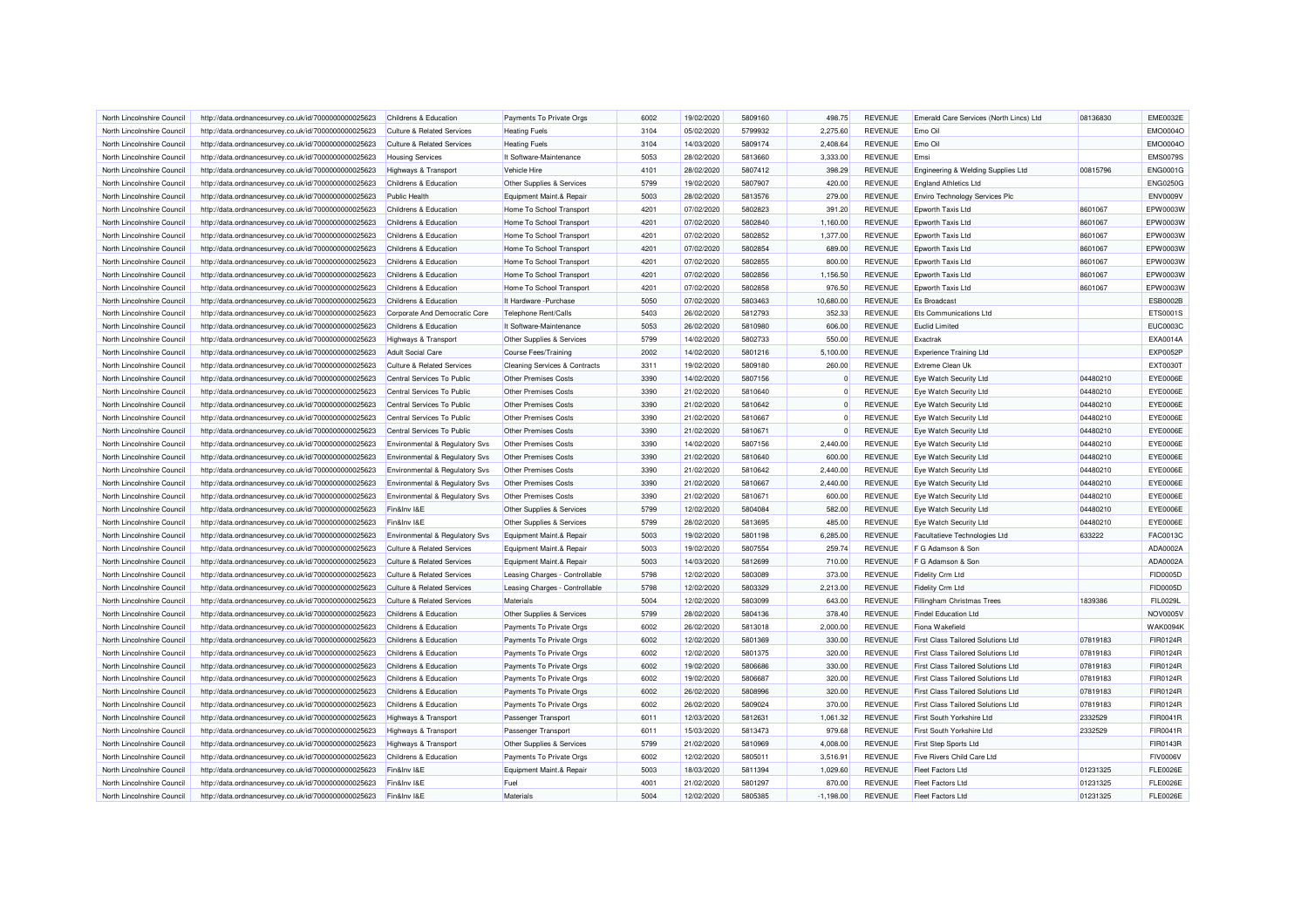| North Lincolnshire Council | http://data.ordnancesurvey.co.uk/id/7000000000025623 | Childrens & Education                     | Payments To Private Orgs                 | 6002 | 19/02/2020 | 5809160 | 498.75      | <b>REVENUE</b> | Emerald Care Services (North Lincs) Ltd   | 08136830 | <b>EME0032E</b> |
|----------------------------|------------------------------------------------------|-------------------------------------------|------------------------------------------|------|------------|---------|-------------|----------------|-------------------------------------------|----------|-----------------|
| North Lincolnshire Council | http://data.ordnancesurvey.co.uk/id/7000000000025623 | <b>Culture &amp; Related Services</b>     | <b>Heating Fuels</b>                     | 3104 | 05/02/2020 | 5799932 | 2.275.60    | <b>REVENUE</b> | Emo Oil                                   |          | EMO0004O        |
| North Lincolnshire Council | http://data.ordnancesurvey.co.uk/id/7000000000025623 | <b>Culture &amp; Related Services</b>     | <b>Heating Fuels</b>                     | 3104 | 14/03/2020 | 5809174 | 2,408.64    | <b>REVENUE</b> | Emo Oil                                   |          | EMO0004O        |
| North Lincolnshire Council | http://data.ordnancesurvey.co.uk/id/7000000000025623 | <b>Housing Services</b>                   | It Software-Maintenance                  | 5053 | 28/02/2020 | 5813660 | 3,333.00    | <b>REVENUE</b> | Emsi                                      |          | <b>EMS0079S</b> |
| North Lincolnshire Council | http://data.ordnancesurvey.co.uk/id/7000000000025623 | Highways & Transport                      | Vehicle Hire                             | 4101 | 28/02/2020 | 5807412 | 398.29      | <b>REVENUE</b> | Engineering & Welding Supplies Ltd        | 00815796 | <b>ENG0001G</b> |
| North Lincolnshire Council | http://data.ordnancesurvey.co.uk/id/7000000000025623 | Childrens & Education                     | Other Supplies & Services                | 5799 | 19/02/2020 | 5807907 | 420.00      | <b>REVENUE</b> | <b>England Athletics Ltd</b>              |          | <b>ENG0250G</b> |
| North Lincolnshire Council | http://data.ordnancesurvey.co.uk/id/7000000000025623 | <b>Public Health</b>                      | Equipment Maint.& Repair                 | 5003 | 28/02/2020 | 5813576 | 279.00      | <b>REVENUE</b> | Enviro Technology Services Plc            |          | <b>ENV0009V</b> |
| North Lincolnshire Council | http://data.ordnancesurvey.co.uk/id/7000000000025623 | Childrens & Education                     | Home To School Transport                 | 4201 | 07/02/2020 | 5802823 | 391.20      | <b>REVENUE</b> | Epworth Taxis Ltd                         | 8601067  | EPW0003W        |
| North Lincolnshire Council | http://data.ordnancesurvey.co.uk/id/7000000000025623 | Childrens & Education                     | Home To School Transport                 | 4201 | 07/02/2020 | 5802840 | 1,160.00    | <b>REVENUE</b> | Epworth Taxis Ltd                         | 8601067  | EPW0003W        |
| North Lincolnshire Council | http://data.ordnancesurvey.co.uk/id/7000000000025623 | Childrens & Education                     | Home To School Transport                 | 4201 | 07/02/2020 | 5802852 | 1,377.00    | <b>REVENUE</b> | Epworth Taxis Ltd                         | 8601067  | EPW0003W        |
| North Lincolnshire Council | http://data.ordnancesurvey.co.uk/id/7000000000025623 | Childrens & Education                     | Home To School Transport                 | 4201 | 07/02/2020 | 5802854 | 689.00      | <b>REVENUE</b> | Epworth Taxis Ltd                         | 8601067  | EPW0003W        |
| North Lincolnshire Council | http://data.ordnancesurvey.co.uk/id/7000000000025623 | Childrens & Education                     | Home To School Transport                 | 4201 | 07/02/2020 | 5802855 | 800.00      | <b>REVENUE</b> | Epworth Taxis Ltd                         | 8601067  | EPW0003W        |
| North Lincolnshire Council | http://data.ordnancesurvey.co.uk/id/7000000000025623 | Childrens & Education                     | Home To School Transport                 | 4201 | 07/02/2020 | 5802856 | 1,156.50    | <b>REVENUE</b> | Epworth Taxis Ltd                         | 8601067  | EPW0003W        |
| North Lincolnshire Council | http://data.ordnancesurvey.co.uk/id/7000000000025623 | Childrens & Education                     | Home To School Transport                 | 4201 | 07/02/2020 | 5802858 | 976.50      | <b>REVENUE</b> | Epworth Taxis Ltd                         | 8601067  | EPW0003W        |
| North Lincolnshire Council | http://data.ordnancesurvey.co.uk/id/7000000000025623 | Childrens & Education                     | It Hardware - Purchase                   | 5050 | 07/02/2020 | 5803463 | 10,680.00   | <b>REVENUE</b> | <b>Es Broadcast</b>                       |          | <b>ESB0002B</b> |
| North Lincolnshire Council | http://data.ordnancesurvey.co.uk/id/7000000000025623 | Corporate And Democratic Core             | Telephone Rent/Calls                     | 5403 | 26/02/2020 | 5812793 | 352.33      | <b>REVENUE</b> | Ets Communications Ltd                    |          | ETS0001S        |
| North Lincolnshire Council | http://data.ordnancesurvey.co.uk/id/7000000000025623 | Childrens & Education                     | It Software-Maintenance                  | 5053 | 26/02/2020 | 5810980 | 606.00      | <b>REVENUE</b> | <b>Euclid Limited</b>                     |          | <b>EUC0003C</b> |
| North Lincolnshire Council | http://data.ordnancesurvey.co.uk/id/7000000000025623 | <b>Highways &amp; Transport</b>           | Other Supplies & Services                | 5799 | 14/02/2020 | 5802733 | 550.00      | <b>REVENUE</b> | Exactrak                                  |          | EXA0014A        |
| North Lincolnshire Council | http://data.ordnancesurvey.co.uk/id/7000000000025623 | <b>Adult Social Care</b>                  | <b>Course Fees/Training</b>              | 2002 | 14/02/2020 | 5801216 | 5,100.00    | <b>REVENUE</b> | <b>Experience Training Ltd</b>            |          | <b>EXP0052P</b> |
| North Lincolnshire Council | http://data.ordnancesurvey.co.uk/id/7000000000025623 | Culture & Related Services                | <b>Cleaning Services &amp; Contracts</b> | 3311 | 19/02/2020 | 5809180 | 260.00      | <b>REVENUE</b> | Extreme Clean Uk                          |          | <b>EXT0030T</b> |
| North Lincolnshire Council | http://data.ordnancesurvey.co.uk/id/7000000000025623 | Central Services To Public                | <b>Other Premises Costs</b>              | 3390 | 14/02/2020 | 5807156 |             | <b>REVENUE</b> | Eye Watch Security Ltd                    | 04480210 | EYE0006E        |
|                            |                                                      |                                           |                                          |      |            |         |             |                |                                           |          |                 |
| North Lincolnshire Council | http://data.ordnancesurvey.co.uk/id/7000000000025623 | Central Services To Public                | Other Premises Costs                     | 3390 | 21/02/2020 | 5810640 | $\Omega$    | <b>REVENUE</b> | Eye Watch Security Ltd                    | 04480210 | EYE0006E        |
| North Lincolnshire Council | http://data.ordnancesurvey.co.uk/id/7000000000025623 | Central Services To Public                | <b>Other Premises Costs</b>              | 3390 | 21/02/2020 | 5810642 | $\Omega$    | <b>REVENUE</b> | Eye Watch Security Ltd                    | 04480210 | EYE0006E        |
| North Lincolnshire Council | http://data.ordnancesurvey.co.uk/id/7000000000025623 | Central Services To Public                | Other Premises Costs                     | 3390 | 21/02/2020 | 5810667 |             | <b>REVENUE</b> | Eye Watch Security Ltd                    | 04480210 | EYE0006E        |
| North Lincolnshire Council | http://data.ordnancesurvey.co.uk/id/7000000000025623 | Central Services To Public                | Other Premises Costs                     | 3390 | 21/02/2020 | 5810671 | $\Omega$    | <b>REVENUE</b> | Eye Watch Security Ltd                    | 04480210 | EYE0006E        |
| North Lincolnshire Council | http://data.ordnancesurvey.co.uk/id/7000000000025623 | <b>Environmental &amp; Regulatory Svs</b> | Other Premises Costs                     | 3390 | 14/02/2020 | 5807156 | 2.440.00    | <b>REVENUE</b> | Eye Watch Security Ltd                    | 04480210 | <b>EYE0006E</b> |
| North Lincolnshire Council | http://data.ordnancesurvey.co.uk/id/7000000000025623 | Environmental & Regulatory Svs            | <b>Other Premises Costs</b>              | 3390 | 21/02/2020 | 5810640 | 600.00      | <b>REVENUE</b> | Eye Watch Security Ltd                    | 04480210 | EYE0006E        |
| North Lincolnshire Council | http://data.ordnancesurvey.co.uk/id/7000000000025623 | Environmental & Regulatory Svs            | Other Premises Costs                     | 3390 | 21/02/2020 | 5810642 | 2,440.00    | <b>REVENUE</b> | Eye Watch Security Ltd                    | 04480210 | EYE0006E        |
| North Lincolnshire Council | http://data.ordnancesurvey.co.uk/id/7000000000025623 | Environmental & Regulatory Svs            | <b>Other Premises Costs</b>              | 3390 | 21/02/2020 | 5810667 | 2,440.00    | <b>REVENUE</b> | Eye Watch Security Ltd                    | 04480210 | EYE0006E        |
| North Lincolnshire Council | http://data.ordnancesurvey.co.uk/id/7000000000025623 | Environmental & Regulatory Svs            | Other Premises Costs                     | 3390 | 21/02/2020 | 5810671 | 600.00      | <b>REVENUE</b> | Eye Watch Security Ltd                    | 04480210 | EYE0006E        |
| North Lincolnshire Council | http://data.ordnancesurvey.co.uk/id/7000000000025623 | Fin&Inv I&E                               | Other Supplies & Services                | 5799 | 12/02/2020 | 5804084 | 582.00      | <b>REVENUE</b> | <b>Eye Watch Security Ltd</b>             | 04480210 | EYE0006E        |
| North Lincolnshire Council | http://data.ordnancesurvey.co.uk/id/7000000000025623 | Fin&Inv I&E                               | Other Supplies & Services                | 5799 | 28/02/2020 | 5813695 | 485.00      | <b>REVENUE</b> | Eye Watch Security Ltd                    | 04480210 | EYE0006E        |
| North Lincolnshire Council | http://data.ordnancesurvey.co.uk/id/7000000000025623 | Environmental & Regulatory Svs            | Equipment Maint.& Repair                 | 5003 | 19/02/2020 | 5801198 | 6,285.00    | <b>REVENUE</b> | Facultatieve Technologies Ltd             | 633222   | FAC0013C        |
| North Lincolnshire Council | http://data.ordnancesurvey.co.uk/id/7000000000025623 | Culture & Related Services                | Equipment Maint.& Repair                 | 5003 | 19/02/2020 | 5807554 | 259.74      | <b>REVENUE</b> | F G Adamson & Son                         |          | ADA0002A        |
| North Lincolnshire Council | http://data.ordnancesurvey.co.uk/id/7000000000025623 | <b>Culture &amp; Related Services</b>     | Equipment Maint.& Repair                 | 5003 | 14/03/2020 | 5812699 | 710.00      | <b>REVENUE</b> | F G Adamson & Son                         |          | ADA0002A        |
| North Lincolnshire Council | http://data.ordnancesurvey.co.uk/id/7000000000025623 | <b>Culture &amp; Related Services</b>     | Leasing Charges - Controllable           | 5798 | 12/02/2020 | 5803089 | 373.00      | <b>REVENUE</b> | Fidelity Crm Ltd                          |          | FID0005D        |
| North Lincolnshire Council | http://data.ordnancesurvey.co.uk/id/7000000000025623 | <b>Culture &amp; Related Services</b>     | Leasing Charges - Controllable           | 5798 | 12/02/2020 | 5803329 | 2,213.00    | <b>REVENUE</b> | Fidelity Crm Ltd                          |          | FID0005D        |
| North Lincolnshire Council | http://data.ordnancesurvey.co.uk/id/7000000000025623 | <b>Culture &amp; Related Services</b>     | Materials                                | 5004 | 12/02/2020 | 5803099 | 643.00      | <b>REVENUE</b> | Fillingham Christmas Trees                | 1839386  | <b>FIL0029L</b> |
| North Lincolnshire Council | http://data.ordnancesurvey.co.uk/id/7000000000025623 | Childrens & Education                     | Other Supplies & Services                | 5799 | 28/02/2020 | 5804136 | 378.40      | <b>REVENUE</b> | <b>Findel Education Ltd</b>               |          | <b>NOV0005V</b> |
| North Lincolnshire Council | http://data.ordnancesurvey.co.uk/id/7000000000025623 | Childrens & Education                     | Payments To Private Orgs                 | 6002 | 26/02/2020 | 5813018 | 2,000.00    | <b>REVENUE</b> | Fiona Wakefield                           |          | <b>WAK0094K</b> |
| North Lincolnshire Council | http://data.ordnancesurvey.co.uk/id/7000000000025623 | Childrens & Education                     | Payments To Private Orgs                 | 6002 | 12/02/2020 | 5801369 | 330.00      | <b>REVENUE</b> | <b>First Class Tailored Solutions Ltd</b> | 07819183 | FIR0124R        |
| North Lincolnshire Council | http://data.ordnancesurvey.co.uk/id/7000000000025623 | Childrens & Education                     | Payments To Private Orgs                 | 6002 | 12/02/2020 | 5801375 | 320.00      | <b>REVENUE</b> | <b>First Class Tailored Solutions Ltd</b> | 07819183 | FIR0124R        |
| North Lincolnshire Council | http://data.ordnancesurvey.co.uk/id/7000000000025623 | Childrens & Education                     | Payments To Private Orgs                 | 6002 | 19/02/2020 | 5806686 | 330.00      | <b>REVENUE</b> | <b>First Class Tailored Solutions Ltd</b> | 07819183 | FIR0124R        |
| North Lincolnshire Council | http://data.ordnancesurvey.co.uk/id/7000000000025623 | Childrens & Education                     | Payments To Private Orgs                 | 6002 | 19/02/2020 | 5806687 | 320.00      | <b>REVENUE</b> | <b>First Class Tailored Solutions Ltd</b> | 07819183 | FIR0124R        |
| North Lincolnshire Council | http://data.ordnancesurvey.co.uk/id/7000000000025623 | Childrens & Education                     | Payments To Private Orgs                 | 6002 | 26/02/2020 | 5808996 | 320.00      | <b>REVENUE</b> | <b>First Class Tailored Solutions Ltd</b> | 07819183 | FIR0124R        |
| North Lincolnshire Council | http://data.ordnancesurvey.co.uk/id/7000000000025623 | Childrens & Education                     | Payments To Private Orgs                 | 6002 | 26/02/2020 | 5809024 | 370.00      | <b>REVENUE</b> | <b>First Class Tailored Solutions Ltd</b> | 07819183 | FIR0124R        |
| North Lincolnshire Council | http://data.ordnancesurvey.co.uk/id/7000000000025623 | Highways & Transport                      | Passenger Transport                      | 6011 | 12/03/2020 | 5812631 | 1,061.32    | <b>REVENUE</b> | First South Yorkshire Ltd                 | 2332529  | FIR0041R        |
| North Lincolnshire Council | http://data.ordnancesurvey.co.uk/id/7000000000025623 | <b>Highways &amp; Transport</b>           | <b>Passenger Transport</b>               | 6011 | 15/03/2020 | 5813473 | 979.68      | <b>REVENUE</b> | First South Yorkshire Ltd                 | 2332529  | FIR0041R        |
| North Lincolnshire Council | http://data.ordnancesurvey.co.uk/id/7000000000025623 | Highways & Transport                      | Other Supplies & Services                | 5799 | 21/02/2020 | 5810969 | 4,008.00    | <b>REVENUE</b> | <b>First Step Sports Ltd</b>              |          | FIR0143R        |
| North Lincolnshire Council | http://data.ordnancesurvey.co.uk/id/7000000000025623 | Childrens & Education                     | Payments To Private Orgs                 | 6002 | 12/02/2020 | 5805011 | 3.516.91    | <b>REVENUE</b> | Five Rivers Child Care Ltd                |          | <b>FIV0006V</b> |
| North Lincolnshire Council | http://data.ordnancesurvey.co.uk/id/7000000000025623 | Fin&Inv I&E                               | Equipment Maint.& Repair                 | 5003 | 18/03/2020 | 5811394 | 1,029.60    | <b>REVENUE</b> | <b>Fleet Factors Ltd</b>                  | 01231325 | <b>FLE0026E</b> |
| North Lincolnshire Council | http://data.ordnancesurvey.co.uk/id/7000000000025623 | Fin&Inv I&E                               | Fuel                                     | 4001 | 21/02/2020 | 5801297 | 870.00      | <b>REVENUE</b> | <b>Fleet Factors Ltd</b>                  | 01231325 | <b>FLE0026E</b> |
| North Lincolnshire Council | http://data.ordnancesurvey.co.uk/id/7000000000025623 | Fin&Inv I&E                               | Materials                                | 5004 | 12/02/2020 | 5805385 | $-1,198.00$ | <b>REVENUE</b> | <b>Fleet Factors Ltd</b>                  | 01231325 | <b>FLE0026E</b> |
|                            |                                                      |                                           |                                          |      |            |         |             |                |                                           |          |                 |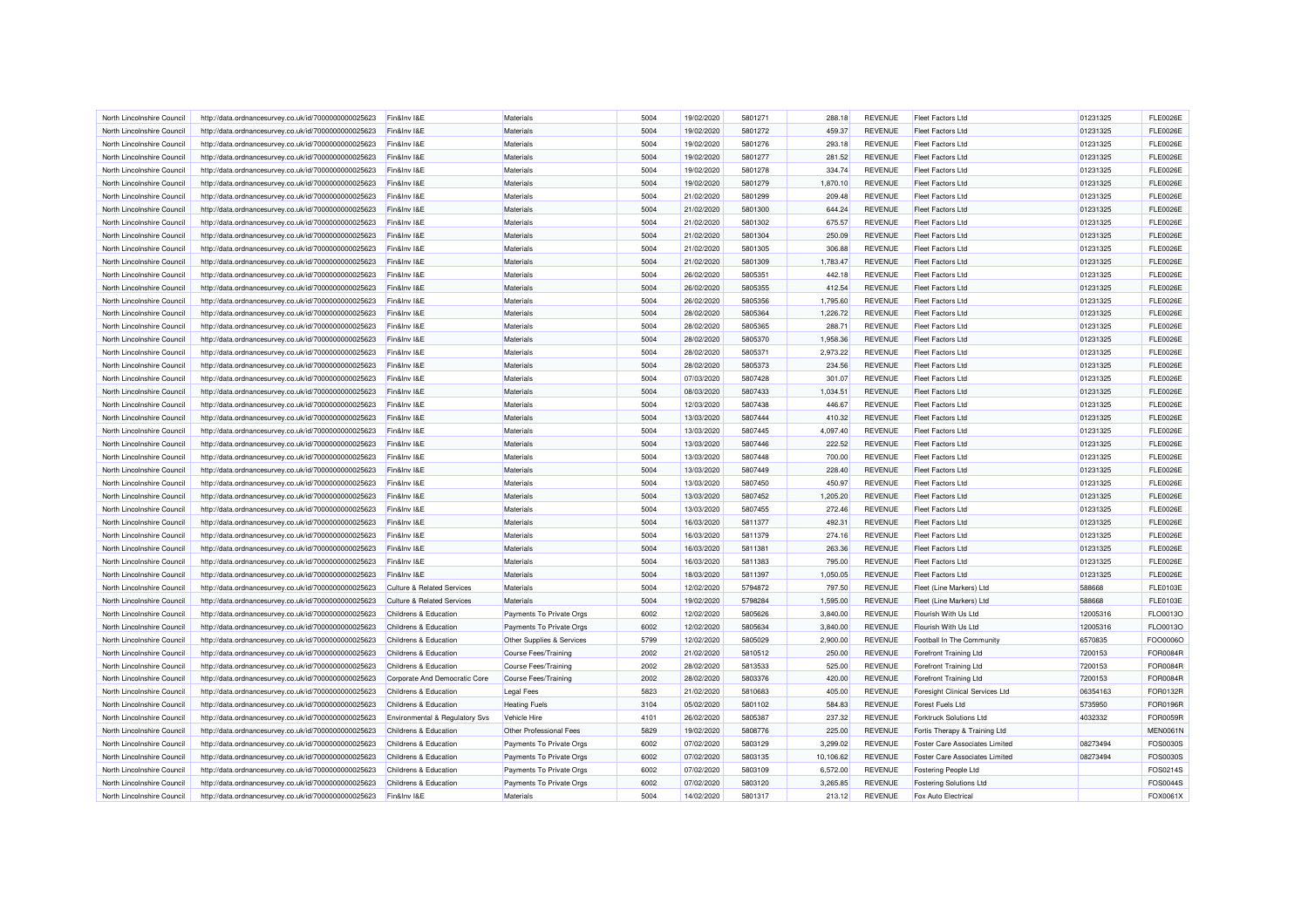| North Lincolnshire Council | http://data.ordnancesurvey.co.uk/id/7000000000025623 | Fin&Inv I&E                           | Materials                 | 5004 | 19/02/2020 | 5801271 | 288.18    | <b>REVENUE</b> | <b>Fleet Factors Ltd</b>              | 01231325 | <b>FLE0026E</b> |
|----------------------------|------------------------------------------------------|---------------------------------------|---------------------------|------|------------|---------|-----------|----------------|---------------------------------------|----------|-----------------|
| North Lincolnshire Council | http://data.ordnancesurvey.co.uk/id/7000000000025623 | Fin&Inv I&E                           | Materials                 | 5004 | 19/02/2020 | 5801272 | 459.37    | <b>REVENUE</b> | <b>Fleet Factors Ltd</b>              | 01231325 | <b>FLE0026E</b> |
| North Lincolnshire Council | http://data.ordnancesurvey.co.uk/id/7000000000025623 | Fin&Inv I&E                           | Materials                 | 5004 | 19/02/2020 | 5801276 | 293.18    | <b>REVENUE</b> | <b>Fleet Factors Ltd</b>              | 01231325 | <b>FLE0026E</b> |
| North Lincolnshire Council | http://data.ordnancesurvey.co.uk/id/7000000000025623 | Fin&Inv I&E                           | Materials                 | 5004 | 19/02/2020 | 5801277 | 281.52    | <b>REVENUE</b> | <b>Fleet Factors Ltd</b>              | 01231325 | <b>FLE0026E</b> |
| North Lincolnshire Council | http://data.ordnancesurvey.co.uk/id/7000000000025623 | Fin&Inv I&E                           | Materials                 | 5004 | 19/02/2020 | 5801278 | 334.74    | <b>REVENUE</b> | <b>Fleet Factors Ltd</b>              | 01231325 | <b>FLE0026E</b> |
| North Lincolnshire Council | http://data.ordnancesurvey.co.uk/id/7000000000025623 | Fin&Inv I&E                           | Materials                 | 5004 | 19/02/2020 | 5801279 | 1,870.10  | <b>REVENUE</b> | <b>Fleet Factors Ltd</b>              | 01231325 | <b>FLE0026E</b> |
| North Lincolnshire Council | http://data.ordnancesurvey.co.uk/id/7000000000025623 | Fin&Inv I&E                           | Materials                 | 5004 | 21/02/2020 | 5801299 | 209.48    | <b>REVENUE</b> | <b>Fleet Factors Ltd</b>              | 01231325 | <b>FLE0026E</b> |
| North Lincolnshire Council | http://data.ordnancesurvey.co.uk/id/7000000000025623 | Fin&Inv I&E                           | Materials                 | 5004 | 21/02/2020 | 5801300 | 644.24    | <b>REVENUE</b> | <b>Fleet Factors Ltd</b>              | 01231325 | <b>FLE0026E</b> |
| North Lincolnshire Council |                                                      |                                       | Materials                 | 5004 | 21/02/2020 | 5801302 | 675.57    | <b>REVENUE</b> |                                       | 01231325 | <b>FLE0026E</b> |
|                            | http://data.ordnancesurvey.co.uk/id/7000000000025623 | Fin&Inv I&E                           |                           |      |            |         |           |                | <b>Fleet Factors Ltd</b>              |          |                 |
| North Lincolnshire Council | http://data.ordnancesurvey.co.uk/id/7000000000025623 | Fin&Inv I&E                           | Materials                 | 5004 | 21/02/2020 | 5801304 | 250.09    | <b>REVENUE</b> | <b>Fleet Factors Ltd</b>              | 01231325 | <b>FLE0026E</b> |
| North Lincolnshire Council | http://data.ordnancesurvey.co.uk/id/7000000000025623 | Fin&Inv I&E                           | Materials                 | 5004 | 21/02/2020 | 5801305 | 306.88    | <b>REVENUE</b> | <b>Fleet Factors Ltd</b>              | 01231325 | <b>FLE0026E</b> |
| North Lincolnshire Council | http://data.ordnancesurvey.co.uk/id/7000000000025623 | Fin&Inv I&E                           | Materials                 | 5004 | 21/02/2020 | 5801309 | 1,783.47  | <b>REVENUE</b> | <b>Fleet Factors Ltd</b>              | 01231325 | <b>FLE0026E</b> |
| North Lincolnshire Council | http://data.ordnancesurvey.co.uk/id/7000000000025623 | Fin&Inv I&E                           | Materials                 | 5004 | 26/02/2020 | 5805351 | 442.18    | <b>REVENUE</b> | <b>Fleet Factors Ltd</b>              | 01231325 | <b>FLE0026E</b> |
| North Lincolnshire Council | http://data.ordnancesurvey.co.uk/id/7000000000025623 | Fin&Inv I&E                           | Materials                 | 5004 | 26/02/2020 | 5805355 | 412.54    | <b>REVENUE</b> | <b>Fleet Factors Ltd</b>              | 01231325 | <b>FLE0026E</b> |
| North Lincolnshire Council | http://data.ordnancesurvey.co.uk/id/7000000000025623 | Fin&Inv I&E                           | Materials                 | 5004 | 26/02/2020 | 5805356 | 1,795.60  | <b>REVENUE</b> | <b>Fleet Factors Ltd</b>              | 01231325 | <b>FLE0026E</b> |
| North Lincolnshire Council | http://data.ordnancesurvey.co.uk/id/7000000000025623 | Fin&Inv I&E                           | Materials                 | 5004 | 28/02/2020 | 5805364 | 1,226.72  | <b>REVENUE</b> | <b>Fleet Factors Ltd</b>              | 01231325 | <b>FLE0026E</b> |
| North Lincolnshire Council | http://data.ordnancesurvey.co.uk/id/7000000000025623 | Fin&Inv I&E                           | Materials                 | 5004 | 28/02/2020 | 5805365 | 288.71    | <b>REVENUE</b> | <b>Fleet Factors Ltd</b>              | 01231325 | <b>FLE0026E</b> |
| North Lincolnshire Council | http://data.ordnancesurvey.co.uk/id/7000000000025623 | Fin&Inv I&E                           | Materials                 | 5004 | 28/02/2020 | 5805370 | 1,958.36  | <b>REVENUE</b> | <b>Fleet Factors Ltd</b>              | 01231325 | <b>FLE0026E</b> |
| North Lincolnshire Council | http://data.ordnancesurvey.co.uk/id/7000000000025623 | Fin&Inv I&E                           | Materials                 | 5004 | 28/02/2020 | 5805371 | 2,973.22  | <b>REVENUE</b> | <b>Fleet Factors Ltd</b>              | 01231325 | <b>FLE0026E</b> |
| North Lincolnshire Council | http://data.ordnancesurvey.co.uk/id/7000000000025623 | Fin&Inv I&E                           | Materials                 | 5004 | 28/02/2020 | 5805373 | 234.56    | <b>REVENUE</b> | <b>Fleet Factors Ltd</b>              | 01231325 | <b>FLE0026E</b> |
| North Lincolnshire Council | http://data.ordnancesurvey.co.uk/id/7000000000025623 | Fin&Inv I&E                           | Materials                 | 5004 | 07/03/2020 | 5807428 | 301.07    | <b>REVENUE</b> | <b>Fleet Factors Ltd</b>              | 01231325 | <b>FLE0026E</b> |
| North Lincolnshire Council | http://data.ordnancesurvey.co.uk/id/7000000000025623 | Fin&Inv I&E                           | Materials                 | 5004 | 08/03/2020 | 5807433 | 1,034.51  | <b>REVENUE</b> | <b>Fleet Factors Ltd</b>              | 01231325 | <b>FLE0026E</b> |
| North Lincolnshire Council | http://data.ordnancesurvey.co.uk/id/7000000000025623 | Fin&Inv I&E                           | Materials                 | 5004 | 12/03/2020 | 5807438 | 446.67    | <b>REVENUE</b> | <b>Fleet Factors Ltd</b>              | 01231325 | <b>FLE0026E</b> |
| North Lincolnshire Council | http://data.ordnancesurvey.co.uk/id/7000000000025623 | Fin&Inv I&E                           | Materials                 | 5004 | 13/03/2020 | 5807444 | 410.32    | <b>REVENUE</b> | <b>Fleet Factors Ltd</b>              | 01231325 | <b>FLE0026E</b> |
| North Lincolnshire Council | http://data.ordnancesurvey.co.uk/id/7000000000025623 | Fin&Inv I&E                           | Materials                 | 5004 | 13/03/2020 | 5807445 | 4.097.40  | <b>REVENUE</b> | <b>Fleet Factors Ltd</b>              | 01231325 | <b>FLE0026E</b> |
| North Lincolnshire Council | http://data.ordnancesurvey.co.uk/id/7000000000025623 | Fin&Inv I&E                           | Materials                 | 5004 | 13/03/2020 | 5807446 | 222.52    | <b>REVENUE</b> | <b>Fleet Factors Ltd</b>              | 01231325 | <b>FLE0026E</b> |
| North Lincolnshire Council | http://data.ordnancesurvey.co.uk/id/7000000000025623 | Fin&Inv I&E                           | Materials                 | 5004 | 13/03/2020 | 5807448 | 700.00    | <b>REVENUE</b> | <b>Fleet Factors Ltd</b>              | 01231325 | <b>FLE0026E</b> |
| North Lincolnshire Council | http://data.ordnancesurvey.co.uk/id/7000000000025623 | Fin&Inv I&E                           | Materials                 | 5004 | 13/03/2020 | 5807449 | 228.40    | <b>REVENUE</b> | <b>Fleet Factors Ltd</b>              | 01231325 | <b>FLE0026E</b> |
| North Lincolnshire Council | http://data.ordnancesurvey.co.uk/id/7000000000025623 | Fin&Inv I&E                           | Materials                 | 5004 | 13/03/2020 | 5807450 | 450.97    | <b>REVENUE</b> | <b>Fleet Factors Ltd</b>              | 01231325 | <b>FLE0026E</b> |
| North Lincolnshire Council | http://data.ordnancesurvey.co.uk/id/7000000000025623 | Fin&Inv I&E                           | Materials                 | 5004 | 13/03/2020 | 5807452 | 1,205.20  | <b>REVENUE</b> | <b>Fleet Factors Ltd</b>              | 01231325 | <b>FLE0026E</b> |
| North Lincolnshire Council | http://data.ordnancesurvey.co.uk/id/7000000000025623 | Fin&Inv I&E                           | Materials                 | 5004 | 13/03/2020 | 5807455 | 272.46    | <b>REVENUE</b> | <b>Fleet Factors Ltd</b>              | 01231325 | <b>FLE0026E</b> |
|                            |                                                      |                                       |                           |      |            |         |           |                |                                       |          |                 |
| North Lincolnshire Council | http://data.ordnancesurvey.co.uk/id/7000000000025623 | Fin&Inv I&E                           | Materials                 | 5004 | 16/03/2020 | 5811377 | 492.31    | <b>REVENUE</b> | <b>Fleet Factors Ltd</b>              | 01231325 | <b>FLE0026E</b> |
| North Lincolnshire Council | http://data.ordnancesurvey.co.uk/id/7000000000025623 | Fin&Inv I&E                           | Materials                 | 5004 | 16/03/2020 | 5811379 | 274.16    | <b>REVENUE</b> | <b>Fleet Factors Ltd</b>              | 01231325 | <b>FLE0026E</b> |
| North Lincolnshire Council | http://data.ordnancesurvey.co.uk/id/7000000000025623 | Fin&Inv I&E                           | Materials                 | 5004 | 16/03/2020 | 5811381 | 263.36    | <b>REVENUE</b> | <b>Fleet Factors Ltd</b>              | 01231325 | <b>FLE0026E</b> |
| North Lincolnshire Council | http://data.ordnancesurvey.co.uk/id/7000000000025623 | Fin&Inv I&E                           | Materials                 | 5004 | 16/03/2020 | 5811383 | 795.00    | <b>REVENUE</b> | <b>Fleet Factors Ltd</b>              | 01231325 | <b>FLE0026E</b> |
| North Lincolnshire Council | http://data.ordnancesurvey.co.uk/id/7000000000025623 | Fin&Inv I&E                           | Materials                 | 5004 | 18/03/2020 | 5811397 | 1,050.05  | <b>REVENUE</b> | Fleet Factors Ltd                     | 01231325 | <b>FLE0026E</b> |
| North Lincolnshire Council | http://data.ordnancesurvey.co.uk/id/7000000000025623 | <b>Culture &amp; Related Services</b> | Materials                 | 5004 | 12/02/2020 | 5794872 | 797.50    | <b>REVENUE</b> | Fleet (Line Markers) Ltd              | 588668   | FLE0103E        |
| North Lincolnshire Council | http://data.ordnancesurvey.co.uk/id/7000000000025623 | <b>Culture &amp; Related Services</b> | Materials                 | 5004 | 19/02/2020 | 5798284 | 1,595.00  | <b>REVENUE</b> | Fleet (Line Markers) Ltd              | 588668   | FLE0103E        |
| North Lincolnshire Council | http://data.ordnancesurvey.co.uk/id/7000000000025623 | Childrens & Education                 | Payments To Private Orgs  | 6002 | 12/02/2020 | 5805626 | 3,840.00  | <b>REVENUE</b> | Flourish With Us Ltd                  | 12005316 | FLO0013O        |
| North Lincolnshire Council | http://data.ordnancesurvey.co.uk/id/7000000000025623 | Childrens & Education                 | Payments To Private Orgs  | 6002 | 12/02/2020 | 5805634 | 3,840.00  | <b>REVENUE</b> | Flourish With Us Ltd                  | 12005316 | FLO0013O        |
| North Lincolnshire Council | http://data.ordnancesurvey.co.uk/id/7000000000025623 | Childrens & Education                 | Other Supplies & Services | 5799 | 12/02/2020 | 5805029 | 2,900.00  | <b>REVENUE</b> | Football In The Community             | 6570835  | FOO0006O        |
| North Lincolnshire Council | http://data.ordnancesurvey.co.uk/id/7000000000025623 | Childrens & Education                 | Course Fees/Training      | 2002 | 21/02/2020 | 5810512 | 250.00    | <b>REVENUE</b> | Forefront Training Ltd                | 7200153  | <b>FOR0084R</b> |
| North Lincolnshire Council | http://data.ordnancesurvey.co.uk/id/7000000000025623 | Childrens & Education                 | Course Fees/Training      | 2002 | 28/02/2020 | 5813533 | 525.00    | <b>REVENUE</b> | Forefront Training Ltd                | 7200153  | <b>FOR0084R</b> |
| North Lincolnshire Council | http://data.ordnancesurvey.co.uk/id/7000000000025623 | Corporate And Democratic Core         | Course Fees/Training      | 2002 | 28/02/2020 | 5803376 | 420.00    | <b>REVENUE</b> | <b>Forefront Training Ltd</b>         | 7200153  | <b>FOR0084R</b> |
| North Lincolnshire Council | http://data.ordnancesurvey.co.uk/id/7000000000025623 | Childrens & Education                 | <b>Legal Fees</b>         | 5823 | 21/02/2020 | 5810683 | 405.00    | <b>REVENUE</b> | Foresight Clinical Services Ltd       | 06354163 | FOR0132R        |
| North Lincolnshire Council | http://data.ordnancesurvey.co.uk/id/7000000000025623 | Childrens & Education                 | <b>Heating Fuels</b>      | 3104 | 05/02/2020 | 5801102 | 584.83    | <b>REVENUE</b> | Forest Fuels Ltd                      | 5735950  | FOR0196R        |
| North Lincolnshire Council | http://data.ordnancesurvey.co.uk/id/7000000000025623 | Environmental & Regulatory Svs        | Vehicle Hire              | 4101 | 26/02/2020 | 5805387 | 237.32    | <b>REVENUE</b> | <b>Forktruck Solutions Ltd</b>        | 4032332  | FOR0059R        |
| North Lincolnshire Council | http://data.ordnancesurvey.co.uk/id/7000000000025623 | Childrens & Education                 | Other Professional Fees   | 5829 | 19/02/2020 | 5808776 | 225.00    | <b>REVENUE</b> | Fortis Therapy & Training Ltd         |          | <b>MEN0061N</b> |
| North Lincolnshire Council | http://data.ordnancesurvey.co.uk/id/7000000000025623 | Childrens & Education                 | Payments To Private Orgs  | 6002 | 07/02/2020 | 5803129 | 3,299.02  | <b>REVENUE</b> | <b>Foster Care Associates Limited</b> | 08273494 | FOS0030S        |
| North Lincolnshire Council | http://data.ordnancesurvey.co.uk/id/7000000000025623 | Childrens & Education                 | Payments To Private Orgs  | 6002 | 07/02/2020 | 5803135 | 10,106.62 | <b>REVENUE</b> | <b>Foster Care Associates Limited</b> | 08273494 | FOS0030S        |
| North Lincolnshire Council | http://data.ordnancesurvey.co.uk/id/7000000000025623 | Childrens & Education                 | Payments To Private Orgs  | 6002 | 07/02/2020 | 5803109 | 6,572.00  | <b>REVENUE</b> | Fostering People Ltd                  |          | FOS0214S        |
| North Lincolnshire Council | http://data.ordnancesurvey.co.uk/id/7000000000025623 | Childrens & Education                 | Payments To Private Orgs  | 6002 | 07/02/2020 | 5803120 | 3,265.85  | <b>REVENUE</b> | <b>Fostering Solutions Ltd</b>        |          | FOS0044S        |
| North Lincolnshire Council | http://data.ordnancesurvey.co.uk/id/7000000000025623 | Fin&Inv I&E                           | Materials                 | 5004 | 14/02/2020 | 5801317 | 213.12    | <b>REVENUE</b> | Fox Auto Electrical                   |          | FOX0061X        |
|                            |                                                      |                                       |                           |      |            |         |           |                |                                       |          |                 |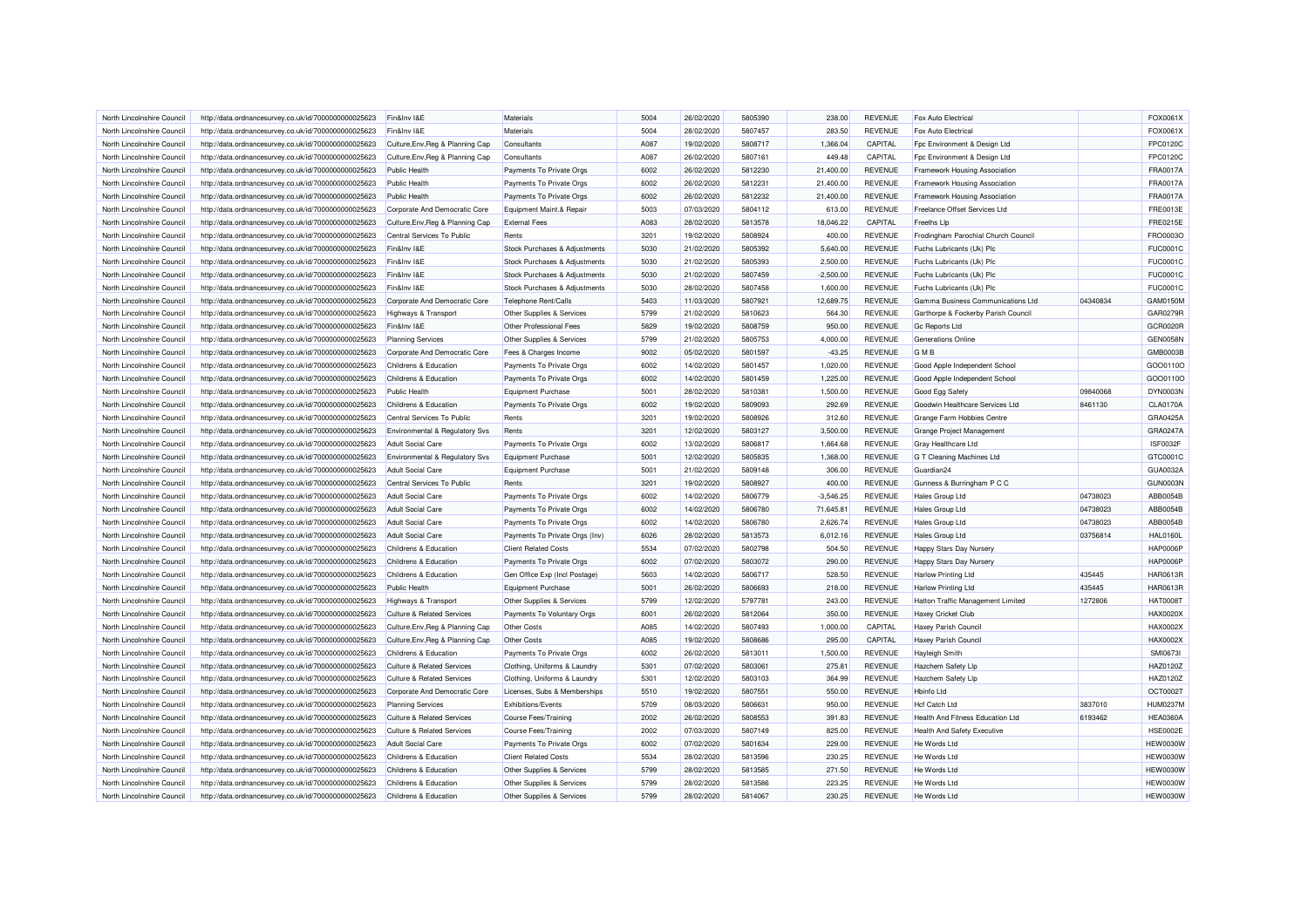| North Lincolnshire Council | http://data.ordnancesurvey.co.uk/id/7000000000025623 | Fin&Inv I&E                           | Materials                      | 5004 | 26/02/2020 | 5805390 | 238.00      | <b>REVENUE</b> | Fox Auto Electrical                  |          | FOX0061X        |
|----------------------------|------------------------------------------------------|---------------------------------------|--------------------------------|------|------------|---------|-------------|----------------|--------------------------------------|----------|-----------------|
| North Lincolnshire Council | http://data.ordnancesurvey.co.uk/id/7000000000025623 | Fin&Inv I&E                           | Materials                      | 5004 | 28/02/2020 | 5807457 | 283.50      | <b>REVENUE</b> | Fox Auto Electrical                  |          | FOX0061X        |
| North Lincolnshire Council | http://data.ordnancesurvey.co.uk/id/7000000000025623 | Culture, Env, Reg & Planning Cap      | Consultants                    | A087 | 19/02/2020 | 5808717 | 1,366.04    | CAPITAL        | Fpc Environment & Design Ltd         |          | FPC0120C        |
| North Lincolnshire Council | http://data.ordnancesurvey.co.uk/id/7000000000025623 | Culture, Env, Reg & Planning Cap      | Consultants                    | A087 | 26/02/2020 | 5807161 | 449.48      | CAPITAL        | Fpc Environment & Design Ltd         |          | FPC0120C        |
| North Lincolnshire Council | http://data.ordnancesurvey.co.uk/id/7000000000025623 | <b>Public Health</b>                  | Payments To Private Orgs       | 6002 | 26/02/2020 | 5812230 | 21,400.00   | <b>REVENUE</b> | <b>Framework Housing Association</b> |          | <b>FRA0017A</b> |
| North Lincolnshire Council | http://data.ordnancesurvey.co.uk/id/7000000000025623 | <b>Public Health</b>                  | Payments To Private Orgs       | 6002 | 26/02/2020 | 5812231 | 21,400.00   | <b>REVENUE</b> | Framework Housing Association        |          | <b>FRA0017A</b> |
| North Lincolnshire Council | http://data.ordnancesurvey.co.uk/id/7000000000025623 | <b>Public Health</b>                  | Payments To Private Orgs       | 6002 | 26/02/2020 | 5812232 | 21,400.00   | <b>REVENUE</b> | Framework Housing Association        |          | <b>FRA0017A</b> |
| North Lincolnshire Council | http://data.ordnancesurvey.co.uk/id/7000000000025623 | Corporate And Democratic Core         | Equipment Maint.& Repair       | 5003 | 07/03/2020 | 5804112 | 613.00      | <b>REVENUE</b> | Freelance Offset Services Ltd        |          | FRE0013E        |
| North Lincolnshire Council | http://data.ordnancesurvey.co.uk/id/7000000000025623 | Culture, Env, Reg & Planning Cap      | <b>External Fees</b>           | A083 | 28/02/2020 | 5813578 | 18,046.22   | CAPITAL        | Freeths Llp                          |          | <b>FRE0215E</b> |
| North Lincolnshire Council | http://data.ordnancesurvey.co.uk/id/7000000000025623 | Central Services To Public            | Rents                          | 3201 | 19/02/2020 | 5808924 | 400.00      | <b>REVENUE</b> | Frodingham Parochial Church Council  |          | FRO0003C        |
| North Lincolnshire Council | http://data.ordnancesurvey.co.uk/id/7000000000025623 | Fin&Inv I&E                           | Stock Purchases & Adjustments  | 5030 | 21/02/2020 | 5805392 | 5,640.00    | <b>REVENUE</b> | Fuchs Lubricants (Uk) Plc            |          | <b>FUC0001C</b> |
| North Lincolnshire Council | http://data.ordnancesurvey.co.uk/id/7000000000025623 | Fin&Inv I&E                           | Stock Purchases & Adjustments  | 5030 | 21/02/2020 | 5805393 | 2.500.00    | <b>REVENUE</b> | Fuchs Lubricants (Uk) Plc            |          | <b>FUC0001C</b> |
| North Lincolnshire Council | http://data.ordnancesurvey.co.uk/id/7000000000025623 | Fin&Inv I&E                           | Stock Purchases & Adjustments  | 5030 | 21/02/2020 | 5807459 | $-2,500.00$ | <b>REVENUE</b> | Fuchs Lubricants (Uk) Plc            |          | <b>FUC0001C</b> |
| North Lincolnshire Council | http://data.ordnancesurvey.co.uk/id/7000000000025623 | Fin&Inv I&E                           | Stock Purchases & Adjustments  | 5030 | 28/02/2020 | 5807458 | 1,600.00    | <b>REVENUE</b> | Fuchs Lubricants (Uk) Plc            |          | <b>FUC0001C</b> |
| North Lincolnshire Council | http://data.ordnancesurvey.co.uk/id/7000000000025623 | Corporate And Democratic Core         | Telephone Rent/Calls           | 5403 | 11/03/2020 | 5807921 | 12,689.75   | <b>REVENUE</b> | Gamma Business Communications Ltd    | 04340834 | GAM0150M        |
| North Lincolnshire Council | http://data.ordnancesurvey.co.uk/id/7000000000025623 | <b>Highways &amp; Transport</b>       | Other Supplies & Services      | 5799 | 21/02/2020 | 5810623 | 564.30      | <b>REVENUE</b> | Garthorpe & Fockerby Parish Council  |          | GAR0279R        |
| North Lincolnshire Council | http://data.ordnancesurvey.co.uk/id/7000000000025623 | Fin&Inv I&E                           | Other Professional Fees        | 5829 | 19/02/2020 | 5808759 | 950.00      | <b>REVENUE</b> | <b>Gc Reports Ltd</b>                |          | GCR0020R        |
| North Lincolnshire Council | http://data.ordnancesurvey.co.uk/id/7000000000025623 | <b>Planning Services</b>              | Other Supplies & Services      | 5799 | 21/02/2020 | 5805753 | 4,000.00    | <b>REVENUE</b> | Generations Online                   |          | <b>GEN0058N</b> |
| North Lincolnshire Council | http://data.ordnancesurvey.co.uk/id/7000000000025623 | Corporate And Democratic Core         | Fees & Charges Income          | 9002 | 05/02/2020 | 5801597 | $-43.25$    | <b>REVENUE</b> | <b>GMB</b>                           |          | GMB0003B        |
| North Lincolnshire Council | http://data.ordnancesurvey.co.uk/id/7000000000025623 | Childrens & Education                 | Payments To Private Orgs       | 6002 | 14/02/2020 | 5801457 | 1.020.00    | <b>REVENUE</b> | Good Apple Independent School        |          | GOO0110C        |
| North Lincolnshire Council |                                                      | Childrens & Education                 |                                | 6002 | 14/02/2020 | 5801459 | 1,225.00    | <b>REVENUE</b> |                                      |          | GO00110C        |
|                            | http://data.ordnancesurvey.co.uk/id/7000000000025623 |                                       | Payments To Private Orgs       |      |            |         |             |                | Good Apple Independent School        |          |                 |
| North Lincolnshire Council | http://data.ordnancesurvey.co.uk/id/7000000000025623 | <b>Public Health</b>                  | Equipment Purchase             | 5001 | 28/02/2020 | 5810381 | 1,500.00    | <b>REVENUE</b> | Good Egg Safety                      | 09840068 | DYN0003N        |
| North Lincolnshire Council | http://data.ordnancesurvey.co.uk/id/7000000000025623 | Childrens & Education                 | Payments To Private Orgs       | 6002 | 19/02/2020 | 5809093 | 292.69      | <b>REVENUE</b> | Goodwin Healthcare Services Ltd      | 8461130  | <b>CLA0170A</b> |
| North Lincolnshire Council | http://data.ordnancesurvey.co.uk/id/7000000000025623 | Central Services To Public            | Rents                          | 3201 | 19/02/2020 | 5808926 | 312.60      | <b>REVENUE</b> | Grange Farm Hobbies Centre           |          | GRA0425A        |
| North Lincolnshire Council | http://data.ordnancesurvey.co.uk/id/7000000000025623 | Environmental & Regulatory Svs        | Rents                          | 3201 | 12/02/2020 | 5803127 | 3,500.00    | <b>REVENUE</b> | Grange Project Management            |          | GRA0247A        |
| North Lincolnshire Council | http://data.ordnancesurvey.co.uk/id/7000000000025623 | Adult Social Care                     | Payments To Private Orgs       | 6002 | 13/02/2020 | 5806817 | 1,864.68    | <b>REVENUE</b> | Gray Healthcare Ltd                  |          | <b>ISF0032F</b> |
| North Lincolnshire Council | http://data.ordnancesurvey.co.uk/id/7000000000025623 | Environmental & Regulatory Svs        | Equipment Purchase             | 5001 | 12/02/2020 | 5805835 | 1,368.00    | <b>REVENUE</b> | G T Cleaning Machines Ltd            |          | GTC0001C        |
| North Lincolnshire Council | http://data.ordnancesurvey.co.uk/id/7000000000025623 | <b>Adult Social Care</b>              | Equipment Purchase             | 5001 | 21/02/2020 | 5809148 | 306.00      | <b>REVENUE</b> | Guardian24                           |          | GUA0032A        |
| North Lincolnshire Council | http://data.ordnancesurvey.co.uk/id/7000000000025623 | Central Services To Public            | Rents                          | 3201 | 19/02/2020 | 5808927 | 400.00      | <b>REVENUE</b> | Gunness & Burringham P C C           |          | GUN0003N        |
| North Lincolnshire Council | http://data.ordnancesurvey.co.uk/id/7000000000025623 | Adult Social Care                     | Payments To Private Orgs       | 6002 | 14/02/2020 | 5806779 | $-3,546.25$ | <b>REVENUE</b> | <b>Hales Group Ltd</b>               | 04738023 | ABB0054B        |
| North Lincolnshire Council | http://data.ordnancesurvey.co.uk/id/7000000000025623 | <b>Adult Social Care</b>              | Payments To Private Orgs       | 6002 | 14/02/2020 | 5806780 | 71,645.81   | <b>REVENUE</b> | Hales Group Ltd                      | 04738023 | ABB0054B        |
| North Lincolnshire Council | http://data.ordnancesurvey.co.uk/id/7000000000025623 | Adult Social Care                     | Payments To Private Orgs       | 6002 | 14/02/2020 | 5806780 | 2,626.74    | <b>REVENUE</b> | Hales Group Ltd                      | 04738023 | ABB0054B        |
| North Lincolnshire Council | http://data.ordnancesurvey.co.uk/id/7000000000025623 | <b>Adult Social Care</b>              | Payments To Private Orgs (Inv) | 6026 | 28/02/2020 | 5813573 | 6,012.16    | <b>REVENUE</b> | Hales Group Ltd                      | 03756814 | <b>HAL0160L</b> |
| North Lincolnshire Council | http://data.ordnancesurvey.co.uk/id/7000000000025623 | Childrens & Education                 | <b>Client Related Costs</b>    | 5534 | 07/02/2020 | 5802798 | 504.50      | <b>REVENUE</b> | Happy Stars Day Nursery              |          | <b>HAP0006P</b> |
| North Lincolnshire Council | http://data.ordnancesurvey.co.uk/id/7000000000025623 | Childrens & Education                 | Payments To Private Orgs       | 6002 | 07/02/2020 | 5803072 | 290.00      | <b>REVENUE</b> | Happy Stars Day Nursery              |          | <b>HAP0006F</b> |
| North Lincolnshire Council | http://data.ordnancesurvey.co.uk/id/7000000000025623 | Childrens & Education                 | Gen Office Exp (Incl Postage)  | 5603 | 14/02/2020 | 5806717 | 528.50      | <b>REVENUE</b> | <b>Harlow Printing Ltd</b>           | 435445   | <b>HAR0613R</b> |
| North Lincolnshire Council | http://data.ordnancesurvey.co.uk/id/7000000000025623 | <b>Public Health</b>                  | <b>Equipment Purchase</b>      | 5001 | 26/02/2020 | 5806693 | 218.00      | <b>REVENUE</b> | <b>Harlow Printing Ltd</b>           | 435445   | <b>HAR0613R</b> |
| North Lincolnshire Council | http://data.ordnancesurvey.co.uk/id/7000000000025623 | Highways & Transport                  | Other Supplies & Services      | 5799 | 12/02/2020 | 5797781 | 243.00      | <b>REVENUE</b> | Hatton Traffic Management Limited    | 1272806  | <b>HAT0008T</b> |
| North Lincolnshire Council | http://data.ordnancesurvey.co.uk/id/7000000000025623 | <b>Culture &amp; Related Services</b> | Payments To Voluntary Orgs     | 6001 | 26/02/2020 | 5812064 | 350.00      | <b>REVENUE</b> | Haxey Cricket Club                   |          | <b>HAX0020X</b> |
| North Lincolnshire Council | http://data.ordnancesurvey.co.uk/id/7000000000025623 | Culture, Env, Reg & Planning Cap      | Other Costs                    | A085 | 14/02/2020 | 5807493 | 1,000.00    | CAPITAL        | Haxey Parish Council                 |          | <b>HAX0002X</b> |
| North Lincolnshire Council | http://data.ordnancesurvey.co.uk/id/7000000000025623 | Culture, Env, Reg & Planning Cap      | Other Costs                    | A085 | 19/02/2020 | 5808686 | 295.00      | CAPITAL        | Haxey Parish Council                 |          | <b>HAX0002X</b> |
| North Lincolnshire Council | http://data.ordnancesurvey.co.uk/id/7000000000025623 | Childrens & Education                 | Payments To Private Orgs       | 6002 | 26/02/2020 | 5813011 | 1,500.00    | <b>REVENUE</b> | Hayleigh Smith                       |          | <b>SMI0673I</b> |
| North Lincolnshire Council | http://data.ordnancesurvey.co.uk/id/7000000000025623 | <b>Culture &amp; Related Services</b> | Clothing, Uniforms & Laundry   | 5301 | 07/02/2020 | 5803061 | 275.81      | <b>REVENUE</b> | Hazchem Safety Llp                   |          | HAZ0120Z        |
| North Lincolnshire Council | http://data.ordnancesurvey.co.uk/id/7000000000025623 | <b>Culture &amp; Related Services</b> | Clothing, Uniforms & Laundry   | 5301 | 12/02/2020 | 5803103 | 364.99      | <b>REVENUE</b> | Hazchem Safety Llp                   |          | HAZ0120Z        |
| North Lincolnshire Council | http://data.ordnancesurvey.co.uk/id/7000000000025623 | Corporate And Democratic Core         | Licenses, Subs & Memberships   | 5510 | 19/02/2020 | 5807551 | 550.00      | <b>REVENUE</b> | Hbinfo Ltd                           |          | OCT0002T        |
| North Lincolnshire Council | http://data.ordnancesurvey.co.uk/id/7000000000025623 | <b>Planning Services</b>              | Exhibitions/Events             | 5709 | 08/03/2020 | 5806631 | 950.00      | <b>REVENUE</b> | <b>Hcf Catch Ltd</b>                 | 3837010  | <b>HUM0237M</b> |
| North Lincolnshire Council | http://data.ordnancesurvey.co.uk/id/7000000000025623 | <b>Culture &amp; Related Services</b> | <b>Course Fees/Training</b>    | 2002 | 26/02/2020 | 5808553 | 391.83      | <b>REVENUE</b> | Health And Fitness Education Ltd     | 6193462  | <b>HEA0360A</b> |
| North Lincolnshire Council | http://data.ordnancesurvey.co.uk/id/7000000000025623 | Culture & Related Services            | Course Fees/Training           | 2002 | 07/03/2020 | 5807149 | 825.00      | <b>REVENUE</b> | <b>Health And Safety Executive</b>   |          | <b>HSE0002E</b> |
| North Lincolnshire Council | http://data.ordnancesurvey.co.uk/id/7000000000025623 | <b>Adult Social Care</b>              | Payments To Private Orgs       | 6002 | 07/02/2020 | 5801634 | 229.00      | <b>REVENUE</b> | He Words Ltd                         |          | <b>HEW0030W</b> |
| North Lincolnshire Council | http://data.ordnancesurvey.co.uk/id/7000000000025623 | Childrens & Education                 | <b>Client Related Costs</b>    | 5534 | 28/02/2020 | 5813596 | 230.25      | <b>REVENUE</b> | He Words Ltd                         |          | <b>HEW0030W</b> |
| North Lincolnshire Council | http://data.ordnancesurvey.co.uk/id/7000000000025623 | <b>Childrens &amp; Education</b>      | Other Supplies & Services      | 5799 | 28/02/2020 | 5813585 | 271.50      | <b>REVENUE</b> | He Words Ltd                         |          | <b>HEW0030W</b> |
| North Lincolnshire Council | http://data.ordnancesurvey.co.uk/id/7000000000025623 | Childrens & Education                 | Other Supplies & Services      | 5799 | 28/02/2020 | 5813586 | 223.25      | <b>REVENUE</b> | He Words Ltd                         |          | <b>HEW0030W</b> |
| North Lincolnshire Council | http://data.ordnancesurvey.co.uk/id/7000000000025623 | <b>Childrens &amp; Education</b>      | Other Supplies & Services      | 5799 | 28/02/2020 | 5814067 | 230.25      | <b>REVENUE</b> | He Words Ltd                         |          | HEW0030W        |
|                            |                                                      |                                       |                                |      |            |         |             |                |                                      |          |                 |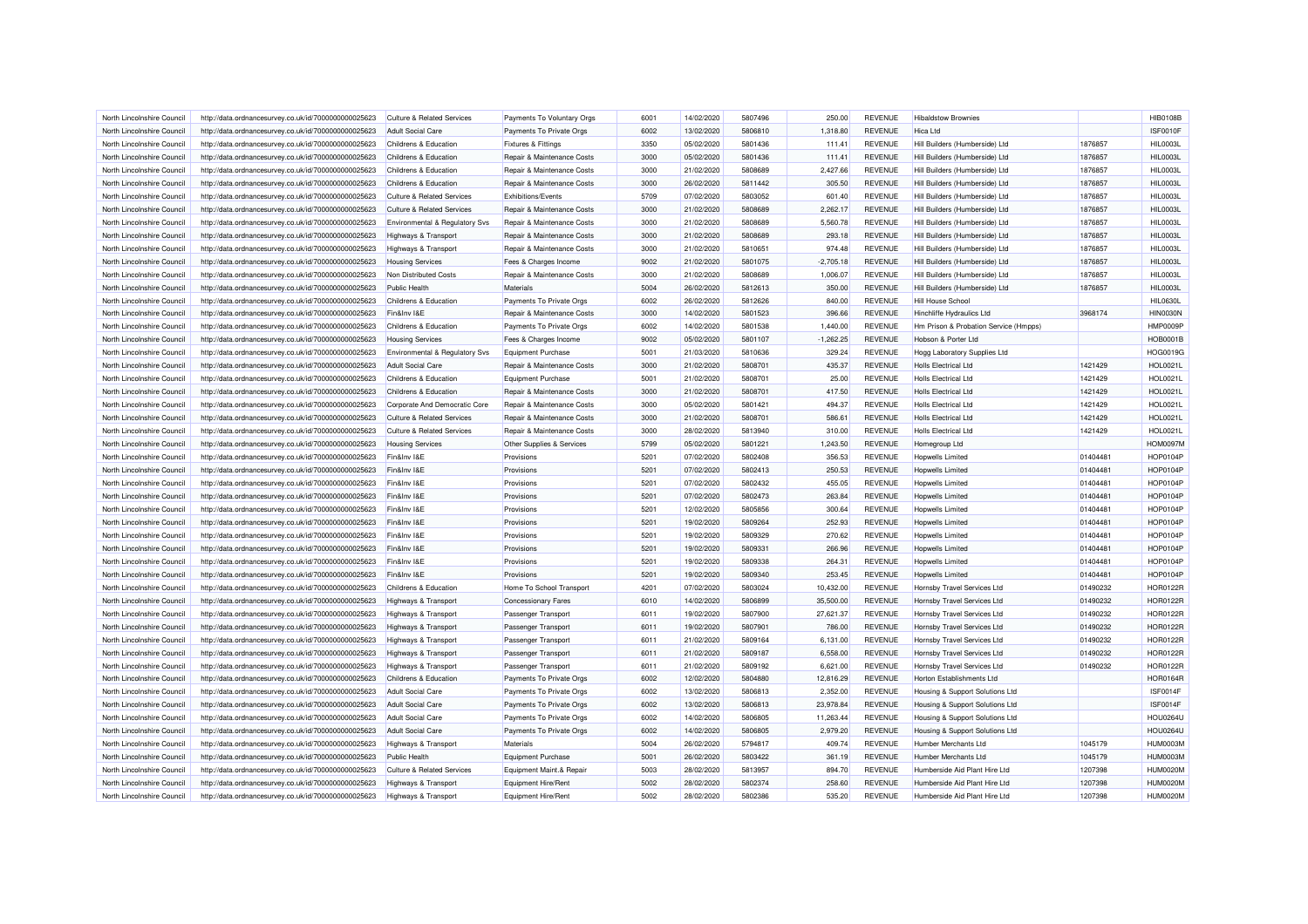| North Lincolnshire Council                               | http://data.ordnancesurvey.co.uk/id/7000000000025623                                                         | Culture & Related Services                                 | Payments To Voluntary Orgs                       | 6001         | 14/02/2020               | 5807496            | 250.00           | <b>REVENUE</b>                   | <b>Hibaldstow Brownies</b>                                  |          | <b>HIB0108B</b> |
|----------------------------------------------------------|--------------------------------------------------------------------------------------------------------------|------------------------------------------------------------|--------------------------------------------------|--------------|--------------------------|--------------------|------------------|----------------------------------|-------------------------------------------------------------|----------|-----------------|
| North Lincolnshire Council                               | http://data.ordnancesurvey.co.uk/id/7000000000025623                                                         | <b>Adult Social Care</b>                                   | Payments To Private Orgs                         | 6002         | 13/02/2020               | 5806810            | 1,318.80         | <b>REVENUE</b>                   | Hica Ltd                                                    |          | <b>ISF0010F</b> |
| North Lincolnshire Council                               | http://data.ordnancesurvey.co.uk/id/7000000000025623                                                         | Childrens & Education                                      | <b>Fixtures &amp; Fittings</b>                   | 3350         | 05/02/2020               | 5801436            | 111.41           | <b>REVENUE</b>                   | Hill Builders (Humberside) Ltd                              | 1876857  | <b>HIL0003L</b> |
| North Lincolnshire Council                               | http://data.ordnancesurvey.co.uk/id/7000000000025623                                                         | Childrens & Education                                      | Repair & Maintenance Costs                       | 3000         | 05/02/2020               | 5801436            | 111.41           | <b>REVENUE</b>                   | Hill Builders (Humberside) Ltd                              | 1876857  | <b>HIL0003L</b> |
| North Lincolnshire Council                               | http://data.ordnancesurvey.co.uk/id/7000000000025623                                                         | Childrens & Education                                      | Repair & Maintenance Costs                       | 3000         | 21/02/2020               | 5808689            | 2,427.66         | <b>REVENUE</b>                   | Hill Builders (Humberside) Ltd                              | 1876857  | <b>HIL0003L</b> |
| North Lincolnshire Council                               | http://data.ordnancesurvey.co.uk/id/7000000000025623                                                         | Childrens & Education                                      | Repair & Maintenance Costs                       | 3000         | 26/02/2020               | 5811442            | 305.50           | <b>REVENUE</b>                   | Hill Builders (Humberside) Ltd                              | 1876857  | <b>HIL0003L</b> |
| North Lincolnshire Council                               | http://data.ordnancesurvey.co.uk/id/7000000000025623                                                         | Culture & Related Services                                 | <b>Exhibitions/Events</b>                        | 5709         | 07/02/2020               | 5803052            | 601.40           | <b>REVENUE</b>                   | Hill Builders (Humberside) Ltd                              | 1876857  | HIL0003L        |
| North Lincolnshire Council                               | http://data.ordnancesurvey.co.uk/id/7000000000025623                                                         | <b>Culture &amp; Related Services</b>                      | Repair & Maintenance Costs                       | 3000         | 21/02/2020               | 5808689            | 2,262.17         | <b>REVENUE</b>                   | Hill Builders (Humberside) Ltd                              | 1876857  | <b>HIL0003L</b> |
| North Lincolnshire Council                               | http://data.ordnancesurvey.co.uk/id/7000000000025623                                                         | Environmental & Regulatory Sys                             | Repair & Maintenance Costs                       | 3000         | 21/02/2020               | 5808689            | 5.560.78         | <b>REVENUE</b>                   | Hill Builders (Humberside) Ltd                              | 1876857  | <b>HIL0003L</b> |
| North Lincolnshire Council                               | http://data.ordnancesurvey.co.uk/id/7000000000025623                                                         | <b>Highways &amp; Transport</b>                            | Repair & Maintenance Costs                       | 3000         | 21/02/2020               | 5808689            | 293.18           | <b>REVENUE</b>                   | Hill Builders (Humberside) Ltd                              | 1876857  | <b>HIL0003L</b> |
| North Lincolnshire Council                               | http://data.ordnancesurvey.co.uk/id/7000000000025623                                                         | <b>Highways &amp; Transport</b>                            | Repair & Maintenance Costs                       | 3000         | 21/02/2020               | 5810651            | 974.48           | <b>REVENUE</b>                   | Hill Builders (Humberside) Ltd                              | 1876857  | <b>HIL0003L</b> |
| North Lincolnshire Council                               | http://data.ordnancesurvey.co.uk/id/7000000000025623                                                         | <b>Housing Services</b>                                    | Fees & Charges Income                            | 9002         | 21/02/2020               | 5801075            | $-2,705.18$      | <b>REVENUE</b>                   | Hill Builders (Humberside) Ltd                              | 1876857  | <b>HIL0003L</b> |
| North Lincolnshire Council                               | http://data.ordnancesurvey.co.uk/id/7000000000025623                                                         | Non Distributed Costs                                      | Repair & Maintenance Costs                       | 3000         | 21/02/2020               | 5808689            | 1,006.07         | <b>REVENUE</b>                   | Hill Builders (Humberside) Ltd                              | 1876857  | <b>HIL0003L</b> |
| North Lincolnshire Council                               | http://data.ordnancesurvey.co.uk/id/7000000000025623                                                         | <b>Public Health</b>                                       | Materials                                        | 5004         | 26/02/2020               | 5812613            | 350.00           | <b>REVENUE</b>                   | Hill Builders (Humberside) Ltd                              | 1876857  | <b>HIL0003L</b> |
| North Lincolnshire Council                               | http://data.ordnancesurvey.co.uk/id/7000000000025623                                                         | Childrens & Education                                      | Payments To Private Orgs                         | 6002         | 26/02/2020               | 5812626            | 840.00           | <b>REVENUE</b>                   | Hill House School                                           |          | <b>HIL0630L</b> |
| North Lincolnshire Council                               | http://data.ordnancesurvey.co.uk/id/7000000000025623                                                         | Fin&Inv I&E                                                | Repair & Maintenance Costs                       | 3000         | 14/02/2020               | 5801523            | 396.66           | <b>REVENUE</b>                   | Hinchliffe Hydraulics Ltd                                   | 3968174  | <b>HIN0030N</b> |
| North Lincolnshire Council                               | http://data.ordnancesurvey.co.uk/id/7000000000025623                                                         | Childrens & Education                                      | Payments To Private Orgs                         | 6002         | 14/02/2020               | 5801538            | 1.440.00         | <b>REVENUE</b>                   | Hm Prison & Probation Service (Hmpps)                       |          | HMP0009P        |
| North Lincolnshire Council                               | http://data.ordnancesurvey.co.uk/id/7000000000025623                                                         | <b>Housing Services</b>                                    | Fees & Charges Income                            | 9002         | 05/02/2020               | 5801107            | $-1,262.25$      | <b>REVENUE</b>                   | Hobson & Porter Ltd                                         |          | <b>HOB0001B</b> |
|                                                          |                                                                                                              |                                                            |                                                  | 5001         |                          | 5810636            |                  |                                  |                                                             |          | HOG0019G        |
| North Lincolnshire Council<br>North Lincolnshire Council | http://data.ordnancesurvey.co.uk/id/7000000000025623<br>http://data.ordnancesurvey.co.uk/id/7000000000025623 | Environmental & Regulatory Svs<br><b>Adult Social Care</b> | Equipment Purchase<br>Repair & Maintenance Costs | 3000         | 21/03/2020<br>21/02/2020 | 5808701            | 329.24<br>435.37 | <b>REVENUE</b><br><b>REVENUE</b> | Hogg Laboratory Supplies Ltd<br><b>Holls Electrical Ltd</b> | 1421429  | <b>HOL0021L</b> |
|                                                          |                                                                                                              |                                                            |                                                  | 5001         | 21/02/2020               | 5808701            | 25.00            | <b>REVENUE</b>                   |                                                             | 1421429  | <b>HOL0021L</b> |
| North Lincolnshire Council                               | http://data.ordnancesurvey.co.uk/id/7000000000025623                                                         | Childrens & Education                                      | Equipment Purchase                               |              |                          |                    |                  |                                  | <b>Holls Electrical Ltd</b>                                 |          |                 |
| North Lincolnshire Council                               | http://data.ordnancesurvey.co.uk/id/7000000000025623                                                         | Childrens & Education                                      | Repair & Maintenance Costs                       | 3000         | 21/02/2020               | 5808701            | 417.50           | <b>REVENUE</b>                   | <b>Holls Electrical Ltd</b>                                 | 1421429  | <b>HOL0021L</b> |
| North Lincolnshire Council                               | http://data.ordnancesurvey.co.uk/id/7000000000025623                                                         | Corporate And Democratic Core                              | Repair & Maintenance Costs                       | 3000         | 05/02/2020               | 5801421            | 494.37           | <b>REVENUE</b>                   | <b>Holls Electrical Ltd</b>                                 | 1421429  | <b>HOL0021L</b> |
| North Lincolnshire Council                               | http://data.ordnancesurvey.co.uk/id/7000000000025623                                                         | <b>Culture &amp; Related Services</b>                      | Repair & Maintenance Costs                       | 3000         | 21/02/2020               | 5808701            | 586.61           | <b>REVENUE</b>                   | <b>Holls Electrical Ltd</b>                                 | 1421429  | <b>HOL0021L</b> |
| North Lincolnshire Council                               | http://data.ordnancesurvey.co.uk/id/7000000000025623                                                         | <b>Culture &amp; Related Services</b>                      | Repair & Maintenance Costs                       | 3000         | 28/02/2020               | 5813940            | 310.00           | <b>REVENUE</b>                   | <b>Holls Electrical Ltd</b>                                 | 1421429  | <b>HOL0021L</b> |
| North Lincolnshire Council                               | http://data.ordnancesurvey.co.uk/id/7000000000025623                                                         | <b>Housing Services</b>                                    | Other Supplies & Services                        | 5799         | 05/02/2020               | 5801221            | 1,243.50         | <b>REVENUE</b>                   | Homegroup Ltd                                               |          | <b>HOM0097M</b> |
| North Lincolnshire Council                               | http://data.ordnancesurvey.co.uk/id/7000000000025623                                                         | Fin&Inv I&E                                                | Provisions                                       | 5201         | 07/02/2020               | 5802408            | 356.53           | <b>REVENUE</b>                   | Hopwells Limited                                            | 01404481 | <b>HOP0104F</b> |
| North Lincolnshire Council                               | http://data.ordnancesurvey.co.uk/id/7000000000025623                                                         | Fin&Inv I&E                                                | Provisions                                       | 5201         | 07/02/2020               | 5802413            | 250.53           | <b>REVENUE</b>                   | Hopwells Limited                                            | 01404481 | <b>HOP0104F</b> |
| North Lincolnshire Council                               | http://data.ordnancesurvey.co.uk/id/7000000000025623                                                         | Fin&Inv I&E                                                | Provisions                                       | 5201         | 07/02/2020               | 5802432            | 455.05           | <b>REVENUE</b>                   | Hopwells Limited                                            | 01404481 | <b>HOP0104F</b> |
| North Lincolnshire Council                               | http://data.ordnancesurvey.co.uk/id/7000000000025623                                                         | Fin&Inv I&E                                                | Provisions                                       | 5201         | 07/02/2020               | 5802473            | 263.84           | <b>REVENUE</b>                   | Hopwells Limited                                            | 01404481 | <b>HOP0104F</b> |
| North Lincolnshire Council                               | http://data.ordnancesurvey.co.uk/id/7000000000025623                                                         | Fin&Inv I&E                                                | Provisions                                       | 5201         | 12/02/2020               | 5805856            | 300.64           | <b>REVENUE</b>                   | <b>Hopwells Limited</b>                                     | 01404481 | <b>HOP0104F</b> |
| North Lincolnshire Council                               | http://data.ordnancesurvey.co.uk/id/7000000000025623                                                         | Fin&Inv I&E                                                | Provisions                                       | 5201         | 19/02/2020               | 5809264            | 252.93           | <b>REVENUE</b>                   | Hopwells Limited                                            | 01404481 | <b>HOP0104F</b> |
| North Lincolnshire Council                               | http://data.ordnancesurvey.co.uk/id/7000000000025623                                                         | Fin&Inv I&E                                                | Provisions                                       | 5201         | 19/02/2020               | 5809329            | 270.62           | <b>REVENUE</b>                   | <b>Hopwells Limited</b>                                     | 01404481 | <b>HOP0104F</b> |
| North Lincolnshire Council                               | http://data.ordnancesurvey.co.uk/id/7000000000025623                                                         | Fin&Inv I&E                                                | Provisions                                       | 5201         | 19/02/2020               | 5809331            | 266.96           | <b>REVENUE</b>                   | Hopwells Limited                                            | 01404481 | <b>HOP0104F</b> |
| North Lincolnshire Council                               | http://data.ordnancesurvey.co.uk/id/7000000000025623                                                         | Fin&Inv I&E                                                | Provisions                                       | 5201         | 19/02/2020               | 5809338            | 264.31           | <b>REVENUE</b>                   | Hopwells Limited                                            | 01404481 | <b>HOP0104F</b> |
| North Lincolnshire Council                               | http://data.ordnancesurvey.co.uk/id/7000000000025623                                                         | Fin&Inv I&E                                                | Provisions                                       | 5201         | 19/02/2020               | 5809340            | 253.45           | <b>REVENUE</b>                   | Hopwells Limited                                            | 01404481 | <b>HOP0104F</b> |
| North Lincolnshire Council                               | http://data.ordnancesurvey.co.uk/id/7000000000025623                                                         | Childrens & Education                                      | Home To School Transport                         | 4201         | 07/02/2020               | 5803024            | 10,432.00        | <b>REVENUE</b>                   | Hornsby Travel Services Ltd                                 | 01490232 | <b>HOR0122R</b> |
| North Lincolnshire Council                               | http://data.ordnancesurvey.co.uk/id/7000000000025623                                                         | Highways & Transport                                       | <b>Concessionary Fares</b>                       | 6010         | 14/02/2020               | 5806899            | 35,500.00        | <b>REVENUE</b>                   | Hornsby Travel Services Ltd                                 | 01490232 | <b>HOR0122R</b> |
| North Lincolnshire Council                               | http://data.ordnancesurvey.co.uk/id/7000000000025623                                                         | <b>Highways &amp; Transport</b>                            | Passenger Transport                              | 6011         | 19/02/2020               | 5807900            | 27,621.37        | <b>REVENUE</b>                   | Hornsby Travel Services Ltd                                 | 01490232 | <b>HOR0122R</b> |
| North Lincolnshire Council                               | http://data.ordnancesurvey.co.uk/id/7000000000025623                                                         | Highways & Transport                                       | <b>Passenger Transport</b>                       | 6011         | 19/02/2020               | 5807901            | 786.00           | <b>REVENUE</b>                   | Hornsby Travel Services Ltd                                 | 01490232 | <b>HOR0122R</b> |
| North Lincolnshire Council                               | http://data.ordnancesurvey.co.uk/id/7000000000025623                                                         | <b>Highways &amp; Transport</b>                            | <b>Passenger Transport</b>                       | 6011         | 21/02/2020               | 5809164            | 6,131.00         | <b>REVENUE</b>                   | Hornsby Travel Services Ltd                                 | 01490232 | <b>HOR0122F</b> |
| North Lincolnshire Council                               | http://data.ordnancesurvey.co.uk/id/7000000000025623                                                         | <b>Highways &amp; Transport</b>                            | Passenger Transport                              | 6011         | 21/02/2020               | 5809187            | 6.558.00         | <b>REVENUE</b>                   | Hornsby Travel Services Ltd                                 | 01490232 | <b>HOR0122R</b> |
| North Lincolnshire Council                               | http://data.ordnancesurvey.co.uk/id/7000000000025623                                                         | <b>Highways &amp; Transport</b>                            | Passenger Transport                              | 6011         | 21/02/2020               | 5809192            | 6,621.00         | <b>REVENUE</b>                   | Hornsby Travel Services Ltd                                 | 01490232 | <b>HOR0122F</b> |
| North Lincolnshire Council                               | http://data.ordnancesurvey.co.uk/id/7000000000025623                                                         | Childrens & Education                                      | Payments To Private Orgs                         | 6002         | 12/02/2020               | 5804880            | 12,816.29        | <b>REVENUE</b>                   | Horton Establishments Ltd                                   |          | <b>HOR0164R</b> |
| North Lincolnshire Council                               | http://data.ordnancesurvey.co.uk/id/7000000000025623                                                         | <b>Adult Social Care</b>                                   | Payments To Private Orgs                         | 6002         | 13/02/2020               | 5806813            | 2,352.00         | <b>REVENUE</b>                   | Housing & Support Solutions Ltd                             |          | ISF0014F        |
| North Lincolnshire Council                               | http://data.ordnancesurvey.co.uk/id/7000000000025623                                                         | <b>Adult Social Care</b>                                   | Payments To Private Orgs                         | 6002         | 13/02/2020               | 5806813            | 23,978.84        | <b>REVENUE</b>                   | Housing & Support Solutions Ltd                             |          | ISF0014F        |
| North Lincolnshire Council                               | http://data.ordnancesurvey.co.uk/id/7000000000025623                                                         | <b>Adult Social Care</b>                                   | Payments To Private Orgs                         | 6002         | 14/02/2020               | 5806805            | 11,263.44        | <b>REVENUE</b>                   | Housing & Support Solutions Ltd                             |          | <b>HOU0264L</b> |
| North Lincolnshire Council                               | http://data.ordnancesurvey.co.uk/id/7000000000025623                                                         | <b>Adult Social Care</b>                                   | Payments To Private Orgs                         | 6002         | 14/02/2020               | 5806805            | 2,979.20         | <b>REVENUE</b>                   | Housing & Support Solutions Ltd                             |          | <b>HOU0264L</b> |
| North Lincolnshire Council                               | http://data.ordnancesurvey.co.uk/id/7000000000025623                                                         | <b>Highways &amp; Transport</b>                            | Materials                                        | 5004         | 26/02/2020               | 5794817            | 409.74           | <b>REVENUE</b>                   | Humber Merchants Ltd                                        | 1045179  | HUM0003M        |
| North Lincolnshire Council                               | http://data.ordnancesurvey.co.uk/id/7000000000025623                                                         | <b>Public Health</b>                                       | Equipment Purchase                               | 5001         | 26/02/2020               | 5803422            | 361.19           | <b>REVENUE</b>                   | Humber Merchants I td                                       | 1045179  | <b>HUM0003M</b> |
|                                                          |                                                                                                              |                                                            |                                                  | 5003         |                          | 5813957            |                  | <b>REVENUE</b>                   | Humberside Aid Plant Hire Ltd                               | 1207398  | <b>HUM0020M</b> |
| North Lincolnshire Council                               | http://data.ordnancesurvey.co.uk/id/7000000000025623                                                         | <b>Culture &amp; Related Services</b>                      | Equipment Maint.& Repair                         |              | 28/02/2020               |                    | 894.70           |                                  |                                                             |          |                 |
| North Lincolnshire Council                               | http://data.ordnancesurvey.co.uk/id/7000000000025623                                                         | <b>Highways &amp; Transport</b>                            | Equipment Hire/Rent                              | 5002<br>5002 | 28/02/2020               | 5802374<br>5802386 | 258.60           | <b>REVENUE</b>                   | Humberside Aid Plant Hire Ltd                               | 1207398  | <b>HUM0020M</b> |
| North Lincolnshire Council                               | http://data.ordnancesurvey.co.uk/id/7000000000025623                                                         | <b>Highways &amp; Transport</b>                            | Equipment Hire/Rent                              |              | 28/02/2020               |                    | 535.20           | <b>REVENUE</b>                   | Humberside Aid Plant Hire Ltd                               | 1207398  | <b>HUM0020M</b> |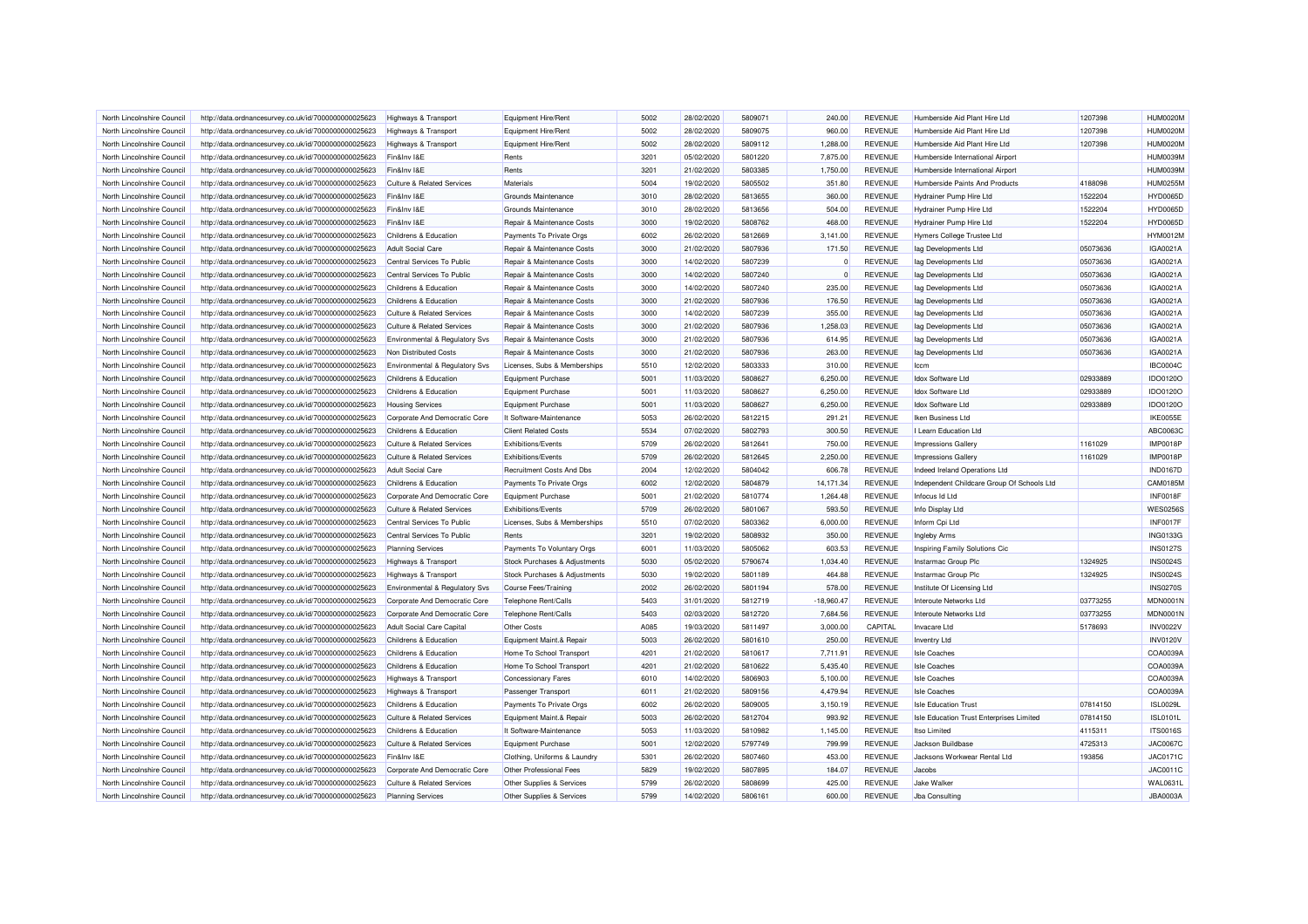| North Lincolnshire Council | http://data.ordnancesurvey.co.uk/id/7000000000025623 | <b>Highways &amp; Transport</b>           | Equipment Hire/Rent           | 5002 | 28/02/2020 | 5809071 | 240.00       | <b>REVENUE</b> | Humberside Aid Plant Hire Ltd              | 1207398  | HUM0020M        |
|----------------------------|------------------------------------------------------|-------------------------------------------|-------------------------------|------|------------|---------|--------------|----------------|--------------------------------------------|----------|-----------------|
| North Lincolnshire Council | http://data.ordnancesurvey.co.uk/id/7000000000025623 | Highways & Transport                      | Equipment Hire/Rent           | 5002 | 28/02/2020 | 5809075 | 960.00       | <b>REVENUE</b> | Humberside Aid Plant Hire Ltd              | 1207398  | <b>HUM0020M</b> |
| North Lincolnshire Council | http://data.ordnancesurvey.co.uk/id/7000000000025623 | Highways & Transport                      | Equipment Hire/Rent           | 5002 | 28/02/2020 | 5809112 | 1,288.00     | <b>REVENUE</b> | Humberside Aid Plant Hire Ltd              | 1207398  | HUM0020M        |
| North Lincolnshire Council | http://data.ordnancesurvey.co.uk/id/7000000000025623 | Fin&Inv I&E                               | Rents                         | 3201 | 05/02/2020 | 5801220 | 7,875.00     | <b>REVENUE</b> | Humberside International Airport           |          | <b>HUM0039M</b> |
| North Lincolnshire Council | http://data.ordnancesurvey.co.uk/id/7000000000025623 | Fin&Inv I&E                               | Rents                         | 3201 | 21/02/2020 | 5803385 | 1,750.00     | <b>REVENUE</b> | Humberside International Airport           |          | <b>HUM0039M</b> |
| North Lincolnshire Council | http://data.ordnancesurvey.co.uk/id/7000000000025623 | <b>Culture &amp; Related Services</b>     | Materials                     | 5004 | 19/02/2020 | 5805502 | 351.80       | <b>REVENUE</b> | Humberside Paints And Products             | 4188098  | <b>HUM0255M</b> |
| North Lincolnshire Council | http://data.ordnancesurvey.co.uk/id/7000000000025623 | Fin&Inv I&E                               | Grounds Maintenance           | 3010 | 28/02/2020 | 5813655 | 360.00       | <b>REVENUE</b> | Hydrainer Pump Hire Ltd                    | 1522204  | <b>HYD0065D</b> |
| North Lincolnshire Council | http://data.ordnancesurvey.co.uk/id/7000000000025623 | Fin&Inv I&E                               | Grounds Maintenance           | 3010 | 28/02/2020 | 5813656 | 504.00       | <b>REVENUE</b> | Hydrainer Pump Hire Ltd                    | 1522204  | <b>HYD0065D</b> |
| North Lincolnshire Council | http://data.ordnancesurvey.co.uk/id/7000000000025623 | Fin&Inv I&E                               | Repair & Maintenance Costs    | 3000 | 19/02/2020 | 5808762 | 468.00       | <b>REVENUE</b> | <b>Hydrainer Pump Hire Ltd</b>             | 1522204  | <b>HYD0065D</b> |
| North Lincolnshire Council | http://data.ordnancesurvey.co.uk/id/7000000000025623 | Childrens & Education                     | Payments To Private Orgs      | 6002 | 26/02/2020 | 5812669 | 3,141.00     | <b>REVENUE</b> | Hymers College Trustee Ltd                 |          | <b>HYM0012M</b> |
| North Lincolnshire Council | http://data.ordnancesurvey.co.uk/id/7000000000025623 | <b>Adult Social Care</b>                  | Repair & Maintenance Costs    | 3000 | 21/02/2020 | 5807936 | 171.50       | <b>REVENUE</b> | lag Developments Ltd                       | 05073636 | IGA0021A        |
| North Lincolnshire Council | http://data.ordnancesurvey.co.uk/id/7000000000025623 | Central Services To Public                | Repair & Maintenance Costs    | 3000 | 14/02/2020 | 5807239 |              | <b>REVENUE</b> | lag Developments Ltd                       | 05073636 | IGA0021A        |
| North Lincolnshire Council | http://data.ordnancesurvey.co.uk/id/7000000000025623 | Central Services To Public                | Repair & Maintenance Costs    | 3000 | 14/02/2020 | 5807240 | $\Omega$     | <b>REVENUE</b> | lag Developments Ltd                       | 05073636 | IGA0021A        |
| North Lincolnshire Council | http://data.ordnancesurvey.co.uk/id/7000000000025623 | Childrens & Education                     | Repair & Maintenance Costs    | 3000 | 14/02/2020 | 5807240 | 235.00       | <b>REVENUE</b> | lag Developments Ltd                       | 05073636 | IGA0021A        |
| North Lincolnshire Council | http://data.ordnancesurvey.co.uk/id/7000000000025623 | Childrens & Education                     | Repair & Maintenance Costs    | 3000 | 21/02/2020 | 5807936 | 176.50       | <b>REVENUE</b> | lag Developments Ltd                       | 05073636 | IGA0021A        |
| North Lincolnshire Council | http://data.ordnancesurvey.co.uk/id/7000000000025623 | <b>Culture &amp; Related Services</b>     | Repair & Maintenance Costs    | 3000 | 14/02/2020 | 5807239 | 355.00       | <b>REVENUE</b> | lag Developments Ltd                       | 05073636 | IGA0021A        |
| North Lincolnshire Council | http://data.ordnancesurvey.co.uk/id/7000000000025623 | <b>Culture &amp; Related Services</b>     | Repair & Maintenance Costs    | 3000 | 21/02/2020 | 5807936 | 1,258.03     | <b>REVENUE</b> | lag Developments Ltd                       | 05073636 | IGA0021A        |
| North Lincolnshire Council | http://data.ordnancesurvey.co.uk/id/7000000000025623 | Environmental & Regulatory Svs            | Repair & Maintenance Costs    | 3000 | 21/02/2020 | 5807936 | 614.95       | <b>REVENUE</b> | lag Developments Ltd                       | 05073636 | IGA0021A        |
|                            |                                                      |                                           |                               |      |            |         |              |                |                                            |          |                 |
| North Lincolnshire Council | http://data.ordnancesurvey.co.uk/id/7000000000025623 | Non Distributed Costs                     | Repair & Maintenance Costs    | 3000 | 21/02/2020 | 5807936 | 263.00       | <b>REVENUE</b> | lag Developments Ltd                       | 05073636 | IGA0021A        |
| North Lincolnshire Council | http://data.ordnancesurvey.co.uk/id/7000000000025623 | Environmental & Regulatory Svs            | Licenses, Subs & Memberships  | 5510 | 12/02/2020 | 5803333 | 310.00       | <b>REVENUE</b> | Iccm                                       |          | <b>IBC0004C</b> |
| North Lincolnshire Council | http://data.ordnancesurvey.co.uk/id/7000000000025623 | Childrens & Education                     | Equipment Purchase            | 5001 | 11/03/2020 | 5808627 | 6,250.00     | <b>REVENUE</b> | Idox Software Ltd                          | 02933889 | IDO0120O        |
| North Lincolnshire Council | http://data.ordnancesurvey.co.uk/id/7000000000025623 | Childrens & Education                     | Equipment Purchase            | 5001 | 11/03/2020 | 5808627 | 6,250.00     | <b>REVENUE</b> | <b>Idox Software Ltd</b>                   | 02933889 | IDO0120O        |
| North Lincolnshire Council | http://data.ordnancesurvey.co.uk/id/7000000000025623 | <b>Housing Services</b>                   | Equipment Purchase            | 5001 | 11/03/2020 | 5808627 | 6,250.00     | <b>REVENUE</b> | Idox Software Ltd                          | 02933889 | IDO0120O        |
| North Lincolnshire Council | http://data.ordnancesurvey.co.uk/id/7000000000025623 | Corporate And Democratic Core             | It Software-Maintenance       | 5053 | 26/02/2020 | 5812215 | 291.21       | <b>REVENUE</b> | Iken Business Ltd                          |          | IKE0055E        |
| North Lincolnshire Council | http://data.ordnancesurvey.co.uk/id/7000000000025623 | Childrens & Education                     | <b>Client Related Costs</b>   | 5534 | 07/02/2020 | 5802793 | 300.50       | <b>REVENUE</b> | I Learn Education Ltd                      |          | ABC0063C        |
| North Lincolnshire Council | http://data.ordnancesurvey.co.uk/id/7000000000025623 | <b>Culture &amp; Related Services</b>     | Exhibitions/Events            | 5709 | 26/02/2020 | 5812641 | 750.00       | <b>REVENUE</b> | <b>Impressions Gallery</b>                 | 1161029  | <b>IMP0018P</b> |
| North Lincolnshire Council | http://data.ordnancesurvey.co.uk/id/7000000000025623 | <b>Culture &amp; Related Services</b>     | Exhibitions/Events            | 5709 | 26/02/2020 | 5812645 | 2,250.00     | <b>REVENUE</b> | <b>Impressions Gallery</b>                 | 1161029  | <b>IMP0018P</b> |
| North Lincolnshire Council | http://data.ordnancesurvey.co.uk/id/7000000000025623 | Adult Social Care                         | Recruitment Costs And Dbs     | 2004 | 12/02/2020 | 5804042 | 606.78       | <b>REVENUE</b> | Indeed Ireland Operations Ltd              |          | <b>IND0167D</b> |
| North Lincolnshire Council | http://data.ordnancesurvey.co.uk/id/7000000000025623 | Childrens & Education                     | Payments To Private Orgs      | 6002 | 12/02/2020 | 5804879 | 14,171.34    | <b>REVENUE</b> | Independent Childcare Group Of Schools Ltd |          | CAM0185M        |
| North Lincolnshire Council | http://data.ordnancesurvey.co.uk/id/7000000000025623 | Corporate And Democratic Core             | Equipment Purchase            | 5001 | 21/02/2020 | 5810774 | 1,264.48     | <b>REVENUE</b> | Infocus Id Ltd                             |          | <b>INF0018F</b> |
| North Lincolnshire Council | http://data.ordnancesurvey.co.uk/id/7000000000025623 | Culture & Related Services                | Exhibitions/Events            | 5709 | 26/02/2020 | 5801067 | 593.50       | <b>REVENUE</b> | Info Display Ltd                           |          | <b>WES0256S</b> |
| North Lincolnshire Council | http://data.ordnancesurvey.co.uk/id/7000000000025623 | Central Services To Public                | Licenses, Subs & Memberships  | 5510 | 07/02/2020 | 5803362 | 6,000.00     | <b>REVENUE</b> | Inform Cpi Ltd                             |          | INF0017F        |
| North Lincolnshire Council | http://data.ordnancesurvey.co.uk/id/7000000000025623 | Central Services To Public                | Rents                         | 3201 | 19/02/2020 | 5808932 | 350.00       | <b>REVENUE</b> | Ingleby Arms                               |          | <b>ING0133G</b> |
| North Lincolnshire Council | http://data.ordnancesurvey.co.uk/id/7000000000025623 | <b>Planning Services</b>                  | Payments To Voluntary Orgs    | 6001 | 11/03/2020 | 5805062 | 603.53       | <b>REVENUE</b> | Inspiring Family Solutions Cic             |          | <b>INS0127S</b> |
| North Lincolnshire Council | http://data.ordnancesurvey.co.uk/id/7000000000025623 | Highways & Transport                      | Stock Purchases & Adjustments | 5030 | 05/02/2020 | 5790674 | 1,034.40     | <b>REVENUE</b> | Instarmac Group Plc                        | 1324925  | <b>INS0024S</b> |
| North Lincolnshire Council | http://data.ordnancesurvey.co.uk/id/7000000000025623 | Highways & Transport                      | Stock Purchases & Adjustments | 5030 | 19/02/2020 | 5801189 | 464.88       | <b>REVENUE</b> | Instarmac Group Plc                        | 1324925  | <b>INS0024S</b> |
| North Lincolnshire Council | http://data.ordnancesurvey.co.uk/id/7000000000025623 | <b>Environmental &amp; Regulatory Svs</b> | Course Fees/Training          | 2002 | 26/02/2020 | 5801194 | 578.00       | <b>REVENUE</b> | Institute Of Licensing Ltd                 |          | <b>INS0270S</b> |
| North Lincolnshire Council | http://data.ordnancesurvey.co.uk/id/7000000000025623 | Corporate And Democratic Core             | Telephone Rent/Calls          | 5403 | 31/01/2020 | 5812719 | $-18,960.47$ | <b>REVENUE</b> | Interoute Networks Ltd                     | 03773255 | <b>MDN0001N</b> |
| North Lincolnshire Council | http://data.ordnancesurvey.co.uk/id/7000000000025623 | Corporate And Democratic Core             | Telephone Rent/Calls          | 5403 | 02/03/2020 | 5812720 | 7,684.56     | <b>REVENUE</b> | Interoute Networks Ltd                     | 03773255 | <b>MDN0001N</b> |
| North Lincolnshire Council | http://data.ordnancesurvey.co.uk/id/7000000000025623 | Adult Social Care Capital                 | <b>Other Costs</b>            | A085 | 19/03/2020 | 5811497 | 3,000.00     | CAPITAL        | Invacare Ltd                               | 5178693  | <b>INV0022V</b> |
| North Lincolnshire Council | http://data.ordnancesurvey.co.uk/id/7000000000025623 | Childrens & Education                     | Equipment Maint.& Repair      | 5003 | 26/02/2020 | 5801610 | 250.00       | <b>REVENUE</b> | <b>Inventry Ltd</b>                        |          | <b>INV0120V</b> |
| North Lincolnshire Council | http://data.ordnancesurvey.co.uk/id/7000000000025623 | Childrens & Education                     | Home To School Transport      | 4201 | 21/02/2020 | 5810617 | 7,711.91     | <b>REVENUE</b> | Isle Coaches                               |          | COA0039A        |
| North Lincolnshire Council | http://data.ordnancesurvey.co.uk/id/7000000000025623 | Childrens & Education                     | Home To School Transport      | 4201 | 21/02/2020 | 5810622 | 5,435.40     | <b>REVENUE</b> | <b>Isle Coaches</b>                        |          | COA0039A        |
|                            |                                                      |                                           |                               |      |            |         |              |                |                                            |          |                 |
| North Lincolnshire Council | http://data.ordnancesurvey.co.uk/id/7000000000025623 | Highways & Transport                      | <b>Concessionary Fares</b>    | 6010 | 14/02/2020 | 5806903 | 5,100.00     | <b>REVENUE</b> | <b>Isle Coaches</b>                        |          | COA0039A        |
| North Lincolnshire Council | http://data.ordnancesurvey.co.uk/id/7000000000025623 | Highways & Transport                      | Passenger Transport           | 6011 | 21/02/2020 | 5809156 | 4,479.94     | <b>REVENUE</b> | <b>Isle Coaches</b>                        |          | COA0039A        |
| North Lincolnshire Council | http://data.ordnancesurvey.co.uk/id/7000000000025623 | Childrens & Education                     | Payments To Private Orgs      | 6002 | 26/02/2020 | 5809005 | 3,150.19     | <b>REVENUE</b> | <b>Isle Education Trust</b>                | 07814150 | <b>ISL0029L</b> |
| North Lincolnshire Council | http://data.ordnancesurvey.co.uk/id/7000000000025623 | <b>Culture &amp; Related Services</b>     | Equipment Maint.& Repair      | 5003 | 26/02/2020 | 5812704 | 993.92       | <b>REVENUE</b> | Isle Education Trust Enterprises Limited   | 07814150 | <b>ISL0101L</b> |
| North Lincolnshire Council | http://data.ordnancesurvey.co.uk/id/7000000000025623 | Childrens & Education                     | It Software-Maintenance       | 5053 | 11/03/2020 | 5810982 | 1,145.00     | <b>REVENUE</b> | Itso Limited                               | 4115311  | <b>ITS0016S</b> |
| North Lincolnshire Council | http://data.ordnancesurvey.co.uk/id/7000000000025623 | <b>Culture &amp; Related Services</b>     | Equipment Purchase            | 5001 | 12/02/2020 | 5797749 | 799.99       | <b>REVENUE</b> | Jackson Buildbase                          | 4725313  | <b>JAC0067C</b> |
| North Lincolnshire Council | http://data.ordnancesurvey.co.uk/id/7000000000025623 | Fin&Inv I&F                               | Clothing, Uniforms & Laundry  | 5301 | 26/02/2020 | 5807460 | 453.00       | <b>REVENUE</b> | Jacksons Workwear Rental Ltd               | 193856   | JAC0171C        |
| North Lincolnshire Council | http://data.ordnancesurvey.co.uk/id/7000000000025623 | Corporate And Democratic Core             | Other Professional Fees       | 5829 | 19/02/2020 | 5807895 | 184.07       | <b>REVENUE</b> | Jacobs                                     |          | JAC0011C        |
| North Lincolnshire Council | http://data.ordnancesurvey.co.uk/id/7000000000025623 | <b>Culture &amp; Related Services</b>     | Other Supplies & Services     | 5799 | 26/02/2020 | 5808699 | 425.00       | <b>REVENUE</b> | <b>Jake Walker</b>                         |          | WAL0631L        |
| North Lincolnshire Council | http://data.ordnancesurvey.co.uk/id/7000000000025623 | <b>Planning Services</b>                  | Other Supplies & Services     | 5799 | 14/02/2020 | 5806161 | 600.00       | <b>REVENUE</b> | Jba Consulting                             |          | JBA0003A        |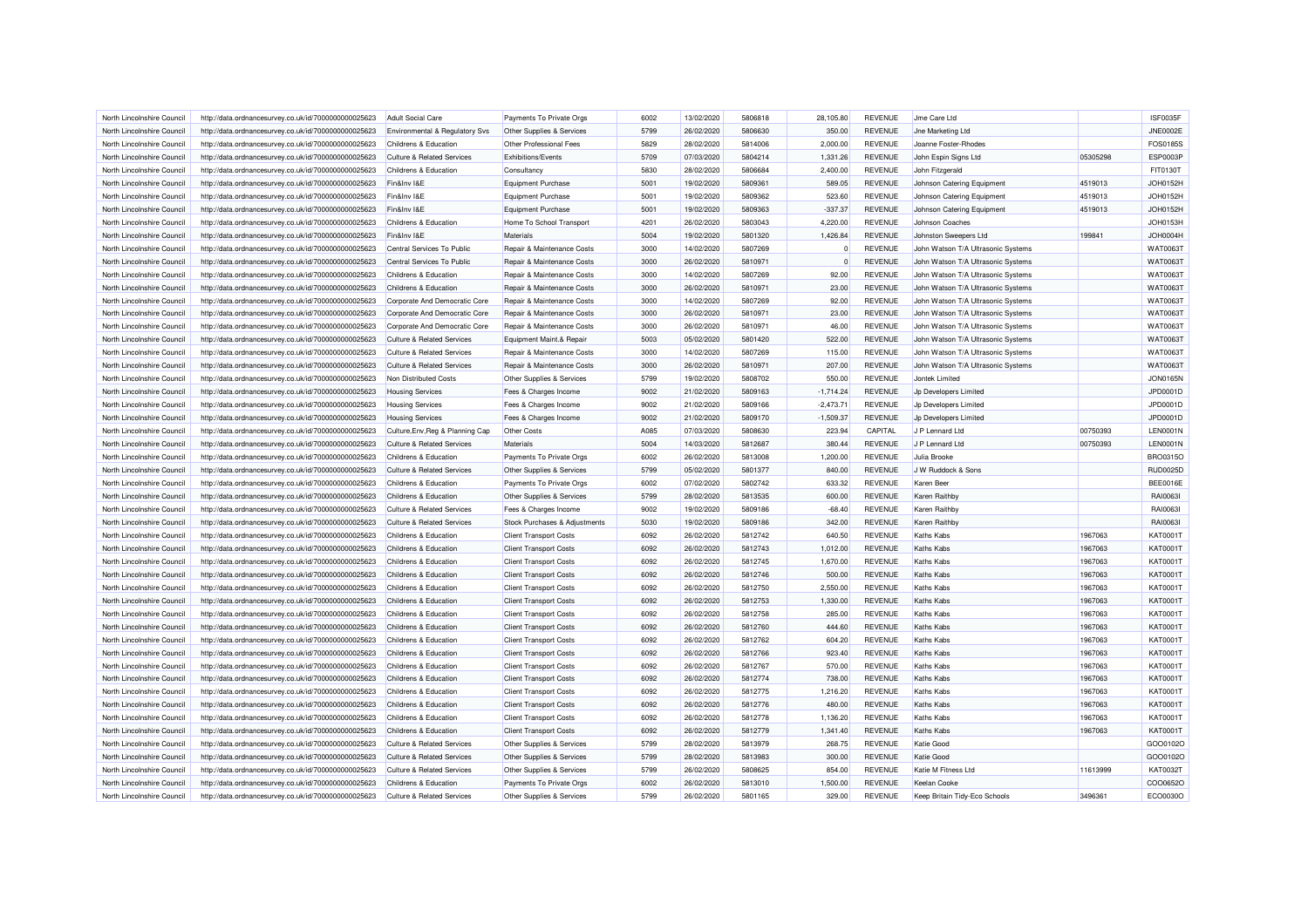| North Lincolnshire Council | http://data.ordnancesurvey.co.uk/id/7000000000025623 | Adult Social Care                         | Payments To Private Orgs      | 6002 | 13/02/2020 | 5806818 | 28.105.80   | <b>REVENUE</b> | Jme Care Ltd                       |          | <b>ISF0035F</b>      |
|----------------------------|------------------------------------------------------|-------------------------------------------|-------------------------------|------|------------|---------|-------------|----------------|------------------------------------|----------|----------------------|
| North Lincolnshire Council | http://data.ordnancesurvey.co.uk/id/7000000000025623 | <b>Environmental &amp; Regulatory Svs</b> | Other Supplies & Services     | 5799 | 26/02/2020 | 5806630 | 350.00      | <b>REVENUE</b> | <b>Jne Marketing Ltd</b>           |          | <b>JNE0002E</b>      |
| North Lincolnshire Council | http://data.ordnancesurvey.co.uk/id/7000000000025623 | Childrens & Education                     | Other Professional Fees       | 5829 | 28/02/2020 | 5814006 | 2,000.00    | REVENUE        | Joanne Foster-Rhodes               |          | FOS0185S             |
| North Lincolnshire Council | http://data.ordnancesurvey.co.uk/id/7000000000025623 | Culture & Related Services                | Exhibitions/Events            | 5709 | 07/03/2020 | 5804214 | 1,331.26    | <b>REVENUE</b> | John Espin Signs Ltd               | 05305298 | ESP0003P             |
| North Lincolnshire Council | http://data.ordnancesurvey.co.uk/id/7000000000025623 | Childrens & Education                     | Consultancy                   | 5830 | 28/02/2020 | 5806684 | 2,400.00    | <b>REVENUE</b> | John Fitzgerald                    |          | FIT0130T             |
| North Lincolnshire Council | http://data.ordnancesurvey.co.uk/id/7000000000025623 | Fin&Inv I&E                               | Equipment Purchase            | 5001 | 19/02/2020 | 5809361 | 589.05      | <b>REVENUE</b> | Johnson Catering Equipment         | 4519013  | <b>JOH0152H</b>      |
| North Lincolnshire Council | http://data.ordnancesurvey.co.uk/id/7000000000025623 | Fin&Inv I&E                               | Equipment Purchase            | 5001 | 19/02/2020 | 5809362 | 523.60      | <b>REVENUE</b> | Johnson Catering Equipment         | 4519013  | JOH0152H             |
| North Lincolnshire Council | http://data.ordnancesurvey.co.uk/id/7000000000025623 | Fin&Inv I&E                               | <b>Equipment Purchase</b>     | 5001 | 19/02/2020 | 5809363 | $-337.37$   | <b>REVENUE</b> | Johnson Catering Equipment         | 4519013  | JOH0152H             |
| North Lincolnshire Council | http://data.ordnancesurvey.co.uk/id/7000000000025623 | Childrens & Education                     | Home To School Transport      | 4201 | 26/02/2020 | 5803043 | 4,220.00    | <b>REVENUE</b> | Johnson Coaches                    |          | <b>JOH0153H</b>      |
| North Lincolnshire Council | http://data.ordnancesurvey.co.uk/id/7000000000025623 | Fin&Inv I&E                               | Materials                     | 5004 | 19/02/2020 | 5801320 | 1,426.84    | <b>REVENUE</b> | Johnston Sweepers Ltd              | 199841   | <b>JOH0004H</b>      |
| North Lincolnshire Council | http://data.ordnancesurvey.co.uk/id/7000000000025623 | Central Services To Public                | Repair & Maintenance Costs    | 3000 | 14/02/2020 | 5807269 | $\Omega$    | <b>REVENUE</b> | John Watson T/A Ultrasonic Systems |          | <b>WAT0063T</b>      |
| North Lincolnshire Council | http://data.ordnancesurvey.co.uk/id/7000000000025623 | Central Services To Public                | Repair & Maintenance Costs    | 3000 | 26/02/2020 | 5810971 | $\Omega$    | <b>REVENUE</b> | John Watson T/A Ultrasonic Systems |          | <b>WAT0063T</b>      |
| North Lincolnshire Council | http://data.ordnancesurvey.co.uk/id/7000000000025623 | Childrens & Education                     | Repair & Maintenance Costs    | 3000 | 14/02/2020 | 5807269 | 92.00       | <b>REVENUE</b> | John Watson T/A Ultrasonic Systems |          | <b>WAT0063T</b>      |
| North Lincolnshire Council | http://data.ordnancesurvey.co.uk/id/7000000000025623 | Childrens & Education                     | Repair & Maintenance Costs    | 3000 | 26/02/2020 | 5810971 | 23.00       | <b>REVENUE</b> | John Watson T/A Ultrasonic Systems |          | WAT0063T             |
| North Lincolnshire Council | http://data.ordnancesurvey.co.uk/id/7000000000025623 | Corporate And Democratic Core             | Repair & Maintenance Costs    | 3000 | 14/02/2020 | 5807269 | 92.00       | <b>REVENUE</b> | John Watson T/A Ultrasonic Systems |          | <b>WAT0063T</b>      |
| North Lincolnshire Council | http://data.ordnancesurvey.co.uk/id/7000000000025623 | Corporate And Democratic Core             | Repair & Maintenance Costs    | 3000 | 26/02/2020 | 5810971 | 23.00       | <b>REVENUE</b> | John Watson T/A Ultrasonic Systems |          | <b>WAT0063T</b>      |
| North Lincolnshire Council | http://data.ordnancesurvey.co.uk/id/7000000000025623 | Corporate And Democratic Core             | Repair & Maintenance Costs    | 3000 | 26/02/2020 | 5810971 | 46.00       | <b>REVENUE</b> | John Watson T/A Ultrasonic Systems |          | <b>WAT0063T</b>      |
| North Lincolnshire Council | http://data.ordnancesurvey.co.uk/id/7000000000025623 | <b>Culture &amp; Related Services</b>     | Equipment Maint.& Repair      | 5003 | 05/02/2020 | 5801420 | 522.00      | <b>REVENUE</b> | John Watson T/A Ultrasonic Systems |          | <b>WAT0063T</b>      |
| North Lincolnshire Council | http://data.ordnancesurvey.co.uk/id/7000000000025623 | <b>Culture &amp; Related Services</b>     | Repair & Maintenance Costs    | 3000 | 14/02/2020 | 5807269 | 115.00      | <b>REVENUE</b> | John Watson T/A Ultrasonic Systems |          | <b>WAT0063T</b>      |
| North Lincolnshire Council | http://data.ordnancesurvey.co.uk/id/7000000000025623 | <b>Culture &amp; Related Services</b>     | Repair & Maintenance Costs    | 3000 | 26/02/2020 | 5810971 | 207.00      | <b>REVENUE</b> | John Watson T/A Ultrasonic Systems |          | <b>WAT0063T</b>      |
| North Lincolnshire Council |                                                      | Non Distributed Costs                     |                               | 5799 | 19/02/2020 | 5808702 | 550.00      | <b>REVENUE</b> | Jontek Limited                     |          | <b>JON0165N</b>      |
|                            | http://data.ordnancesurvey.co.uk/id/7000000000025623 |                                           | Other Supplies & Services     |      |            |         |             |                |                                    |          |                      |
| North Lincolnshire Council | http://data.ordnancesurvey.co.uk/id/7000000000025623 | <b>Housing Services</b>                   | Fees & Charges Income         | 9002 | 21/02/2020 | 5809163 | $-1,714.24$ | <b>REVENUE</b> | Jp Developers Limited              |          | JPD0001D<br>JPD0001D |
| North Lincolnshire Council | http://data.ordnancesurvey.co.uk/id/7000000000025623 | <b>Housing Services</b>                   | Fees & Charges Income         | 9002 | 21/02/2020 | 5809166 | $-2.473.71$ | <b>REVENUE</b> | Jp Developers Limited              |          |                      |
| North Lincolnshire Council | http://data.ordnancesurvey.co.uk/id/7000000000025623 | <b>Housing Services</b>                   | Fees & Charges Income         | 9002 | 21/02/2020 | 5809170 | $-1,509.37$ | <b>REVENUE</b> | Jp Developers Limited              |          | JPD0001D             |
| North Lincolnshire Council | http://data.ordnancesurvey.co.uk/id/7000000000025623 | Culture, Env, Reg & Planning Cap          | Other Costs                   | A085 | 07/03/2020 | 5808630 | 223.94      | CAPITAL        | J P Lennard Ltd                    | 00750393 | <b>LEN0001N</b>      |
| North Lincolnshire Council | http://data.ordnancesurvey.co.uk/id/7000000000025623 | <b>Culture &amp; Related Services</b>     | Materials                     | 5004 | 14/03/2020 | 5812687 | 380.44      | <b>REVENUE</b> | J P Lennard Ltd                    | 00750393 | <b>LEN0001N</b>      |
| North Lincolnshire Council | http://data.ordnancesurvey.co.uk/id/7000000000025623 | Childrens & Education                     | Payments To Private Orgs      | 6002 | 26/02/2020 | 5813008 | 1,200.00    | <b>REVENUE</b> | Julia Brooke                       |          | <b>BRO0315C</b>      |
| North Lincolnshire Council | http://data.ordnancesurvey.co.uk/id/7000000000025623 | <b>Culture &amp; Related Services</b>     | Other Supplies & Services     | 5799 | 05/02/2020 | 5801377 | 840.00      | <b>REVENUE</b> | J W Ruddock & Sons                 |          | <b>RUD0025D</b>      |
| North Lincolnshire Council | http://data.ordnancesurvey.co.uk/id/7000000000025623 | Childrens & Education                     | Payments To Private Orgs      | 6002 | 07/02/2020 | 5802742 | 633.32      | <b>REVENUE</b> | Karen Beer                         |          | <b>BEE0016E</b>      |
| North Lincolnshire Council | http://data.ordnancesurvey.co.uk/id/7000000000025623 | Childrens & Education                     | Other Supplies & Services     | 5799 | 28/02/2020 | 5813535 | 600.00      | <b>REVENUE</b> | Karen Raithby                      |          | RAI0063I             |
| North Lincolnshire Council | http://data.ordnancesurvey.co.uk/id/7000000000025623 | <b>Culture &amp; Related Services</b>     | Fees & Charges Income         | 9002 | 19/02/2020 | 5809186 | $-68.40$    | <b>REVENUE</b> | Karen Raithby                      |          | RAI0063I             |
| North Lincolnshire Council | http://data.ordnancesurvey.co.uk/id/7000000000025623 | Culture & Related Services                | Stock Purchases & Adjustments | 5030 | 19/02/2020 | 5809186 | 342.00      | <b>REVENUE</b> | Karen Raithby                      |          | RAI0063I             |
| North Lincolnshire Council | http://data.ordnancesurvey.co.uk/id/7000000000025623 | Childrens & Education                     | <b>Client Transport Costs</b> | 6092 | 26/02/2020 | 5812742 | 640.50      | <b>REVENUE</b> | Kaths Kabs                         | 1967063  | KAT0001T             |
| North Lincolnshire Council | http://data.ordnancesurvey.co.uk/id/7000000000025623 | Childrens & Education                     | <b>Client Transport Costs</b> | 6092 | 26/02/2020 | 5812743 | 1,012.00    | <b>REVENUE</b> | <b>Kaths Kabs</b>                  | 1967063  | <b>KAT0001T</b>      |
| North Lincolnshire Council | http://data.ordnancesurvey.co.uk/id/7000000000025623 | Childrens & Education                     | <b>Client Transport Costs</b> | 6092 | 26/02/2020 | 5812745 | 1,670.00    | <b>REVENUE</b> | <b>Kaths Kabs</b>                  | 1967063  | KAT0001T             |
| North Lincolnshire Council | http://data.ordnancesurvey.co.uk/id/7000000000025623 | Childrens & Education                     | <b>Client Transport Costs</b> | 6092 | 26/02/2020 | 5812746 | 500.00      | <b>REVENUE</b> | Kaths Kabs                         | 1967063  | <b>KAT0001T</b>      |
| North Lincolnshire Council | http://data.ordnancesurvey.co.uk/id/7000000000025623 | Childrens & Education                     | <b>Client Transport Costs</b> | 6092 | 26/02/2020 | 5812750 | 2,550.00    | <b>REVENUE</b> | <b>Kaths Kabs</b>                  | 1967063  | KAT0001T             |
| North Lincolnshire Council | http://data.ordnancesurvey.co.uk/id/7000000000025623 | Childrens & Education                     | <b>Client Transport Costs</b> | 6092 | 26/02/2020 | 5812753 | 1,330.00    | <b>REVENUE</b> | <b>Kaths Kabs</b>                  | 1967063  | <b>KAT0001T</b>      |
| North Lincolnshire Council | http://data.ordnancesurvey.co.uk/id/7000000000025623 | Childrens & Education                     | <b>Client Transport Costs</b> | 6092 | 26/02/2020 | 5812758 | 285.00      | <b>REVENUE</b> | Kaths Kahs                         | 1967063  | <b>KAT0001T</b>      |
| North Lincolnshire Council | http://data.ordnancesurvey.co.uk/id/7000000000025623 | Childrens & Education                     | <b>Client Transport Costs</b> | 6092 | 26/02/2020 | 5812760 | 444.60      | <b>REVENUE</b> | Kaths Kabs                         | 1967063  | <b>KAT0001T</b>      |
| North Lincolnshire Council | http://data.ordnancesurvey.co.uk/id/7000000000025623 | Childrens & Education                     | <b>Client Transport Costs</b> | 6092 | 26/02/2020 | 5812762 | 604.20      | <b>REVENUE</b> | Kaths Kabs                         | 1967063  | KAT0001T             |
| North Lincolnshire Council | http://data.ordnancesurvey.co.uk/id/7000000000025623 | Childrens & Education                     | <b>Client Transport Costs</b> | 6092 | 26/02/2020 | 5812766 | 923.40      | <b>REVENUE</b> | <b>Kaths Kabs</b>                  | 1967063  | <b>KAT0001T</b>      |
| North Lincolnshire Council | http://data.ordnancesurvey.co.uk/id/7000000000025623 | Childrens & Education                     | <b>Client Transport Costs</b> | 6092 | 26/02/2020 | 5812767 | 570.00      | <b>REVENUE</b> | <b>Kaths Kabs</b>                  | 1967063  | <b>KAT0001T</b>      |
| North Lincolnshire Council | http://data.ordnancesurvey.co.uk/id/7000000000025623 | Childrens & Education                     | <b>Client Transport Costs</b> | 6092 | 26/02/2020 | 5812774 | 738.00      | <b>REVENUE</b> | <b>Kaths Kabs</b>                  | 1967063  | KAT0001T             |
| North Lincolnshire Council | http://data.ordnancesurvey.co.uk/id/7000000000025623 | Childrens & Education                     | <b>Client Transport Costs</b> | 6092 | 26/02/2020 | 5812775 | 1,216.20    | <b>REVENUE</b> | Kaths Kabs                         | 1967063  | KAT0001T             |
| North Lincolnshire Council | http://data.ordnancesurvey.co.uk/id/7000000000025623 | <b>Childrens &amp; Education</b>          | <b>Client Transport Costs</b> | 6092 | 26/02/2020 | 5812776 | 480.00      | <b>REVENUE</b> | Kaths Kabs                         | 1967063  | <b>KAT0001T</b>      |
| North Lincolnshire Council | http://data.ordnancesurvey.co.uk/id/7000000000025623 | Childrens & Education                     | <b>Client Transport Costs</b> | 6092 | 26/02/2020 | 5812778 | 1,136.20    | <b>REVENUE</b> | <b>Kaths Kabs</b>                  | 1967063  | <b>KAT0001T</b>      |
| North Lincolnshire Council | http://data.ordnancesurvey.co.uk/id/7000000000025623 | Childrens & Education                     | <b>Client Transport Costs</b> | 6092 | 26/02/2020 | 5812779 | 1,341.40    | <b>REVENUE</b> | Kaths Kabs                         | 1967063  | <b>KAT0001T</b>      |
| North Lincolnshire Council | http://data.ordnancesurvey.co.uk/id/7000000000025623 | <b>Culture &amp; Related Services</b>     | Other Supplies & Services     | 5799 | 28/02/2020 | 5813979 | 268.75      | <b>REVENUE</b> | Katie Good                         |          | GO00102C             |
| North Lincolnshire Council | http://data.ordnancesurvey.co.uk/id/7000000000025623 | <b>Culture &amp; Related Services</b>     | Other Supplies & Services     | 5799 | 28/02/2020 | 5813983 | 300.00      | <b>REVENUE</b> | Katie Good                         |          | GO00102C             |
| North Lincolnshire Council | http://data.ordnancesurvey.co.uk/id/7000000000025623 | <b>Culture &amp; Related Services</b>     | Other Supplies & Services     | 5799 | 26/02/2020 | 5808625 | 854.00      | <b>REVENUE</b> | Katie M Fitness Ltd                | 11613999 | KAT0032T             |
| North Lincolnshire Council | http://data.ordnancesurvey.co.uk/id/7000000000025623 | Childrens & Education                     | Payments To Private Orgs      | 6002 | 26/02/2020 | 5813010 | 1,500.00    | <b>REVENUE</b> | <b>Keelan Cooke</b>                |          | COO0652O             |
| North Lincolnshire Council | http://data.ordnancesurvey.co.uk/id/7000000000025623 | <b>Culture &amp; Related Services</b>     | Other Supplies & Services     | 5799 | 26/02/2020 | 5801165 | 329.00      | <b>REVENUE</b> | Keep Britain Tidy-Eco Schools      | 3496361  | ECO0030O             |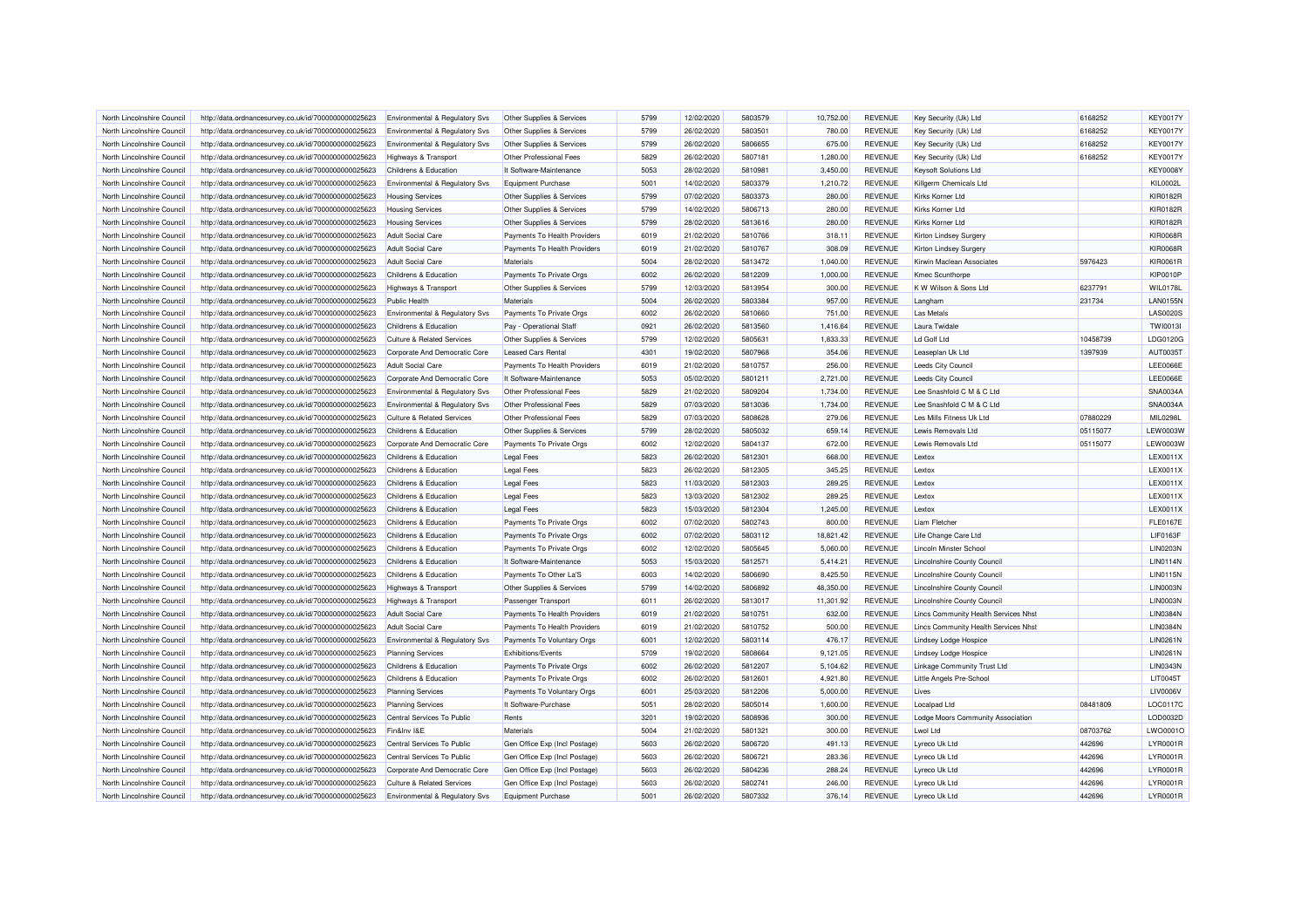| North Lincolnshire Council | http://data.ordnancesurvey.co.uk/id/7000000000025623 | Environmental & Regulatory Svs            | Other Supplies & Services     | 5799 | 12/02/2020 | 5803579 | 10,752.00 | <b>REVENUE</b> | Key Security (Uk) Ltd                | 6168252  | <b>KEY0017Y</b> |
|----------------------------|------------------------------------------------------|-------------------------------------------|-------------------------------|------|------------|---------|-----------|----------------|--------------------------------------|----------|-----------------|
| North Lincolnshire Council | http://data.ordnancesurvey.co.uk/id/7000000000025623 | <b>Environmental &amp; Regulatory Svs</b> | Other Supplies & Services     | 5799 | 26/02/2020 | 5803501 | 780.00    | <b>REVENUE</b> | Key Security (Uk) Ltd                | 6168252  | <b>KEY0017Y</b> |
| North Lincolnshire Council | http://data.ordnancesurvey.co.uk/id/7000000000025623 | Environmental & Regulatory Svs            | Other Supplies & Services     | 5799 | 26/02/2020 | 5806655 | 675.00    | <b>REVENUE</b> | Key Security (Uk) Ltd                | 6168252  | <b>KEY0017Y</b> |
| North Lincolnshire Council | http://data.ordnancesurvey.co.uk/id/7000000000025623 | <b>Highways &amp; Transport</b>           | Other Professional Fees       | 5829 | 26/02/2020 | 5807181 | 1,280.00  | <b>REVENUE</b> | Key Security (Uk) Ltd                | 6168252  | <b>KEY0017Y</b> |
| North Lincolnshire Council | http://data.ordnancesurvey.co.uk/id/7000000000025623 | Childrens & Education                     | It Software-Maintenance       | 5053 | 28/02/2020 | 5810981 | 3,450.00  | <b>REVENUE</b> | Keysoft Solutions Ltd                |          | <b>KEY0008Y</b> |
| North Lincolnshire Council | http://data.ordnancesurvey.co.uk/id/7000000000025623 | Environmental & Regulatory Svs            | Equipment Purchase            | 5001 | 14/02/2020 | 5803379 | 1,210.72  | <b>REVENUE</b> | Killgerm Chemicals Ltd               |          | <b>KIL0002L</b> |
| North Lincolnshire Council | http://data.ordnancesurvey.co.uk/id/7000000000025623 | <b>Housing Services</b>                   | Other Supplies & Services     | 5799 | 07/02/2020 | 5803373 | 280.00    | <b>REVENUE</b> | Kirks Korner Ltd                     |          | <b>KIR0182R</b> |
| North Lincolnshire Council | http://data.ordnancesurvey.co.uk/id/7000000000025623 | <b>Housing Services</b>                   | Other Supplies & Services     | 5799 | 14/02/2020 | 5806713 | 280.00    | <b>REVENUE</b> | Kirks Korner Ltd                     |          | <b>KIR0182R</b> |
| North Lincolnshire Council | http://data.ordnancesurvey.co.uk/id/7000000000025623 | <b>Housing Services</b>                   | Other Supplies & Services     | 5799 | 28/02/2020 | 5813616 | 280.00    | <b>REVENUE</b> | Kirks Korner Ltd                     |          | <b>KIR0182R</b> |
| North Lincolnshire Council | http://data.ordnancesurvey.co.uk/id/7000000000025623 | <b>Adult Social Care</b>                  | Payments To Health Providers  | 6019 | 21/02/2020 | 5810766 | 318.11    | <b>REVENUE</b> | Kirton Lindsey Surgery               |          | <b>KIR0068R</b> |
| North Lincolnshire Council | http://data.ordnancesurvey.co.uk/id/7000000000025623 | <b>Adult Social Care</b>                  | Payments To Health Providers  | 6019 | 21/02/2020 | 5810767 | 308.09    | <b>REVENUE</b> | Kirton Lindsey Surgery               |          | <b>KIR0068R</b> |
| North Lincolnshire Council | http://data.ordnancesurvey.co.uk/id/7000000000025623 | <b>Adult Social Care</b>                  | Materials                     | 5004 | 28/02/2020 | 5813472 | 1,040.00  | <b>REVENUE</b> | Kirwin Maclean Associates            | 5976423  | KIR0061R        |
| North Lincolnshire Council | http://data.ordnancesurvey.co.uk/id/7000000000025623 | Childrens & Education                     | Payments To Private Orgs      | 6002 | 26/02/2020 | 5812209 | 1,000.00  | <b>REVENUE</b> | <b>Kmec Scunthorpe</b>               |          | <b>KIP0010P</b> |
| North Lincolnshire Council | http://data.ordnancesurvey.co.uk/id/7000000000025623 | Highways & Transport                      | Other Supplies & Services     | 5799 | 12/03/2020 | 5813954 | 300.00    | <b>REVENUE</b> | K W Wilson & Sons Ltd                | 6237791  | <b>WIL0178L</b> |
| North Lincolnshire Council | http://data.ordnancesurvey.co.uk/id/7000000000025623 | <b>Public Health</b>                      | Materials                     | 5004 | 26/02/2020 | 5803384 | 957.00    | <b>REVENUE</b> | Langham                              | 231734   | <b>LAN0155N</b> |
| North Lincolnshire Council | http://data.ordnancesurvey.co.uk/id/7000000000025623 | Environmental & Regulatory Svs            | Payments To Private Orgs      | 6002 | 26/02/2020 | 5810660 | 751.00    | <b>REVENUE</b> | <b>Las Metals</b>                    |          | <b>LAS0020S</b> |
| North Lincolnshire Council | http://data.ordnancesurvey.co.uk/id/7000000000025623 | Childrens & Education                     | Pay - Operational Staff       | 0921 | 26/02/2020 | 5813560 | 1,416.64  | <b>REVENUE</b> | Laura Twidale                        |          | <b>TWI0013I</b> |
| North Lincolnshire Council | http://data.ordnancesurvey.co.uk/id/7000000000025623 | <b>Culture &amp; Related Services</b>     | Other Supplies & Services     | 5799 | 12/02/2020 | 5805631 | 1,833.33  | <b>REVENUE</b> | Ld Golf Ltd                          | 10458739 | LDG0120G        |
| North Lincolnshire Council | http://data.ordnancesurvey.co.uk/id/7000000000025623 | Corporate And Democratic Core             | <b>Leased Cars Rental</b>     | 4301 | 19/02/2020 | 5807968 | 354.06    | <b>REVENUE</b> | Leaseplan Uk Ltd                     | 1397939  | AUT0035T        |
| North Lincolnshire Council | http://data.ordnancesurvey.co.uk/id/7000000000025623 | <b>Adult Social Care</b>                  | Payments To Health Providers  | 6019 | 21/02/2020 | 5810757 | 256.00    | <b>REVENUE</b> | Leeds City Council                   |          | LEE0066E        |
| North Lincolnshire Council | http://data.ordnancesurvey.co.uk/id/7000000000025623 | Corporate And Democratic Core             | It Software-Maintenance       | 5053 | 05/02/2020 | 5801211 | 2,721.00  | <b>REVENUE</b> | Leeds City Council                   |          | <b>LEE0066E</b> |
| North Lincolnshire Council |                                                      |                                           | Other Professional Fees       | 5829 | 21/02/2020 | 5809204 | 1,734.00  | <b>REVENUE</b> | Lee Snashfold C M & C Ltd            |          | SNA0034A        |
|                            | http://data.ordnancesurvey.co.uk/id/7000000000025623 | Environmental & Regulatory Svs            | Other Professional Fees       | 5829 | 07/03/2020 | 5813036 | 1,734.00  | <b>REVENUE</b> | Lee Snashfold C M & C Ltd            |          | SNA0034A        |
| North Lincolnshire Council | http://data.ordnancesurvey.co.uk/id/7000000000025623 | <b>Environmental &amp; Regulatory Svs</b> |                               |      |            |         |           |                |                                      |          |                 |
| North Lincolnshire Council | http://data.ordnancesurvey.co.uk/id/7000000000025623 | <b>Culture &amp; Related Services</b>     | Other Professional Fees       | 5829 | 07/03/2020 | 5808628 | 279.06    | <b>REVENUE</b> | Les Mills Fitness Uk Ltd             | 07880229 | MIL0298L        |
| North Lincolnshire Council | http://data.ordnancesurvey.co.uk/id/7000000000025623 | Childrens & Education                     | Other Supplies & Services     | 5799 | 28/02/2020 | 5805032 | 659.14    | <b>REVENUE</b> | Lewis Removals Ltd                   | 05115077 | <b>LEW0003W</b> |
| North Lincolnshire Council | http://data.ordnancesurvey.co.uk/id/7000000000025623 | Corporate And Democratic Core             | Payments To Private Orgs      | 6002 | 12/02/2020 | 5804137 | 672.00    | <b>REVENUE</b> | Lewis Removals Ltd                   | 05115077 | <b>LEW0003W</b> |
| North Lincolnshire Council | http://data.ordnancesurvey.co.uk/id/7000000000025623 | <b>Childrens &amp; Education</b>          | <b>Legal Fees</b>             | 5823 | 26/02/2020 | 5812301 | 668.00    | <b>REVENUE</b> | Lextox                               |          | LEX0011X        |
| North Lincolnshire Council | http://data.ordnancesurvey.co.uk/id/7000000000025623 | Childrens & Education                     | <b>Legal Fees</b>             | 5823 | 26/02/2020 | 5812305 | 345.25    | <b>REVENUE</b> | Lextox                               |          | LEX0011X        |
| North Lincolnshire Council | http://data.ordnancesurvey.co.uk/id/7000000000025623 | Childrens & Education                     | <b>Legal Fees</b>             | 5823 | 11/03/2020 | 5812303 | 289.25    | <b>REVENUE</b> | l extox                              |          | LEX0011X        |
| North Lincolnshire Council | http://data.ordnancesurvey.co.uk/id/7000000000025623 | Childrens & Education                     | <b>Legal Fees</b>             | 5823 | 13/03/2020 | 5812302 | 289.25    | <b>REVENUE</b> | Lextox                               |          | <b>LEX0011X</b> |
| North Lincolnshire Council | http://data.ordnancesurvey.co.uk/id/7000000000025623 | Childrens & Education                     | <b>Legal Fees</b>             | 5823 | 15/03/2020 | 5812304 | 1,245.00  | <b>REVENUE</b> | Lextox                               |          | <b>LEX0011X</b> |
| North Lincolnshire Council | http://data.ordnancesurvey.co.uk/id/7000000000025623 | Childrens & Education                     | Payments To Private Orgs      | 6002 | 07/02/2020 | 5802743 | 800.00    | <b>REVENUE</b> | Liam Fletcher                        |          | <b>FLE0167E</b> |
| North Lincolnshire Council | http://data.ordnancesurvey.co.uk/id/7000000000025623 | Childrens & Education                     | Payments To Private Orgs      | 6002 | 07/02/2020 | 5803112 | 18,821.42 | <b>REVENUE</b> | Life Change Care Ltd                 |          | <b>LIF0163F</b> |
| North Lincolnshire Council | http://data.ordnancesurvey.co.uk/id/7000000000025623 | Childrens & Education                     | Payments To Private Orgs      | 6002 | 12/02/2020 | 5805645 | 5.060.00  | <b>REVENUE</b> | Lincoln Minster School               |          | <b>LIN0203N</b> |
| North Lincolnshire Council | http://data.ordnancesurvey.co.uk/id/7000000000025623 | Childrens & Education                     | It Software-Maintenance       | 5053 | 15/03/2020 | 5812571 | 5,414.21  | <b>REVENUE</b> | <b>Lincolnshire County Council</b>   |          | <b>LIN0114N</b> |
| North Lincolnshire Council | http://data.ordnancesurvey.co.uk/id/7000000000025623 | Childrens & Education                     | Payments To Other La'S        | 6003 | 14/02/2020 | 5806690 | 8,425.50  | <b>REVENUE</b> | Lincolnshire County Council          |          | <b>LIN0115N</b> |
| North Lincolnshire Council | http://data.ordnancesurvey.co.uk/id/7000000000025623 | Highways & Transport                      | Other Supplies & Services     | 5799 | 14/02/2020 | 5806892 | 48,350.00 | <b>REVENUE</b> | <b>Lincolnshire County Council</b>   |          | <b>LIN0003N</b> |
| North Lincolnshire Council | http://data.ordnancesurvey.co.uk/id/7000000000025623 | <b>Highways &amp; Transport</b>           | Passenger Transport           | 6011 | 26/02/2020 | 5813017 | 11,301.92 | <b>REVENUE</b> | Lincolnshire County Council          |          | <b>LIN0003N</b> |
| North Lincolnshire Council | http://data.ordnancesurvey.co.uk/id/7000000000025623 | <b>Adult Social Care</b>                  | Payments To Health Providers  | 6019 | 21/02/2020 | 5810751 | 632.00    | <b>REVENUE</b> | Lincs Community Health Services Nhst |          | LIN0384N        |
| North Lincolnshire Council | http://data.ordnancesurvey.co.uk/id/7000000000025623 | <b>Adult Social Care</b>                  | Payments To Health Providers  | 6019 | 21/02/2020 | 5810752 | 500.00    | <b>REVENUE</b> | Lincs Community Health Services Nhst |          | <b>LIN0384N</b> |
| North Lincolnshire Council | http://data.ordnancesurvey.co.uk/id/7000000000025623 | Environmental & Regulatory Svs            | Payments To Voluntary Orgs    | 6001 | 12/02/2020 | 5803114 | 476.17    | <b>REVENUE</b> | Lindsey Lodge Hospice                |          | LIN0261N        |
| North Lincolnshire Council | http://data.ordnancesurvey.co.uk/id/7000000000025623 | <b>Planning Services</b>                  | Exhibitions/Events            | 5709 | 19/02/2020 | 5808664 | 9,121.05  | <b>REVENUE</b> | Lindsey Lodge Hospice                |          | LIN0261N        |
| North Lincolnshire Council | http://data.ordnancesurvey.co.uk/id/7000000000025623 | Childrens & Education                     | Payments To Private Orgs      | 6002 | 26/02/2020 | 5812207 | 5,104.62  | <b>REVENUE</b> | Linkage Community Trust Ltd          |          | <b>LIN0343N</b> |
| North Lincolnshire Council | http://data.ordnancesurvey.co.uk/id/7000000000025623 | Childrens & Education                     | Payments To Private Orgs      | 6002 | 26/02/2020 | 5812601 | 4,921.80  | <b>REVENUE</b> | Little Angels Pre-School             |          | LIT0045T        |
| North Lincolnshire Council | http://data.ordnancesurvey.co.uk/id/7000000000025623 | <b>Planning Services</b>                  | Payments To Voluntary Orgs    | 6001 | 25/03/2020 | 5812206 | 5,000.00  | <b>REVENUE</b> | Lives                                |          | <b>LIV0006V</b> |
| North Lincolnshire Council | http://data.ordnancesurvey.co.uk/id/7000000000025623 | <b>Planning Services</b>                  | It Software-Purchase          | 5051 | 28/02/2020 | 5805014 | 1,600.00  | <b>REVENUE</b> | Localpad Ltd                         | 08481809 | LOC0117C        |
| North Lincolnshire Council | http://data.ordnancesurvey.co.uk/id/7000000000025623 | Central Services To Public                | Rents                         | 3201 | 19/02/2020 | 5808936 | 300.00    | <b>REVENUE</b> | Lodge Moors Community Association    |          | LOD0032D        |
| North Lincolnshire Council | http://data.ordnancesurvey.co.uk/id/7000000000025623 | Fin&Inv I&E                               | Materials                     | 5004 | 21/02/2020 | 5801321 | 300.00    | <b>REVENUE</b> | Lwol Ltd                             | 08703762 | LWO0001C        |
| North Lincolnshire Council | http://data.ordnancesurvey.co.uk/id/7000000000025623 | Central Services To Public                | Gen Office Exp (Incl Postage) | 5603 | 26/02/2020 | 5806720 | 491.13    | <b>REVENUE</b> | Lyreco Uk Ltd                        | 442696   | LYR0001R        |
| North Lincolnshire Council | http://data.ordnancesurvey.co.uk/id/7000000000025623 | Central Services To Public                | Gen Office Exp (Incl Postage) | 5603 | 26/02/2020 | 5806721 | 283.36    | <b>REVENUE</b> | Lyreco Uk Ltd                        | 442696   | LYR0001R        |
| North Lincolnshire Council | http://data.ordnancesurvey.co.uk/id/7000000000025623 | Corporate And Democratic Core             | Gen Office Exp (Incl Postage) | 5603 | 26/02/2020 | 5804236 | 288.24    | <b>REVENUE</b> | Lyreco Uk Ltd                        | 442696   | LYR0001R        |
| North Lincolnshire Council | http://data.ordnancesurvey.co.uk/id/7000000000025623 | <b>Culture &amp; Related Services</b>     | Gen Office Exp (Incl Postage) | 5603 | 26/02/2020 | 5802741 | 246.00    | <b>REVENUE</b> | Lyreco Uk Ltd                        | 442696   | LYR0001R        |
| North Lincolnshire Council | http://data.ordnancesurvey.co.uk/id/7000000000025623 | Environmental & Regulatory Svs            | Equipment Purchase            | 5001 | 26/02/2020 | 5807332 | 376.14    | <b>REVENUE</b> | Lyreco Uk Ltd                        | 442696   | LYR0001R        |
|                            |                                                      |                                           |                               |      |            |         |           |                |                                      |          |                 |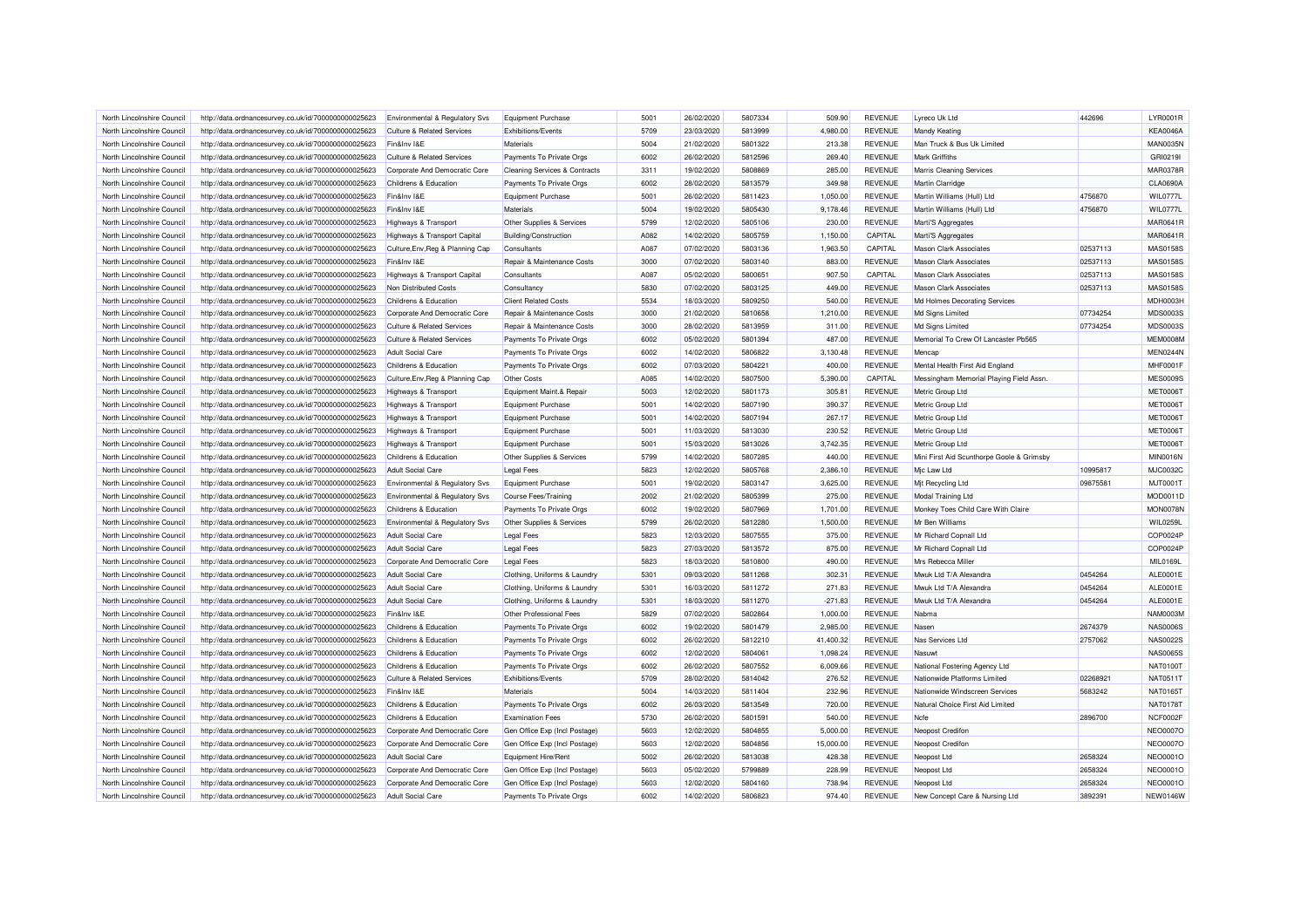| North Lincolnshire Council | http://data.ordnancesurvey.co.uk/id/7000000000025623                                                         | Environmental & Regulatory Svs                 | Equipment Purchase                         | 5001 | 26/02/2020 | 5807334 | 509.90    | <b>REVENUE</b> | Lyreco Uk Ltd                             | 442696   | <b>LYR0001R</b> |
|----------------------------|--------------------------------------------------------------------------------------------------------------|------------------------------------------------|--------------------------------------------|------|------------|---------|-----------|----------------|-------------------------------------------|----------|-----------------|
| North Lincolnshire Council | http://data.ordnancesurvey.co.uk/id/7000000000025623                                                         | <b>Culture &amp; Related Services</b>          | Exhibitions/Events                         | 5709 | 23/03/2020 | 5813999 | 4.980.00  | <b>REVENUE</b> | <b>Mandy Keating</b>                      |          | <b>KEA0046A</b> |
| North Lincolnshire Council | http://data.ordnancesurvey.co.uk/id/7000000000025623                                                         | Fin&Inv I&E                                    | Materials                                  | 5004 | 21/02/2020 | 5801322 | 213.38    | REVENUE        | Man Truck & Bus Uk Limited                |          | <b>MAN0035N</b> |
| North Lincolnshire Council | http://data.ordnancesurvey.co.uk/id/7000000000025623                                                         | <b>Culture &amp; Related Services</b>          | Payments To Private Orgs                   | 6002 | 26/02/2020 | 5812596 | 269.40    | <b>REVENUE</b> | <b>Mark Griffiths</b>                     |          | GRI0219I        |
| North Lincolnshire Council | http://data.ordnancesurvey.co.uk/id/7000000000025623                                                         | Corporate And Democratic Core                  | <b>Cleaning Services &amp; Contracts</b>   | 3311 | 19/02/2020 | 5808869 | 285.00    | <b>REVENUE</b> | <b>Marris Cleaning Services</b>           |          | <b>MAR0378F</b> |
| North Lincolnshire Council | http://data.ordnancesurvey.co.uk/id/7000000000025623                                                         | Childrens & Education                          | Payments To Private Orgs                   | 6002 | 28/02/2020 | 5813579 | 349.98    | <b>REVENUE</b> | Martin Clarridge                          |          | <b>CLA0690A</b> |
| North Lincolnshire Council | http://data.ordnancesurvey.co.uk/id/7000000000025623                                                         | Fin&Inv I&E                                    | Equipment Purchase                         | 5001 | 26/02/2020 | 5811423 | 1,050.00  | <b>REVENUE</b> | Martin Williams (Hull) Ltd                | 4756870  | WIL0777L        |
| North Lincolnshire Council | http://data.ordnancesurvey.co.uk/id/7000000000025623                                                         | Fin&Inv I&E                                    | Materials                                  | 5004 | 19/02/2020 | 5805430 | 9,178.46  | <b>REVENUE</b> | Martin Williams (Hull) Ltd                | 4756870  | WIL0777L        |
| North Lincolnshire Council | http://data.ordnancesurvey.co.uk/id/7000000000025623                                                         | Highways & Transport                           | Other Supplies & Services                  | 5799 | 12/02/2020 | 5805106 | 230.00    | <b>REVENUE</b> | Marti'S Aggregates                        |          | MAR0641R        |
| North Lincolnshire Council | http://data.ordnancesurvey.co.uk/id/7000000000025623                                                         | Highways & Transport Capital                   | <b>Building/Construction</b>               | A082 | 14/02/2020 | 5805759 | 1,150.00  | CAPITAL        | Marti'S Aggregates                        |          | <b>MAR0641R</b> |
| North Lincolnshire Council | http://data.ordnancesurvey.co.uk/id/7000000000025623                                                         | Culture, Env, Reg & Planning Cap               | Consultants                                | A087 | 07/02/2020 | 5803136 | 1.963.50  | CAPITAL        | <b>Mason Clark Associates</b>             | 02537113 | <b>MAS0158S</b> |
| North Lincolnshire Council | http://data.ordnancesurvey.co.uk/id/7000000000025623                                                         | Fin&Inv I&E                                    | Repair & Maintenance Costs                 | 3000 | 07/02/2020 | 5803140 | 883.00    | <b>REVENUE</b> | <b>Mason Clark Associates</b>             | 02537113 | <b>MAS0158S</b> |
| North Lincolnshire Council | http://data.ordnancesurvey.co.uk/id/7000000000025623                                                         | Highways & Transport Capital                   | Consultants                                | A087 | 05/02/2020 | 5800651 | 907.50    | CAPITAL        | <b>Mason Clark Associates</b>             | 02537113 | MAS0158S        |
| North Lincolnshire Council |                                                                                                              |                                                |                                            | 5830 | 07/02/2020 | 5803125 | 449.00    | <b>REVENUE</b> | <b>Mason Clark Associates</b>             | 02537113 | MAS0158S        |
| North Lincolnshire Council | http://data.ordnancesurvey.co.uk/id/7000000000025623<br>http://data.ordnancesurvey.co.uk/id/7000000000025623 | Non Distributed Costs<br>Childrens & Education | Consultancy<br><b>Client Related Costs</b> | 5534 | 18/03/2020 | 5809250 | 540.00    | <b>REVENUE</b> | Md Holmes Decorating Services             |          | MDH0003H        |
|                            |                                                                                                              |                                                |                                            |      |            | 5810658 |           |                |                                           |          | MDS0003S        |
| North Lincolnshire Council | http://data.ordnancesurvey.co.uk/id/7000000000025623                                                         | Corporate And Democratic Core                  | Repair & Maintenance Costs                 | 3000 | 21/02/2020 |         | 1,210.00  | <b>REVENUE</b> | Md Signs Limited                          | 07734254 |                 |
| North Lincolnshire Council | http://data.ordnancesurvey.co.uk/id/7000000000025623                                                         | <b>Culture &amp; Related Services</b>          | Repair & Maintenance Costs                 | 3000 | 28/02/2020 | 5813959 | 311.00    | <b>REVENUE</b> | Md Signs Limited                          | 07734254 | MDS0003S        |
| North Lincolnshire Council | http://data.ordnancesurvey.co.uk/id/7000000000025623                                                         | <b>Culture &amp; Related Services</b>          | Payments To Private Orgs                   | 6002 | 05/02/2020 | 5801394 | 487.00    | <b>REVENUE</b> | Memorial To Crew Of Lancaster Pb565       |          | <b>MEM0008M</b> |
| North Lincolnshire Council | http://data.ordnancesurvey.co.uk/id/7000000000025623                                                         | <b>Adult Social Care</b>                       | Payments To Private Orgs                   | 6002 | 14/02/2020 | 5806822 | 3,130.48  | <b>REVENUE</b> | Mencap                                    |          | MEN0244N        |
| North Lincolnshire Council | http://data.ordnancesurvey.co.uk/id/7000000000025623                                                         | Childrens & Education                          | Payments To Private Orgs                   | 6002 | 07/03/2020 | 5804221 | 400.00    | <b>REVENUE</b> | Mental Health First Aid England           |          | MHF0001F        |
| North Lincolnshire Council | http://data.ordnancesurvey.co.uk/id/7000000000025623                                                         | Culture, Env, Reg & Planning Cap               | <b>Other Costs</b>                         | A085 | 14/02/2020 | 5807500 | 5,390.00  | CAPITAL        | Messingham Memorial Playing Field Assn.   |          | <b>MES0009S</b> |
| North Lincolnshire Council | http://data.ordnancesurvey.co.uk/id/7000000000025623                                                         | Highways & Transport                           | Equipment Maint.& Repair                   | 5003 | 12/02/2020 | 5801173 | 305.81    | <b>REVENUE</b> | Metric Group Ltd                          |          | <b>MET0006T</b> |
| North Lincolnshire Council | http://data.ordnancesurvey.co.uk/id/7000000000025623                                                         | <b>Highways &amp; Transport</b>                | Equipment Purchase                         | 5001 | 14/02/2020 | 5807190 | 390.37    | <b>REVENUE</b> | Metric Group Ltd                          |          | <b>MET0006T</b> |
| North Lincolnshire Council | http://data.ordnancesurvey.co.uk/id/7000000000025623                                                         | <b>Highways &amp; Transport</b>                | Equipment Purchase                         | 5001 | 14/02/2020 | 5807194 | 267.17    | <b>REVENUE</b> | Metric Group Ltd                          |          | <b>MET0006T</b> |
| North Lincolnshire Council | http://data.ordnancesurvey.co.uk/id/7000000000025623                                                         | Highways & Transport                           | Equipment Purchase                         | 5001 | 11/03/2020 | 5813030 | 230.52    | <b>REVENUE</b> | Metric Group Ltd                          |          | <b>MET0006T</b> |
| North Lincolnshire Council | http://data.ordnancesurvey.co.uk/id/7000000000025623                                                         | <b>Highways &amp; Transport</b>                | Equipment Purchase                         | 5001 | 15/03/2020 | 5813026 | 3,742.35  | <b>REVENUE</b> | Metric Group Ltd                          |          | <b>MET0006T</b> |
| North Lincolnshire Council | http://data.ordnancesurvey.co.uk/id/7000000000025623                                                         | Childrens & Education                          | Other Supplies & Services                  | 5799 | 14/02/2020 | 5807285 | 440.00    | <b>REVENUE</b> | Mini First Aid Scunthorpe Goole & Grimsby |          | <b>MIN0016N</b> |
| North Lincolnshire Council | http://data.ordnancesurvey.co.uk/id/7000000000025623                                                         | <b>Adult Social Care</b>                       | <b>Legal Fees</b>                          | 5823 | 12/02/2020 | 5805768 | 2,386.10  | <b>REVENUE</b> | Mic Law Ltd                               | 10995817 | <b>MJC0032C</b> |
| North Lincolnshire Council | http://data.ordnancesurvey.co.uk/id/7000000000025623                                                         | Environmental & Regulatory Svs                 | <b>Equipment Purchase</b>                  | 5001 | 19/02/2020 | 5803147 | 3,625.00  | <b>REVENUE</b> | Mit Recycling Ltd                         | 09875581 | MJT0001T        |
| North Lincolnshire Council | http://data.ordnancesurvey.co.uk/id/7000000000025623                                                         | Environmental & Regulatory Svs                 | Course Fees/Training                       | 2002 | 21/02/2020 | 5805399 | 275.00    | <b>REVENUE</b> | Modal Training Ltd                        |          | MOD0011D        |
| North Lincolnshire Council | http://data.ordnancesurvey.co.uk/id/7000000000025623                                                         | Childrens & Education                          | Payments To Private Orgs                   | 6002 | 19/02/2020 | 5807969 | 1,701.00  | <b>REVENUE</b> | Monkey Toes Child Care With Claire        |          | <b>MON0078N</b> |
| North Lincolnshire Council | http://data.ordnancesurvey.co.uk/id/7000000000025623                                                         | <b>Environmental &amp; Regulatory Svs</b>      | Other Supplies & Services                  | 5799 | 26/02/2020 | 5812280 | 1,500.00  | <b>REVENUE</b> | Mr Ben Williams                           |          | <b>WIL0259L</b> |
| North Lincolnshire Council | http://data.ordnancesurvey.co.uk/id/7000000000025623                                                         | Adult Social Care                              | <b>Legal Fees</b>                          | 5823 | 12/03/2020 | 5807555 | 375.00    | <b>REVENUE</b> | Mr Richard Copnall Ltd                    |          | COP0024F        |
| North Lincolnshire Council | http://data.ordnancesurvey.co.uk/id/7000000000025623                                                         | <b>Adult Social Care</b>                       | <b>Legal Fees</b>                          | 5823 | 27/03/2020 | 5813572 | 875.00    | <b>REVENUE</b> | Mr Richard Copnall Ltd                    |          | COP0024F        |
| North Lincolnshire Council | http://data.ordnancesurvey.co.uk/id/7000000000025623                                                         | Corporate And Democratic Core                  | Legal Fees                                 | 5823 | 18/03/2020 | 5810800 | 490.00    | REVENUE        | Mrs Rebecca Miller                        |          | MIL0169L        |
| North Lincolnshire Council | http://data.ordnancesurvey.co.uk/id/7000000000025623                                                         | Adult Social Care                              | Clothing, Uniforms & Laundry               | 5301 | 09/03/2020 | 5811268 | 302.31    | <b>REVENUE</b> | Mwuk Ltd T/A Alexandra                    | 0454264  | <b>ALE0001E</b> |
| North Lincolnshire Council | http://data.ordnancesurvey.co.uk/id/7000000000025623                                                         | <b>Adult Social Care</b>                       | Clothing, Uniforms & Laundry               | 5301 | 16/03/2020 | 5811272 | 271.83    | <b>REVENUE</b> | Mwuk Ltd T/A Alexandra                    | 0454264  | ALE0001E        |
| North Lincolnshire Council | http://data.ordnancesurvey.co.uk/id/7000000000025623                                                         | <b>Adult Social Care</b>                       | Clothing, Uniforms & Laundry               | 5301 | 18/03/2020 | 5811270 | $-271.83$ | <b>REVENUE</b> | Mwuk Ltd T/A Alexandra                    | 0454264  | <b>ALE0001E</b> |
| North Lincolnshire Council | http://data.ordnancesurvey.co.uk/id/7000000000025623                                                         | Fin&Inv I&E                                    | Other Professional Fees                    | 5829 | 07/02/2020 | 5802864 | 1,000.00  | <b>REVENUE</b> | Nabma                                     |          | <b>NAM0003M</b> |
| North Lincolnshire Council | http://data.ordnancesurvey.co.uk/id/7000000000025623                                                         | Childrens & Education                          | Payments To Private Orgs                   | 6002 | 19/02/2020 | 5801479 | 2,985.00  | <b>REVENUE</b> | Nasen                                     | 2674379  | <b>NAS0006S</b> |
| North Lincolnshire Council | http://data.ordnancesurvey.co.uk/id/7000000000025623                                                         | Childrens & Education                          | Payments To Private Orgs                   | 6002 | 26/02/2020 | 5812210 | 41,400.32 | <b>REVENUE</b> | Nas Services Ltd                          | 2757062  | <b>NAS0022S</b> |
| North Lincolnshire Council | http://data.ordnancesurvey.co.uk/id/7000000000025623                                                         | Childrens & Education                          | Payments To Private Orgs                   | 6002 | 12/02/2020 | 5804061 | 1,098.24  | <b>REVENUE</b> | Nasuwt                                    |          | <b>NAS0065S</b> |
| North Lincolnshire Council | http://data.ordnancesurvey.co.uk/id/7000000000025623                                                         | Childrens & Education                          | Payments To Private Orgs                   | 6002 | 26/02/2020 | 5807552 | 6,009.66  | <b>REVENUE</b> | National Fostering Agency Ltd             |          | <b>NAT0100T</b> |
|                            |                                                                                                              |                                                |                                            | 5709 | 28/02/2020 |         |           | <b>REVENUE</b> |                                           | 02268921 | NAT0511T        |
| North Lincolnshire Council | http://data.ordnancesurvey.co.uk/id/7000000000025623                                                         | <b>Culture &amp; Related Services</b>          | Exhibitions/Events                         |      |            | 5814042 | 276.52    |                | Nationwide Platforms Limited              |          |                 |
| North Lincolnshire Council | http://data.ordnancesurvey.co.uk/id/7000000000025623                                                         | Fin&Inv I&F                                    | Materials                                  | 5004 | 14/03/2020 | 5811404 | 232.96    | REVENUE        | Nationwide Windscreen Services            | 5683242  | NAT0165T        |
| North Lincolnshire Council | http://data.ordnancesurvey.co.uk/id/7000000000025623                                                         | Childrens & Education                          | Payments To Private Orgs                   | 6002 | 26/03/2020 | 5813549 | 720.00    | <b>REVENUE</b> | Natural Choice First Aid Limited          |          | <b>NAT0178T</b> |
| North Lincolnshire Council | http://data.ordnancesurvey.co.uk/id/7000000000025623                                                         | Childrens & Education                          | <b>Examination Fees</b>                    | 5730 | 26/02/2020 | 5801591 | 540.00    | <b>REVENUE</b> | Ncfe                                      | 2896700  | NCF0002F        |
| North Lincolnshire Council | http://data.ordnancesurvey.co.uk/id/7000000000025623                                                         | Corporate And Democratic Core                  | Gen Office Exp (Incl Postage)              | 5603 | 12/02/2020 | 5804855 | 5,000.00  | <b>REVENUE</b> | Neopost Credifon                          |          | <b>NEO0007C</b> |
| North Lincolnshire Council | http://data.ordnancesurvey.co.uk/id/7000000000025623                                                         | Corporate And Democratic Core                  | Gen Office Exp (Incl Postage)              | 5603 | 12/02/2020 | 5804856 | 15,000.00 | <b>REVENUE</b> | Neopost Credifon                          |          | <b>NEO0007C</b> |
| North Lincolnshire Council | http://data.ordnancesurvey.co.uk/id/7000000000025623                                                         | <b>Adult Social Care</b>                       | Equipment Hire/Rent                        | 5002 | 26/02/2020 | 5813038 | 428.38    | <b>REVENUE</b> | Neopost Ltd                               | 2658324  | <b>NEO0001C</b> |
| North Lincolnshire Council | http://data.ordnancesurvey.co.uk/id/7000000000025623                                                         | Corporate And Democratic Core                  | Gen Office Exp (Incl Postage)              | 5603 | 05/02/2020 | 5799889 | 228.99    | <b>REVENUE</b> | Neopost Ltd                               | 2658324  | <b>NEO0001C</b> |
| North Lincolnshire Council | http://data.ordnancesurvey.co.uk/id/7000000000025623                                                         | Corporate And Democratic Core                  | Gen Office Exp (Incl Postage)              | 5603 | 12/02/2020 | 5804160 | 738.94    | <b>REVENUE</b> | Neopost Ltd                               | 2658324  | <b>NEO0001C</b> |
| North Lincolnshire Council | http://data.ordnancesurvey.co.uk/id/7000000000025623                                                         | <b>Adult Social Care</b>                       | Payments To Private Orgs                   | 6002 | 14/02/2020 | 5806823 | 974.40    | <b>REVENUE</b> | New Concept Care & Nursing Ltd            | 3892391  | <b>NEW0146W</b> |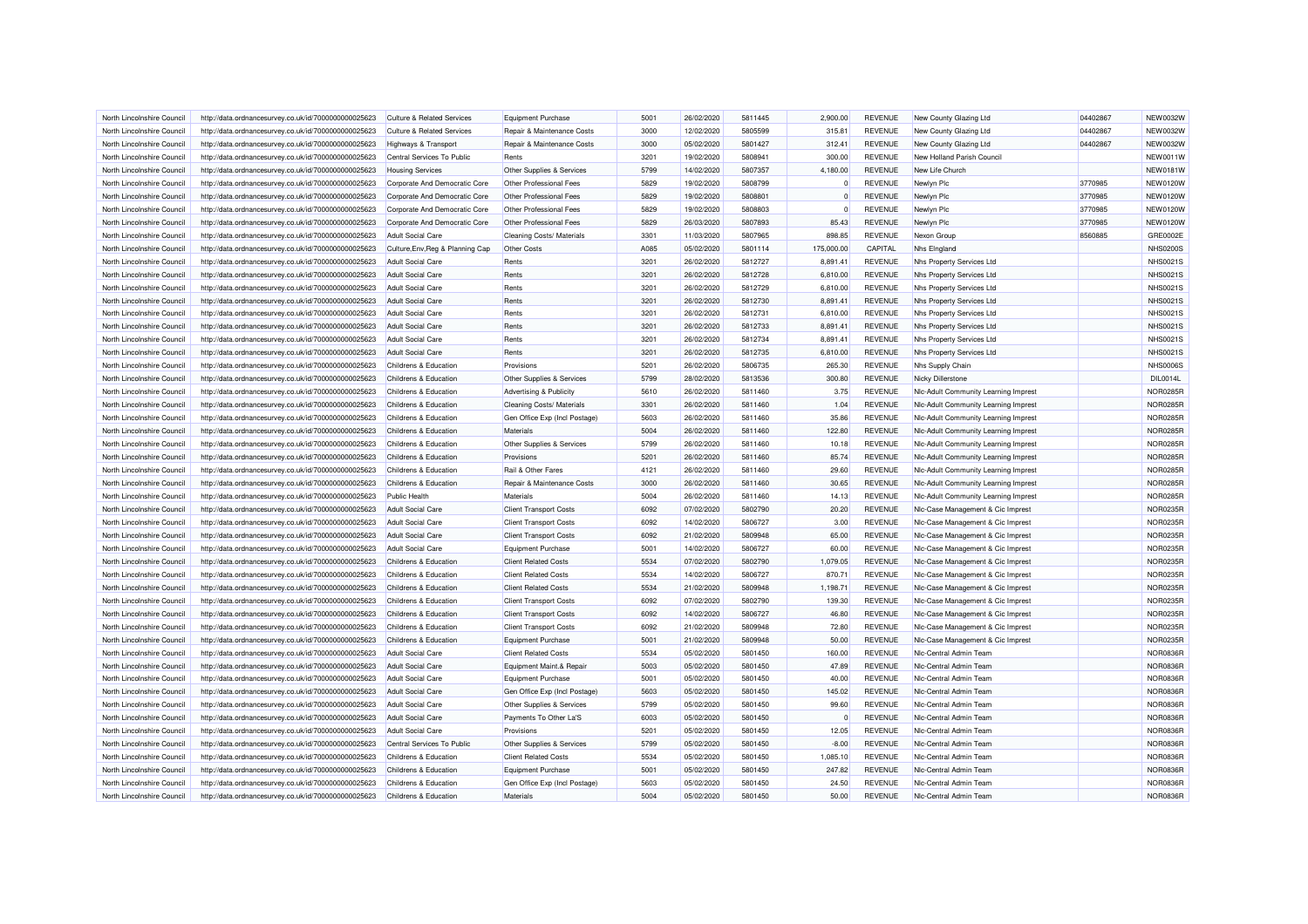| North Lincolnshire Council | http://data.ordnancesurvey.co.uk/id/7000000000025623                                                         | Culture & Related Services            | <b>Equipment Purchase</b>     | 5001 | 26/02/2020 | 5811445 | 2.900.00   | <b>REVENUE</b>                   | New County Glazing Ltd               | 04402867 | <b>NEW0032W</b>                    |
|----------------------------|--------------------------------------------------------------------------------------------------------------|---------------------------------------|-------------------------------|------|------------|---------|------------|----------------------------------|--------------------------------------|----------|------------------------------------|
| North Lincolnshire Council | http://data.ordnancesurvey.co.uk/id/7000000000025623                                                         | <b>Culture &amp; Related Services</b> | Repair & Maintenance Costs    | 3000 | 12/02/2020 | 5805599 | 315.81     | <b>REVENUE</b>                   | New County Glazing Ltd               | 04402867 | <b>NEW0032W</b>                    |
| North Lincolnshire Council | http://data.ordnancesurvey.co.uk/id/7000000000025623                                                         | <b>Highways &amp; Transport</b>       | Repair & Maintenance Costs    | 3000 | 05/02/2020 | 5801427 | 312.41     | <b>REVENUE</b>                   | New County Glazing Ltd               | 04402867 | <b>NEW0032W</b>                    |
| North Lincolnshire Council | http://data.ordnancesurvey.co.uk/id/7000000000025623                                                         | Central Services To Public            | Rents                         | 3201 | 19/02/2020 | 5808941 | 300.00     | <b>REVENUE</b>                   | New Holland Parish Council           |          | <b>NEW0011W</b>                    |
| North Lincolnshire Council | http://data.ordnancesurvey.co.uk/id/7000000000025623                                                         | <b>Housing Services</b>               | Other Supplies & Services     | 5799 | 14/02/2020 | 5807357 | 4.180.00   | <b>REVENUE</b>                   | New Life Church                      |          | <b>NEW0181W</b>                    |
| North Lincolnshire Council | http://data.ordnancesurvey.co.uk/id/7000000000025623                                                         | Corporate And Democratic Core         | Other Professional Fees       | 5829 | 19/02/2020 | 5808799 | $\Omega$   | <b>REVENUE</b>                   | Newlyn Plc                           | 3770985  | <b>NEW0120W</b>                    |
| North Lincolnshire Council | http://data.ordnancesurvey.co.uk/id/7000000000025623                                                         | Corporate And Democratic Core         | Other Professional Fees       | 5829 | 19/02/2020 | 5808801 | $\Omega$   | <b>REVENUE</b>                   | Newlyn Plc                           | 3770985  | <b>NEW0120W</b>                    |
| North Lincolnshire Council | http://data.ordnancesurvey.co.uk/id/7000000000025623                                                         | Corporate And Democratic Core         | Other Professional Fees       | 5829 | 19/02/2020 | 5808803 | $\Omega$   | <b>REVENUE</b>                   | Newlyn Plc                           | 3770985  | <b>NEW0120W</b>                    |
| North Lincolnshire Council | http://data.ordnancesurvey.co.uk/id/7000000000025623                                                         | Corporate And Democratic Core         | Other Professional Fees       | 5829 | 26/03/2020 | 5807893 | 85.43      | <b>REVENUE</b>                   | Newlyn Plc                           | 3770985  | <b>NEW0120W</b>                    |
| North Lincolnshire Council | http://data.ordnancesurvey.co.uk/id/7000000000025623                                                         | Adult Social Care                     | Cleaning Costs/ Materials     | 3301 | 11/03/2020 | 5807965 | 898.85     | <b>REVENUE</b>                   | Nexon Group                          | 8560885  | GRE0002E                           |
| North Lincolnshire Council | http://data.ordnancesurvey.co.uk/id/7000000000025623                                                         | Culture, Env, Reg & Planning Cap      | <b>Other Costs</b>            | A085 | 05/02/2020 | 5801114 | 175,000.00 | CAPITAL                          | Nhs Eingland                         |          | <b>NHS0200S</b>                    |
| North Lincolnshire Council |                                                                                                              |                                       | Rents                         | 3201 | 26/02/2020 | 5812727 |            | <b>REVENUE</b>                   |                                      |          | <b>NHS0021S</b>                    |
| North Lincolnshire Council | http://data.ordnancesurvey.co.uk/id/7000000000025623                                                         | <b>Adult Social Care</b>              | Rents                         | 3201 | 26/02/2020 | 5812728 | 8,891.41   | <b>REVENUE</b>                   | Nhs Property Services Ltd            |          | <b>NHS0021S</b>                    |
|                            | http://data.ordnancesurvey.co.uk/id/7000000000025623                                                         | <b>Adult Social Care</b>              |                               | 3201 |            | 5812729 | 6,810.00   | <b>REVENUE</b>                   | Nhs Property Services Ltd            |          | <b>NHS0021S</b>                    |
| North Lincolnshire Council | http://data.ordnancesurvey.co.uk/id/7000000000025623                                                         | Adult Social Care                     | Rents                         |      | 26/02/2020 |         | 6.810.00   |                                  | Nhs Property Services Ltd            |          |                                    |
| North Lincolnshire Council | http://data.ordnancesurvey.co.uk/id/7000000000025623                                                         | <b>Adult Social Care</b>              | Rents                         | 3201 | 26/02/2020 | 5812730 | 8,891.41   | <b>REVENUE</b>                   | Nhs Property Services Ltd            |          | <b>NHS0021S</b><br><b>NHS0021S</b> |
| North Lincolnshire Council | http://data.ordnancesurvey.co.uk/id/7000000000025623                                                         | Adult Social Care                     | Rents                         | 3201 | 26/02/2020 | 5812731 | 6.810.00   | <b>REVENUE</b>                   | Nhs Property Services Ltd            |          |                                    |
| North Lincolnshire Council | http://data.ordnancesurvey.co.uk/id/7000000000025623                                                         | <b>Adult Social Care</b>              | Rents                         | 3201 | 26/02/2020 | 5812733 | 8,891.41   | <b>REVENUE</b>                   | Nhs Property Services Ltd            |          | <b>NHS0021S</b>                    |
| North Lincolnshire Council | http://data.ordnancesurvey.co.uk/id/7000000000025623                                                         | <b>Adult Social Care</b>              | Rents                         | 3201 | 26/02/2020 | 5812734 | 8,891.41   | <b>REVENUE</b>                   | Nhs Property Services Ltd            |          | <b>NHS0021S</b>                    |
| North Lincolnshire Council | http://data.ordnancesurvey.co.uk/id/7000000000025623                                                         | <b>Adult Social Care</b>              | Rents                         | 3201 | 26/02/2020 | 5812735 | 6,810.00   | <b>REVENUE</b>                   | Nhs Property Services Ltd            |          | <b>NHS0021S</b>                    |
| North Lincolnshire Council | http://data.ordnancesurvey.co.uk/id/7000000000025623                                                         | Childrens & Education                 | Provisions                    | 5201 | 26/02/2020 | 5806735 | 265.30     | <b>REVENUE</b>                   | Nhs Supply Chain                     |          | <b>NHS0006S</b>                    |
| North Lincolnshire Council | http://data.ordnancesurvey.co.uk/id/7000000000025623                                                         | Childrens & Education                 | Other Supplies & Services     | 5799 | 28/02/2020 | 5813536 | 300.80     | <b>REVENUE</b>                   | Nicky Dillerstone                    |          | DIL0014L                           |
| North Lincolnshire Council | http://data.ordnancesurvey.co.uk/id/7000000000025623                                                         | Childrens & Education                 | Advertising & Publicity       | 5610 | 26/02/2020 | 5811460 | 3.75       | <b>REVENUE</b>                   | Nic-Adult Community Learning Imprest |          | <b>NOR0285R</b>                    |
| North Lincolnshire Council | http://data.ordnancesurvey.co.uk/id/7000000000025623                                                         | Childrens & Education                 | Cleaning Costs/ Materials     | 3301 | 26/02/2020 | 5811460 | 1.04       | <b>REVENUE</b>                   | Nic-Adult Community Learning Imprest |          | <b>NOR0285R</b>                    |
| North Lincolnshire Council | http://data.ordnancesurvey.co.uk/id/7000000000025623                                                         | Childrens & Education                 | Gen Office Exp (Incl Postage) | 5603 | 26/02/2020 | 5811460 | 35.86      | <b>REVENUE</b>                   | Nic-Adult Community Learning Imprest |          | NOR0285R                           |
| North Lincolnshire Council | http://data.ordnancesurvey.co.uk/id/7000000000025623                                                         | Childrens & Education                 | Materials                     | 5004 | 26/02/2020 | 5811460 | 122.80     | <b>REVENUE</b>                   | Nic-Adult Community Learning Imprest |          | NOR0285R                           |
| North Lincolnshire Council | http://data.ordnancesurvey.co.uk/id/7000000000025623                                                         | Childrens & Education                 | Other Supplies & Services     | 5799 | 26/02/2020 | 5811460 | 10.18      | <b>REVENUE</b>                   | Nic-Adult Community Learning Imprest |          | NOR0285R                           |
| North Lincolnshire Council | http://data.ordnancesurvey.co.uk/id/7000000000025623                                                         | Childrens & Education                 | Provisions                    | 5201 | 26/02/2020 | 5811460 | 85.74      | <b>REVENUE</b>                   | Nic-Adult Community Learning Imprest |          | <b>NOR0285R</b>                    |
| North Lincolnshire Council | http://data.ordnancesurvey.co.uk/id/7000000000025623                                                         | Childrens & Education                 | Rail & Other Fares            | 4121 | 26/02/2020 | 5811460 | 29.60      | <b>REVENUE</b>                   | Nic-Adult Community Learning Imprest |          | <b>NOR0285R</b>                    |
| North Lincolnshire Council | http://data.ordnancesurvey.co.uk/id/7000000000025623                                                         | Childrens & Education                 | Repair & Maintenance Costs    | 3000 | 26/02/2020 | 5811460 | 30.65      | <b>REVENUE</b>                   | Nic-Adult Community Learning Imprest |          | <b>NOR0285R</b>                    |
| North Lincolnshire Council | http://data.ordnancesurvey.co.uk/id/7000000000025623                                                         | <b>Public Health</b>                  | Materials                     | 5004 | 26/02/2020 | 5811460 | 14.13      | <b>REVENUE</b>                   | Nic-Adult Community Learning Imprest |          | NOR0285R                           |
| North Lincolnshire Council | http://data.ordnancesurvey.co.uk/id/7000000000025623                                                         | <b>Adult Social Care</b>              | <b>Client Transport Costs</b> | 6092 | 07/02/2020 | 5802790 | 20.20      | <b>REVENUE</b>                   | NIc-Case Management & Cic Imprest    |          | NOR0235R                           |
| North Lincolnshire Council | http://data.ordnancesurvey.co.uk/id/7000000000025623                                                         | Adult Social Care                     | <b>Client Transport Costs</b> | 6092 | 14/02/2020 | 5806727 | 3.00       | <b>REVENUE</b>                   | Nic-Case Management & Cic Imprest    |          | <b>NOR0235R</b>                    |
| North Lincolnshire Council | http://data.ordnancesurvey.co.uk/id/7000000000025623                                                         | <b>Adult Social Care</b>              | <b>Client Transport Costs</b> | 6092 | 21/02/2020 | 5809948 | 65.00      | <b>REVENUE</b>                   | NIc-Case Management & Cic Imprest    |          | NOR0235R                           |
| North Lincolnshire Council | http://data.ordnancesurvey.co.uk/id/7000000000025623                                                         | <b>Adult Social Care</b>              | Equipment Purchase            | 5001 | 14/02/2020 | 5806727 | 60.00      | <b>REVENUE</b>                   | NIc-Case Management & Cic Imprest    |          | NOR0235R                           |
| North Lincolnshire Council | http://data.ordnancesurvey.co.uk/id/7000000000025623                                                         | Childrens & Education                 | <b>Client Related Costs</b>   | 5534 | 07/02/2020 | 5802790 | 1,079.05   | <b>REVENUE</b>                   | NIc-Case Management & Cic Imprest    |          | NOR0235R                           |
| North Lincolnshire Council | http://data.ordnancesurvey.co.uk/id/7000000000025623                                                         | Childrens & Education                 | <b>Client Related Costs</b>   | 5534 | 14/02/2020 | 5806727 | 870.71     | <b>REVENUE</b>                   | NIc-Case Management & Cic Imprest    |          | NOR0235R                           |
| North Lincolnshire Council | http://data.ordnancesurvey.co.uk/id/7000000000025623                                                         | Childrens & Education                 | <b>Client Related Costs</b>   | 5534 | 21/02/2020 | 5809948 | 1,198.71   | <b>REVENUE</b>                   | NIc-Case Management & Cic Imprest    |          | NOR0235R                           |
| North Lincolnshire Council | http://data.ordnancesurvey.co.uk/id/7000000000025623                                                         | Childrens & Education                 | <b>Client Transport Costs</b> | 6092 | 07/02/2020 | 5802790 | 139.30     | <b>REVENUE</b>                   | NIc-Case Management & Cic Imprest    |          | <b>NOR0235R</b>                    |
| North Lincolnshire Council | http://data.ordnancesurvey.co.uk/id/7000000000025623                                                         | Childrens & Education                 | <b>Client Transport Costs</b> | 6092 | 14/02/2020 | 5806727 | 46.80      | <b>REVENUE</b>                   | NIc-Case Management & Cic Imprest    |          | NOR0235R                           |
| North Lincolnshire Council | http://data.ordnancesurvey.co.uk/id/7000000000025623                                                         | Childrens & Education                 | <b>Client Transport Costs</b> | 6092 | 21/02/2020 | 5809948 | 72.80      | <b>REVENUE</b>                   | NIc-Case Management & Cic Imprest    |          | NOR0235R                           |
| North Lincolnshire Council | http://data.ordnancesurvey.co.uk/id/7000000000025623                                                         | Childrens & Education                 | Equipment Purchase            | 5001 | 21/02/2020 | 5809948 | 50.00      | <b>REVENUE</b>                   | Nic-Case Management & Cic Imprest    |          | <b>NOR0235R</b>                    |
| North Lincolnshire Council | http://data.ordnancesurvey.co.uk/id/7000000000025623                                                         | Adult Social Care                     | <b>Client Related Costs</b>   | 5534 | 05/02/2020 | 5801450 | 160.00     | <b>REVENUE</b>                   | Nic-Central Admin Team               |          | <b>NOR0836R</b>                    |
| North Lincolnshire Council | http://data.ordnancesurvey.co.uk/id/7000000000025623                                                         | <b>Adult Social Care</b>              | Equipment Maint.& Repair      | 5003 | 05/02/2020 | 5801450 | 47.89      | <b>REVENUE</b>                   | Nic-Central Admin Team               |          | <b>NOR0836R</b>                    |
| North Lincolnshire Council | http://data.ordnancesurvey.co.uk/id/7000000000025623                                                         | <b>Adult Social Care</b>              | Equipment Purchase            | 5001 | 05/02/2020 | 5801450 | 40.00      | <b>REVENUE</b>                   | Nic-Central Admin Team               |          | NOR0836R                           |
| North Lincolnshire Council | http://data.ordnancesurvey.co.uk/id/7000000000025623                                                         | Adult Social Care                     | Gen Office Exp (Incl Postage) | 5603 | 05/02/2020 | 5801450 | 145.02     | <b>REVENUE</b>                   | Nic-Central Admin Team               |          | <b>NOR0836R</b>                    |
| North Lincolnshire Council | http://data.ordnancesurvey.co.uk/id/7000000000025623                                                         | <b>Adult Social Care</b>              | Other Supplies & Services     | 5799 | 05/02/2020 | 5801450 | 99.60      | <b>REVENUE</b>                   | Nic-Central Admin Team               |          | NOR0836R                           |
| North Lincolnshire Council |                                                                                                              | <b>Adult Social Care</b>              | Payments To Other La'S        | 6003 | 05/02/2020 | 5801450 |            | <b>REVENUE</b>                   | Nic-Central Admin Team               |          | NOR0836R                           |
| North Lincolnshire Council | http://data.ordnancesurvey.co.uk/id/7000000000025623<br>http://data.ordnancesurvey.co.uk/id/7000000000025623 | <b>Adult Social Care</b>              | Provisions                    | 5201 | 05/02/2020 | 5801450 | 12.05      | <b>REVENUE</b>                   | Nic-Central Admin Team               |          | NOR0836R                           |
|                            |                                                                                                              |                                       |                               |      |            |         |            |                                  |                                      |          |                                    |
| North Lincolnshire Council | http://data.ordnancesurvey.co.uk/id/7000000000025623                                                         | Central Services To Public            | Other Supplies & Services     | 5799 | 05/02/2020 | 5801450 | $-8.00$    | <b>REVENUE</b><br><b>REVENUE</b> | Nic-Central Admin Team               |          | NOR0836R                           |
| North Lincolnshire Council | http://data.ordnancesurvey.co.uk/id/7000000000025623                                                         | Childrens & Education                 | <b>Client Related Costs</b>   | 5534 | 05/02/2020 | 5801450 | 1,085.10   |                                  | Nic-Central Admin Team               |          | <b>NOR0836R</b>                    |
| North Lincolnshire Council | http://data.ordnancesurvey.co.uk/id/7000000000025623                                                         | Childrens & Education                 | Equipment Purchase            | 5001 | 05/02/2020 | 5801450 | 247.82     | <b>REVENUE</b>                   | Nic-Central Admin Team               |          | NOR0836R                           |
| North Lincolnshire Council | http://data.ordnancesurvey.co.uk/id/7000000000025623                                                         | Childrens & Education                 | Gen Office Exp (Incl Postage) | 5603 | 05/02/2020 | 5801450 | 24.50      | <b>REVENUE</b>                   | Nic-Central Admin Team               |          | NOR0836R                           |
| North Lincolnshire Council | http://data.ordnancesurvey.co.uk/id/7000000000025623                                                         | Childrens & Education                 | Materials                     | 5004 | 05/02/2020 | 5801450 | 50.00      | <b>REVENUE</b>                   | Nic-Central Admin Team               |          | <b>NOR0836R</b>                    |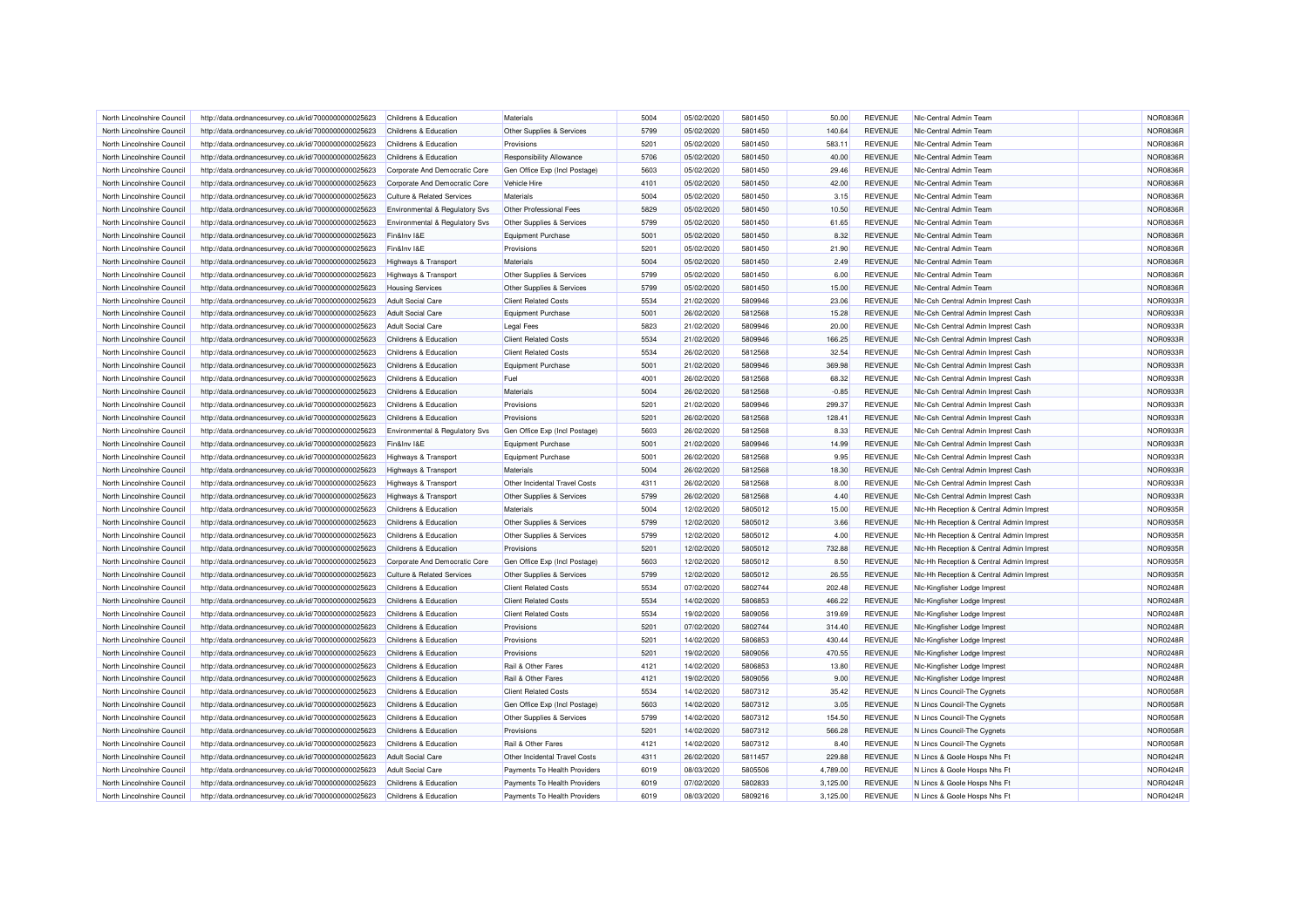| North Lincolnshire Council | http://data.ordnancesurvey.co.uk/id/7000000000025623 | Childrens & Education                 | Materials                       | 5004 | 05/02/2020 | 5801450 | 50.00    | <b>REVENUE</b> | Nic-Central Admin Team                   | <b>NOR0836R</b> |
|----------------------------|------------------------------------------------------|---------------------------------------|---------------------------------|------|------------|---------|----------|----------------|------------------------------------------|-----------------|
| North Lincolnshire Council | http://data.ordnancesurvey.co.uk/id/7000000000025623 | Childrens & Education                 | Other Supplies & Services       | 5799 | 05/02/2020 | 5801450 | 140.64   | <b>REVENUE</b> | Nic-Central Admin Team                   | NOR0836R        |
| North Lincolnshire Council | http://data.ordnancesurvey.co.uk/id/7000000000025623 | Childrens & Education                 | Provisions                      | 5201 | 05/02/2020 | 5801450 | 583.11   | <b>REVENUE</b> | Nic-Central Admin Team                   | NOR0836R        |
| North Lincolnshire Council |                                                      |                                       | <b>Responsibility Allowance</b> | 5706 | 05/02/2020 | 5801450 | 40.00    | <b>REVENUE</b> | Nic-Central Admin Team                   | NOR0836R        |
|                            | http://data.ordnancesurvey.co.uk/id/7000000000025623 | Childrens & Education                 |                                 |      |            |         |          |                |                                          |                 |
| North Lincolnshire Council | http://data.ordnancesurvey.co.uk/id/7000000000025623 | Corporate And Democratic Core         | Gen Office Exp (Incl Postage)   | 5603 | 05/02/2020 | 5801450 | 29.46    | <b>REVENUE</b> | Nic-Central Admin Team                   | NOR0836R        |
| North Lincolnshire Council | http://data.ordnancesurvey.co.uk/id/7000000000025623 | Corporate And Democratic Core         | Vehicle Hire                    | 4101 | 05/02/2020 | 5801450 | 42.00    | <b>REVENUE</b> | Nic-Central Admin Team                   | <b>NOR0836R</b> |
| North Lincolnshire Council | http://data.ordnancesurvey.co.uk/id/7000000000025623 | <b>Culture &amp; Related Services</b> | Materials                       | 5004 | 05/02/2020 | 5801450 | 3.15     | <b>REVENUE</b> | Nic-Central Admin Team                   | NOR0836R        |
| North Lincolnshire Council | http://data.ordnancesurvey.co.uk/id/7000000000025623 | Environmental & Regulatory Svs        | Other Professional Fees         | 5829 | 05/02/2020 | 5801450 | 10.50    | <b>REVENUE</b> | Nic-Central Admin Team                   | NOR0836R        |
| North Lincolnshire Council | http://data.ordnancesurvey.co.uk/id/7000000000025623 | Environmental & Regulatory Svs        | Other Supplies & Services       | 5799 | 05/02/2020 | 5801450 | 61.65    | <b>REVENUE</b> | Nic-Central Admin Team                   | <b>NOR0836R</b> |
| North Lincolnshire Council | http://data.ordnancesurvey.co.uk/id/7000000000025623 | Fin&Inv I&E                           | Equipment Purchase              | 5001 | 05/02/2020 | 5801450 | 8.32     | <b>REVENUE</b> | Nic-Central Admin Team                   | NOR0836R        |
| North Lincolnshire Council | http://data.ordnancesurvey.co.uk/id/7000000000025623 | Fin&Inv I&E                           | Provisions                      | 5201 | 05/02/2020 | 5801450 | 21.90    | <b>REVENUE</b> | Nic-Central Admin Team                   | NOR0836R        |
| North Lincolnshire Council | http://data.ordnancesurvey.co.uk/id/7000000000025623 | Highways & Transport                  | Materials                       | 5004 | 05/02/2020 | 5801450 | 2.49     | <b>REVENUE</b> | Nic-Central Admin Team                   | <b>NOR0836R</b> |
| North Lincolnshire Council | http://data.ordnancesurvey.co.uk/id/7000000000025623 | Highways & Transport                  | Other Supplies & Services       | 5799 | 05/02/2020 | 5801450 | 6.00     | <b>REVENUE</b> | Nic-Central Admin Team                   | NOR0836R        |
| North Lincolnshire Council | http://data.ordnancesurvey.co.uk/id/7000000000025623 | <b>Housing Services</b>               | Other Supplies & Services       | 5799 | 05/02/2020 | 5801450 | 15.00    | <b>REVENUE</b> | Nic-Central Admin Team                   | <b>NOR0836R</b> |
| North Lincolnshire Council | http://data.ordnancesurvey.co.uk/id/7000000000025623 | <b>Adult Social Care</b>              | <b>Client Related Costs</b>     | 5534 | 21/02/2020 | 5809946 | 23.06    | <b>REVENUE</b> | NIc-Csh Central Admin Imprest Cash       | NOR0933R        |
| North Lincolnshire Council | http://data.ordnancesurvey.co.uk/id/7000000000025623 | <b>Adult Social Care</b>              | <b>Equipment Purchase</b>       | 5001 | 26/02/2020 | 5812568 | 15.28    | <b>REVENUE</b> | Nic-Csh Central Admin Imprest Cash       | NOR0933R        |
| North Lincolnshire Council | http://data.ordnancesurvey.co.uk/id/7000000000025623 | <b>Adult Social Care</b>              | <b>Legal Fees</b>               | 5823 | 21/02/2020 | 5809946 | 20.00    | <b>REVENUE</b> | NIc-Csh Central Admin Imprest Cash       | NOR0933R        |
| North Lincolnshire Council | http://data.ordnancesurvey.co.uk/id/7000000000025623 | Childrens & Education                 | <b>Client Related Costs</b>     | 5534 | 21/02/2020 | 5809946 | 166.25   | <b>REVENUE</b> | Nic-Csh Central Admin Imprest Cash       | NOR0933R        |
| North Lincolnshire Council | http://data.ordnancesurvey.co.uk/id/7000000000025623 | Childrens & Education                 | <b>Client Related Costs</b>     | 5534 | 26/02/2020 | 5812568 | 32.54    | <b>REVENUE</b> | NIc-Csh Central Admin Imprest Cash       | NOR0933R        |
| North Lincolnshire Council | http://data.ordnancesurvey.co.uk/id/7000000000025623 | Childrens & Education                 | Equipment Purchase              | 5001 | 21/02/2020 | 5809946 | 369.98   | <b>REVENUE</b> | Nic-Csh Central Admin Imprest Cash       | NOR0933R        |
| North Lincolnshire Council | http://data.ordnancesurvey.co.uk/id/7000000000025623 | Childrens & Education                 | Fuel                            | 4001 | 26/02/2020 | 5812568 | 68.32    | <b>REVENUE</b> | Nic-Csh Central Admin Imprest Cash       | NOR0933R        |
| North Lincolnshire Council |                                                      | Childrens & Education                 | Materials                       | 5004 | 26/02/2020 | 5812568 |          | <b>REVENUE</b> | NIc-Csh Central Admin Imprest Cash       | NOR0933R        |
|                            | http://data.ordnancesurvey.co.uk/id/7000000000025623 |                                       |                                 |      |            |         | $-0.85$  |                |                                          |                 |
| North Lincolnshire Council | http://data.ordnancesurvey.co.uk/id/7000000000025623 | Childrens & Education                 | Provisions                      | 5201 | 21/02/2020 | 5809946 | 299.37   | <b>REVENUE</b> | NIc-Csh Central Admin Imprest Cash       | NOR0933R        |
| North Lincolnshire Council | http://data.ordnancesurvey.co.uk/id/7000000000025623 | Childrens & Education                 | Provisions                      | 5201 | 26/02/2020 | 5812568 | 128.41   | <b>REVENUE</b> | Nic-Csh Central Admin Imprest Cash       | NOR0933R        |
| North Lincolnshire Council | http://data.ordnancesurvey.co.uk/id/7000000000025623 | Environmental & Regulatory Svs        | Gen Office Exp (Incl Postage)   | 5603 | 26/02/2020 | 5812568 | 8.33     | <b>REVENUE</b> | Nic-Csh Central Admin Imprest Cash       | NOR0933R        |
| North Lincolnshire Council | http://data.ordnancesurvey.co.uk/id/7000000000025623 | Fin&Inv I&E                           | Equipment Purchase              | 5001 | 21/02/2020 | 5809946 | 14.99    | <b>REVENUE</b> | NIc-Csh Central Admin Imprest Cash       | NOR0933R        |
| North Lincolnshire Council | http://data.ordnancesurvey.co.uk/id/7000000000025623 | Highways & Transport                  | Equipment Purchase              | 5001 | 26/02/2020 | 5812568 | 9.95     | <b>REVENUE</b> | NIc-Csh Central Admin Imprest Cash       | NOR0933R        |
| North Lincolnshire Council | http://data.ordnancesurvey.co.uk/id/7000000000025623 | <b>Highways &amp; Transport</b>       | Materials                       | 5004 | 26/02/2020 | 5812568 | 18.30    | <b>REVENUE</b> | Nic-Csh Central Admin Imprest Cash       | <b>NOR0933R</b> |
| North Lincolnshire Council | http://data.ordnancesurvey.co.uk/id/7000000000025623 | <b>Highways &amp; Transport</b>       | Other Incidental Travel Costs   | 4311 | 26/02/2020 | 5812568 | 8.00     | <b>REVENUE</b> | Nic-Csh Central Admin Imprest Cash       | NOR0933R        |
| North Lincolnshire Council | http://data.ordnancesurvey.co.uk/id/7000000000025623 | Highways & Transport                  | Other Supplies & Services       | 5799 | 26/02/2020 | 5812568 | 4.40     | <b>REVENUE</b> | Nic-Csh Central Admin Imprest Cash       | NOR0933R        |
| North Lincolnshire Council | http://data.ordnancesurvey.co.uk/id/7000000000025623 | Childrens & Education                 | Materials                       | 5004 | 12/02/2020 | 5805012 | 15.00    | <b>REVENUE</b> | NIc-Hh Reception & Central Admin Imprest | NOR0935R        |
| North Lincolnshire Council | http://data.ordnancesurvey.co.uk/id/7000000000025623 | Childrens & Education                 | Other Supplies & Services       | 5799 | 12/02/2020 | 5805012 | 3.66     | <b>REVENUE</b> | Nic-Hh Reception & Central Admin Imprest | NOR0935R        |
| North Lincolnshire Council | http://data.ordnancesurvey.co.uk/id/7000000000025623 | Childrens & Education                 | Other Supplies & Services       | 5799 | 12/02/2020 | 5805012 | 4.00     | <b>REVENUE</b> | NIc-Hh Reception & Central Admin Imprest | NOR0935R        |
| North Lincolnshire Council | http://data.ordnancesurvey.co.uk/id/7000000000025623 | Childrens & Education                 | Provisions                      | 5201 | 12/02/2020 | 5805012 | 732.88   | <b>REVENUE</b> | Nic-Hh Reception & Central Admin Imprest | <b>NOR0935R</b> |
| North Lincolnshire Council | http://data.ordnancesurvey.co.uk/id/7000000000025623 | Corporate And Democratic Core         | Gen Office Exp (Incl Postage)   | 5603 | 12/02/2020 | 5805012 | 8.50     | <b>REVENUE</b> | Nic-Hh Reception & Central Admin Imprest | NOR0935R        |
| North Lincolnshire Council | http://data.ordnancesurvey.co.uk/id/7000000000025623 | <b>Culture &amp; Related Services</b> | Other Supplies & Services       | 5799 | 12/02/2020 | 5805012 | 26.55    | <b>REVENUE</b> | Nic-Hh Reception & Central Admin Imprest | <b>NOR0935R</b> |
| North Lincolnshire Council | http://data.ordnancesurvey.co.uk/id/7000000000025623 | Childrens & Education                 | <b>Client Related Costs</b>     | 5534 | 07/02/2020 | 5802744 | 202.48   | <b>REVENUE</b> | Nic-Kingfisher Lodge Imprest             | NOR0248R        |
| North Lincolnshire Council | http://data.ordnancesurvey.co.uk/id/7000000000025623 | Childrens & Education                 | <b>Client Related Costs</b>     | 5534 | 14/02/2020 | 5806853 | 466.22   | <b>REVENUE</b> | Nic-Kingfisher Lodge Imprest             | NOR0248R        |
| North Lincolnshire Council | http://data.ordnancesurvey.co.uk/id/7000000000025623 | Childrens & Education                 | <b>Client Related Costs</b>     | 5534 | 19/02/2020 | 5809056 | 319.69   | <b>REVENUE</b> | Nic-Kingfisher Lodge Imprest             | <b>NOR0248R</b> |
| North Lincolnshire Council | http://data.ordnancesurvey.co.uk/id/7000000000025623 | Childrens & Education                 | Provisions                      | 5201 | 07/02/2020 | 5802744 | 314.40   | <b>REVENUE</b> | Nic-Kingfisher Lodge Imprest             | <b>NOR0248R</b> |
| North Lincolnshire Council | http://data.ordnancesurvey.co.uk/id/7000000000025623 | Childrens & Education                 | Provisions                      | 5201 | 14/02/2020 | 5806853 | 430.44   | <b>REVENUE</b> | Nic-Kingfisher Lodge Imprest             | <b>NOR0248R</b> |
| North Lincolnshire Council |                                                      | Childrens & Education                 | Provisions                      | 5201 | 19/02/2020 | 5809056 | 470.55   | <b>REVENUE</b> |                                          | <b>NOR0248R</b> |
|                            | http://data.ordnancesurvey.co.uk/id/7000000000025623 |                                       |                                 |      |            |         |          |                | Nic-Kingfisher Lodge Imprest             |                 |
| North Lincolnshire Council | http://data.ordnancesurvey.co.uk/id/7000000000025623 | Childrens & Education                 | Rail & Other Fares              | 4121 | 14/02/2020 | 5806853 | 13.80    | <b>REVENUE</b> | Nic-Kingfisher Lodge Imprest             | <b>NOR0248R</b> |
| North Lincolnshire Council | http://data.ordnancesurvey.co.uk/id/7000000000025623 | Childrens & Education                 | Rail & Other Fares              | 4121 | 19/02/2020 | 5809056 | 9.00     | <b>REVENUE</b> | Nic-Kingfisher Lodge Imprest             | NOR0248R        |
| North Lincolnshire Council | http://data.ordnancesurvey.co.uk/id/7000000000025623 | Childrens & Education                 | <b>Client Related Costs</b>     | 5534 | 14/02/2020 | 5807312 | 35.42    | <b>REVENUE</b> | N Lincs Council-The Cygnets              | NOR0058R        |
| North Lincolnshire Council | http://data.ordnancesurvey.co.uk/id/7000000000025623 | Childrens & Education                 | Gen Office Exp (Incl Postage)   | 5603 | 14/02/2020 | 5807312 | 3.05     | <b>REVENUE</b> | N Lincs Council-The Cygnets              | <b>NOR0058R</b> |
| North Lincolnshire Council | http://data.ordnancesurvey.co.uk/id/7000000000025623 | Childrens & Education                 | Other Supplies & Services       | 5799 | 14/02/2020 | 5807312 | 154.50   | <b>REVENUE</b> | N Lincs Council-The Cygnets              | <b>NOR0058R</b> |
| North Lincolnshire Council | http://data.ordnancesurvey.co.uk/id/7000000000025623 | Childrens & Education                 | Provisions                      | 5201 | 14/02/2020 | 5807312 | 566.28   | <b>REVENUE</b> | N Lincs Council-The Cygnets              | NOR0058R        |
| North Lincolnshire Council | http://data.ordnancesurvey.co.uk/id/7000000000025623 | Childrens & Education                 | Rail & Other Fares              | 4121 | 14/02/2020 | 5807312 | 8.40     | <b>REVENUE</b> | N Lincs Council-The Cygnets              | NOR0058R        |
| North Lincolnshire Council | http://data.ordnancesurvey.co.uk/id/7000000000025623 | <b>Adult Social Care</b>              | Other Incidental Travel Costs   | 4311 | 26/02/2020 | 5811457 | 229.88   | <b>REVENUE</b> | N Lincs & Goole Hosps Nhs Ft             | <b>NOR0424R</b> |
| North Lincolnshire Council | http://data.ordnancesurvey.co.uk/id/7000000000025623 | <b>Adult Social Care</b>              | Payments To Health Providers    | 6019 | 08/03/2020 | 5805506 | 4,789.00 | <b>REVENUE</b> | N Lincs & Goole Hosps Nhs Ft             | NOR0424R        |
| North Lincolnshire Council | http://data.ordnancesurvey.co.uk/id/7000000000025623 | Childrens & Education                 | Payments To Health Providers    | 6019 | 07/02/2020 | 5802833 | 3,125.00 | <b>REVENUE</b> | N Lincs & Goole Hosps Nhs Ft             | NOR0424R        |
| North Lincolnshire Council | http://data.ordnancesurvey.co.uk/id/7000000000025623 | Childrens & Education                 | Payments To Health Providers    | 6019 | 08/03/2020 | 5809216 | 3,125.00 | <b>REVENUE</b> | N Lincs & Goole Hosps Nhs Ft             | <b>NOR0424R</b> |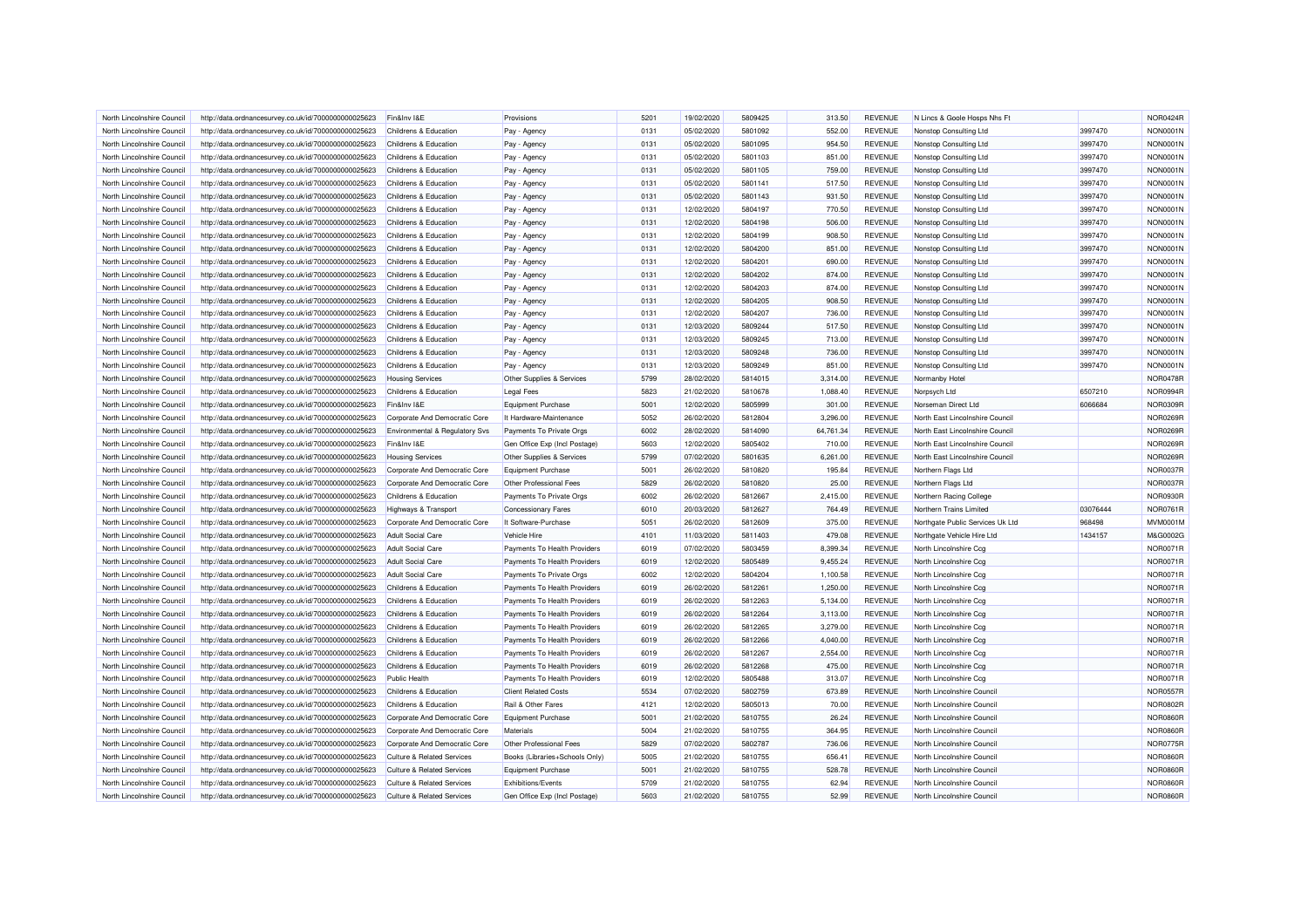| North Lincolnshire Council | http://data.ordnancesurvey.co.uk/id/7000000000025623 | Fin&Inv I&E                           | Provisions                     | 5201 | 19/02/2020 | 5809425 | 313.50    | <b>REVENUE</b> | N Lincs & Goole Hosps Nhs Ft     |          | <b>NOR0424R</b> |
|----------------------------|------------------------------------------------------|---------------------------------------|--------------------------------|------|------------|---------|-----------|----------------|----------------------------------|----------|-----------------|
| North Lincolnshire Council | http://data.ordnancesurvey.co.uk/id/7000000000025623 | Childrens & Education                 | Pay - Agency                   | 0131 | 05/02/2020 | 5801092 | 552.00    | <b>REVENUE</b> | Nonstop Consulting Ltd           | 3997470  | <b>NON0001N</b> |
| North Lincolnshire Council | http://data.ordnancesurvey.co.uk/id/7000000000025623 | Childrens & Education                 | Pay - Agency                   | 0131 | 05/02/2020 | 5801095 | 954.50    | <b>REVENUE</b> | Nonstop Consulting Ltd           | 3997470  | <b>NON0001N</b> |
| North Lincolnshire Council | http://data.ordnancesurvey.co.uk/id/7000000000025623 | Childrens & Education                 | Pay - Agency                   | 0131 | 05/02/2020 | 5801103 | 851.00    | <b>REVENUE</b> | Nonstop Consulting Ltd           | 3997470  | <b>NON0001N</b> |
| North Lincolnshire Council | http://data.ordnancesurvey.co.uk/id/7000000000025623 | Childrens & Education                 | Pay - Agency                   | 0131 | 05/02/2020 | 5801105 | 759.00    | <b>REVENUE</b> | Nonstop Consulting Ltd           | 3997470  | <b>NON0001N</b> |
| North Lincolnshire Council | http://data.ordnancesurvey.co.uk/id/7000000000025623 | Childrens & Education                 | Pay - Agency                   | 0131 | 05/02/2020 | 5801141 | 517.50    | <b>REVENUE</b> | Nonstop Consulting Ltd           | 3997470  | <b>NON0001N</b> |
| North Lincolnshire Council | http://data.ordnancesurvey.co.uk/id/7000000000025623 | Childrens & Education                 | Pay - Agency                   | 0131 | 05/02/2020 | 5801143 | 931.50    | <b>REVENUE</b> | Nonstop Consulting Ltd           | 3997470  | <b>NON0001N</b> |
| North Lincolnshire Council | http://data.ordnancesurvey.co.uk/id/7000000000025623 | Childrens & Education                 | Pay - Agency                   | 0131 | 12/02/2020 | 5804197 | 770.50    | <b>REVENUE</b> | Nonstop Consulting Ltd           | 3997470  | <b>NON0001N</b> |
| North Lincolnshire Council | http://data.ordnancesurvey.co.uk/id/7000000000025623 | Childrens & Education                 | Pay - Agency                   | 0131 | 12/02/2020 | 5804198 | 506.00    | <b>REVENUE</b> | Nonstop Consulting Ltd           | 3997470  | <b>NON0001N</b> |
| North Lincolnshire Council | http://data.ordnancesurvey.co.uk/id/7000000000025623 | Childrens & Education                 | Pay - Agency                   | 0131 | 12/02/2020 | 5804199 | 908.50    | <b>REVENUE</b> | Nonstop Consulting Ltd           | 3997470  | <b>NON0001N</b> |
| North Lincolnshire Council | http://data.ordnancesurvey.co.uk/id/7000000000025623 | Childrens & Education                 | Pay - Agency                   | 0131 | 12/02/2020 | 5804200 | 851.00    | <b>REVENUE</b> | Nonstop Consulting Ltd           | 3997470  | <b>NON0001N</b> |
| North Lincolnshire Council | http://data.ordnancesurvey.co.uk/id/7000000000025623 | Childrens & Education                 |                                | 0131 | 12/02/2020 | 5804201 | 690.00    | <b>REVENUE</b> | Nonstop Consulting Ltd           | 3997470  | <b>NON0001N</b> |
|                            |                                                      |                                       | Pay - Agency                   | 0131 | 12/02/2020 | 5804202 | 874.00    | <b>REVENUE</b> |                                  |          | <b>NON0001N</b> |
| North Lincolnshire Council | http://data.ordnancesurvey.co.uk/id/7000000000025623 | Childrens & Education                 | Pay - Agency                   |      |            |         |           |                | Nonstop Consulting Ltd           | 3997470  |                 |
| North Lincolnshire Council | http://data.ordnancesurvey.co.uk/id/7000000000025623 | Childrens & Education                 | Pay - Agency                   | 0131 | 12/02/2020 | 5804203 | 874.00    | <b>REVENUE</b> | Nonstop Consulting Ltd           | 3997470  | <b>NON0001N</b> |
| North Lincolnshire Council | http://data.ordnancesurvey.co.uk/id/7000000000025623 | Childrens & Education                 | Pay - Agency                   | 0131 | 12/02/2020 | 5804205 | 908.50    | <b>REVENUE</b> | Nonstop Consulting Ltd           | 3997470  | <b>NON0001N</b> |
| North Lincolnshire Council | http://data.ordnancesurvey.co.uk/id/7000000000025623 | Childrens & Education                 | Pay - Agency                   | 0131 | 12/02/2020 | 5804207 | 736.00    | <b>REVENUE</b> | Nonstop Consulting Ltd           | 3997470  | <b>NON0001N</b> |
| North Lincolnshire Council | http://data.ordnancesurvey.co.uk/id/7000000000025623 | Childrens & Education                 | Pay - Agency                   | 0131 | 12/03/2020 | 5809244 | 517.50    | <b>REVENUE</b> | Nonstop Consulting Ltd           | 3997470  | <b>NON0001N</b> |
| North Lincolnshire Council | http://data.ordnancesurvey.co.uk/id/7000000000025623 | Childrens & Education                 | Pay - Agency                   | 0131 | 12/03/2020 | 5809245 | 713.00    | <b>REVENUE</b> | Nonstop Consulting Ltd           | 3997470  | <b>NON0001N</b> |
| North Lincolnshire Council | http://data.ordnancesurvey.co.uk/id/7000000000025623 | Childrens & Education                 | Pay - Agency                   | 0131 | 12/03/2020 | 5809248 | 736.00    | <b>REVENUE</b> | Nonstop Consulting Ltd           | 3997470  | <b>NON0001N</b> |
| North Lincolnshire Council | http://data.ordnancesurvey.co.uk/id/7000000000025623 | Childrens & Education                 | Pay - Agency                   | 0131 | 12/03/2020 | 5809249 | 851.00    | <b>REVENUE</b> | Nonstop Consulting Ltd           | 3997470  | <b>NON0001N</b> |
| North Lincolnshire Council | http://data.ordnancesurvey.co.uk/id/7000000000025623 | <b>Housing Services</b>               | Other Supplies & Services      | 5799 | 28/02/2020 | 5814015 | 3,314.00  | <b>REVENUE</b> | Normanby Hotel                   |          | <b>NOR0478R</b> |
| North Lincolnshire Council | http://data.ordnancesurvey.co.uk/id/7000000000025623 | Childrens & Education                 | <b>Legal Fees</b>              | 5823 | 21/02/2020 | 5810678 | 1.088.40  | <b>REVENUE</b> | Norpsych Ltd                     | 6507210  | <b>NOR0994R</b> |
| North Lincolnshire Council | http://data.ordnancesurvey.co.uk/id/7000000000025623 | Fin&Inv I&E                           | Equipment Purchase             | 5001 | 12/02/2020 | 5805999 | 301.00    | <b>REVENUE</b> | Norseman Direct Ltd              | 6066684  | NOR0309R        |
| North Lincolnshire Council | http://data.ordnancesurvey.co.uk/id/7000000000025623 | Corporate And Democratic Core         | It Hardware-Maintenance        | 5052 | 26/02/2020 | 5812804 | 3,296.00  | <b>REVENUE</b> | North East Lincolnshire Council  |          | NOR0269R        |
| North Lincolnshire Council | http://data.ordnancesurvey.co.uk/id/7000000000025623 | Environmental & Regulatory Svs        | Payments To Private Orgs       | 6002 | 28/02/2020 | 5814090 | 64,761.34 | <b>REVENUE</b> | North East Lincolnshire Council  |          | NOR0269R        |
| North Lincolnshire Council | http://data.ordnancesurvey.co.uk/id/7000000000025623 | Fin&Inv I&E                           | Gen Office Exp (Incl Postage)  | 5603 | 12/02/2020 | 5805402 | 710.00    | <b>REVENUE</b> | North East Lincolnshire Council  |          | NOR0269R        |
| North Lincolnshire Council | http://data.ordnancesurvey.co.uk/id/7000000000025623 | <b>Housing Services</b>               | Other Supplies & Services      | 5799 | 07/02/2020 | 5801635 | 6,261.00  | <b>REVENUE</b> | North East Lincolnshire Council  |          | NOR0269R        |
| North Lincolnshire Council | http://data.ordnancesurvey.co.uk/id/7000000000025623 | Corporate And Democratic Core         | Equipment Purchase             | 5001 | 26/02/2020 | 5810820 | 195.84    | <b>REVENUE</b> | Northern Flags Ltd               |          | <b>NOR0037R</b> |
| North Lincolnshire Council | http://data.ordnancesurvey.co.uk/id/7000000000025623 | Corporate And Democratic Core         | Other Professional Fees        | 5829 | 26/02/2020 | 5810820 | 25.00     | <b>REVENUE</b> | Northern Flags Ltd               |          | <b>NOR0037R</b> |
| North Lincolnshire Council | http://data.ordnancesurvey.co.uk/id/7000000000025623 | Childrens & Education                 | Payments To Private Orgs       | 6002 | 26/02/2020 | 5812667 | 2,415.00  | <b>REVENUE</b> | Northern Racing College          |          | <b>NOR0930R</b> |
| North Lincolnshire Council | http://data.ordnancesurvey.co.uk/id/7000000000025623 | Highways & Transport                  | <b>Concessionary Fares</b>     | 6010 | 20/03/2020 | 5812627 | 764.49    | <b>REVENUE</b> | Northern Trains Limited          | 03076444 | <b>NOR0761R</b> |
| North Lincolnshire Council | http://data.ordnancesurvey.co.uk/id/7000000000025623 | Corporate And Democratic Core         | It Software-Purchase           | 5051 | 26/02/2020 | 5812609 | 375.00    | <b>REVENUE</b> | Northgate Public Services Uk Ltd | 968498   | MVM0001M        |
| North Lincolnshire Council | http://data.ordnancesurvey.co.uk/id/7000000000025623 | <b>Adult Social Care</b>              | Vehicle Hire                   | 4101 | 11/03/2020 | 5811403 | 479.08    | <b>REVENUE</b> | Northgate Vehicle Hire Ltd       | 1434157  | M&G0002G        |
| North Lincolnshire Council | http://data.ordnancesurvey.co.uk/id/7000000000025623 | <b>Adult Social Care</b>              | Payments To Health Providers   | 6019 | 07/02/2020 | 5803459 | 8,399.34  | <b>REVENUE</b> | North Lincolnshire Ccq           |          | <b>NOR0071R</b> |
| North Lincolnshire Council | http://data.ordnancesurvey.co.uk/id/7000000000025623 | <b>Adult Social Care</b>              | Payments To Health Providers   | 6019 | 12/02/2020 | 5805489 | 9,455.24  | <b>REVENUE</b> | North Lincolnshire Ccg           |          | <b>NOR0071R</b> |
| North Lincolnshire Council | http://data.ordnancesurvey.co.uk/id/7000000000025623 | Adult Social Care                     | Payments To Private Orgs       | 6002 | 12/02/2020 | 5804204 | 1,100.58  | <b>REVENUE</b> | North Lincolnshire Ccg           |          | <b>NOR0071R</b> |
| North Lincolnshire Council | http://data.ordnancesurvey.co.uk/id/7000000000025623 | Childrens & Education                 | Payments To Health Providers   | 6019 | 26/02/2020 | 5812261 | 1,250.00  | <b>REVENUE</b> | North Lincolnshire Ccg           |          | <b>NOR0071R</b> |
| North Lincolnshire Council | http://data.ordnancesurvey.co.uk/id/7000000000025623 | Childrens & Education                 | Payments To Health Providers   | 6019 | 26/02/2020 | 5812263 | 5,134.00  | <b>REVENUE</b> | North Lincolnshire Ccg           |          | <b>NOR0071R</b> |
| North Lincolnshire Council | http://data.ordnancesurvey.co.uk/id/7000000000025623 | Childrens & Education                 | Payments To Health Providers   | 6019 | 26/02/2020 | 5812264 | 3,113.00  | <b>REVENUE</b> | North Lincolnshire Ccq           |          | <b>NOR0071R</b> |
| North Lincolnshire Council | http://data.ordnancesurvey.co.uk/id/7000000000025623 | Childrens & Education                 | Payments To Health Providers   | 6019 | 26/02/2020 | 5812265 | 3,279.00  | <b>REVENUE</b> | North Lincolnshire Ccg           |          | <b>NOR0071R</b> |
| North Lincolnshire Council | http://data.ordnancesurvey.co.uk/id/7000000000025623 | Childrens & Education                 | Payments To Health Providers   | 6019 | 26/02/2020 | 5812266 | 4,040.00  | <b>REVENUE</b> | North Lincolnshire Ccg           |          | <b>NOR0071R</b> |
| North Lincolnshire Council | http://data.ordnancesurvey.co.uk/id/7000000000025623 | Childrens & Education                 | Payments To Health Providers   | 6019 | 26/02/2020 | 5812267 | 2,554.00  | <b>REVENUE</b> | North Lincolnshire Ccg           |          | <b>NOR0071R</b> |
| North Lincolnshire Council | http://data.ordnancesurvey.co.uk/id/7000000000025623 | Childrens & Education                 | Payments To Health Providers   | 6019 | 26/02/2020 | 5812268 | 475.00    | <b>REVENUE</b> | North Lincolnshire Ccg           |          | <b>NOR0071R</b> |
| North Lincolnshire Council |                                                      | Public Health                         | Payments To Health Providers   |      | 12/02/2020 | 5805488 |           | <b>REVENUE</b> |                                  |          | <b>NOR0071R</b> |
|                            | http://data.ordnancesurvey.co.uk/id/7000000000025623 |                                       |                                | 6019 |            |         | 313.07    |                | North Lincolnshire Ccg           |          | <b>NOR0557R</b> |
| North Lincolnshire Council | http://data.ordnancesurvey.co.uk/id/7000000000025623 | Childrens & Education                 | <b>Client Related Costs</b>    | 5534 | 07/02/2020 | 5802759 | 673.89    | <b>REVENUE</b> | North Lincolnshire Council       |          |                 |
| North Lincolnshire Council | http://data.ordnancesurvey.co.uk/id/7000000000025623 | Childrens & Education                 | Rail & Other Fares             | 4121 | 12/02/2020 | 5805013 | 70.00     | <b>REVENUE</b> | North Lincolnshire Council       |          | <b>NOR0802R</b> |
| North Lincolnshire Council | http://data.ordnancesurvey.co.uk/id/7000000000025623 | Corporate And Democratic Core         | Equipment Purchase             | 5001 | 21/02/2020 | 5810755 | 26.24     | <b>REVENUE</b> | North Lincolnshire Council       |          | <b>NOR0860R</b> |
| North Lincolnshire Council | http://data.ordnancesurvey.co.uk/id/7000000000025623 | Corporate And Democratic Core         | Materials                      | 5004 | 21/02/2020 | 5810755 | 364.95    | <b>REVENUE</b> | North Lincolnshire Council       |          | <b>NOR0860R</b> |
| North Lincolnshire Council | http://data.ordnancesurvey.co.uk/id/7000000000025623 | Corporate And Democratic Core         | Other Professional Fees        | 5829 | 07/02/2020 | 5802787 | 736.06    | <b>REVENUE</b> | North Lincolnshire Council       |          | NOR0775R        |
| North Lincolnshire Council | http://data.ordnancesurvey.co.uk/id/7000000000025623 | <b>Culture &amp; Related Services</b> | Books (Libraries+Schools Only) | 5005 | 21/02/2020 | 5810755 | 656.41    | <b>REVENUE</b> | North Lincolnshire Council       |          | <b>NOR0860R</b> |
| North Lincolnshire Council | http://data.ordnancesurvey.co.uk/id/7000000000025623 | <b>Culture &amp; Related Services</b> | Equipment Purchase             | 5001 | 21/02/2020 | 5810755 | 528.78    | <b>REVENUE</b> | North Lincolnshire Council       |          | <b>NOR0860R</b> |
| North Lincolnshire Council | http://data.ordnancesurvey.co.uk/id/7000000000025623 | <b>Culture &amp; Related Services</b> | Exhibitions/Events             | 5709 | 21/02/2020 | 5810755 | 62.94     | <b>REVENUE</b> | North Lincolnshire Council       |          | <b>NOR0860R</b> |
| North Lincolnshire Council | http://data.ordnancesurvey.co.uk/id/7000000000025623 | <b>Culture &amp; Related Services</b> | Gen Office Exp (Incl Postage)  | 5603 | 21/02/2020 | 5810755 | 52.99     | <b>REVENUE</b> | North Lincolnshire Council       |          | <b>NOR0860R</b> |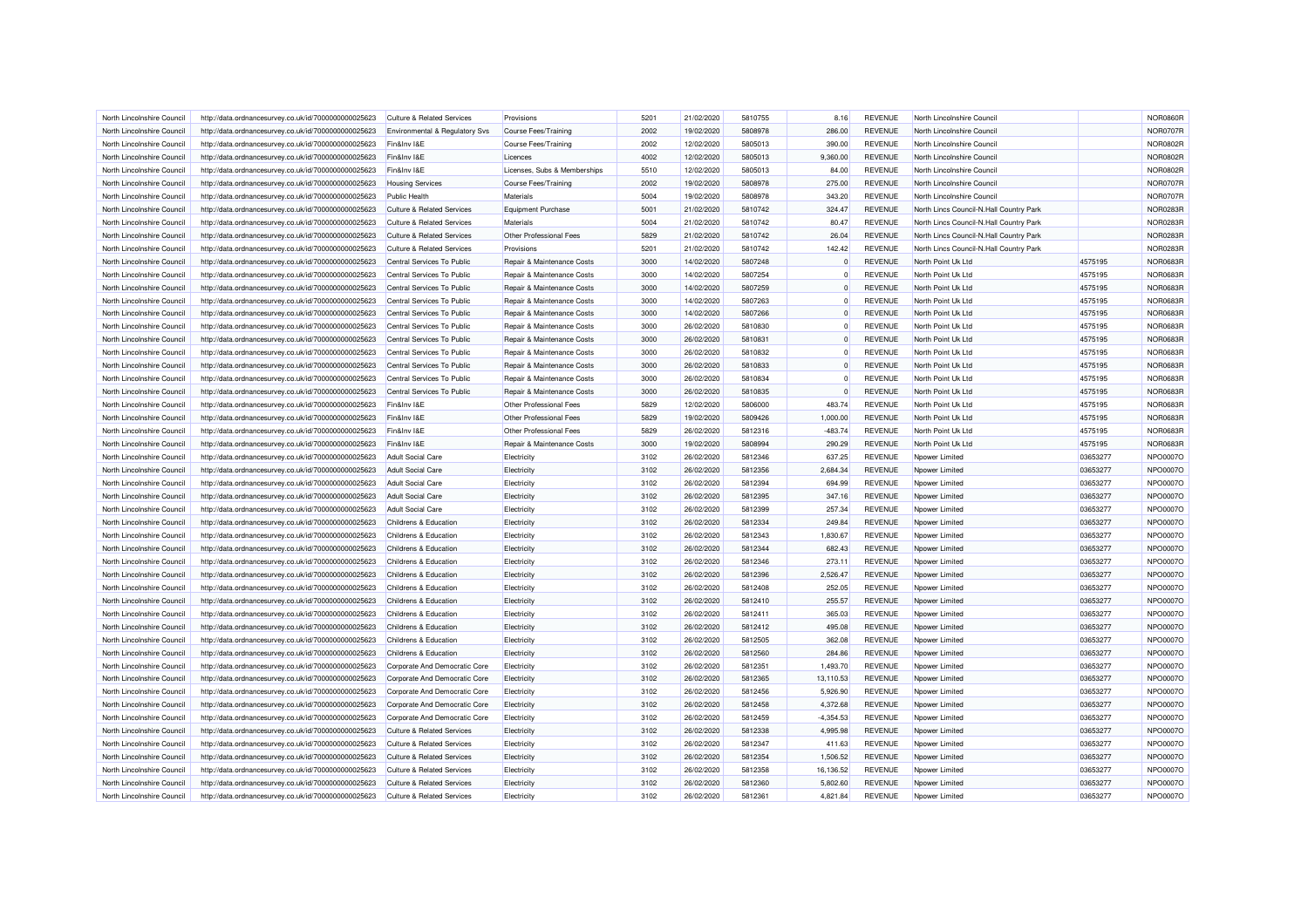| North Lincolnshire Council | http://data.ordnancesurvey.co.uk/id/7000000000025623 | Culture & Related Services            | Provisions                   | 5201 | 21/02/2020 | 5810755 | 8.16        | <b>REVENUE</b>                   | North Lincolnshire Council              |          | <b>NOR0860R</b> |
|----------------------------|------------------------------------------------------|---------------------------------------|------------------------------|------|------------|---------|-------------|----------------------------------|-----------------------------------------|----------|-----------------|
| North Lincolnshire Council | http://data.ordnancesurvey.co.uk/id/7000000000025623 | Environmental & Regulatory Svs        | Course Fees/Training         | 2002 | 19/02/2020 | 5808978 | 286.00      | <b>REVENUE</b>                   | North Lincolnshire Council              |          | <b>NOR0707R</b> |
| North Lincolnshire Council | http://data.ordnancesurvey.co.uk/id/7000000000025623 | Fin&Inv I&E                           | Course Fees/Training         | 2002 | 12/02/2020 | 5805013 | 390.00      | <b>REVENUE</b>                   | North Lincolnshire Council              |          | <b>NOR0802R</b> |
| North Lincolnshire Council | http://data.ordnancesurvey.co.uk/id/7000000000025623 | Fin&Inv I&E                           | Licences                     | 4002 | 12/02/2020 | 5805013 | 9,360.00    | <b>REVENUE</b>                   | North Lincolnshire Council              |          | <b>NOR0802R</b> |
| North Lincolnshire Council | http://data.ordnancesurvey.co.uk/id/7000000000025623 | Fin&Inv I&E                           | Licenses, Subs & Memberships | 5510 | 12/02/2020 | 5805013 | 84.00       | <b>REVENUE</b>                   | North Lincolnshire Council              |          | <b>NOR0802R</b> |
| North Lincolnshire Council | http://data.ordnancesurvey.co.uk/id/7000000000025623 | <b>Housing Services</b>               | <b>Course Fees/Training</b>  | 2002 | 19/02/2020 | 5808978 | 275.00      | <b>REVENUE</b>                   | North Lincolnshire Council              |          | <b>NOR0707R</b> |
| North Lincolnshire Council | http://data.ordnancesurvey.co.uk/id/7000000000025623 | <b>Public Health</b>                  | Materials                    | 5004 | 19/02/2020 | 5808978 | 343.20      | <b>REVENUE</b>                   | North Lincolnshire Council              |          | <b>NOR0707R</b> |
| North Lincolnshire Council | http://data.ordnancesurvey.co.uk/id/7000000000025623 | <b>Culture &amp; Related Services</b> | Equipment Purchase           | 5001 | 21/02/2020 | 5810742 | 324.47      | <b>REVENUE</b>                   | North Lincs Council-N.Hall Country Park |          | NOR0283R        |
| North Lincolnshire Council | http://data.ordnancesurvey.co.uk/id/7000000000025623 | Culture & Related Services            | Materials                    | 5004 | 21/02/2020 | 5810742 | 80.47       | <b>REVENUE</b>                   | North Lincs Council-N.Hall Country Park |          | <b>NOR0283R</b> |
| North Lincolnshire Council | http://data.ordnancesurvey.co.uk/id/7000000000025623 | Culture & Related Services            | Other Professional Fees      | 5829 | 21/02/2020 | 5810742 | 26.04       | <b>REVENUE</b>                   | North Lincs Council-N.Hall Country Park |          | <b>NOR0283R</b> |
| North Lincolnshire Council | http://data.ordnancesurvey.co.uk/id/7000000000025623 | <b>Culture &amp; Related Services</b> | Provisions                   | 5201 | 21/02/2020 | 5810742 | 142.42      | <b>REVENUE</b>                   | North Lincs Council-N.Hall Country Park |          | <b>NOR0283R</b> |
| North Lincolnshire Council | http://data.ordnancesurvey.co.uk/id/7000000000025623 | Central Services To Public            | Repair & Maintenance Costs   | 3000 | 14/02/2020 | 5807248 | $\Omega$    | <b>REVENUE</b>                   | North Point Uk Ltd                      | 4575195  | <b>NOR0683R</b> |
| North Lincolnshire Council | http://data.ordnancesurvey.co.uk/id/7000000000025623 | Central Services To Public            | Repair & Maintenance Costs   | 3000 | 14/02/2020 | 5807254 |             | <b>REVENUE</b>                   | North Point Uk Ltd                      | 4575195  | <b>NOR0683R</b> |
| North Lincolnshire Council | http://data.ordnancesurvey.co.uk/id/7000000000025623 | Central Services To Public            | Repair & Maintenance Costs   | 3000 | 14/02/2020 | 5807259 | $\Omega$    | <b>REVENUE</b>                   | North Point Uk Ltd                      | 4575195  | <b>NOR0683R</b> |
| North Lincolnshire Council | http://data.ordnancesurvey.co.uk/id/7000000000025623 | Central Services To Public            | Repair & Maintenance Costs   | 3000 | 14/02/2020 | 5807263 | $\Omega$    | <b>REVENUE</b>                   | North Point Uk Ltd                      | 4575195  | <b>NOR0683R</b> |
| North Lincolnshire Council | http://data.ordnancesurvey.co.uk/id/7000000000025623 | Central Services To Public            | Repair & Maintenance Costs   | 3000 | 14/02/2020 | 5807266 |             | <b>REVENUE</b>                   | North Point Uk Ltd                      | 4575195  | <b>NOR0683R</b> |
| North Lincolnshire Council | http://data.ordnancesurvey.co.uk/id/7000000000025623 | Central Services To Public            | Repair & Maintenance Costs   | 3000 | 26/02/2020 | 5810830 | $\Omega$    | <b>REVENUE</b>                   | North Point Uk Ltd                      | 4575195  | <b>NOR0683R</b> |
| North Lincolnshire Council | http://data.ordnancesurvey.co.uk/id/7000000000025623 | Central Services To Public            | Repair & Maintenance Costs   | 3000 | 26/02/2020 | 5810831 | $\Omega$    | <b>REVENUE</b>                   | North Point Uk Ltd                      | 4575195  | <b>NOR0683R</b> |
| North Lincolnshire Council | http://data.ordnancesurvey.co.uk/id/7000000000025623 | Central Services To Public            | Repair & Maintenance Costs   | 3000 | 26/02/2020 | 5810832 | $\Omega$    | <b>REVENUE</b>                   | North Point Uk Ltd                      | 4575195  | <b>NOR0683R</b> |
| North Lincolnshire Council | http://data.ordnancesurvey.co.uk/id/7000000000025623 | Central Services To Public            | Repair & Maintenance Costs   | 3000 | 26/02/2020 | 5810833 | $\Omega$    | <b>REVENUE</b>                   | North Point Uk Ltd                      | 4575195  | <b>NOR0683R</b> |
| North Lincolnshire Council | http://data.ordnancesurvey.co.uk/id/7000000000025623 | Central Services To Public            | Repair & Maintenance Costs   | 3000 | 26/02/2020 | 5810834 | $\Omega$    | <b>REVENUE</b>                   | North Point Uk Ltd                      | 4575195  | <b>NOR0683R</b> |
| North Lincolnshire Council | http://data.ordnancesurvey.co.uk/id/7000000000025623 | Central Services To Public            | Repair & Maintenance Costs   | 3000 | 26/02/2020 | 5810835 |             | <b>REVENUE</b>                   | North Point Uk Ltd                      | 4575195  | <b>NOR0683R</b> |
| North Lincolnshire Council | http://data.ordnancesurvey.co.uk/id/7000000000025623 | Fin&Inv I&F                           | Other Professional Fees      | 5829 | 12/02/2020 | 5806000 | 483.74      | <b>REVENUE</b>                   | North Point Uk Ltd                      | 4575195  | <b>NOR0683R</b> |
| North Lincolnshire Council | http://data.ordnancesurvey.co.uk/id/7000000000025623 | Fin&Inv I&E                           | Other Professional Fees      | 5829 | 19/02/2020 | 5809426 | 1,000.00    | <b>REVENUE</b>                   | North Point Uk Ltd                      | 4575195  | <b>NOR0683R</b> |
| North Lincolnshire Council |                                                      | Fin&Inv I&E                           | Other Professional Fees      | 5829 |            | 5812316 | $-483.74$   | <b>REVENUE</b>                   | North Point Uk Ltd                      | 4575195  | <b>NOR0683R</b> |
|                            | http://data.ordnancesurvey.co.uk/id/7000000000025623 |                                       |                              |      | 26/02/2020 |         |             |                                  |                                         |          |                 |
| North Lincolnshire Council | http://data.ordnancesurvey.co.uk/id/7000000000025623 | Fin&Inv I&E                           | Repair & Maintenance Costs   | 3000 | 19/02/2020 | 5808994 | 290.29      | <b>REVENUE</b>                   | North Point Uk Ltd                      | 4575195  | <b>NOR0683R</b> |
| North Lincolnshire Council | http://data.ordnancesurvey.co.uk/id/7000000000025623 | <b>Adult Social Care</b>              | Electricity                  | 3102 | 26/02/2020 | 5812346 | 637.25      | <b>REVENUE</b><br><b>REVENUE</b> | Noower Limited                          | 03653277 | <b>NPO0007O</b> |
| North Lincolnshire Council | http://data.ordnancesurvey.co.uk/id/7000000000025623 | <b>Adult Social Care</b>              | Electricity                  | 3102 | 26/02/2020 | 5812356 | 2,684.34    |                                  | Npower Limited                          | 03653277 | NPO0007O        |
| North Lincolnshire Council | http://data.ordnancesurvey.co.uk/id/7000000000025623 | Adult Social Care                     | Electricity                  | 3102 | 26/02/2020 | 5812394 | 694.99      | <b>REVENUE</b>                   | Noower Limited                          | 03653277 | NPO0007O        |
| North Lincolnshire Council | http://data.ordnancesurvey.co.uk/id/7000000000025623 | <b>Adult Social Care</b>              | Electricity                  | 3102 | 26/02/2020 | 5812395 | 347.16      | <b>REVENUE</b>                   | Npower Limited                          | 03653277 | NPO0007O        |
| North Lincolnshire Council | http://data.ordnancesurvey.co.uk/id/7000000000025623 | <b>Adult Social Care</b>              | Electricity                  | 3102 | 26/02/2020 | 5812399 | 257.34      | <b>REVENUE</b>                   | Noower Limited                          | 03653277 | NPO0007O        |
| North Lincolnshire Council | http://data.ordnancesurvey.co.uk/id/7000000000025623 | Childrens & Education                 | Electricity                  | 3102 | 26/02/2020 | 5812334 | 249.84      | <b>REVENUE</b>                   | Npower Limited                          | 03653277 | NPO0007O        |
| North Lincolnshire Council | http://data.ordnancesurvey.co.uk/id/7000000000025623 | Childrens & Education                 | Electricity                  | 3102 | 26/02/2020 | 5812343 | 1,830.67    | <b>REVENUE</b>                   | Noower Limited                          | 03653277 | NPO0007O        |
| North Lincolnshire Council | http://data.ordnancesurvey.co.uk/id/7000000000025623 | Childrens & Education                 | Electricity                  | 3102 | 26/02/2020 | 5812344 | 682.43      | <b>REVENUE</b>                   | Npower Limited                          | 03653277 | NPO0007O        |
| North Lincolnshire Council | http://data.ordnancesurvey.co.uk/id/7000000000025623 | Childrens & Education                 | Electricity                  | 3102 | 26/02/2020 | 5812346 | 273.11      | <b>REVENUE</b>                   | Noower Limited                          | 03653277 | NPO0007O        |
| North Lincolnshire Council | http://data.ordnancesurvey.co.uk/id/7000000000025623 | Childrens & Education                 | Electricity                  | 3102 | 26/02/2020 | 5812396 | 2,526.47    | <b>REVENUE</b>                   | Npower Limited                          | 03653277 | NPO0007O        |
| North Lincolnshire Council | http://data.ordnancesurvey.co.uk/id/7000000000025623 | Childrens & Education                 | Electricity                  | 3102 | 26/02/2020 | 5812408 | 252.05      | <b>REVENUE</b>                   | Noower Limited                          | 03653277 | NPO0007O        |
| North Lincolnshire Council | http://data.ordnancesurvey.co.uk/id/7000000000025623 | Childrens & Education                 | Electricity                  | 3102 | 26/02/2020 | 5812410 | 255.57      | <b>REVENUE</b>                   | Npower Limited                          | 03653277 | NPO0007O        |
| North Lincolnshire Council | http://data.ordnancesurvey.co.uk/id/7000000000025623 | Childrens & Education                 | Electricity                  | 3102 | 26/02/2020 | 5812411 | 365.03      | <b>REVENUE</b>                   | Npower Limited                          | 03653277 | NPO0007O        |
| North Lincolnshire Council | http://data.ordnancesurvey.co.uk/id/7000000000025623 | Childrens & Education                 | Electricity                  | 3102 | 26/02/2020 | 5812412 | 495.08      | <b>REVENUE</b>                   | Npower Limited                          | 03653277 | NPO0007O        |
| North Lincolnshire Council | http://data.ordnancesurvey.co.uk/id/7000000000025623 | Childrens & Education                 | Electricity                  | 3102 | 26/02/2020 | 5812505 | 362.08      | <b>REVENUE</b>                   | Npower Limited                          | 03653277 | NPO0007O        |
| North Lincolnshire Council | http://data.ordnancesurvey.co.uk/id/7000000000025623 | Childrens & Education                 | Electricity                  | 3102 | 26/02/2020 | 5812560 | 284.86      | <b>REVENUE</b>                   | Npower Limited                          | 03653277 | NPO0007O        |
| North Lincolnshire Council | http://data.ordnancesurvey.co.uk/id/7000000000025623 | Corporate And Democratic Core         | Electricity                  | 3102 | 26/02/2020 | 5812351 | 1,493.70    | <b>REVENUE</b>                   | Noower Limited                          | 03653277 | NPO0007O        |
| North Lincolnshire Council | http://data.ordnancesurvey.co.uk/id/7000000000025623 | Corporate And Democratic Core         | Electricity                  | 3102 | 26/02/2020 | 5812365 | 13,110.53   | <b>REVENUE</b>                   | Npower Limited                          | 03653277 | NPO0007O        |
| North Lincolnshire Council | http://data.ordnancesurvey.co.uk/id/7000000000025623 | Corporate And Democratic Core         | Electricity                  | 3102 | 26/02/2020 | 5812456 | 5.926.90    | <b>REVENUE</b>                   | Noower Limited                          | 03653277 | NPO0007O        |
| North Lincolnshire Council | http://data.ordnancesurvey.co.uk/id/7000000000025623 | Corporate And Democratic Core         | Electricity                  | 3102 | 26/02/2020 | 5812458 | 4,372.68    | <b>REVENUE</b>                   | Npower Limited                          | 03653277 | NPO0007O        |
| North Lincolnshire Council | http://data.ordnancesurvey.co.uk/id/7000000000025623 | Corporate And Democratic Core         | Electricity                  | 3102 | 26/02/2020 | 5812459 | $-4,354.53$ | <b>REVENUE</b>                   | Npower Limited                          | 03653277 | NPO0007O        |
| North Lincolnshire Council | http://data.ordnancesurvey.co.uk/id/7000000000025623 | <b>Culture &amp; Related Services</b> | Electricity                  | 3102 | 26/02/2020 | 5812338 | 4,995.98    | <b>REVENUE</b>                   | Npower Limited                          | 03653277 | NPO0007O        |
| North Lincolnshire Council | http://data.ordnancesurvey.co.uk/id/7000000000025623 | Culture & Related Services            | Electricity                  | 3102 | 26/02/2020 | 5812347 | 411.63      | <b>REVENUE</b>                   | Npower Limited                          | 03653277 | NPO0007O        |
| North Lincolnshire Council | http://data.ordnancesurvey.co.uk/id/7000000000025623 | <b>Culture &amp; Related Services</b> | Electricity                  | 3102 | 26/02/2020 | 5812354 | 1,506.52    | <b>REVENUE</b>                   | Npower Limited                          | 03653277 | NPO0007O        |
| North Lincolnshire Council | http://data.ordnancesurvey.co.uk/id/7000000000025623 | <b>Culture &amp; Related Services</b> | Electricity                  | 3102 | 26/02/2020 | 5812358 | 16,136.52   | <b>REVENUE</b>                   | Npower Limited                          | 03653277 | NPO0007O        |
| North Lincolnshire Council | http://data.ordnancesurvey.co.uk/id/7000000000025623 | Culture & Related Services            | Electricity                  | 3102 | 26/02/2020 | 5812360 | 5,802.60    | <b>REVENUE</b>                   | Noower Limited                          | 03653277 | NPO0007O        |
| North Lincolnshire Council | http://data.ordnancesurvey.co.uk/id/7000000000025623 | <b>Culture &amp; Related Services</b> | Electricity                  | 3102 | 26/02/2020 | 5812361 | 4,821.84    | <b>REVENUE</b>                   | Npower Limited                          | 03653277 | NPO0007O        |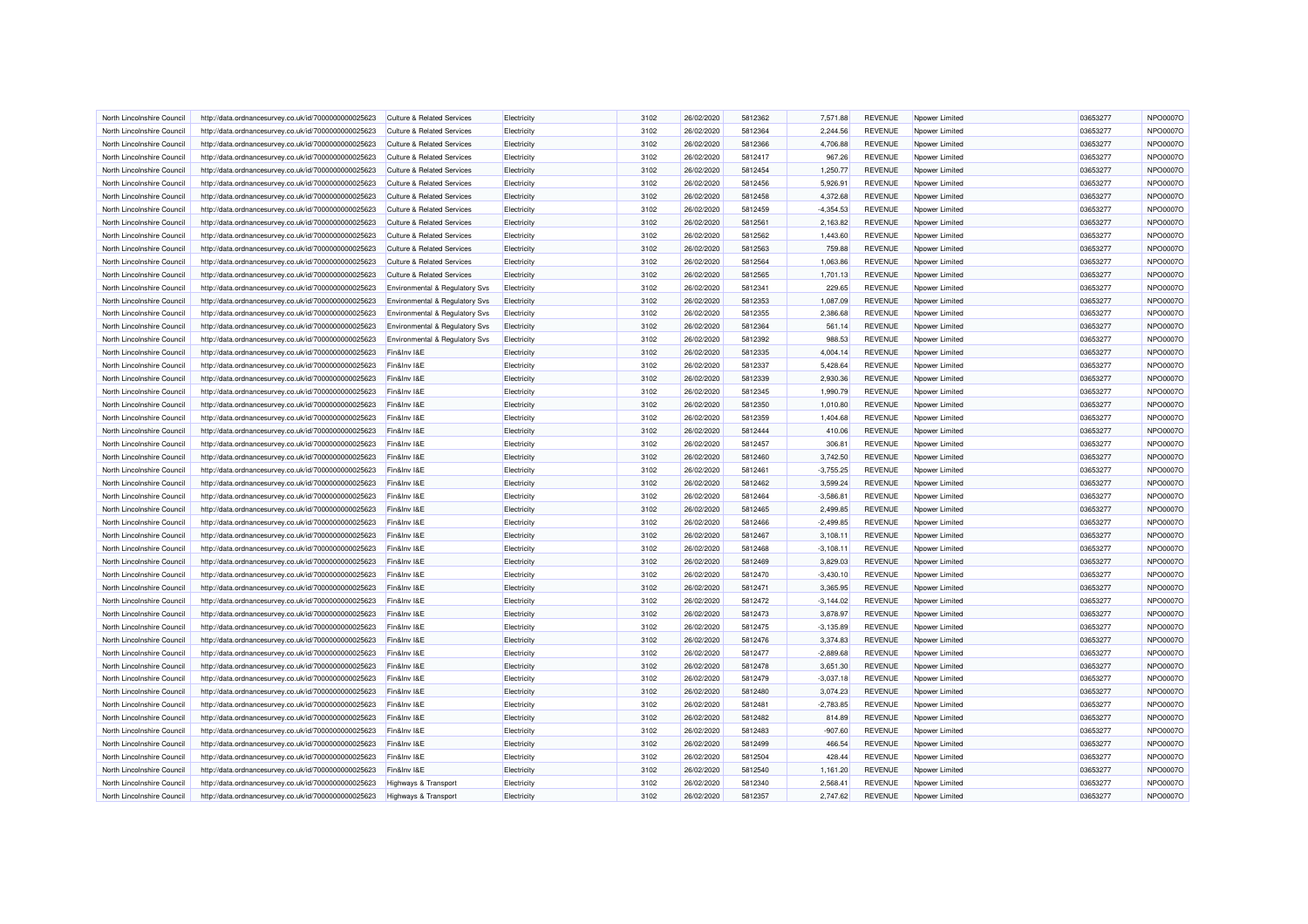| North Lincolnshire Council                               | http://data.ordnancesurvey.co.uk/id/7000000000025623 | Culture & Related Services                | Electricity        | 3102 | 26/02/2020 | 5812362            | 7.571.88    | <b>REVENUE</b>                   | Nnower I imited | 03653277 | NPO0007O        |
|----------------------------------------------------------|------------------------------------------------------|-------------------------------------------|--------------------|------|------------|--------------------|-------------|----------------------------------|-----------------|----------|-----------------|
| North Lincolnshire Council                               | http://data.ordnancesurvey.co.uk/id/7000000000025623 | Culture & Related Services                | Electricity        | 3102 | 26/02/2020 | 5812364            | 2.244.56    | <b>REVENUE</b>                   | Npower Limited  | 03653277 | NPO0007O        |
| North Lincolnshire Council                               | http://data.ordnancesurvey.co.uk/id/7000000000025623 | <b>Culture &amp; Related Services</b>     | Electricity        | 3102 | 26/02/2020 | 5812366            | 4,706.88    | <b>REVENUE</b>                   | Noower Limited  | 03653277 | NPO0007O        |
| North Lincolnshire Council                               | http://data.ordnancesurvey.co.uk/id/7000000000025623 | Culture & Related Services                | Electricity        | 3102 | 26/02/2020 | 5812417            | 967.26      | <b>REVENUE</b>                   | Npower Limited  | 03653277 | NPO0007O        |
| North Lincolnshire Council                               | http://data.ordnancesurvey.co.uk/id/7000000000025623 | <b>Culture &amp; Related Services</b>     | Electricity        | 3102 | 26/02/2020 | 5812454            | 1,250.77    | <b>REVENUE</b>                   | Npower Limited  | 03653277 | <b>NPO0007O</b> |
| North Lincolnshire Council                               | http://data.ordnancesurvey.co.uk/id/7000000000025623 | Culture & Related Services                | Electricity        | 3102 | 26/02/2020 | 5812456            | 5,926.91    | <b>REVENUE</b>                   | Noower Limited  | 03653277 | NPO0007O        |
| North Lincolnshire Council                               | http://data.ordnancesurvey.co.uk/id/7000000000025623 | <b>Culture &amp; Related Services</b>     | Electricity        | 3102 | 26/02/2020 | 5812458            | 4,372.68    | <b>REVENUE</b>                   | Npower Limited  | 03653277 | NPO0007O        |
| North Lincolnshire Council                               | http://data.ordnancesurvey.co.uk/id/7000000000025623 | <b>Culture &amp; Related Services</b>     | Electricity        | 3102 | 26/02/2020 | 5812459            | $-4,354.53$ | <b>REVENUE</b>                   | Npower Limited  | 03653277 | <b>NPO0007O</b> |
| North Lincolnshire Council                               | http://data.ordnancesurvey.co.uk/id/7000000000025623 | Culture & Related Services                | Electricity        | 3102 | 26/02/2020 | 5812561            | 2,163.82    | <b>REVENUE</b>                   | Npower Limited  | 03653277 | NPO0007O        |
| North Lincolnshire Council                               | http://data.ordnancesurvey.co.uk/id/7000000000025623 | <b>Culture &amp; Related Services</b>     | Electricity        | 3102 | 26/02/2020 | 5812562            | 1,443.60    | <b>REVENUE</b>                   | Npower Limited  | 03653277 | NPO0007O        |
| North Lincolnshire Council                               | http://data.ordnancesurvey.co.uk/id/7000000000025623 | <b>Culture &amp; Related Services</b>     | Electricity        | 3102 | 26/02/2020 | 5812563            | 759.88      | <b>REVENUE</b>                   | Noower Limited  | 03653277 | NPO0007O        |
| North Lincolnshire Council                               | http://data.ordnancesurvey.co.uk/id/7000000000025623 | Culture & Related Services                | Electricity        | 3102 | 26/02/2020 | 5812564            | 1,063.86    | <b>REVENUE</b>                   | Npower Limited  | 03653277 | NPO0007O        |
| North Lincolnshire Council                               | http://data.ordnancesurvey.co.uk/id/7000000000025623 | <b>Culture &amp; Related Services</b>     | Electricity        | 3102 | 26/02/2020 | 5812565            | 1,701.13    | <b>REVENUE</b>                   | Npower Limited  | 03653277 | <b>NPO0007O</b> |
| North Lincolnshire Council                               | http://data.ordnancesurvey.co.uk/id/7000000000025623 | Environmental & Regulatory Svs            | Electricity        | 3102 | 26/02/2020 | 5812341            | 229.65      | <b>REVENUE</b>                   | Npower Limited  | 03653277 | NPO0007O        |
| North Lincolnshire Council                               | http://data.ordnancesurvey.co.uk/id/7000000000025623 | Environmental & Regulatory Svs            | Electricity        | 3102 | 26/02/2020 | 5812353            | 1,087.09    | <b>REVENUE</b>                   | Npower Limited  | 03653277 | NPO0007O        |
| North Lincolnshire Council                               | http://data.ordnancesurvey.co.uk/id/7000000000025623 | <b>Environmental &amp; Requlatory Svs</b> | Electricity        | 3102 | 26/02/2020 | 5812355            | 2,386.68    | <b>REVENUE</b>                   | Npower Limited  | 03653277 | NPO0007O        |
| North Lincolnshire Council                               | http://data.ordnancesurvey.co.uk/id/7000000000025623 | Environmental & Regulatory Svs            | Electricity        | 3102 | 26/02/2020 | 5812364            | 561.14      | <b>REVENUE</b>                   | Npower Limited  | 03653277 | NPO0007O        |
| North Lincolnshire Council                               | http://data.ordnancesurvey.co.uk/id/7000000000025623 | Environmental & Regulatory Svs            | Electricity        | 3102 | 26/02/2020 | 5812392            | 988.53      | <b>REVENUE</b>                   | Npower Limited  | 03653277 | NPO0007O        |
| North Lincolnshire Council                               | http://data.ordnancesurvey.co.uk/id/7000000000025623 | Fin&Inv I&E                               | Electricity        | 3102 | 26/02/2020 | 5812335            | 4,004.14    | <b>REVENUE</b>                   | Npower Limited  | 03653277 | NPO0007O        |
| North Lincolnshire Council                               | http://data.ordnancesurvey.co.uk/id/7000000000025623 | Fin&Inv I&E                               | Electricity        | 3102 | 26/02/2020 | 5812337            | 5,428.64    | <b>REVENUE</b>                   | Npower Limited  | 03653277 | NPO0007O        |
| North Lincolnshire Council                               | http://data.ordnancesurvey.co.uk/id/7000000000025623 | Fin&Inv I&E                               | Electricity        | 3102 | 26/02/2020 | 5812339            | 2,930.36    | <b>REVENUE</b>                   | Npower Limited  | 03653277 | <b>NPO0007O</b> |
| North Lincolnshire Council                               | http://data.ordnancesurvey.co.uk/id/7000000000025623 | Fin&Inv I&E                               | Electricity        | 3102 | 26/02/2020 | 5812345            | 1,990.79    | <b>REVENUE</b>                   | Npower Limited  | 03653277 | NPO0007O        |
| North Lincolnshire Council                               | http://data.ordnancesurvey.co.uk/id/7000000000025623 | Fin&Inv I&E                               | Electricity        | 3102 | 26/02/2020 | 5812350            | 1.010.80    | <b>REVENUE</b>                   | Nnower Limited  | 03653277 | NPO0007O        |
| North Lincolnshire Council                               | http://data.ordnancesurvey.co.uk/id/7000000000025623 | Fin&Inv I&E                               | Electricity        | 3102 | 26/02/2020 | 5812359            | 1,404.68    | <b>REVENUE</b>                   | Npower Limited  | 03653277 | NPO0007O        |
| North Lincolnshire Council                               | http://data.ordnancesurvey.co.uk/id/7000000000025623 | Fin&Inv I&E                               | Electricity        | 3102 | 26/02/2020 | 5812444            | 410.06      | <b>REVENUE</b>                   | Noower Limited  | 03653277 | NPO0007O        |
| North Lincolnshire Council                               |                                                      | Fin&Inv I&E                               |                    |      | 26/02/2020 | 5812457            | 306.81      | <b>REVENUE</b>                   | Nnower I imited |          | NPO0007O        |
|                                                          | http://data.ordnancesurvey.co.uk/id/7000000000025623 |                                           | Electricity        | 3102 |            |                    |             |                                  |                 | 03653277 |                 |
| North Lincolnshire Council<br>North Lincolnshire Council | http://data.ordnancesurvey.co.uk/id/7000000000025623 | Fin&Inv I&E                               | Electricity        | 3102 | 26/02/2020 | 5812460<br>5812461 | 3,742.50    | <b>REVENUE</b><br><b>REVENUE</b> | Npower Limited  | 03653277 | <b>NPO0007O</b> |
|                                                          | http://data.ordnancesurvey.co.uk/id/7000000000025623 | Fin&Inv I&E                               | Electricity        | 3102 | 26/02/2020 |                    | $-3,755.25$ |                                  | Noower Limited  | 03653277 | NPO0007O        |
| North Lincolnshire Council                               | http://data.ordnancesurvey.co.uk/id/7000000000025623 | Fin&Inv I&E                               | Electricity        | 3102 | 26/02/2020 | 5812462            | 3,599.24    | <b>REVENUE</b>                   | Npower Limited  | 03653277 | NPO0007O        |
| North Lincolnshire Council                               | http://data.ordnancesurvey.co.uk/id/7000000000025623 | Fin&Inv I&E                               | Electricity        | 3102 | 26/02/2020 | 5812464            | $-3,586.81$ | <b>REVENUE</b>                   | Npower Limited  | 03653277 | NPO0007O        |
| North Lincolnshire Council                               | http://data.ordnancesurvey.co.uk/id/7000000000025623 | Fin&Inv I&E                               | Electricity        | 3102 | 26/02/2020 | 5812465            | 2,499.85    | <b>REVENUE</b>                   | Npower Limited  | 03653277 | NPO0007O        |
| North Lincolnshire Council                               | http://data.ordnancesurvey.co.uk/id/7000000000025623 | Fin&Inv I&E                               | Electricity        | 3102 | 26/02/2020 | 5812466            | $-2,499.85$ | <b>REVENUE</b>                   | Npower Limited  | 03653277 | NPO0007O        |
| North Lincolnshire Council                               | http://data.ordnancesurvey.co.uk/id/7000000000025623 | Fin&Inv I&E                               | Electricity        | 3102 | 26/02/2020 | 5812467            | 3,108.11    | <b>REVENUE</b>                   | Noower Limited  | 03653277 | NPO0007O        |
| North Lincolnshire Council                               | http://data.ordnancesurvey.co.uk/id/7000000000025623 | Fin&Inv I&E                               | Electricity        | 3102 | 26/02/2020 | 5812468            | $-3.108.11$ | <b>REVENUE</b>                   | Nnower I imited | 03653277 | NPO0007O        |
| North Lincolnshire Council                               | http://data.ordnancesurvey.co.uk/id/7000000000025623 | Fin&Inv I&E                               | Electricity        | 3102 | 26/02/2020 | 5812469            | 3,829.03    | <b>REVENUE</b>                   | Npower Limited  | 03653277 | NPO0007O        |
| North Lincolnshire Council                               | http://data.ordnancesurvey.co.uk/id/7000000000025623 | Fin&Inv I&E                               | Electricity        | 3102 | 26/02/2020 | 5812470            | $-3,430.10$ | <b>REVENUE</b>                   | Npower Limited  | 03653277 | NPO0007O        |
| North Lincolnshire Council                               | http://data.ordnancesurvey.co.uk/id/7000000000025623 | Fin&Inv I&E                               | Electricity        | 3102 | 26/02/2020 | 5812471            | 3,365.95    | <b>REVENUE</b>                   | Npower Limited  | 03653277 | NPO0007O        |
| North Lincolnshire Council                               | http://data.ordnancesurvey.co.uk/id/7000000000025623 | Fin&Inv I&E                               | <b>Electricity</b> | 3102 | 26/02/2020 | 5812472            | $-3,144.02$ | <b>REVENUE</b>                   | Npower Limited  | 03653277 | NPO0007O        |
| North Lincolnshire Council                               | http://data.ordnancesurvey.co.uk/id/7000000000025623 | Fin&Inv I&E                               | Electricity        | 3102 | 26/02/2020 | 5812473            | 3,878.97    | <b>REVENUE</b>                   | Npower Limited  | 03653277 | NPO0007O        |
| North Lincolnshire Council                               | http://data.ordnancesurvey.co.uk/id/7000000000025623 | Fin&Inv I&F                               | Electricity        | 3102 | 26/02/2020 | 5812475            | $-3,135.89$ | <b>REVENUE</b>                   | Npower Limited  | 03653277 | NPO0007O        |
| North Lincolnshire Council                               | http://data.ordnancesurvey.co.uk/id/7000000000025623 | Fin&Inv I&E                               | Electricity        | 3102 | 26/02/2020 | 5812476            | 3,374.83    | <b>REVENUE</b>                   | Npower Limited  | 03653277 | NPO0007O        |
| North Lincolnshire Council                               | http://data.ordnancesurvey.co.uk/id/7000000000025623 | Fin&Inv I&E                               | Electricity        | 3102 | 26/02/2020 | 5812477            | $-2.889.68$ | <b>REVENUE</b>                   | Npower Limited  | 03653277 | NPO0007O        |
| North Lincolnshire Council                               | http://data.ordnancesurvey.co.uk/id/7000000000025623 | Fin&Inv I&E                               | Electricity        | 3102 | 26/02/2020 | 5812478            | 3,651.30    | <b>REVENUE</b>                   | Npower Limited  | 03653277 | <b>NPO0007O</b> |
| North Lincolnshire Council                               | http://data.ordnancesurvey.co.uk/id/7000000000025623 | Fin&Inv I&E                               | Electricity        | 3102 | 26/02/2020 | 5812479            | $-3,037.18$ | <b>REVENUE</b>                   | Npower Limited  | 03653277 | NPO0007O        |
| North Lincolnshire Council                               | http://data.ordnancesurvey.co.uk/id/7000000000025623 | Fin&Inv I&E                               | Electricity        | 3102 | 26/02/2020 | 5812480            | 3,074.23    | <b>REVENUE</b>                   | Npower Limited  | 03653277 | NPO0007O        |
| North Lincolnshire Council                               | http://data.ordnancesurvey.co.uk/id/7000000000025623 | Fin&Inv I&E                               | Electricity        | 3102 | 26/02/2020 | 5812481            | $-2,783.85$ | <b>REVENUE</b>                   | Npower Limited  | 03653277 | NPO0007O        |
| North Lincolnshire Council                               | http://data.ordnancesurvey.co.uk/id/7000000000025623 | Fin&Inv I&E                               | Electricity        | 3102 | 26/02/2020 | 5812482            | 814.89      | <b>REVENUE</b>                   | Noower Limited  | 03653277 | NPO0007O        |
| North Lincolnshire Council                               | http://data.ordnancesurvey.co.uk/id/7000000000025623 | Fin&Inv I&F                               | Electricity        | 3102 | 26/02/2020 | 5812483            | $-907.60$   | <b>REVENUE</b>                   | Npower Limited  | 03653277 | NPO0007O        |
| North Lincolnshire Council                               | http://data.ordnancesurvey.co.uk/id/7000000000025623 | Fin&Inv I&E                               | Electricity        | 3102 | 26/02/2020 | 5812499            | 466.54      | <b>REVENUE</b>                   | Npower Limited  | 03653277 | NPO0007O        |
| North Lincolnshire Council                               | http://data.ordnancesurvey.co.uk/id/7000000000025623 | Fin&Inv I&E                               | Electricity        | 3102 | 26/02/2020 | 5812504            | 428.44      | <b>REVENUE</b>                   | Nnower Limited  | 03653277 | NPO0007O        |
| North Lincolnshire Council                               | http://data.ordnancesurvey.co.uk/id/7000000000025623 | Fin&Inv I&E                               | Electricity        | 3102 | 26/02/2020 | 5812540            | 1,161.20    | <b>REVENUE</b>                   | Npower Limited  | 03653277 | NPO0007O        |
| North Lincolnshire Council                               | http://data.ordnancesurvey.co.uk/id/7000000000025623 | Highways & Transport                      | Electricity        | 3102 | 26/02/2020 | 5812340            | 2,568.41    | REVENUE                          | Npower Limited  | 03653277 | NPO0007O        |
| North Lincolnshire Council                               | http://data.ordnancesurvey.co.uk/id/7000000000025623 | <b>Highways &amp; Transport</b>           | Electricity        | 3102 | 26/02/2020 | 5812357            | 2,747.62    | <b>REVENUE</b>                   | Npower Limited  | 03653277 | NPO0007O        |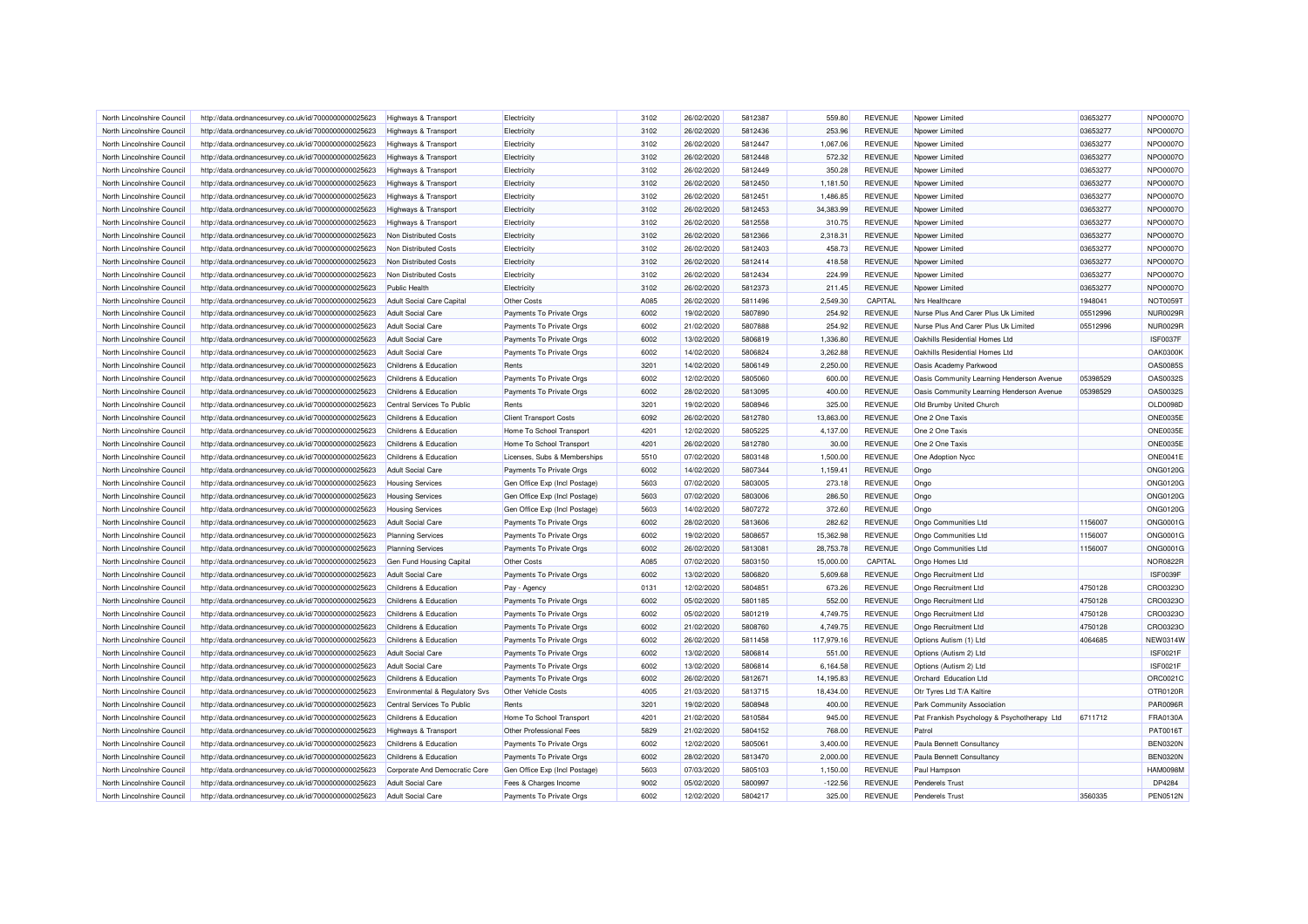| North Lincolnshire Council | http://data.ordnancesurvey.co.uk/id/7000000000025623                                                         | Highways & Transport            | Electricity                   | 3102 | 26/02/2020 | 5812387 | 559.80     | <b>REVENUE</b> | Noower Limited                              | 03653277 | NPO0007O        |
|----------------------------|--------------------------------------------------------------------------------------------------------------|---------------------------------|-------------------------------|------|------------|---------|------------|----------------|---------------------------------------------|----------|-----------------|
| North Lincolnshire Council | http://data.ordnancesurvey.co.uk/id/7000000000025623                                                         | <b>Highways &amp; Transport</b> | Electricity                   | 3102 | 26/02/2020 | 5812436 | 253.96     | <b>REVENUE</b> | Npower Limited                              | 03653277 | NPO0007O        |
| North Lincolnshire Council | http://data.ordnancesurvey.co.uk/id/7000000000025623                                                         | <b>Highways &amp; Transport</b> | Electricity                   | 3102 | 26/02/2020 | 5812447 | 1,067.06   | <b>REVENUE</b> | Npower Limited                              | 03653277 | NPO0007O        |
| North Lincolnshire Council | http://data.ordnancesurvey.co.uk/id/7000000000025623                                                         | <b>Highways &amp; Transport</b> | Electricity                   | 3102 | 26/02/2020 | 5812448 | 572.32     | <b>REVENUE</b> | Noower Limited                              | 03653277 | NPO0007O        |
| North Lincolnshire Council | http://data.ordnancesurvey.co.uk/id/7000000000025623                                                         | <b>Highways &amp; Transport</b> | Electricity                   | 3102 | 26/02/2020 | 5812449 | 350.28     | <b>REVENUE</b> | Npower Limited                              | 03653277 | NPO0007O        |
| North Lincolnshire Council | http://data.ordnancesurvey.co.uk/id/7000000000025623                                                         | <b>Highways &amp; Transport</b> | Electricity                   | 3102 | 26/02/2020 | 5812450 | 1,181.50   | <b>REVENUE</b> | Nnower I imited                             | 03653277 | NPO0007O        |
| North Lincolnshire Council | http://data.ordnancesurvey.co.uk/id/7000000000025623                                                         | Highways & Transport            | Electricity                   | 3102 | 26/02/2020 | 5812451 | 1,486.85   | <b>REVENUE</b> | Npower Limited                              | 03653277 | NPO0007O        |
| North Lincolnshire Council | http://data.ordnancesurvey.co.uk/id/7000000000025623                                                         | <b>Highways &amp; Transport</b> | Electricity                   | 3102 | 26/02/2020 | 5812453 | 34,383.99  | <b>REVENUE</b> | Noower Limited                              | 03653277 | NPO0007O        |
| North Lincolnshire Council | http://data.ordnancesurvey.co.uk/id/7000000000025623                                                         | Highways & Transport            | Electricity                   | 3102 | 26/02/2020 | 5812558 | 310.75     | <b>REVENUE</b> | Npower Limited                              | 03653277 | NPO0007O        |
| North Lincolnshire Council | http://data.ordnancesurvey.co.uk/id/7000000000025623                                                         | Non Distributed Costs           | Electricity                   | 3102 | 26/02/2020 | 5812366 | 2,318.31   | <b>REVENUE</b> | Npower Limited                              | 03653277 | <b>NPO0007O</b> |
| North Lincolnshire Council | http://data.ordnancesurvey.co.uk/id/7000000000025623                                                         | Non Distributed Costs           | Electricity                   | 3102 | 26/02/2020 | 5812403 | 458.73     | <b>REVENUE</b> | Noower Limited                              | 03653277 | NPO0007O        |
| North Lincolnshire Council | http://data.ordnancesurvey.co.uk/id/7000000000025623                                                         | Non Distributed Costs           | Electricity                   | 3102 | 26/02/2020 | 5812414 | 418.58     | <b>REVENUE</b> | Noower Limited                              | 03653277 | NPO0007O        |
| North Lincolnshire Council | http://data.ordnancesurvey.co.uk/id/7000000000025623                                                         | Non Distributed Costs           | Electricity                   | 3102 | 26/02/2020 | 5812434 | 224.99     | <b>REVENUE</b> | Npower Limited                              | 03653277 | NPO0007O        |
| North Lincolnshire Council | http://data.ordnancesurvey.co.uk/id/7000000000025623                                                         | Public Health                   | Electricity                   | 3102 | 26/02/2020 | 5812373 | 211.45     | <b>REVENUE</b> | Npower Limited                              | 03653277 | NPO0007O        |
| North Lincolnshire Council | http://data.ordnancesurvey.co.uk/id/7000000000025623                                                         | Adult Social Care Capital       | Other Costs                   | A085 | 26/02/2020 | 5811496 | 2,549.30   | CAPITAL        | Nrs Healthcare                              | 1948041  | <b>NOT0059T</b> |
| North Lincolnshire Council | http://data.ordnancesurvey.co.uk/id/7000000000025623                                                         | <b>Adult Social Care</b>        | Payments To Private Orgs      | 6002 | 19/02/2020 | 5807890 | 254.92     | <b>REVENUE</b> | Nurse Plus And Carer Plus Uk Limited        | 05512996 | <b>NUR0029R</b> |
| North Lincolnshire Council | http://data.ordnancesurvey.co.uk/id/7000000000025623                                                         | Adult Social Care               | Payments To Private Orgs      | 6002 | 21/02/2020 | 5807888 | 254.92     | <b>REVENUE</b> | Nurse Plus And Carer Plus Uk Limited        | 05512996 | <b>NUR0029R</b> |
| North Lincolnshire Council | http://data.ordnancesurvey.co.uk/id/7000000000025623                                                         | <b>Adult Social Care</b>        | Payments To Private Orgs      | 6002 | 13/02/2020 | 5806819 | 1,336.80   | <b>REVENUE</b> | Oakhills Residential Homes Ltd              |          | <b>ISF0037F</b> |
| North Lincolnshire Council | http://data.ordnancesurvey.co.uk/id/7000000000025623                                                         | Adult Social Care               | Payments To Private Orgs      | 6002 | 14/02/2020 | 5806824 | 3,262.88   | <b>REVENUE</b> | Oakhills Residential Homes Ltd              |          | <b>OAK0300K</b> |
| North Lincolnshire Council | http://data.ordnancesurvey.co.uk/id/7000000000025623                                                         | Childrens & Education           | Rents                         | 3201 | 14/02/2020 | 5806149 | 2,250.00   | <b>REVENUE</b> | Oasis Academy Parkwood                      |          | <b>OAS0085S</b> |
| North Lincolnshire Council |                                                                                                              | Childrens & Education           | Payments To Private Orgs      | 6002 | 12/02/2020 | 5805060 | 600.00     | <b>REVENUE</b> | Oasis Community Learning Henderson Avenue   | 05398529 | OAS0032S        |
| North Lincolnshire Council | http://data.ordnancesurvey.co.uk/id/7000000000025623<br>http://data.ordnancesurvey.co.uk/id/7000000000025623 | Childrens & Education           |                               | 6002 | 28/02/2020 | 5813095 | 400.00     | <b>REVENUE</b> | Oasis Community Learning Henderson Avenue   | 05398529 | OAS0032S        |
|                            |                                                                                                              |                                 | Payments To Private Orgs      |      |            | 5808946 |            | <b>REVENUE</b> |                                             |          |                 |
| North Lincolnshire Council | http://data.ordnancesurvey.co.uk/id/7000000000025623                                                         | Central Services To Public      | Rents                         | 3201 | 19/02/2020 |         | 325.00     |                | Old Brumby United Church                    |          | OLD0098D        |
| North Lincolnshire Council | http://data.ordnancesurvey.co.uk/id/7000000000025623                                                         | Childrens & Education           | <b>Client Transport Costs</b> | 6092 | 26/02/2020 | 5812780 | 13,863.00  | <b>REVENUE</b> | One 2 One Taxis                             |          | <b>ONE0035E</b> |
| North Lincolnshire Council | http://data.ordnancesurvey.co.uk/id/7000000000025623                                                         | Childrens & Education           | Home To School Transport      | 4201 | 12/02/2020 | 5805225 | 4.137.00   | <b>REVENUE</b> | One 2 One Taxis                             |          | <b>ONE0035E</b> |
| North Lincolnshire Council | http://data.ordnancesurvey.co.uk/id/7000000000025623                                                         | Childrens & Education           | Home To School Transport      | 4201 | 26/02/2020 | 5812780 | 30.00      | <b>REVENUE</b> | One 2 One Taxis                             |          | <b>ONE0035E</b> |
| North Lincolnshire Council | http://data.ordnancesurvey.co.uk/id/7000000000025623                                                         | Childrens & Education           | Licenses, Subs & Memberships  | 5510 | 07/02/2020 | 5803148 | 1,500.00   | <b>REVENUE</b> | One Adoption Nycc                           |          | <b>ONE0041E</b> |
| North Lincolnshire Council | http://data.ordnancesurvey.co.uk/id/7000000000025623                                                         | <b>Adult Social Care</b>        | Payments To Private Orgs      | 6002 | 14/02/2020 | 5807344 | 1,159.41   | <b>REVENUE</b> | Ongo                                        |          | ONG0120G        |
| North Lincolnshire Council | http://data.ordnancesurvey.co.uk/id/7000000000025623                                                         | <b>Housing Services</b>         | Gen Office Exp (Incl Postage) | 5603 | 07/02/2020 | 5803005 | 273.18     | <b>REVENUE</b> | Ongo                                        |          | ONG0120G        |
| North Lincolnshire Council | http://data.ordnancesurvey.co.uk/id/7000000000025623                                                         | <b>Housing Services</b>         | Gen Office Exp (Incl Postage) | 5603 | 07/02/2020 | 5803006 | 286.50     | <b>REVENUE</b> | Ongo                                        |          | ONG0120G        |
| North Lincolnshire Council | http://data.ordnancesurvey.co.uk/id/7000000000025623                                                         | <b>Housing Services</b>         | Gen Office Exp (Incl Postage) | 5603 | 14/02/2020 | 5807272 | 372.60     | <b>REVENUE</b> | Ongo                                        |          | ONG0120G        |
| North Lincolnshire Council | http://data.ordnancesurvey.co.uk/id/7000000000025623                                                         | <b>Adult Social Care</b>        | Payments To Private Orgs      | 6002 | 28/02/2020 | 5813606 | 282.62     | <b>REVENUE</b> | Ongo Communities Ltd                        | 1156007  | ONG0001G        |
| North Lincolnshire Council | http://data.ordnancesurvey.co.uk/id/7000000000025623                                                         | <b>Planning Services</b>        | Payments To Private Orgs      | 6002 | 19/02/2020 | 5808657 | 15.362.98  | <b>REVENUE</b> | Ongo Communities Ltd                        | 1156007  | ONG0001G        |
| North Lincolnshire Council | http://data.ordnancesurvey.co.uk/id/7000000000025623                                                         | <b>Planning Services</b>        | Payments To Private Orgs      | 6002 | 26/02/2020 | 5813081 | 28,753.78  | <b>REVENUE</b> | Ongo Communities Ltd                        | 1156007  | ONG0001G        |
| North Lincolnshire Council | http://data.ordnancesurvey.co.uk/id/7000000000025623                                                         | Gen Fund Housing Capital        | Other Costs                   | A085 | 07/02/2020 | 5803150 | 15,000.00  | CAPITAL        | Ongo Homes Ltd                              |          | <b>NOR0822R</b> |
| North Lincolnshire Council | http://data.ordnancesurvey.co.uk/id/7000000000025623                                                         | <b>Adult Social Care</b>        | Payments To Private Orgs      | 6002 | 13/02/2020 | 5806820 | 5,609.68   | <b>REVENUE</b> | Ongo Recruitment Ltd                        |          | <b>ISF0039F</b> |
| North Lincolnshire Council | http://data.ordnancesurvey.co.uk/id/7000000000025623                                                         | Childrens & Education           | Pay - Agency                  | 0131 | 12/02/2020 | 5804851 | 673.26     | <b>REVENUE</b> | Ongo Recruitment Ltd                        | 4750128  | CRO0323O        |
| North Lincolnshire Council | http://data.ordnancesurvey.co.uk/id/7000000000025623                                                         | Childrens & Education           | Payments To Private Orgs      | 6002 | 05/02/2020 | 5801185 | 552.00     | <b>REVENUE</b> | Ongo Recruitment Ltd                        | 4750128  | CRO0323O        |
| North Lincolnshire Council | http://data.ordnancesurvey.co.uk/id/7000000000025623                                                         | Childrens & Education           | Payments To Private Orgs      | 6002 | 05/02/2020 | 5801219 | 4,749.75   | <b>REVENUE</b> | Ongo Recruitment Ltd                        | 4750128  | CRO0323O        |
| North Lincolnshire Council | http://data.ordnancesurvey.co.uk/id/7000000000025623                                                         | Childrens & Education           | Payments To Private Orgs      | 6002 | 21/02/2020 | 5808760 | 4,749.75   | <b>REVENUE</b> | Ongo Recruitment Ltd                        | 4750128  | CRO0323O        |
| North Lincolnshire Council | http://data.ordnancesurvey.co.uk/id/7000000000025623                                                         | Childrens & Education           | Payments To Private Orgs      | 6002 | 26/02/2020 | 5811458 | 117,979.16 | <b>REVENUE</b> | Options Autism (1) Ltd                      | 4064685  | NEW0314W        |
| North Lincolnshire Council | http://data.ordnancesurvey.co.uk/id/7000000000025623                                                         | <b>Adult Social Care</b>        | Payments To Private Orgs      | 6002 | 13/02/2020 | 5806814 | 551.00     | <b>REVENUE</b> | Options (Autism 2) Ltd                      |          | <b>ISF0021F</b> |
| North Lincolnshire Council | http://data.ordnancesurvey.co.uk/id/7000000000025623                                                         | Adult Social Care               | Payments To Private Orgs      | 6002 | 13/02/2020 | 5806814 | 6,164.58   | <b>REVENUE</b> | Options (Autism 2) I td                     |          | <b>ISF0021F</b> |
| North Lincolnshire Council | http://data.ordnancesurvey.co.uk/id/7000000000025623                                                         | Childrens & Education           | Payments To Private Orgs      | 6002 | 26/02/2020 | 5812671 | 14.195.83  | <b>REVENUE</b> | Orchard Education Ltd                       |          | ORC0021C        |
| North Lincolnshire Council | http://data.ordnancesurvey.co.uk/id/7000000000025623                                                         | Environmental & Regulatory Svs  | Other Vehicle Costs           | 4005 | 21/03/2020 | 5813715 | 18,434.00  | <b>REVENUE</b> | Otr Tyres Ltd T/A Kaltire                   |          | OTR0120R        |
| North Lincolnshire Council | http://data.ordnancesurvey.co.uk/id/7000000000025623                                                         | Central Services To Public      | Rents                         | 3201 | 19/02/2020 | 5808948 | 400.00     | <b>REVENUE</b> | <b>Park Community Association</b>           |          | <b>PAR0096R</b> |
| North Lincolnshire Council | http://data.ordnancesurvey.co.uk/id/7000000000025623                                                         | Childrens & Education           | Home To School Transport      | 4201 | 21/02/2020 | 5810584 | 945.00     | <b>REVENUE</b> | Pat Frankish Psychology & Psychotherapy Ltd | 6711712  | <b>FRA0130A</b> |
| North Lincolnshire Council | http://data.ordnancesurvey.co.uk/id/7000000000025623                                                         | Highways & Transport            | Other Professional Fees       | 5829 | 21/02/2020 | 5804152 | 768.00     | <b>REVENUE</b> | Patrol                                      |          | PAT0016T        |
| North Lincolnshire Council | http://data.ordnancesurvey.co.uk/id/7000000000025623                                                         | Childrens & Education           | Payments To Private Orgs      | 6002 | 12/02/2020 | 5805061 | 3,400.00   | <b>REVENUE</b> | Paula Bennett Consultancy                   |          | <b>BEN0320N</b> |
| North Lincolnshire Council | http://data.ordnancesurvey.co.uk/id/7000000000025623                                                         | Childrens & Education           | Payments To Private Orgs      | 6002 | 28/02/2020 | 5813470 | 2,000.00   | <b>REVENUE</b> | Paula Bennett Consultancy                   |          | <b>BEN0320N</b> |
| North Lincolnshire Council | http://data.ordnancesurvey.co.uk/id/7000000000025623                                                         | Corporate And Democratic Core   | Gen Office Exp (Incl Postage) | 5603 | 07/03/2020 | 5805103 | 1,150.00   | <b>REVENUE</b> | Paul Hampson                                |          | <b>HAM0098M</b> |
| North Lincolnshire Council | http://data.ordnancesurvey.co.uk/id/7000000000025623                                                         | <b>Adult Social Care</b>        | Fees & Charges Income         | 9002 | 05/02/2020 | 5800997 | $-122.56$  | <b>REVENUE</b> | <b>Penderels Trust</b>                      |          | DP4284          |
| North Lincolnshire Council | http://data.ordnancesurvey.co.uk/id/7000000000025623                                                         | Adult Social Care               | Payments To Private Orgs      | 6002 | 12/02/2020 | 5804217 | 325.00     | <b>REVENUE</b> | <b>Penderels Trust</b>                      | 3560335  | <b>PEN0512N</b> |
|                            |                                                                                                              |                                 |                               |      |            |         |            |                |                                             |          |                 |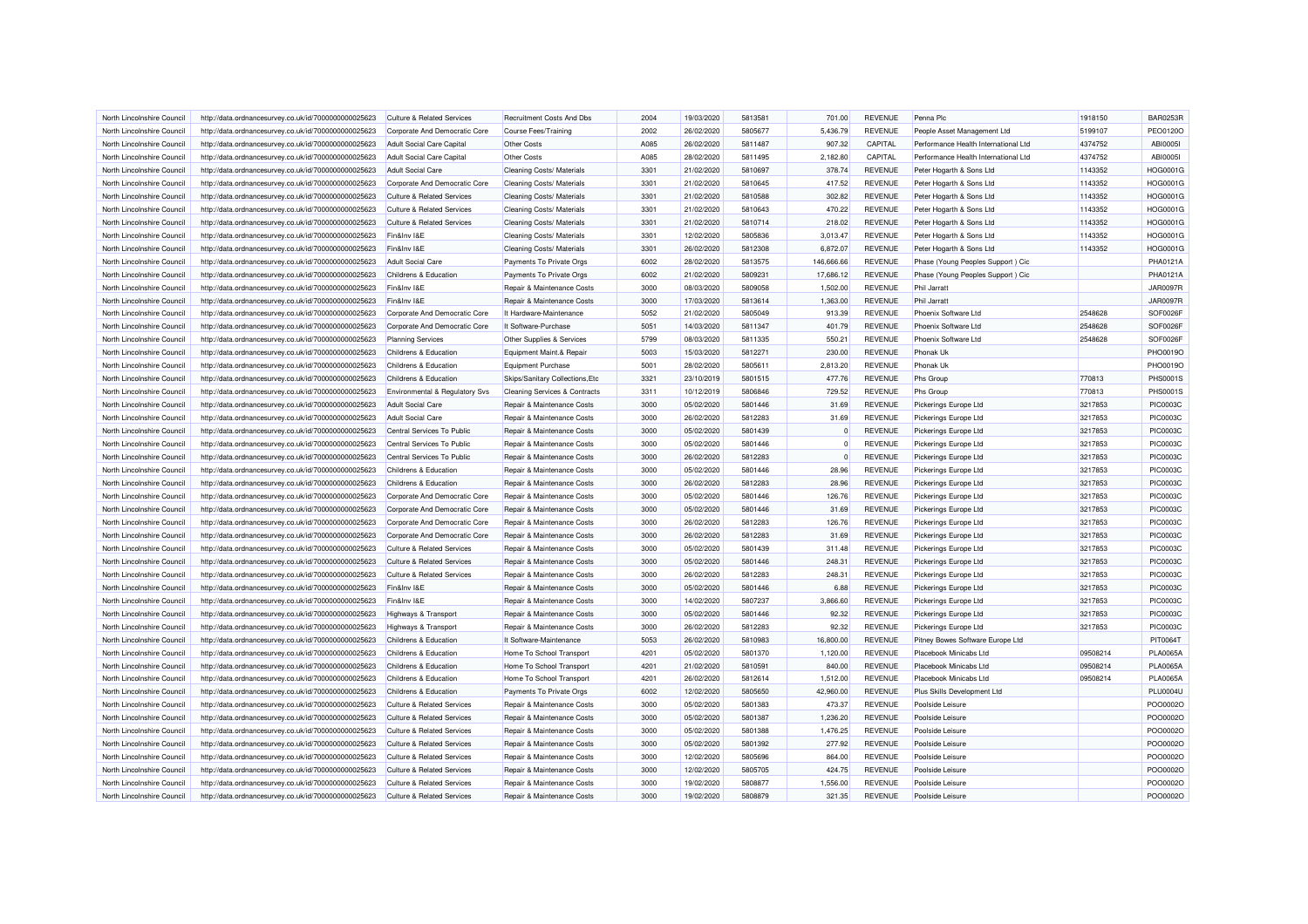| North Lincolnshire Council | http://data.ordnancesurvey.co.uk/id/7000000000025623 | Culture & Related Services            | <b>Recruitment Costs And Dbs</b>         | 2004 | 19/03/2020 | 5813581 | 701.00     | <b>REVENUE</b> | Penna Plc                            | 1918150  | <b>BAR0253R</b> |
|----------------------------|------------------------------------------------------|---------------------------------------|------------------------------------------|------|------------|---------|------------|----------------|--------------------------------------|----------|-----------------|
| North Lincolnshire Council | http://data.ordnancesurvey.co.uk/id/7000000000025623 | Corporate And Democratic Core         | Course Fees/Training                     | 2002 | 26/02/2020 | 5805677 | 5,436.79   | <b>REVENUE</b> | People Asset Management Ltd          | 5199107  | PEO0120O        |
| North Lincolnshire Council | http://data.ordnancesurvey.co.uk/id/7000000000025623 | Adult Social Care Capital             | Other Costs                              | A085 | 26/02/2020 | 5811487 | 907.32     | CAPITAL        | Performance Health International Ltd | 4374752  | ABI00051        |
| North Lincolnshire Council | http://data.ordnancesurvey.co.uk/id/7000000000025623 | Adult Social Care Capital             | <b>Other Costs</b>                       | A085 | 28/02/2020 | 5811495 | 2,182.80   | CAPITAL        | Performance Health International Ltd | 4374752  | <b>ABI0005I</b> |
| North Lincolnshire Council | http://data.ordnancesurvey.co.uk/id/7000000000025623 | <b>Adult Social Care</b>              | Cleaning Costs/ Materials                | 3301 | 21/02/2020 | 5810697 | 378.74     | <b>REVENUE</b> | Peter Hogarth & Sons Ltd             | 1143352  | HOG0001G        |
| North Lincolnshire Council | http://data.ordnancesurvey.co.uk/id/7000000000025623 | Corporate And Democratic Core         | Cleaning Costs/ Materials                | 3301 | 21/02/2020 | 5810645 | 417.52     | <b>REVENUE</b> | Peter Hogarth & Sons Ltd             | 1143352  | <b>HOG0001G</b> |
| North Lincolnshire Council | http://data.ordnancesurvey.co.uk/id/7000000000025623 | <b>Culture &amp; Related Services</b> | Cleaning Costs/ Materials                | 3301 | 21/02/2020 | 5810588 | 302.82     | <b>REVENUE</b> | Peter Hogarth & Sons Ltd             | 1143352  | <b>HOG0001G</b> |
| North Lincolnshire Council | http://data.ordnancesurvey.co.uk/id/7000000000025623 | Culture & Related Services            | Cleaning Costs/ Materials                | 3301 | 21/02/2020 | 5810643 | 470.22     | <b>REVENUE</b> | Peter Hogarth & Sons Ltd             | 1143352  | <b>HOG0001G</b> |
| North Lincolnshire Council | http://data.ordnancesurvey.co.uk/id/7000000000025623 | <b>Culture &amp; Related Services</b> | Cleaning Costs/ Materials                | 3301 | 21/02/2020 | 5810714 | 218.02     | <b>REVENUE</b> | Peter Hogarth & Sons Ltd             | 1143352  | HOG0001G        |
| North Lincolnshire Council |                                                      | Fin&Inv I&E                           |                                          | 3301 | 12/02/2020 | 5805836 | 3,013.47   | <b>REVENUE</b> |                                      | 1143352  | HOG0001G        |
|                            | http://data.ordnancesurvey.co.uk/id/7000000000025623 |                                       | Cleaning Costs/ Materials                | 3301 | 26/02/2020 |         |            | <b>REVENUE</b> | Peter Hogarth & Sons Ltd             | 1143352  | HOG0001G        |
| North Lincolnshire Council | http://data.ordnancesurvey.co.uk/id/7000000000025623 | Fin&Inv I&E                           | Cleaning Costs/ Materials                |      |            | 5812308 | 6,872.07   |                | Peter Hogarth & Sons Ltd             |          |                 |
| North Lincolnshire Council | http://data.ordnancesurvey.co.uk/id/7000000000025623 | <b>Adult Social Care</b>              | Payments To Private Orgs                 | 6002 | 28/02/2020 | 5813575 | 146,666.66 | <b>REVENUE</b> | Phase (Young Peoples Support) Cic    |          | PHA0121A        |
| North Lincolnshire Council | http://data.ordnancesurvey.co.uk/id/7000000000025623 | Childrens & Education                 | Payments To Private Orgs                 | 6002 | 21/02/2020 | 5809231 | 17,686.12  | <b>REVENUE</b> | Phase (Young Peoples Support) Cic    |          | PHA0121A        |
| North Lincolnshire Council | http://data.ordnancesurvey.co.uk/id/7000000000025623 | Fin&Inv I&E                           | Repair & Maintenance Costs               | 3000 | 08/03/2020 | 5809058 | 1.502.00   | <b>REVENUE</b> | Phil Jarratt                         |          | <b>JAR0097R</b> |
| North Lincolnshire Council | http://data.ordnancesurvey.co.uk/id/7000000000025623 | Fin&Inv I&E                           | Repair & Maintenance Costs               | 3000 | 17/03/2020 | 5813614 | 1,363.00   | <b>REVENUE</b> | <b>Phil Jarratt</b>                  |          | <b>JAR0097R</b> |
| North Lincolnshire Council | http://data.ordnancesurvey.co.uk/id/7000000000025623 | Corporate And Democratic Core         | It Hardware-Maintenance                  | 5052 | 21/02/2020 | 5805049 | 913.39     | <b>REVENUE</b> | Phoenix Software Ltd                 | 2548628  | SOF0026F        |
| North Lincolnshire Council | http://data.ordnancesurvey.co.uk/id/7000000000025623 | Corporate And Democratic Core         | It Software-Purchase                     | 5051 | 14/03/2020 | 5811347 | 401.79     | <b>REVENUE</b> | Phoenix Software Ltd                 | 2548628  | SOF0026F        |
| North Lincolnshire Council | http://data.ordnancesurvey.co.uk/id/7000000000025623 | <b>Planning Services</b>              | Other Supplies & Services                | 5799 | 08/03/2020 | 5811335 | 550.21     | <b>REVENUE</b> | Phoenix Software Ltd                 | 2548628  | SOF0026F        |
| North Lincolnshire Council | http://data.ordnancesurvey.co.uk/id/7000000000025623 | Childrens & Education                 | Equipment Maint.& Repair                 | 5003 | 15/03/2020 | 581227  | 230.00     | <b>REVENUE</b> | Phonak Uk                            |          | PHO0019O        |
| North Lincolnshire Council | http://data.ordnancesurvey.co.uk/id/7000000000025623 | Childrens & Education                 | Equipment Purchase                       | 5001 | 28/02/2020 | 5805611 | 2.813.20   | <b>REVENUE</b> | <b>Phonak Uk</b>                     |          | <b>PHO0019C</b> |
| North Lincolnshire Council | http://data.ordnancesurvey.co.uk/id/7000000000025623 | Childrens & Education                 | Skips/Sanitary Collections, Etc          | 3321 | 23/10/2019 | 5801515 | 477.76     | <b>REVENUE</b> | Phs Group                            | 770813   | <b>PHS0001S</b> |
| North Lincolnshire Council | http://data.ordnancesurvey.co.uk/id/7000000000025623 | Environmental & Regulatory Svs        | <b>Cleaning Services &amp; Contracts</b> | 3311 | 10/12/2019 | 5806846 | 729.52     | <b>REVENUE</b> | Phs Group                            | 770813   | <b>PHS0001S</b> |
| North Lincolnshire Council | http://data.ordnancesurvey.co.uk/id/7000000000025623 | <b>Adult Social Care</b>              | Repair & Maintenance Costs               | 3000 | 05/02/2020 | 5801446 | 31.69      | <b>REVENUE</b> | Pickerings Europe Ltd                | 3217853  | <b>PIC0003C</b> |
| North Lincolnshire Council | http://data.ordnancesurvey.co.uk/id/7000000000025623 | <b>Adult Social Care</b>              | Repair & Maintenance Costs               | 3000 | 26/02/2020 | 5812283 | 31.69      | <b>REVENUE</b> | Pickerings Europe Ltd                | 3217853  | PIC0003C        |
| North Lincolnshire Council | http://data.ordnancesurvey.co.uk/id/7000000000025623 | Central Services To Public            | Repair & Maintenance Costs               | 3000 | 05/02/2020 | 5801439 |            | <b>REVENUE</b> | Pickerings Europe Ltd                | 3217853  | <b>PIC0003C</b> |
| North Lincolnshire Council | http://data.ordnancesurvey.co.uk/id/7000000000025623 | Central Services To Public            | Repair & Maintenance Costs               | 3000 | 05/02/2020 | 5801446 |            | <b>REVENUE</b> | Pickerings Europe Ltd                | 3217853  | PIC0003C        |
| North Lincolnshire Council | http://data.ordnancesurvey.co.uk/id/7000000000025623 | Central Services To Public            | Repair & Maintenance Costs               | 3000 | 26/02/2020 | 5812283 |            | <b>REVENUE</b> | Pickerings Europe Ltd                | 3217853  | PIC0003C        |
| North Lincolnshire Council | http://data.ordnancesurvey.co.uk/id/7000000000025623 | Childrens & Education                 | Repair & Maintenance Costs               | 3000 | 05/02/2020 | 5801446 | 28.96      | <b>REVENUE</b> | Pickerings Europe Ltd                | 3217853  | PIC0003C        |
| North Lincolnshire Council | http://data.ordnancesurvey.co.uk/id/7000000000025623 | Childrens & Education                 | Repair & Maintenance Costs               | 3000 | 26/02/2020 | 5812283 | 28.96      | <b>REVENUE</b> | Pickerings Europe Ltd                | 3217853  | PIC0003C        |
| North Lincolnshire Council | http://data.ordnancesurvey.co.uk/id/7000000000025623 | Corporate And Democratic Core         | Repair & Maintenance Costs               | 3000 | 05/02/2020 | 5801446 | 126.76     | <b>REVENUE</b> | Pickerings Europe Ltd                | 3217853  | PIC0003C        |
| North Lincolnshire Council | http://data.ordnancesurvey.co.uk/id/7000000000025623 | Corporate And Democratic Core         | Repair & Maintenance Costs               | 3000 | 05/02/2020 | 5801446 | 31.69      | <b>REVENUE</b> | Pickerings Europe Ltd                | 3217853  | <b>PIC0003C</b> |
| North Lincolnshire Council | http://data.ordnancesurvey.co.uk/id/7000000000025623 | Corporate And Democratic Core         | Repair & Maintenance Costs               | 3000 | 26/02/2020 | 5812283 | 126.76     | <b>REVENUE</b> | Pickerings Europe Ltd                | 3217853  | PIC0003C        |
| North Lincolnshire Council | http://data.ordnancesurvey.co.uk/id/7000000000025623 | Corporate And Democratic Core         | Repair & Maintenance Costs               | 3000 | 26/02/2020 | 5812283 | 31.69      | <b>REVENUE</b> | Pickerings Europe Ltd                | 3217853  | PIC0003C        |
|                            |                                                      |                                       |                                          |      |            |         |            |                |                                      |          |                 |
| North Lincolnshire Council | http://data.ordnancesurvey.co.uk/id/7000000000025623 | <b>Culture &amp; Related Services</b> | Repair & Maintenance Costs               | 3000 | 05/02/2020 | 5801439 | 311.48     | <b>REVENUE</b> | Pickerings Europe Ltd                | 3217853  | PIC0003C        |
| North Lincolnshire Council | http://data.ordnancesurvey.co.uk/id/7000000000025623 | <b>Culture &amp; Related Services</b> | Repair & Maintenance Costs               | 3000 | 05/02/2020 | 5801446 | 248.31     | <b>REVENUE</b> | Pickerings Europe Ltd                | 3217853  | PIC0003C        |
| North Lincolnshire Council | http://data.ordnancesurvey.co.uk/id/7000000000025623 | Culture & Related Services            | Repair & Maintenance Costs               | 3000 | 26/02/2020 | 5812283 | 248.31     | <b>REVENUE</b> | Pickerings Europe Ltd                | 3217853  | PIC0003C        |
| North Lincolnshire Council | http://data.ordnancesurvey.co.uk/id/7000000000025623 | Fin&Inv I&E                           | Repair & Maintenance Costs               | 3000 | 05/02/2020 | 5801446 | 6.88       | <b>REVENUE</b> | Pickerings Europe Ltd                | 3217853  | PIC0003C        |
| North Lincolnshire Council | http://data.ordnancesurvey.co.uk/id/7000000000025623 | Fin&Inv I&E                           | Repair & Maintenance Costs               | 3000 | 14/02/2020 | 5807237 | 3,866.60   | <b>REVENUE</b> | Pickerings Europe Ltd                | 3217853  | PIC0003C        |
| North Lincolnshire Council | http://data.ordnancesurvey.co.uk/id/7000000000025623 | Highways & Transport                  | Repair & Maintenance Costs               | 3000 | 05/02/2020 | 5801446 | 92.32      | <b>REVENUE</b> | Pickerings Europe Ltd                | 3217853  | PIC0003C        |
| North Lincolnshire Council | http://data.ordnancesurvey.co.uk/id/7000000000025623 | <b>Highways &amp; Transport</b>       | Repair & Maintenance Costs               | 3000 | 26/02/2020 | 5812283 | 92.32      | <b>REVENUE</b> | Pickerings Europe Ltd                | 3217853  | PIC0003C        |
| North Lincolnshire Council | http://data.ordnancesurvey.co.uk/id/7000000000025623 | Childrens & Education                 | It Software-Maintenance                  | 5053 | 26/02/2020 | 5810983 | 16,800.00  | <b>REVENUE</b> | Pitney Bowes Software Europe Ltd     |          | PIT0064T        |
| North Lincolnshire Council | http://data.ordnancesurvey.co.uk/id/7000000000025623 | Childrens & Education                 | Home To School Transport                 | 4201 | 05/02/2020 | 5801370 | 1.120.00   | <b>REVENUE</b> | Placebook Minicabs Ltd               | 09508214 | <b>PLA0065A</b> |
| North Lincolnshire Council | http://data.ordnancesurvey.co.uk/id/7000000000025623 | Childrens & Education                 | Home To School Transport                 | 4201 | 21/02/2020 | 5810591 | 840.00     | <b>REVENUE</b> | Placebook Minicabs I td              | 09508214 | <b>PLA0065A</b> |
| North Lincolnshire Council | http://data.ordnancesurvey.co.uk/id/7000000000025623 | Childrens & Education                 | Home To School Transport                 | 4201 | 26/02/2020 | 5812614 | 1,512.00   | <b>REVENUE</b> | Placebook Minicabs Ltd               | 09508214 | <b>PLA0065A</b> |
| North Lincolnshire Council | http://data.ordnancesurvey.co.uk/id/7000000000025623 | Childrens & Education                 | Payments To Private Orgs                 | 6002 | 12/02/2020 | 5805650 | 42,960.00  | <b>REVENUE</b> | Plus Skills Development Ltd          |          | <b>PLU0004U</b> |
| North Lincolnshire Council | http://data.ordnancesurvey.co.uk/id/7000000000025623 | <b>Culture &amp; Related Services</b> | Repair & Maintenance Costs               | 3000 | 05/02/2020 | 5801383 | 473.37     | <b>REVENUE</b> | Poolside Leisure                     |          | PO000020        |
| North Lincolnshire Council | http://data.ordnancesurvey.co.uk/id/7000000000025623 | <b>Culture &amp; Related Services</b> | Repair & Maintenance Costs               | 3000 | 05/02/2020 | 5801387 | 1,236.20   | <b>REVENUE</b> | Poolside Leisure                     |          | PO000020        |
| North Lincolnshire Council | http://data.ordnancesurvey.co.uk/id/7000000000025623 | <b>Culture &amp; Related Services</b> | Repair & Maintenance Costs               | 3000 | 05/02/2020 | 5801388 | 1,476.25   | <b>REVENUE</b> | Poolside Leisure                     |          | PO00002C        |
| North Lincolnshire Council | http://data.ordnancesurvey.co.uk/id/7000000000025623 | <b>Culture &amp; Related Services</b> | Repair & Maintenance Costs               | 3000 | 05/02/2020 | 5801392 | 277.92     | <b>REVENUE</b> | Poolside Leisure                     |          | PO000020        |
| North Lincolnshire Council | http://data.ordnancesurvey.co.uk/id/7000000000025623 | Culture & Related Services            | Repair & Maintenance Costs               | 3000 | 12/02/2020 | 5805696 | 864.00     | <b>REVENUE</b> | Poolside Leisure                     |          | PO000020        |
| North Lincolnshire Council | http://data.ordnancesurvey.co.uk/id/7000000000025623 | <b>Culture &amp; Related Services</b> | Repair & Maintenance Costs               | 3000 | 12/02/2020 | 5805705 | 424.75     | <b>REVENUE</b> | Poolside Leisure                     |          | PO00002C        |
| North Lincolnshire Council | http://data.ordnancesurvey.co.uk/id/7000000000025623 | <b>Culture &amp; Related Services</b> | Repair & Maintenance Costs               | 3000 | 19/02/2020 | 5808877 | 1,556.00   | <b>REVENUE</b> | Poolside Leisure                     |          | PO000020        |
| North Lincolnshire Council | http://data.ordnancesurvey.co.uk/id/7000000000025623 | <b>Culture &amp; Related Services</b> | Repair & Maintenance Costs               | 3000 | 19/02/2020 | 5808879 | 321.35     | <b>REVENUE</b> | Poolside Leisure                     |          | PO000020        |
|                            |                                                      |                                       |                                          |      |            |         |            |                |                                      |          |                 |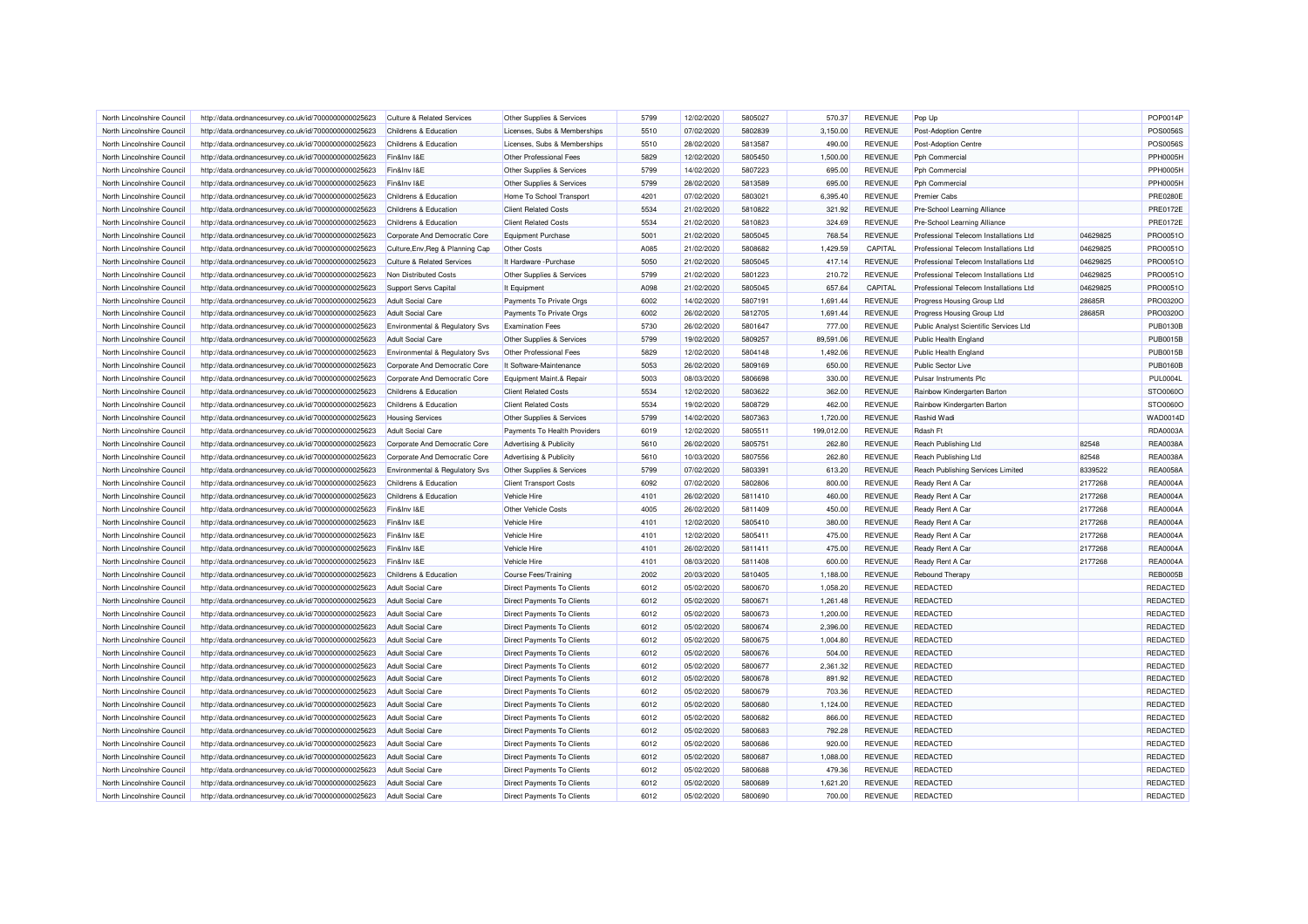| North Lincolnshire Council                               | http://data.ordnancesurvey.co.uk/id/7000000000025623 | Culture & Related Services                             | Other Supplies & Services                               | 5799 | 12/02/2020 | 5805027 | 570.37           | <b>REVENUE</b> | Pop Up                                 |          | POP0014P                    |
|----------------------------------------------------------|------------------------------------------------------|--------------------------------------------------------|---------------------------------------------------------|------|------------|---------|------------------|----------------|----------------------------------------|----------|-----------------------------|
| North Lincolnshire Council                               | http://data.ordnancesurvey.co.uk/id/7000000000025623 | Childrens & Education                                  | Licenses, Subs & Memberships                            | 5510 | 07/02/2020 | 5802839 | 3,150.00         | <b>REVENUE</b> | Post-Adoption Centre                   |          | <b>POS0056S</b>             |
| North Lincolnshire Council                               | http://data.ordnancesurvey.co.uk/id/7000000000025623 | Childrens & Education                                  | Licenses, Subs & Memberships                            | 5510 | 28/02/2020 | 5813587 | 490.00           | REVENUE        | Post-Adoption Centre                   |          | <b>POS0056S</b>             |
| North Lincolnshire Council                               | http://data.ordnancesurvey.co.uk/id/7000000000025623 | Fin&Inv I&E                                            | Other Professional Fees                                 | 5829 | 12/02/2020 | 5805450 | 1.500.00         | <b>REVENUE</b> | Pph Commercial                         |          | <b>PPH0005H</b>             |
| North Lincolnshire Council                               | http://data.ordnancesurvey.co.uk/id/7000000000025623 | Fin&Inv I&E                                            | Other Supplies & Services                               | 5799 | 14/02/2020 | 5807223 | 695.00           | <b>REVENUE</b> | Pph Commercial                         |          | <b>PPH0005H</b>             |
| North Lincolnshire Council                               | http://data.ordnancesurvey.co.uk/id/7000000000025623 | Fin&Inv I&E                                            | Other Supplies & Services                               | 5799 | 28/02/2020 | 5813589 | 695.00           | <b>REVENUE</b> | Pph Commercial                         |          | <b>PPH0005H</b>             |
| North Lincolnshire Council                               | http://data.ordnancesurvey.co.uk/id/7000000000025623 | Childrens & Education                                  | Home To School Transport                                | 4201 | 07/02/2020 | 5803021 | 6,395.40         | <b>REVENUE</b> | Premier Cabs                           |          | <b>PRE0280E</b>             |
| North Lincolnshire Council                               | http://data.ordnancesurvey.co.uk/id/7000000000025623 | Childrens & Education                                  | <b>Client Related Costs</b>                             | 5534 | 21/02/2020 | 5810822 | 321.92           | <b>REVENUE</b> | Pre-School Learning Alliance           |          | <b>PRE0172E</b>             |
| North Lincolnshire Council                               | http://data.ordnancesurvey.co.uk/id/7000000000025623 | Childrens & Education                                  | <b>Client Related Costs</b>                             | 5534 | 21/02/2020 | 5810823 | 324.69           | <b>REVENUE</b> | Pre-School Learning Alliance           |          | <b>PRE0172E</b>             |
| North Lincolnshire Council                               | http://data.ordnancesurvey.co.uk/id/7000000000025623 | Corporate And Democratic Core                          | Equipment Purchase                                      | 5001 | 21/02/2020 | 5805045 | 768.54           | <b>REVENUE</b> | Professional Telecom Installations Ltd | 04629825 | PRO0051C                    |
| North Lincolnshire Council                               | http://data.ordnancesurvey.co.uk/id/7000000000025623 | Culture, Env, Reg & Planning Cap                       | <b>Other Costs</b>                                      | A085 | 21/02/2020 | 5808682 | 1,429.59         | CAPITAL        | Professional Telecom Installations Ltd | 04629825 | PRO0051O                    |
| North Lincolnshire Council                               | http://data.ordnancesurvey.co.uk/id/7000000000025623 | Culture & Related Services                             | It Hardware - Purchase                                  | 5050 | 21/02/2020 | 5805045 | 417.14           | <b>REVENUE</b> | Professional Telecom Installations Ltd | 04629825 | PRO0051O                    |
| North Lincolnshire Council                               | http://data.ordnancesurvey.co.uk/id/7000000000025623 | Non Distributed Costs                                  | Other Supplies & Services                               | 5799 | 21/02/2020 | 5801223 | 210.72           | <b>REVENUE</b> | Professional Telecom Installations Ltd | 04629825 | PRO0051O                    |
| North Lincolnshire Council                               | http://data.ordnancesurvey.co.uk/id/7000000000025623 | Support Servs Capital                                  | It Equipment                                            | A098 | 21/02/2020 | 5805045 | 657.64           | CAPITAL        | Professional Telecom Installations Ltd | 04629825 | PRO0051O                    |
| North Lincolnshire Council                               | http://data.ordnancesurvey.co.uk/id/7000000000025623 | <b>Adult Social Care</b>                               | Payments To Private Orgs                                | 6002 | 14/02/2020 | 5807191 | 1,691.44         | <b>REVENUE</b> | Progress Housing Group Ltd             | 28685R   | PRO0320C                    |
| North Lincolnshire Council                               | http://data.ordnancesurvey.co.uk/id/7000000000025623 | <b>Adult Social Care</b>                               | Payments To Private Orgs                                | 6002 | 26/02/2020 | 5812705 | 1,691.44         | <b>REVENUE</b> | Progress Housing Group Ltd             | 28685R   | PRO0320C                    |
| North Lincolnshire Council                               | http://data.ordnancesurvey.co.uk/id/7000000000025623 | Environmental & Regulatory Svs                         | <b>Examination Fees</b>                                 | 5730 | 26/02/2020 | 5801647 | 777.00           | <b>REVENUE</b> | Public Analyst Scientific Services Ltd |          | <b>PUB0130B</b>             |
| North Lincolnshire Council                               | http://data.ordnancesurvey.co.uk/id/7000000000025623 | <b>Adult Social Care</b>                               | Other Supplies & Services                               | 5799 | 19/02/2020 | 5809257 | 89,591.06        | <b>REVENUE</b> | Public Health England                  |          | <b>PUB0015B</b>             |
|                                                          | http://data.ordnancesurvey.co.uk/id/7000000000025623 | Environmental & Regulatory Svs                         | Other Professional Fees                                 | 5829 | 12/02/2020 | 5804148 | 1,492.06         | <b>REVENUE</b> | Public Health England                  |          | <b>PUB0015B</b>             |
| North Lincolnshire Council<br>North Lincolnshire Council |                                                      | Corporate And Democratic Core                          | It Software-Maintenance                                 | 5053 | 26/02/2020 | 5809169 | 650.00           | <b>REVENUE</b> | Public Sector Live                     |          | <b>PUB0160B</b>             |
| North Lincolnshire Council                               | http://data.ordnancesurvey.co.uk/id/7000000000025623 |                                                        |                                                         | 5003 | 08/03/2020 | 5806698 |                  | <b>REVENUE</b> | Pulsar Instruments Plc                 |          |                             |
| North Lincolnshire Council                               | http://data.ordnancesurvey.co.uk/id/7000000000025623 | Corporate And Democratic Core<br>Childrens & Education | Equipment Maint.& Repair<br><b>Client Related Costs</b> | 5534 | 12/02/2020 | 5803622 | 330.00<br>362.00 | <b>REVENUE</b> |                                        |          | <b>PUL0004L</b><br>STO0060O |
|                                                          | http://data.ordnancesurvey.co.uk/id/7000000000025623 |                                                        | <b>Client Related Costs</b>                             | 5534 | 19/02/2020 | 5808729 |                  | <b>REVENUE</b> | Rainbow Kindergarten Barton            |          |                             |
| North Lincolnshire Council                               | http://data.ordnancesurvey.co.uk/id/7000000000025623 | Childrens & Education                                  |                                                         |      |            |         | 462.00           |                | Rainbow Kindergarten Barton            |          | STO0060O                    |
| North Lincolnshire Council                               | http://data.ordnancesurvey.co.uk/id/7000000000025623 | <b>Housing Services</b>                                | Other Supplies & Services                               | 5799 | 14/02/2020 | 5807363 | 1,720.00         | <b>REVENUE</b> | Rashid Wadi                            |          | WAD0014D                    |
| North Lincolnshire Council                               | http://data.ordnancesurvey.co.uk/id/7000000000025623 | <b>Adult Social Care</b>                               | Payments To Health Providers                            | 6019 | 12/02/2020 | 5805511 | 199,012.00       | <b>REVENUE</b> | Rdash Ft                               |          | <b>RDA0003A</b>             |
| North Lincolnshire Council                               | http://data.ordnancesurvey.co.uk/id/7000000000025623 | Corporate And Democratic Core                          | Advertising & Publicity                                 | 5610 | 26/02/2020 | 5805751 | 262.80           | <b>REVENUE</b> | Reach Publishing Ltd                   | 82548    | <b>REA0038A</b>             |
| North Lincolnshire Council                               | http://data.ordnancesurvey.co.uk/id/7000000000025623 | Corporate And Democratic Core                          | Advertising & Publicity                                 | 5610 | 10/03/2020 | 5807556 | 262.80           | <b>REVENUE</b> | Reach Publishing Ltd                   | 82548    | <b>REA0038A</b>             |
| North Lincolnshire Council                               | http://data.ordnancesurvey.co.uk/id/7000000000025623 | Environmental & Regulatory Svs                         | Other Supplies & Services                               | 5799 | 07/02/2020 | 5803391 | 613.20           | <b>REVENUE</b> | Reach Publishing Services Limited      | 8339522  | <b>REA0058A</b>             |
| North Lincolnshire Council                               | http://data.ordnancesurvey.co.uk/id/7000000000025623 | Childrens & Education                                  | <b>Client Transport Costs</b>                           | 6092 | 07/02/2020 | 5802806 | 800.00           | <b>REVENUE</b> | Ready Rent A Car                       | 2177268  | <b>REA0004A</b>             |
| North Lincolnshire Council                               | http://data.ordnancesurvey.co.uk/id/7000000000025623 | Childrens & Education                                  | Vehicle Hire                                            | 4101 | 26/02/2020 | 5811410 | 460.00           | <b>REVENUE</b> | Ready Rent A Car                       | 2177268  | <b>REA0004A</b>             |
| North Lincolnshire Council                               | http://data.ordnancesurvey.co.uk/id/7000000000025623 | Fin&Inv I&E                                            | Other Vehicle Costs                                     | 4005 | 26/02/2020 | 5811409 | 450.00           | <b>REVENUE</b> | Ready Rent A Car                       | 2177268  | <b>REA0004A</b>             |
| North Lincolnshire Council                               | http://data.ordnancesurvey.co.uk/id/7000000000025623 | Fin&Inv I&E                                            | Vehicle Hire                                            | 4101 | 12/02/2020 | 5805410 | 380.00           | <b>REVENUE</b> | Ready Rent A Car                       | 2177268  | <b>REA0004A</b>             |
| North Lincolnshire Council                               | http://data.ordnancesurvey.co.uk/id/7000000000025623 | Fin&Inv I&E                                            | Vehicle Hire                                            | 4101 | 12/02/2020 | 5805411 | 475.00           | <b>REVENUE</b> | Ready Rent A Car                       | 2177268  | <b>REA0004A</b>             |
| North Lincolnshire Council                               | http://data.ordnancesurvey.co.uk/id/7000000000025623 | Fin&Inv I&E                                            | Vehicle Hire                                            | 4101 | 26/02/2020 | 5811411 | 475.00           | <b>REVENUE</b> | Ready Rent A Car                       | 2177268  | <b>REA0004A</b>             |
| North Lincolnshire Council                               | http://data.ordnancesurvey.co.uk/id/7000000000025623 | Fin&Inv I&E                                            | Vehicle Hire                                            | 4101 | 08/03/2020 | 5811408 | 600.00           | <b>REVENUE</b> | Ready Rent A Car                       | 2177268  | <b>REA0004A</b>             |
| North Lincolnshire Council                               | http://data.ordnancesurvey.co.uk/id/7000000000025623 | Childrens & Education                                  | Course Fees/Training                                    | 2002 | 20/03/2020 | 5810405 | 1.188.00         | <b>REVENUE</b> | <b>Rebound Therapy</b>                 |          | <b>REB0005B</b>             |
| North Lincolnshire Council                               | http://data.ordnancesurvey.co.uk/id/7000000000025623 | <b>Adult Social Care</b>                               | <b>Direct Payments To Clients</b>                       | 6012 | 05/02/2020 | 5800670 | 1,058.20         | <b>REVENUE</b> | <b>REDACTED</b>                        |          | REDACTED                    |
| North Lincolnshire Council                               | http://data.ordnancesurvey.co.uk/id/7000000000025623 | <b>Adult Social Care</b>                               | <b>Direct Payments To Clients</b>                       | 6012 | 05/02/2020 | 5800671 | 1,261.48         | <b>REVENUE</b> | <b>REDACTED</b>                        |          | REDACTED                    |
| North Lincolnshire Council                               | http://data.ordnancesurvey.co.uk/id/7000000000025623 | <b>Adult Social Care</b>                               | <b>Direct Payments To Clients</b>                       | 6012 | 05/02/2020 | 5800673 | 1,200.00         | <b>REVENUE</b> | <b>REDACTED</b>                        |          | REDACTED                    |
| North Lincolnshire Council                               | http://data.ordnancesurvey.co.uk/id/7000000000025623 | Adult Social Care                                      | Direct Payments To Clients                              | 6012 | 05/02/2020 | 5800674 | 2,396.00         | <b>REVENUE</b> | <b>REDACTED</b>                        |          | REDACTED                    |
| North Lincolnshire Council                               | http://data.ordnancesurvey.co.uk/id/7000000000025623 | <b>Adult Social Care</b>                               | Direct Payments To Clients                              | 6012 | 05/02/2020 | 5800675 | 1,004.80         | <b>REVENUE</b> | <b>REDACTED</b>                        |          | REDACTED                    |
| North Lincolnshire Council                               | http://data.ordnancesurvey.co.uk/id/7000000000025623 | Adult Social Care                                      | Direct Payments To Clients                              | 6012 | 05/02/2020 | 5800676 | 504.00           | <b>REVENUE</b> | <b>REDACTED</b>                        |          | <b>REDACTEI</b>             |
| North Lincolnshire Council                               | http://data.ordnancesurvey.co.uk/id/7000000000025623 | <b>Adult Social Care</b>                               | Direct Payments To Clients                              | 6012 | 05/02/2020 | 5800677 | 2,361.32         | <b>REVENUE</b> | <b>REDACTED</b>                        |          | REDACTED                    |
| North Lincolnshire Council                               | http://data.ordnancesurvey.co.uk/id/7000000000025623 | <b>Adult Social Care</b>                               | Direct Payments To Clients                              | 6012 | 05/02/2020 | 5800678 | 891.92           | <b>REVENUE</b> | <b>REDACTED</b>                        |          | REDACTED                    |
| North Lincolnshire Council                               | http://data.ordnancesurvey.co.uk/id/7000000000025623 | <b>Adult Social Care</b>                               | <b>Direct Payments To Clients</b>                       | 6012 | 05/02/2020 | 5800679 | 703.36           | <b>REVENUE</b> | <b>REDACTED</b>                        |          | REDACTED                    |
| North Lincolnshire Council                               | http://data.ordnancesurvey.co.uk/id/7000000000025623 | <b>Adult Social Care</b>                               | Direct Payments To Clients                              | 6012 | 05/02/2020 | 5800680 | 1,124.00         | <b>REVENUE</b> | <b>REDACTED</b>                        |          | REDACTED                    |
| North Lincolnshire Council                               | http://data.ordnancesurvey.co.uk/id/7000000000025623 | <b>Adult Social Care</b>                               | Direct Payments To Clients                              | 6012 | 05/02/2020 | 5800682 | 866.00           | <b>REVENUE</b> | <b>REDACTED</b>                        |          | REDACTED                    |
| North Lincolnshire Council                               | http://data.ordnancesurvey.co.uk/id/7000000000025623 | <b>Adult Social Care</b>                               | Direct Payments To Clients                              | 6012 | 05/02/2020 | 5800683 | 792.28           | <b>REVENUE</b> | <b>REDACTED</b>                        |          | REDACTED                    |
| North Lincolnshire Council                               | http://data.ordnancesurvey.co.uk/id/7000000000025623 | <b>Adult Social Care</b>                               | Direct Payments To Clients                              | 6012 | 05/02/2020 | 5800686 | 920.00           | <b>REVENUE</b> | <b>REDACTED</b>                        |          | REDACTED                    |
| North Lincolnshire Council                               | http://data.ordnancesurvey.co.uk/id/7000000000025623 | Adult Social Care                                      | Direct Payments To Clients                              | 6012 | 05/02/2020 | 5800687 | 1,088.00         | <b>REVENUE</b> | <b>REDACTED</b>                        |          | REDACTED                    |
| North Lincolnshire Council                               | http://data.ordnancesurvey.co.uk/id/7000000000025623 | Adult Social Care                                      | Direct Payments To Clients                              | 6012 | 05/02/2020 | 5800688 | 479.36           | <b>REVENUE</b> | <b>REDACTED</b>                        |          | REDACTED                    |
| North Lincolnshire Council                               | http://data.ordnancesurvey.co.uk/id/7000000000025623 | <b>Adult Social Care</b>                               | Direct Payments To Clients                              | 6012 | 05/02/2020 | 5800689 | 1,621.20         | <b>REVENUE</b> | REDACTED                               |          | REDACTED                    |
| North Lincolnshire Council                               | http://data.ordnancesurvey.co.uk/id/7000000000025623 | Adult Social Care                                      | Direct Payments To Clients                              | 6012 | 05/02/2020 | 5800690 | 700.00           | <b>REVENUE</b> | <b>REDACTED</b>                        |          | <b>REDACTED</b>             |
|                                                          |                                                      |                                                        |                                                         |      |            |         |                  |                |                                        |          |                             |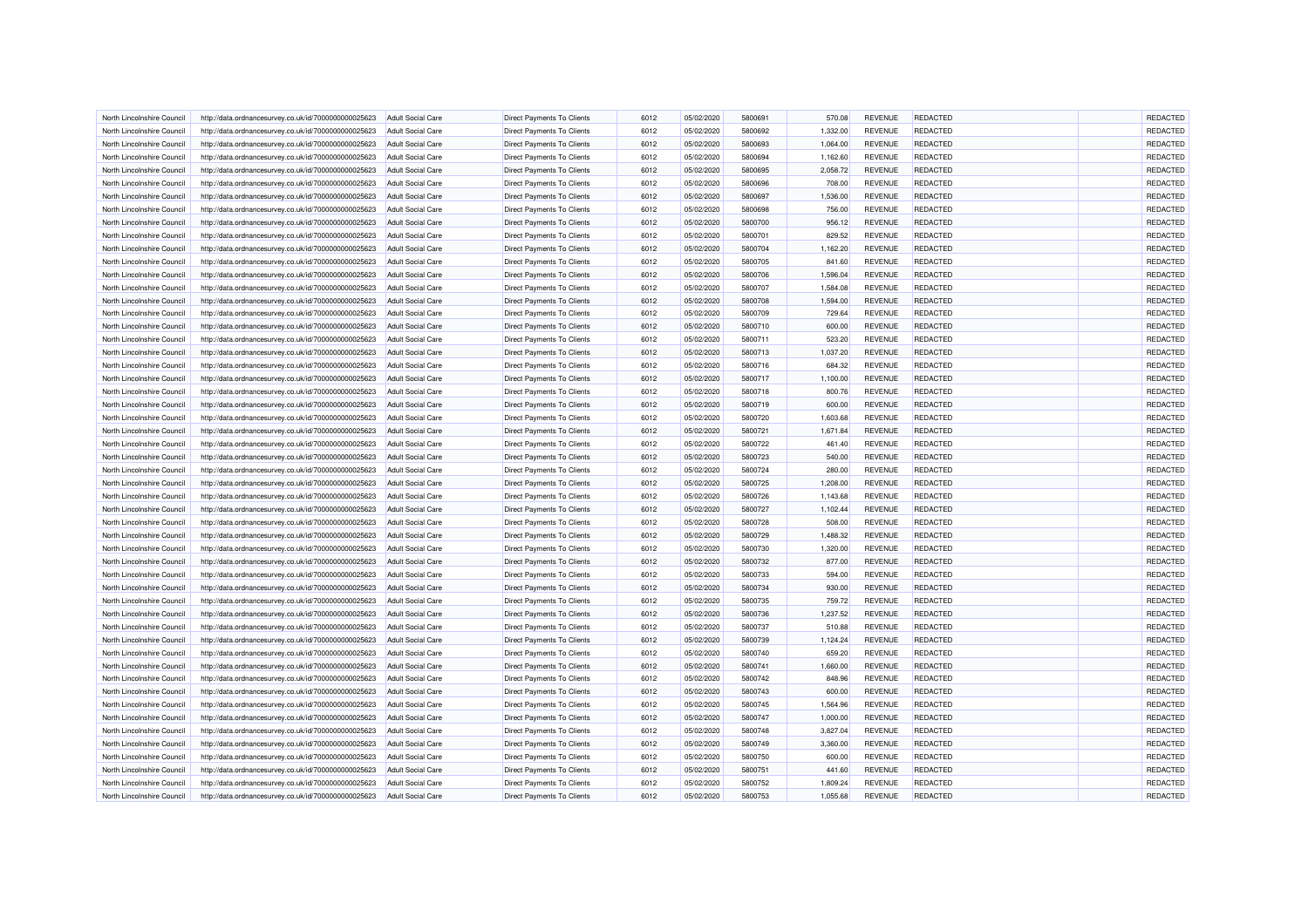| North Lincolnshire Council | http://data.ordnancesurvey.co.uk/id/7000000000025623 | <b>Adult Social Care</b>                      | <b>Direct Payments To Clients</b> | 6012         | 05/02/2020 | 5800691            | 570.08   | <b>REVENUE</b>                   | REDACTED        | REDACTED |  |
|----------------------------|------------------------------------------------------|-----------------------------------------------|-----------------------------------|--------------|------------|--------------------|----------|----------------------------------|-----------------|----------|--|
| North Lincolnshire Council | http://data.ordnancesurvey.co.uk/id/7000000000025623 | Adult Social Care                             | <b>Direct Payments To Clients</b> | 6012         | 05/02/2020 | 5800692            | 1,332.00 | <b>REVENUE</b>                   | <b>REDACTED</b> | REDACTED |  |
| North Lincolnshire Council | http://data.ordnancesurvey.co.uk/id/7000000000025623 | Adult Social Care                             | Direct Payments To Clients        | 6012         | 05/02/2020 | 5800693            | 1,064.00 | <b>REVENUE</b>                   | <b>REDACTED</b> | REDACTED |  |
| North Lincolnshire Council | http://data.ordnancesurvey.co.uk/id/7000000000025623 | <b>Adult Social Care</b>                      | <b>Direct Payments To Clients</b> | 6012         | 05/02/2020 | 5800694            | 1,162.60 | <b>REVENUE</b>                   | REDACTED        | REDACTED |  |
| North Lincolnshire Council | http://data.ordnancesurvey.co.uk/id/7000000000025623 | <b>Adult Social Care</b>                      | Direct Payments To Clients        | 6012         | 05/02/2020 | 5800695            | 2,058.72 | <b>REVENUE</b>                   | <b>REDACTED</b> | REDACTED |  |
| North Lincolnshire Council | http://data.ordnancesurvey.co.uk/id/7000000000025623 | <b>Adult Social Care</b>                      | Direct Payments To Clients        | 6012         | 05/02/2020 | 5800696            | 708.00   | <b>REVENUE</b>                   | <b>REDACTED</b> | REDACTED |  |
|                            |                                                      |                                               |                                   |              |            |                    |          |                                  |                 |          |  |
| North Lincolnshire Council | http://data.ordnancesurvey.co.uk/id/7000000000025623 | <b>Adult Social Care</b>                      | Direct Payments To Clients        | 6012         | 05/02/2020 | 5800697            | 1,536.00 | <b>REVENUE</b>                   | <b>REDACTED</b> | REDACTED |  |
| North Lincolnshire Council | http://data.ordnancesurvey.co.uk/id/7000000000025623 | Adult Social Care                             | Direct Payments To Clients        | 6012         | 05/02/2020 | 5800698            | 756.00   | <b>REVENUE</b>                   | <b>REDACTED</b> | REDACTED |  |
| North Lincolnshire Council | http://data.ordnancesurvey.co.uk/id/7000000000025623 | <b>Adult Social Care</b>                      | <b>Direct Payments To Clients</b> | 6012         | 05/02/2020 | 5800700            | 956.12   | <b>REVENUE</b>                   | REDACTED        | REDACTED |  |
| North Lincolnshire Council | http://data.ordnancesurvey.co.uk/id/7000000000025623 | Adult Social Care                             | <b>Direct Payments To Clients</b> | 6012         | 05/02/2020 | 5800701            | 829.52   | <b>REVENUE</b>                   | <b>REDACTED</b> | REDACTED |  |
| North Lincolnshire Council | http://data.ordnancesurvey.co.uk/id/7000000000025623 | Adult Social Care                             | <b>Direct Payments To Clients</b> | 6012         | 05/02/2020 | 5800704            | 1,162.20 | <b>REVENUE</b>                   | <b>REDACTED</b> | REDACTED |  |
| North Lincolnshire Council | http://data.ordnancesurvey.co.uk/id/7000000000025623 | <b>Adult Social Care</b>                      | <b>Direct Payments To Clients</b> | 6012         | 05/02/2020 | 5800705            | 841.60   | <b>REVENUE</b>                   | REDACTED        | REDACTED |  |
| North Lincolnshire Council | http://data.ordnancesurvey.co.uk/id/7000000000025623 | <b>Adult Social Care</b>                      | Direct Payments To Clients        | 6012         | 05/02/2020 | 5800706            | 1,596.04 | <b>REVENUE</b>                   | <b>REDACTED</b> | REDACTED |  |
| North Lincolnshire Council | http://data.ordnancesurvey.co.uk/id/7000000000025623 | Adult Social Care                             | <b>Direct Payments To Clients</b> | 6012         | 05/02/2020 | 5800707            | 1,584.08 | <b>REVENUE</b>                   | REDACTED        | REDACTED |  |
| North Lincolnshire Council | http://data.ordnancesurvey.co.uk/id/7000000000025623 | <b>Adult Social Care</b>                      | Direct Payments To Clients        | 6012         | 05/02/2020 | 5800708            | 1,594.00 | <b>REVENUE</b>                   | <b>REDACTED</b> | REDACTED |  |
| North Lincolnshire Council | http://data.ordnancesurvey.co.uk/id/7000000000025623 | <b>Adult Social Care</b>                      | Direct Payments To Clients        | 6012         | 05/02/2020 | 5800709            | 729.64   | <b>REVENUE</b>                   | <b>REDACTED</b> | REDACTED |  |
| North Lincolnshire Council | http://data.ordnancesurvey.co.uk/id/7000000000025623 | <b>Adult Social Care</b>                      | Direct Payments To Clients        | 6012         | 05/02/2020 | 5800710            | 600.00   | <b>REVENUE</b>                   | <b>REDACTED</b> | REDACTED |  |
| North Lincolnshire Council | http://data.ordnancesurvey.co.uk/id/7000000000025623 | <b>Adult Social Care</b>                      | <b>Direct Payments To Clients</b> | 6012         | 05/02/2020 | 5800711            | 523.20   | <b>REVENUE</b>                   | <b>REDACTED</b> | REDACTED |  |
| North Lincolnshire Council | http://data.ordnancesurvey.co.uk/id/7000000000025623 | <b>Adult Social Care</b>                      | <b>Direct Payments To Clients</b> | 6012         | 05/02/2020 | 5800713            | 1,037.20 | <b>REVENUE</b>                   | <b>REDACTED</b> | REDACTED |  |
| North Lincolnshire Council | http://data.ordnancesurvey.co.uk/id/7000000000025623 | <b>Adult Social Care</b>                      | <b>Direct Payments To Clients</b> | 6012         | 05/02/2020 | 5800716            | 684.32   | <b>REVENUE</b>                   | REDACTED        | REDACTED |  |
| North Lincolnshire Council | http://data.ordnancesurvey.co.uk/id/7000000000025623 | <b>Adult Social Care</b>                      | <b>Direct Payments To Clients</b> | 6012         | 05/02/2020 | 5800717            | 1,100.00 | <b>REVENUE</b>                   | <b>REDACTED</b> | REDACTED |  |
| North Lincolnshire Council | http://data.ordnancesurvey.co.uk/id/7000000000025623 | Adult Social Care                             | <b>Direct Payments To Clients</b> | 6012         | 05/02/2020 | 5800718            | 800.76   | <b>REVENUE</b>                   | <b>REDACTED</b> | REDACTED |  |
| North Lincolnshire Council | http://data.ordnancesurvey.co.uk/id/7000000000025623 | <b>Adult Social Care</b>                      | <b>Direct Payments To Clients</b> | 6012         | 05/02/2020 | 5800719            | 600.00   | <b>REVENUE</b>                   | <b>REDACTED</b> | REDACTED |  |
| North Lincolnshire Council | http://data.ordnancesurvey.co.uk/id/7000000000025623 | <b>Adult Social Care</b>                      | Direct Payments To Clients        | 6012         | 05/02/2020 | 5800720            | 1,603.68 | <b>REVENUE</b>                   | REDACTED        | REDACTED |  |
| North Lincolnshire Council | http://data.ordnancesurvey.co.uk/id/7000000000025623 | <b>Adult Social Care</b>                      | Direct Payments To Clients        | 6012         | 05/02/2020 | 5800721            | 1,671.84 | <b>REVENUE</b>                   | REDACTED        | REDACTED |  |
|                            |                                                      |                                               |                                   |              |            |                    |          |                                  |                 | REDACTED |  |
| North Lincolnshire Council | http://data.ordnancesurvey.co.uk/id/7000000000025623 | <b>Adult Social Care</b><br>Adult Social Care | <b>Direct Payments To Clients</b> | 6012<br>6012 | 05/02/2020 | 5800722<br>5800723 | 461.40   | <b>REVENUE</b><br><b>REVENUE</b> | <b>REDACTED</b> | REDACTED |  |
| North Lincolnshire Council | http://data.ordnancesurvey.co.uk/id/7000000000025623 |                                               | <b>Direct Payments To Clients</b> |              | 05/02/2020 |                    | 540.00   |                                  | <b>REDACTED</b> |          |  |
| North Lincolnshire Council | http://data.ordnancesurvey.co.uk/id/7000000000025623 | <b>Adult Social Care</b>                      | <b>Direct Payments To Clients</b> | 6012         | 05/02/2020 | 5800724            | 280.00   | <b>REVENUE</b>                   | REDACTED        | REDACTED |  |
| North Lincolnshire Council | http://data.ordnancesurvey.co.uk/id/7000000000025623 | <b>Adult Social Care</b>                      | <b>Direct Payments To Clients</b> | 6012         | 05/02/2020 | 5800725            | 1,208.00 | <b>REVENUE</b>                   | <b>REDACTED</b> | REDACTED |  |
| North Lincolnshire Council | http://data.ordnancesurvey.co.uk/id/7000000000025623 | Adult Social Care                             | Direct Payments To Clients        | 6012         | 05/02/2020 | 5800726            | 1.143.68 | <b>REVENUE</b>                   | REDACTED        | REDACTED |  |
| North Lincolnshire Council | http://data.ordnancesurvey.co.uk/id/7000000000025623 | <b>Adult Social Care</b>                      | <b>Direct Payments To Clients</b> | 6012         | 05/02/2020 | 5800727            | 1,102.44 | <b>REVENUE</b>                   | REDACTED        | REDACTED |  |
| North Lincolnshire Council | http://data.ordnancesurvey.co.uk/id/7000000000025623 | <b>Adult Social Care</b>                      | Direct Payments To Clients        | 6012         | 05/02/2020 | 5800728            | 508.00   | <b>REVENUE</b>                   | <b>REDACTED</b> | REDACTED |  |
| North Lincolnshire Council | http://data.ordnancesurvey.co.uk/id/7000000000025623 | <b>Adult Social Care</b>                      | <b>Direct Payments To Clients</b> | 6012         | 05/02/2020 | 5800729            | 1,488.32 | <b>REVENUE</b>                   | <b>REDACTED</b> | REDACTED |  |
| North Lincolnshire Council | http://data.ordnancesurvey.co.uk/id/7000000000025623 | <b>Adult Social Care</b>                      | <b>Direct Payments To Clients</b> | 6012         | 05/02/2020 | 5800730            | 1,320.00 | <b>REVENUE</b>                   | <b>REDACTED</b> | REDACTED |  |
| North Lincolnshire Council | http://data.ordnancesurvey.co.uk/id/7000000000025623 | <b>Adult Social Care</b>                      | Direct Payments To Clients        | 6012         | 05/02/2020 | 5800732            | 877.00   | <b>REVENUE</b>                   | REDACTED        | REDACTED |  |
| North Lincolnshire Council | http://data.ordnancesurvey.co.uk/id/7000000000025623 | <b>Adult Social Care</b>                      | <b>Direct Payments To Clients</b> | 6012         | 05/02/2020 | 5800733            | 594.00   | <b>REVENUE</b>                   | REDACTED        | REDACTED |  |
| North Lincolnshire Council | http://data.ordnancesurvey.co.uk/id/7000000000025623 | <b>Adult Social Care</b>                      | <b>Direct Payments To Clients</b> | 6012         | 05/02/2020 | 5800734            | 930.00   | <b>REVENUE</b>                   | <b>REDACTED</b> | REDACTED |  |
| North Lincolnshire Council | http://data.ordnancesurvey.co.uk/id/7000000000025623 | Adult Social Care                             | <b>Direct Payments To Clients</b> | 6012         | 05/02/2020 | 5800735            | 759.72   | <b>REVENUE</b>                   | <b>REDACTED</b> | REDACTED |  |
| North Lincolnshire Council | http://data.ordnancesurvey.co.uk/id/7000000000025623 | <b>Adult Social Care</b>                      | <b>Direct Payments To Clients</b> | 6012         | 05/02/2020 | 5800736            | 1,237.52 | <b>REVENUE</b>                   | REDACTED        | REDACTED |  |
| North Lincolnshire Council | http://data.ordnancesurvey.co.uk/id/7000000000025623 | <b>Adult Social Care</b>                      | Direct Payments To Clients        | 6012         | 05/02/2020 | 5800737            | 510.88   | <b>REVENUE</b>                   | <b>REDACTED</b> | REDACTED |  |
| North Lincolnshire Council | http://data.ordnancesurvey.co.uk/id/7000000000025623 | <b>Adult Social Care</b>                      | <b>Direct Payments To Clients</b> | 6012         | 05/02/2020 | 5800739            | 1,124.24 | <b>REVENUE</b>                   | REDACTED        | REDACTED |  |
| North Lincolnshire Council | http://data.ordnancesurvey.co.uk/id/7000000000025623 | <b>Adult Social Care</b>                      | Direct Payments To Clients        | 6012         | 05/02/2020 | 5800740            | 659.20   | <b>REVENUE</b>                   | <b>REDACTED</b> | REDACTED |  |
| North Lincolnshire Council | http://data.ordnancesurvey.co.uk/id/7000000000025623 | <b>Adult Social Care</b>                      | Direct Payments To Clients        | 6012         | 05/02/2020 | 5800741            | 1,660.00 | <b>REVENUE</b>                   | <b>REDACTED</b> | REDACTED |  |
| North Lincolnshire Council | http://data.ordnancesurvey.co.uk/id/7000000000025623 | <b>Adult Social Care</b>                      | <b>Direct Payments To Clients</b> | 6012         | 05/02/2020 | 5800742            | 848.96   | <b>REVENUE</b>                   | REDACTED        | REDACTED |  |
| North Lincolnshire Council | http://data.ordnancesurvey.co.uk/id/7000000000025623 | <b>Adult Social Care</b>                      | <b>Direct Payments To Clients</b> | 6012         | 05/02/2020 | 5800743            | 600.00   | <b>REVENUE</b>                   | <b>REDACTED</b> | REDACTED |  |
| North Lincolnshire Council | http://data.ordnancesurvey.co.uk/id/7000000000025623 | Adult Social Care                             | <b>Direct Payments To Clients</b> | 6012         | 05/02/2020 | 5800745            | 1,564.96 | <b>REVENUE</b>                   | REDACTED        | REDACTED |  |
| North Lincolnshire Council | http://data.ordnancesurvey.co.uk/id/7000000000025623 | <b>Adult Social Care</b>                      | <b>Direct Payments To Clients</b> | 6012         | 05/02/2020 | 5800747            | 1,000.00 | <b>REVENUE</b>                   | <b>REDACTED</b> | REDACTED |  |
| North Lincolnshire Council | http://data.ordnancesurvey.co.uk/id/7000000000025623 | <b>Adult Social Care</b>                      | Direct Payments To Clients        | 6012         | 05/02/2020 | 5800748            | 3,827.04 | <b>REVENUE</b>                   | <b>REDACTED</b> | REDACTED |  |
| North Lincolnshire Council |                                                      |                                               |                                   | 6012         |            | 5800749            |          | <b>REVENUE</b>                   |                 | REDACTED |  |
|                            | http://data.ordnancesurvey.co.uk/id/7000000000025623 | <b>Adult Social Care</b>                      | <b>Direct Payments To Clients</b> |              | 05/02/2020 |                    | 3,360.00 |                                  | <b>REDACTED</b> |          |  |
| North Lincolnshire Council | http://data.ordnancesurvey.co.uk/id/7000000000025623 | <b>Adult Social Care</b>                      | <b>Direct Payments To Clients</b> | 6012         | 05/02/2020 | 5800750            | 600.00   | <b>REVENUE</b>                   | <b>REDACTED</b> | REDACTED |  |
| North Lincolnshire Council | http://data.ordnancesurvey.co.uk/id/7000000000025623 | <b>Adult Social Care</b>                      | <b>Direct Payments To Clients</b> | 6012         | 05/02/2020 | 580075             | 441.60   | <b>REVENUE</b>                   | REDACTED        | REDACTED |  |
| North Lincolnshire Council | http://data.ordnancesurvey.co.uk/id/7000000000025623 | <b>Adult Social Care</b>                      | Direct Payments To Clients        | 6012         | 05/02/2020 | 5800752            | 1,809.24 | <b>REVENUE</b>                   | REDACTED        | REDACTED |  |
| North Lincolnshire Council | http://data.ordnancesurvey.co.uk/id/7000000000025623 | <b>Adult Social Care</b>                      | Direct Payments To Clients        | 6012         | 05/02/2020 | 5800753            | 1,055.68 | <b>REVENUE</b>                   | REDACTED        | REDACTED |  |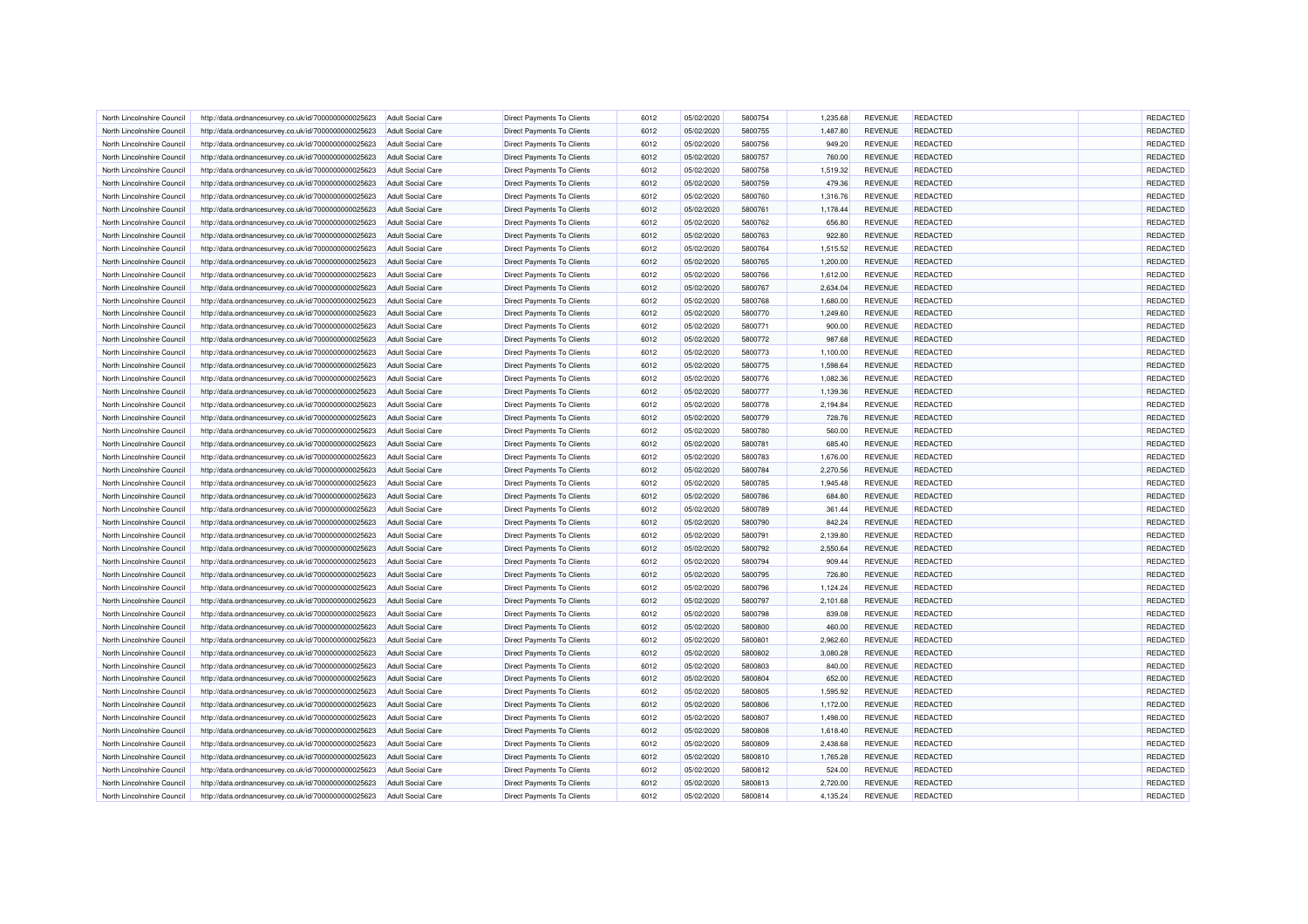| North Lincolnshire Council | http://data.ordnancesurvey.co.uk/id/7000000000025623 | Adult Social Care        | <b>Direct Payments To Clients</b> | 6012 | 05/02/2020 | 5800754 | 1.235.68 | <b>REVENUE</b> | REDACTED        | REDACTED        |
|----------------------------|------------------------------------------------------|--------------------------|-----------------------------------|------|------------|---------|----------|----------------|-----------------|-----------------|
| North Lincolnshire Council | http://data.ordnancesurvey.co.uk/id/7000000000025623 | Adult Social Care        | <b>Direct Payments To Clients</b> | 6012 | 05/02/2020 | 5800755 | 1,487.80 | <b>REVENUE</b> | <b>REDACTED</b> | REDACTED        |
| North Lincolnshire Council | http://data.ordnancesurvey.co.uk/id/7000000000025623 | <b>Adult Social Care</b> | Direct Payments To Clients        | 6012 | 05/02/2020 | 5800756 | 949.20   | <b>REVENUE</b> | <b>REDACTED</b> | REDACTED        |
| North Lincolnshire Council | http://data.ordnancesurvey.co.uk/id/7000000000025623 | Adult Social Care        | <b>Direct Payments To Clients</b> | 6012 | 05/02/2020 | 5800757 | 760.00   | <b>REVENUE</b> | REDACTED        | REDACTED        |
| North Lincolnshire Council | http://data.ordnancesurvey.co.uk/id/7000000000025623 | Adult Social Care        | <b>Direct Payments To Clients</b> | 6012 | 05/02/2020 | 5800758 | 1,519.32 | <b>REVENUE</b> | REDACTED        | REDACTED        |
| North Lincolnshire Council | http://data.ordnancesurvey.co.uk/id/7000000000025623 | <b>Adult Social Care</b> | <b>Direct Payments To Clients</b> | 6012 | 05/02/2020 | 5800759 | 479.36   | <b>REVENUE</b> | <b>REDACTED</b> | REDACTED        |
| North Lincolnshire Council | http://data.ordnancesurvey.co.uk/id/7000000000025623 | <b>Adult Social Care</b> | <b>Direct Payments To Clients</b> | 6012 | 05/02/2020 | 5800760 | 1,316.76 | <b>REVENUE</b> | REDACTED        | REDACTED        |
| North Lincolnshire Council | http://data.ordnancesurvey.co.uk/id/7000000000025623 | <b>Adult Social Care</b> | <b>Direct Payments To Clients</b> | 6012 | 05/02/2020 | 5800761 | 1,178.44 | <b>REVENUE</b> | <b>REDACTED</b> | REDACTED        |
| North Lincolnshire Council | http://data.ordnancesurvey.co.uk/id/7000000000025623 | <b>Adult Social Care</b> | <b>Direct Payments To Clients</b> | 6012 | 05/02/2020 | 5800762 | 656.80   | <b>REVENUE</b> | REDACTED        | REDACTED        |
| North Lincolnshire Council | http://data.ordnancesurvey.co.uk/id/7000000000025623 | <b>Adult Social Care</b> | <b>Direct Payments To Clients</b> | 6012 | 05/02/2020 | 5800763 | 922.80   | <b>REVENUE</b> | <b>REDACTED</b> | REDACTED        |
| North Lincolnshire Council | http://data.ordnancesurvey.co.uk/id/7000000000025623 | <b>Adult Social Care</b> | <b>Direct Payments To Clients</b> | 6012 | 05/02/2020 | 5800764 | 1,515.52 | <b>REVENUE</b> | <b>REDACTED</b> | REDACTED        |
| North Lincolnshire Council | http://data.ordnancesurvey.co.uk/id/7000000000025623 | Adult Social Care        | <b>Direct Payments To Clients</b> | 6012 | 05/02/2020 | 5800765 | 1.200.00 | <b>REVENUE</b> | <b>REDACTED</b> | REDACTED        |
| North Lincolnshire Council | http://data.ordnancesurvey.co.uk/id/7000000000025623 | <b>Adult Social Care</b> | <b>Direct Payments To Clients</b> | 6012 | 05/02/2020 | 5800766 | 1,612.00 | <b>REVENUE</b> | <b>REDACTED</b> | REDACTED        |
| North Lincolnshire Council | http://data.ordnancesurvey.co.uk/id/7000000000025623 | <b>Adult Social Care</b> | <b>Direct Payments To Clients</b> | 6012 | 05/02/2020 | 5800767 | 2,634.04 | <b>REVENUE</b> | <b>REDACTED</b> | REDACTED        |
| North Lincolnshire Council | http://data.ordnancesurvey.co.uk/id/7000000000025623 | <b>Adult Social Care</b> | <b>Direct Payments To Clients</b> | 6012 | 05/02/2020 | 5800768 | 1,680.00 | <b>REVENUE</b> | REDACTED        | REDACTED        |
| North Lincolnshire Council | http://data.ordnancesurvey.co.uk/id/7000000000025623 | <b>Adult Social Care</b> | Direct Payments To Clients        | 6012 | 05/02/2020 | 5800770 | 1,249.60 | <b>REVENUE</b> | <b>REDACTED</b> | REDACTED        |
| North Lincolnshire Council | http://data.ordnancesurvey.co.uk/id/7000000000025623 | <b>Adult Social Care</b> | Direct Payments To Clients        | 6012 | 05/02/2020 | 5800771 | 900.00   | <b>REVENUE</b> | <b>REDACTED</b> | REDACTED        |
| North Lincolnshire Council | http://data.ordnancesurvey.co.uk/id/7000000000025623 | <b>Adult Social Care</b> | <b>Direct Payments To Clients</b> | 6012 | 05/02/2020 | 5800772 | 987.68   | <b>REVENUE</b> | <b>REDACTED</b> | REDACTED        |
| North Lincolnshire Council | http://data.ordnancesurvey.co.uk/id/7000000000025623 | <b>Adult Social Care</b> | Direct Payments To Clients        | 6012 | 05/02/2020 | 5800773 | 1,100.00 | <b>REVENUE</b> | <b>REDACTED</b> | REDACTED        |
| North Lincolnshire Council |                                                      | <b>Adult Social Care</b> | Direct Payments To Clients        | 6012 | 05/02/2020 | 5800775 | 1,598.64 | <b>REVENUE</b> | REDACTED        | REDACTED        |
|                            | http://data.ordnancesurvey.co.uk/id/7000000000025623 |                          |                                   | 6012 |            | 5800776 |          | <b>REVENUE</b> |                 | REDACTED        |
| North Lincolnshire Council | http://data.ordnancesurvey.co.uk/id/7000000000025623 | <b>Adult Social Care</b> | <b>Direct Payments To Clients</b> |      | 05/02/2020 |         | 1,082.36 |                | <b>REDACTED</b> |                 |
| North Lincolnshire Council | http://data.ordnancesurvey.co.uk/id/7000000000025623 | Adult Social Care        | <b>Direct Payments To Clients</b> | 6012 | 05/02/2020 | 5800777 | 1,139.36 | <b>REVENUE</b> | <b>REDACTED</b> | REDACTED        |
| North Lincolnshire Council | http://data.ordnancesurvey.co.uk/id/7000000000025623 | <b>Adult Social Care</b> | <b>Direct Payments To Clients</b> | 6012 | 05/02/2020 | 5800778 | 2,194.84 | <b>REVENUE</b> | REDACTED        | REDACTED        |
| North Lincolnshire Council | http://data.ordnancesurvey.co.uk/id/7000000000025623 | <b>Adult Social Care</b> | <b>Direct Payments To Clients</b> | 6012 | 05/02/2020 | 5800779 | 728.76   | <b>REVENUE</b> | <b>REDACTED</b> | REDACTED        |
| North Lincolnshire Council | http://data.ordnancesurvey.co.uk/id/7000000000025623 | Adult Social Care        | Direct Payments To Clients        | 6012 | 05/02/2020 | 5800780 | 560.00   | <b>REVENUE</b> | <b>REDACTED</b> | REDACTED        |
| North Lincolnshire Council | http://data.ordnancesurvey.co.uk/id/7000000000025623 | <b>Adult Social Care</b> | <b>Direct Payments To Clients</b> | 6012 | 05/02/2020 | 5800781 | 685.40   | <b>REVENUE</b> | REDACTED        | <b>REDACTED</b> |
| North Lincolnshire Council | http://data.ordnancesurvey.co.uk/id/7000000000025623 | <b>Adult Social Care</b> | Direct Payments To Clients        | 6012 | 05/02/2020 | 5800783 | 1,676.00 | <b>REVENUE</b> | <b>REDACTED</b> | REDACTED        |
| North Lincolnshire Council | http://data.ordnancesurvey.co.uk/id/7000000000025623 | <b>Adult Social Care</b> | Direct Payments To Clients        | 6012 | 05/02/2020 | 5800784 | 2,270.56 | <b>REVENUE</b> | <b>REDACTED</b> | REDACTED        |
| North Lincolnshire Council | http://data.ordnancesurvey.co.uk/id/7000000000025623 | <b>Adult Social Care</b> | <b>Direct Payments To Clients</b> | 6012 | 05/02/2020 | 5800785 | 1,945.48 | <b>REVENUE</b> | <b>REDACTED</b> | REDACTED        |
| North Lincolnshire Council | http://data.ordnancesurvey.co.uk/id/7000000000025623 | <b>Adult Social Care</b> | Direct Payments To Clients        | 6012 | 05/02/2020 | 5800786 | 684.80   | <b>REVENUE</b> | <b>REDACTED</b> | REDACTED        |
| North Lincolnshire Council | http://data.ordnancesurvey.co.uk/id/7000000000025623 | <b>Adult Social Care</b> | <b>Direct Payments To Clients</b> | 6012 | 05/02/2020 | 5800789 | 361.44   | <b>REVENUE</b> | REDACTED        | REDACTED        |
| North Lincolnshire Council | http://data.ordnancesurvey.co.uk/id/7000000000025623 | <b>Adult Social Care</b> | <b>Direct Payments To Clients</b> | 6012 | 05/02/2020 | 5800790 | 842.24   | <b>REVENUE</b> | <b>REDACTED</b> | REDACTED        |
| North Lincolnshire Council | http://data.ordnancesurvey.co.uk/id/7000000000025623 | Adult Social Care        | <b>Direct Payments To Clients</b> | 6012 | 05/02/2020 | 5800791 | 2.139.80 | <b>REVENUE</b> | <b>REDACTED</b> | REDACTED        |
| North Lincolnshire Council | http://data.ordnancesurvey.co.uk/id/7000000000025623 | <b>Adult Social Care</b> | <b>Direct Payments To Clients</b> | 6012 | 05/02/2020 | 5800792 | 2,550.64 | <b>REVENUE</b> | REDACTED        | REDACTED        |
| North Lincolnshire Council | http://data.ordnancesurvey.co.uk/id/7000000000025623 | <b>Adult Social Care</b> | Direct Payments To Clients        | 6012 | 05/02/2020 | 5800794 | 909.44   | <b>REVENUE</b> | <b>REDACTED</b> | REDACTED        |
| North Lincolnshire Council | http://data.ordnancesurvey.co.uk/id/7000000000025623 | Adult Social Care        | <b>Direct Payments To Clients</b> | 6012 | 05/02/2020 | 5800795 | 726.80   | <b>REVENUE</b> | REDACTED        | REDACTED        |
| North Lincolnshire Council | http://data.ordnancesurvey.co.uk/id/7000000000025623 | <b>Adult Social Care</b> | <b>Direct Payments To Clients</b> | 6012 | 05/02/2020 | 5800796 | 1,124.24 | <b>REVENUE</b> | <b>REDACTED</b> | REDACTED        |
| North Lincolnshire Council | http://data.ordnancesurvey.co.uk/id/7000000000025623 | <b>Adult Social Care</b> | <b>Direct Payments To Clients</b> | 6012 | 05/02/2020 | 5800797 | 2,101.68 | <b>REVENUE</b> | <b>REDACTED</b> | REDACTED        |
| North Lincolnshire Council | http://data.ordnancesurvey.co.uk/id/7000000000025623 | <b>Adult Social Care</b> | <b>Direct Payments To Clients</b> | 6012 | 05/02/2020 | 5800798 | 839.08   | <b>REVENUE</b> | REDACTED        | REDACTED        |
| North Lincolnshire Council | http://data.ordnancesurvey.co.uk/id/7000000000025623 | <b>Adult Social Care</b> | <b>Direct Payments To Clients</b> | 6012 | 05/02/2020 | 5800800 | 460.00   | <b>REVENUE</b> | <b>REDACTED</b> | REDACTED        |
| North Lincolnshire Council | http://data.ordnancesurvey.co.uk/id/7000000000025623 | <b>Adult Social Care</b> | Direct Payments To Clients        | 6012 | 05/02/2020 | 580080  | 2,962.60 | <b>REVENUE</b> | REDACTED        | REDACTED        |
| North Lincolnshire Council | http://data.ordnancesurvey.co.uk/id/7000000000025623 | <b>Adult Social Care</b> | <b>Direct Payments To Clients</b> | 6012 | 05/02/2020 | 5800802 | 3,080.28 | <b>REVENUE</b> | <b>REDACTED</b> | REDACTED        |
| North Lincolnshire Council | http://data.ordnancesurvey.co.uk/id/7000000000025623 | <b>Adult Social Care</b> | <b>Direct Payments To Clients</b> | 6012 | 05/02/2020 | 5800803 | 840.00   | <b>REVENUE</b> | <b>REDACTED</b> | REDACTED        |
| North Lincolnshire Council | http://data.ordnancesurvey.co.uk/id/7000000000025623 | Adult Social Care        | <b>Direct Payments To Clients</b> | 6012 | 05/02/2020 | 5800804 | 652.00   | <b>REVENUE</b> | <b>REDACTED</b> | REDACTED        |
| North Lincolnshire Council | http://data.ordnancesurvey.co.uk/id/7000000000025623 | <b>Adult Social Care</b> | <b>Direct Payments To Clients</b> | 6012 | 05/02/2020 | 5800805 | 1,595.92 | <b>REVENUE</b> | <b>REDACTED</b> | REDACTED        |
| North Lincolnshire Council | http://data.ordnancesurvey.co.uk/id/7000000000025623 | <b>Adult Social Care</b> | <b>Direct Payments To Clients</b> | 6012 | 05/02/2020 | 5800806 | 1,172.00 | <b>REVENUE</b> | <b>REDACTED</b> | REDACTED        |
| North Lincolnshire Council | http://data.ordnancesurvey.co.uk/id/7000000000025623 | <b>Adult Social Care</b> | <b>Direct Payments To Clients</b> | 6012 | 05/02/2020 | 5800807 | 1,498.00 | <b>REVENUE</b> | REDACTED        | REDACTED        |
| North Lincolnshire Council | http://data.ordnancesurvey.co.uk/id/7000000000025623 | <b>Adult Social Care</b> | Direct Payments To Clients        | 6012 | 05/02/2020 | 5800808 | 1,618.40 | <b>REVENUE</b> | <b>REDACTED</b> | REDACTED        |
| North Lincolnshire Council | http://data.ordnancesurvey.co.uk/id/7000000000025623 | <b>Adult Social Care</b> | Direct Payments To Clients        | 6012 | 05/02/2020 | 5800809 | 2,438.68 | <b>REVENUE</b> | <b>REDACTED</b> | REDACTED        |
| North Lincolnshire Council | http://data.ordnancesurvey.co.uk/id/7000000000025623 | <b>Adult Social Care</b> | <b>Direct Payments To Clients</b> | 6012 | 05/02/2020 | 5800810 | 1,765.28 | <b>REVENUE</b> | <b>REDACTED</b> | REDACTED        |
|                            |                                                      |                          |                                   | 6012 |            | 5800812 |          |                | REDACTED        | REDACTED        |
| North Lincolnshire Council | http://data.ordnancesurvey.co.uk/id/7000000000025623 | <b>Adult Social Care</b> | <b>Direct Payments To Clients</b> |      | 05/02/2020 |         | 524.00   | <b>REVENUE</b> |                 |                 |
| North Lincolnshire Council | http://data.ordnancesurvey.co.uk/id/7000000000025623 | <b>Adult Social Care</b> | Direct Payments To Clients        | 6012 | 05/02/2020 | 5800813 | 2,720.00 | <b>REVENUE</b> | REDACTED        | REDACTED        |
| North Lincolnshire Council | http://data.ordnancesurvey.co.uk/id/7000000000025623 | <b>Adult Social Care</b> | Direct Payments To Clients        | 6012 | 05/02/2020 | 5800814 | 4,135.24 | <b>REVENUE</b> | REDACTED        | REDACTED        |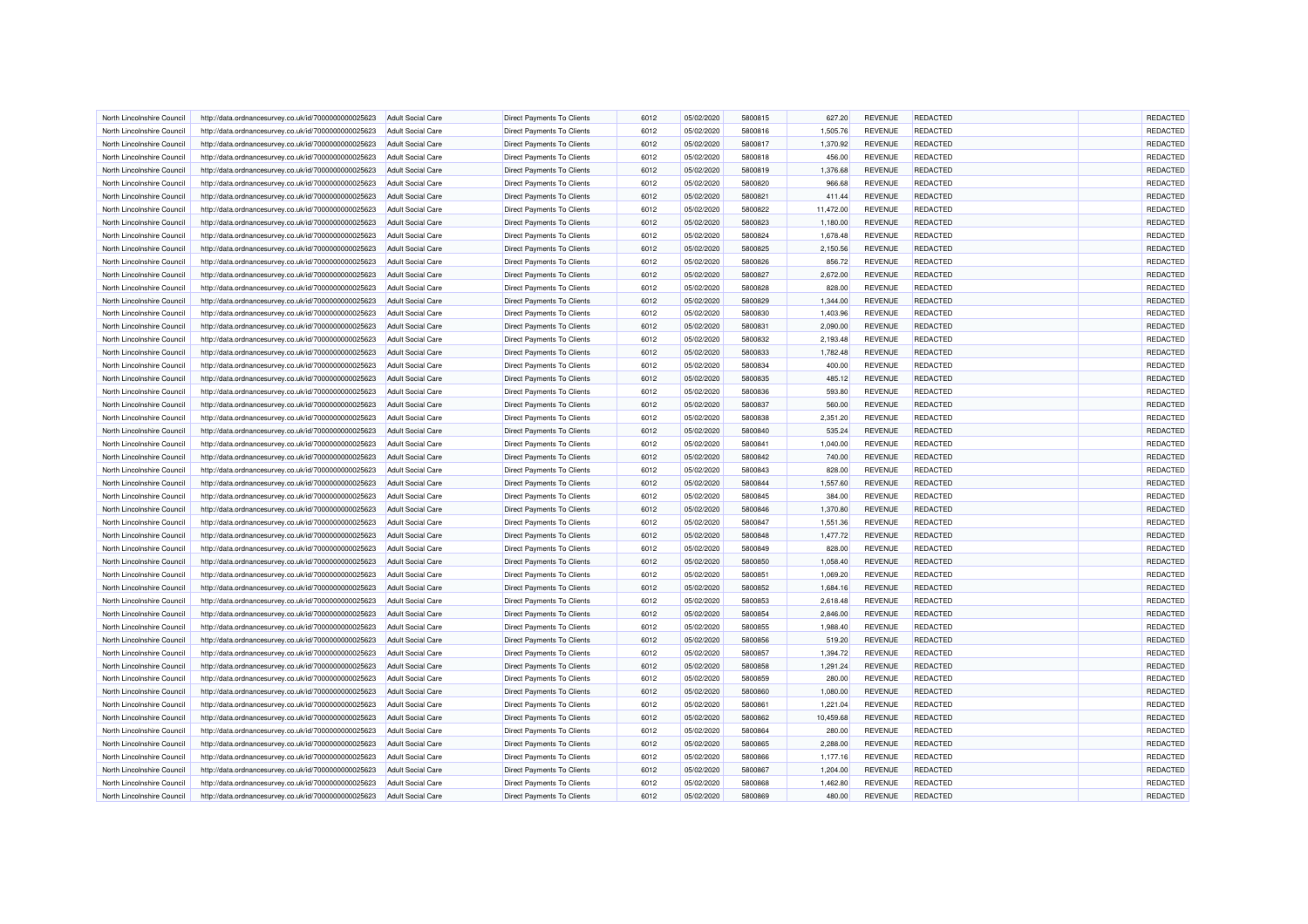| North Lincolnshire Council | http://data.ordnancesurvey.co.uk/id/7000000000025623 | <b>Adult Social Care</b> | <b>Direct Payments To Clients</b> | 6012 | 05/02/2020 | 5800815 | 627.20    | <b>REVENUE</b> | REDACTED                    | REDACTED |
|----------------------------|------------------------------------------------------|--------------------------|-----------------------------------|------|------------|---------|-----------|----------------|-----------------------------|----------|
| North Lincolnshire Council | http://data.ordnancesurvey.co.uk/id/7000000000025623 | Adult Social Care        | <b>Direct Payments To Clients</b> | 6012 | 05/02/2020 | 5800816 | 1,505.76  | <b>REVENUE</b> | <b>REDACTED</b>             | REDACTED |
| North Lincolnshire Council | http://data.ordnancesurvey.co.uk/id/7000000000025623 | Adult Social Care        | Direct Payments To Clients        | 6012 | 05/02/2020 | 5800817 | 1,370.92  | <b>REVENUE</b> | <b>REDACTED</b>             | REDACTED |
| North Lincolnshire Council | http://data.ordnancesurvey.co.uk/id/7000000000025623 | <b>Adult Social Care</b> | <b>Direct Payments To Clients</b> | 6012 | 05/02/2020 | 5800818 | 456.00    | <b>REVENUE</b> | REDACTED                    | REDACTED |
| North Lincolnshire Council | http://data.ordnancesurvey.co.uk/id/7000000000025623 | <b>Adult Social Care</b> | Direct Payments To Clients        | 6012 | 05/02/2020 | 5800819 | 1,376.68  | <b>REVENUE</b> | <b>REDACTED</b>             | REDACTED |
| North Lincolnshire Council | http://data.ordnancesurvey.co.uk/id/7000000000025623 | <b>Adult Social Care</b> | Direct Payments To Clients        | 6012 | 05/02/2020 | 5800820 | 966.68    | <b>REVENUE</b> | <b>REDACTED</b>             | REDACTED |
|                            |                                                      |                          |                                   |      |            |         |           |                |                             |          |
| North Lincolnshire Council | http://data.ordnancesurvey.co.uk/id/7000000000025623 | <b>Adult Social Care</b> | <b>Direct Payments To Clients</b> | 6012 | 05/02/2020 | 5800821 | 411.44    | <b>REVENUE</b> | <b>REDACTED</b>             | REDACTED |
| North Lincolnshire Council | http://data.ordnancesurvey.co.uk/id/7000000000025623 | <b>Adult Social Care</b> | Direct Payments To Clients        | 6012 | 05/02/2020 | 5800822 | 11,472.00 | <b>REVENUE</b> | <b>REDACTED</b>             | REDACTED |
| North Lincolnshire Council | http://data.ordnancesurvey.co.uk/id/7000000000025623 | <b>Adult Social Care</b> | <b>Direct Payments To Clients</b> | 6012 | 05/02/2020 | 5800823 | 1.180.00  | <b>REVENUE</b> | REDACTED                    | REDACTED |
| North Lincolnshire Council | http://data.ordnancesurvey.co.uk/id/7000000000025623 | <b>Adult Social Care</b> | <b>Direct Payments To Clients</b> | 6012 | 05/02/2020 | 5800824 | 1,678.48  | <b>REVENUE</b> | <b>REDACTED</b>             | REDACTED |
| North Lincolnshire Council | http://data.ordnancesurvey.co.uk/id/7000000000025623 | Adult Social Care        | <b>Direct Payments To Clients</b> | 6012 | 05/02/2020 | 5800825 | 2,150.56  | <b>REVENUE</b> | <b>REDACTED</b>             | REDACTED |
| North Lincolnshire Council | http://data.ordnancesurvey.co.uk/id/7000000000025623 | <b>Adult Social Care</b> | <b>Direct Payments To Clients</b> | 6012 | 05/02/2020 | 5800826 | 856.72    | <b>REVENUE</b> | REDACTED                    | REDACTED |
| North Lincolnshire Council | http://data.ordnancesurvey.co.uk/id/7000000000025623 | <b>Adult Social Care</b> | Direct Payments To Clients        | 6012 | 05/02/2020 | 5800827 | 2,672.00  | <b>REVENUE</b> | <b>REDACTED</b>             | REDACTED |
| North Lincolnshire Council | http://data.ordnancesurvey.co.uk/id/7000000000025623 | Adult Social Care        | <b>Direct Payments To Clients</b> | 6012 | 05/02/2020 | 5800828 | 828.00    | <b>REVENUE</b> | REDACTED                    | REDACTED |
| North Lincolnshire Council | http://data.ordnancesurvey.co.uk/id/7000000000025623 | <b>Adult Social Care</b> | Direct Payments To Clients        | 6012 | 05/02/2020 | 5800829 | 1,344.00  | <b>REVENUE</b> | <b>REDACTED</b>             | REDACTED |
| North Lincolnshire Council | http://data.ordnancesurvey.co.uk/id/7000000000025623 | <b>Adult Social Care</b> | Direct Payments To Clients        | 6012 | 05/02/2020 | 5800830 | 1,403.96  | <b>REVENUE</b> | <b>REDACTED</b>             | REDACTED |
| North Lincolnshire Council | http://data.ordnancesurvey.co.uk/id/7000000000025623 | <b>Adult Social Care</b> | Direct Payments To Clients        | 6012 | 05/02/2020 | 5800831 | 2,090.00  | <b>REVENUE</b> | <b>REDACTED</b>             | REDACTED |
| North Lincolnshire Council | http://data.ordnancesurvey.co.uk/id/7000000000025623 | <b>Adult Social Care</b> | <b>Direct Payments To Clients</b> | 6012 | 05/02/2020 | 5800832 | 2,193.48  | <b>REVENUE</b> | <b>REDACTED</b>             | REDACTED |
| North Lincolnshire Council | http://data.ordnancesurvey.co.uk/id/7000000000025623 | <b>Adult Social Care</b> | <b>Direct Payments To Clients</b> | 6012 | 05/02/2020 | 5800833 | 1,782.48  | <b>REVENUE</b> | <b>REDACTED</b>             | REDACTED |
| North Lincolnshire Council | http://data.ordnancesurvey.co.uk/id/7000000000025623 | <b>Adult Social Care</b> | <b>Direct Payments To Clients</b> | 6012 | 05/02/2020 | 5800834 | 400.00    | <b>REVENUE</b> | REDACTED                    | REDACTED |
| North Lincolnshire Council | http://data.ordnancesurvey.co.uk/id/7000000000025623 | <b>Adult Social Care</b> | <b>Direct Payments To Clients</b> | 6012 | 05/02/2020 | 5800835 | 485.12    | <b>REVENUE</b> | <b>REDACTED</b>             | REDACTED |
| North Lincolnshire Council | http://data.ordnancesurvey.co.uk/id/7000000000025623 | Adult Social Care        | <b>Direct Payments To Clients</b> | 6012 | 05/02/2020 | 5800836 | 593.80    | <b>REVENUE</b> | <b>REDACTED</b>             | REDACTED |
| North Lincolnshire Council | http://data.ordnancesurvey.co.uk/id/7000000000025623 | <b>Adult Social Care</b> | <b>Direct Payments To Clients</b> | 6012 | 05/02/2020 | 5800837 | 560.00    | <b>REVENUE</b> | <b>REDACTED</b>             | REDACTED |
| North Lincolnshire Council | http://data.ordnancesurvey.co.uk/id/7000000000025623 | <b>Adult Social Care</b> | Direct Payments To Clients        | 6012 | 05/02/2020 | 5800838 | 2,351.20  | <b>REVENUE</b> | REDACTED                    | REDACTED |
| North Lincolnshire Council | http://data.ordnancesurvey.co.uk/id/7000000000025623 | <b>Adult Social Care</b> | Direct Payments To Clients        | 6012 | 05/02/2020 | 5800840 | 535.24    | <b>REVENUE</b> | REDACTED                    | REDACTED |
| North Lincolnshire Council | http://data.ordnancesurvey.co.uk/id/7000000000025623 | <b>Adult Social Care</b> | <b>Direct Payments To Clients</b> | 6012 | 05/02/2020 | 5800841 | 1,040.00  | <b>REVENUE</b> | <b>REDACTED</b>             | REDACTED |
| North Lincolnshire Council | http://data.ordnancesurvey.co.uk/id/7000000000025623 | <b>Adult Social Care</b> | <b>Direct Payments To Clients</b> | 6012 | 05/02/2020 | 5800842 | 740.00    | <b>REVENUE</b> | <b>REDACTED</b>             | REDACTED |
| North Lincolnshire Council | http://data.ordnancesurvey.co.uk/id/7000000000025623 | <b>Adult Social Care</b> | <b>Direct Payments To Clients</b> | 6012 | 05/02/2020 | 5800843 | 828.00    | <b>REVENUE</b> | REDACTED                    | REDACTED |
|                            |                                                      |                          |                                   | 6012 |            | 5800844 |           |                |                             | REDACTED |
| North Lincolnshire Council | http://data.ordnancesurvey.co.uk/id/7000000000025623 | <b>Adult Social Care</b> | <b>Direct Payments To Clients</b> | 6012 | 05/02/2020 | 5800845 | 1,557.60  | <b>REVENUE</b> | <b>REDACTED</b><br>REDACTED | REDACTED |
| North Lincolnshire Council | http://data.ordnancesurvey.co.uk/id/7000000000025623 | Adult Social Care        | Direct Payments To Clients        |      | 05/02/2020 |         | 384.00    | <b>REVENUE</b> |                             |          |
| North Lincolnshire Council | http://data.ordnancesurvey.co.uk/id/7000000000025623 | <b>Adult Social Care</b> | <b>Direct Payments To Clients</b> | 6012 | 05/02/2020 | 5800846 | 1,370.80  | <b>REVENUE</b> | REDACTED                    | REDACTED |
| North Lincolnshire Council | http://data.ordnancesurvey.co.uk/id/7000000000025623 | <b>Adult Social Care</b> | Direct Payments To Clients        | 6012 | 05/02/2020 | 5800847 | 1,551.36  | <b>REVENUE</b> | <b>REDACTED</b>             | REDACTED |
| North Lincolnshire Council | http://data.ordnancesurvey.co.uk/id/7000000000025623 | <b>Adult Social Care</b> | <b>Direct Payments To Clients</b> | 6012 | 05/02/2020 | 5800848 | 1,477.72  | <b>REVENUE</b> | <b>REDACTED</b>             | REDACTED |
| North Lincolnshire Council | http://data.ordnancesurvey.co.uk/id/7000000000025623 | <b>Adult Social Care</b> | <b>Direct Payments To Clients</b> | 6012 | 05/02/2020 | 5800849 | 828.00    | <b>REVENUE</b> | <b>REDACTED</b>             | REDACTED |
| North Lincolnshire Council | http://data.ordnancesurvey.co.uk/id/7000000000025623 | <b>Adult Social Care</b> | Direct Payments To Clients        | 6012 | 05/02/2020 | 5800850 | 1,058.40  | <b>REVENUE</b> | <b>REDACTED</b>             | REDACTED |
| North Lincolnshire Council | http://data.ordnancesurvey.co.uk/id/7000000000025623 | <b>Adult Social Care</b> | <b>Direct Payments To Clients</b> | 6012 | 05/02/2020 | 580085  | 1.069.20  | <b>REVENUE</b> | REDACTED                    | REDACTED |
| North Lincolnshire Council | http://data.ordnancesurvey.co.uk/id/7000000000025623 | <b>Adult Social Care</b> | <b>Direct Payments To Clients</b> | 6012 | 05/02/2020 | 5800852 | 1,684.16  | <b>REVENUE</b> | <b>REDACTED</b>             | REDACTED |
| North Lincolnshire Council | http://data.ordnancesurvey.co.uk/id/7000000000025623 | Adult Social Care        | <b>Direct Payments To Clients</b> | 6012 | 05/02/2020 | 5800853 | 2.618.48  | <b>REVENUE</b> | <b>REDACTED</b>             | REDACTED |
| North Lincolnshire Council | http://data.ordnancesurvey.co.uk/id/7000000000025623 | <b>Adult Social Care</b> | <b>Direct Payments To Clients</b> | 6012 | 05/02/2020 | 5800854 | 2,846.00  | <b>REVENUE</b> | REDACTED                    | REDACTED |
| North Lincolnshire Council | http://data.ordnancesurvey.co.uk/id/7000000000025623 | <b>Adult Social Care</b> | Direct Payments To Clients        | 6012 | 05/02/2020 | 5800855 | 1,988.40  | <b>REVENUE</b> | <b>REDACTED</b>             | REDACTED |
| North Lincolnshire Council | http://data.ordnancesurvey.co.uk/id/7000000000025623 | <b>Adult Social Care</b> | <b>Direct Payments To Clients</b> | 6012 | 05/02/2020 | 5800856 | 519.20    | <b>REVENUE</b> | REDACTED                    | REDACTED |
| North Lincolnshire Council | http://data.ordnancesurvey.co.uk/id/7000000000025623 | <b>Adult Social Care</b> | Direct Payments To Clients        | 6012 | 05/02/2020 | 5800857 | 1,394.72  | <b>REVENUE</b> | <b>REDACTED</b>             | REDACTED |
| North Lincolnshire Council | http://data.ordnancesurvey.co.uk/id/7000000000025623 | <b>Adult Social Care</b> | Direct Payments To Clients        | 6012 | 05/02/2020 | 5800858 | 1,291.24  | <b>REVENUE</b> | <b>REDACTED</b>             | REDACTED |
| North Lincolnshire Council | http://data.ordnancesurvey.co.uk/id/7000000000025623 | <b>Adult Social Care</b> | <b>Direct Payments To Clients</b> | 6012 | 05/02/2020 | 5800859 | 280.00    | <b>REVENUE</b> | REDACTED                    | REDACTED |
| North Lincolnshire Council | http://data.ordnancesurvey.co.uk/id/7000000000025623 | <b>Adult Social Care</b> | <b>Direct Payments To Clients</b> | 6012 | 05/02/2020 | 5800860 | 1,080.00  | <b>REVENUE</b> | <b>REDACTED</b>             | REDACTED |
| North Lincolnshire Council | http://data.ordnancesurvey.co.uk/id/7000000000025623 | Adult Social Care        | <b>Direct Payments To Clients</b> | 6012 | 05/02/2020 | 580086  | 1,221.04  | <b>REVENUE</b> | REDACTED                    | REDACTED |
| North Lincolnshire Council | http://data.ordnancesurvey.co.uk/id/7000000000025623 | <b>Adult Social Care</b> | <b>Direct Payments To Clients</b> | 6012 | 05/02/2020 | 5800862 | 10,459.68 | <b>REVENUE</b> | <b>REDACTED</b>             | REDACTED |
| North Lincolnshire Council | http://data.ordnancesurvey.co.uk/id/7000000000025623 | <b>Adult Social Care</b> | Direct Payments To Clients        | 6012 | 05/02/2020 | 5800864 | 280.00    | <b>REVENUE</b> | <b>REDACTED</b>             | REDACTED |
| North Lincolnshire Council | http://data.ordnancesurvey.co.uk/id/7000000000025623 | <b>Adult Social Care</b> | <b>Direct Payments To Clients</b> | 6012 | 05/02/2020 | 5800865 | 2,288.00  | <b>REVENUE</b> | <b>REDACTED</b>             | REDACTED |
| North Lincolnshire Council | http://data.ordnancesurvey.co.uk/id/7000000000025623 | <b>Adult Social Care</b> | <b>Direct Payments To Clients</b> | 6012 | 05/02/2020 | 5800866 | 1,177.16  | <b>REVENUE</b> | <b>REDACTED</b>             | REDACTED |
| North Lincolnshire Council |                                                      | <b>Adult Social Care</b> |                                   | 6012 | 05/02/2020 | 5800867 |           | <b>REVENUE</b> | REDACTED                    | REDACTED |
|                            | http://data.ordnancesurvey.co.uk/id/7000000000025623 |                          | <b>Direct Payments To Clients</b> |      |            |         | 1,204.00  |                |                             |          |
| North Lincolnshire Council | http://data.ordnancesurvey.co.uk/id/7000000000025623 | <b>Adult Social Care</b> | <b>Direct Payments To Clients</b> | 6012 | 05/02/2020 | 5800868 | 1,462.80  | <b>REVENUE</b> | REDACTED                    | REDACTED |
| North Lincolnshire Council | http://data.ordnancesurvey.co.uk/id/7000000000025623 | <b>Adult Social Care</b> | Direct Payments To Clients        | 6012 | 05/02/2020 | 5800869 | 480.00    | <b>REVENUE</b> | REDACTED                    | REDACTED |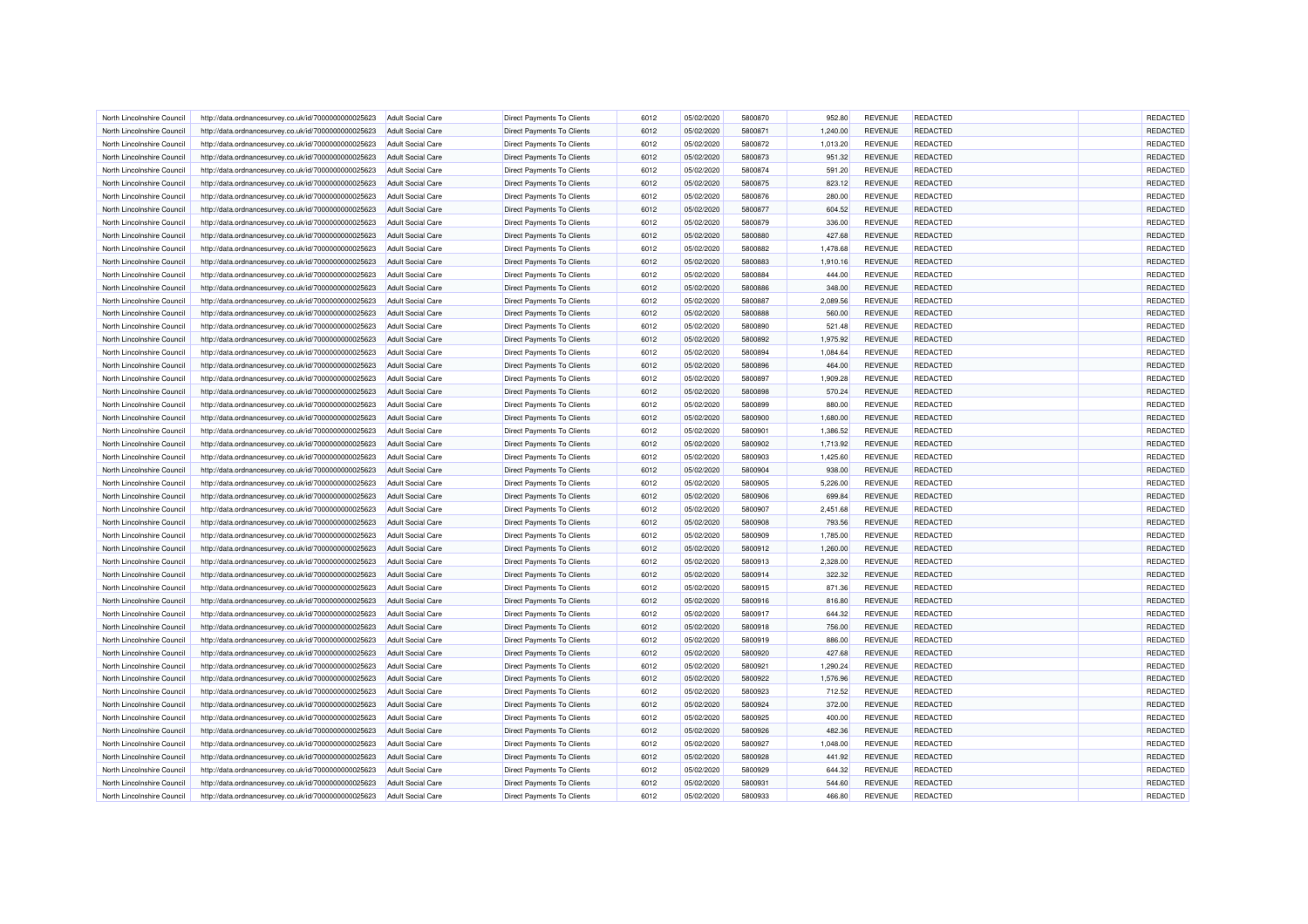| North Lincolnshire Council | http://data.ordnancesurvey.co.uk/id/7000000000025623 | Adult Social Care        | <b>Direct Payments To Clients</b> | 6012 | 05/02/2020 | 5800870 | 952.80   | <b>REVENUE</b> | REDACTED        | REDACTED |
|----------------------------|------------------------------------------------------|--------------------------|-----------------------------------|------|------------|---------|----------|----------------|-----------------|----------|
| North Lincolnshire Council | http://data.ordnancesurvey.co.uk/id/7000000000025623 | <b>Adult Social Care</b> | <b>Direct Payments To Clients</b> | 6012 | 05/02/2020 | 5800871 | 1,240.00 | <b>REVENUE</b> | <b>REDACTED</b> | REDACTED |
| North Lincolnshire Council | http://data.ordnancesurvey.co.uk/id/7000000000025623 | Adult Social Care        | Direct Payments To Clients        | 6012 | 05/02/2020 | 5800872 | 1,013.20 | <b>REVENUE</b> | <b>REDACTED</b> | REDACTED |
| North Lincolnshire Council | http://data.ordnancesurvey.co.uk/id/7000000000025623 | <b>Adult Social Care</b> | <b>Direct Payments To Clients</b> | 6012 | 05/02/2020 | 5800873 | 951.32   | <b>REVENUE</b> | REDACTED        | REDACTED |
| North Lincolnshire Council | http://data.ordnancesurvey.co.uk/id/7000000000025623 | <b>Adult Social Care</b> | Direct Payments To Clients        | 6012 | 05/02/2020 | 5800874 | 591.20   | <b>REVENUE</b> | <b>REDACTED</b> | REDACTED |
| North Lincolnshire Council | http://data.ordnancesurvey.co.uk/id/7000000000025623 | <b>Adult Social Care</b> | Direct Payments To Clients        | 6012 | 05/02/2020 | 5800875 | 823.12   | <b>REVENUE</b> | <b>REDACTED</b> | REDACTED |
|                            |                                                      |                          |                                   |      |            |         |          |                |                 |          |
| North Lincolnshire Council | http://data.ordnancesurvey.co.uk/id/7000000000025623 | <b>Adult Social Care</b> | Direct Payments To Clients        | 6012 | 05/02/2020 | 5800876 | 280.00   | <b>REVENUE</b> | <b>REDACTED</b> | REDACTED |
| North Lincolnshire Council | http://data.ordnancesurvey.co.uk/id/7000000000025623 | <b>Adult Social Care</b> | Direct Payments To Clients        | 6012 | 05/02/2020 | 5800877 | 604.52   | <b>REVENUE</b> | <b>REDACTED</b> | REDACTED |
| North Lincolnshire Council | http://data.ordnancesurvey.co.uk/id/7000000000025623 | <b>Adult Social Care</b> | <b>Direct Payments To Clients</b> | 6012 | 05/02/2020 | 5800879 | 336.00   | <b>REVENUE</b> | REDACTED        | REDACTED |
| North Lincolnshire Council | http://data.ordnancesurvey.co.uk/id/7000000000025623 | <b>Adult Social Care</b> | <b>Direct Payments To Clients</b> | 6012 | 05/02/2020 | 5800880 | 427.68   | <b>REVENUE</b> | <b>REDACTED</b> | REDACTED |
| North Lincolnshire Council | http://data.ordnancesurvey.co.uk/id/7000000000025623 | Adult Social Care        | <b>Direct Payments To Clients</b> | 6012 | 05/02/2020 | 5800882 | 1.478.68 | <b>REVENUE</b> | <b>REDACTED</b> | REDACTED |
| North Lincolnshire Council | http://data.ordnancesurvey.co.uk/id/7000000000025623 | <b>Adult Social Care</b> | <b>Direct Payments To Clients</b> | 6012 | 05/02/2020 | 5800883 | 1,910.16 | <b>REVENUE</b> | REDACTED        | REDACTED |
| North Lincolnshire Council | http://data.ordnancesurvey.co.uk/id/7000000000025623 | <b>Adult Social Care</b> | Direct Payments To Clients        | 6012 | 05/02/2020 | 5800884 | 444.00   | <b>REVENUE</b> | <b>REDACTED</b> | REDACTED |
| North Lincolnshire Council | http://data.ordnancesurvey.co.uk/id/7000000000025623 | Adult Social Care        | <b>Direct Payments To Clients</b> | 6012 | 05/02/2020 | 5800886 | 348.00   | <b>REVENUE</b> | REDACTED        | REDACTED |
| North Lincolnshire Council | http://data.ordnancesurvey.co.uk/id/7000000000025623 | <b>Adult Social Care</b> | Direct Payments To Clients        | 6012 | 05/02/2020 | 5800887 | 2,089.56 | <b>REVENUE</b> | <b>REDACTED</b> | REDACTED |
| North Lincolnshire Council | http://data.ordnancesurvey.co.uk/id/7000000000025623 | <b>Adult Social Care</b> | Direct Payments To Clients        | 6012 | 05/02/2020 | 5800888 | 560.00   | <b>REVENUE</b> | <b>REDACTED</b> | REDACTED |
| North Lincolnshire Council | http://data.ordnancesurvey.co.uk/id/7000000000025623 | <b>Adult Social Care</b> | Direct Payments To Clients        | 6012 | 05/02/2020 | 5800890 | 521.48   | <b>REVENUE</b> | <b>REDACTED</b> | REDACTED |
| North Lincolnshire Council | http://data.ordnancesurvey.co.uk/id/7000000000025623 | <b>Adult Social Care</b> | <b>Direct Payments To Clients</b> | 6012 | 05/02/2020 | 5800892 | 1,975.92 | <b>REVENUE</b> | <b>REDACTED</b> | REDACTED |
| North Lincolnshire Council | http://data.ordnancesurvey.co.uk/id/7000000000025623 | <b>Adult Social Care</b> | <b>Direct Payments To Clients</b> | 6012 | 05/02/2020 | 5800894 | 1,084.64 | <b>REVENUE</b> | REDACTED        | REDACTED |
| North Lincolnshire Council | http://data.ordnancesurvey.co.uk/id/7000000000025623 | <b>Adult Social Care</b> | <b>Direct Payments To Clients</b> | 6012 | 05/02/2020 | 5800896 | 464.00   | <b>REVENUE</b> | REDACTED        | REDACTED |
| North Lincolnshire Council | http://data.ordnancesurvey.co.uk/id/7000000000025623 | <b>Adult Social Care</b> | Direct Payments To Clients        | 6012 | 05/02/2020 | 5800897 | 1,909.28 | <b>REVENUE</b> | <b>REDACTED</b> | REDACTED |
| North Lincolnshire Council | http://data.ordnancesurvey.co.uk/id/7000000000025623 | Adult Social Care        | <b>Direct Payments To Clients</b> | 6012 | 05/02/2020 | 5800898 | 570.24   | <b>REVENUE</b> | <b>REDACTED</b> | REDACTED |
| North Lincolnshire Council | http://data.ordnancesurvey.co.uk/id/7000000000025623 | <b>Adult Social Care</b> | <b>Direct Payments To Clients</b> | 6012 | 05/02/2020 | 5800899 | 880.00   | <b>REVENUE</b> | <b>REDACTED</b> | REDACTED |
| North Lincolnshire Council | http://data.ordnancesurvey.co.uk/id/7000000000025623 | <b>Adult Social Care</b> | Direct Payments To Clients        | 6012 | 05/02/2020 | 5800900 | 1,680.00 | <b>REVENUE</b> | REDACTED        | REDACTED |
| North Lincolnshire Council | http://data.ordnancesurvey.co.uk/id/7000000000025623 | <b>Adult Social Care</b> | Direct Payments To Clients        | 6012 | 05/02/2020 | 5800901 | 1,386.52 | <b>REVENUE</b> | REDACTED        | REDACTED |
|                            |                                                      |                          |                                   |      |            |         |          |                |                 |          |
| North Lincolnshire Council | http://data.ordnancesurvey.co.uk/id/7000000000025623 | <b>Adult Social Care</b> | <b>Direct Payments To Clients</b> | 6012 | 05/02/2020 | 5800902 | 1,713.92 | <b>REVENUE</b> | <b>REDACTED</b> | REDACTED |
| North Lincolnshire Council | http://data.ordnancesurvey.co.uk/id/7000000000025623 | Adult Social Care        | <b>Direct Payments To Clients</b> | 6012 | 05/02/2020 | 5800903 | 1,425.60 | <b>REVENUE</b> | <b>REDACTED</b> | REDACTED |
| North Lincolnshire Council | http://data.ordnancesurvey.co.uk/id/7000000000025623 | <b>Adult Social Care</b> | <b>Direct Payments To Clients</b> | 6012 | 05/02/2020 | 5800904 | 938.00   | <b>REVENUE</b> | REDACTED        | REDACTED |
| North Lincolnshire Council | http://data.ordnancesurvey.co.uk/id/7000000000025623 | <b>Adult Social Care</b> | <b>Direct Payments To Clients</b> | 6012 | 05/02/2020 | 5800905 | 5,226.00 | <b>REVENUE</b> | <b>REDACTED</b> | REDACTED |
| North Lincolnshire Council | http://data.ordnancesurvey.co.uk/id/7000000000025623 | Adult Social Care        | Direct Payments To Clients        | 6012 | 05/02/2020 | 5800906 | 699.84   | <b>REVENUE</b> | <b>REDACTED</b> | REDACTED |
| North Lincolnshire Council | http://data.ordnancesurvey.co.uk/id/7000000000025623 | <b>Adult Social Care</b> | <b>Direct Payments To Clients</b> | 6012 | 05/02/2020 | 5800907 | 2,451.68 | <b>REVENUE</b> | REDACTED        | REDACTED |
| North Lincolnshire Council | http://data.ordnancesurvey.co.uk/id/7000000000025623 | <b>Adult Social Care</b> | Direct Payments To Clients        | 6012 | 05/02/2020 | 5800908 | 793.56   | <b>REVENUE</b> | <b>REDACTED</b> | REDACTED |
| North Lincolnshire Council | http://data.ordnancesurvey.co.uk/id/7000000000025623 | <b>Adult Social Care</b> | <b>Direct Payments To Clients</b> | 6012 | 05/02/2020 | 5800909 | 1,785.00 | <b>REVENUE</b> | <b>REDACTED</b> | REDACTED |
| North Lincolnshire Council | http://data.ordnancesurvey.co.uk/id/7000000000025623 | <b>Adult Social Care</b> | <b>Direct Payments To Clients</b> | 6012 | 05/02/2020 | 5800912 | 1,260.00 | <b>REVENUE</b> | <b>REDACTED</b> | REDACTED |
| North Lincolnshire Council | http://data.ordnancesurvey.co.uk/id/7000000000025623 | <b>Adult Social Care</b> | Direct Payments To Clients        | 6012 | 05/02/2020 | 5800913 | 2,328.00 | <b>REVENUE</b> | REDACTED        | REDACTED |
| North Lincolnshire Council | http://data.ordnancesurvey.co.uk/id/7000000000025623 | <b>Adult Social Care</b> | <b>Direct Payments To Clients</b> | 6012 | 05/02/2020 | 5800914 | 322.32   | <b>REVENUE</b> | <b>REDACTED</b> | REDACTED |
| North Lincolnshire Council | http://data.ordnancesurvey.co.uk/id/7000000000025623 | <b>Adult Social Care</b> | <b>Direct Payments To Clients</b> | 6012 | 05/02/2020 | 5800915 | 871.36   | <b>REVENUE</b> | <b>REDACTED</b> | REDACTED |
| North Lincolnshire Council | http://data.ordnancesurvey.co.uk/id/7000000000025623 | Adult Social Care        | <b>Direct Payments To Clients</b> | 6012 | 05/02/2020 | 5800916 | 816.80   | <b>REVENUE</b> | <b>REDACTED</b> | REDACTED |
| North Lincolnshire Council | http://data.ordnancesurvey.co.uk/id/7000000000025623 | <b>Adult Social Care</b> | <b>Direct Payments To Clients</b> | 6012 | 05/02/2020 | 5800917 | 644.32   | <b>REVENUE</b> | REDACTED        | REDACTED |
| North Lincolnshire Council | http://data.ordnancesurvey.co.uk/id/7000000000025623 | <b>Adult Social Care</b> | Direct Payments To Clients        | 6012 | 05/02/2020 | 5800918 | 756.00   | <b>REVENUE</b> | <b>REDACTED</b> | REDACTED |
| North Lincolnshire Council | http://data.ordnancesurvey.co.uk/id/7000000000025623 | <b>Adult Social Care</b> | <b>Direct Payments To Clients</b> | 6012 | 05/02/2020 | 5800919 | 886.00   | <b>REVENUE</b> | REDACTED        | REDACTED |
| North Lincolnshire Council | http://data.ordnancesurvey.co.uk/id/7000000000025623 | <b>Adult Social Care</b> | Direct Payments To Clients        | 6012 | 05/02/2020 | 5800920 | 427.68   | <b>REVENUE</b> | <b>REDACTED</b> | REDACTED |
| North Lincolnshire Council | http://data.ordnancesurvey.co.uk/id/7000000000025623 | <b>Adult Social Care</b> | Direct Payments To Clients        | 6012 | 05/02/2020 | 5800921 | 1,290.24 | <b>REVENUE</b> | <b>REDACTED</b> | REDACTED |
| North Lincolnshire Council | http://data.ordnancesurvey.co.uk/id/7000000000025623 | <b>Adult Social Care</b> | <b>Direct Payments To Clients</b> | 6012 | 05/02/2020 | 5800922 | 1,576.96 | <b>REVENUE</b> | <b>REDACTED</b> | REDACTED |
| North Lincolnshire Council | http://data.ordnancesurvey.co.uk/id/7000000000025623 | <b>Adult Social Care</b> | <b>Direct Payments To Clients</b> | 6012 | 05/02/2020 | 5800923 | 712.52   | <b>REVENUE</b> | <b>REDACTED</b> | REDACTED |
| North Lincolnshire Council | http://data.ordnancesurvey.co.uk/id/7000000000025623 | Adult Social Care        | <b>Direct Payments To Clients</b> | 6012 | 05/02/2020 | 5800924 | 372.00   | <b>REVENUE</b> | <b>REDACTED</b> | REDACTED |
| North Lincolnshire Council | http://data.ordnancesurvey.co.uk/id/7000000000025623 | <b>Adult Social Care</b> | <b>Direct Payments To Clients</b> | 6012 | 05/02/2020 | 5800925 | 400.00   | <b>REVENUE</b> | REDACTED        | REDACTED |
|                            |                                                      |                          |                                   | 6012 | 05/02/2020 | 5800926 | 482.36   | <b>REVENUE</b> | <b>REDACTED</b> | REDACTED |
| North Lincolnshire Council | http://data.ordnancesurvey.co.uk/id/7000000000025623 | <b>Adult Social Care</b> | Direct Payments To Clients        |      |            |         |          |                |                 |          |
| North Lincolnshire Council | http://data.ordnancesurvey.co.uk/id/7000000000025623 | <b>Adult Social Care</b> | Direct Payments To Clients        | 6012 | 05/02/2020 | 5800927 | 1,048.00 | <b>REVENUE</b> | <b>REDACTED</b> | REDACTED |
| North Lincolnshire Council | http://data.ordnancesurvey.co.uk/id/7000000000025623 | <b>Adult Social Care</b> | <b>Direct Payments To Clients</b> | 6012 | 05/02/2020 | 5800928 | 441.92   | <b>REVENUE</b> | <b>REDACTED</b> | REDACTED |
| North Lincolnshire Council | http://data.ordnancesurvey.co.uk/id/7000000000025623 | <b>Adult Social Care</b> | <b>Direct Payments To Clients</b> | 6012 | 05/02/2020 | 5800929 | 644.32   | <b>REVENUE</b> | REDACTED        | REDACTED |
| North Lincolnshire Council | http://data.ordnancesurvey.co.uk/id/7000000000025623 | <b>Adult Social Care</b> | Direct Payments To Clients        | 6012 | 05/02/2020 | 5800931 | 544.60   | <b>REVENUE</b> | REDACTED        | REDACTED |
| North Lincolnshire Council | http://data.ordnancesurvey.co.uk/id/7000000000025623 | <b>Adult Social Care</b> | Direct Payments To Clients        | 6012 | 05/02/2020 | 5800933 | 466.80   | <b>REVENUE</b> | REDACTED        | REDACTED |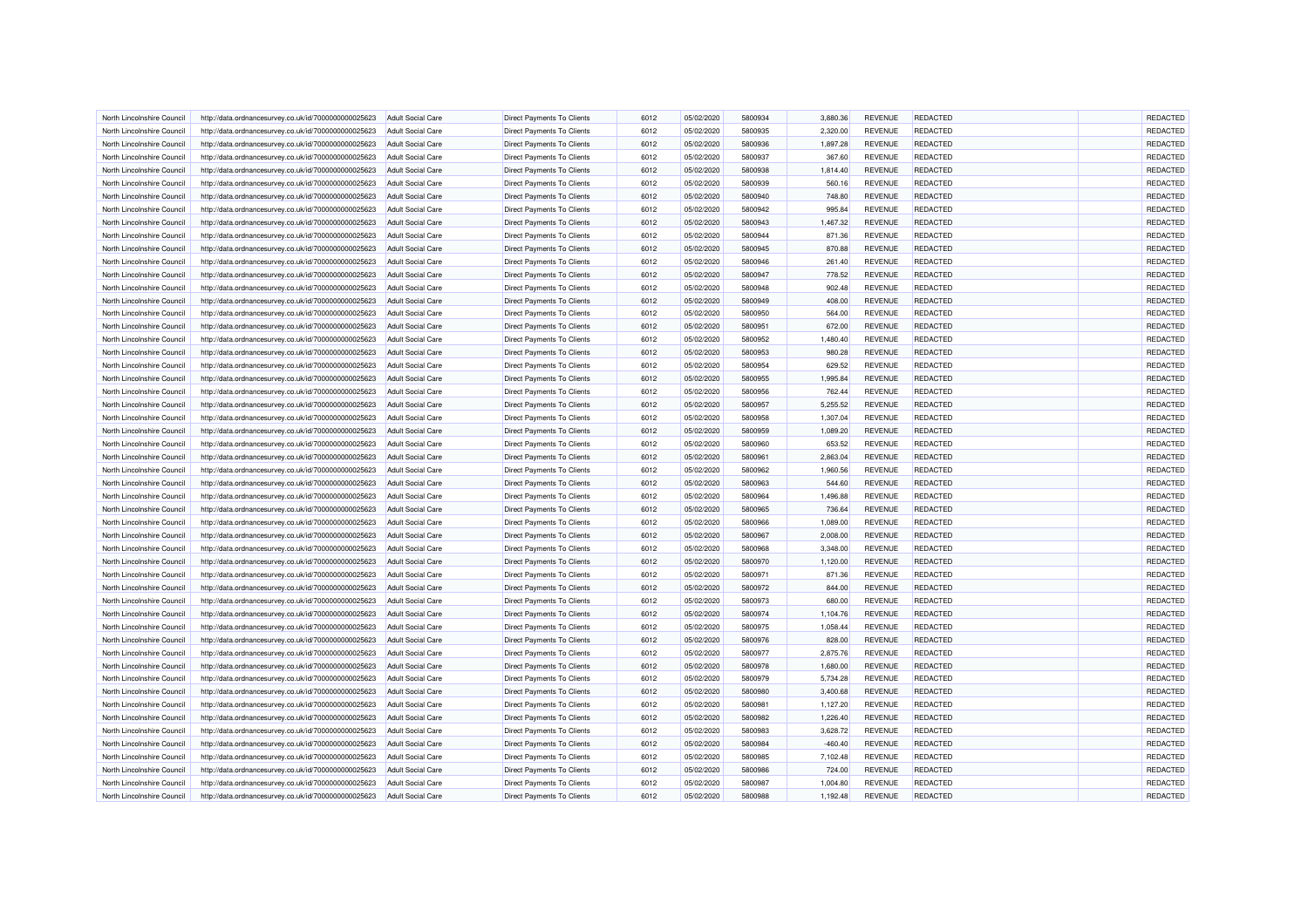| North Lincolnshire Council | http://data.ordnancesurvey.co.uk/id/7000000000025623 | <b>Adult Social Care</b> | <b>Direct Payments To Clients</b> | 6012 | 05/02/2020 | 5800934 | 3.880.36  | <b>REVENUE</b> | REDACTED        | REDACTED |
|----------------------------|------------------------------------------------------|--------------------------|-----------------------------------|------|------------|---------|-----------|----------------|-----------------|----------|
| North Lincolnshire Council | http://data.ordnancesurvey.co.uk/id/7000000000025623 | Adult Social Care        | <b>Direct Payments To Clients</b> | 6012 | 05/02/2020 | 5800935 | 2,320.00  | <b>REVENUE</b> | <b>REDACTED</b> | REDACTED |
| North Lincolnshire Council | http://data.ordnancesurvey.co.uk/id/7000000000025623 | Adult Social Care        | Direct Payments To Clients        | 6012 | 05/02/2020 | 5800936 | 1,897.28  | <b>REVENUE</b> | <b>REDACTED</b> | REDACTED |
| North Lincolnshire Council | http://data.ordnancesurvey.co.uk/id/7000000000025623 | <b>Adult Social Care</b> | <b>Direct Payments To Clients</b> | 6012 | 05/02/2020 | 5800937 | 367.60    | <b>REVENUE</b> | REDACTED        | REDACTED |
| North Lincolnshire Council | http://data.ordnancesurvey.co.uk/id/7000000000025623 | <b>Adult Social Care</b> | Direct Payments To Clients        | 6012 | 05/02/2020 | 5800938 | 1,814.40  | <b>REVENUE</b> | <b>REDACTED</b> | REDACTED |
| North Lincolnshire Council | http://data.ordnancesurvey.co.uk/id/7000000000025623 | <b>Adult Social Care</b> | Direct Payments To Clients        | 6012 | 05/02/2020 | 5800939 | 560.16    | <b>REVENUE</b> | <b>REDACTED</b> | REDACTED |
|                            |                                                      |                          |                                   |      |            |         |           |                |                 |          |
| North Lincolnshire Council | http://data.ordnancesurvey.co.uk/id/7000000000025623 | <b>Adult Social Care</b> | <b>Direct Payments To Clients</b> | 6012 | 05/02/2020 | 5800940 | 748.80    | <b>REVENUE</b> | <b>REDACTED</b> | REDACTED |
| North Lincolnshire Council | http://data.ordnancesurvey.co.uk/id/7000000000025623 | Adult Social Care        | Direct Payments To Clients        | 6012 | 05/02/2020 | 5800942 | 995.84    | <b>REVENUE</b> | <b>REDACTED</b> | REDACTED |
| North Lincolnshire Council | http://data.ordnancesurvey.co.uk/id/7000000000025623 | <b>Adult Social Care</b> | <b>Direct Payments To Clients</b> | 6012 | 05/02/2020 | 5800943 | 1.467.32  | <b>REVENUE</b> | REDACTED        | REDACTED |
| North Lincolnshire Council | http://data.ordnancesurvey.co.uk/id/7000000000025623 | Adult Social Care        | <b>Direct Payments To Clients</b> | 6012 | 05/02/2020 | 5800944 | 871.36    | <b>REVENUE</b> | <b>REDACTED</b> | REDACTED |
| North Lincolnshire Council | http://data.ordnancesurvey.co.uk/id/7000000000025623 | Adult Social Care        | <b>Direct Payments To Clients</b> | 6012 | 05/02/2020 | 5800945 | 870.88    | <b>REVENUE</b> | <b>REDACTED</b> | REDACTED |
| North Lincolnshire Council | http://data.ordnancesurvey.co.uk/id/7000000000025623 | <b>Adult Social Care</b> | <b>Direct Payments To Clients</b> | 6012 | 05/02/2020 | 5800946 | 261.40    | <b>REVENUE</b> | REDACTED        | REDACTED |
| North Lincolnshire Council | http://data.ordnancesurvey.co.uk/id/7000000000025623 | <b>Adult Social Care</b> | Direct Payments To Clients        | 6012 | 05/02/2020 | 5800947 | 778.52    | <b>REVENUE</b> | <b>REDACTED</b> | REDACTED |
| North Lincolnshire Council | http://data.ordnancesurvey.co.uk/id/7000000000025623 | Adult Social Care        | <b>Direct Payments To Clients</b> | 6012 | 05/02/2020 | 5800948 | 902.48    | <b>REVENUE</b> | REDACTED        | REDACTED |
| North Lincolnshire Council | http://data.ordnancesurvey.co.uk/id/7000000000025623 | <b>Adult Social Care</b> | Direct Payments To Clients        | 6012 | 05/02/2020 | 5800949 | 408.00    | <b>REVENUE</b> | <b>REDACTED</b> | REDACTED |
| North Lincolnshire Council | http://data.ordnancesurvey.co.uk/id/7000000000025623 | <b>Adult Social Care</b> | Direct Payments To Clients        | 6012 | 05/02/2020 | 5800950 | 564.00    | <b>REVENUE</b> | <b>REDACTED</b> | REDACTED |
| North Lincolnshire Council | http://data.ordnancesurvey.co.uk/id/7000000000025623 | <b>Adult Social Care</b> | Direct Payments To Clients        | 6012 | 05/02/2020 | 5800951 | 672.00    | <b>REVENUE</b> | <b>REDACTED</b> | REDACTED |
| North Lincolnshire Council | http://data.ordnancesurvey.co.uk/id/7000000000025623 | <b>Adult Social Care</b> | <b>Direct Payments To Clients</b> | 6012 | 05/02/2020 | 5800952 | 1,480.40  | <b>REVENUE</b> | <b>REDACTED</b> | REDACTED |
| North Lincolnshire Council | http://data.ordnancesurvey.co.uk/id/7000000000025623 | <b>Adult Social Care</b> | <b>Direct Payments To Clients</b> | 6012 | 05/02/2020 | 5800953 | 980.28    | <b>REVENUE</b> | <b>REDACTED</b> | REDACTED |
| North Lincolnshire Council | http://data.ordnancesurvey.co.uk/id/7000000000025623 | <b>Adult Social Care</b> | <b>Direct Payments To Clients</b> | 6012 | 05/02/2020 | 5800954 | 629.52    | <b>REVENUE</b> | REDACTED        | REDACTED |
| North Lincolnshire Council | http://data.ordnancesurvey.co.uk/id/7000000000025623 | <b>Adult Social Care</b> | <b>Direct Payments To Clients</b> | 6012 | 05/02/2020 | 5800955 | 1,995.84  | <b>REVENUE</b> | <b>REDACTED</b> | REDACTED |
| North Lincolnshire Council | http://data.ordnancesurvey.co.uk/id/7000000000025623 | Adult Social Care        | <b>Direct Payments To Clients</b> | 6012 | 05/02/2020 | 5800956 | 762.44    | <b>REVENUE</b> | <b>REDACTED</b> | REDACTED |
| North Lincolnshire Council | http://data.ordnancesurvey.co.uk/id/7000000000025623 | <b>Adult Social Care</b> | <b>Direct Payments To Clients</b> | 6012 | 05/02/2020 | 5800957 | 5,255.52  | <b>REVENUE</b> | <b>REDACTED</b> | REDACTED |
| North Lincolnshire Council | http://data.ordnancesurvey.co.uk/id/7000000000025623 | <b>Adult Social Care</b> | Direct Payments To Clients        | 6012 | 05/02/2020 | 5800958 | 1,307.04  | <b>REVENUE</b> | REDACTED        | REDACTED |
| North Lincolnshire Council | http://data.ordnancesurvey.co.uk/id/7000000000025623 | <b>Adult Social Care</b> | Direct Payments To Clients        | 6012 | 05/02/2020 | 5800959 | 1,089.20  | <b>REVENUE</b> | REDACTED        | REDACTED |
|                            |                                                      |                          |                                   |      |            |         |           |                |                 | REDACTED |
| North Lincolnshire Council | http://data.ordnancesurvey.co.uk/id/7000000000025623 | <b>Adult Social Care</b> | <b>Direct Payments To Clients</b> | 6012 | 05/02/2020 | 5800960 | 653.52    | <b>REVENUE</b> | <b>REDACTED</b> |          |
| North Lincolnshire Council | http://data.ordnancesurvey.co.uk/id/7000000000025623 | Adult Social Care        | <b>Direct Payments To Clients</b> | 6012 | 05/02/2020 | 580096  | 2,863.04  | <b>REVENUE</b> | <b>REDACTED</b> | REDACTED |
| North Lincolnshire Council | http://data.ordnancesurvey.co.uk/id/7000000000025623 | <b>Adult Social Care</b> | <b>Direct Payments To Clients</b> | 6012 | 05/02/2020 | 5800962 | 1,960.56  | <b>REVENUE</b> | REDACTED        | REDACTED |
| North Lincolnshire Council | http://data.ordnancesurvey.co.uk/id/7000000000025623 | <b>Adult Social Care</b> | <b>Direct Payments To Clients</b> | 6012 | 05/02/2020 | 5800963 | 544.60    | <b>REVENUE</b> | <b>REDACTED</b> | REDACTED |
| North Lincolnshire Council | http://data.ordnancesurvey.co.uk/id/7000000000025623 | Adult Social Care        | Direct Payments To Clients        | 6012 | 05/02/2020 | 5800964 | 1.496.88  | <b>REVENUE</b> | REDACTED        | REDACTED |
| North Lincolnshire Council | http://data.ordnancesurvey.co.uk/id/7000000000025623 | <b>Adult Social Care</b> | <b>Direct Payments To Clients</b> | 6012 | 05/02/2020 | 5800965 | 736.64    | <b>REVENUE</b> | REDACTED        | REDACTED |
| North Lincolnshire Council | http://data.ordnancesurvey.co.uk/id/7000000000025623 | Adult Social Care        | Direct Payments To Clients        | 6012 | 05/02/2020 | 5800966 | 1,089.00  | <b>REVENUE</b> | <b>REDACTED</b> | REDACTED |
| North Lincolnshire Council | http://data.ordnancesurvey.co.uk/id/7000000000025623 | <b>Adult Social Care</b> | <b>Direct Payments To Clients</b> | 6012 | 05/02/2020 | 5800967 | 2,008.00  | <b>REVENUE</b> | <b>REDACTED</b> | REDACTED |
| North Lincolnshire Council | http://data.ordnancesurvey.co.uk/id/7000000000025623 | <b>Adult Social Care</b> | <b>Direct Payments To Clients</b> | 6012 | 05/02/2020 | 5800968 | 3,348.00  | <b>REVENUE</b> | <b>REDACTED</b> | REDACTED |
| North Lincolnshire Council | http://data.ordnancesurvey.co.uk/id/7000000000025623 | <b>Adult Social Care</b> | Direct Payments To Clients        | 6012 | 05/02/2020 | 5800970 | 1,120.00  | <b>REVENUE</b> | REDACTED        | REDACTED |
| North Lincolnshire Council | http://data.ordnancesurvey.co.uk/id/7000000000025623 | <b>Adult Social Care</b> | <b>Direct Payments To Clients</b> | 6012 | 05/02/2020 | 5800971 | 871.36    | <b>REVENUE</b> | REDACTED        | REDACTED |
| North Lincolnshire Council | http://data.ordnancesurvey.co.uk/id/7000000000025623 | <b>Adult Social Care</b> | <b>Direct Payments To Clients</b> | 6012 | 05/02/2020 | 5800972 | 844.00    | <b>REVENUE</b> | <b>REDACTED</b> | REDACTED |
| North Lincolnshire Council | http://data.ordnancesurvey.co.uk/id/7000000000025623 | Adult Social Care        | <b>Direct Payments To Clients</b> | 6012 | 05/02/2020 | 5800973 | 680.00    | <b>REVENUE</b> | <b>REDACTED</b> | REDACTED |
| North Lincolnshire Council | http://data.ordnancesurvey.co.uk/id/7000000000025623 | <b>Adult Social Care</b> | <b>Direct Payments To Clients</b> | 6012 | 05/02/2020 | 5800974 | 1,104.76  | <b>REVENUE</b> | REDACTED        | REDACTED |
| North Lincolnshire Council | http://data.ordnancesurvey.co.uk/id/7000000000025623 | <b>Adult Social Care</b> | Direct Payments To Clients        | 6012 | 05/02/2020 | 5800975 | 1,058.44  | <b>REVENUE</b> | <b>REDACTED</b> | REDACTED |
| North Lincolnshire Council | http://data.ordnancesurvey.co.uk/id/7000000000025623 | <b>Adult Social Care</b> | <b>Direct Payments To Clients</b> | 6012 | 05/02/2020 | 5800976 | 828.00    | <b>REVENUE</b> | REDACTED        | REDACTED |
| North Lincolnshire Council | http://data.ordnancesurvey.co.uk/id/7000000000025623 | <b>Adult Social Care</b> | Direct Payments To Clients        | 6012 | 05/02/2020 | 5800977 | 2,875.76  | <b>REVENUE</b> | <b>REDACTED</b> | REDACTED |
| North Lincolnshire Council | http://data.ordnancesurvey.co.uk/id/7000000000025623 | <b>Adult Social Care</b> | Direct Payments To Clients        | 6012 | 05/02/2020 | 5800978 | 1,680.00  | <b>REVENUE</b> | <b>REDACTED</b> | REDACTED |
| North Lincolnshire Council | http://data.ordnancesurvey.co.uk/id/7000000000025623 | <b>Adult Social Care</b> | <b>Direct Payments To Clients</b> | 6012 | 05/02/2020 | 5800979 | 5,734.28  | <b>REVENUE</b> | REDACTED        | REDACTED |
| North Lincolnshire Council | http://data.ordnancesurvey.co.uk/id/7000000000025623 | <b>Adult Social Care</b> | <b>Direct Payments To Clients</b> | 6012 | 05/02/2020 | 5800980 | 3,400.68  | <b>REVENUE</b> | <b>REDACTED</b> | REDACTED |
| North Lincolnshire Council | http://data.ordnancesurvey.co.uk/id/7000000000025623 | Adult Social Care        | <b>Direct Payments To Clients</b> | 6012 | 05/02/2020 | 580098  | 1,127.20  | <b>REVENUE</b> | REDACTED        | REDACTED |
| North Lincolnshire Council | http://data.ordnancesurvey.co.uk/id/7000000000025623 | <b>Adult Social Care</b> | <b>Direct Payments To Clients</b> | 6012 | 05/02/2020 | 5800982 | 1,226.40  | <b>REVENUE</b> | REDACTED        | REDACTED |
| North Lincolnshire Council | http://data.ordnancesurvey.co.uk/id/7000000000025623 | <b>Adult Social Care</b> | Direct Payments To Clients        | 6012 | 05/02/2020 | 5800983 | 3,628.72  | <b>REVENUE</b> | <b>REDACTED</b> | REDACTED |
|                            |                                                      |                          |                                   |      |            |         |           |                |                 |          |
| North Lincolnshire Council | http://data.ordnancesurvey.co.uk/id/7000000000025623 | <b>Adult Social Care</b> | <b>Direct Payments To Clients</b> | 6012 | 05/02/2020 | 5800984 | $-460.40$ | <b>REVENUE</b> | <b>REDACTED</b> | REDACTED |
| North Lincolnshire Council | http://data.ordnancesurvey.co.uk/id/7000000000025623 | <b>Adult Social Care</b> | <b>Direct Payments To Clients</b> | 6012 | 05/02/2020 | 5800985 | 7,102.48  | <b>REVENUE</b> | <b>REDACTED</b> | REDACTED |
| North Lincolnshire Council | http://data.ordnancesurvey.co.uk/id/7000000000025623 | <b>Adult Social Care</b> | <b>Direct Payments To Clients</b> | 6012 | 05/02/2020 | 5800986 | 724.00    | <b>REVENUE</b> | REDACTED        | REDACTED |
| North Lincolnshire Council | http://data.ordnancesurvey.co.uk/id/7000000000025623 | <b>Adult Social Care</b> | <b>Direct Payments To Clients</b> | 6012 | 05/02/2020 | 5800987 | 1,004.80  | <b>REVENUE</b> | REDACTED        | REDACTED |
| North Lincolnshire Council | http://data.ordnancesurvey.co.uk/id/7000000000025623 | <b>Adult Social Care</b> | Direct Payments To Clients        | 6012 | 05/02/2020 | 5800988 | 1,192.48  | <b>REVENUE</b> | REDACTED        | REDACTED |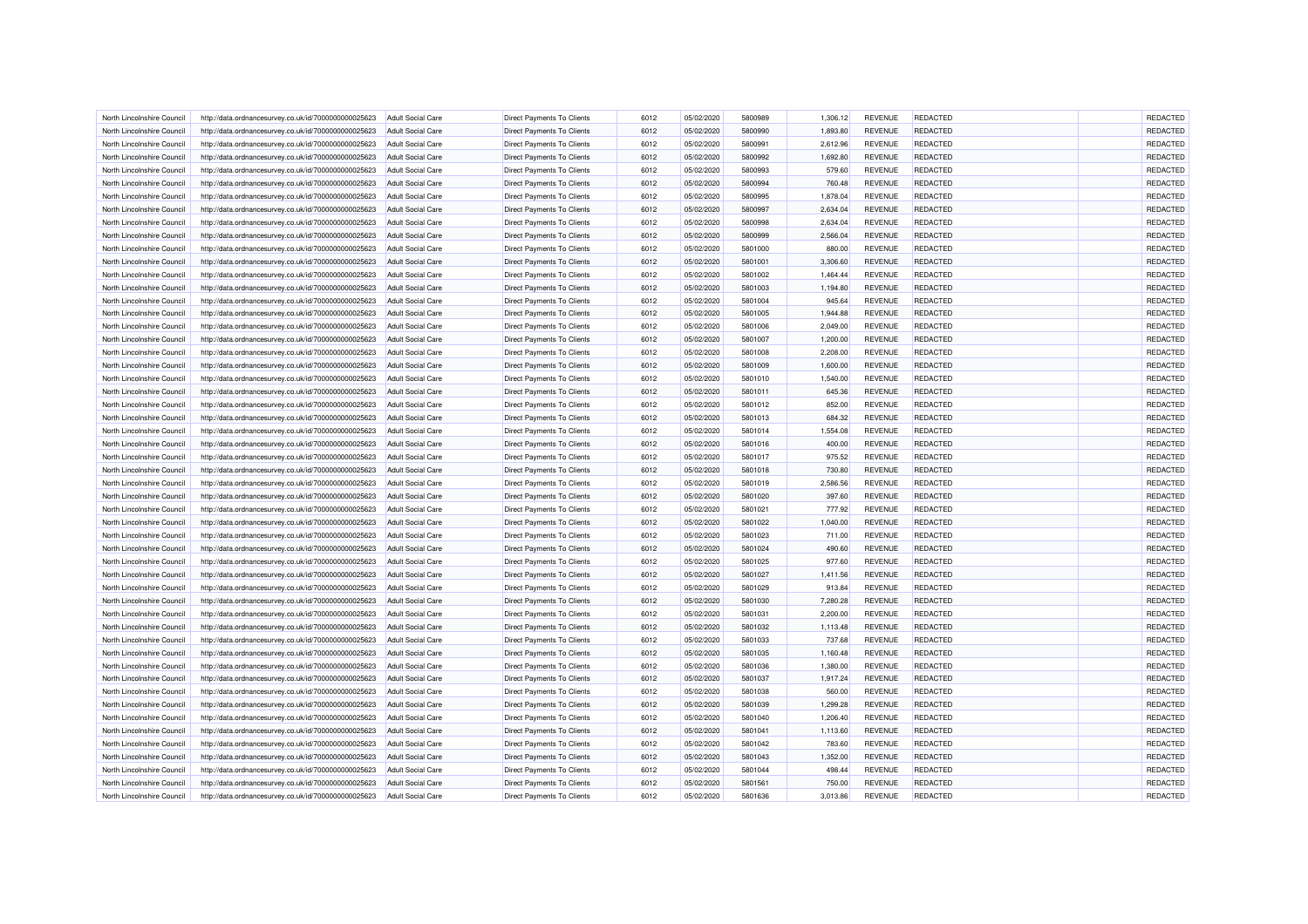| North Lincolnshire Council | http://data.ordnancesurvey.co.uk/id/7000000000025623 | Adult Social Care        | <b>Direct Payments To Clients</b> | 6012         | 05/02/2020 | 5800989            | 1,306.12 | <b>REVENUE</b>                   | <b>REDACTED</b> | REDACTED |
|----------------------------|------------------------------------------------------|--------------------------|-----------------------------------|--------------|------------|--------------------|----------|----------------------------------|-----------------|----------|
| North Lincolnshire Council | http://data.ordnancesurvey.co.uk/id/7000000000025623 | <b>Adult Social Care</b> | <b>Direct Payments To Clients</b> | 6012         | 05/02/2020 | 5800990            | 1,893.80 | <b>REVENUE</b>                   | <b>REDACTED</b> | REDACTED |
| North Lincolnshire Council | http://data.ordnancesurvey.co.uk/id/7000000000025623 | Adult Social Care        | Direct Payments To Clients        | 6012         | 05/02/2020 | 5800991            | 2,612.96 | <b>REVENUE</b>                   | <b>REDACTED</b> | REDACTED |
| North Lincolnshire Council | http://data.ordnancesurvey.co.uk/id/7000000000025623 | <b>Adult Social Care</b> | <b>Direct Payments To Clients</b> | 6012         | 05/02/2020 | 5800992            | 1,692.80 | <b>REVENUE</b>                   | REDACTED        | REDACTED |
| North Lincolnshire Council | http://data.ordnancesurvey.co.uk/id/7000000000025623 | <b>Adult Social Care</b> | Direct Payments To Clients        | 6012         | 05/02/2020 | 5800993            | 579.60   | <b>REVENUE</b>                   | <b>REDACTED</b> | REDACTED |
| North Lincolnshire Council | http://data.ordnancesurvey.co.uk/id/7000000000025623 | <b>Adult Social Care</b> | Direct Payments To Clients        | 6012         | 05/02/2020 | 5800994            | 760.48   | <b>REVENUE</b>                   | <b>REDACTED</b> | REDACTED |
|                            |                                                      |                          |                                   |              |            |                    |          |                                  |                 |          |
| North Lincolnshire Council | http://data.ordnancesurvey.co.uk/id/7000000000025623 | <b>Adult Social Care</b> | Direct Payments To Clients        | 6012         | 05/02/2020 | 5800995            | 1,878.04 | <b>REVENUE</b>                   | <b>REDACTED</b> | REDACTED |
| North Lincolnshire Council | http://data.ordnancesurvey.co.uk/id/7000000000025623 | <b>Adult Social Care</b> | Direct Payments To Clients        | 6012         | 05/02/2020 | 5800997            | 2,634.04 | <b>REVENUE</b>                   | <b>REDACTED</b> | REDACTED |
| North Lincolnshire Council | http://data.ordnancesurvey.co.uk/id/7000000000025623 | <b>Adult Social Care</b> | <b>Direct Payments To Clients</b> | 6012         | 05/02/2020 | 5800998            | 2.634.04 | <b>REVENUE</b>                   | REDACTED        | REDACTED |
| North Lincolnshire Council | http://data.ordnancesurvey.co.uk/id/7000000000025623 | <b>Adult Social Care</b> | <b>Direct Payments To Clients</b> | 6012         | 05/02/2020 | 5800999            | 2,566.04 | <b>REVENUE</b>                   | <b>REDACTED</b> | REDACTED |
| North Lincolnshire Council | http://data.ordnancesurvey.co.uk/id/7000000000025623 | Adult Social Care        | <b>Direct Payments To Clients</b> | 6012         | 05/02/2020 | 5801000            | 880.00   | <b>REVENUE</b>                   | <b>REDACTED</b> | REDACTED |
| North Lincolnshire Council | http://data.ordnancesurvey.co.uk/id/7000000000025623 | <b>Adult Social Care</b> | <b>Direct Payments To Clients</b> | 6012         | 05/02/2020 | 5801001            | 3,306.60 | <b>REVENUE</b>                   | REDACTED        | REDACTED |
| North Lincolnshire Council | http://data.ordnancesurvey.co.uk/id/7000000000025623 | <b>Adult Social Care</b> | Direct Payments To Clients        | 6012         | 05/02/2020 | 5801002            | 1,464.44 | <b>REVENUE</b>                   | <b>REDACTED</b> | REDACTED |
| North Lincolnshire Council | http://data.ordnancesurvey.co.uk/id/7000000000025623 | <b>Adult Social Care</b> | <b>Direct Payments To Clients</b> | 6012         | 05/02/2020 | 5801003            | 1,194.80 | <b>REVENUE</b>                   | <b>REDACTED</b> | REDACTED |
| North Lincolnshire Council | http://data.ordnancesurvey.co.uk/id/7000000000025623 | <b>Adult Social Care</b> | Direct Payments To Clients        | 6012         | 05/02/2020 | 5801004            | 945.64   | <b>REVENUE</b>                   | <b>REDACTED</b> | REDACTED |
| North Lincolnshire Council | http://data.ordnancesurvey.co.uk/id/7000000000025623 | <b>Adult Social Care</b> | Direct Payments To Clients        | 6012         | 05/02/2020 | 5801005            | 1,944.88 | <b>REVENUE</b>                   | <b>REDACTED</b> | REDACTED |
| North Lincolnshire Council | http://data.ordnancesurvey.co.uk/id/7000000000025623 | <b>Adult Social Care</b> | Direct Payments To Clients        | 6012         | 05/02/2020 | 5801006            | 2,049.00 | <b>REVENUE</b>                   | REDACTED        | REDACTED |
| North Lincolnshire Council | http://data.ordnancesurvey.co.uk/id/7000000000025623 | <b>Adult Social Care</b> | <b>Direct Payments To Clients</b> | 6012         | 05/02/2020 | 5801007            | 1,200.00 | <b>REVENUE</b>                   | <b>REDACTED</b> | REDACTED |
| North Lincolnshire Council | http://data.ordnancesurvey.co.uk/id/7000000000025623 | <b>Adult Social Care</b> | <b>Direct Payments To Clients</b> | 6012         | 05/02/2020 | 5801008            | 2,208.00 | <b>REVENUE</b>                   | REDACTED        | REDACTED |
| North Lincolnshire Council | http://data.ordnancesurvey.co.uk/id/7000000000025623 | <b>Adult Social Care</b> | <b>Direct Payments To Clients</b> | 6012         | 05/02/2020 | 5801009            | 1,600.00 | <b>REVENUE</b>                   | REDACTED        | REDACTED |
| North Lincolnshire Council | http://data.ordnancesurvey.co.uk/id/7000000000025623 | <b>Adult Social Care</b> | Direct Payments To Clients        | 6012         | 05/02/2020 | 5801010            | 1,540.00 | <b>REVENUE</b>                   | <b>REDACTED</b> | REDACTED |
| North Lincolnshire Council | http://data.ordnancesurvey.co.uk/id/7000000000025623 | Adult Social Care        | <b>Direct Payments To Clients</b> | 6012         | 05/02/2020 | 5801011            | 645.36   | <b>REVENUE</b>                   | <b>REDACTED</b> | REDACTED |
| North Lincolnshire Council | http://data.ordnancesurvey.co.uk/id/7000000000025623 | <b>Adult Social Care</b> | Direct Payments To Clients        | 6012         | 05/02/2020 | 5801012            | 852.00   | <b>REVENUE</b>                   | <b>REDACTED</b> | REDACTED |
| North Lincolnshire Council | http://data.ordnancesurvey.co.uk/id/7000000000025623 | <b>Adult Social Care</b> | Direct Payments To Clients        | 6012         | 05/02/2020 | 5801013            | 684.32   | <b>REVENUE</b>                   | REDACTED        | REDACTED |
| North Lincolnshire Council | http://data.ordnancesurvey.co.uk/id/7000000000025623 | <b>Adult Social Care</b> | Direct Payments To Clients        | 6012         | 05/02/2020 | 5801014            | 1,554.08 | <b>REVENUE</b>                   | REDACTED        | REDACTED |
|                            |                                                      |                          |                                   |              |            |                    |          |                                  |                 | REDACTED |
| North Lincolnshire Council | http://data.ordnancesurvey.co.uk/id/7000000000025623 | <b>Adult Social Care</b> | <b>Direct Payments To Clients</b> | 6012<br>6012 | 05/02/2020 | 5801016<br>5801017 | 400.00   | <b>REVENUE</b><br><b>REVENUE</b> | <b>REDACTED</b> | REDACTED |
| North Lincolnshire Council | http://data.ordnancesurvey.co.uk/id/7000000000025623 | <b>Adult Social Care</b> | <b>Direct Payments To Clients</b> |              | 05/02/2020 |                    | 975.52   |                                  | <b>REDACTED</b> |          |
| North Lincolnshire Council | http://data.ordnancesurvey.co.uk/id/7000000000025623 | <b>Adult Social Care</b> | <b>Direct Payments To Clients</b> | 6012         | 05/02/2020 | 5801018            | 730.80   | <b>REVENUE</b>                   | REDACTED        | REDACTED |
| North Lincolnshire Council | http://data.ordnancesurvey.co.uk/id/7000000000025623 | <b>Adult Social Care</b> | <b>Direct Payments To Clients</b> | 6012         | 05/02/2020 | 5801019            | 2,586.56 | <b>REVENUE</b>                   | <b>REDACTED</b> | REDACTED |
| North Lincolnshire Council | http://data.ordnancesurvey.co.uk/id/7000000000025623 | Adult Social Care        | Direct Payments To Clients        | 6012         | 05/02/2020 | 5801020            | 397.60   | <b>REVENUE</b>                   | <b>REDACTED</b> | REDACTED |
| North Lincolnshire Council | http://data.ordnancesurvey.co.uk/id/7000000000025623 | <b>Adult Social Care</b> | <b>Direct Payments To Clients</b> | 6012         | 05/02/2020 | 5801021            | 777.92   | <b>REVENUE</b>                   | REDACTED        | REDACTED |
| North Lincolnshire Council | http://data.ordnancesurvey.co.uk/id/7000000000025623 | <b>Adult Social Care</b> | Direct Payments To Clients        | 6012         | 05/02/2020 | 5801022            | 1,040.00 | <b>REVENUE</b>                   | <b>REDACTED</b> | REDACTED |
| North Lincolnshire Council | http://data.ordnancesurvey.co.uk/id/7000000000025623 | <b>Adult Social Care</b> | <b>Direct Payments To Clients</b> | 6012         | 05/02/2020 | 5801023            | 711.00   | <b>REVENUE</b>                   | <b>REDACTED</b> | REDACTED |
| North Lincolnshire Council | http://data.ordnancesurvey.co.uk/id/7000000000025623 | <b>Adult Social Care</b> | <b>Direct Payments To Clients</b> | 6012         | 05/02/2020 | 5801024            | 490.60   | <b>REVENUE</b>                   | <b>REDACTED</b> | REDACTED |
| North Lincolnshire Council | http://data.ordnancesurvey.co.uk/id/7000000000025623 | <b>Adult Social Care</b> | Direct Payments To Clients        | 6012         | 05/02/2020 | 5801025            | 977.60   | <b>REVENUE</b>                   | REDACTED        | REDACTED |
| North Lincolnshire Council | http://data.ordnancesurvey.co.uk/id/7000000000025623 | <b>Adult Social Care</b> | <b>Direct Payments To Clients</b> | 6012         | 05/02/2020 | 5801027            | 1.411.56 | <b>REVENUE</b>                   | <b>REDACTED</b> | REDACTED |
| North Lincolnshire Council | http://data.ordnancesurvey.co.uk/id/7000000000025623 | <b>Adult Social Care</b> | <b>Direct Payments To Clients</b> | 6012         | 05/02/2020 | 5801029            | 913.84   | <b>REVENUE</b>                   | REDACTED        | REDACTED |
| North Lincolnshire Council | http://data.ordnancesurvey.co.uk/id/7000000000025623 | Adult Social Care        | <b>Direct Payments To Clients</b> | 6012         | 05/02/2020 | 5801030            | 7.280.28 | <b>REVENUE</b>                   | <b>REDACTED</b> | REDACTED |
| North Lincolnshire Council | http://data.ordnancesurvey.co.uk/id/7000000000025623 | <b>Adult Social Care</b> | <b>Direct Payments To Clients</b> | 6012         | 05/02/2020 | 580103             | 2,200.00 | <b>REVENUE</b>                   | REDACTED        | REDACTED |
| North Lincolnshire Council | http://data.ordnancesurvey.co.uk/id/7000000000025623 | <b>Adult Social Care</b> | Direct Payments To Clients        | 6012         | 05/02/2020 | 5801032            | 1,113.48 | <b>REVENUE</b>                   | <b>REDACTED</b> | REDACTED |
| North Lincolnshire Council | http://data.ordnancesurvey.co.uk/id/7000000000025623 | <b>Adult Social Care</b> | <b>Direct Payments To Clients</b> | 6012         | 05/02/2020 | 5801033            | 737.68   | <b>REVENUE</b>                   | REDACTED        | REDACTED |
| North Lincolnshire Council | http://data.ordnancesurvey.co.uk/id/7000000000025623 | <b>Adult Social Care</b> | Direct Payments To Clients        | 6012         | 05/02/2020 | 5801035            | 1,160.48 | <b>REVENUE</b>                   | <b>REDACTED</b> | REDACTED |
| North Lincolnshire Council | http://data.ordnancesurvey.co.uk/id/7000000000025623 | <b>Adult Social Care</b> | Direct Payments To Clients        | 6012         | 05/02/2020 | 5801036            | 1,380.00 | <b>REVENUE</b>                   | <b>REDACTED</b> | REDACTED |
| North Lincolnshire Council | http://data.ordnancesurvey.co.uk/id/7000000000025623 | <b>Adult Social Care</b> | <b>Direct Payments To Clients</b> | 6012         | 05/02/2020 | 5801037            | 1,917.24 | <b>REVENUE</b>                   | <b>REDACTED</b> | REDACTED |
| North Lincolnshire Council | http://data.ordnancesurvey.co.uk/id/7000000000025623 | <b>Adult Social Care</b> | <b>Direct Payments To Clients</b> | 6012         | 05/02/2020 | 5801038            | 560.00   | <b>REVENUE</b>                   | <b>REDACTED</b> | REDACTED |
| North Lincolnshire Council | http://data.ordnancesurvey.co.uk/id/7000000000025623 | Adult Social Care        | <b>Direct Payments To Clients</b> | 6012         | 05/02/2020 | 5801039            | 1,299.28 | <b>REVENUE</b>                   | <b>REDACTED</b> | REDACTED |
| North Lincolnshire Council | http://data.ordnancesurvey.co.uk/id/7000000000025623 | <b>Adult Social Care</b> | <b>Direct Payments To Clients</b> | 6012         | 05/02/2020 | 5801040            | 1,206.40 | <b>REVENUE</b>                   | REDACTED        | REDACTED |
| North Lincolnshire Council | http://data.ordnancesurvey.co.uk/id/7000000000025623 | <b>Adult Social Care</b> | Direct Payments To Clients        | 6012         | 05/02/2020 | 5801041            | 1,113.60 | <b>REVENUE</b>                   | <b>REDACTED</b> | REDACTED |
| North Lincolnshire Council |                                                      |                          |                                   | 6012         |            | 5801042            |          | <b>REVENUE</b>                   |                 | REDACTED |
|                            | http://data.ordnancesurvey.co.uk/id/7000000000025623 | <b>Adult Social Care</b> | Direct Payments To Clients        |              | 05/02/2020 |                    | 783.60   |                                  | <b>REDACTED</b> |          |
| North Lincolnshire Council | http://data.ordnancesurvey.co.uk/id/7000000000025623 | <b>Adult Social Care</b> | <b>Direct Payments To Clients</b> | 6012         | 05/02/2020 | 5801043            | 1,352.00 | <b>REVENUE</b>                   | <b>REDACTED</b> | REDACTED |
| North Lincolnshire Council | http://data.ordnancesurvey.co.uk/id/7000000000025623 | <b>Adult Social Care</b> | <b>Direct Payments To Clients</b> | 6012         | 05/02/2020 | 5801044            | 498.44   | <b>REVENUE</b>                   | REDACTED        | REDACTED |
| North Lincolnshire Council | http://data.ordnancesurvey.co.uk/id/7000000000025623 | <b>Adult Social Care</b> | Direct Payments To Clients        | 6012         | 05/02/2020 | 5801561            | 750.00   | <b>REVENUE</b>                   | REDACTED        | REDACTED |
| North Lincolnshire Council | http://data.ordnancesurvey.co.uk/id/7000000000025623 | <b>Adult Social Care</b> | Direct Payments To Clients        | 6012         | 05/02/2020 | 5801636            | 3,013.86 | <b>REVENUE</b>                   | REDACTED        | REDACTED |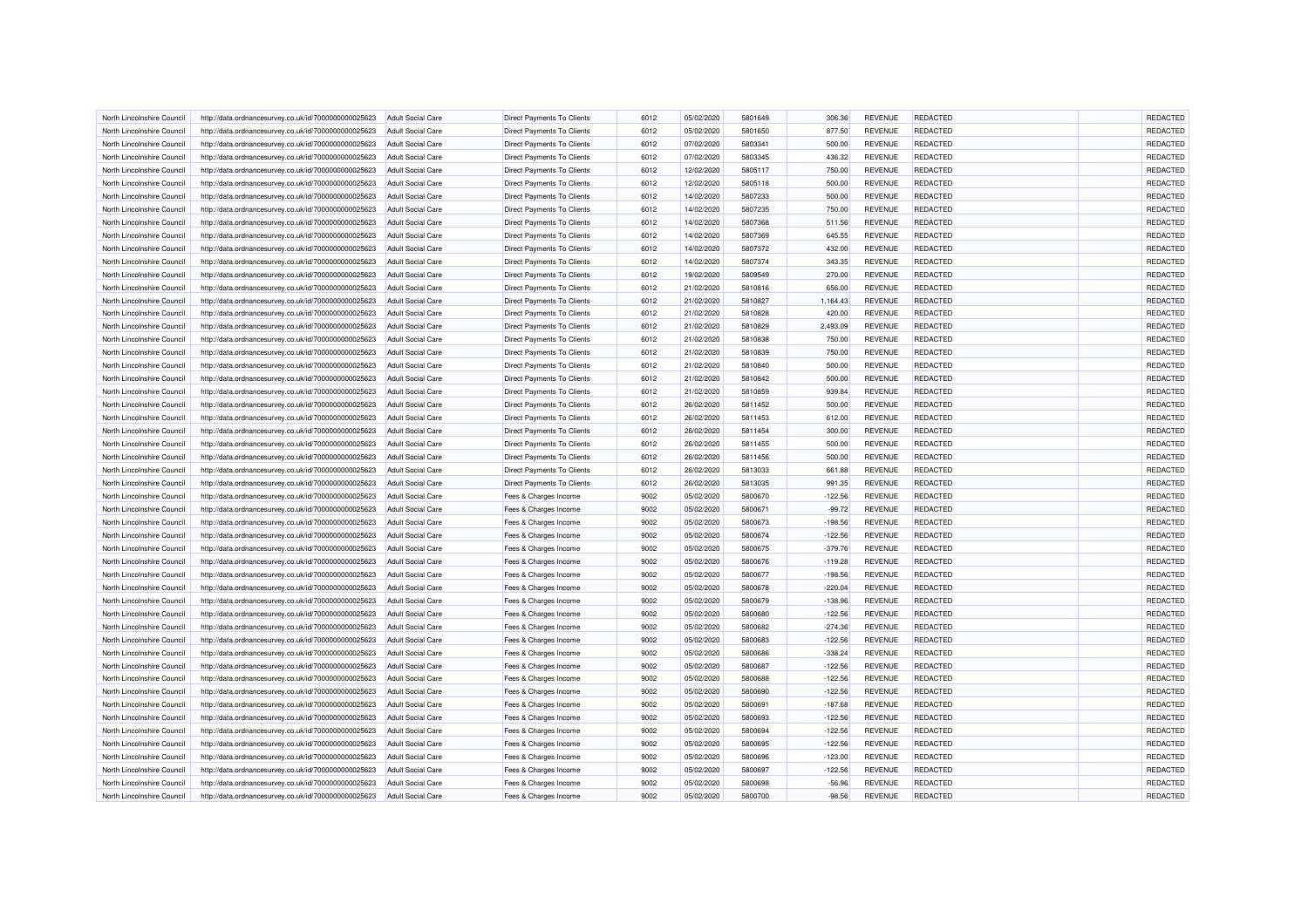| North Lincolnshire Council | http://data.ordnancesurvey.co.uk/id/7000000000025623 | <b>Adult Social Care</b>                      | <b>Direct Payments To Clients</b> | 6012         | 05/02/2020 | 5801649            | 306.36    | <b>REVENUE</b>                   | REDACTED        | <b>REDACTED</b> |
|----------------------------|------------------------------------------------------|-----------------------------------------------|-----------------------------------|--------------|------------|--------------------|-----------|----------------------------------|-----------------|-----------------|
| North Lincolnshire Council | http://data.ordnancesurvey.co.uk/id/7000000000025623 | Adult Social Care                             | <b>Direct Payments To Clients</b> | 6012         | 05/02/2020 | 5801650            | 877.50    | <b>REVENUE</b>                   | <b>REDACTED</b> | REDACTED        |
| North Lincolnshire Council | http://data.ordnancesurvey.co.uk/id/7000000000025623 | Adult Social Care                             | <b>Direct Payments To Clients</b> | 6012         | 07/02/2020 | 5803341            | 500.00    | <b>REVENUE</b>                   | <b>REDACTED</b> | REDACTED        |
| North Lincolnshire Council | http://data.ordnancesurvey.co.uk/id/7000000000025623 | <b>Adult Social Care</b>                      | <b>Direct Payments To Clients</b> | 6012         | 07/02/2020 | 5803345            | 436.32    | <b>REVENUE</b>                   | REDACTED        | REDACTED        |
| North Lincolnshire Council | http://data.ordnancesurvey.co.uk/id/7000000000025623 | <b>Adult Social Care</b>                      | Direct Payments To Clients        | 6012         | 12/02/2020 | 5805117            | 750.00    | <b>REVENUE</b>                   | <b>REDACTED</b> | REDACTED        |
| North Lincolnshire Council | http://data.ordnancesurvey.co.uk/id/7000000000025623 | <b>Adult Social Care</b>                      | <b>Direct Payments To Clients</b> | 6012         | 12/02/2020 | 5805118            | 500.00    | <b>REVENUE</b>                   | REDACTED        | REDACTED        |
|                            |                                                      |                                               |                                   |              |            |                    |           |                                  |                 |                 |
| North Lincolnshire Council | http://data.ordnancesurvey.co.uk/id/7000000000025623 | <b>Adult Social Care</b>                      | <b>Direct Payments To Clients</b> | 6012         | 14/02/2020 | 5807233            | 500.00    | <b>REVENUE</b>                   | <b>REDACTED</b> | REDACTED        |
| North Lincolnshire Council | http://data.ordnancesurvey.co.uk/id/7000000000025623 | <b>Adult Social Care</b>                      | Direct Payments To Clients        | 6012         | 14/02/2020 | 5807235            | 750.00    | <b>REVENUE</b>                   | <b>REDACTED</b> | REDACTED        |
| North Lincolnshire Council | http://data.ordnancesurvey.co.uk/id/7000000000025623 | <b>Adult Social Care</b>                      | <b>Direct Payments To Clients</b> | 6012         | 14/02/2020 | 5807368            | 511.56    | <b>REVENUE</b>                   | <b>REDACTED</b> | REDACTED        |
| North Lincolnshire Council | http://data.ordnancesurvey.co.uk/id/7000000000025623 | <b>Adult Social Care</b>                      | <b>Direct Payments To Clients</b> | 6012         | 14/02/2020 | 5807369            | 645.55    | <b>REVENUE</b>                   | <b>REDACTED</b> | REDACTED        |
| North Lincolnshire Council | http://data.ordnancesurvey.co.uk/id/7000000000025623 | Adult Social Care                             | <b>Direct Payments To Clients</b> | 6012         | 14/02/2020 | 5807372            | 432.00    | <b>REVENUE</b>                   | <b>REDACTED</b> | REDACTED        |
| North Lincolnshire Council | http://data.ordnancesurvey.co.uk/id/7000000000025623 | <b>Adult Social Care</b>                      | <b>Direct Payments To Clients</b> | 6012         | 14/02/2020 | 5807374            | 343.35    | <b>REVENUE</b>                   | REDACTED        | REDACTED        |
| North Lincolnshire Council | http://data.ordnancesurvey.co.uk/id/7000000000025623 | <b>Adult Social Care</b>                      | Direct Payments To Clients        | 6012         | 19/02/2020 | 5809549            | 270.00    | <b>REVENUE</b>                   | <b>REDACTED</b> | REDACTED        |
| North Lincolnshire Council | http://data.ordnancesurvey.co.uk/id/7000000000025623 | Adult Social Care                             | <b>Direct Payments To Clients</b> | 6012         | 21/02/2020 | 5810816            | 656.00    | <b>REVENUE</b>                   | REDACTED        | REDACTED        |
| North Lincolnshire Council | http://data.ordnancesurvey.co.uk/id/7000000000025623 | <b>Adult Social Care</b>                      | Direct Payments To Clients        | 6012         | 21/02/2020 | 5810827            | 1,164.43  | <b>REVENUE</b>                   | <b>REDACTED</b> | REDACTED        |
| North Lincolnshire Council | http://data.ordnancesurvey.co.uk/id/7000000000025623 | <b>Adult Social Care</b>                      | Direct Payments To Clients        | 6012         | 21/02/2020 | 5810828            | 420.00    | <b>REVENUE</b>                   | <b>REDACTED</b> | REDACTED        |
| North Lincolnshire Council | http://data.ordnancesurvey.co.uk/id/7000000000025623 | <b>Adult Social Care</b>                      | <b>Direct Payments To Clients</b> | 6012         | 21/02/2020 | 5810829            | 2,493.09  | <b>REVENUE</b>                   | <b>REDACTED</b> | REDACTED        |
| North Lincolnshire Council | http://data.ordnancesurvey.co.uk/id/7000000000025623 | <b>Adult Social Care</b>                      | <b>Direct Payments To Clients</b> | 6012         | 21/02/2020 | 5810838            | 750.00    | <b>REVENUE</b>                   | <b>REDACTED</b> | REDACTED        |
| North Lincolnshire Council | http://data.ordnancesurvey.co.uk/id/7000000000025623 | <b>Adult Social Care</b>                      | <b>Direct Payments To Clients</b> | 6012         | 21/02/2020 | 5810839            | 750.00    | <b>REVENUE</b>                   | <b>REDACTED</b> | REDACTED        |
| North Lincolnshire Council | http://data.ordnancesurvey.co.uk/id/7000000000025623 | <b>Adult Social Care</b>                      | <b>Direct Payments To Clients</b> | 6012         | 21/02/2020 | 5810840            | 500.00    | <b>REVENUE</b>                   | REDACTED        | REDACTED        |
| North Lincolnshire Council | http://data.ordnancesurvey.co.uk/id/7000000000025623 | <b>Adult Social Care</b>                      | <b>Direct Payments To Clients</b> | 6012         | 21/02/2020 | 5810842            | 500.00    | <b>REVENUE</b>                   | <b>REDACTED</b> | REDACTED        |
| North Lincolnshire Council | http://data.ordnancesurvey.co.uk/id/7000000000025623 | Adult Social Care                             | <b>Direct Payments To Clients</b> | 6012         | 21/02/2020 | 5810859            | 939.84    | <b>REVENUE</b>                   | <b>REDACTED</b> | REDACTED        |
| North Lincolnshire Council | http://data.ordnancesurvey.co.uk/id/7000000000025623 | <b>Adult Social Care</b>                      | <b>Direct Payments To Clients</b> | 6012         | 26/02/2020 | 5811452            | 500.00    | <b>REVENUE</b>                   | <b>REDACTED</b> | REDACTED        |
| North Lincolnshire Council | http://data.ordnancesurvey.co.uk/id/7000000000025623 | <b>Adult Social Care</b>                      | Direct Payments To Clients        | 6012         | 26/02/2020 | 5811453            | 612.00    | <b>REVENUE</b>                   | REDACTED        | REDACTED        |
| North Lincolnshire Council | http://data.ordnancesurvey.co.uk/id/7000000000025623 | <b>Adult Social Care</b>                      | Direct Payments To Clients        | 6012         | 26/02/2020 | 5811454            | 300.00    | <b>REVENUE</b>                   | REDACTED        | REDACTED        |
|                            |                                                      |                                               |                                   |              |            |                    |           |                                  |                 | REDACTED        |
| North Lincolnshire Council | http://data.ordnancesurvey.co.uk/id/7000000000025623 | <b>Adult Social Care</b><br>Adult Social Care | <b>Direct Payments To Clients</b> | 6012<br>6012 | 26/02/2020 | 5811455<br>5811456 | 500.00    | <b>REVENUE</b><br><b>REVENUE</b> | <b>REDACTED</b> | REDACTED        |
| North Lincolnshire Council | http://data.ordnancesurvey.co.uk/id/7000000000025623 |                                               | <b>Direct Payments To Clients</b> |              | 26/02/2020 |                    | 500.00    |                                  | <b>REDACTED</b> |                 |
| North Lincolnshire Council | http://data.ordnancesurvey.co.uk/id/7000000000025623 | <b>Adult Social Care</b>                      | <b>Direct Payments To Clients</b> | 6012         | 26/02/2020 | 5813033            | 661.88    | <b>REVENUE</b>                   | REDACTED        | REDACTED        |
| North Lincolnshire Council | http://data.ordnancesurvey.co.uk/id/7000000000025623 | <b>Adult Social Care</b>                      | <b>Direct Payments To Clients</b> | 6012         | 26/02/2020 | 5813035            | 991.35    | <b>REVENUE</b>                   | <b>REDACTED</b> | REDACTED        |
| North Lincolnshire Council | http://data.ordnancesurvey.co.uk/id/7000000000025623 | Adult Social Care                             | Fees & Charges Income             | 9002         | 05/02/2020 | 5800670            | $-122.56$ | <b>REVENUE</b>                   | REDACTED        | REDACTED        |
| North Lincolnshire Council | http://data.ordnancesurvey.co.uk/id/7000000000025623 | <b>Adult Social Care</b>                      | Fees & Charges Income             | 9002         | 05/02/2020 | 5800671            | $-99.72$  | <b>REVENUE</b>                   | REDACTED        | REDACTED        |
| North Lincolnshire Council | http://data.ordnancesurvey.co.uk/id/7000000000025623 | <b>Adult Social Care</b>                      | Fees & Charges Income             | 9002         | 05/02/2020 | 5800673            | $-198.56$ | <b>REVENUE</b>                   | <b>REDACTED</b> | REDACTED        |
| North Lincolnshire Council | http://data.ordnancesurvey.co.uk/id/7000000000025623 | <b>Adult Social Care</b>                      | Fees & Charges Income             | 9002         | 05/02/2020 | 5800674            | $-122.56$ | <b>REVENUE</b>                   | <b>REDACTED</b> | REDACTED        |
| North Lincolnshire Council | http://data.ordnancesurvey.co.uk/id/7000000000025623 | <b>Adult Social Care</b>                      | Fees & Charges Income             | 9002         | 05/02/2020 | 5800675            | $-379.76$ | <b>REVENUE</b>                   | <b>REDACTED</b> | REDACTED        |
| North Lincolnshire Council | http://data.ordnancesurvey.co.uk/id/7000000000025623 | <b>Adult Social Care</b>                      | Fees & Charges Income             | 9002         | 05/02/2020 | 5800676            | $-119.28$ | <b>REVENUE</b>                   | <b>REDACTED</b> | REDACTED        |
| North Lincolnshire Council | http://data.ordnancesurvey.co.uk/id/7000000000025623 | Adult Social Care                             | Fees & Charges Income             | 9002         | 05/02/2020 | 5800677            | $-198.56$ | <b>REVENUE</b>                   | REDACTED        | REDACTED        |
| North Lincolnshire Council | http://data.ordnancesurvey.co.uk/id/7000000000025623 | <b>Adult Social Care</b>                      | Fees & Charges Income             | 9002         | 05/02/2020 | 5800678            | $-220.04$ | <b>REVENUE</b>                   | <b>REDACTED</b> | REDACTED        |
| North Lincolnshire Council | http://data.ordnancesurvey.co.uk/id/7000000000025623 | Adult Social Care                             | Fees & Charges Income             | 9002         | 05/02/2020 | 5800679            | $-138.96$ | <b>REVENUE</b>                   | <b>REDACTED</b> | REDACTED        |
| North Lincolnshire Council | http://data.ordnancesurvey.co.uk/id/7000000000025623 | <b>Adult Social Care</b>                      | Fees & Charges Income             | 9002         | 05/02/2020 | 5800680            | $-122.56$ | <b>REVENUE</b>                   | REDACTED        | REDACTED        |
| North Lincolnshire Council | http://data.ordnancesurvey.co.uk/id/7000000000025623 | <b>Adult Social Care</b>                      | Fees & Charges Income             | 9002         | 05/02/2020 | 5800682            | $-274.36$ | <b>REVENUE</b>                   | <b>REDACTED</b> | REDACTED        |
| North Lincolnshire Council | http://data.ordnancesurvey.co.uk/id/7000000000025623 | <b>Adult Social Care</b>                      | Fees & Charges Income             | 9002         | 05/02/2020 | 5800683            | $-122.56$ | <b>REVENUE</b>                   | REDACTED        | REDACTED        |
| North Lincolnshire Council | http://data.ordnancesurvey.co.uk/id/7000000000025623 | <b>Adult Social Care</b>                      | Fees & Charges Income             | 9002         | 05/02/2020 | 5800686            | $-338.24$ | <b>REVENUE</b>                   | <b>REDACTED</b> | REDACTED        |
| North Lincolnshire Council | http://data.ordnancesurvey.co.uk/id/7000000000025623 | <b>Adult Social Care</b>                      | Fees & Charges Income             | 9002         | 05/02/2020 | 5800687            | $-122.56$ | <b>REVENUE</b>                   | <b>REDACTED</b> | REDACTED        |
| North Lincolnshire Council | http://data.ordnancesurvey.co.uk/id/7000000000025623 | <b>Adult Social Care</b>                      | Fees & Charges Income             | 9002         | 05/02/2020 | 5800688            | $-122.56$ | <b>REVENUE</b>                   | REDACTED        | REDACTED        |
| North Lincolnshire Council | http://data.ordnancesurvey.co.uk/id/7000000000025623 | <b>Adult Social Care</b>                      | Fees & Charges Income             | 9002         | 05/02/2020 | 5800690            | $-122.56$ | <b>REVENUE</b>                   | <b>REDACTED</b> | REDACTED        |
| North Lincolnshire Council | http://data.ordnancesurvey.co.uk/id/7000000000025623 | Adult Social Care                             | Fees & Charges Income             | 9002         | 05/02/2020 | 580069             | $-187.68$ | <b>REVENUE</b>                   | REDACTED        | REDACTED        |
| North Lincolnshire Council | http://data.ordnancesurvey.co.uk/id/7000000000025623 | <b>Adult Social Care</b>                      | Fees & Charges Income             | 9002         | 05/02/2020 | 5800693            | $-122.56$ | <b>REVENUE</b>                   | <b>REDACTED</b> | REDACTED        |
| North Lincolnshire Council | http://data.ordnancesurvey.co.uk/id/7000000000025623 | <b>Adult Social Care</b>                      | Fees & Charges Income             | 9002         | 05/02/2020 | 5800694            | $-122.56$ | <b>REVENUE</b>                   | <b>REDACTED</b> | REDACTED        |
| North Lincolnshire Council |                                                      |                                               |                                   | 9002         |            | 5800695            |           | <b>REVENUE</b>                   |                 | REDACTED        |
|                            | http://data.ordnancesurvey.co.uk/id/7000000000025623 | <b>Adult Social Care</b>                      | Fees & Charges Income             |              | 05/02/2020 |                    | $-122.56$ |                                  | <b>REDACTED</b> |                 |
| North Lincolnshire Council | http://data.ordnancesurvey.co.uk/id/7000000000025623 | <b>Adult Social Care</b>                      | Fees & Charges Income             | 9002         | 05/02/2020 | 5800696            | $-123.00$ | <b>REVENUE</b>                   | <b>REDACTED</b> | REDACTED        |
| North Lincolnshire Council | http://data.ordnancesurvey.co.uk/id/7000000000025623 | <b>Adult Social Care</b>                      | Fees & Charges Income             | 9002         | 05/02/2020 | 5800697            | $-122.56$ | <b>REVENUE</b>                   | REDACTED        | REDACTED        |
| North Lincolnshire Council | http://data.ordnancesurvey.co.uk/id/7000000000025623 | <b>Adult Social Care</b>                      | Fees & Charges Income             | 9002         | 05/02/2020 | 5800698            | $-56.96$  | <b>REVENUE</b>                   | REDACTED        | REDACTED        |
| North Lincolnshire Council | http://data.ordnancesurvey.co.uk/id/7000000000025623 | <b>Adult Social Care</b>                      | Fees & Charges Income             | 9002         | 05/02/2020 | 5800700            | $-98.56$  | <b>REVENUE</b>                   | REDACTED        | REDACTED        |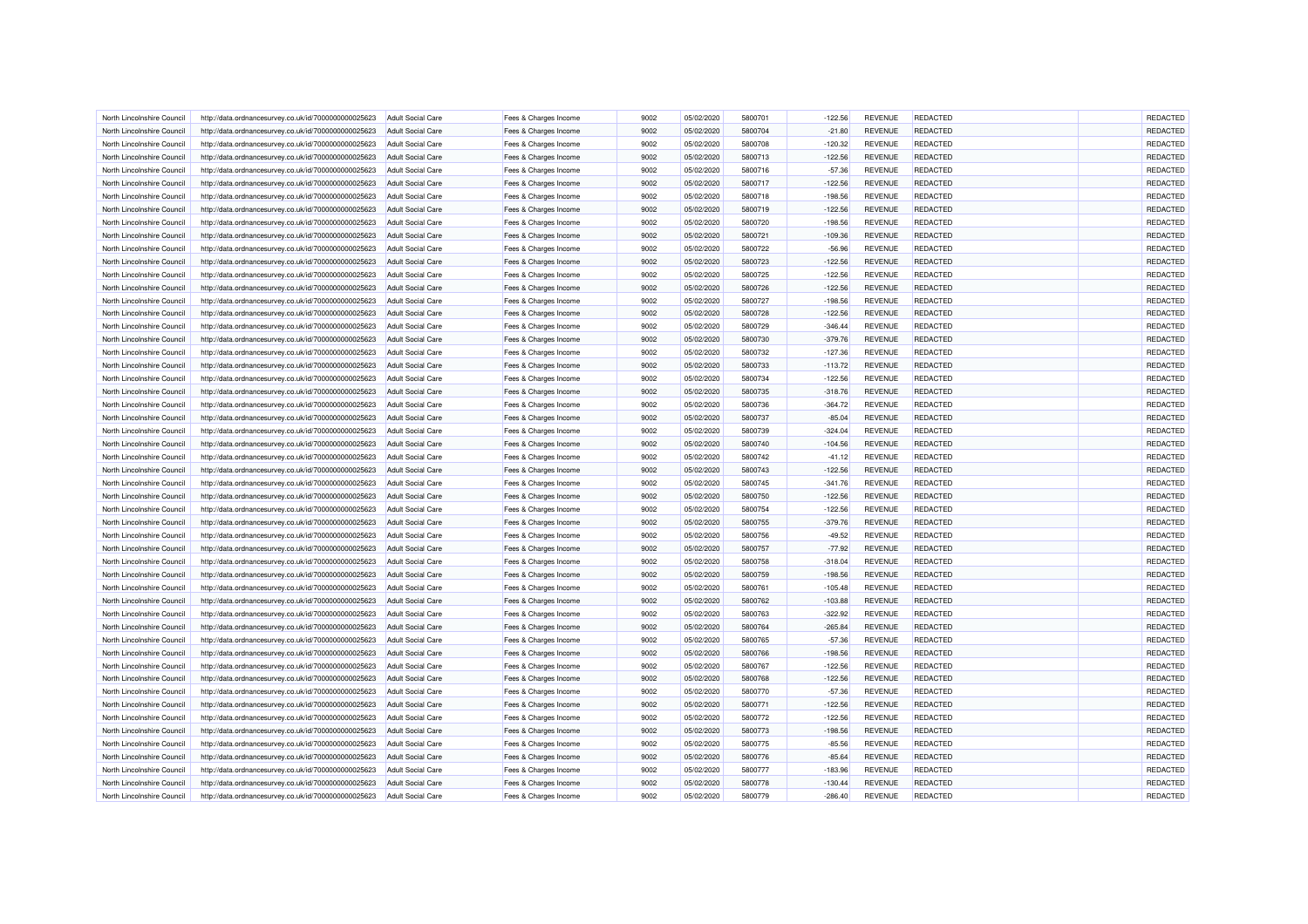| North Lincolnshire Council | http://data.ordnancesurvey.co.uk/id/7000000000025623 | <b>Adult Social Care</b> | Fees & Charges Income | 9002 | 05/02/2020 | 5800701 | $-122.56$ | <b>REVENUE</b> | REDACTED        | REDACTED |
|----------------------------|------------------------------------------------------|--------------------------|-----------------------|------|------------|---------|-----------|----------------|-----------------|----------|
| North Lincolnshire Council | http://data.ordnancesurvey.co.uk/id/7000000000025623 | <b>Adult Social Care</b> | Fees & Charges Income | 9002 | 05/02/2020 | 5800704 | $-21.80$  | <b>REVENUE</b> | <b>REDACTED</b> | REDACTED |
| North Lincolnshire Council | http://data.ordnancesurvey.co.uk/id/7000000000025623 | Adult Social Care        | Fees & Charges Income | 9002 | 05/02/2020 | 5800708 | $-120.32$ | <b>REVENUE</b> | <b>REDACTED</b> | REDACTED |
| North Lincolnshire Council | http://data.ordnancesurvey.co.uk/id/7000000000025623 | <b>Adult Social Care</b> | Fees & Charges Income | 9002 | 05/02/2020 | 5800713 | $-122.56$ | <b>REVENUE</b> | REDACTED        | REDACTED |
| North Lincolnshire Council | http://data.ordnancesurvey.co.uk/id/7000000000025623 | <b>Adult Social Care</b> | Fees & Charges Income | 9002 | 05/02/2020 | 5800716 | $-57.36$  | <b>REVENUE</b> | <b>REDACTED</b> | REDACTED |
| North Lincolnshire Council | http://data.ordnancesurvey.co.uk/id/7000000000025623 | <b>Adult Social Care</b> | Fees & Charges Income | 9002 | 05/02/2020 | 5800717 | $-122.56$ | <b>REVENUE</b> | <b>REDACTED</b> | REDACTED |
|                            |                                                      |                          |                       |      |            |         |           |                |                 |          |
| North Lincolnshire Council | http://data.ordnancesurvey.co.uk/id/7000000000025623 | <b>Adult Social Care</b> | Fees & Charges Income | 9002 | 05/02/2020 | 5800718 | $-198.56$ | <b>REVENUE</b> | <b>REDACTED</b> | REDACTED |
| North Lincolnshire Council | http://data.ordnancesurvey.co.uk/id/7000000000025623 | <b>Adult Social Care</b> | Fees & Charges Income | 9002 | 05/02/2020 | 5800719 | $-122.56$ | <b>REVENUE</b> | <b>REDACTED</b> | REDACTED |
| North Lincolnshire Council | http://data.ordnancesurvey.co.uk/id/7000000000025623 | <b>Adult Social Care</b> | Fees & Charges Income | 9002 | 05/02/2020 | 5800720 | $-198.56$ | <b>REVENUE</b> | REDACTED        | REDACTED |
| North Lincolnshire Council | http://data.ordnancesurvey.co.uk/id/7000000000025623 | <b>Adult Social Care</b> | Fees & Charges Income | 9002 | 05/02/2020 | 5800721 | $-109.36$ | <b>REVENUE</b> | <b>REDACTED</b> | REDACTED |
| North Lincolnshire Council | http://data.ordnancesurvey.co.uk/id/7000000000025623 | Adult Social Care        | Fees & Charges Income | 9002 | 05/02/2020 | 5800722 | $-56.96$  | <b>REVENUE</b> | REDACTED        | REDACTED |
| North Lincolnshire Council | http://data.ordnancesurvey.co.uk/id/7000000000025623 | <b>Adult Social Care</b> | Fees & Charges Income | 9002 | 05/02/2020 | 5800723 | $-122.56$ | <b>REVENUE</b> | REDACTED        | REDACTED |
| North Lincolnshire Council | http://data.ordnancesurvey.co.uk/id/7000000000025623 | <b>Adult Social Care</b> | Fees & Charges Income | 9002 | 05/02/2020 | 5800725 | $-122.56$ | <b>REVENUE</b> | <b>REDACTED</b> | REDACTED |
| North Lincolnshire Council | http://data.ordnancesurvey.co.uk/id/7000000000025623 | Adult Social Care        | Fees & Charges Income | 9002 | 05/02/2020 | 5800726 | $-122.56$ | <b>REVENUE</b> | REDACTED        | REDACTED |
| North Lincolnshire Council | http://data.ordnancesurvey.co.uk/id/7000000000025623 | <b>Adult Social Care</b> | Fees & Charges Income | 9002 | 05/02/2020 | 5800727 | $-198.56$ | <b>REVENUE</b> | <b>REDACTED</b> | REDACTED |
| North Lincolnshire Council | http://data.ordnancesurvey.co.uk/id/7000000000025623 | <b>Adult Social Care</b> | Fees & Charges Income | 9002 | 05/02/2020 | 5800728 | $-122.56$ | <b>REVENUE</b> | <b>REDACTED</b> | REDACTED |
| North Lincolnshire Council | http://data.ordnancesurvey.co.uk/id/7000000000025623 | <b>Adult Social Care</b> | Fees & Charges Income | 9002 | 05/02/2020 | 5800729 | $-346.44$ | <b>REVENUE</b> | <b>REDACTED</b> | REDACTED |
| North Lincolnshire Council | http://data.ordnancesurvey.co.uk/id/7000000000025623 | <b>Adult Social Care</b> | Fees & Charges Income | 9002 | 05/02/2020 | 5800730 | $-379.76$ | <b>REVENUE</b> | <b>REDACTED</b> | REDACTED |
| North Lincolnshire Council | http://data.ordnancesurvey.co.uk/id/7000000000025623 | <b>Adult Social Care</b> | Fees & Charges Income | 9002 | 05/02/2020 | 5800732 | $-127.36$ | <b>REVENUE</b> | REDACTED        | REDACTED |
| North Lincolnshire Council | http://data.ordnancesurvey.co.uk/id/7000000000025623 | <b>Adult Social Care</b> | Fees & Charges Income | 9002 | 05/02/2020 | 5800733 | $-113.72$ | <b>REVENUE</b> | REDACTED        | REDACTED |
| North Lincolnshire Council | http://data.ordnancesurvey.co.uk/id/7000000000025623 | <b>Adult Social Care</b> | Fees & Charges Income | 9002 | 05/02/2020 | 5800734 | $-122.56$ | <b>REVENUE</b> | REDACTED        | REDACTED |
| North Lincolnshire Council | http://data.ordnancesurvey.co.uk/id/7000000000025623 | Adult Social Care        | Fees & Charges Income | 9002 | 05/02/2020 | 5800735 | $-318.76$ | <b>REVENUE</b> | <b>REDACTED</b> | REDACTED |
| North Lincolnshire Council | http://data.ordnancesurvey.co.uk/id/7000000000025623 | <b>Adult Social Care</b> | Fees & Charges Income | 9002 | 05/02/2020 | 5800736 | $-364.72$ | <b>REVENUE</b> | <b>REDACTED</b> | REDACTED |
|                            |                                                      |                          |                       |      |            |         |           |                |                 | REDACTED |
| North Lincolnshire Council | http://data.ordnancesurvey.co.uk/id/7000000000025623 | <b>Adult Social Care</b> | Fees & Charges Income | 9002 | 05/02/2020 | 5800737 | $-85.04$  | <b>REVENUE</b> | REDACTED        |          |
| North Lincolnshire Council | http://data.ordnancesurvey.co.uk/id/7000000000025623 | <b>Adult Social Care</b> | Fees & Charges Income | 9002 | 05/02/2020 | 5800739 | $-324.04$ | <b>REVENUE</b> | REDACTED        | REDACTED |
| North Lincolnshire Council | http://data.ordnancesurvey.co.uk/id/7000000000025623 | <b>Adult Social Care</b> | Fees & Charges Income | 9002 | 05/02/2020 | 5800740 | $-104.56$ | <b>REVENUE</b> | <b>REDACTED</b> | REDACTED |
| North Lincolnshire Council | http://data.ordnancesurvey.co.uk/id/7000000000025623 | Adult Social Care        | Fees & Charges Income | 9002 | 05/02/2020 | 5800742 | $-41.12$  | <b>REVENUE</b> | REDACTED        | REDACTED |
| North Lincolnshire Council | http://data.ordnancesurvey.co.uk/id/7000000000025623 | <b>Adult Social Care</b> | Fees & Charges Income | 9002 | 05/02/2020 | 5800743 | $-122.56$ | <b>REVENUE</b> | REDACTED        | REDACTED |
| North Lincolnshire Council | http://data.ordnancesurvey.co.uk/id/7000000000025623 | <b>Adult Social Care</b> | Fees & Charges Income | 9002 | 05/02/2020 | 5800745 | $-341.76$ | <b>REVENUE</b> | <b>REDACTED</b> | REDACTED |
| North Lincolnshire Council | http://data.ordnancesurvey.co.uk/id/7000000000025623 | Adult Social Care        | Fees & Charges Income | 9002 | 05/02/2020 | 5800750 | $-122.56$ | <b>REVENUE</b> | REDACTED        | REDACTED |
| North Lincolnshire Council | http://data.ordnancesurvey.co.uk/id/7000000000025623 | <b>Adult Social Care</b> | Fees & Charges Income | 9002 | 05/02/2020 | 5800754 | $-122.56$ | <b>REVENUE</b> | REDACTED        | REDACTED |
| North Lincolnshire Council | http://data.ordnancesurvey.co.uk/id/7000000000025623 | <b>Adult Social Care</b> | Fees & Charges Income | 9002 | 05/02/2020 | 5800755 | $-379.76$ | <b>REVENUE</b> | <b>REDACTED</b> | REDACTED |
| North Lincolnshire Council | http://data.ordnancesurvey.co.uk/id/7000000000025623 | <b>Adult Social Care</b> | Fees & Charges Income | 9002 | 05/02/2020 | 5800756 | $-49.52$  | <b>REVENUE</b> | REDACTED        | REDACTED |
| North Lincolnshire Council | http://data.ordnancesurvey.co.uk/id/7000000000025623 | <b>Adult Social Care</b> | Fees & Charges Income | 9002 | 05/02/2020 | 5800757 | $-77.92$  | <b>REVENUE</b> | <b>REDACTED</b> | REDACTED |
| North Lincolnshire Council | http://data.ordnancesurvey.co.uk/id/7000000000025623 | <b>Adult Social Care</b> | Fees & Charges Income | 9002 | 05/02/2020 | 5800758 | $-318.04$ | <b>REVENUE</b> | <b>REDACTED</b> | REDACTED |
| North Lincolnshire Council | http://data.ordnancesurvey.co.uk/id/7000000000025623 | <b>Adult Social Care</b> | Fees & Charges Income | 9002 | 05/02/2020 | 5800759 | $-198.56$ | <b>REVENUE</b> | <b>REDACTED</b> | REDACTED |
| North Lincolnshire Council | http://data.ordnancesurvey.co.uk/id/7000000000025623 | Adult Social Care        | Fees & Charges Income | 9002 | 05/02/2020 | 5800761 | $-105.48$ | <b>REVENUE</b> | REDACTED        | REDACTED |
| North Lincolnshire Council | http://data.ordnancesurvey.co.uk/id/7000000000025623 | Adult Social Care        | Fees & Charges Income | 9002 | 05/02/2020 | 5800762 | $-103.88$ | <b>REVENUE</b> | <b>REDACTED</b> | REDACTED |
| North Lincolnshire Council | http://data.ordnancesurvey.co.uk/id/7000000000025623 | <b>Adult Social Care</b> | Fees & Charges Income | 9002 | 05/02/2020 | 5800763 | $-322.92$ | <b>REVENUE</b> | REDACTED        | REDACTED |
| North Lincolnshire Council | http://data.ordnancesurvey.co.uk/id/7000000000025623 | <b>Adult Social Care</b> | Fees & Charges Income | 9002 | 05/02/2020 | 5800764 | $-265.84$ | <b>REVENUE</b> | <b>REDACTED</b> | REDACTED |
| North Lincolnshire Council | http://data.ordnancesurvey.co.uk/id/7000000000025623 | <b>Adult Social Care</b> | Fees & Charges Income | 9002 | 05/02/2020 | 5800765 | $-57.36$  | <b>REVENUE</b> | REDACTED        | REDACTED |
| North Lincolnshire Council | http://data.ordnancesurvey.co.uk/id/7000000000025623 | <b>Adult Social Care</b> | Fees & Charges Income | 9002 | 05/02/2020 | 5800766 | $-198.56$ | <b>REVENUE</b> | <b>REDACTED</b> | REDACTED |
| North Lincolnshire Council |                                                      | <b>Adult Social Care</b> |                       | 9002 | 05/02/2020 | 5800767 | $-122.56$ | <b>REVENUE</b> | <b>REDACTED</b> | REDACTED |
|                            | http://data.ordnancesurvey.co.uk/id/7000000000025623 |                          | Fees & Charges Income |      |            |         |           |                |                 |          |
| North Lincolnshire Council | http://data.ordnancesurvey.co.uk/id/7000000000025623 | <b>Adult Social Care</b> | Fees & Charges Income | 9002 | 05/02/2020 | 5800768 | $-122.56$ | <b>REVENUE</b> | <b>REDACTED</b> | REDACTED |
| North Lincolnshire Council | http://data.ordnancesurvey.co.uk/id/7000000000025623 | <b>Adult Social Care</b> | Fees & Charges Income | 9002 | 05/02/2020 | 5800770 | $-57.36$  | <b>REVENUE</b> | <b>REDACTED</b> | REDACTED |
| North Lincolnshire Council | http://data.ordnancesurvey.co.uk/id/7000000000025623 | <b>Adult Social Care</b> | Fees & Charges Income | 9002 | 05/02/2020 | 5800771 | $-122.56$ | <b>REVENUE</b> | <b>REDACTED</b> | REDACTED |
| North Lincolnshire Council | http://data.ordnancesurvey.co.uk/id/7000000000025623 | <b>Adult Social Care</b> | Fees & Charges Income | 9002 | 05/02/2020 | 5800772 | $-122.56$ | <b>REVENUE</b> | <b>REDACTED</b> | REDACTED |
| North Lincolnshire Council | http://data.ordnancesurvey.co.uk/id/7000000000025623 | <b>Adult Social Care</b> | Fees & Charges Income | 9002 | 05/02/2020 | 5800773 | $-198.56$ | <b>REVENUE</b> | <b>REDACTED</b> | REDACTED |
| North Lincolnshire Council | http://data.ordnancesurvey.co.uk/id/7000000000025623 | <b>Adult Social Care</b> | Fees & Charges Income | 9002 | 05/02/2020 | 5800775 | $-85.56$  | <b>REVENUE</b> | <b>REDACTED</b> | REDACTED |
| North Lincolnshire Council | http://data.ordnancesurvey.co.uk/id/7000000000025623 | <b>Adult Social Care</b> | Fees & Charges Income | 9002 | 05/02/2020 | 5800776 | $-85.64$  | <b>REVENUE</b> | <b>REDACTED</b> | REDACTED |
| North Lincolnshire Council | http://data.ordnancesurvey.co.uk/id/7000000000025623 | <b>Adult Social Care</b> | Fees & Charges Income | 9002 | 05/02/2020 | 5800777 | $-183.96$ | <b>REVENUE</b> | REDACTED        | REDACTED |
| North Lincolnshire Council | http://data.ordnancesurvey.co.uk/id/7000000000025623 | <b>Adult Social Care</b> | Fees & Charges Income | 9002 | 05/02/2020 | 5800778 | $-130.44$ | <b>REVENUE</b> | REDACTED        | REDACTED |
| North Lincolnshire Council | http://data.ordnancesurvey.co.uk/id/7000000000025623 | <b>Adult Social Care</b> | Fees & Charges Income | 9002 | 05/02/2020 | 5800779 | $-286.40$ | <b>REVENUE</b> | REDACTED        | REDACTED |
|                            |                                                      |                          |                       |      |            |         |           |                |                 |          |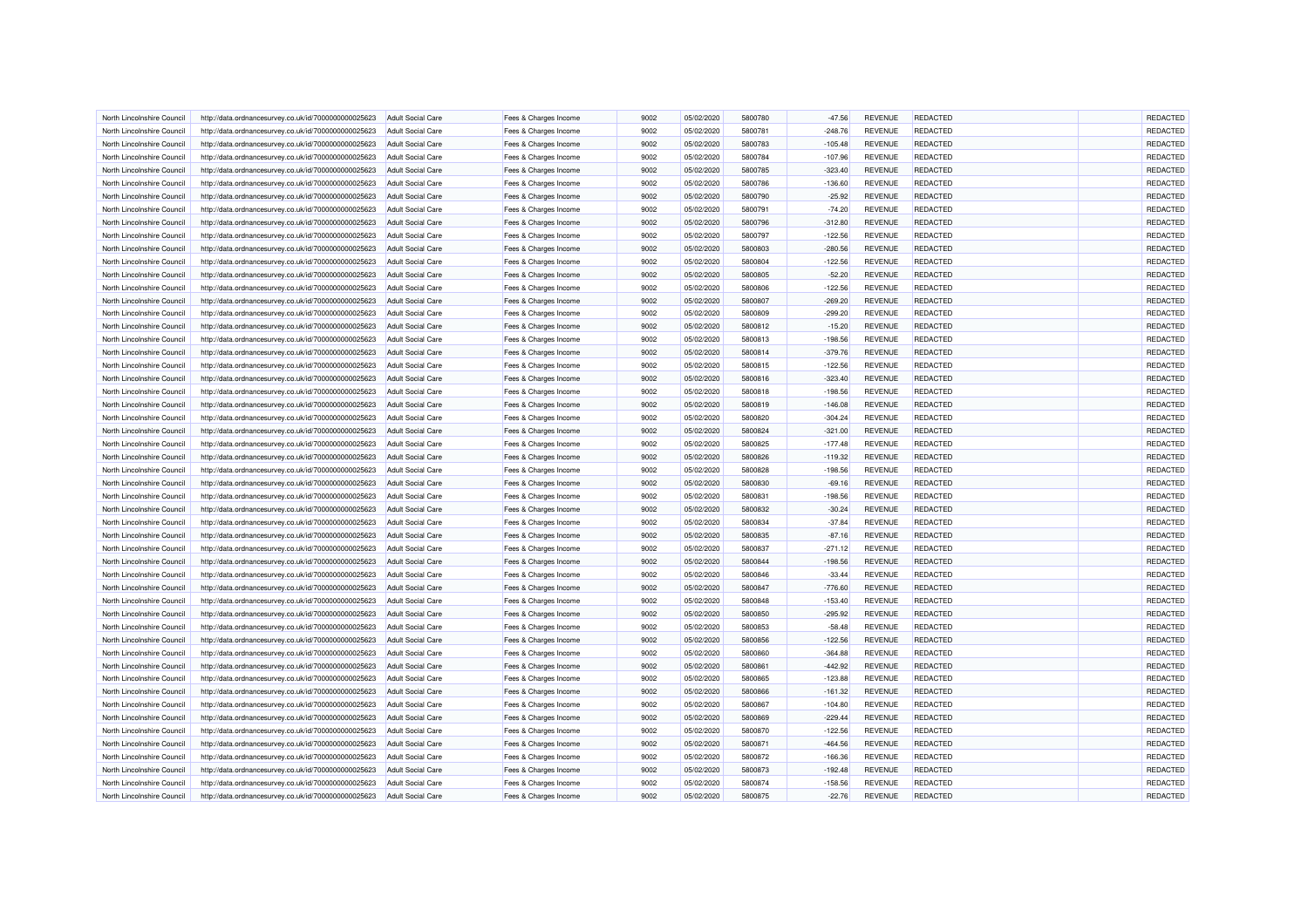| North Lincolnshire Council | http://data.ordnancesurvey.co.uk/id/7000000000025623 | <b>Adult Social Care</b> | Fees & Charges Income | 9002 | 05/02/2020 | 5800780 | $-47.56$  | <b>REVENUE</b> | REDACTED        | REDACTED             |
|----------------------------|------------------------------------------------------|--------------------------|-----------------------|------|------------|---------|-----------|----------------|-----------------|----------------------|
| North Lincolnshire Council | http://data.ordnancesurvey.co.uk/id/7000000000025623 | Adult Social Care        | Fees & Charges Income | 9002 | 05/02/2020 | 5800781 | $-248.76$ | <b>REVENUE</b> | <b>REDACTED</b> | REDACTED             |
| North Lincolnshire Council | http://data.ordnancesurvey.co.uk/id/7000000000025623 | Adult Social Care        | Fees & Charges Income | 9002 | 05/02/2020 | 5800783 | $-105.48$ | <b>REVENUE</b> | <b>REDACTED</b> | REDACTED             |
| North Lincolnshire Council | http://data.ordnancesurvey.co.uk/id/7000000000025623 | <b>Adult Social Care</b> | Fees & Charges Income | 9002 | 05/02/2020 | 5800784 | $-107.96$ | <b>REVENUE</b> | REDACTED        | REDACTED             |
| North Lincolnshire Council | http://data.ordnancesurvey.co.uk/id/7000000000025623 | <b>Adult Social Care</b> | Fees & Charges Income | 9002 | 05/02/2020 | 5800785 | $-323.40$ | <b>REVENUE</b> | <b>REDACTED</b> | REDACTED             |
| North Lincolnshire Council | http://data.ordnancesurvey.co.uk/id/7000000000025623 | <b>Adult Social Care</b> | Fees & Charges Income | 9002 | 05/02/2020 | 5800786 | $-136.60$ | <b>REVENUE</b> | REDACTED        | REDACTED             |
| North Lincolnshire Council | http://data.ordnancesurvey.co.uk/id/7000000000025623 | <b>Adult Social Care</b> | Fees & Charges Income | 9002 | 05/02/2020 | 5800790 | $-25.92$  | <b>REVENUE</b> | <b>REDACTED</b> | REDACTED             |
| North Lincolnshire Council | http://data.ordnancesurvey.co.uk/id/7000000000025623 | <b>Adult Social Care</b> | Fees & Charges Income | 9002 | 05/02/2020 | 5800791 | $-74.20$  | <b>REVENUE</b> | <b>REDACTED</b> | REDACTED             |
| North Lincolnshire Council | http://data.ordnancesurvey.co.uk/id/7000000000025623 | <b>Adult Social Care</b> | Fees & Charges Income | 9002 | 05/02/2020 | 5800796 | $-312.80$ | <b>REVENUE</b> | REDACTED        | REDACTED             |
| North Lincolnshire Council | http://data.ordnancesurvey.co.uk/id/7000000000025623 | Adult Social Care        | Fees & Charges Income | 9002 | 05/02/2020 | 5800797 | $-122.56$ | <b>REVENUE</b> | REDACTED        | REDACTED             |
| North Lincolnshire Council | http://data.ordnancesurvey.co.uk/id/7000000000025623 | Adult Social Care        | Fees & Charges Income | 9002 | 05/02/2020 | 5800803 | $-280.56$ | <b>REVENUE</b> | <b>REDACTED</b> | REDACTED             |
|                            |                                                      |                          |                       |      |            |         |           |                |                 |                      |
| North Lincolnshire Council | http://data.ordnancesurvey.co.uk/id/7000000000025623 | <b>Adult Social Care</b> | Fees & Charges Income | 9002 | 05/02/2020 | 5800804 | $-122.56$ | <b>REVENUE</b> | REDACTED        | REDACTED             |
| North Lincolnshire Council | http://data.ordnancesurvey.co.uk/id/7000000000025623 | <b>Adult Social Care</b> | Fees & Charges Income | 9002 | 05/02/2020 | 5800805 | $-52.20$  | <b>REVENUE</b> | <b>REDACTED</b> | REDACTED             |
| North Lincolnshire Council | http://data.ordnancesurvey.co.uk/id/7000000000025623 | Adult Social Care        | Fees & Charges Income | 9002 | 05/02/2020 | 5800806 | $-122.56$ | <b>REVENUE</b> | REDACTED        | REDACTED             |
| North Lincolnshire Council | http://data.ordnancesurvey.co.uk/id/7000000000025623 | <b>Adult Social Care</b> | Fees & Charges Income | 9002 | 05/02/2020 | 5800807 | $-269.20$ | <b>REVENUE</b> | <b>REDACTED</b> | REDACTED             |
| North Lincolnshire Council | http://data.ordnancesurvey.co.uk/id/7000000000025623 | <b>Adult Social Care</b> | Fees & Charges Income | 9002 | 05/02/2020 | 5800809 | $-299.20$ | <b>REVENUE</b> | <b>REDACTED</b> | REDACTED             |
| North Lincolnshire Council | http://data.ordnancesurvey.co.uk/id/7000000000025623 | <b>Adult Social Care</b> | Fees & Charges Income | 9002 | 05/02/2020 | 5800812 | $-15.20$  | <b>REVENUE</b> | REDACTED        | REDACTED             |
| North Lincolnshire Council | http://data.ordnancesurvey.co.uk/id/7000000000025623 | <b>Adult Social Care</b> | Fees & Charges Income | 9002 | 05/02/2020 | 5800813 | $-198.56$ | <b>REVENUE</b> | <b>REDACTED</b> | REDACTED             |
| North Lincolnshire Council | http://data.ordnancesurvey.co.uk/id/7000000000025623 | <b>Adult Social Care</b> | Fees & Charges Income | 9002 | 05/02/2020 | 5800814 | $-379.76$ | <b>REVENUE</b> | REDACTED        | REDACTED             |
| North Lincolnshire Council | http://data.ordnancesurvey.co.uk/id/7000000000025623 | <b>Adult Social Care</b> | Fees & Charges Income | 9002 | 05/02/2020 | 5800815 | $-122.56$ | <b>REVENUE</b> | REDACTED        | REDACTED             |
| North Lincolnshire Council | http://data.ordnancesurvey.co.uk/id/7000000000025623 | <b>Adult Social Care</b> | Fees & Charges Income | 9002 | 05/02/2020 | 5800816 | $-323.40$ | <b>REVENUE</b> | <b>REDACTED</b> | REDACTED             |
| North Lincolnshire Council | http://data.ordnancesurvey.co.uk/id/7000000000025623 | Adult Social Care        | Fees & Charges Income | 9002 | 05/02/2020 | 5800818 | $-198.56$ | <b>REVENUE</b> | <b>REDACTED</b> | REDACTED             |
| North Lincolnshire Council | http://data.ordnancesurvey.co.uk/id/7000000000025623 | <b>Adult Social Care</b> | Fees & Charges Income | 9002 | 05/02/2020 | 5800819 | $-146.08$ | <b>REVENUE</b> | <b>REDACTED</b> | REDACTED             |
| North Lincolnshire Council | http://data.ordnancesurvey.co.uk/id/7000000000025623 | <b>Adult Social Care</b> | Fees & Charges Income | 9002 | 05/02/2020 | 5800820 | $-304.24$ | <b>REVENUE</b> | REDACTED        | REDACTED             |
| North Lincolnshire Council | http://data.ordnancesurvey.co.uk/id/7000000000025623 | <b>Adult Social Care</b> | Fees & Charges Income | 9002 | 05/02/2020 | 5800824 | $-321.00$ | <b>REVENUE</b> | REDACTED        | REDACTED             |
| North Lincolnshire Council | http://data.ordnancesurvey.co.uk/id/7000000000025623 | <b>Adult Social Care</b> | Fees & Charges Income | 9002 | 05/02/2020 | 5800825 | $-177.48$ | <b>REVENUE</b> | <b>REDACTED</b> | REDACTED             |
| North Lincolnshire Council | http://data.ordnancesurvey.co.uk/id/7000000000025623 | Adult Social Care        | Fees & Charges Income | 9002 | 05/02/2020 | 5800826 | $-119.32$ | <b>REVENUE</b> | <b>REDACTED</b> | REDACTED             |
| North Lincolnshire Council | http://data.ordnancesurvey.co.uk/id/7000000000025623 | <b>Adult Social Care</b> | Fees & Charges Income | 9002 | 05/02/2020 | 5800828 | $-198.56$ | <b>REVENUE</b> | REDACTED        | REDACTED             |
| North Lincolnshire Council | http://data.ordnancesurvey.co.uk/id/7000000000025623 | <b>Adult Social Care</b> | Fees & Charges Income | 9002 | 05/02/2020 | 5800830 | $-69.16$  | <b>REVENUE</b> | <b>REDACTED</b> | REDACTED             |
| North Lincolnshire Council | http://data.ordnancesurvey.co.uk/id/7000000000025623 | Adult Social Care        | Fees & Charges Income | 9002 | 05/02/2020 | 5800831 | $-198.56$ | <b>REVENUE</b> | REDACTED        | REDACTED             |
| North Lincolnshire Council | http://data.ordnancesurvey.co.uk/id/7000000000025623 | <b>Adult Social Care</b> | Fees & Charges Income | 9002 | 05/02/2020 | 5800832 | $-30.24$  | <b>REVENUE</b> | REDACTED        | REDACTED             |
| North Lincolnshire Council | http://data.ordnancesurvey.co.uk/id/7000000000025623 | Adult Social Care        | Fees & Charges Income | 9002 | 05/02/2020 | 5800834 | $-37.84$  | <b>REVENUE</b> | <b>REDACTED</b> | REDACTED             |
| North Lincolnshire Council | http://data.ordnancesurvey.co.uk/id/7000000000025623 | <b>Adult Social Care</b> | Fees & Charges Income | 9002 | 05/02/2020 | 5800835 | $-87.16$  | <b>REVENUE</b> | <b>REDACTED</b> | REDACTED             |
| North Lincolnshire Council | http://data.ordnancesurvey.co.uk/id/7000000000025623 | <b>Adult Social Care</b> | Fees & Charges Income | 9002 | 05/02/2020 | 5800837 | $-271.12$ | <b>REVENUE</b> | <b>REDACTED</b> | REDACTED             |
| North Lincolnshire Council | http://data.ordnancesurvey.co.uk/id/7000000000025623 | <b>Adult Social Care</b> | Fees & Charges Income | 9002 | 05/02/2020 | 5800844 | $-198.56$ | <b>REVENUE</b> | <b>REDACTED</b> | REDACTED             |
| North Lincolnshire Council | http://data.ordnancesurvey.co.uk/id/7000000000025623 | <b>Adult Social Care</b> | Fees & Charges Income | 9002 | 05/02/2020 | 5800846 | $-33.44$  | <b>REVENUE</b> | <b>REDACTED</b> | REDACTED             |
| North Lincolnshire Council | http://data.ordnancesurvey.co.uk/id/7000000000025623 | <b>Adult Social Care</b> | Fees & Charges Income | 9002 | 05/02/2020 | 5800847 | $-776.60$ | <b>REVENUE</b> | <b>REDACTED</b> | REDACTED             |
| North Lincolnshire Council | http://data.ordnancesurvey.co.uk/id/7000000000025623 | Adult Social Care        | Fees & Charges Income | 9002 | 05/02/2020 | 5800848 | $-153.40$ | <b>REVENUE</b> | <b>REDACTED</b> | REDACTED             |
| North Lincolnshire Council | http://data.ordnancesurvey.co.uk/id/7000000000025623 | <b>Adult Social Care</b> | Fees & Charges Income | 9002 | 05/02/2020 | 5800850 | $-295.92$ | <b>REVENUE</b> | REDACTED        | REDACTED             |
| North Lincolnshire Council | http://data.ordnancesurvey.co.uk/id/7000000000025623 | <b>Adult Social Care</b> | Fees & Charges Income | 9002 | 05/02/2020 | 5800853 | $-58.48$  | <b>REVENUE</b> | REDACTED        | REDACTED             |
| North Lincolnshire Council | http://data.ordnancesurvey.co.uk/id/7000000000025623 | <b>Adult Social Care</b> | Fees & Charges Income | 9002 | 05/02/2020 | 5800856 | $-122.56$ | <b>REVENUE</b> | REDACTED        | REDACTED             |
| North Lincolnshire Council | http://data.ordnancesurvey.co.uk/id/7000000000025623 | <b>Adult Social Care</b> | Fees & Charges Income | 9002 | 05/02/2020 | 5800860 | $-364.88$ | <b>REVENUE</b> | <b>REDACTED</b> | REDACTED             |
| North Lincolnshire Council | http://data.ordnancesurvey.co.uk/id/7000000000025623 | <b>Adult Social Care</b> | Fees & Charges Income | 9002 | 05/02/2020 | 5800861 | $-442.92$ | <b>REVENUE</b> | <b>REDACTED</b> | REDACTED             |
| North Lincolnshire Council | http://data.ordnancesurvey.co.uk/id/7000000000025623 | <b>Adult Social Care</b> | Fees & Charges Income | 9002 | 05/02/2020 | 5800865 | $-123.88$ | <b>REVENUE</b> | REDACTED        | REDACTED             |
|                            |                                                      |                          | Fees & Charges Income | 9002 | 05/02/2020 | 5800866 | $-161.32$ | <b>REVENUE</b> | <b>REDACTED</b> | REDACTED             |
| North Lincolnshire Council | http://data.ordnancesurvey.co.uk/id/7000000000025623 | <b>Adult Social Care</b> |                       | 9002 | 05/02/2020 | 5800867 |           | <b>REVENUE</b> | <b>REDACTED</b> | REDACTED             |
| North Lincolnshire Council | http://data.ordnancesurvey.co.uk/id/7000000000025623 | Adult Social Care        | Fees & Charges Income |      |            |         | $-104.80$ |                |                 |                      |
| North Lincolnshire Council | http://data.ordnancesurvey.co.uk/id/7000000000025623 | <b>Adult Social Care</b> | Fees & Charges Income | 9002 | 05/02/2020 | 5800869 | $-229.44$ | <b>REVENUE</b> | <b>REDACTED</b> | REDACTED<br>REDACTED |
| North Lincolnshire Council | http://data.ordnancesurvey.co.uk/id/7000000000025623 | <b>Adult Social Care</b> | Fees & Charges Income | 9002 | 05/02/2020 | 5800870 | $-122.56$ | <b>REVENUE</b> | <b>REDACTED</b> |                      |
| North Lincolnshire Council | http://data.ordnancesurvey.co.uk/id/7000000000025623 | <b>Adult Social Care</b> | Fees & Charges Income | 9002 | 05/02/2020 | 5800871 | $-464.56$ | <b>REVENUE</b> | <b>REDACTED</b> | REDACTED             |
| North Lincolnshire Council | http://data.ordnancesurvey.co.uk/id/7000000000025623 | <b>Adult Social Care</b> | Fees & Charges Income | 9002 | 05/02/2020 | 5800872 | $-166.36$ | <b>REVENUE</b> | <b>REDACTED</b> | REDACTED             |
| North Lincolnshire Council | http://data.ordnancesurvey.co.uk/id/7000000000025623 | <b>Adult Social Care</b> | Fees & Charges Income | 9002 | 05/02/2020 | 5800873 | $-192.48$ | <b>REVENUE</b> | REDACTED        | REDACTED             |
| North Lincolnshire Council | http://data.ordnancesurvey.co.uk/id/7000000000025623 | <b>Adult Social Care</b> | Fees & Charges Income | 9002 | 05/02/2020 | 5800874 | $-158.56$ | <b>REVENUE</b> | REDACTED        | REDACTED             |
| North Lincolnshire Council | http://data.ordnancesurvey.co.uk/id/7000000000025623 | <b>Adult Social Care</b> | Fees & Charges Income | 9002 | 05/02/2020 | 5800875 | $-22.76$  | <b>REVENUE</b> | REDACTED        | REDACTED             |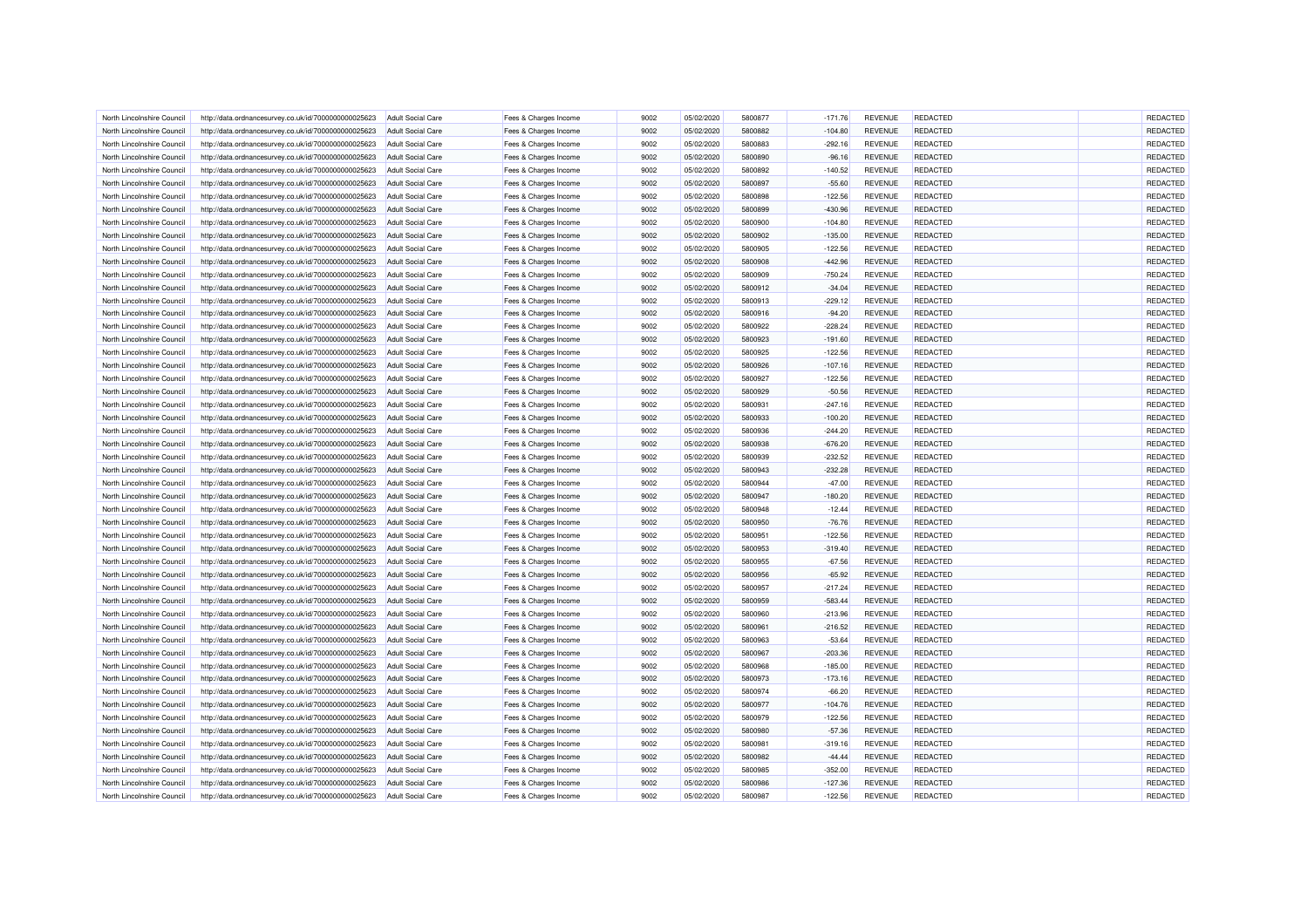| North Lincolnshire Council | http://data.ordnancesurvey.co.uk/id/7000000000025623 | <b>Adult Social Care</b> | Fees & Charges Income | 9002 | 05/02/2020 | 5800877 | $-171.76$ | <b>REVENUE</b> | REDACTED        | REDACTED |
|----------------------------|------------------------------------------------------|--------------------------|-----------------------|------|------------|---------|-----------|----------------|-----------------|----------|
| North Lincolnshire Council | http://data.ordnancesurvey.co.uk/id/7000000000025623 | <b>Adult Social Care</b> | Fees & Charges Income | 9002 | 05/02/2020 | 5800882 | $-104.80$ | <b>REVENUE</b> | <b>REDACTED</b> | REDACTED |
| North Lincolnshire Council | http://data.ordnancesurvey.co.uk/id/7000000000025623 | Adult Social Care        | Fees & Charges Income | 9002 | 05/02/2020 | 5800883 | $-292.16$ | <b>REVENUE</b> | <b>REDACTED</b> | REDACTED |
| North Lincolnshire Council | http://data.ordnancesurvey.co.uk/id/7000000000025623 | <b>Adult Social Care</b> | Fees & Charges Income | 9002 | 05/02/2020 | 5800890 | $-96.16$  | <b>REVENUE</b> | REDACTED        | REDACTED |
| North Lincolnshire Council | http://data.ordnancesurvey.co.uk/id/7000000000025623 | <b>Adult Social Care</b> | Fees & Charges Income | 9002 | 05/02/2020 | 5800892 | $-140.52$ | <b>REVENUE</b> | <b>REDACTED</b> | REDACTED |
| North Lincolnshire Council | http://data.ordnancesurvey.co.uk/id/7000000000025623 | <b>Adult Social Care</b> | Fees & Charges Income | 9002 | 05/02/2020 | 5800897 | $-55.60$  | <b>REVENUE</b> | <b>REDACTED</b> | REDACTED |
| North Lincolnshire Council | http://data.ordnancesurvey.co.uk/id/7000000000025623 | <b>Adult Social Care</b> | Fees & Charges Income | 9002 | 05/02/2020 | 5800898 | $-122.56$ | <b>REVENUE</b> | <b>REDACTED</b> | REDACTED |
| North Lincolnshire Council | http://data.ordnancesurvey.co.uk/id/7000000000025623 | <b>Adult Social Care</b> | Fees & Charges Income | 9002 | 05/02/2020 | 5800899 | $-430.96$ | <b>REVENUE</b> | <b>REDACTED</b> | REDACTED |
| North Lincolnshire Council | http://data.ordnancesurvey.co.uk/id/7000000000025623 | <b>Adult Social Care</b> | Fees & Charges Income | 9002 | 05/02/2020 | 5800900 | $-104.80$ | <b>REVENUE</b> | REDACTED        | REDACTED |
| North Lincolnshire Council | http://data.ordnancesurvey.co.uk/id/7000000000025623 | <b>Adult Social Care</b> | Fees & Charges Income | 9002 | 05/02/2020 | 5800902 | $-135.00$ | <b>REVENUE</b> | <b>REDACTED</b> | REDACTED |
| North Lincolnshire Council |                                                      | Adult Social Care        |                       | 9002 | 05/02/2020 | 5800905 |           | <b>REVENUE</b> | REDACTED        | REDACTED |
|                            | http://data.ordnancesurvey.co.uk/id/7000000000025623 |                          | Fees & Charges Income |      |            |         | $-122.56$ |                |                 |          |
| North Lincolnshire Council | http://data.ordnancesurvey.co.uk/id/7000000000025623 | <b>Adult Social Care</b> | Fees & Charges Income | 9002 | 05/02/2020 | 5800908 | $-442.96$ | <b>REVENUE</b> | REDACTED        | REDACTED |
| North Lincolnshire Council | http://data.ordnancesurvey.co.uk/id/7000000000025623 | <b>Adult Social Care</b> | Fees & Charges Income | 9002 | 05/02/2020 | 5800909 | $-750.24$ | <b>REVENUE</b> | <b>REDACTED</b> | REDACTED |
| North Lincolnshire Council | http://data.ordnancesurvey.co.uk/id/7000000000025623 | Adult Social Care        | Fees & Charges Income | 9002 | 05/02/2020 | 5800912 | $-34.04$  | <b>REVENUE</b> | REDACTED        | REDACTED |
| North Lincolnshire Council | http://data.ordnancesurvey.co.uk/id/7000000000025623 | <b>Adult Social Care</b> | Fees & Charges Income | 9002 | 05/02/2020 | 5800913 | $-229.12$ | <b>REVENUE</b> | <b>REDACTED</b> | REDACTED |
| North Lincolnshire Council | http://data.ordnancesurvey.co.uk/id/7000000000025623 | <b>Adult Social Care</b> | Fees & Charges Income | 9002 | 05/02/2020 | 5800916 | $-94.20$  | <b>REVENUE</b> | <b>REDACTED</b> | REDACTED |
| North Lincolnshire Council | http://data.ordnancesurvey.co.uk/id/7000000000025623 | <b>Adult Social Care</b> | Fees & Charges Income | 9002 | 05/02/2020 | 5800922 | $-228.24$ | <b>REVENUE</b> | <b>REDACTED</b> | REDACTED |
| North Lincolnshire Council | http://data.ordnancesurvey.co.uk/id/7000000000025623 | <b>Adult Social Care</b> | Fees & Charges Income | 9002 | 05/02/2020 | 5800923 | $-191.60$ | <b>REVENUE</b> | <b>REDACTED</b> | REDACTED |
| North Lincolnshire Council | http://data.ordnancesurvey.co.uk/id/7000000000025623 | <b>Adult Social Care</b> | Fees & Charges Income | 9002 | 05/02/2020 | 5800925 | $-122.56$ | <b>REVENUE</b> | REDACTED        | REDACTED |
| North Lincolnshire Council | http://data.ordnancesurvey.co.uk/id/7000000000025623 | <b>Adult Social Care</b> | Fees & Charges Income | 9002 | 05/02/2020 | 5800926 | $-107.16$ | <b>REVENUE</b> | REDACTED        | REDACTED |
| North Lincolnshire Council | http://data.ordnancesurvey.co.uk/id/7000000000025623 | <b>Adult Social Care</b> | Fees & Charges Income | 9002 | 05/02/2020 | 5800927 | $-122.56$ | <b>REVENUE</b> | REDACTED        | REDACTED |
| North Lincolnshire Council | http://data.ordnancesurvey.co.uk/id/7000000000025623 | Adult Social Care        | Fees & Charges Income | 9002 | 05/02/2020 | 5800929 | $-50.56$  | <b>REVENUE</b> | <b>REDACTED</b> | REDACTED |
| North Lincolnshire Council | http://data.ordnancesurvey.co.uk/id/7000000000025623 | <b>Adult Social Care</b> | Fees & Charges Income | 9002 | 05/02/2020 | 5800931 | $-247.16$ | <b>REVENUE</b> | <b>REDACTED</b> | REDACTED |
| North Lincolnshire Council | http://data.ordnancesurvey.co.uk/id/7000000000025623 | <b>Adult Social Care</b> | Fees & Charges Income | 9002 | 05/02/2020 | 5800933 | $-100.20$ | <b>REVENUE</b> | REDACTED        | REDACTED |
| North Lincolnshire Council | http://data.ordnancesurvey.co.uk/id/7000000000025623 | <b>Adult Social Care</b> | Fees & Charges Income | 9002 | 05/02/2020 | 5800936 | $-244.20$ | <b>REVENUE</b> | REDACTED        | REDACTED |
| North Lincolnshire Council | http://data.ordnancesurvey.co.uk/id/7000000000025623 | <b>Adult Social Care</b> | Fees & Charges Income | 9002 | 05/02/2020 | 5800938 | $-676.20$ | <b>REVENUE</b> | <b>REDACTED</b> | REDACTED |
| North Lincolnshire Council | http://data.ordnancesurvey.co.uk/id/7000000000025623 | Adult Social Care        | Fees & Charges Income | 9002 | 05/02/2020 | 5800939 | $-232.52$ | <b>REVENUE</b> | REDACTED        | REDACTED |
| North Lincolnshire Council | http://data.ordnancesurvey.co.uk/id/7000000000025623 | <b>Adult Social Care</b> | Fees & Charges Income | 9002 | 05/02/2020 | 5800943 | $-232.28$ | <b>REVENUE</b> | REDACTED        | REDACTED |
| North Lincolnshire Council | http://data.ordnancesurvey.co.uk/id/7000000000025623 | <b>Adult Social Care</b> | Fees & Charges Income | 9002 | 05/02/2020 | 5800944 | $-47.00$  | <b>REVENUE</b> | <b>REDACTED</b> | REDACTED |
| North Lincolnshire Council | http://data.ordnancesurvey.co.uk/id/7000000000025623 | Adult Social Care        | Fees & Charges Income | 9002 | 05/02/2020 | 5800947 | $-180.20$ | <b>REVENUE</b> | REDACTED        | REDACTED |
| North Lincolnshire Council | http://data.ordnancesurvey.co.uk/id/7000000000025623 | <b>Adult Social Care</b> | Fees & Charges Income | 9002 | 05/02/2020 | 5800948 | $-12.44$  | <b>REVENUE</b> | REDACTED        | REDACTED |
| North Lincolnshire Council | http://data.ordnancesurvey.co.uk/id/7000000000025623 | <b>Adult Social Care</b> | Fees & Charges Income | 9002 | 05/02/2020 | 5800950 | $-76.76$  | <b>REVENUE</b> | <b>REDACTED</b> | REDACTED |
| North Lincolnshire Council | http://data.ordnancesurvey.co.uk/id/7000000000025623 | <b>Adult Social Care</b> | Fees & Charges Income | 9002 | 05/02/2020 | 5800951 | $-122.56$ | <b>REVENUE</b> | REDACTED        | REDACTED |
| North Lincolnshire Council | http://data.ordnancesurvey.co.uk/id/7000000000025623 | <b>Adult Social Care</b> | Fees & Charges Income | 9002 | 05/02/2020 | 5800953 | $-319.40$ | <b>REVENUE</b> | <b>REDACTED</b> | REDACTED |
| North Lincolnshire Council |                                                      |                          |                       | 9002 | 05/02/2020 | 5800955 |           | <b>REVENUE</b> | <b>REDACTED</b> | REDACTED |
|                            | http://data.ordnancesurvey.co.uk/id/7000000000025623 | <b>Adult Social Care</b> | Fees & Charges Income | 9002 |            | 5800956 | $-67.56$  | <b>REVENUE</b> | <b>REDACTED</b> | REDACTED |
| North Lincolnshire Council | http://data.ordnancesurvey.co.uk/id/7000000000025623 | <b>Adult Social Care</b> | Fees & Charges Income | 9002 | 05/02/2020 | 5800957 | $-65.92$  | <b>REVENUE</b> |                 |          |
| North Lincolnshire Council | http://data.ordnancesurvey.co.uk/id/7000000000025623 | Adult Social Care        | Fees & Charges Income |      | 05/02/2020 |         | $-217.24$ |                | REDACTED        | REDACTED |
| North Lincolnshire Council | http://data.ordnancesurvey.co.uk/id/7000000000025623 | Adult Social Care        | Fees & Charges Income | 9002 | 05/02/2020 | 5800959 | $-583.44$ | <b>REVENUE</b> | <b>REDACTED</b> | REDACTED |
| North Lincolnshire Council | http://data.ordnancesurvey.co.uk/id/7000000000025623 | <b>Adult Social Care</b> | Fees & Charges Income | 9002 | 05/02/2020 | 5800960 | $-213.96$ | <b>REVENUE</b> | REDACTED        | REDACTED |
| North Lincolnshire Council | http://data.ordnancesurvey.co.uk/id/7000000000025623 | <b>Adult Social Care</b> | Fees & Charges Income | 9002 | 05/02/2020 | 5800961 | $-216.52$ | <b>REVENUE</b> | <b>REDACTED</b> | REDACTED |
| North Lincolnshire Council | http://data.ordnancesurvey.co.uk/id/7000000000025623 | <b>Adult Social Care</b> | Fees & Charges Income | 9002 | 05/02/2020 | 5800963 | $-53.64$  | <b>REVENUE</b> | REDACTED        | REDACTED |
| North Lincolnshire Council | http://data.ordnancesurvey.co.uk/id/7000000000025623 | <b>Adult Social Care</b> | Fees & Charges Income | 9002 | 05/02/2020 | 5800967 | $-203.36$ | <b>REVENUE</b> | <b>REDACTED</b> | REDACTED |
| North Lincolnshire Council | http://data.ordnancesurvey.co.uk/id/7000000000025623 | <b>Adult Social Care</b> | Fees & Charges Income | 9002 | 05/02/2020 | 5800968 | $-185.00$ | <b>REVENUE</b> | <b>REDACTED</b> | REDACTED |
| North Lincolnshire Council | http://data.ordnancesurvey.co.uk/id/7000000000025623 | <b>Adult Social Care</b> | Fees & Charges Income | 9002 | 05/02/2020 | 5800973 | $-173.16$ | <b>REVENUE</b> | <b>REDACTED</b> | REDACTED |
| North Lincolnshire Council | http://data.ordnancesurvey.co.uk/id/7000000000025623 | <b>Adult Social Care</b> | Fees & Charges Income | 9002 | 05/02/2020 | 5800974 | $-66.20$  | <b>REVENUE</b> | <b>REDACTED</b> | REDACTED |
| North Lincolnshire Council | http://data.ordnancesurvey.co.uk/id/7000000000025623 | Adult Social Care        | Fees & Charges Income | 9002 | 05/02/2020 | 5800977 | $-104.76$ | <b>REVENUE</b> | <b>REDACTED</b> | REDACTED |
| North Lincolnshire Council | http://data.ordnancesurvey.co.uk/id/7000000000025623 | <b>Adult Social Care</b> | Fees & Charges Income | 9002 | 05/02/2020 | 5800979 | $-122.56$ | <b>REVENUE</b> | <b>REDACTED</b> | REDACTED |
| North Lincolnshire Council | http://data.ordnancesurvey.co.uk/id/7000000000025623 | <b>Adult Social Care</b> | Fees & Charges Income | 9002 | 05/02/2020 | 5800980 | $-57.36$  | <b>REVENUE</b> | <b>REDACTED</b> | REDACTED |
| North Lincolnshire Council | http://data.ordnancesurvey.co.uk/id/7000000000025623 | <b>Adult Social Care</b> | Fees & Charges Income | 9002 | 05/02/2020 | 5800981 | $-319.16$ | <b>REVENUE</b> | REDACTED        | REDACTED |
| North Lincolnshire Council | http://data.ordnancesurvey.co.uk/id/7000000000025623 | <b>Adult Social Care</b> | Fees & Charges Income | 9002 | 05/02/2020 | 5800982 | $-44.44$  | <b>REVENUE</b> | <b>REDACTED</b> | REDACTED |
| North Lincolnshire Council | http://data.ordnancesurvey.co.uk/id/7000000000025623 | <b>Adult Social Care</b> | Fees & Charges Income | 9002 | 05/02/2020 | 5800985 | $-352.00$ | <b>REVENUE</b> | <b>REDACTED</b> | REDACTED |
| North Lincolnshire Council | http://data.ordnancesurvey.co.uk/id/7000000000025623 | <b>Adult Social Care</b> | Fees & Charges Income | 9002 | 05/02/2020 | 5800986 | $-127.36$ | <b>REVENUE</b> | REDACTED        | REDACTED |
| North Lincolnshire Council | http://data.ordnancesurvey.co.uk/id/7000000000025623 | <b>Adult Social Care</b> | Fees & Charges Income | 9002 | 05/02/2020 | 5800987 | $-122.56$ | <b>REVENUE</b> | <b>REDACTED</b> | REDACTED |
|                            |                                                      |                          |                       |      |            |         |           |                |                 |          |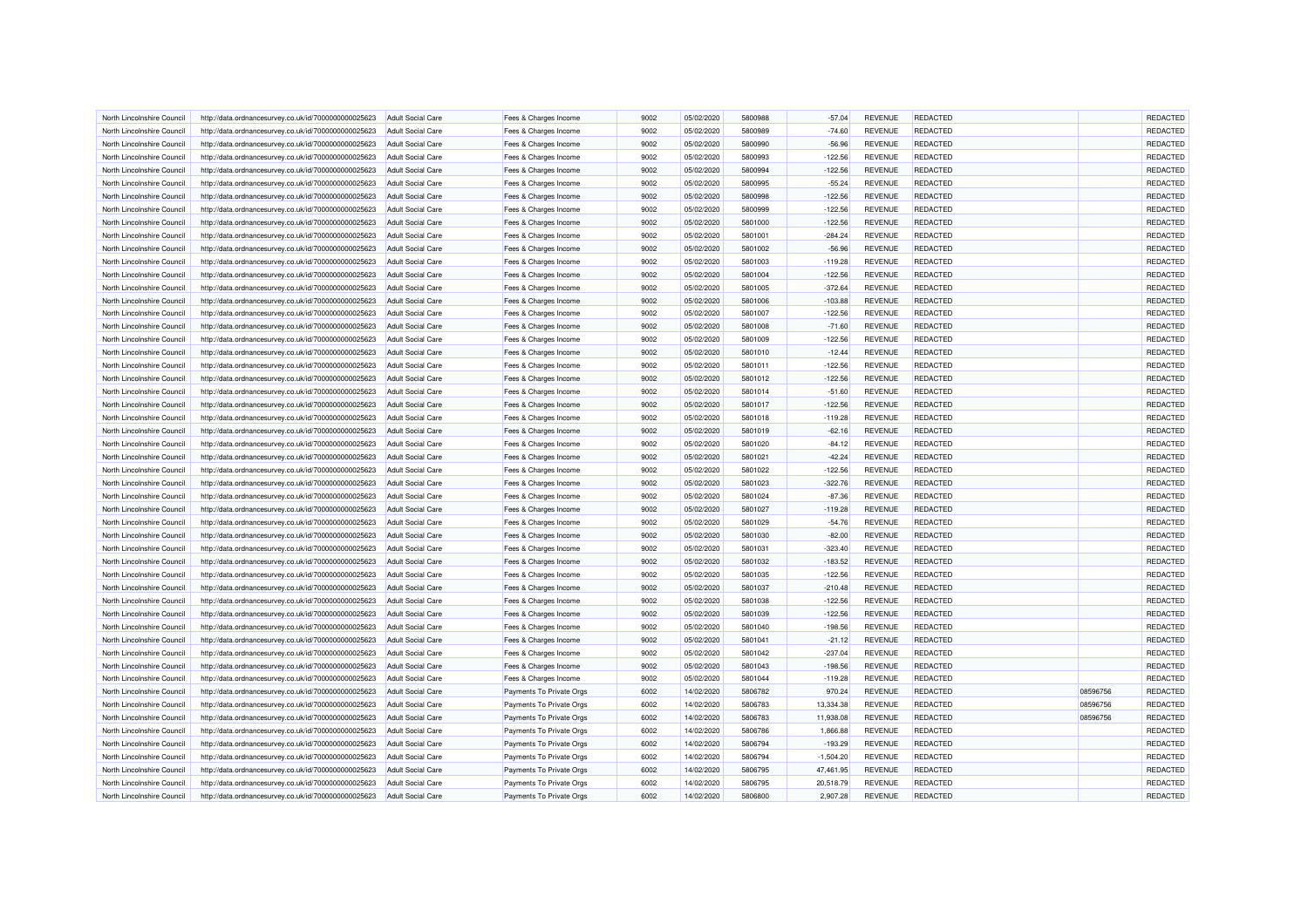| North Lincolnshire Council | http://data.ordnancesurvey.co.uk/id/7000000000025623 | Adult Social Care        | Fees & Charges Income    | 9002 | 05/02/2020 | 5800988 | $-57.04$    | <b>REVENUE</b> | <b>REDACTED</b> |          | REDACTED |
|----------------------------|------------------------------------------------------|--------------------------|--------------------------|------|------------|---------|-------------|----------------|-----------------|----------|----------|
| North Lincolnshire Council | http://data.ordnancesurvey.co.uk/id/7000000000025623 | Adult Social Care        | Fees & Charges Income    | 9002 | 05/02/2020 | 5800989 | $-74.60$    | <b>REVENUE</b> | <b>REDACTED</b> |          | REDACTED |
| North Lincolnshire Council | http://data.ordnancesurvey.co.uk/id/7000000000025623 | <b>Adult Social Care</b> | Fees & Charges Income    | 9002 | 05/02/2020 | 5800990 | $-56.96$    | <b>REVENUE</b> | <b>REDACTED</b> |          | REDACTED |
| North Lincolnshire Council | http://data.ordnancesurvey.co.uk/id/7000000000025623 | Adult Social Care        | Fees & Charges Income    | 9002 | 05/02/2020 | 5800993 | $-122.56$   | <b>REVENUE</b> | REDACTED        |          | REDACTED |
| North Lincolnshire Council | http://data.ordnancesurvey.co.uk/id/7000000000025623 | <b>Adult Social Care</b> | Fees & Charges Income    | 9002 | 05/02/2020 | 5800994 | $-122.56$   | <b>REVENUE</b> | <b>REDACTED</b> |          | REDACTED |
| North Lincolnshire Council | http://data.ordnancesurvey.co.uk/id/7000000000025623 | <b>Adult Social Care</b> | Fees & Charges Income    | 9002 | 05/02/2020 | 5800995 | $-55.24$    | <b>REVENUE</b> | <b>REDACTED</b> |          | REDACTED |
| North Lincolnshire Council | http://data.ordnancesurvey.co.uk/id/7000000000025623 | <b>Adult Social Care</b> | Fees & Charges Income    | 9002 | 05/02/2020 | 5800998 | $-122.56$   | <b>REVENUE</b> | REDACTED        |          | REDACTED |
| North Lincolnshire Council | http://data.ordnancesurvey.co.uk/id/7000000000025623 | <b>Adult Social Care</b> | Fees & Charges Income    | 9002 | 05/02/2020 | 5800999 | $-122.56$   | <b>REVENUE</b> | REDACTED        |          | REDACTED |
| North Lincolnshire Council | http://data.ordnancesurvey.co.uk/id/7000000000025623 | <b>Adult Social Care</b> | Fees & Charges Income    | 9002 | 05/02/2020 | 5801000 | $-122.56$   | <b>REVENUE</b> | REDACTED        |          | REDACTED |
| North Lincolnshire Council | http://data.ordnancesurvey.co.uk/id/7000000000025623 | <b>Adult Social Care</b> | Fees & Charges Income    | 9002 | 05/02/2020 | 5801001 | $-284.24$   | <b>REVENUE</b> | <b>REDACTED</b> |          | REDACTED |
| North Lincolnshire Council | http://data.ordnancesurvey.co.uk/id/7000000000025623 | <b>Adult Social Care</b> | Fees & Charges Income    | 9002 | 05/02/2020 | 5801002 | $-56.96$    | <b>REVENUE</b> | <b>REDACTED</b> |          | REDACTED |
| North Lincolnshire Council | http://data.ordnancesurvey.co.uk/id/7000000000025623 | Adult Social Care        | Fees & Charges Income    | 9002 | 05/02/2020 | 5801003 | $-119.28$   | <b>REVENUE</b> | <b>REDACTED</b> |          | REDACTED |
| North Lincolnshire Council | http://data.ordnancesurvey.co.uk/id/7000000000025623 | <b>Adult Social Care</b> | Fees & Charges Income    | 9002 | 05/02/2020 | 5801004 | $-122.56$   | <b>REVENUE</b> | <b>REDACTED</b> |          | REDACTED |
| North Lincolnshire Council | http://data.ordnancesurvey.co.uk/id/7000000000025623 | <b>Adult Social Care</b> | Fees & Charges Income    | 9002 | 05/02/2020 | 5801005 | $-372.64$   | <b>REVENUE</b> | REDACTED        |          | REDACTED |
| North Lincolnshire Council | http://data.ordnancesurvey.co.uk/id/7000000000025623 | <b>Adult Social Care</b> | Fees & Charges Income    | 9002 | 05/02/2020 | 5801006 | $-103.88$   | <b>REVENUE</b> | REDACTED        |          | REDACTED |
| North Lincolnshire Council | http://data.ordnancesurvey.co.uk/id/7000000000025623 | <b>Adult Social Care</b> | Fees & Charges Income    | 9002 | 05/02/2020 | 5801007 | $-122.56$   | <b>REVENUE</b> | <b>REDACTED</b> |          | REDACTED |
| North Lincolnshire Council | http://data.ordnancesurvey.co.uk/id/7000000000025623 | <b>Adult Social Care</b> | Fees & Charges Income    | 9002 | 05/02/2020 | 5801008 | $-71.60$    | <b>REVENUE</b> | <b>REDACTED</b> |          | REDACTED |
| North Lincolnshire Council | http://data.ordnancesurvey.co.uk/id/7000000000025623 | <b>Adult Social Care</b> | Fees & Charges Income    | 9002 | 05/02/2020 | 5801009 | $-122.56$   | <b>REVENUE</b> | REDACTED        |          | REDACTED |
| North Lincolnshire Council | http://data.ordnancesurvey.co.uk/id/7000000000025623 | <b>Adult Social Care</b> | Fees & Charges Income    | 9002 | 05/02/2020 | 5801010 | $-12.44$    | <b>REVENUE</b> | <b>REDACTED</b> |          | REDACTED |
| North Lincolnshire Council | http://data.ordnancesurvey.co.uk/id/7000000000025623 | <b>Adult Social Care</b> | Fees & Charges Income    | 9002 | 05/02/2020 | 5801011 | $-122.56$   | <b>REVENUE</b> | REDACTED        |          | REDACTED |
| North Lincolnshire Council | http://data.ordnancesurvey.co.uk/id/7000000000025623 | <b>Adult Social Care</b> | Fees & Charges Income    | 9002 | 05/02/2020 | 5801012 | $-122.56$   | <b>REVENUE</b> | <b>REDACTED</b> |          | REDACTED |
| North Lincolnshire Council | http://data.ordnancesurvey.co.uk/id/7000000000025623 | Adult Social Care        | Fees & Charges Income    | 9002 | 05/02/2020 | 5801014 | $-51.60$    | <b>REVENUE</b> | <b>REDACTED</b> |          | REDACTED |
| North Lincolnshire Council | http://data.ordnancesurvey.co.uk/id/7000000000025623 | <b>Adult Social Care</b> | Fees & Charges Income    | 9002 | 05/02/2020 | 5801017 | $-122.56$   | <b>REVENUE</b> | <b>REDACTED</b> |          | REDACTED |
| North Lincolnshire Council | http://data.ordnancesurvey.co.uk/id/7000000000025623 | <b>Adult Social Care</b> | Fees & Charges Income    | 9002 | 05/02/2020 | 5801018 | $-119.28$   | <b>REVENUE</b> | REDACTED        |          | REDACTED |
| North Lincolnshire Council | http://data.ordnancesurvey.co.uk/id/7000000000025623 | Adult Social Care        |                          | 9002 | 05/02/2020 | 5801019 | $-62.16$    | <b>REVENUE</b> | <b>REDACTED</b> |          | REDACTED |
|                            |                                                      |                          | Fees & Charges Income    |      |            |         |             |                |                 |          |          |
| North Lincolnshire Council | http://data.ordnancesurvey.co.uk/id/7000000000025623 | <b>Adult Social Care</b> | Fees & Charges Income    | 9002 | 05/02/2020 | 5801020 | $-84.12$    | <b>REVENUE</b> | <b>REDACTED</b> |          | REDACTED |
| North Lincolnshire Council | http://data.ordnancesurvey.co.uk/id/7000000000025623 | <b>Adult Social Care</b> | Fees & Charges Income    | 9002 | 05/02/2020 | 5801021 | $-42.24$    | <b>REVENUE</b> | <b>REDACTED</b> |          | REDACTED |
| North Lincolnshire Council | http://data.ordnancesurvey.co.uk/id/7000000000025623 | <b>Adult Social Care</b> | Fees & Charges Income    | 9002 | 05/02/2020 | 5801022 | $-122.56$   | <b>REVENUE</b> | REDACTED        |          | REDACTED |
| North Lincolnshire Council | http://data.ordnancesurvey.co.uk/id/7000000000025623 | <b>Adult Social Care</b> | Fees & Charges Income    | 9002 | 05/02/2020 | 5801023 | $-322.76$   | <b>REVENUE</b> | <b>REDACTED</b> |          | REDACTED |
| North Lincolnshire Council | http://data.ordnancesurvey.co.uk/id/7000000000025623 | Adult Social Care        | Fees & Charges Income    | 9002 | 05/02/2020 | 5801024 | $-87.36$    | <b>REVENUE</b> | <b>REDACTED</b> |          | REDACTED |
| North Lincolnshire Council | http://data.ordnancesurvey.co.uk/id/7000000000025623 | <b>Adult Social Care</b> | Fees & Charges Income    | 9002 | 05/02/2020 | 5801027 | $-119.28$   | <b>REVENUE</b> | REDACTED        |          | REDACTED |
| North Lincolnshire Council | http://data.ordnancesurvey.co.uk/id/7000000000025623 | <b>Adult Social Care</b> | Fees & Charges Income    | 9002 | 05/02/2020 | 5801029 | $-54.76$    | <b>REVENUE</b> | <b>REDACTED</b> |          | REDACTED |
| North Lincolnshire Council | http://data.ordnancesurvey.co.uk/id/7000000000025623 | Adult Social Care        | Fees & Charges Income    | 9002 | 05/02/2020 | 5801030 | $-82.00$    | <b>REVENUE</b> | <b>REDACTED</b> |          | REDACTED |
| North Lincolnshire Council | http://data.ordnancesurvey.co.uk/id/7000000000025623 | <b>Adult Social Care</b> | Fees & Charges Income    | 9002 | 05/02/2020 | 5801031 | $-323.40$   | <b>REVENUE</b> | <b>REDACTED</b> |          | REDACTED |
| North Lincolnshire Council | http://data.ordnancesurvey.co.uk/id/7000000000025623 | <b>Adult Social Care</b> | Fees & Charges Income    | 9002 | 05/02/2020 | 5801032 | $-183.52$   | <b>REVENUE</b> | <b>REDACTED</b> |          | REDACTED |
| North Lincolnshire Council | http://data.ordnancesurvey.co.uk/id/7000000000025623 | Adult Social Care        | Fees & Charges Income    | 9002 | 05/02/2020 | 5801035 | $-122.56$   | <b>REVENUE</b> | <b>REDACTED</b> |          | REDACTED |
| North Lincolnshire Council | http://data.ordnancesurvey.co.uk/id/7000000000025623 | <b>Adult Social Care</b> | Fees & Charges Income    | 9002 | 05/02/2020 | 5801037 | $-210.48$   | <b>REVENUE</b> | <b>REDACTED</b> |          | REDACTED |
| North Lincolnshire Council | http://data.ordnancesurvey.co.uk/id/7000000000025623 | <b>Adult Social Care</b> | Fees & Charges Income    | 9002 | 05/02/2020 | 5801038 | $-122.56$   | <b>REVENUE</b> | <b>REDACTED</b> |          | REDACTED |
| North Lincolnshire Council | http://data.ordnancesurvey.co.uk/id/7000000000025623 | <b>Adult Social Care</b> | Fees & Charges Income    | 9002 | 05/02/2020 | 5801039 | $-122.56$   | <b>REVENUE</b> | REDACTED        |          | REDACTED |
| North Lincolnshire Council | http://data.ordnancesurvey.co.uk/id/7000000000025623 | <b>Adult Social Care</b> | Fees & Charges Income    | 9002 | 05/02/2020 | 5801040 | $-198.56$   | <b>REVENUE</b> | <b>REDACTED</b> |          | REDACTED |
| North Lincolnshire Council | http://data.ordnancesurvey.co.uk/id/7000000000025623 | <b>Adult Social Care</b> | Fees & Charges Income    | 9002 | 05/02/2020 | 5801041 | $-21.12$    | <b>REVENUE</b> | REDACTED        |          | REDACTED |
| North Lincolnshire Council | http://data.ordnancesurvey.co.uk/id/7000000000025623 | <b>Adult Social Care</b> | Fees & Charges Income    | 9002 | 05/02/2020 | 5801042 | $-237.04$   | <b>REVENUE</b> | <b>REDACTED</b> |          | REDACTED |
| North Lincolnshire Council | http://data.ordnancesurvey.co.uk/id/7000000000025623 | <b>Adult Social Care</b> | Fees & Charges Income    | 9002 | 05/02/2020 | 5801043 | $-198.56$   | <b>REVENUE</b> | <b>REDACTED</b> |          | REDACTED |
| North Lincolnshire Council | http://data.ordnancesurvey.co.uk/id/7000000000025623 | Adult Social Care        | Fees & Charges Income    | 9002 | 05/02/2020 | 5801044 | $-119.28$   | <b>REVENUE</b> | <b>REDACTED</b> |          | REDACTED |
| North Lincolnshire Council | http://data.ordnancesurvey.co.uk/id/7000000000025623 | <b>Adult Social Care</b> | Payments To Private Orgs | 6002 | 14/02/2020 | 5806782 | 970.24      | <b>REVENUE</b> | <b>REDACTED</b> | 08596756 | REDACTED |
| North Lincolnshire Council | http://data.ordnancesurvey.co.uk/id/7000000000025623 | <b>Adult Social Care</b> | Payments To Private Orgs | 6002 | 14/02/2020 | 5806783 | 13,334.38   | <b>REVENUE</b> | <b>REDACTED</b> | 08596756 | REDACTED |
| North Lincolnshire Council | http://data.ordnancesurvey.co.uk/id/7000000000025623 | <b>Adult Social Care</b> | Payments To Private Orgs | 6002 | 14/02/2020 | 5806783 | 11,938.08   | <b>REVENUE</b> | <b>REDACTED</b> | 08596756 | REDACTED |
| North Lincolnshire Council | http://data.ordnancesurvey.co.uk/id/7000000000025623 | <b>Adult Social Care</b> | Payments To Private Orgs | 6002 | 14/02/2020 | 5806786 | 1,866.88    | <b>REVENUE</b> | <b>REDACTED</b> |          | REDACTED |
| North Lincolnshire Council | http://data.ordnancesurvey.co.uk/id/7000000000025623 | <b>Adult Social Care</b> | Payments To Private Orgs | 6002 | 14/02/2020 | 5806794 | $-193.29$   | <b>REVENUE</b> | <b>REDACTED</b> |          | REDACTED |
| North Lincolnshire Council | http://data.ordnancesurvey.co.uk/id/7000000000025623 | <b>Adult Social Care</b> | Payments To Private Orgs | 6002 | 14/02/2020 | 5806794 | $-1,504.20$ | <b>REVENUE</b> | <b>REDACTED</b> |          | REDACTED |
| North Lincolnshire Council | http://data.ordnancesurvey.co.uk/id/7000000000025623 | <b>Adult Social Care</b> | Payments To Private Orgs | 6002 | 14/02/2020 | 5806795 | 47,461.95   | <b>REVENUE</b> | REDACTED        |          | REDACTED |
| North Lincolnshire Council | http://data.ordnancesurvey.co.uk/id/7000000000025623 | <b>Adult Social Care</b> | Payments To Private Orgs | 6002 | 14/02/2020 | 5806795 | 20,518.79   | <b>REVENUE</b> | <b>REDACTED</b> |          | REDACTED |
| North Lincolnshire Council | http://data.ordnancesurvey.co.uk/id/7000000000025623 | <b>Adult Social Care</b> | Payments To Private Orgs | 6002 | 14/02/2020 | 5806800 | 2,907.28    | <b>REVENUE</b> | <b>REDACTED</b> |          | REDACTED |
|                            |                                                      |                          |                          |      |            |         |             |                |                 |          |          |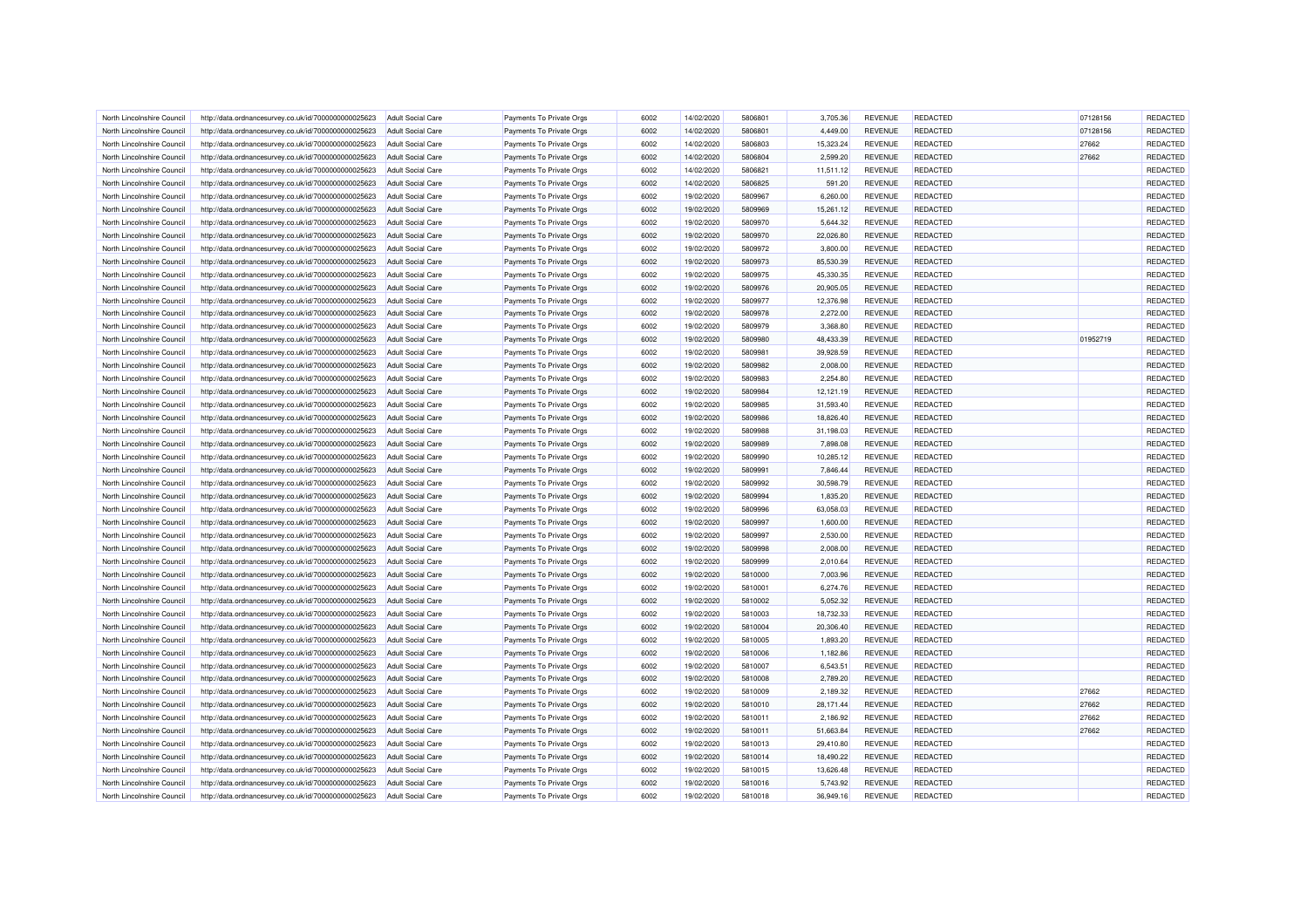| North Lincolnshire Council | http://data.ordnancesurvey.co.uk/id/7000000000025623 | <b>Adult Social Care</b> | Payments To Private Orgs | 6002 | 14/02/2020 | 5806801 | 3,705.36  | <b>REVENUE</b> | <b>REDACTED</b> | 07128156 | REDACTED |
|----------------------------|------------------------------------------------------|--------------------------|--------------------------|------|------------|---------|-----------|----------------|-----------------|----------|----------|
| North Lincolnshire Council | http://data.ordnancesurvey.co.uk/id/7000000000025623 | <b>Adult Social Care</b> | Payments To Private Orgs | 6002 | 14/02/2020 | 5806801 | 4,449.00  | <b>REVENUE</b> | <b>REDACTED</b> | 07128156 | REDACTED |
| North Lincolnshire Council | http://data.ordnancesurvey.co.uk/id/7000000000025623 | <b>Adult Social Care</b> | Payments To Private Orgs | 6002 | 14/02/2020 | 5806803 | 15,323.24 | <b>REVENUE</b> | <b>REDACTED</b> | 27662    | REDACTED |
|                            |                                                      |                          |                          |      |            | 5806804 |           |                |                 |          |          |
| North Lincolnshire Council | http://data.ordnancesurvey.co.uk/id/7000000000025623 | <b>Adult Social Care</b> | Payments To Private Orgs | 6002 | 14/02/2020 |         | 2,599.20  | <b>REVENUE</b> | <b>REDACTED</b> | 27662    | REDACTED |
| North Lincolnshire Council | http://data.ordnancesurvey.co.uk/id/7000000000025623 | <b>Adult Social Care</b> | Payments To Private Orgs | 6002 | 14/02/2020 | 5806821 | 11,511.12 | <b>REVENUE</b> | <b>REDACTED</b> |          | REDACTED |
| North Lincolnshire Council | http://data.ordnancesurvey.co.uk/id/7000000000025623 | <b>Adult Social Care</b> | Payments To Private Orgs | 6002 | 14/02/2020 | 5806825 | 591.20    | <b>REVENUE</b> | <b>REDACTED</b> |          | REDACTED |
| North Lincolnshire Council | http://data.ordnancesurvey.co.uk/id/7000000000025623 | <b>Adult Social Care</b> | Payments To Private Orgs | 6002 | 19/02/2020 | 5809967 | 6,260.00  | <b>REVENUE</b> | <b>REDACTED</b> |          | REDACTED |
| North Lincolnshire Council | http://data.ordnancesurvey.co.uk/id/7000000000025623 | <b>Adult Social Care</b> | Payments To Private Orgs | 6002 | 19/02/2020 | 5809969 | 15,261.12 | <b>REVENUE</b> | <b>REDACTED</b> |          | REDACTED |
| North Lincolnshire Council | http://data.ordnancesurvey.co.uk/id/7000000000025623 | <b>Adult Social Care</b> | Payments To Private Orgs | 6002 | 19/02/2020 | 5809970 | 5.644.32  | <b>REVENUE</b> | REDACTED        |          | REDACTED |
| North Lincolnshire Council | http://data.ordnancesurvey.co.uk/id/7000000000025623 | <b>Adult Social Care</b> | Payments To Private Orgs | 6002 | 19/02/2020 | 5809970 | 22,026.80 | <b>REVENUE</b> | REDACTED        |          | REDACTED |
| North Lincolnshire Council | http://data.ordnancesurvey.co.uk/id/7000000000025623 | <b>Adult Social Care</b> | Payments To Private Orgs | 6002 | 19/02/2020 | 5809972 | 3.800.00  | <b>REVENUE</b> | <b>REDACTED</b> |          | REDACTED |
| North Lincolnshire Council | http://data.ordnancesurvey.co.uk/id/7000000000025623 | <b>Adult Social Care</b> | Payments To Private Orgs | 6002 | 19/02/2020 | 5809973 | 85,530.39 | <b>REVENUE</b> | <b>REDACTED</b> |          | REDACTED |
| North Lincolnshire Council | http://data.ordnancesurvey.co.uk/id/7000000000025623 | <b>Adult Social Care</b> | Payments To Private Orgs | 6002 | 19/02/2020 | 5809975 | 45,330.35 | <b>REVENUE</b> | <b>REDACTED</b> |          | REDACTED |
| North Lincolnshire Council | http://data.ordnancesurvey.co.uk/id/7000000000025623 | <b>Adult Social Care</b> | Payments To Private Orgs | 6002 | 19/02/2020 | 5809976 | 20,905.05 | <b>REVENUE</b> | <b>REDACTED</b> |          | REDACTED |
| North Lincolnshire Council | http://data.ordnancesurvey.co.uk/id/7000000000025623 | <b>Adult Social Care</b> | Payments To Private Orgs | 6002 | 19/02/2020 | 5809977 | 12,376.98 | <b>REVENUE</b> | <b>REDACTED</b> |          | REDACTED |
| North Lincolnshire Council | http://data.ordnancesurvey.co.uk/id/7000000000025623 | <b>Adult Social Care</b> | Payments To Private Orgs | 6002 | 19/02/2020 | 5809978 | 2,272.00  | <b>REVENUE</b> | <b>REDACTED</b> |          | REDACTED |
| North Lincolnshire Council | http://data.ordnancesurvey.co.uk/id/7000000000025623 | <b>Adult Social Care</b> | Payments To Private Orgs | 6002 | 19/02/2020 | 5809979 | 3,368.80  | <b>REVENUE</b> | <b>REDACTED</b> |          | REDACTED |
| North Lincolnshire Council | http://data.ordnancesurvey.co.uk/id/7000000000025623 | <b>Adult Social Care</b> | Payments To Private Orgs | 6002 | 19/02/2020 | 5809980 | 48,433.39 | <b>REVENUE</b> | <b>REDACTED</b> | 01952719 | REDACTED |
| North Lincolnshire Council | http://data.ordnancesurvey.co.uk/id/7000000000025623 | <b>Adult Social Care</b> | Payments To Private Orgs | 6002 | 19/02/2020 | 5809981 | 39,928.59 | <b>REVENUE</b> | <b>REDACTED</b> |          | REDACTED |
| North Lincolnshire Council | http://data.ordnancesurvey.co.uk/id/7000000000025623 | <b>Adult Social Care</b> | Payments To Private Orgs | 6002 | 19/02/2020 | 5809982 | 2,008.00  | <b>REVENUE</b> | <b>REDACTED</b> |          | REDACTED |
| North Lincolnshire Council | http://data.ordnancesurvey.co.uk/id/7000000000025623 | <b>Adult Social Care</b> | Payments To Private Orgs | 6002 | 19/02/2020 | 5809983 | 2,254.80  | <b>REVENUE</b> | <b>REDACTED</b> |          | REDACTED |
| North Lincolnshire Council | http://data.ordnancesurvey.co.uk/id/7000000000025623 | <b>Adult Social Care</b> | Payments To Private Orgs | 6002 | 19/02/2020 | 5809984 | 12,121.19 | <b>REVENUE</b> | <b>REDACTED</b> |          | REDACTED |
|                            |                                                      |                          |                          |      |            |         |           |                |                 |          |          |
| North Lincolnshire Council | http://data.ordnancesurvey.co.uk/id/7000000000025623 | <b>Adult Social Care</b> | Payments To Private Orgs | 6002 | 19/02/2020 | 5809985 | 31,593.40 | <b>REVENUE</b> | <b>REDACTED</b> |          | REDACTED |
| North Lincolnshire Council | http://data.ordnancesurvey.co.uk/id/7000000000025623 | <b>Adult Social Care</b> | Payments To Private Orgs | 6002 | 19/02/2020 | 5809986 | 18,826.40 | <b>REVENUE</b> | <b>REDACTED</b> |          | REDACTED |
| North Lincolnshire Council | http://data.ordnancesurvey.co.uk/id/7000000000025623 | <b>Adult Social Care</b> | Payments To Private Orgs | 6002 | 19/02/2020 | 5809988 | 31,198.03 | <b>REVENUE</b> | REDACTED        |          | REDACTED |
| North Lincolnshire Council | http://data.ordnancesurvey.co.uk/id/7000000000025623 | <b>Adult Social Care</b> | Payments To Private Orgs | 6002 | 19/02/2020 | 5809989 | 7,898.08  | <b>REVENUE</b> | <b>REDACTED</b> |          | REDACTED |
| North Lincolnshire Council | http://data.ordnancesurvey.co.uk/id/7000000000025623 | <b>Adult Social Care</b> | Payments To Private Orgs | 6002 | 19/02/2020 | 5809990 | 10,285.12 | <b>REVENUE</b> | <b>REDACTED</b> |          | REDACTED |
| North Lincolnshire Council | http://data.ordnancesurvey.co.uk/id/7000000000025623 | <b>Adult Social Care</b> | Payments To Private Orgs | 6002 | 19/02/2020 | 5809991 | 7,846.44  | <b>REVENUE</b> | <b>REDACTED</b> |          | REDACTED |
| North Lincolnshire Council | http://data.ordnancesurvey.co.uk/id/7000000000025623 | <b>Adult Social Care</b> | Payments To Private Orgs | 6002 | 19/02/2020 | 5809992 | 30,598.79 | <b>REVENUE</b> | <b>REDACTED</b> |          | REDACTED |
| North Lincolnshire Council | http://data.ordnancesurvey.co.uk/id/7000000000025623 | <b>Adult Social Care</b> | Payments To Private Orgs | 6002 | 19/02/2020 | 5809994 | 1,835.20  | <b>REVENUE</b> | <b>REDACTED</b> |          | REDACTED |
| North Lincolnshire Council | http://data.ordnancesurvey.co.uk/id/7000000000025623 | <b>Adult Social Care</b> | Payments To Private Orgs | 6002 | 19/02/2020 | 5809996 | 63,058.03 | <b>REVENUE</b> | REDACTED        |          | REDACTED |
| North Lincolnshire Council | http://data.ordnancesurvey.co.uk/id/7000000000025623 | <b>Adult Social Care</b> | Payments To Private Orgs | 6002 | 19/02/2020 | 5809997 | 1,600.00  | <b>REVENUE</b> | REDACTED        |          | REDACTED |
| North Lincolnshire Council | http://data.ordnancesurvey.co.uk/id/7000000000025623 | <b>Adult Social Care</b> | Payments To Private Orgs | 6002 | 19/02/2020 | 5809997 | 2,530.00  | <b>REVENUE</b> | <b>REDACTED</b> |          | REDACTED |
| North Lincolnshire Council | http://data.ordnancesurvey.co.uk/id/7000000000025623 | <b>Adult Social Care</b> | Payments To Private Orgs | 6002 | 19/02/2020 | 5809998 | 2,008.00  | <b>REVENUE</b> | <b>REDACTED</b> |          | REDACTED |
| North Lincolnshire Council | http://data.ordnancesurvey.co.uk/id/7000000000025623 | Adult Social Care        | Payments To Private Orgs | 6002 | 19/02/2020 | 5809999 | 2,010.64  | <b>REVENUE</b> | REDACTED        |          | REDACTED |
| North Lincolnshire Council | http://data.ordnancesurvey.co.uk/id/7000000000025623 | Adult Social Care        | Payments To Private Orgs | 6002 | 19/02/2020 | 5810000 | 7.003.96  | <b>REVENUE</b> | REDACTED        |          | REDACTED |
| North Lincolnshire Council | http://data.ordnancesurvey.co.uk/id/7000000000025623 | <b>Adult Social Care</b> | Payments To Private Orgs | 6002 | 19/02/2020 | 5810001 | 6,274.76  | <b>REVENUE</b> | REDACTED        |          | REDACTED |
| North Lincolnshire Council | http://data.ordnancesurvey.co.uk/id/7000000000025623 | <b>Adult Social Care</b> | Payments To Private Orgs | 6002 | 19/02/2020 | 5810002 | 5.052.32  | <b>REVENUE</b> | <b>REDACTED</b> |          | REDACTED |
| North Lincolnshire Council | http://data.ordnancesurvey.co.uk/id/7000000000025623 | <b>Adult Social Care</b> | Payments To Private Orgs | 6002 | 19/02/2020 | 5810003 | 18,732.33 | <b>REVENUE</b> | REDACTED        |          | REDACTED |
| North Lincolnshire Council | http://data.ordnancesurvey.co.uk/id/7000000000025623 | Adult Social Care        | Payments To Private Orgs | 6002 | 19/02/2020 | 5810004 | 20,306.40 | <b>REVENUE</b> | <b>REDACTED</b> |          | REDACTED |
| North Lincolnshire Council | http://data.ordnancesurvey.co.uk/id/7000000000025623 | <b>Adult Social Care</b> | Payments To Private Orgs | 6002 | 19/02/2020 | 5810005 | 1,893.20  | <b>REVENUE</b> | REDACTED        |          | REDACTED |
| North Lincolnshire Council | http://data.ordnancesurvey.co.uk/id/7000000000025623 | <b>Adult Social Care</b> | Payments To Private Orgs | 6002 | 19/02/2020 | 5810006 | 1,182.86  | <b>REVENUE</b> | <b>REDACTED</b> |          | REDACTED |
| North Lincolnshire Council | http://data.ordnancesurvey.co.uk/id/7000000000025623 | Adult Social Care        | Payments To Private Orgs | 6002 | 19/02/2020 | 5810007 | 6,543.51  | <b>REVENUE</b> | <b>REDACTED</b> |          | REDACTED |
| North Lincolnshire Council | http://data.ordnancesurvey.co.uk/id/7000000000025623 | <b>Adult Social Care</b> | Payments To Private Orgs | 6002 | 19/02/2020 | 5810008 | 2,789.20  | <b>REVENUE</b> | <b>REDACTED</b> |          | REDACTED |
|                            |                                                      |                          |                          |      |            | 5810009 |           |                |                 |          |          |
| North Lincolnshire Council | http://data.ordnancesurvey.co.uk/id/7000000000025623 | <b>Adult Social Care</b> | Payments To Private Orgs | 6002 | 19/02/2020 |         | 2,189.32  | <b>REVENUE</b> | <b>REDACTED</b> | 27662    | REDACTED |
| North Lincolnshire Council | http://data.ordnancesurvey.co.uk/id/7000000000025623 | <b>Adult Social Care</b> | Payments To Private Orgs | 6002 | 19/02/2020 | 5810010 | 28,171.44 | <b>REVENUE</b> | <b>REDACTED</b> | 27662    | REDACTED |
| North Lincolnshire Council | http://data.ordnancesurvey.co.uk/id/7000000000025623 | <b>Adult Social Care</b> | Payments To Private Orgs | 6002 | 19/02/2020 | 5810011 | 2,186.92  | <b>REVENUE</b> | <b>REDACTED</b> | 27662    | REDACTED |
| North Lincolnshire Council | http://data.ordnancesurvey.co.uk/id/7000000000025623 | <b>Adult Social Care</b> | Payments To Private Orgs | 6002 | 19/02/2020 | 5810011 | 51,663.84 | <b>REVENUE</b> | <b>REDACTED</b> | 27662    | REDACTED |
| North Lincolnshire Council | http://data.ordnancesurvey.co.uk/id/7000000000025623 | <b>Adult Social Care</b> | Payments To Private Orgs | 6002 | 19/02/2020 | 5810013 | 29,410.80 | <b>REVENUE</b> | <b>REDACTED</b> |          | REDACTED |
| North Lincolnshire Council | http://data.ordnancesurvey.co.uk/id/7000000000025623 | <b>Adult Social Care</b> | Payments To Private Orgs | 6002 | 19/02/2020 | 5810014 | 18,490.22 | <b>REVENUE</b> | <b>REDACTED</b> |          | REDACTED |
| North Lincolnshire Council | http://data.ordnancesurvey.co.uk/id/7000000000025623 | Adult Social Care        | Payments To Private Orgs | 6002 | 19/02/2020 | 5810015 | 13,626.48 | <b>REVENUE</b> | REDACTED        |          | REDACTED |
| North Lincolnshire Council | http://data.ordnancesurvey.co.uk/id/7000000000025623 | <b>Adult Social Care</b> | Payments To Private Orgs | 6002 | 19/02/2020 | 5810016 | 5,743.92  | <b>REVENUE</b> | REDACTED        |          | REDACTED |
| North Lincolnshire Council | http://data.ordnancesurvey.co.uk/id/7000000000025623 | Adult Social Care        | Payments To Private Orgs | 6002 | 19/02/2020 | 5810018 | 36,949.16 | <b>REVENUE</b> | REDACTED        |          | REDACTED |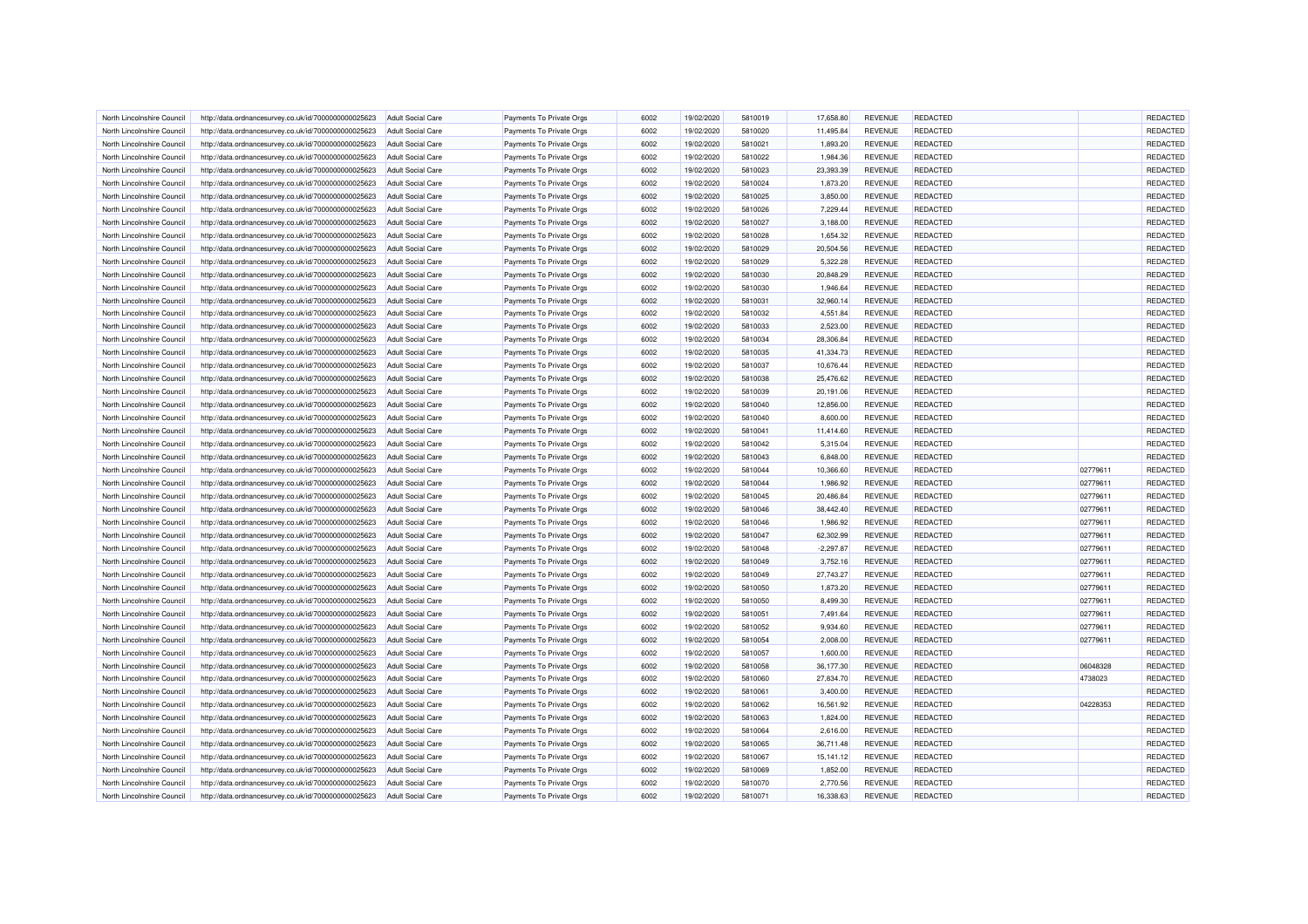| North Lincolnshire Council | http://data.ordnancesurvey.co.uk/id/7000000000025623 | <b>Adult Social Care</b> | Payments To Private Orgs | 6002 | 19/02/2020 | 5810019 | 17.658.80   | <b>REVENUE</b> | <b>REDACTED</b> |          | REDACTED |
|----------------------------|------------------------------------------------------|--------------------------|--------------------------|------|------------|---------|-------------|----------------|-----------------|----------|----------|
|                            |                                                      |                          |                          |      |            |         |             |                |                 |          |          |
| North Lincolnshire Council | http://data.ordnancesurvey.co.uk/id/7000000000025623 | <b>Adult Social Care</b> | Payments To Private Orgs | 6002 | 19/02/2020 | 5810020 | 11,495.84   | REVENUE        | <b>REDACTED</b> |          | REDACTED |
| North Lincolnshire Council | http://data.ordnancesurvey.co.uk/id/7000000000025623 | <b>Adult Social Care</b> | Payments To Private Orgs | 6002 | 19/02/2020 | 5810021 | 1,893.20    | <b>REVENUE</b> | REDACTED        |          | REDACTED |
| North Lincolnshire Council | http://data.ordnancesurvey.co.uk/id/7000000000025623 | Adult Social Care        | Payments To Private Orgs | 6002 | 19/02/2020 | 5810022 | 1,984.36    | <b>REVENUE</b> | <b>REDACTED</b> |          | REDACTED |
| North Lincolnshire Council | http://data.ordnancesurvey.co.uk/id/7000000000025623 | <b>Adult Social Care</b> | Payments To Private Orgs | 6002 | 19/02/2020 | 5810023 | 23,393.39   | <b>REVENUE</b> | REDACTED        |          | REDACTED |
| North Lincolnshire Council | http://data.ordnancesurvey.co.uk/id/7000000000025623 | <b>Adult Social Care</b> | Payments To Private Orgs | 6002 | 19/02/2020 | 5810024 | 1,873.20    | REVENUE        | REDACTED        |          | REDACTED |
| North Lincolnshire Council | http://data.ordnancesurvey.co.uk/id/7000000000025623 | <b>Adult Social Care</b> | Payments To Private Orgs | 6002 | 19/02/2020 | 5810025 | 3,850.00    | <b>REVENUE</b> | <b>REDACTED</b> |          | REDACTED |
| North Lincolnshire Council | http://data.ordnancesurvey.co.uk/id/7000000000025623 | <b>Adult Social Care</b> | Payments To Private Orgs | 6002 | 19/02/2020 | 5810026 | 7,229.44    | REVENUE        | REDACTED        |          | REDACTED |
| North Lincolnshire Council | http://data.ordnancesurvey.co.uk/id/7000000000025623 | <b>Adult Social Care</b> | Payments To Private Orgs | 6002 | 19/02/2020 | 5810027 | 3,188.00    | <b>REVENUE</b> | <b>REDACTED</b> |          | REDACTED |
| North Lincolnshire Council | http://data.ordnancesurvey.co.uk/id/7000000000025623 | <b>Adult Social Care</b> | Payments To Private Orgs | 6002 | 19/02/2020 | 5810028 | 1,654.32    | <b>REVENUE</b> | REDACTED        |          | REDACTED |
| North Lincolnshire Council | http://data.ordnancesurvey.co.uk/id/7000000000025623 | <b>Adult Social Care</b> | Payments To Private Orgs | 6002 | 19/02/2020 | 5810029 | 20,504.56   | <b>REVENUE</b> | REDACTED        |          | REDACTED |
| North Lincolnshire Council | http://data.ordnancesurvey.co.uk/id/7000000000025623 | Adult Social Care        | Payments To Private Orgs | 6002 | 19/02/2020 | 5810029 | 5.322.28    | <b>REVENUE</b> | <b>REDACTED</b> |          | REDACTED |
| North Lincolnshire Council | http://data.ordnancesurvey.co.uk/id/7000000000025623 | <b>Adult Social Care</b> | Payments To Private Orgs | 6002 | 19/02/2020 | 5810030 | 20,848.29   | <b>REVENUE</b> | REDACTED        |          | REDACTED |
| North Lincolnshire Council | http://data.ordnancesurvey.co.uk/id/7000000000025623 | <b>Adult Social Care</b> | Payments To Private Orgs | 6002 | 19/02/2020 | 5810030 | 1,946.64    | <b>REVENUE</b> | <b>REDACTED</b> |          | REDACTED |
| North Lincolnshire Council | http://data.ordnancesurvey.co.uk/id/7000000000025623 | <b>Adult Social Care</b> | Payments To Private Orgs | 6002 | 19/02/2020 | 5810031 | 32,960.14   | REVENUE        | REDACTED        |          | REDACTED |
| North Lincolnshire Council | http://data.ordnancesurvey.co.uk/id/7000000000025623 | <b>Adult Social Care</b> | Payments To Private Orgs | 6002 | 19/02/2020 | 5810032 | 4,551.84    | REVENUE        | REDACTED        |          | REDACTED |
| North Lincolnshire Council | http://data.ordnancesurvey.co.uk/id/7000000000025623 | <b>Adult Social Care</b> | Payments To Private Orgs | 6002 | 19/02/2020 | 5810033 | 2,523.00    | <b>REVENUE</b> | REDACTED        |          | REDACTED |
| North Lincolnshire Council | http://data.ordnancesurvey.co.uk/id/7000000000025623 | <b>Adult Social Care</b> | Payments To Private Orgs | 6002 | 19/02/2020 | 5810034 | 28,306.84   | <b>REVENUE</b> | REDACTED        |          | REDACTED |
| North Lincolnshire Council | http://data.ordnancesurvey.co.uk/id/7000000000025623 | <b>Adult Social Care</b> | Payments To Private Orgs | 6002 | 19/02/2020 | 5810035 | 41,334.73   | <b>REVENUE</b> | <b>REDACTED</b> |          | REDACTED |
| North Lincolnshire Council | http://data.ordnancesurvey.co.uk/id/7000000000025623 | <b>Adult Social Care</b> | Payments To Private Orgs | 6002 | 19/02/2020 | 5810037 | 10,676.44   | REVENUE        | <b>REDACTED</b> |          | REDACTED |
| North Lincolnshire Council | http://data.ordnancesurvey.co.uk/id/7000000000025623 | <b>Adult Social Care</b> | Payments To Private Orgs | 6002 | 19/02/2020 | 5810038 | 25,476.62   | <b>REVENUE</b> | REDACTED        |          | REDACTED |
| North Lincolnshire Council | http://data.ordnancesurvey.co.uk/id/7000000000025623 | <b>Adult Social Care</b> | Payments To Private Orgs | 6002 | 19/02/2020 | 5810039 | 20,191.06   | <b>REVENUE</b> | <b>REDACTED</b> |          | REDACTED |
| North Lincolnshire Council | http://data.ordnancesurvey.co.uk/id/7000000000025623 | <b>Adult Social Care</b> | Payments To Private Orgs | 6002 | 19/02/2020 | 5810040 | 12,856.00   | REVENUE        | <b>REDACTED</b> |          | REDACTED |
| North Lincolnshire Council | http://data.ordnancesurvey.co.uk/id/7000000000025623 | <b>Adult Social Care</b> | Payments To Private Orgs | 6002 | 19/02/2020 | 5810040 | 8,600.00    | <b>REVENUE</b> | <b>REDACTED</b> |          | REDACTED |
| North Lincolnshire Council | http://data.ordnancesurvey.co.uk/id/7000000000025623 | <b>Adult Social Care</b> | Payments To Private Orgs | 6002 | 19/02/2020 | 5810041 | 11,414.60   | <b>REVENUE</b> | <b>REDACTED</b> |          | REDACTED |
| North Lincolnshire Council | http://data.ordnancesurvey.co.uk/id/7000000000025623 | <b>Adult Social Care</b> | Payments To Private Orgs | 6002 | 19/02/2020 | 5810042 | 5,315.04    | REVENUE        | <b>REDACTED</b> |          | REDACTED |
| North Lincolnshire Council | http://data.ordnancesurvey.co.uk/id/7000000000025623 | <b>Adult Social Care</b> | Payments To Private Orgs | 6002 | 19/02/2020 | 5810043 | 6,848.00    | <b>REVENUE</b> | REDACTED        |          | REDACTED |
| North Lincolnshire Council | http://data.ordnancesurvey.co.uk/id/7000000000025623 | <b>Adult Social Care</b> | Payments To Private Orgs | 6002 | 19/02/2020 | 5810044 | 10,366.60   | REVENUE        | <b>REDACTED</b> | 02779611 | REDACTED |
|                            |                                                      |                          |                          | 6002 |            |         |             |                |                 |          | REDACTED |
| North Lincolnshire Council | http://data.ordnancesurvey.co.uk/id/7000000000025623 | <b>Adult Social Care</b> | Payments To Private Orgs |      | 19/02/2020 | 5810044 | 1,986.92    | <b>REVENUE</b> | <b>REDACTED</b> | 02779611 |          |
| North Lincolnshire Council | http://data.ordnancesurvey.co.uk/id/7000000000025623 | <b>Adult Social Care</b> | Payments To Private Orgs | 6002 | 19/02/2020 | 5810045 | 20,486.84   | REVENUE        | REDACTED        | 02779611 | REDACTED |
| North Lincolnshire Council | http://data.ordnancesurvey.co.uk/id/7000000000025623 | <b>Adult Social Care</b> | Payments To Private Orgs | 6002 | 19/02/2020 | 5810046 | 38,442.40   | REVENUE        | <b>REDACTED</b> | 02779611 | REDACTED |
| North Lincolnshire Council | http://data.ordnancesurvey.co.uk/id/7000000000025623 | <b>Adult Social Care</b> | Payments To Private Orgs | 6002 | 19/02/2020 | 5810046 | 1,986.92    | <b>REVENUE</b> | REDACTED        | 02779611 | REDACTED |
| North Lincolnshire Council | http://data.ordnancesurvey.co.uk/id/7000000000025623 | <b>Adult Social Care</b> | Payments To Private Orgs | 6002 | 19/02/2020 | 5810047 | 62.302.99   | <b>REVENUE</b> | REDACTED        | 02779611 | REDACTED |
| North Lincolnshire Council | http://data.ordnancesurvey.co.uk/id/7000000000025623 | <b>Adult Social Care</b> | Payments To Private Orgs | 6002 | 19/02/2020 | 5810048 | $-2,297.87$ | REVENUE        | <b>REDACTED</b> | 02779611 | REDACTED |
| North Lincolnshire Council | http://data.ordnancesurvey.co.uk/id/7000000000025623 | <b>Adult Social Care</b> | Payments To Private Orgs | 6002 | 19/02/2020 | 5810049 | 3,752.16    | <b>REVENUE</b> | REDACTED        | 02779611 | REDACTED |
| North Lincolnshire Council | http://data.ordnancesurvey.co.uk/id/7000000000025623 | <b>Adult Social Care</b> | Payments To Private Orgs | 6002 | 19/02/2020 | 5810049 | 27,743.27   | <b>REVENUE</b> | <b>REDACTED</b> | 02779611 | REDACTED |
| North Lincolnshire Council | http://data.ordnancesurvey.co.uk/id/7000000000025623 | <b>Adult Social Care</b> | Payments To Private Orgs | 6002 | 19/02/2020 | 5810050 | 1,873.20    | <b>REVENUE</b> | REDACTED        | 02779611 | REDACTED |
| North Lincolnshire Council | http://data.ordnancesurvey.co.uk/id/7000000000025623 | <b>Adult Social Care</b> | Payments To Private Orgs | 6002 | 19/02/2020 | 5810050 | 8,499.30    | <b>REVENUE</b> | <b>REDACTED</b> | 02779611 | REDACTED |
| North Lincolnshire Council | http://data.ordnancesurvey.co.uk/id/7000000000025623 | <b>Adult Social Care</b> | Payments To Private Orgs | 6002 | 19/02/2020 | 5810051 | 7,491.64    | REVENUE        | <b>REDACTED</b> | 02779611 | REDACTED |
| North Lincolnshire Council | http://data.ordnancesurvey.co.uk/id/7000000000025623 | Adult Social Care        | Payments To Private Orgs | 6002 | 19/02/2020 | 5810052 | 9,934.60    | <b>REVENUE</b> | REDACTED        | 02779611 | REDACTED |
| North Lincolnshire Council | http://data.ordnancesurvey.co.uk/id/7000000000025623 | <b>Adult Social Care</b> | Payments To Private Orgs | 6002 | 19/02/2020 | 5810054 | 2,008.00    | REVENUE        | <b>REDACTED</b> | 02779611 | REDACTED |
| North Lincolnshire Council | http://data.ordnancesurvey.co.uk/id/7000000000025623 | Adult Social Care        | Payments To Private Orgs | 6002 | 19/02/2020 | 5810057 | 1,600.00    | <b>REVENUE</b> | <b>REDACTED</b> |          | REDACTED |
| North Lincolnshire Council | http://data.ordnancesurvey.co.uk/id/7000000000025623 | <b>Adult Social Care</b> | Payments To Private Orgs | 6002 | 19/02/2020 | 5810058 | 36,177.30   | REVENUE        | REDACTED        | 06048328 | REDACTED |
| North Lincolnshire Council | http://data.ordnancesurvey.co.uk/id/7000000000025623 | Adult Social Care        | Payments To Private Orgs | 6002 | 19/02/2020 | 5810060 | 27.834.70   | <b>REVENUE</b> | <b>REDACTED</b> | 4738023  | REDACTED |
| North Lincolnshire Council | http://data.ordnancesurvey.co.uk/id/7000000000025623 | <b>Adult Social Care</b> | Payments To Private Orgs | 6002 | 19/02/2020 | 5810061 | 3,400.00    | <b>REVENUE</b> | <b>REDACTED</b> |          | REDACTED |
| North Lincolnshire Council | http://data.ordnancesurvey.co.uk/id/7000000000025623 | <b>Adult Social Care</b> | Payments To Private Orgs | 6002 | 19/02/2020 | 5810062 | 16,561.92   | <b>REVENUE</b> | <b>REDACTED</b> | 04228353 | REDACTED |
| North Lincolnshire Council | http://data.ordnancesurvey.co.uk/id/7000000000025623 | <b>Adult Social Care</b> | Payments To Private Orgs | 6002 | 19/02/2020 | 5810063 | 1,824.00    | REVENUE        | <b>REDACTED</b> |          | REDACTED |
| North Lincolnshire Council | http://data.ordnancesurvey.co.uk/id/7000000000025623 | <b>Adult Social Care</b> | Payments To Private Orgs | 6002 | 19/02/2020 | 5810064 | 2,616.00    | REVENUE        | <b>REDACTED</b> |          | REDACTED |
| North Lincolnshire Council | http://data.ordnancesurvey.co.uk/id/7000000000025623 | <b>Adult Social Care</b> | Payments To Private Orgs | 6002 | 19/02/2020 | 5810065 | 36,711.48   | <b>REVENUE</b> | <b>REDACTED</b> |          | REDACTED |
| North Lincolnshire Council | http://data.ordnancesurvey.co.uk/id/7000000000025623 | Adult Social Care        | Payments To Private Orgs | 6002 | 19/02/2020 | 5810067 | 15,141.12   | REVENUE        | <b>REDACTED</b> |          | REDACTED |
| North Lincolnshire Council | http://data.ordnancesurvey.co.uk/id/7000000000025623 | <b>Adult Social Care</b> | Payments To Private Orgs | 6002 | 19/02/2020 | 5810069 | 1,852.00    | <b>REVENUE</b> | <b>REDACTED</b> |          | REDACTED |
| North Lincolnshire Council | http://data.ordnancesurvey.co.uk/id/7000000000025623 | <b>Adult Social Care</b> | Payments To Private Orgs | 6002 | 19/02/2020 | 5810070 | 2,770.56    | REVENUE        | <b>REDACTED</b> |          | REDACTED |
| North Lincolnshire Council | http://data.ordnancesurvey.co.uk/id/7000000000025623 | <b>Adult Social Care</b> | Payments To Private Orgs | 6002 | 19/02/2020 | 5810071 | 16,338.63   | <b>REVENUE</b> | <b>REDACTED</b> |          | REDACTED |
|                            |                                                      |                          |                          |      |            |         |             |                |                 |          |          |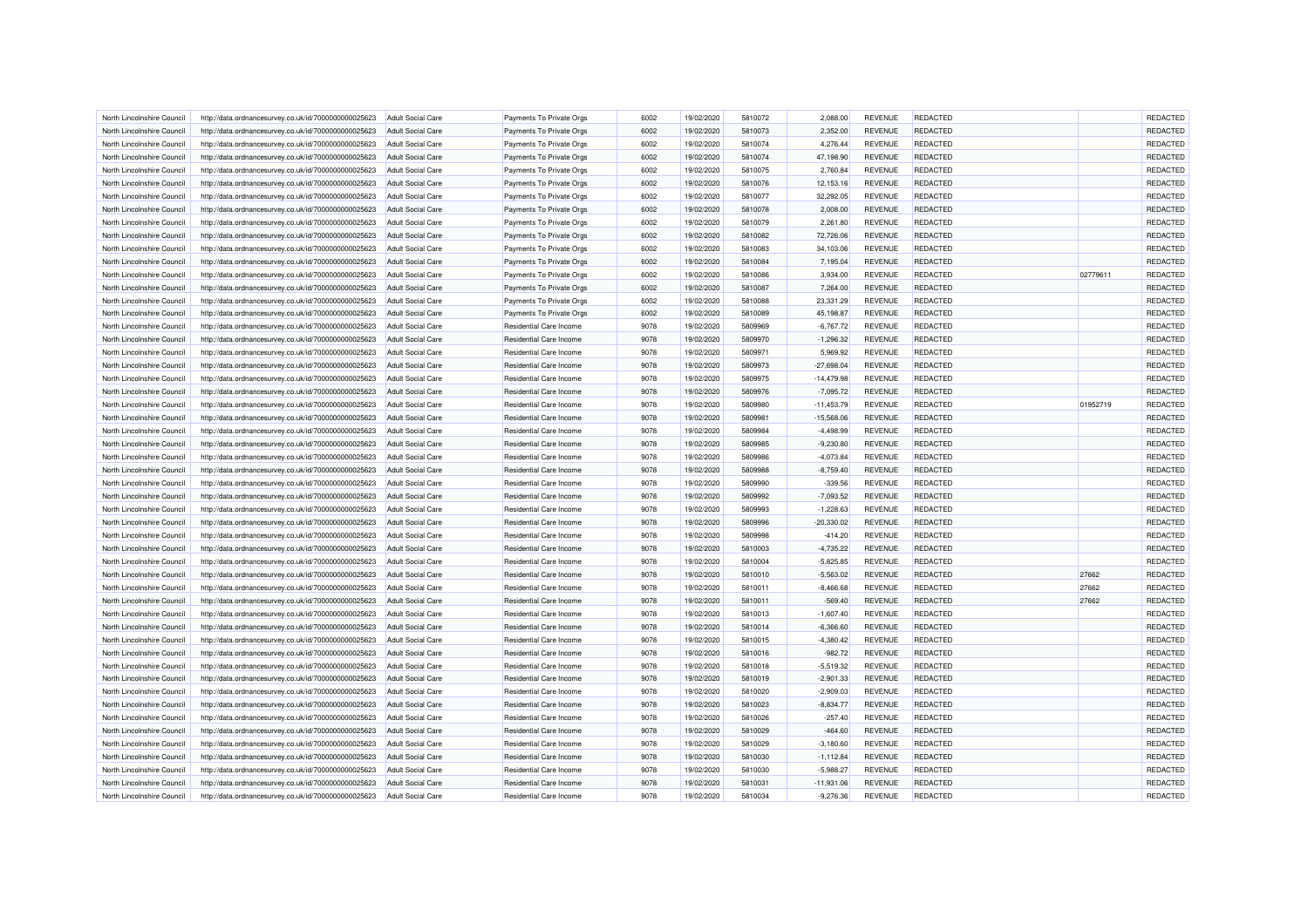| North Lincolnshire Council | http://data.ordnancesurvey.co.uk/id/7000000000025623 | Adult Social Care        | Payments To Private Orgs       | 6002 | 19/02/2020 | 5810072 | 2.088.00     | <b>REVENUE</b> | <b>REDACTED</b> |          | REDACTED             |
|----------------------------|------------------------------------------------------|--------------------------|--------------------------------|------|------------|---------|--------------|----------------|-----------------|----------|----------------------|
| North Lincolnshire Council | http://data.ordnancesurvey.co.uk/id/7000000000025623 | Adult Social Care        | Payments To Private Orgs       | 6002 | 19/02/2020 | 5810073 | 2,352.00     | <b>REVENUE</b> | <b>REDACTED</b> |          | REDACTED             |
| North Lincolnshire Council | http://data.ordnancesurvey.co.uk/id/7000000000025623 | <b>Adult Social Care</b> | Payments To Private Orgs       | 6002 | 19/02/2020 | 5810074 | 4,276.44     | <b>REVENUE</b> | <b>REDACTED</b> |          | REDACTED             |
| North Lincolnshire Council | http://data.ordnancesurvey.co.uk/id/7000000000025623 | Adult Social Care        | Payments To Private Orgs       | 6002 | 19/02/2020 | 5810074 | 47,198.90    | <b>REVENUE</b> | <b>REDACTED</b> |          | REDACTED             |
| North Lincolnshire Council | http://data.ordnancesurvey.co.uk/id/7000000000025623 | <b>Adult Social Care</b> | Payments To Private Orgs       | 6002 | 19/02/2020 | 5810075 | 2,760.84     | <b>REVENUE</b> | <b>REDACTED</b> |          | REDACTED             |
| North Lincolnshire Council | http://data.ordnancesurvey.co.uk/id/7000000000025623 | <b>Adult Social Care</b> | Payments To Private Orgs       | 6002 | 19/02/2020 | 5810076 | 12,153.16    | <b>REVENUE</b> | REDACTED        |          | REDACTED             |
| North Lincolnshire Council | http://data.ordnancesurvey.co.uk/id/7000000000025623 | <b>Adult Social Care</b> | Payments To Private Orgs       | 6002 | 19/02/2020 | 5810077 | 32,292.05    | <b>REVENUE</b> | <b>REDACTED</b> |          | REDACTED             |
| North Lincolnshire Council | http://data.ordnancesurvey.co.uk/id/7000000000025623 | <b>Adult Social Care</b> | Payments To Private Orgs       | 6002 | 19/02/2020 | 5810078 | 2,008.00     | <b>REVENUE</b> | REDACTED        |          | REDACTED             |
| North Lincolnshire Council | http://data.ordnancesurvey.co.uk/id/7000000000025623 | <b>Adult Social Care</b> | Payments To Private Orgs       | 6002 | 19/02/2020 | 5810079 | 2,261.80     | <b>REVENUE</b> | <b>REDACTED</b> |          | REDACTED             |
| North Lincolnshire Council | http://data.ordnancesurvey.co.uk/id/7000000000025623 | <b>Adult Social Care</b> | Payments To Private Orgs       | 6002 | 19/02/2020 | 5810082 | 72,726.06    | <b>REVENUE</b> | <b>REDACTED</b> |          | REDACTED             |
| North Lincolnshire Council | http://data.ordnancesurvey.co.uk/id/7000000000025623 | Adult Social Care        | Payments To Private Orgs       | 6002 | 19/02/2020 | 5810083 | 34,103.06    | <b>REVENUE</b> | <b>REDACTED</b> |          | REDACTED             |
| North Lincolnshire Council | http://data.ordnancesurvey.co.uk/id/7000000000025623 | Adult Social Care        | Payments To Private Orgs       | 6002 | 19/02/2020 | 5810084 | 7.195.04     | <b>REVENUE</b> | <b>REDACTED</b> |          | REDACTED             |
| North Lincolnshire Council | http://data.ordnancesurvey.co.uk/id/7000000000025623 | <b>Adult Social Care</b> | Payments To Private Orgs       | 6002 | 19/02/2020 | 5810086 | 3,934.00     | <b>REVENUE</b> | REDACTED        | 02779611 | REDACTED             |
| North Lincolnshire Council | http://data.ordnancesurvey.co.uk/id/7000000000025623 | <b>Adult Social Care</b> | Payments To Private Orgs       | 6002 | 19/02/2020 | 5810087 | 7,264.00     | <b>REVENUE</b> | <b>REDACTED</b> |          | REDACTED             |
| North Lincolnshire Council | http://data.ordnancesurvey.co.uk/id/7000000000025623 | <b>Adult Social Care</b> | Payments To Private Orgs       | 6002 | 19/02/2020 | 5810088 | 23,331.29    | <b>REVENUE</b> | REDACTED        |          | REDACTED             |
| North Lincolnshire Council | http://data.ordnancesurvey.co.uk/id/7000000000025623 | <b>Adult Social Care</b> | Payments To Private Orgs       | 6002 | 19/02/2020 | 5810089 | 45,198.87    | <b>REVENUE</b> | <b>REDACTED</b> |          | REDACTED             |
| North Lincolnshire Council | http://data.ordnancesurvey.co.uk/id/7000000000025623 | <b>Adult Social Care</b> | Residential Care Income        | 9078 | 19/02/2020 | 5809969 | $-6,767.72$  | <b>REVENUE</b> | <b>REDACTED</b> |          | REDACTED             |
| North Lincolnshire Council | http://data.ordnancesurvey.co.uk/id/7000000000025623 | <b>Adult Social Care</b> | <b>Residential Care Income</b> | 9078 | 19/02/2020 | 5809970 | $-1,296.32$  | <b>REVENUE</b> | <b>REDACTED</b> |          | REDACTED             |
| North Lincolnshire Council | http://data.ordnancesurvey.co.uk/id/7000000000025623 | <b>Adult Social Care</b> | Residential Care Income        | 9078 | 19/02/2020 | 5809971 | 5,969.92     | <b>REVENUE</b> | <b>REDACTED</b> |          | REDACTED             |
| North Lincolnshire Council | http://data.ordnancesurvey.co.uk/id/7000000000025623 | <b>Adult Social Care</b> | <b>Residential Care Income</b> | 9078 | 19/02/2020 | 5809973 | $-27,698.04$ | <b>REVENUE</b> | <b>REDACTED</b> |          | REDACTED             |
| North Lincolnshire Council | http://data.ordnancesurvey.co.uk/id/7000000000025623 | <b>Adult Social Care</b> | Residential Care Income        | 9078 | 19/02/2020 | 5809975 | $-14,479.98$ | <b>REVENUE</b> | <b>REDACTED</b> |          | REDACTED             |
| North Lincolnshire Council | http://data.ordnancesurvey.co.uk/id/7000000000025623 | Adult Social Care        | <b>Residential Care Income</b> | 9078 | 19/02/2020 | 5809976 | $-7,095.72$  | <b>REVENUE</b> | <b>REDACTED</b> |          | REDACTED             |
| North Lincolnshire Council | http://data.ordnancesurvey.co.uk/id/7000000000025623 | <b>Adult Social Care</b> | Residential Care Income        | 9078 | 19/02/2020 | 5809980 | $-11,453.79$ | <b>REVENUE</b> | <b>REDACTED</b> | 01952719 | REDACTED             |
| North Lincolnshire Council | http://data.ordnancesurvey.co.uk/id/7000000000025623 | <b>Adult Social Care</b> | Residential Care Income        | 9078 | 19/02/2020 | 5809981 | $-15,568.06$ | <b>REVENUE</b> | <b>REDACTED</b> |          | REDACTED             |
| North Lincolnshire Council | http://data.ordnancesurvey.co.uk/id/7000000000025623 | Adult Social Care        | <b>Residential Care Income</b> | 9078 | 19/02/2020 | 5809984 | $-4,498.99$  | <b>REVENUE</b> | <b>REDACTED</b> |          | REDACTED             |
|                            |                                                      |                          |                                | 9078 |            |         |              |                |                 |          |                      |
| North Lincolnshire Council | http://data.ordnancesurvey.co.uk/id/7000000000025623 | <b>Adult Social Care</b> | Residential Care Income        | 9078 | 19/02/2020 | 5809985 | $-9,230.80$  | <b>REVENUE</b> | REDACTED        |          | REDACTED<br>REDACTED |
| North Lincolnshire Council | http://data.ordnancesurvey.co.uk/id/7000000000025623 | <b>Adult Social Care</b> | Residential Care Income        |      | 19/02/2020 | 5809986 | $-4,073.84$  | <b>REVENUE</b> | REDACTED        |          |                      |
| North Lincolnshire Council | http://data.ordnancesurvey.co.uk/id/7000000000025623 | <b>Adult Social Care</b> | Residential Care Income        | 9078 | 19/02/2020 | 5809988 | $-8,759.40$  | <b>REVENUE</b> | <b>REDACTED</b> |          | REDACTED             |
| North Lincolnshire Council | http://data.ordnancesurvey.co.uk/id/7000000000025623 | <b>Adult Social Care</b> | Residential Care Income        | 9078 | 19/02/2020 | 5809990 | $-339.56$    | <b>REVENUE</b> | <b>REDACTED</b> |          | REDACTED             |
| North Lincolnshire Council | http://data.ordnancesurvey.co.uk/id/7000000000025623 | <b>Adult Social Care</b> | <b>Residential Care Income</b> | 9078 | 19/02/2020 | 5809992 | $-7,093.52$  | <b>REVENUE</b> | <b>REDACTED</b> |          | REDACTED             |
| North Lincolnshire Council | http://data.ordnancesurvey.co.uk/id/7000000000025623 | <b>Adult Social Care</b> | <b>Residential Care Income</b> | 9078 | 19/02/2020 | 5809993 | $-1,228.63$  | <b>REVENUE</b> | <b>REDACTED</b> |          | REDACTED             |
| North Lincolnshire Council | http://data.ordnancesurvey.co.uk/id/7000000000025623 | <b>Adult Social Care</b> | <b>Residential Care Income</b> | 9078 | 19/02/2020 | 5809996 | $-20,330.02$ | <b>REVENUE</b> | <b>REDACTED</b> |          | REDACTED             |
| North Lincolnshire Council | http://data.ordnancesurvey.co.uk/id/7000000000025623 | Adult Social Care        | <b>Residential Care Income</b> | 9078 | 19/02/2020 | 5809998 | $-414.20$    | <b>REVENUE</b> | REDACTED        |          | REDACTED             |
| North Lincolnshire Council | http://data.ordnancesurvey.co.uk/id/7000000000025623 | <b>Adult Social Care</b> | Residential Care Income        | 9078 | 19/02/2020 | 5810003 | $-4,735.22$  | <b>REVENUE</b> | <b>REDACTED</b> |          | REDACTED             |
| North Lincolnshire Council | http://data.ordnancesurvey.co.uk/id/7000000000025623 | <b>Adult Social Care</b> | Residential Care Income        | 9078 | 19/02/2020 | 5810004 | $-5,825.85$  | <b>REVENUE</b> | <b>REDACTED</b> |          | REDACTED             |
| North Lincolnshire Council | http://data.ordnancesurvey.co.uk/id/7000000000025623 | Adult Social Care        | <b>Residential Care Income</b> | 9078 | 19/02/2020 | 5810010 | $-5,563.02$  | <b>REVENUE</b> | <b>REDACTED</b> | 27662    | REDACTED             |
| North Lincolnshire Council | http://data.ordnancesurvey.co.uk/id/7000000000025623 | <b>Adult Social Care</b> | Residential Care Income        | 9078 | 19/02/2020 | 5810011 | $-8,466.68$  | <b>REVENUE</b> | <b>REDACTED</b> | 27662    | REDACTED             |
| North Lincolnshire Council | http://data.ordnancesurvey.co.uk/id/7000000000025623 | <b>Adult Social Care</b> | Residential Care Income        | 9078 | 19/02/2020 | 5810011 | $-569.40$    | <b>REVENUE</b> | <b>REDACTED</b> | 27662    | REDACTED             |
| North Lincolnshire Council | http://data.ordnancesurvey.co.uk/id/7000000000025623 | <b>Adult Social Care</b> | Residential Care Income        | 9078 | 19/02/2020 | 5810013 | $-1,607.40$  | <b>REVENUE</b> | <b>REDACTED</b> |          | REDACTED             |
| North Lincolnshire Council | http://data.ordnancesurvey.co.uk/id/7000000000025623 | <b>Adult Social Care</b> | Residential Care Income        | 9078 | 19/02/2020 | 5810014 | $-6,366.60$  | <b>REVENUE</b> | REDACTED        |          | REDACTED             |
| North Lincolnshire Council | http://data.ordnancesurvey.co.uk/id/7000000000025623 | <b>Adult Social Care</b> | <b>Residential Care Income</b> | 9078 | 19/02/2020 | 5810015 | $-4,380.42$  | <b>REVENUE</b> | <b>REDACTED</b> |          | REDACTED             |
| North Lincolnshire Council | http://data.ordnancesurvey.co.uk/id/7000000000025623 | <b>Adult Social Care</b> | <b>Residential Care Income</b> | 9078 | 19/02/2020 | 5810016 | $-982.72$    | <b>REVENUE</b> | <b>REDACTED</b> |          | REDACTED             |
| North Lincolnshire Council | http://data.ordnancesurvey.co.uk/id/7000000000025623 | <b>Adult Social Care</b> | Residential Care Income        | 9078 | 19/02/2020 | 5810018 | $-5,519.32$  | <b>REVENUE</b> | <b>REDACTED</b> |          | REDACTED             |
| North Lincolnshire Council | http://data.ordnancesurvey.co.uk/id/7000000000025623 | Adult Social Care        | <b>Residential Care Income</b> | 9078 | 19/02/2020 | 5810019 | $-2.901.33$  | <b>REVENUE</b> | <b>REDACTED</b> |          | REDACTED             |
| North Lincolnshire Council | http://data.ordnancesurvey.co.uk/id/7000000000025623 | <b>Adult Social Care</b> | Residential Care Income        | 9078 | 19/02/2020 | 5810020 | $-2,909.03$  | <b>REVENUE</b> | <b>REDACTED</b> |          | REDACTED             |
| North Lincolnshire Council | http://data.ordnancesurvey.co.uk/id/7000000000025623 | <b>Adult Social Care</b> | Residential Care Income        | 9078 | 19/02/2020 | 5810023 | $-8,834.77$  | <b>REVENUE</b> | <b>REDACTED</b> |          | REDACTED             |
| North Lincolnshire Council | http://data.ordnancesurvey.co.uk/id/7000000000025623 | <b>Adult Social Care</b> | Residential Care Income        | 9078 | 19/02/2020 | 5810026 | $-257.40$    | <b>REVENUE</b> | REDACTED        |          | REDACTED             |
| North Lincolnshire Council | http://data.ordnancesurvey.co.uk/id/7000000000025623 | <b>Adult Social Care</b> | Residential Care Income        | 9078 | 19/02/2020 | 5810029 | $-464.60$    | <b>REVENUE</b> | REDACTED        |          | REDACTED             |
| North Lincolnshire Council | http://data.ordnancesurvey.co.uk/id/7000000000025623 | <b>Adult Social Care</b> | <b>Residential Care Income</b> | 9078 | 19/02/2020 | 5810029 | $-3,180.60$  | <b>REVENUE</b> | <b>REDACTED</b> |          | REDACTED             |
| North Lincolnshire Council | http://data.ordnancesurvey.co.uk/id/7000000000025623 | <b>Adult Social Care</b> | <b>Residential Care Income</b> | 9078 | 19/02/2020 | 5810030 | $-1,112.84$  | <b>REVENUE</b> | <b>REDACTED</b> |          | REDACTED             |
| North Lincolnshire Council | http://data.ordnancesurvey.co.uk/id/7000000000025623 | <b>Adult Social Care</b> | <b>Residential Care Income</b> | 9078 | 19/02/2020 | 5810030 | $-5,988.27$  | <b>REVENUE</b> | <b>REDACTED</b> |          | REDACTED             |
| North Lincolnshire Council | http://data.ordnancesurvey.co.uk/id/7000000000025623 | <b>Adult Social Care</b> | <b>Residential Care Income</b> | 9078 | 19/02/2020 | 5810031 | $-11,931.06$ | <b>REVENUE</b> | REDACTED        |          | REDACTED             |
| North Lincolnshire Council | http://data.ordnancesurvey.co.uk/id/7000000000025623 | <b>Adult Social Care</b> | Residential Care Income        | 9078 | 19/02/2020 | 5810034 | $-9,276.36$  | <b>REVENUE</b> | <b>REDACTED</b> |          | REDACTED             |
|                            |                                                      |                          |                                |      |            |         |              |                |                 |          |                      |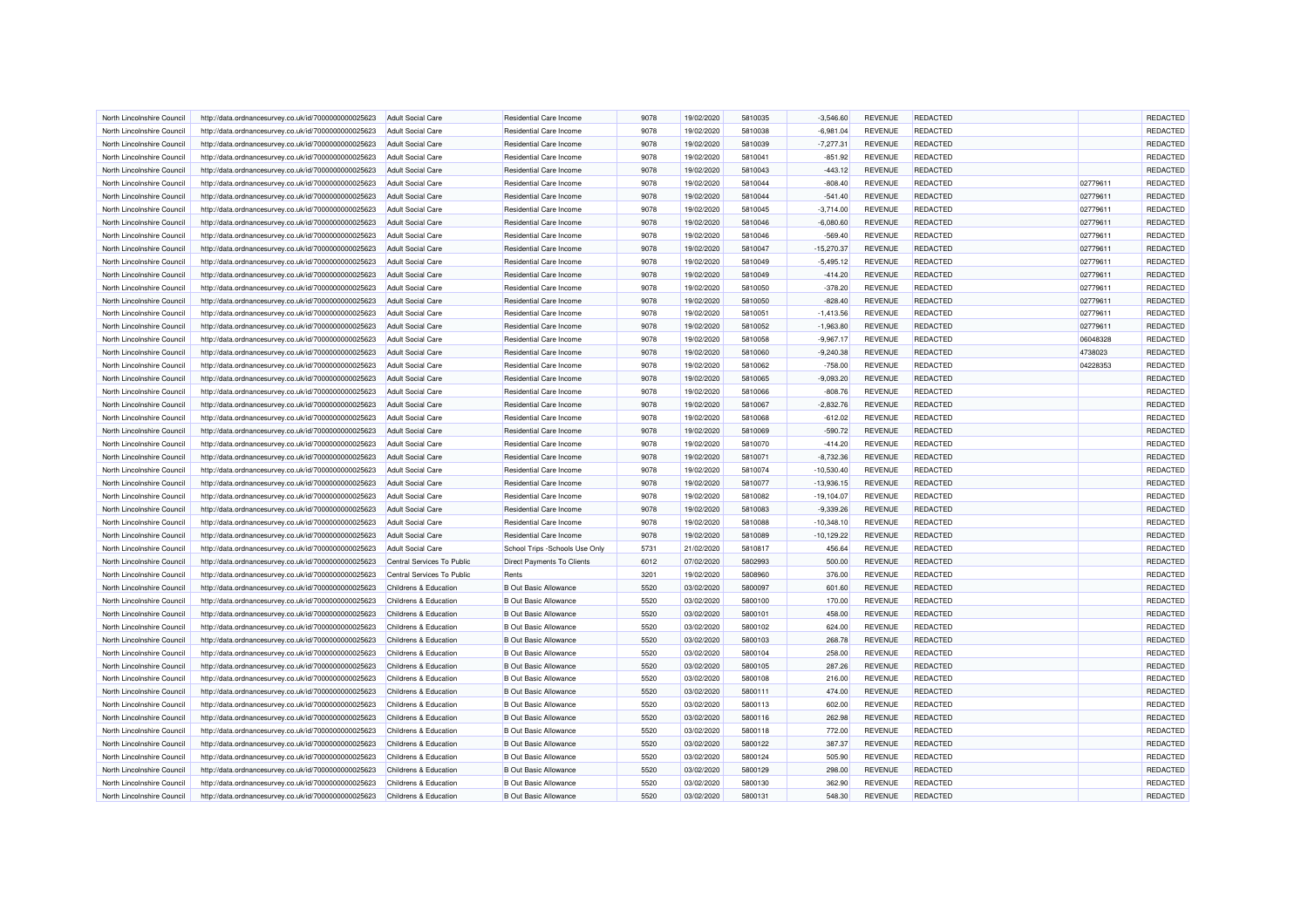| North Lincolnshire Council | http://data.ordnancesurvey.co.uk/id/7000000000025623 | <b>Adult Social Care</b>   | Residential Care Income           | 9078 | 19/02/2020 | 5810035 | $-3.546.60$  | <b>REVENUE</b> | <b>REDACTED</b> |          | REDACTED |
|----------------------------|------------------------------------------------------|----------------------------|-----------------------------------|------|------------|---------|--------------|----------------|-----------------|----------|----------|
| North Lincolnshire Council | http://data.ordnancesurvey.co.uk/id/7000000000025623 | <b>Adult Social Care</b>   | <b>Residential Care Income</b>    | 9078 | 19/02/2020 | 5810038 | $-6,981.04$  | <b>REVENUE</b> | <b>REDACTED</b> |          | REDACTED |
| North Lincolnshire Council | http://data.ordnancesurvey.co.uk/id/7000000000025623 | <b>Adult Social Care</b>   | <b>Residential Care Income</b>    | 9078 | 19/02/2020 | 5810039 | $-7,277.31$  | <b>REVENUE</b> | <b>REDACTED</b> |          | REDACTED |
| North Lincolnshire Council | http://data.ordnancesurvey.co.uk/id/7000000000025623 | <b>Adult Social Care</b>   | Residential Care Income           | 9078 | 19/02/2020 | 5810041 | $-851.92$    | REVENUE        | <b>REDACTED</b> |          | REDACTED |
| North Lincolnshire Council | http://data.ordnancesurvey.co.uk/id/7000000000025623 | <b>Adult Social Care</b>   | Residential Care Income           | 9078 | 19/02/2020 | 5810043 | $-443.12$    | <b>REVENUE</b> | REDACTED        |          | REDACTED |
| North Lincolnshire Council | http://data.ordnancesurvey.co.uk/id/7000000000025623 | <b>Adult Social Care</b>   | <b>Residential Care Income</b>    | 9078 | 19/02/2020 | 5810044 | $-808.40$    | REVENUE        | <b>REDACTED</b> | 02779611 | REDACTED |
|                            |                                                      |                            |                                   |      |            |         |              |                |                 |          |          |
| North Lincolnshire Council | http://data.ordnancesurvey.co.uk/id/7000000000025623 | <b>Adult Social Care</b>   | <b>Residential Care Income</b>    | 9078 | 19/02/2020 | 5810044 | $-541.40$    | <b>REVENUE</b> | <b>REDACTED</b> | 02779611 | REDACTED |
| North Lincolnshire Council | http://data.ordnancesurvey.co.uk/id/7000000000025623 | <b>Adult Social Care</b>   | <b>Residential Care Income</b>    | 9078 | 19/02/2020 | 5810045 | $-3,714.00$  | <b>REVENUE</b> | <b>REDACTED</b> | 02779611 | REDACTED |
| North Lincolnshire Council | http://data.ordnancesurvey.co.uk/id/7000000000025623 | <b>Adult Social Care</b>   | <b>Residential Care Income</b>    | 9078 | 19/02/2020 | 5810046 | $-6.080.60$  | <b>REVENUE</b> | <b>REDACTED</b> | 02779611 | REDACTED |
| North Lincolnshire Council | http://data.ordnancesurvey.co.uk/id/7000000000025623 | <b>Adult Social Care</b>   | Residential Care Income           | 9078 | 19/02/2020 | 5810046 | $-569.40$    | <b>REVENUE</b> | REDACTED        | 02779611 | REDACTED |
| North Lincolnshire Council | http://data.ordnancesurvey.co.uk/id/7000000000025623 | <b>Adult Social Care</b>   | <b>Residential Care Income</b>    | 9078 | 19/02/2020 | 5810047 | $-15,270.37$ | <b>REVENUE</b> | <b>REDACTED</b> | 02779611 | REDACTED |
| North Lincolnshire Council | http://data.ordnancesurvey.co.uk/id/7000000000025623 | <b>Adult Social Care</b>   | Residential Care Income           | 9078 | 19/02/2020 | 5810049 | $-5,495.12$  | REVENUE        | <b>REDACTED</b> | 02779611 | REDACTED |
| North Lincolnshire Council | http://data.ordnancesurvey.co.uk/id/7000000000025623 | <b>Adult Social Care</b>   | <b>Residential Care Income</b>    | 9078 | 19/02/2020 | 5810049 | $-414.20$    | <b>REVENUE</b> | REDACTED        | 02779611 | REDACTED |
| North Lincolnshire Council | http://data.ordnancesurvey.co.uk/id/7000000000025623 | <b>Adult Social Care</b>   | <b>Residential Care Income</b>    | 9078 | 19/02/2020 | 5810050 | $-378.20$    | REVENUE        | <b>REDACTED</b> | 02779611 | REDACTED |
| North Lincolnshire Council | http://data.ordnancesurvey.co.uk/id/7000000000025623 | <b>Adult Social Care</b>   | <b>Residential Care Income</b>    | 9078 | 19/02/2020 | 5810050 | $-828.40$    | <b>REVENUE</b> | <b>REDACTED</b> | 02779611 | REDACTED |
| North Lincolnshire Council | http://data.ordnancesurvey.co.uk/id/7000000000025623 | <b>Adult Social Care</b>   | <b>Residential Care Income</b>    | 9078 | 19/02/2020 | 5810051 | $-1,413.56$  | REVENUE        | <b>REDACTED</b> | 02779611 | REDACTED |
| North Lincolnshire Council | http://data.ordnancesurvey.co.uk/id/7000000000025623 | <b>Adult Social Care</b>   | <b>Residential Care Income</b>    | 9078 | 19/02/2020 | 5810052 | $-1,963.80$  | REVENUE        | <b>REDACTED</b> | 02779611 | REDACTED |
| North Lincolnshire Council | http://data.ordnancesurvey.co.uk/id/7000000000025623 | <b>Adult Social Care</b>   | Residential Care Income           | 9078 | 19/02/2020 | 5810058 | $-9,967.17$  | <b>REVENUE</b> | <b>REDACTED</b> | 06048328 | REDACTED |
| North Lincolnshire Council | http://data.ordnancesurvey.co.uk/id/7000000000025623 | <b>Adult Social Care</b>   | <b>Residential Care Income</b>    | 9078 | 19/02/2020 | 5810060 | $-9,240.38$  | <b>REVENUE</b> | <b>REDACTED</b> | 4738023  | REDACTED |
| North Lincolnshire Council | http://data.ordnancesurvey.co.uk/id/7000000000025623 | <b>Adult Social Care</b>   | Residential Care Income           | 9078 | 19/02/2020 | 5810062 | $-758.00$    | <b>REVENUE</b> | REDACTED        | 04228353 | REDACTED |
| North Lincolnshire Council | http://data.ordnancesurvey.co.uk/id/7000000000025623 | <b>Adult Social Care</b>   | <b>Residential Care Income</b>    | 9078 | 19/02/2020 | 5810065 | $-9,093.20$  | REVENUE        | REDACTED        |          | REDACTED |
| North Lincolnshire Council | http://data.ordnancesurvey.co.uk/id/7000000000025623 | <b>Adult Social Care</b>   | Residential Care Income           | 9078 | 19/02/2020 | 5810066 | $-808.76$    | <b>REVENUE</b> | <b>REDACTED</b> |          | REDACTED |
| North Lincolnshire Council | http://data.ordnancesurvey.co.uk/id/7000000000025623 | <b>Adult Social Care</b>   | <b>Residential Care Income</b>    | 9078 | 19/02/2020 | 5810067 | $-2,832.76$  | <b>REVENUE</b> | <b>REDACTED</b> |          | REDACTED |
|                            |                                                      |                            |                                   |      |            |         |              |                |                 |          |          |
| North Lincolnshire Council | http://data.ordnancesurvey.co.uk/id/7000000000025623 | <b>Adult Social Care</b>   | Residential Care Income           | 9078 | 19/02/2020 | 5810068 | $-612.02$    | REVENUE        | <b>REDACTED</b> |          | REDACTED |
| North Lincolnshire Council | http://data.ordnancesurvey.co.uk/id/7000000000025623 | <b>Adult Social Care</b>   | <b>Residential Care Income</b>    | 9078 | 19/02/2020 | 5810069 | $-590.72$    | REVENUE        | <b>REDACTED</b> |          | REDACTED |
| North Lincolnshire Council | http://data.ordnancesurvey.co.uk/id/7000000000025623 | <b>Adult Social Care</b>   | Residential Care Income           | 9078 | 19/02/2020 | 5810070 | $-414.20$    | <b>REVENUE</b> | <b>REDACTED</b> |          | REDACTED |
| North Lincolnshire Council | http://data.ordnancesurvey.co.uk/id/7000000000025623 | <b>Adult Social Care</b>   | <b>Residential Care Income</b>    | 9078 | 19/02/2020 | 5810071 | $-8,732.36$  | <b>REVENUE</b> | REDACTED        |          | REDACTED |
| North Lincolnshire Council | http://data.ordnancesurvey.co.uk/id/7000000000025623 | <b>Adult Social Care</b>   | Residential Care Income           | 9078 | 19/02/2020 | 5810074 | $-10,530.40$ | <b>REVENUE</b> | <b>REDACTED</b> |          | REDACTED |
| North Lincolnshire Council | http://data.ordnancesurvey.co.uk/id/7000000000025623 | <b>Adult Social Care</b>   | <b>Residential Care Income</b>    | 9078 | 19/02/2020 | 5810077 | $-13,936.15$ | REVENUE        | <b>REDACTED</b> |          | REDACTED |
| North Lincolnshire Council | http://data.ordnancesurvey.co.uk/id/7000000000025623 | <b>Adult Social Care</b>   | Residential Care Income           | 9078 | 19/02/2020 | 5810082 | $-19,104.07$ | <b>REVENUE</b> | <b>REDACTED</b> |          | REDACTED |
| North Lincolnshire Council | http://data.ordnancesurvey.co.uk/id/7000000000025623 | <b>Adult Social Care</b>   | Residential Care Income           | 9078 | 19/02/2020 | 5810083 | $-9,339.26$  | REVENUE        | <b>REDACTED</b> |          | REDACTED |
| North Lincolnshire Council | http://data.ordnancesurvey.co.uk/id/7000000000025623 | <b>Adult Social Care</b>   | Residential Care Income           | 9078 | 19/02/2020 | 5810088 | $-10,348.10$ | REVENUE        | REDACTED        |          | REDACTED |
| North Lincolnshire Council | http://data.ordnancesurvey.co.uk/id/7000000000025623 | <b>Adult Social Care</b>   | Residential Care Income           | 9078 | 19/02/2020 | 5810089 | $-10,129.22$ | REVENUE        | <b>REDACTED</b> |          | REDACTED |
| North Lincolnshire Council | http://data.ordnancesurvey.co.uk/id/7000000000025623 | <b>Adult Social Care</b>   | School Trips -Schools Use Only    | 5731 | 21/02/2020 | 5810817 | 456.64       | <b>REVENUE</b> | <b>REDACTED</b> |          | REDACTED |
| North Lincolnshire Council | http://data.ordnancesurvey.co.uk/id/7000000000025623 | Central Services To Public | <b>Direct Payments To Clients</b> | 6012 | 07/02/2020 | 5802993 | 500.00       | <b>REVENUE</b> | <b>REDACTED</b> |          | REDACTED |
| North Lincolnshire Council | http://data.ordnancesurvey.co.uk/id/7000000000025623 | Central Services To Public | Rents                             | 3201 | 19/02/2020 | 5808960 | 376.00       | <b>REVENUE</b> | <b>REDACTED</b> |          | REDACTED |
| North Lincolnshire Council | http://data.ordnancesurvey.co.uk/id/7000000000025623 | Childrens & Education      | <b>B Out Basic Allowance</b>      | 5520 | 03/02/2020 | 5800097 | 601.60       | <b>REVENUE</b> | REDACTED        |          | REDACTED |
| North Lincolnshire Council | http://data.ordnancesurvey.co.uk/id/7000000000025623 | Childrens & Education      | <b>B Out Basic Allowance</b>      | 5520 | 03/02/2020 | 5800100 | 170.00       | <b>REVENUE</b> | <b>REDACTED</b> |          | REDACTED |
| North Lincolnshire Council | http://data.ordnancesurvey.co.uk/id/7000000000025623 | Childrens & Education      | <b>B Out Basic Allowance</b>      | 5520 | 03/02/2020 | 5800101 | 458.00       | REVENUE        | <b>REDACTED</b> |          | REDACTED |
| North Lincolnshire Council | http://data.ordnancesurvey.co.uk/id/7000000000025623 | Childrens & Education      | <b>B Out Basic Allowance</b>      | 5520 | 03/02/2020 | 5800102 | 624.00       | <b>REVENUE</b> | <b>REDACTED</b> |          | REDACTED |
| North Lincolnshire Council | http://data.ordnancesurvey.co.uk/id/7000000000025623 | Childrens & Education      | <b>B Out Basic Allowance</b>      | 5520 | 03/02/2020 | 5800103 | 268.78       | REVENUE        | <b>REDACTED</b> |          | REDACTED |
| North Lincolnshire Council | http://data.ordnancesurvey.co.uk/id/7000000000025623 | Childrens & Education      | <b>B Out Basic Allowance</b>      | 5520 | 03/02/2020 | 5800104 | 258.00       | <b>REVENUE</b> | <b>REDACTED</b> |          | REDACTED |
|                            |                                                      |                            | <b>B Out Basic Allowance</b>      | 5520 |            | 5800105 |              | <b>REVENUE</b> | <b>REDACTED</b> |          | REDACTED |
| North Lincolnshire Council | http://data.ordnancesurvey.co.uk/id/7000000000025623 | Childrens & Education      |                                   |      | 03/02/2020 |         | 287.26       |                |                 |          |          |
| North Lincolnshire Council | http://data.ordnancesurvey.co.uk/id/7000000000025623 | Childrens & Education      | <b>B Out Basic Allowance</b>      | 5520 | 03/02/2020 | 5800108 | 216.00       | REVENUE        | REDACTED        |          | REDACTED |
| North Lincolnshire Council | http://data.ordnancesurvey.co.uk/id/7000000000025623 | Childrens & Education      | <b>B Out Basic Allowance</b>      | 5520 | 03/02/2020 | 5800111 | 474.00       | <b>REVENUE</b> | <b>REDACTED</b> |          | REDACTED |
| North Lincolnshire Council | http://data.ordnancesurvey.co.uk/id/7000000000025623 | Childrens & Education      | <b>B Out Basic Allowance</b>      | 5520 | 03/02/2020 | 5800113 | 602.00       | REVENUE        | <b>REDACTED</b> |          | REDACTED |
| North Lincolnshire Council | http://data.ordnancesurvey.co.uk/id/7000000000025623 | Childrens & Education      | <b>B Out Basic Allowance</b>      | 5520 | 03/02/2020 | 5800116 | 262.98       | <b>REVENUE</b> | <b>REDACTED</b> |          | REDACTED |
| North Lincolnshire Council | http://data.ordnancesurvey.co.uk/id/7000000000025623 | Childrens & Education      | <b>B Out Basic Allowance</b>      | 5520 | 03/02/2020 | 5800118 | 772.00       | REVENUE        | <b>REDACTED</b> |          | REDACTED |
| North Lincolnshire Council | http://data.ordnancesurvey.co.uk/id/7000000000025623 | Childrens & Education      | <b>B Out Basic Allowance</b>      | 5520 | 03/02/2020 | 5800122 | 387.37       | <b>REVENUE</b> | <b>REDACTED</b> |          | REDACTED |
| North Lincolnshire Council | http://data.ordnancesurvey.co.uk/id/7000000000025623 | Childrens & Education      | <b>B Out Basic Allowance</b>      | 5520 | 03/02/2020 | 5800124 | 505.90       | REVENUE        | <b>REDACTED</b> |          | REDACTED |
| North Lincolnshire Council | http://data.ordnancesurvey.co.uk/id/7000000000025623 | Childrens & Education      | <b>B Out Basic Allowance</b>      | 5520 | 03/02/2020 | 5800129 | 298.00       | <b>REVENUE</b> | <b>REDACTED</b> |          | REDACTED |
| North Lincolnshire Council | http://data.ordnancesurvey.co.uk/id/7000000000025623 | Childrens & Education      | <b>B Out Basic Allowance</b>      | 5520 | 03/02/2020 | 5800130 | 362.90       | REVENUE        | REDACTED        |          | REDACTED |
| North Lincolnshire Council | http://data.ordnancesurvey.co.uk/id/7000000000025623 | Childrens & Education      | <b>B Out Basic Allowance</b>      | 5520 | 03/02/2020 | 5800131 | 548.30       | <b>REVENUE</b> | <b>REDACTED</b> |          | REDACTED |
|                            |                                                      |                            |                                   |      |            |         |              |                |                 |          |          |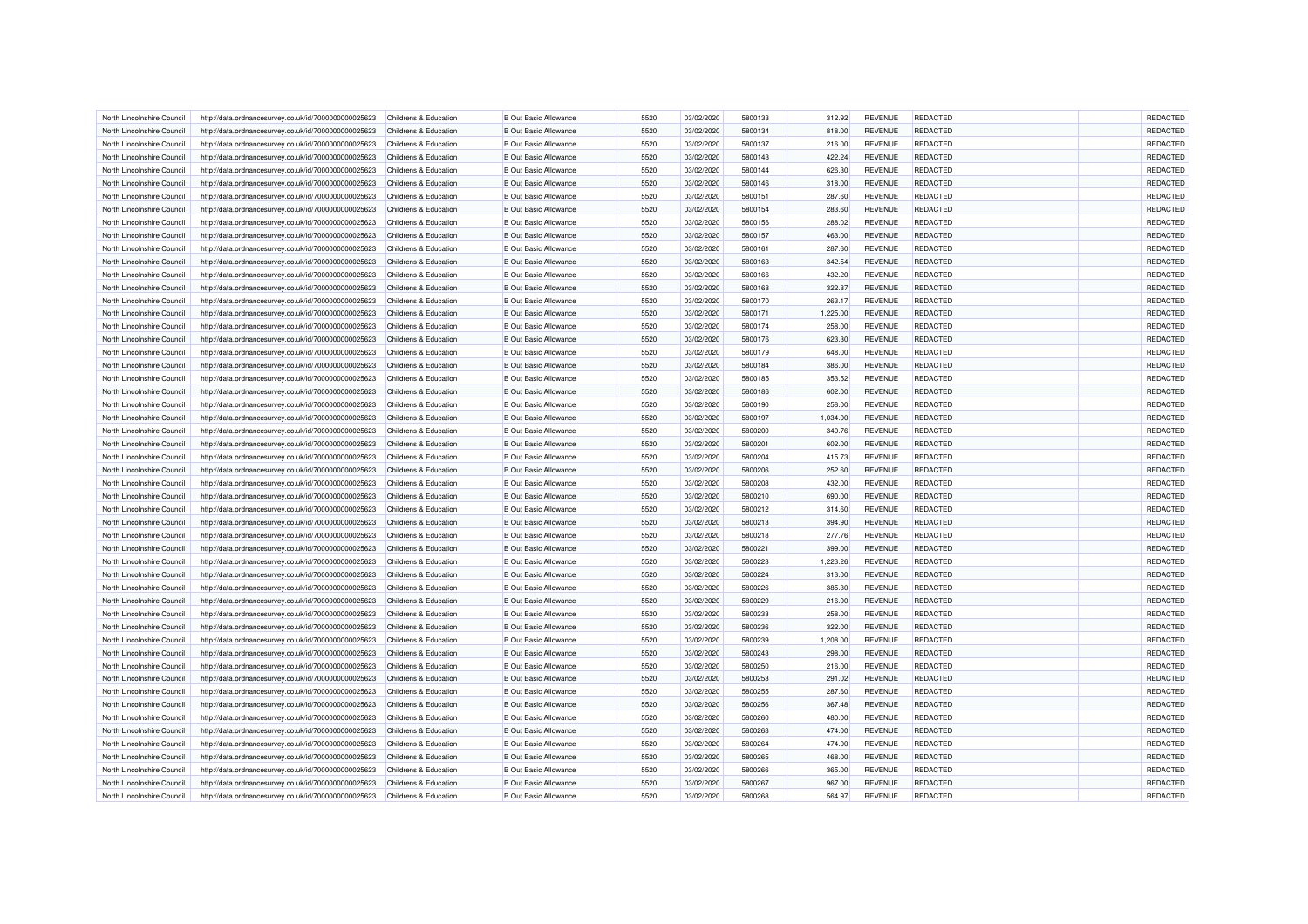| North Lincolnshire Council | http://data.ordnancesurvey.co.uk/id/7000000000025623 | Childrens & Education            | <b>B</b> Out Basic Allowance | 5520 | 03/02/2020 | 5800133 | 312.92   | <b>REVENUE</b> | <b>REDACTED</b>                    | REDACTED |
|----------------------------|------------------------------------------------------|----------------------------------|------------------------------|------|------------|---------|----------|----------------|------------------------------------|----------|
| North Lincolnshire Council | http://data.ordnancesurvey.co.uk/id/7000000000025623 | Childrens & Education            | <b>B Out Basic Allowance</b> | 5520 | 03/02/2020 | 5800134 | 818.00   | <b>REVENUE</b> | <b>REDACTED</b>                    | REDACTED |
| North Lincolnshire Council | http://data.ordnancesurvey.co.uk/id/7000000000025623 | Childrens & Education            | <b>B Out Basic Allowance</b> | 5520 | 03/02/2020 | 5800137 | 216.00   | <b>REVENUE</b> | <b>REDACTED</b>                    | REDACTED |
| North Lincolnshire Council | http://data.ordnancesurvey.co.uk/id/7000000000025623 | Childrens & Education            | <b>B</b> Out Basic Allowance | 5520 | 03/02/2020 | 5800143 | 422.24   | <b>REVENUE</b> | <b>REDACTED</b>                    | REDACTED |
| North Lincolnshire Council | http://data.ordnancesurvey.co.uk/id/7000000000025623 | Childrens & Education            | <b>B Out Basic Allowance</b> | 5520 | 03/02/2020 | 5800144 | 626.30   | <b>REVENUE</b> | <b>REDACTED</b>                    | REDACTED |
| North Lincolnshire Council | http://data.ordnancesurvey.co.uk/id/7000000000025623 | Childrens & Education            | <b>B</b> Out Basic Allowance | 5520 | 03/02/2020 | 5800146 | 318.00   | <b>REVENUE</b> | <b>REDACTED</b>                    | REDACTED |
| North Lincolnshire Council | http://data.ordnancesurvey.co.uk/id/7000000000025623 | Childrens & Education            | <b>B Out Basic Allowance</b> | 5520 | 03/02/2020 | 5800151 | 287.60   | <b>REVENUE</b> | <b>REDACTED</b>                    | REDACTED |
| North Lincolnshire Council | http://data.ordnancesurvey.co.uk/id/7000000000025623 | Childrens & Education            | <b>B Out Basic Allowance</b> | 5520 | 03/02/2020 | 5800154 | 283.60   | <b>REVENUE</b> | REDACTED                           | REDACTED |
| North Lincolnshire Council | http://data.ordnancesurvey.co.uk/id/7000000000025623 | Childrens & Education            | <b>B Out Basic Allowance</b> | 5520 | 03/02/2020 | 5800156 | 288.02   | <b>REVENUE</b> | <b>REDACTED</b>                    | REDACTED |
| North Lincolnshire Council | http://data.ordnancesurvey.co.uk/id/7000000000025623 | Childrens & Education            | <b>B Out Basic Allowance</b> | 5520 | 03/02/2020 | 5800157 | 463.00   | <b>REVENUE</b> | <b>REDACTED</b>                    | REDACTED |
| North Lincolnshire Council | http://data.ordnancesurvey.co.uk/id/7000000000025623 | Childrens & Education            | <b>B Out Basic Allowance</b> | 5520 | 03/02/2020 | 5800161 | 287.60   | <b>REVENUE</b> | <b>REDACTED</b>                    | REDACTED |
| North Lincolnshire Council | http://data.ordnancesurvey.co.uk/id/7000000000025623 | Childrens & Education            | <b>B Out Basic Allowance</b> | 5520 | 03/02/2020 | 5800163 | 342.54   | <b>REVENUE</b> | <b>REDACTED</b>                    | REDACTED |
| North Lincolnshire Council | http://data.ordnancesurvey.co.uk/id/7000000000025623 | Childrens & Education            | <b>B Out Basic Allowance</b> | 5520 | 03/02/2020 | 5800166 | 432.20   | <b>REVENUE</b> | <b>REDACTED</b>                    | REDACTED |
| North Lincolnshire Council | http://data.ordnancesurvey.co.uk/id/7000000000025623 | Childrens & Education            | <b>B Out Basic Allowance</b> | 5520 | 03/02/2020 | 5800168 | 322.87   | <b>REVENUE</b> | REDACTED                           | REDACTED |
| North Lincolnshire Council | http://data.ordnancesurvey.co.uk/id/7000000000025623 | Childrens & Education            | <b>B Out Basic Allowance</b> | 5520 | 03/02/2020 | 5800170 | 263.17   | <b>REVENUE</b> | <b>REDACTED</b>                    | REDACTED |
| North Lincolnshire Council | http://data.ordnancesurvey.co.uk/id/7000000000025623 | Childrens & Education            | <b>B Out Basic Allowance</b> | 5520 | 03/02/2020 | 5800171 | 1,225.00 | <b>REVENUE</b> | <b>REDACTED</b>                    | REDACTED |
| North Lincolnshire Council | http://data.ordnancesurvey.co.uk/id/7000000000025623 | Childrens & Education            | <b>B Out Basic Allowance</b> | 5520 | 03/02/2020 | 5800174 | 258.00   | <b>REVENUE</b> | <b>REDACTED</b>                    | REDACTED |
| North Lincolnshire Council | http://data.ordnancesurvey.co.uk/id/7000000000025623 | Childrens & Education            | <b>B Out Basic Allowance</b> | 5520 | 03/02/2020 | 5800176 | 623.30   | <b>REVENUE</b> | <b>REDACTED</b>                    | REDACTED |
|                            |                                                      |                                  |                              | 5520 |            | 5800179 |          |                |                                    | REDACTED |
| North Lincolnshire Council | http://data.ordnancesurvey.co.uk/id/7000000000025623 | Childrens & Education            | <b>B Out Basic Allowance</b> | 5520 | 03/02/2020 | 5800184 | 648.00   | <b>REVENUE</b> | <b>REDACTED</b><br><b>REDACTED</b> | REDACTED |
| North Lincolnshire Council | http://data.ordnancesurvey.co.uk/id/7000000000025623 | Childrens & Education            | <b>B Out Basic Allowance</b> |      | 03/02/2020 |         | 386.00   | <b>REVENUE</b> |                                    |          |
| North Lincolnshire Council | http://data.ordnancesurvey.co.uk/id/7000000000025623 | Childrens & Education            | <b>B Out Basic Allowance</b> | 5520 | 03/02/2020 | 5800185 | 353.52   | <b>REVENUE</b> | REDACTED                           | REDACTED |
| North Lincolnshire Council | http://data.ordnancesurvey.co.uk/id/7000000000025623 | Childrens & Education            | <b>B Out Basic Allowance</b> | 5520 | 03/02/2020 | 5800186 | 602.00   | <b>REVENUE</b> | <b>REDACTED</b>                    | REDACTED |
| North Lincolnshire Council | http://data.ordnancesurvey.co.uk/id/7000000000025623 | Childrens & Education            | <b>B Out Basic Allowance</b> | 5520 | 03/02/2020 | 5800190 | 258.00   | <b>REVENUE</b> | <b>REDACTED</b>                    | REDACTED |
| North Lincolnshire Council | http://data.ordnancesurvey.co.uk/id/7000000000025623 | Childrens & Education            | <b>B Out Basic Allowance</b> | 5520 | 03/02/2020 | 5800197 | 1,034.00 | <b>REVENUE</b> | <b>REDACTED</b>                    | REDACTED |
| North Lincolnshire Council | http://data.ordnancesurvey.co.uk/id/7000000000025623 | Childrens & Education            | <b>B Out Basic Allowance</b> | 5520 | 03/02/2020 | 5800200 | 340.76   | <b>REVENUE</b> | <b>REDACTED</b>                    | REDACTED |
| North Lincolnshire Council | http://data.ordnancesurvey.co.uk/id/7000000000025623 | Childrens & Education            | <b>B Out Basic Allowance</b> | 5520 | 03/02/2020 | 5800201 | 602.00   | <b>REVENUE</b> | <b>REDACTED</b>                    | REDACTED |
| North Lincolnshire Council | http://data.ordnancesurvey.co.uk/id/7000000000025623 | Childrens & Education            | <b>B Out Basic Allowance</b> | 5520 | 03/02/2020 | 5800204 | 415.73   | <b>REVENUE</b> | <b>REDACTED</b>                    | REDACTED |
| North Lincolnshire Council | http://data.ordnancesurvey.co.uk/id/7000000000025623 | Childrens & Education            | <b>B Out Basic Allowance</b> | 5520 | 03/02/2020 | 5800206 | 252.60   | <b>REVENUE</b> | <b>REDACTED</b>                    | REDACTED |
| North Lincolnshire Council | http://data.ordnancesurvey.co.uk/id/7000000000025623 | Childrens & Education            | <b>B Out Basic Allowance</b> | 5520 | 03/02/2020 | 5800208 | 432.00   | <b>REVENUE</b> | <b>REDACTED</b>                    | REDACTED |
| North Lincolnshire Council | http://data.ordnancesurvey.co.uk/id/7000000000025623 | Childrens & Education            | <b>B Out Basic Allowance</b> | 5520 | 03/02/2020 | 5800210 | 690.00   | <b>REVENUE</b> | <b>REDACTED</b>                    | REDACTED |
| North Lincolnshire Council | http://data.ordnancesurvey.co.uk/id/7000000000025623 | Childrens & Education            | <b>B Out Basic Allowance</b> | 5520 | 03/02/2020 | 5800212 | 314.60   | <b>REVENUE</b> | <b>REDACTED</b>                    | REDACTED |
| North Lincolnshire Council | http://data.ordnancesurvey.co.uk/id/7000000000025623 | Childrens & Education            | <b>B Out Basic Allowance</b> | 5520 | 03/02/2020 | 5800213 | 394.90   | <b>REVENUE</b> | <b>REDACTED</b>                    | REDACTED |
| North Lincolnshire Council | http://data.ordnancesurvey.co.uk/id/7000000000025623 | Childrens & Education            | <b>B Out Basic Allowance</b> | 5520 | 03/02/2020 | 5800218 | 277.76   | <b>REVENUE</b> | <b>REDACTED</b>                    | REDACTED |
| North Lincolnshire Council | http://data.ordnancesurvey.co.uk/id/7000000000025623 | Childrens & Education            | <b>B Out Basic Allowance</b> | 5520 | 03/02/2020 | 5800221 | 399.00   | <b>REVENUE</b> | <b>REDACTED</b>                    | REDACTED |
| North Lincolnshire Council | http://data.ordnancesurvey.co.uk/id/7000000000025623 | Childrens & Education            | <b>B Out Basic Allowance</b> | 5520 | 03/02/2020 | 5800223 | 1,223.26 | <b>REVENUE</b> | <b>REDACTED</b>                    | REDACTED |
| North Lincolnshire Council | http://data.ordnancesurvey.co.uk/id/7000000000025623 | Childrens & Education            | <b>B Out Basic Allowance</b> | 5520 | 03/02/2020 | 5800224 | 313.00   | <b>REVENUE</b> | <b>REDACTED</b>                    | REDACTED |
| North Lincolnshire Council | http://data.ordnancesurvey.co.uk/id/7000000000025623 | Childrens & Education            | <b>B Out Basic Allowance</b> | 5520 | 03/02/2020 | 5800226 | 385.30   | <b>REVENUE</b> | <b>REDACTED</b>                    | REDACTED |
| North Lincolnshire Council | http://data.ordnancesurvey.co.uk/id/7000000000025623 | Childrens & Education            | <b>B Out Basic Allowance</b> | 5520 | 03/02/2020 | 5800229 | 216.00   | <b>REVENUE</b> | <b>REDACTED</b>                    | REDACTED |
| North Lincolnshire Council | http://data.ordnancesurvey.co.uk/id/7000000000025623 | Childrens & Education            | <b>B Out Basic Allowance</b> | 5520 | 03/02/2020 | 5800233 | 258.00   | <b>REVENUE</b> | <b>REDACTED</b>                    | REDACTED |
| North Lincolnshire Council | http://data.ordnancesurvey.co.uk/id/7000000000025623 | Childrens & Education            | <b>B Out Basic Allowance</b> | 5520 | 03/02/2020 | 5800236 | 322.00   | <b>REVENUE</b> | <b>REDACTED</b>                    | REDACTED |
| North Lincolnshire Council | http://data.ordnancesurvey.co.uk/id/7000000000025623 | Childrens & Education            | <b>B Out Basic Allowance</b> | 5520 | 03/02/2020 | 5800239 | 1,208.00 | <b>REVENUE</b> | <b>REDACTED</b>                    | REDACTED |
| North Lincolnshire Council | http://data.ordnancesurvey.co.uk/id/7000000000025623 | <b>Childrens &amp; Education</b> | <b>B Out Basic Allowance</b> | 5520 | 03/02/2020 | 5800243 | 298.00   | <b>REVENUE</b> | <b>REDACTED</b>                    | REDACTED |
| North Lincolnshire Council | http://data.ordnancesurvey.co.uk/id/7000000000025623 | Childrens & Education            | <b>B Out Basic Allowance</b> | 5520 | 03/02/2020 | 5800250 | 216.00   | <b>REVENUE</b> | <b>REDACTED</b>                    | REDACTED |
| North Lincolnshire Council | http://data.ordnancesurvey.co.uk/id/7000000000025623 | Childrens & Education            | <b>B Out Basic Allowance</b> | 5520 | 03/02/2020 | 5800253 | 291.02   | <b>REVENUE</b> | <b>REDACTED</b>                    | REDACTED |
| North Lincolnshire Council |                                                      | Childrens & Education            | <b>B Out Basic Allowance</b> | 5520 | 03/02/2020 | 5800255 | 287.60   | <b>REVENUE</b> | <b>REDACTED</b>                    | REDACTED |
|                            | http://data.ordnancesurvey.co.uk/id/7000000000025623 |                                  |                              |      |            |         |          |                |                                    |          |
| North Lincolnshire Council | http://data.ordnancesurvey.co.uk/id/7000000000025623 | <b>Childrens &amp; Education</b> | <b>B Out Basic Allowance</b> | 5520 | 03/02/2020 | 5800256 | 367.48   | <b>REVENUE</b> | <b>REDACTED</b>                    | REDACTED |
| North Lincolnshire Council | http://data.ordnancesurvey.co.uk/id/7000000000025623 | Childrens & Education            | <b>B Out Basic Allowance</b> | 5520 | 03/02/2020 | 5800260 | 480.00   | <b>REVENUE</b> | <b>REDACTED</b>                    | REDACTED |
| North Lincolnshire Council | http://data.ordnancesurvey.co.uk/id/7000000000025623 | Childrens & Education            | <b>B Out Basic Allowance</b> | 5520 | 03/02/2020 | 5800263 | 474.00   | <b>REVENUE</b> | <b>REDACTED</b>                    | REDACTED |
| North Lincolnshire Council | http://data.ordnancesurvey.co.uk/id/7000000000025623 | Childrens & Education            | <b>B Out Basic Allowance</b> | 5520 | 03/02/2020 | 5800264 | 474.00   | <b>REVENUE</b> | <b>REDACTED</b>                    | REDACTED |
| North Lincolnshire Council | http://data.ordnancesurvey.co.uk/id/7000000000025623 | Childrens & Education            | <b>B Out Basic Allowance</b> | 5520 | 03/02/2020 | 5800265 | 468.00   | <b>REVENUE</b> | <b>REDACTED</b>                    | REDACTED |
| North Lincolnshire Council | http://data.ordnancesurvey.co.uk/id/7000000000025623 | Childrens & Education            | <b>B Out Basic Allowance</b> | 5520 | 03/02/2020 | 5800266 | 365.00   | <b>REVENUE</b> | REDACTED                           | REDACTED |
| North Lincolnshire Council | http://data.ordnancesurvey.co.uk/id/7000000000025623 | Childrens & Education            | <b>B Out Basic Allowance</b> | 5520 | 03/02/2020 | 5800267 | 967.00   | <b>REVENUE</b> | <b>REDACTED</b>                    | REDACTED |
| North Lincolnshire Council | http://data.ordnancesurvey.co.uk/id/7000000000025623 | Childrens & Education            | <b>B Out Basic Allowance</b> | 5520 | 03/02/2020 | 5800268 | 564.97   | <b>REVENUE</b> | <b>REDACTED</b>                    | REDACTED |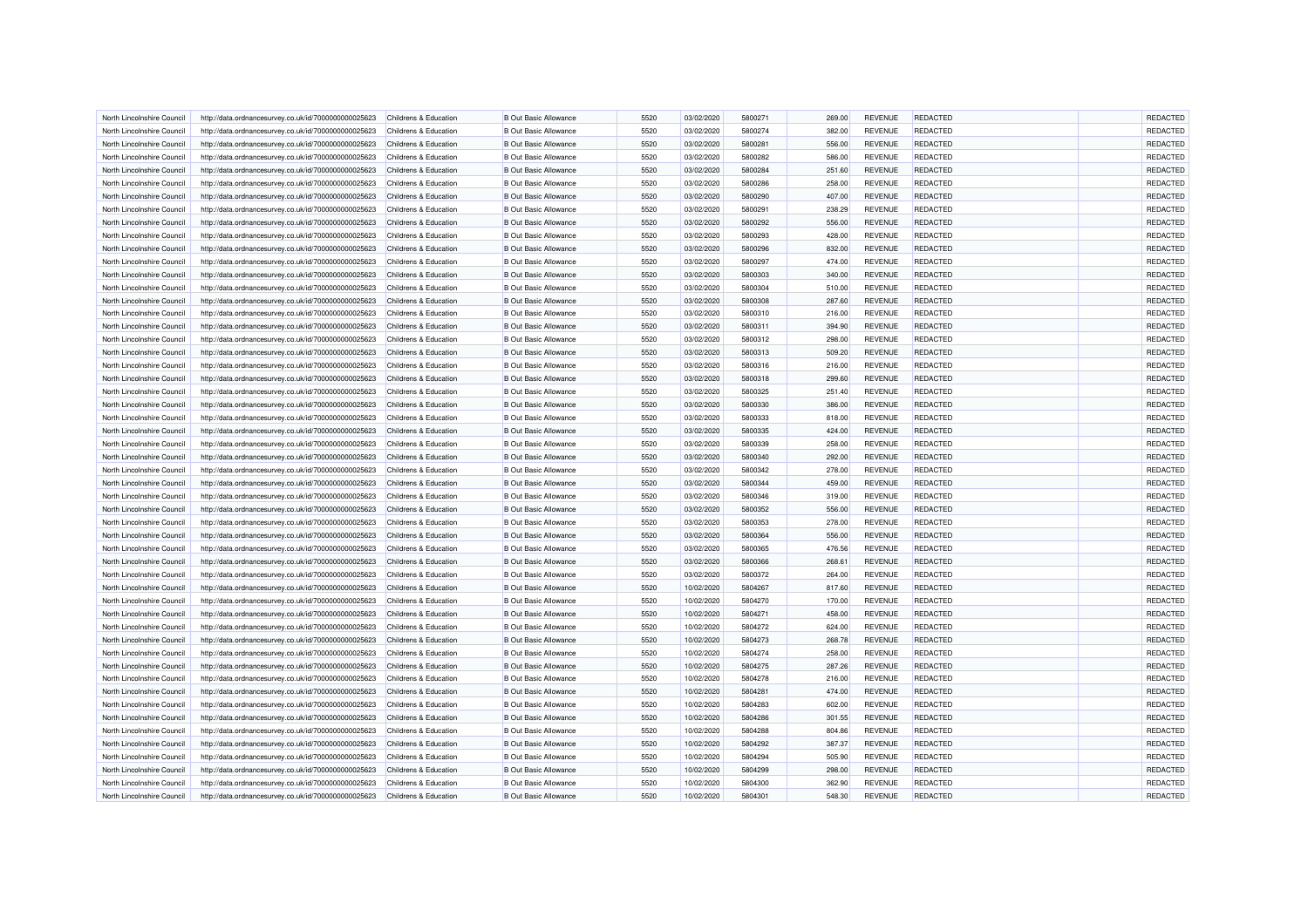| North Lincolnshire Council | http://data.ordnancesurvey.co.uk/id/7000000000025623                                                         | Childrens & Education            | <b>B</b> Out Basic Allowance | 5520 | 03/02/2020 | 5800271 | 269.00 | <b>REVENUE</b> | <b>REDACTED</b> | <b>REDACTED</b> |
|----------------------------|--------------------------------------------------------------------------------------------------------------|----------------------------------|------------------------------|------|------------|---------|--------|----------------|-----------------|-----------------|
| North Lincolnshire Council | http://data.ordnancesurvey.co.uk/id/7000000000025623                                                         | Childrens & Education            | <b>B</b> Out Basic Allowance | 5520 | 03/02/2020 | 5800274 | 382.00 | <b>REVENUE</b> | <b>REDACTED</b> | REDACTED        |
| North Lincolnshire Council | http://data.ordnancesurvey.co.uk/id/7000000000025623                                                         | Childrens & Education            | <b>B Out Basic Allowance</b> | 5520 | 03/02/2020 | 5800281 | 556.00 | <b>REVENUE</b> | <b>REDACTED</b> | REDACTED        |
| North Lincolnshire Council | http://data.ordnancesurvey.co.uk/id/7000000000025623                                                         | Childrens & Education            | <b>B Out Basic Allowance</b> | 5520 | 03/02/2020 | 5800282 | 586.00 | <b>REVENUE</b> | <b>REDACTED</b> | REDACTED        |
| North Lincolnshire Council | http://data.ordnancesurvey.co.uk/id/7000000000025623                                                         | Childrens & Education            | <b>B Out Basic Allowance</b> | 5520 | 03/02/2020 | 5800284 | 251.60 | <b>REVENUE</b> | <b>REDACTED</b> | REDACTED        |
| North Lincolnshire Council | http://data.ordnancesurvey.co.uk/id/7000000000025623                                                         | Childrens & Education            | <b>B</b> Out Basic Allowance | 5520 | 03/02/2020 | 5800286 | 258.00 | <b>REVENUE</b> | <b>REDACTED</b> | REDACTED        |
| North Lincolnshire Council | http://data.ordnancesurvey.co.uk/id/7000000000025623                                                         | Childrens & Education            | <b>B Out Basic Allowance</b> | 5520 | 03/02/2020 | 5800290 | 407.00 | <b>REVENUE</b> | <b>REDACTED</b> | REDACTED        |
| North Lincolnshire Council | http://data.ordnancesurvey.co.uk/id/7000000000025623                                                         | Childrens & Education            | <b>B Out Basic Allowance</b> | 5520 | 03/02/2020 | 5800291 | 238.29 | <b>REVENUE</b> | REDACTED        | REDACTED        |
| North Lincolnshire Council | http://data.ordnancesurvey.co.uk/id/7000000000025623                                                         | Childrens & Education            | <b>B Out Basic Allowance</b> | 5520 | 03/02/2020 | 5800292 | 556.00 | <b>REVENUE</b> | <b>REDACTED</b> | REDACTED        |
| North Lincolnshire Council | http://data.ordnancesurvey.co.uk/id/7000000000025623                                                         | Childrens & Education            | <b>B Out Basic Allowance</b> | 5520 | 03/02/2020 | 5800293 | 428.00 | <b>REVENUE</b> | <b>REDACTED</b> | REDACTED        |
| North Lincolnshire Council | http://data.ordnancesurvey.co.uk/id/7000000000025623                                                         | Childrens & Education            | <b>B Out Basic Allowance</b> | 5520 | 03/02/2020 | 5800296 | 832.00 | <b>REVENUE</b> | <b>REDACTED</b> | REDACTED        |
| North Lincolnshire Council | http://data.ordnancesurvey.co.uk/id/7000000000025623                                                         | Childrens & Education            | <b>B Out Basic Allowance</b> | 5520 | 03/02/2020 | 5800297 | 474.00 | <b>REVENUE</b> | <b>REDACTED</b> | REDACTED        |
| North Lincolnshire Council | http://data.ordnancesurvey.co.uk/id/7000000000025623                                                         | Childrens & Education            | <b>B Out Basic Allowance</b> | 5520 | 03/02/2020 | 5800303 | 340.00 | <b>REVENUE</b> | <b>REDACTED</b> | REDACTED        |
| North Lincolnshire Council | http://data.ordnancesurvey.co.uk/id/7000000000025623                                                         | Childrens & Education            | <b>B Out Basic Allowance</b> | 5520 | 03/02/2020 | 5800304 | 510.00 | <b>REVENUE</b> | <b>REDACTED</b> | REDACTED        |
| North Lincolnshire Council | http://data.ordnancesurvey.co.uk/id/7000000000025623                                                         | Childrens & Education            | <b>B Out Basic Allowance</b> | 5520 | 03/02/2020 | 5800308 | 287.60 | <b>REVENUE</b> | <b>REDACTED</b> | REDACTED        |
| North Lincolnshire Council | http://data.ordnancesurvey.co.uk/id/7000000000025623                                                         | Childrens & Education            | <b>B Out Basic Allowance</b> | 5520 | 03/02/2020 | 5800310 | 216.00 | <b>REVENUE</b> | <b>REDACTED</b> | REDACTED        |
| North Lincolnshire Council | http://data.ordnancesurvey.co.uk/id/7000000000025623                                                         | Childrens & Education            | <b>B Out Basic Allowance</b> | 5520 | 03/02/2020 | 5800311 | 394.90 | <b>REVENUE</b> | <b>REDACTED</b> | REDACTED        |
| North Lincolnshire Council | http://data.ordnancesurvey.co.uk/id/7000000000025623                                                         | Childrens & Education            | <b>B Out Basic Allowance</b> | 5520 | 03/02/2020 | 5800312 | 298.00 | <b>REVENUE</b> | <b>REDACTED</b> | REDACTED        |
| North Lincolnshire Council | http://data.ordnancesurvey.co.uk/id/7000000000025623                                                         | Childrens & Education            | <b>B Out Basic Allowance</b> | 5520 | 03/02/2020 | 5800313 | 509.20 | <b>REVENUE</b> | <b>REDACTED</b> | REDACTED        |
| North Lincolnshire Council | http://data.ordnancesurvey.co.uk/id/7000000000025623                                                         | Childrens & Education            | <b>B Out Basic Allowance</b> | 5520 | 03/02/2020 | 5800316 | 216.00 | <b>REVENUE</b> | <b>REDACTED</b> | REDACTED        |
| North Lincolnshire Council | http://data.ordnancesurvey.co.uk/id/7000000000025623                                                         | Childrens & Education            | <b>B Out Basic Allowance</b> | 5520 | 03/02/2020 | 5800318 | 299.60 | <b>REVENUE</b> | <b>REDACTED</b> | REDACTED        |
| North Lincolnshire Council | http://data.ordnancesurvey.co.uk/id/7000000000025623                                                         | Childrens & Education            | <b>B Out Basic Allowance</b> | 5520 | 03/02/2020 | 5800325 | 251.40 | <b>REVENUE</b> | <b>REDACTED</b> | REDACTED        |
| North Lincolnshire Council | http://data.ordnancesurvey.co.uk/id/7000000000025623                                                         | Childrens & Education            | <b>B Out Basic Allowance</b> | 5520 | 03/02/2020 | 5800330 | 386.00 | <b>REVENUE</b> | <b>REDACTED</b> | REDACTED        |
| North Lincolnshire Council |                                                                                                              | Childrens & Education            | <b>B Out Basic Allowance</b> | 5520 | 03/02/2020 | 5800333 | 818.00 | <b>REVENUE</b> | <b>REDACTED</b> | REDACTED        |
| North Lincolnshire Council | http://data.ordnancesurvey.co.uk/id/7000000000025623<br>http://data.ordnancesurvey.co.uk/id/7000000000025623 | Childrens & Education            | <b>B Out Basic Allowance</b> | 5520 | 03/02/2020 | 5800335 | 424.00 | <b>REVENUE</b> | <b>REDACTED</b> | REDACTED        |
|                            |                                                                                                              |                                  |                              |      |            |         |        |                |                 |                 |
| North Lincolnshire Council | http://data.ordnancesurvey.co.uk/id/7000000000025623                                                         | Childrens & Education            | <b>B Out Basic Allowance</b> | 5520 | 03/02/2020 | 5800339 | 258.00 | <b>REVENUE</b> | <b>REDACTED</b> | REDACTED        |
| North Lincolnshire Council | http://data.ordnancesurvey.co.uk/id/7000000000025623                                                         | Childrens & Education            | <b>B Out Basic Allowance</b> | 5520 | 03/02/2020 | 5800340 | 292.00 | <b>REVENUE</b> | <b>REDACTED</b> | REDACTED        |
| North Lincolnshire Council | http://data.ordnancesurvey.co.uk/id/7000000000025623                                                         | Childrens & Education            | <b>B Out Basic Allowance</b> | 5520 | 03/02/2020 | 5800342 | 278.00 | <b>REVENUE</b> | <b>REDACTED</b> | REDACTED        |
| North Lincolnshire Council | http://data.ordnancesurvey.co.uk/id/7000000000025623                                                         | <b>Childrens &amp; Education</b> | <b>B Out Basic Allowance</b> | 5520 | 03/02/2020 | 5800344 | 459.00 | <b>REVENUE</b> | <b>REDACTED</b> | REDACTED        |
| North Lincolnshire Council | http://data.ordnancesurvey.co.uk/id/7000000000025623                                                         | Childrens & Education            | <b>B Out Basic Allowance</b> | 5520 | 03/02/2020 | 5800346 | 319.00 | <b>REVENUE</b> | <b>REDACTED</b> | REDACTED        |
| North Lincolnshire Council | http://data.ordnancesurvey.co.uk/id/7000000000025623                                                         | <b>Childrens &amp; Education</b> | <b>B Out Basic Allowance</b> | 5520 | 03/02/2020 | 5800352 | 556.00 | <b>REVENUE</b> | <b>REDACTED</b> | REDACTED        |
| North Lincolnshire Council | http://data.ordnancesurvey.co.uk/id/7000000000025623                                                         | Childrens & Education            | <b>B Out Basic Allowance</b> | 5520 | 03/02/2020 | 5800353 | 278.00 | <b>REVENUE</b> | <b>REDACTED</b> | REDACTED        |
| North Lincolnshire Council | http://data.ordnancesurvey.co.uk/id/7000000000025623                                                         | Childrens & Education            | <b>B Out Basic Allowance</b> | 5520 | 03/02/2020 | 5800364 | 556.00 | <b>REVENUE</b> | <b>REDACTED</b> | REDACTED        |
| North Lincolnshire Council | http://data.ordnancesurvey.co.uk/id/7000000000025623                                                         | Childrens & Education            | <b>B Out Basic Allowance</b> | 5520 | 03/02/2020 | 5800365 | 476.56 | <b>REVENUE</b> | REDACTED        | REDACTED        |
| North Lincolnshire Council | http://data.ordnancesurvey.co.uk/id/7000000000025623                                                         | Childrens & Education            | <b>B Out Basic Allowance</b> | 5520 | 03/02/2020 | 5800366 | 268.61 | <b>REVENUE</b> | <b>REDACTED</b> | REDACTED        |
| North Lincolnshire Council | http://data.ordnancesurvey.co.uk/id/7000000000025623                                                         | Childrens & Education            | <b>B Out Basic Allowance</b> | 5520 | 03/02/2020 | 5800372 | 264.00 | <b>REVENUE</b> | <b>REDACTED</b> | REDACTED        |
| North Lincolnshire Council | http://data.ordnancesurvey.co.uk/id/7000000000025623                                                         | Childrens & Education            | <b>B Out Basic Allowance</b> | 5520 | 10/02/2020 | 5804267 | 817.60 | <b>REVENUE</b> | <b>REDACTED</b> | REDACTED        |
| North Lincolnshire Council | http://data.ordnancesurvey.co.uk/id/7000000000025623                                                         | Childrens & Education            | <b>B Out Basic Allowance</b> | 5520 | 10/02/2020 | 5804270 | 170.00 | <b>REVENUE</b> | <b>REDACTED</b> | REDACTED        |
| North Lincolnshire Council | http://data.ordnancesurvey.co.uk/id/7000000000025623                                                         | <b>Childrens &amp; Education</b> | <b>B Out Basic Allowance</b> | 5520 | 10/02/2020 | 5804271 | 458.00 | <b>REVENUE</b> | <b>REDACTED</b> | REDACTED        |
| North Lincolnshire Council | http://data.ordnancesurvey.co.uk/id/7000000000025623                                                         | Childrens & Education            | <b>B Out Basic Allowance</b> | 5520 | 10/02/2020 | 5804272 | 624.00 | <b>REVENUE</b> | <b>REDACTED</b> | REDACTED        |
| North Lincolnshire Council | http://data.ordnancesurvey.co.uk/id/7000000000025623                                                         | <b>Childrens &amp; Education</b> | <b>B Out Basic Allowance</b> | 5520 | 10/02/2020 | 5804273 | 268.78 | <b>REVENUE</b> | <b>REDACTED</b> | REDACTED        |
| North Lincolnshire Council | http://data.ordnancesurvey.co.uk/id/7000000000025623                                                         | Childrens & Education            | <b>B Out Basic Allowance</b> | 5520 | 10/02/2020 | 5804274 | 258.00 | <b>REVENUE</b> | <b>REDACTED</b> | REDACTED        |
| North Lincolnshire Council | http://data.ordnancesurvey.co.uk/id/7000000000025623                                                         | Childrens & Education            | <b>B Out Basic Allowance</b> | 5520 | 10/02/2020 | 5804275 | 287.26 | <b>REVENUE</b> | <b>REDACTED</b> | REDACTED        |
| North Lincolnshire Council | http://data.ordnancesurvey.co.uk/id/7000000000025623                                                         | Childrens & Education            | <b>B Out Basic Allowance</b> | 5520 | 10/02/2020 | 5804278 | 216.00 | <b>REVENUE</b> | <b>REDACTED</b> | REDACTED        |
| North Lincolnshire Council | http://data.ordnancesurvey.co.uk/id/7000000000025623                                                         | <b>Childrens &amp; Education</b> | <b>B Out Basic Allowance</b> | 5520 | 10/02/2020 | 5804281 | 474.00 | <b>REVENUE</b> | <b>REDACTED</b> | REDACTED        |
| North Lincolnshire Council | http://data.ordnancesurvey.co.uk/id/7000000000025623                                                         | Childrens & Education            | <b>B Out Basic Allowance</b> | 5520 | 10/02/2020 | 5804283 | 602.00 | <b>REVENUE</b> | <b>REDACTED</b> | REDACTED        |
| North Lincolnshire Council | http://data.ordnancesurvey.co.uk/id/7000000000025623                                                         | Childrens & Education            | <b>B Out Basic Allowance</b> | 5520 | 10/02/2020 | 5804286 | 301.55 | <b>REVENUE</b> | <b>REDACTED</b> | REDACTED        |
| North Lincolnshire Council | http://data.ordnancesurvey.co.uk/id/7000000000025623                                                         | Childrens & Education            | <b>B Out Basic Allowance</b> | 5520 | 10/02/2020 | 5804288 | 804.86 | <b>REVENUE</b> | <b>REDACTED</b> | REDACTED        |
| North Lincolnshire Council | http://data.ordnancesurvey.co.uk/id/7000000000025623                                                         | Childrens & Education            | <b>B Out Basic Allowance</b> | 5520 | 10/02/2020 | 5804292 | 387.37 | <b>REVENUE</b> | <b>REDACTED</b> | REDACTED        |
| North Lincolnshire Council | http://data.ordnancesurvey.co.uk/id/7000000000025623                                                         | Childrens & Education            | <b>B Out Basic Allowance</b> | 5520 | 10/02/2020 | 5804294 | 505.90 | <b>REVENUE</b> | <b>REDACTED</b> | REDACTED        |
| North Lincolnshire Council | http://data.ordnancesurvey.co.uk/id/7000000000025623                                                         | Childrens & Education            | <b>B Out Basic Allowance</b> | 5520 | 10/02/2020 | 5804299 | 298.00 | <b>REVENUE</b> | <b>REDACTED</b> | REDACTED        |
| North Lincolnshire Council | http://data.ordnancesurvey.co.uk/id/7000000000025623                                                         | Childrens & Education            | <b>B Out Basic Allowance</b> | 5520 | 10/02/2020 | 5804300 | 362.90 | <b>REVENUE</b> | <b>REDACTED</b> | REDACTED        |
| North Lincolnshire Council | http://data.ordnancesurvey.co.uk/id/7000000000025623                                                         | Childrens & Education            | <b>B Out Basic Allowance</b> | 5520 | 10/02/2020 | 5804301 | 548.30 | <b>REVENUE</b> | <b>REDACTED</b> | REDACTED        |
|                            |                                                                                                              |                                  |                              |      |            |         |        |                |                 |                 |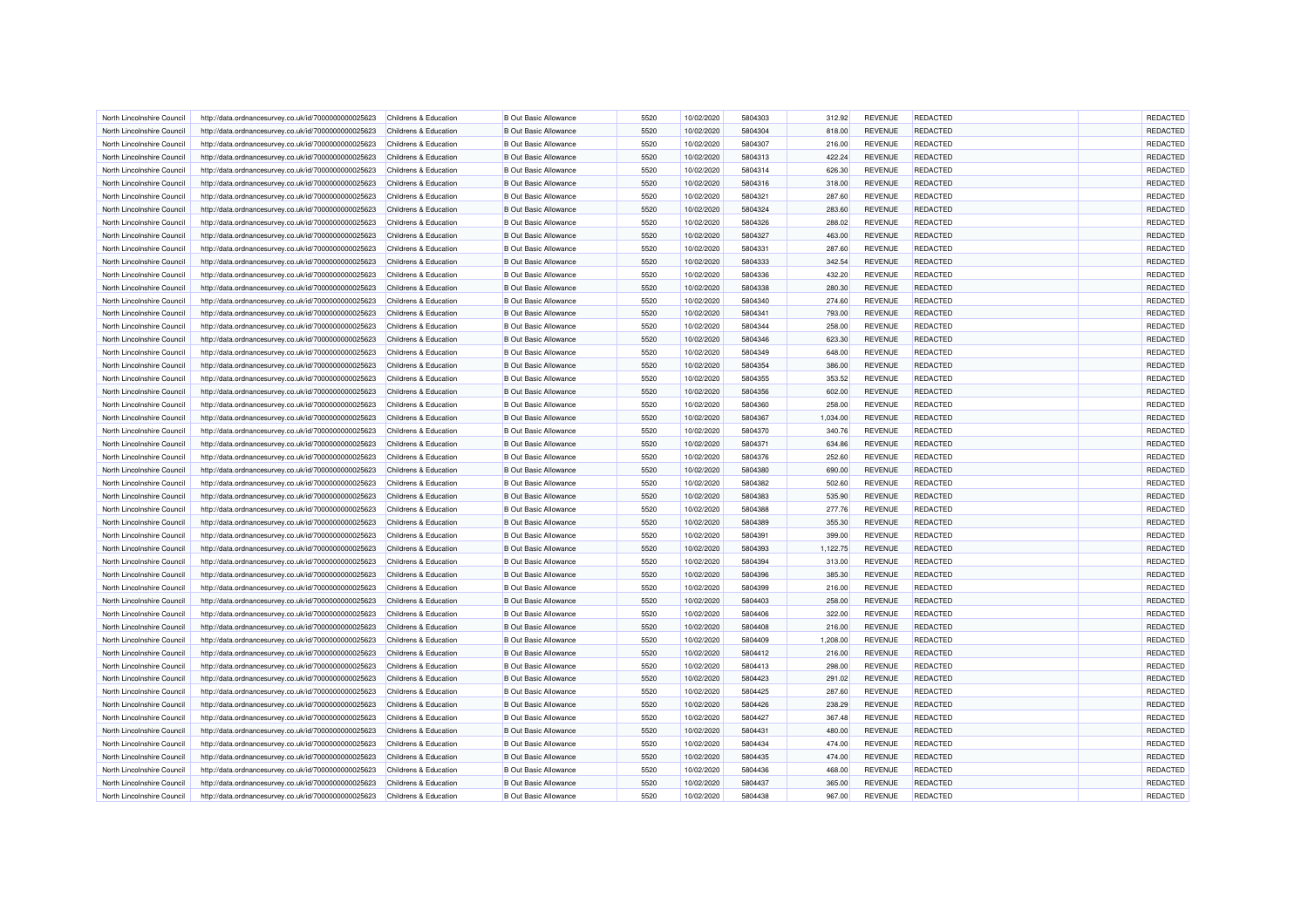| North Lincolnshire Council | http://data.ordnancesurvey.co.uk/id/7000000000025623 | Childrens & Education            | <b>B</b> Out Basic Allowance | 5520 | 10/02/2020 | 5804303 | 312.92   | <b>REVENUE</b> | <b>REDACTED</b> | REDACTED |
|----------------------------|------------------------------------------------------|----------------------------------|------------------------------|------|------------|---------|----------|----------------|-----------------|----------|
| North Lincolnshire Council | http://data.ordnancesurvey.co.uk/id/7000000000025623 | Childrens & Education            | <b>B Out Basic Allowance</b> | 5520 | 10/02/2020 | 5804304 | 818.00   | <b>REVENUE</b> | <b>REDACTED</b> | REDACTED |
| North Lincolnshire Council | http://data.ordnancesurvey.co.uk/id/7000000000025623 | Childrens & Education            | <b>B Out Basic Allowance</b> | 5520 | 10/02/2020 | 5804307 | 216.00   | <b>REVENUE</b> | <b>REDACTED</b> | REDACTED |
| North Lincolnshire Council | http://data.ordnancesurvey.co.uk/id/7000000000025623 | Childrens & Education            | <b>B Out Basic Allowance</b> | 5520 | 10/02/2020 | 5804313 | 422.24   | <b>REVENUE</b> | <b>REDACTED</b> | REDACTED |
| North Lincolnshire Council | http://data.ordnancesurvey.co.uk/id/7000000000025623 | Childrens & Education            | <b>B Out Basic Allowance</b> | 5520 | 10/02/2020 | 5804314 | 626.30   | <b>REVENUE</b> | <b>REDACTED</b> | REDACTED |
| North Lincolnshire Council | http://data.ordnancesurvey.co.uk/id/7000000000025623 | Childrens & Education            | <b>B</b> Out Basic Allowance | 5520 | 10/02/2020 | 5804316 | 318.00   | <b>REVENUE</b> | <b>REDACTED</b> | REDACTED |
| North Lincolnshire Council | http://data.ordnancesurvey.co.uk/id/7000000000025623 | Childrens & Education            | <b>B</b> Out Basic Allowance | 5520 | 10/02/2020 | 5804321 | 287.60   | <b>REVENUE</b> | <b>REDACTED</b> | REDACTED |
| North Lincolnshire Council | http://data.ordnancesurvey.co.uk/id/7000000000025623 | Childrens & Education            | <b>B Out Basic Allowance</b> | 5520 | 10/02/2020 | 5804324 | 283.60   | <b>REVENUE</b> | REDACTED        | REDACTED |
| North Lincolnshire Council | http://data.ordnancesurvey.co.uk/id/7000000000025623 | Childrens & Education            | <b>B Out Basic Allowance</b> | 5520 | 10/02/2020 | 5804326 | 288.02   | <b>REVENUE</b> | <b>REDACTED</b> | REDACTED |
| North Lincolnshire Council | http://data.ordnancesurvey.co.uk/id/7000000000025623 | Childrens & Education            | <b>B Out Basic Allowance</b> | 5520 | 10/02/2020 | 5804327 | 463.00   | <b>REVENUE</b> | <b>REDACTED</b> | REDACTED |
| North Lincolnshire Council | http://data.ordnancesurvey.co.uk/id/7000000000025623 | Childrens & Education            | <b>B Out Basic Allowance</b> | 5520 | 10/02/2020 | 5804331 | 287.60   | <b>REVENUE</b> | <b>REDACTED</b> | REDACTED |
| North Lincolnshire Council | http://data.ordnancesurvey.co.uk/id/7000000000025623 | Childrens & Education            | <b>B Out Basic Allowance</b> | 5520 | 10/02/2020 | 5804333 | 342.54   | <b>REVENUE</b> | <b>REDACTED</b> | REDACTED |
| North Lincolnshire Council | http://data.ordnancesurvey.co.uk/id/7000000000025623 | Childrens & Education            | <b>B Out Basic Allowance</b> | 5520 | 10/02/2020 | 5804336 | 432.20   | <b>REVENUE</b> | <b>REDACTED</b> | REDACTED |
| North Lincolnshire Council | http://data.ordnancesurvey.co.uk/id/7000000000025623 | Childrens & Education            | <b>B Out Basic Allowance</b> | 5520 | 10/02/2020 | 5804338 | 280.30   | <b>REVENUE</b> | REDACTED        | REDACTED |
| North Lincolnshire Council | http://data.ordnancesurvey.co.uk/id/7000000000025623 | Childrens & Education            | <b>B Out Basic Allowance</b> | 5520 | 10/02/2020 | 5804340 | 274.60   | <b>REVENUE</b> | <b>REDACTED</b> | REDACTED |
| North Lincolnshire Council | http://data.ordnancesurvey.co.uk/id/7000000000025623 | Childrens & Education            | <b>B Out Basic Allowance</b> | 5520 | 10/02/2020 | 5804341 | 793.00   | <b>REVENUE</b> | <b>REDACTED</b> | REDACTED |
| North Lincolnshire Council | http://data.ordnancesurvey.co.uk/id/7000000000025623 | Childrens & Education            | <b>B Out Basic Allowance</b> | 5520 | 10/02/2020 | 5804344 | 258.00   | <b>REVENUE</b> | <b>REDACTED</b> | REDACTED |
| North Lincolnshire Council | http://data.ordnancesurvey.co.uk/id/7000000000025623 | Childrens & Education            | <b>B Out Basic Allowance</b> | 5520 | 10/02/2020 | 5804346 | 623.30   | <b>REVENUE</b> | <b>REDACTED</b> | REDACTED |
| North Lincolnshire Council | http://data.ordnancesurvey.co.uk/id/7000000000025623 | Childrens & Education            | <b>B Out Basic Allowance</b> | 5520 | 10/02/2020 | 5804349 | 648.00   | <b>REVENUE</b> | <b>REDACTED</b> | REDACTED |
| North Lincolnshire Council | http://data.ordnancesurvey.co.uk/id/7000000000025623 | Childrens & Education            | <b>B Out Basic Allowance</b> | 5520 | 10/02/2020 | 5804354 | 386.00   | <b>REVENUE</b> | <b>REDACTED</b> | REDACTED |
| North Lincolnshire Council | http://data.ordnancesurvey.co.uk/id/7000000000025623 | Childrens & Education            | <b>B Out Basic Allowance</b> | 5520 | 10/02/2020 | 5804355 | 353.52   | <b>REVENUE</b> | REDACTED        | REDACTED |
| North Lincolnshire Council | http://data.ordnancesurvey.co.uk/id/7000000000025623 | Childrens & Education            | <b>B Out Basic Allowance</b> | 5520 | 10/02/2020 | 5804356 | 602.00   | <b>REVENUE</b> | <b>REDACTED</b> | REDACTED |
| North Lincolnshire Council | http://data.ordnancesurvey.co.uk/id/7000000000025623 | Childrens & Education            | <b>B Out Basic Allowance</b> | 5520 | 10/02/2020 | 5804360 | 258.00   | <b>REVENUE</b> | <b>REDACTED</b> | REDACTED |
| North Lincolnshire Council |                                                      | Childrens & Education            | <b>B Out Basic Allowance</b> | 5520 | 10/02/2020 | 5804367 | 1,034.00 | <b>REVENUE</b> | <b>REDACTED</b> | REDACTED |
|                            | http://data.ordnancesurvey.co.uk/id/7000000000025623 |                                  | <b>B Out Basic Allowance</b> | 5520 |            | 5804370 |          | <b>REVENUE</b> |                 | REDACTED |
| North Lincolnshire Council | http://data.ordnancesurvey.co.uk/id/7000000000025623 | Childrens & Education            |                              |      | 10/02/2020 |         | 340.76   |                | <b>REDACTED</b> |          |
| North Lincolnshire Council | http://data.ordnancesurvey.co.uk/id/7000000000025623 | Childrens & Education            | <b>B Out Basic Allowance</b> | 5520 | 10/02/2020 | 5804371 | 634.86   | <b>REVENUE</b> | <b>REDACTED</b> | REDACTED |
| North Lincolnshire Council | http://data.ordnancesurvey.co.uk/id/7000000000025623 | Childrens & Education            | <b>B Out Basic Allowance</b> | 5520 | 10/02/2020 | 5804376 | 252.60   | <b>REVENUE</b> | <b>REDACTED</b> | REDACTED |
| North Lincolnshire Council | http://data.ordnancesurvey.co.uk/id/7000000000025623 | Childrens & Education            | <b>B Out Basic Allowance</b> | 5520 | 10/02/2020 | 5804380 | 690.00   | <b>REVENUE</b> | <b>REDACTED</b> | REDACTED |
| North Lincolnshire Council | http://data.ordnancesurvey.co.uk/id/7000000000025623 | Childrens & Education            | <b>B Out Basic Allowance</b> | 5520 | 10/02/2020 | 5804382 | 502.60   | <b>REVENUE</b> | <b>REDACTED</b> | REDACTED |
| North Lincolnshire Council | http://data.ordnancesurvey.co.uk/id/7000000000025623 | Childrens & Education            | <b>B Out Basic Allowance</b> | 5520 | 10/02/2020 | 5804383 | 535.90   | <b>REVENUE</b> | <b>REDACTED</b> | REDACTED |
| North Lincolnshire Council | http://data.ordnancesurvey.co.uk/id/7000000000025623 | Childrens & Education            | <b>B Out Basic Allowance</b> | 5520 | 10/02/2020 | 5804388 | 277.76   | <b>REVENUE</b> | <b>REDACTED</b> | REDACTED |
| North Lincolnshire Council | http://data.ordnancesurvey.co.uk/id/7000000000025623 | Childrens & Education            | <b>B Out Basic Allowance</b> | 5520 | 10/02/2020 | 5804389 | 355.30   | <b>REVENUE</b> | <b>REDACTED</b> | REDACTED |
| North Lincolnshire Council | http://data.ordnancesurvey.co.uk/id/7000000000025623 | Childrens & Education            | <b>B Out Basic Allowance</b> | 5520 | 10/02/2020 | 5804391 | 399.00   | <b>REVENUE</b> | <b>REDACTED</b> | REDACTED |
| North Lincolnshire Council | http://data.ordnancesurvey.co.uk/id/7000000000025623 | Childrens & Education            | <b>B Out Basic Allowance</b> | 5520 | 10/02/2020 | 5804393 | 1,122.75 | <b>REVENUE</b> | <b>REDACTED</b> | REDACTED |
| North Lincolnshire Council | http://data.ordnancesurvey.co.uk/id/7000000000025623 | Childrens & Education            | <b>B Out Basic Allowance</b> | 5520 | 10/02/2020 | 5804394 | 313.00   | <b>REVENUE</b> | <b>REDACTED</b> | REDACTED |
| North Lincolnshire Council | http://data.ordnancesurvey.co.uk/id/7000000000025623 | Childrens & Education            | <b>B Out Basic Allowance</b> | 5520 | 10/02/2020 | 5804396 | 385.30   | <b>REVENUE</b> | <b>REDACTED</b> | REDACTED |
| North Lincolnshire Council | http://data.ordnancesurvey.co.uk/id/7000000000025623 | Childrens & Education            | <b>B Out Basic Allowance</b> | 5520 | 10/02/2020 | 5804399 | 216.00   | <b>REVENUE</b> | <b>REDACTED</b> | REDACTED |
| North Lincolnshire Council | http://data.ordnancesurvey.co.uk/id/7000000000025623 | Childrens & Education            | <b>B Out Basic Allowance</b> | 5520 | 10/02/2020 | 5804403 | 258.00   | <b>REVENUE</b> | <b>REDACTED</b> | REDACTED |
| North Lincolnshire Council | http://data.ordnancesurvey.co.uk/id/7000000000025623 | Childrens & Education            | <b>B Out Basic Allowance</b> | 5520 | 10/02/2020 | 5804406 | 322.00   | <b>REVENUE</b> | <b>REDACTED</b> | REDACTED |
| North Lincolnshire Council | http://data.ordnancesurvey.co.uk/id/7000000000025623 | Childrens & Education            | <b>B Out Basic Allowance</b> | 5520 | 10/02/2020 | 5804408 | 216.00   | <b>REVENUE</b> | <b>REDACTED</b> | REDACTED |
| North Lincolnshire Council | http://data.ordnancesurvey.co.uk/id/7000000000025623 | Childrens & Education            | <b>B Out Basic Allowance</b> | 5520 | 10/02/2020 | 5804409 | 1,208.00 | <b>REVENUE</b> | <b>REDACTED</b> | REDACTED |
| North Lincolnshire Council | http://data.ordnancesurvey.co.uk/id/7000000000025623 | <b>Childrens &amp; Education</b> | <b>B Out Basic Allowance</b> | 5520 | 10/02/2020 | 5804412 | 216.00   | <b>REVENUE</b> | <b>REDACTED</b> | REDACTED |
| North Lincolnshire Council | http://data.ordnancesurvey.co.uk/id/7000000000025623 | Childrens & Education            | <b>B Out Basic Allowance</b> | 5520 | 10/02/2020 | 5804413 | 298.00   | <b>REVENUE</b> | <b>REDACTED</b> | REDACTED |
| North Lincolnshire Council | http://data.ordnancesurvey.co.uk/id/7000000000025623 | Childrens & Education            | <b>B Out Basic Allowance</b> | 5520 | 10/02/2020 | 5804423 | 291.02   | <b>REVENUE</b> | <b>REDACTED</b> | REDACTED |
| North Lincolnshire Council | http://data.ordnancesurvey.co.uk/id/7000000000025623 | Childrens & Education            | <b>B Out Basic Allowance</b> | 5520 | 10/02/2020 | 5804425 | 287.60   | <b>REVENUE</b> | <b>REDACTED</b> | REDACTED |
| North Lincolnshire Council | http://data.ordnancesurvey.co.uk/id/7000000000025623 | <b>Childrens &amp; Education</b> | <b>B Out Basic Allowance</b> | 5520 | 10/02/2020 | 5804426 | 238.29   | <b>REVENUE</b> | <b>REDACTED</b> | REDACTED |
| North Lincolnshire Council | http://data.ordnancesurvey.co.uk/id/7000000000025623 | Childrens & Education            | <b>B Out Basic Allowance</b> | 5520 | 10/02/2020 | 5804427 | 367.48   | <b>REVENUE</b> | <b>REDACTED</b> | REDACTED |
| North Lincolnshire Council | http://data.ordnancesurvey.co.uk/id/7000000000025623 | Childrens & Education            | <b>B Out Basic Allowance</b> | 5520 | 10/02/2020 | 5804431 | 480.00   | <b>REVENUE</b> | <b>REDACTED</b> | REDACTED |
| North Lincolnshire Council | http://data.ordnancesurvey.co.uk/id/7000000000025623 | Childrens & Education            | <b>B Out Basic Allowance</b> | 5520 | 10/02/2020 | 5804434 | 474.00   | <b>REVENUE</b> | <b>REDACTED</b> | REDACTED |
| North Lincolnshire Council | http://data.ordnancesurvey.co.uk/id/7000000000025623 | Childrens & Education            | <b>B Out Basic Allowance</b> | 5520 | 10/02/2020 | 5804435 | 474.00   | <b>REVENUE</b> | <b>REDACTED</b> | REDACTED |
| North Lincolnshire Council | http://data.ordnancesurvey.co.uk/id/7000000000025623 | Childrens & Education            | <b>B Out Basic Allowance</b> | 5520 | 10/02/2020 | 5804436 | 468.00   | <b>REVENUE</b> | REDACTED        | REDACTED |
| North Lincolnshire Council | http://data.ordnancesurvey.co.uk/id/7000000000025623 | Childrens & Education            | <b>B Out Basic Allowance</b> | 5520 | 10/02/2020 | 5804437 | 365.00   | <b>REVENUE</b> | <b>REDACTED</b> | REDACTED |
| North Lincolnshire Council | http://data.ordnancesurvey.co.uk/id/7000000000025623 | Childrens & Education            | <b>B Out Basic Allowance</b> | 5520 | 10/02/2020 | 5804438 | 967.00   | <b>REVENUE</b> | <b>REDACTED</b> | REDACTED |
|                            |                                                      |                                  |                              |      |            |         |          |                |                 |          |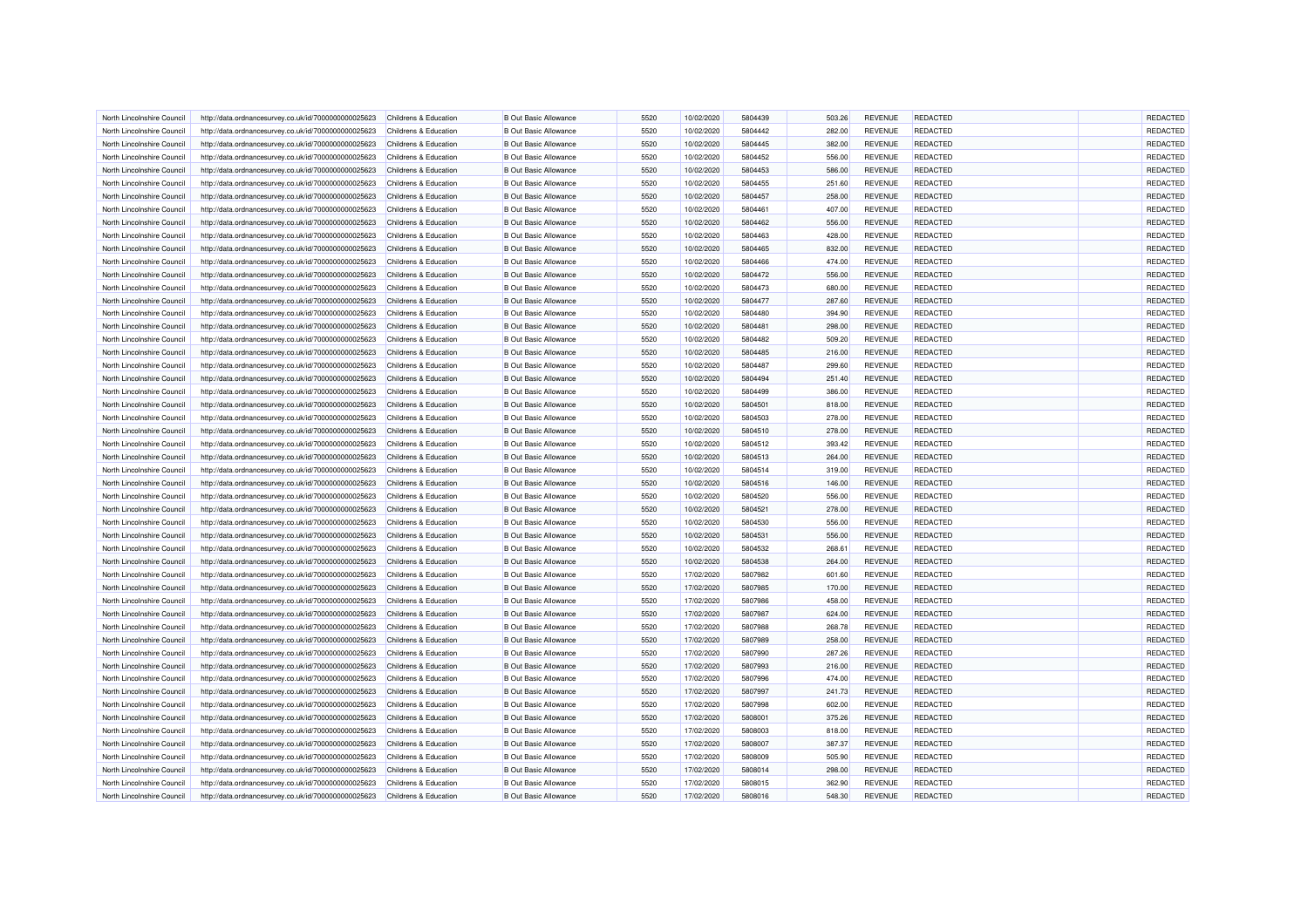| North Lincolnshire Council | http://data.ordnancesurvey.co.uk/id/7000000000025623 | Childrens & Education            | <b>B Out Basic Allowance</b> | 5520 | 10/02/2020 | 5804439 | 503.26 | <b>REVENUE</b> | <b>REDACTED</b> | <b>REDACTED</b> |
|----------------------------|------------------------------------------------------|----------------------------------|------------------------------|------|------------|---------|--------|----------------|-----------------|-----------------|
| North Lincolnshire Council | http://data.ordnancesurvey.co.uk/id/7000000000025623 | Childrens & Education            | <b>B</b> Out Basic Allowance | 5520 | 10/02/2020 | 5804442 | 282.00 | <b>REVENUE</b> | <b>REDACTED</b> | REDACTED        |
| North Lincolnshire Council | http://data.ordnancesurvey.co.uk/id/7000000000025623 | Childrens & Education            | <b>B Out Basic Allowance</b> | 5520 | 10/02/2020 | 5804445 | 382.00 | <b>REVENUE</b> | <b>REDACTED</b> | REDACTED        |
| North Lincolnshire Council | http://data.ordnancesurvey.co.uk/id/7000000000025623 | Childrens & Education            | <b>B</b> Out Basic Allowance | 5520 | 10/02/2020 | 5804452 | 556.00 | <b>REVENUE</b> | <b>REDACTED</b> | REDACTED        |
| North Lincolnshire Council | http://data.ordnancesurvey.co.uk/id/7000000000025623 | Childrens & Education            | <b>B Out Basic Allowance</b> | 5520 | 10/02/2020 | 5804453 | 586.00 | <b>REVENUE</b> | <b>REDACTED</b> | REDACTED        |
| North Lincolnshire Council | http://data.ordnancesurvey.co.uk/id/7000000000025623 | Childrens & Education            | <b>B</b> Out Basic Allowance | 5520 | 10/02/2020 | 5804455 | 251.60 | <b>REVENUE</b> | <b>REDACTED</b> | REDACTED        |
| North Lincolnshire Council | http://data.ordnancesurvey.co.uk/id/7000000000025623 | Childrens & Education            | <b>B Out Basic Allowance</b> | 5520 | 10/02/2020 | 5804457 | 258.00 | <b>REVENUE</b> | <b>REDACTED</b> | REDACTED        |
| North Lincolnshire Council | http://data.ordnancesurvey.co.uk/id/7000000000025623 | Childrens & Education            | <b>B Out Basic Allowance</b> | 5520 | 10/02/2020 | 5804461 | 407.00 | <b>REVENUE</b> | REDACTED        | REDACTED        |
| North Lincolnshire Council | http://data.ordnancesurvey.co.uk/id/7000000000025623 | Childrens & Education            | <b>B Out Basic Allowance</b> | 5520 | 10/02/2020 | 5804462 | 556.00 | <b>REVENUE</b> | <b>REDACTED</b> | REDACTED        |
| North Lincolnshire Council | http://data.ordnancesurvey.co.uk/id/7000000000025623 | Childrens & Education            | <b>B Out Basic Allowance</b> | 5520 | 10/02/2020 | 5804463 | 428.00 | <b>REVENUE</b> | <b>REDACTED</b> | REDACTED        |
| North Lincolnshire Council | http://data.ordnancesurvey.co.uk/id/7000000000025623 | Childrens & Education            | <b>B Out Basic Allowance</b> | 5520 | 10/02/2020 | 5804465 | 832.00 | <b>REVENUE</b> | <b>REDACTED</b> | REDACTED        |
| North Lincolnshire Council | http://data.ordnancesurvey.co.uk/id/7000000000025623 | Childrens & Education            | <b>B Out Basic Allowance</b> | 5520 | 10/02/2020 | 5804466 | 474.00 | <b>REVENUE</b> | <b>REDACTED</b> | REDACTED        |
| North Lincolnshire Council | http://data.ordnancesurvey.co.uk/id/7000000000025623 | Childrens & Education            | <b>B Out Basic Allowance</b> | 5520 | 10/02/2020 | 5804472 | 556.00 | <b>REVENUE</b> | <b>REDACTED</b> | REDACTED        |
| North Lincolnshire Council | http://data.ordnancesurvey.co.uk/id/7000000000025623 | Childrens & Education            | <b>B Out Basic Allowance</b> | 5520 | 10/02/2020 | 5804473 | 680.00 | <b>REVENUE</b> | <b>REDACTED</b> | REDACTED        |
| North Lincolnshire Council | http://data.ordnancesurvey.co.uk/id/7000000000025623 | Childrens & Education            | <b>B Out Basic Allowance</b> | 5520 | 10/02/2020 | 5804477 | 287.60 | <b>REVENUE</b> | <b>REDACTED</b> | REDACTED        |
| North Lincolnshire Council | http://data.ordnancesurvey.co.uk/id/7000000000025623 | Childrens & Education            | <b>B Out Basic Allowance</b> | 5520 | 10/02/2020 | 5804480 | 394.90 | <b>REVENUE</b> | <b>REDACTED</b> | REDACTED        |
| North Lincolnshire Council | http://data.ordnancesurvey.co.uk/id/7000000000025623 | Childrens & Education            | <b>B Out Basic Allowance</b> | 5520 | 10/02/2020 | 5804481 | 298.00 | <b>REVENUE</b> | <b>REDACTED</b> | REDACTED        |
| North Lincolnshire Council | http://data.ordnancesurvey.co.uk/id/7000000000025623 | Childrens & Education            | <b>B Out Basic Allowance</b> | 5520 | 10/02/2020 | 5804482 | 509.20 | <b>REVENUE</b> | <b>REDACTED</b> | REDACTED        |
| North Lincolnshire Council | http://data.ordnancesurvey.co.uk/id/7000000000025623 | Childrens & Education            | <b>B Out Basic Allowance</b> | 5520 | 10/02/2020 | 5804485 | 216.00 | <b>REVENUE</b> | <b>REDACTED</b> | REDACTED        |
| North Lincolnshire Council | http://data.ordnancesurvey.co.uk/id/7000000000025623 | Childrens & Education            | <b>B Out Basic Allowance</b> | 5520 | 10/02/2020 | 5804487 | 299.60 | <b>REVENUE</b> | <b>REDACTED</b> | REDACTED        |
| North Lincolnshire Council | http://data.ordnancesurvey.co.uk/id/7000000000025623 | Childrens & Education            | <b>B Out Basic Allowance</b> | 5520 | 10/02/2020 | 5804494 | 251.40 | <b>REVENUE</b> | <b>REDACTED</b> | REDACTED        |
| North Lincolnshire Council | http://data.ordnancesurvey.co.uk/id/7000000000025623 | Childrens & Education            | <b>B Out Basic Allowance</b> | 5520 | 10/02/2020 | 5804499 | 386.00 | <b>REVENUE</b> | <b>REDACTED</b> | REDACTED        |
| North Lincolnshire Council | http://data.ordnancesurvey.co.uk/id/7000000000025623 | Childrens & Education            | <b>B Out Basic Allowance</b> | 5520 | 10/02/2020 | 5804501 | 818.00 | <b>REVENUE</b> | <b>REDACTED</b> | REDACTED        |
| North Lincolnshire Council |                                                      | Childrens & Education            | <b>B Out Basic Allowance</b> | 5520 | 10/02/2020 | 5804503 | 278.00 | <b>REVENUE</b> | <b>REDACTED</b> | REDACTED        |
|                            | http://data.ordnancesurvey.co.uk/id/7000000000025623 | Childrens & Education            | <b>B Out Basic Allowance</b> | 5520 |            | 5804510 |        | <b>REVENUE</b> |                 |                 |
| North Lincolnshire Council | http://data.ordnancesurvey.co.uk/id/7000000000025623 |                                  |                              |      | 10/02/2020 |         | 278.00 |                | <b>REDACTED</b> | REDACTED        |
| North Lincolnshire Council | http://data.ordnancesurvey.co.uk/id/7000000000025623 | Childrens & Education            | <b>B Out Basic Allowance</b> | 5520 | 10/02/2020 | 5804512 | 393.42 | <b>REVENUE</b> | <b>REDACTED</b> | REDACTED        |
| North Lincolnshire Council | http://data.ordnancesurvey.co.uk/id/7000000000025623 | Childrens & Education            | <b>B Out Basic Allowance</b> | 5520 | 10/02/2020 | 5804513 | 264.00 | <b>REVENUE</b> | <b>REDACTED</b> | REDACTED        |
| North Lincolnshire Council | http://data.ordnancesurvey.co.uk/id/7000000000025623 | Childrens & Education            | <b>B Out Basic Allowance</b> | 5520 | 10/02/2020 | 5804514 | 319.00 | <b>REVENUE</b> | <b>REDACTED</b> | REDACTED        |
| North Lincolnshire Council | http://data.ordnancesurvey.co.uk/id/7000000000025623 | <b>Childrens &amp; Education</b> | <b>B Out Basic Allowance</b> | 5520 | 10/02/2020 | 5804516 | 146.00 | <b>REVENUE</b> | <b>REDACTED</b> | REDACTED        |
| North Lincolnshire Council | http://data.ordnancesurvey.co.uk/id/7000000000025623 | Childrens & Education            | <b>B Out Basic Allowance</b> | 5520 | 10/02/2020 | 5804520 | 556.00 | <b>REVENUE</b> | <b>REDACTED</b> | REDACTED        |
| North Lincolnshire Council | http://data.ordnancesurvey.co.uk/id/7000000000025623 | <b>Childrens &amp; Education</b> | <b>B Out Basic Allowance</b> | 5520 | 10/02/2020 | 5804521 | 278.00 | <b>REVENUE</b> | <b>REDACTED</b> | REDACTED        |
| North Lincolnshire Council | http://data.ordnancesurvey.co.uk/id/7000000000025623 | Childrens & Education            | <b>B Out Basic Allowance</b> | 5520 | 10/02/2020 | 5804530 | 556.00 | <b>REVENUE</b> | <b>REDACTED</b> | REDACTED        |
| North Lincolnshire Council | http://data.ordnancesurvey.co.uk/id/7000000000025623 | Childrens & Education            | <b>B Out Basic Allowance</b> | 5520 | 10/02/2020 | 5804531 | 556.00 | <b>REVENUE</b> | <b>REDACTED</b> | REDACTED        |
| North Lincolnshire Council | http://data.ordnancesurvey.co.uk/id/7000000000025623 | Childrens & Education            | <b>B Out Basic Allowance</b> | 5520 | 10/02/2020 | 5804532 | 268.61 | <b>REVENUE</b> | REDACTED        | REDACTED        |
| North Lincolnshire Council | http://data.ordnancesurvey.co.uk/id/7000000000025623 | Childrens & Education            | <b>B Out Basic Allowance</b> | 5520 | 10/02/2020 | 5804538 | 264.00 | <b>REVENUE</b> | <b>REDACTED</b> | REDACTED        |
| North Lincolnshire Council | http://data.ordnancesurvey.co.uk/id/7000000000025623 | Childrens & Education            | <b>B Out Basic Allowance</b> | 5520 | 17/02/2020 | 5807982 | 601.60 | <b>REVENUE</b> | <b>REDACTED</b> | REDACTED        |
| North Lincolnshire Council | http://data.ordnancesurvey.co.uk/id/7000000000025623 | Childrens & Education            | <b>B Out Basic Allowance</b> | 5520 | 17/02/2020 | 5807985 | 170.00 | <b>REVENUE</b> | <b>REDACTED</b> | REDACTED        |
| North Lincolnshire Council | http://data.ordnancesurvey.co.uk/id/7000000000025623 | Childrens & Education            | <b>B Out Basic Allowance</b> | 5520 | 17/02/2020 | 5807986 | 458.00 | <b>REVENUE</b> | <b>REDACTED</b> | REDACTED        |
| North Lincolnshire Council | http://data.ordnancesurvey.co.uk/id/7000000000025623 | <b>Childrens &amp; Education</b> | <b>B Out Basic Allowance</b> | 5520 | 17/02/2020 | 5807987 | 624.00 | <b>REVENUE</b> | <b>REDACTED</b> | REDACTED        |
| North Lincolnshire Council | http://data.ordnancesurvey.co.uk/id/7000000000025623 | Childrens & Education            | <b>B Out Basic Allowance</b> | 5520 | 17/02/2020 | 5807988 | 268.78 | <b>REVENUE</b> | <b>REDACTED</b> | REDACTED        |
| North Lincolnshire Council | http://data.ordnancesurvey.co.uk/id/7000000000025623 | <b>Childrens &amp; Education</b> | <b>B Out Basic Allowance</b> | 5520 | 17/02/2020 | 5807989 | 258.00 | <b>REVENUE</b> | <b>REDACTED</b> | REDACTED        |
| North Lincolnshire Council | http://data.ordnancesurvey.co.uk/id/7000000000025623 | Childrens & Education            | <b>B Out Basic Allowance</b> | 5520 | 17/02/2020 | 5807990 | 287.26 | <b>REVENUE</b> | <b>REDACTED</b> | REDACTED        |
| North Lincolnshire Council | http://data.ordnancesurvey.co.uk/id/7000000000025623 | Childrens & Education            | <b>B Out Basic Allowance</b> | 5520 | 17/02/2020 | 5807993 | 216.00 | <b>REVENUE</b> | <b>REDACTED</b> | REDACTED        |
| North Lincolnshire Council | http://data.ordnancesurvey.co.uk/id/7000000000025623 | Childrens & Education            | <b>B Out Basic Allowance</b> | 5520 | 17/02/2020 | 5807996 | 474.00 | <b>REVENUE</b> | <b>REDACTED</b> | REDACTED        |
| North Lincolnshire Council | http://data.ordnancesurvey.co.uk/id/7000000000025623 | <b>Childrens &amp; Education</b> | <b>B Out Basic Allowance</b> | 5520 | 17/02/2020 | 5807997 | 241.73 | <b>REVENUE</b> | <b>REDACTED</b> | REDACTED        |
| North Lincolnshire Council | http://data.ordnancesurvey.co.uk/id/7000000000025623 | Childrens & Education            | <b>B Out Basic Allowance</b> | 5520 | 17/02/2020 | 5807998 | 602.00 | <b>REVENUE</b> | <b>REDACTED</b> | REDACTED        |
| North Lincolnshire Council | http://data.ordnancesurvey.co.uk/id/7000000000025623 | Childrens & Education            | <b>B Out Basic Allowance</b> | 5520 | 17/02/2020 | 5808001 | 375.26 | <b>REVENUE</b> | <b>REDACTED</b> | REDACTED        |
| North Lincolnshire Council | http://data.ordnancesurvey.co.uk/id/7000000000025623 | Childrens & Education            | <b>B Out Basic Allowance</b> | 5520 | 17/02/2020 | 5808003 | 818.00 | <b>REVENUE</b> | <b>REDACTED</b> | REDACTED        |
| North Lincolnshire Council | http://data.ordnancesurvey.co.uk/id/7000000000025623 | Childrens & Education            | <b>B Out Basic Allowance</b> | 5520 | 17/02/2020 | 5808007 | 387.37 | <b>REVENUE</b> | <b>REDACTED</b> | REDACTED        |
| North Lincolnshire Council | http://data.ordnancesurvey.co.uk/id/7000000000025623 | Childrens & Education            | <b>B Out Basic Allowance</b> | 5520 | 17/02/2020 | 5808009 | 505.90 | <b>REVENUE</b> | <b>REDACTED</b> | REDACTED        |
| North Lincolnshire Council | http://data.ordnancesurvey.co.uk/id/7000000000025623 | Childrens & Education            | <b>B Out Basic Allowance</b> | 5520 | 17/02/2020 | 5808014 | 298.00 | <b>REVENUE</b> | <b>REDACTED</b> | REDACTED        |
| North Lincolnshire Council | http://data.ordnancesurvey.co.uk/id/7000000000025623 | Childrens & Education            | <b>B Out Basic Allowance</b> | 5520 | 17/02/2020 | 5808015 | 362.90 | <b>REVENUE</b> | <b>REDACTED</b> | REDACTED        |
| North Lincolnshire Council | http://data.ordnancesurvey.co.uk/id/7000000000025623 | Childrens & Education            | <b>B Out Basic Allowance</b> | 5520 | 17/02/2020 | 5808016 | 548.30 | <b>REVENUE</b> | <b>REDACTED</b> | REDACTED        |
|                            |                                                      |                                  |                              |      |            |         |        |                |                 |                 |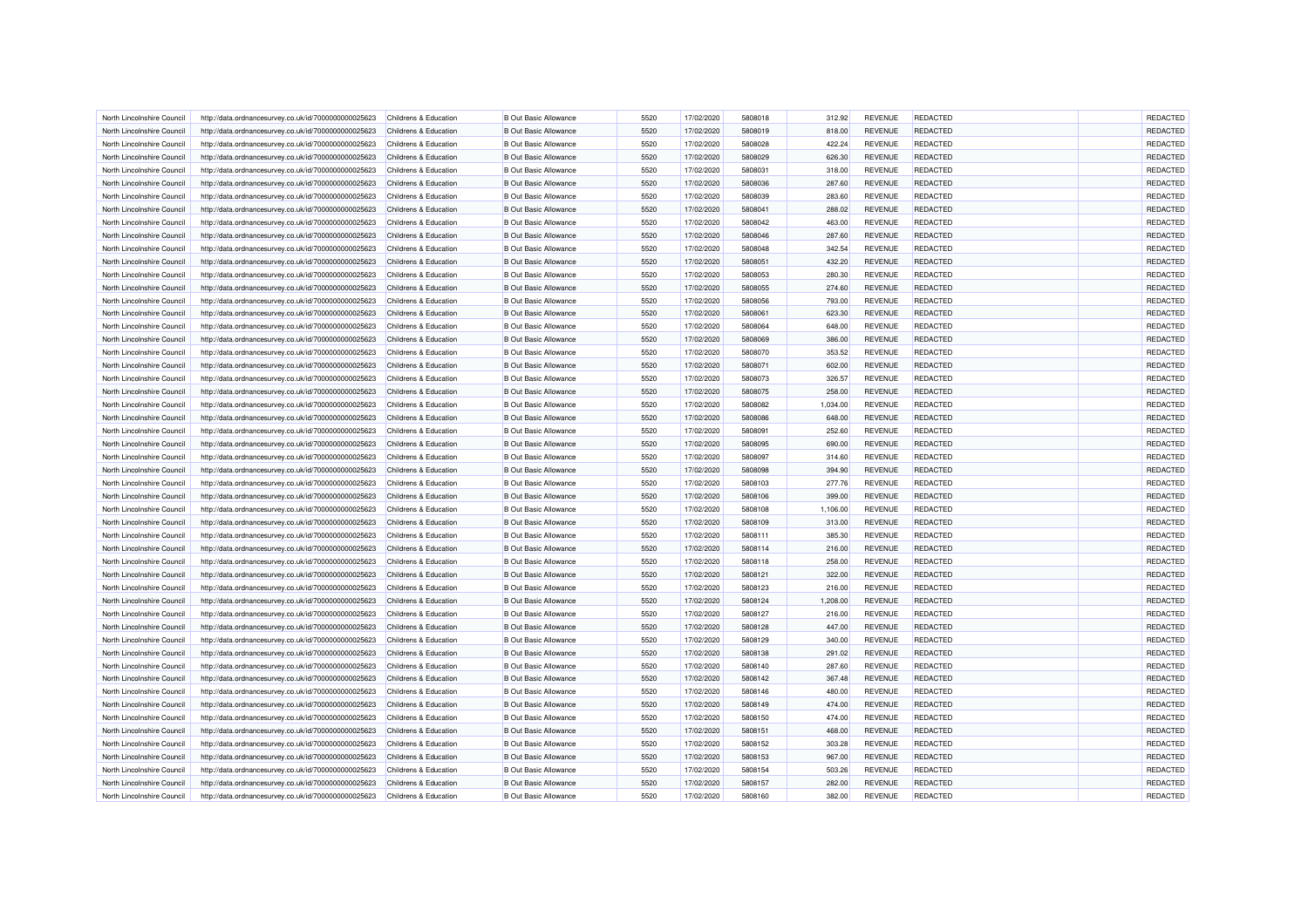| North Lincolnshire Council                               | http://data.ordnancesurvey.co.uk/id/7000000000025623 | Childrens & Education            | <b>B</b> Out Basic Allowance | 5520 | 17/02/2020 | 5808018 | 312.92   | <b>REVENUE</b> | <b>REDACTED</b> | REDACTED |
|----------------------------------------------------------|------------------------------------------------------|----------------------------------|------------------------------|------|------------|---------|----------|----------------|-----------------|----------|
| North Lincolnshire Council                               | http://data.ordnancesurvey.co.uk/id/7000000000025623 | Childrens & Education            | <b>B</b> Out Basic Allowance | 5520 | 17/02/2020 | 5808019 | 818.00   | <b>REVENUE</b> | <b>REDACTED</b> | REDACTED |
| North Lincolnshire Council                               | http://data.ordnancesurvey.co.uk/id/7000000000025623 | Childrens & Education            | <b>B Out Basic Allowance</b> | 5520 | 17/02/2020 | 5808028 | 422.24   | <b>REVENUE</b> | <b>REDACTED</b> | REDACTED |
| North Lincolnshire Council                               | http://data.ordnancesurvey.co.uk/id/7000000000025623 | Childrens & Education            | <b>B</b> Out Basic Allowance | 5520 | 17/02/2020 | 5808029 | 626.30   | <b>REVENUE</b> | <b>REDACTED</b> | REDACTED |
| North Lincolnshire Council                               | http://data.ordnancesurvey.co.uk/id/7000000000025623 | Childrens & Education            | <b>B Out Basic Allowance</b> | 5520 | 17/02/2020 | 5808031 | 318.00   | <b>REVENUE</b> | <b>REDACTED</b> | REDACTED |
| North Lincolnshire Council                               | http://data.ordnancesurvey.co.uk/id/7000000000025623 | Childrens & Education            | <b>B</b> Out Basic Allowance | 5520 | 17/02/2020 | 5808036 | 287.60   | <b>REVENUE</b> | <b>REDACTED</b> | REDACTED |
| North Lincolnshire Council                               | http://data.ordnancesurvey.co.uk/id/7000000000025623 | Childrens & Education            | <b>B</b> Out Basic Allowance | 5520 | 17/02/2020 | 5808039 | 283.60   | <b>REVENUE</b> | <b>REDACTED</b> | REDACTED |
| North Lincolnshire Council                               | http://data.ordnancesurvey.co.uk/id/7000000000025623 | Childrens & Education            | <b>B Out Basic Allowance</b> | 5520 | 17/02/2020 | 5808041 | 288.02   | <b>REVENUE</b> | REDACTED        | REDACTED |
| North Lincolnshire Council                               | http://data.ordnancesurvey.co.uk/id/7000000000025623 | Childrens & Education            | <b>B Out Basic Allowance</b> | 5520 | 17/02/2020 | 5808042 | 463.00   | <b>REVENUE</b> | <b>REDACTED</b> | REDACTED |
| North Lincolnshire Council                               | http://data.ordnancesurvey.co.uk/id/7000000000025623 | Childrens & Education            | <b>B Out Basic Allowance</b> | 5520 | 17/02/2020 | 5808046 | 287.60   | <b>REVENUE</b> | <b>REDACTED</b> | REDACTED |
| North Lincolnshire Council                               | http://data.ordnancesurvey.co.uk/id/7000000000025623 | Childrens & Education            | <b>B Out Basic Allowance</b> | 5520 | 17/02/2020 | 5808048 | 342.54   | <b>REVENUE</b> | <b>REDACTED</b> | REDACTED |
| North Lincolnshire Council                               | http://data.ordnancesurvey.co.uk/id/7000000000025623 | Childrens & Education            | <b>B Out Basic Allowance</b> | 5520 | 17/02/2020 | 5808051 | 432.20   | <b>REVENUE</b> | <b>REDACTED</b> | REDACTED |
| North Lincolnshire Council                               | http://data.ordnancesurvey.co.uk/id/7000000000025623 | Childrens & Education            | <b>B Out Basic Allowance</b> | 5520 | 17/02/2020 | 5808053 | 280.30   | <b>REVENUE</b> | <b>REDACTED</b> | REDACTED |
| North Lincolnshire Council                               | http://data.ordnancesurvey.co.uk/id/7000000000025623 | Childrens & Education            | <b>B Out Basic Allowance</b> | 5520 | 17/02/2020 | 5808055 | 274.60   | <b>REVENUE</b> | REDACTED        | REDACTED |
| North Lincolnshire Council                               | http://data.ordnancesurvey.co.uk/id/7000000000025623 | Childrens & Education            | <b>B Out Basic Allowance</b> | 5520 | 17/02/2020 | 5808056 | 793.00   | <b>REVENUE</b> | <b>REDACTED</b> | REDACTED |
| North Lincolnshire Council                               | http://data.ordnancesurvey.co.uk/id/7000000000025623 | Childrens & Education            | <b>B Out Basic Allowance</b> | 5520 | 17/02/2020 | 5808061 | 623.30   | <b>REVENUE</b> | <b>REDACTED</b> | REDACTED |
| North Lincolnshire Council                               | http://data.ordnancesurvey.co.uk/id/7000000000025623 | Childrens & Education            | <b>B Out Basic Allowance</b> | 5520 | 17/02/2020 | 5808064 | 648.00   | <b>REVENUE</b> | <b>REDACTED</b> | REDACTED |
| North Lincolnshire Council                               | http://data.ordnancesurvey.co.uk/id/7000000000025623 | Childrens & Education            | <b>B Out Basic Allowance</b> | 5520 | 17/02/2020 | 5808069 | 386.00   | <b>REVENUE</b> | <b>REDACTED</b> | REDACTED |
|                                                          | http://data.ordnancesurvey.co.uk/id/7000000000025623 | Childrens & Education            | <b>B Out Basic Allowance</b> | 5520 | 17/02/2020 | 5808070 | 353.52   | <b>REVENUE</b> | <b>REDACTED</b> | REDACTED |
| North Lincolnshire Council<br>North Lincolnshire Council |                                                      | Childrens & Education            | <b>B Out Basic Allowance</b> | 5520 | 17/02/2020 | 5808071 | 602.00   | <b>REVENUE</b> | <b>REDACTED</b> | REDACTED |
|                                                          | http://data.ordnancesurvey.co.uk/id/7000000000025623 |                                  |                              | 5520 |            |         |          |                | REDACTED        | REDACTED |
| North Lincolnshire Council                               | http://data.ordnancesurvey.co.uk/id/7000000000025623 | Childrens & Education            | <b>B Out Basic Allowance</b> |      | 17/02/2020 | 5808073 | 326.57   | <b>REVENUE</b> |                 |          |
| North Lincolnshire Council                               | http://data.ordnancesurvey.co.uk/id/7000000000025623 | Childrens & Education            | <b>B Out Basic Allowance</b> | 5520 | 17/02/2020 | 5808075 | 258.00   | <b>REVENUE</b> | <b>REDACTED</b> | REDACTED |
| North Lincolnshire Council                               | http://data.ordnancesurvey.co.uk/id/7000000000025623 | Childrens & Education            | <b>B Out Basic Allowance</b> | 5520 | 17/02/2020 | 5808082 | 1,034.00 | <b>REVENUE</b> | <b>REDACTED</b> | REDACTED |
| North Lincolnshire Council                               | http://data.ordnancesurvey.co.uk/id/7000000000025623 | Childrens & Education            | <b>B Out Basic Allowance</b> | 5520 | 17/02/2020 | 5808086 | 648.00   | <b>REVENUE</b> | <b>REDACTED</b> | REDACTED |
| North Lincolnshire Council                               | http://data.ordnancesurvey.co.uk/id/7000000000025623 | Childrens & Education            | <b>B Out Basic Allowance</b> | 5520 | 17/02/2020 | 5808091 | 252.60   | <b>REVENUE</b> | <b>REDACTED</b> | REDACTED |
| North Lincolnshire Council                               | http://data.ordnancesurvey.co.uk/id/7000000000025623 | Childrens & Education            | <b>B Out Basic Allowance</b> | 5520 | 17/02/2020 | 5808095 | 690.00   | <b>REVENUE</b> | <b>REDACTED</b> | REDACTED |
| North Lincolnshire Council                               | http://data.ordnancesurvey.co.uk/id/7000000000025623 | Childrens & Education            | <b>B Out Basic Allowance</b> | 5520 | 17/02/2020 | 5808097 | 314.60   | <b>REVENUE</b> | <b>REDACTED</b> | REDACTED |
| North Lincolnshire Council                               | http://data.ordnancesurvey.co.uk/id/7000000000025623 | Childrens & Education            | <b>B Out Basic Allowance</b> | 5520 | 17/02/2020 | 5808098 | 394.90   | <b>REVENUE</b> | <b>REDACTED</b> | REDACTED |
| North Lincolnshire Council                               | http://data.ordnancesurvey.co.uk/id/7000000000025623 | Childrens & Education            | <b>B Out Basic Allowance</b> | 5520 | 17/02/2020 | 5808103 | 277.76   | <b>REVENUE</b> | <b>REDACTED</b> | REDACTED |
| North Lincolnshire Council                               | http://data.ordnancesurvey.co.uk/id/7000000000025623 | Childrens & Education            | <b>B Out Basic Allowance</b> | 5520 | 17/02/2020 | 5808106 | 399.00   | <b>REVENUE</b> | <b>REDACTED</b> | REDACTED |
| North Lincolnshire Council                               | http://data.ordnancesurvey.co.uk/id/7000000000025623 | Childrens & Education            | <b>B Out Basic Allowance</b> | 5520 | 17/02/2020 | 5808108 | 1,106.00 | <b>REVENUE</b> | <b>REDACTED</b> | REDACTED |
| North Lincolnshire Council                               | http://data.ordnancesurvey.co.uk/id/7000000000025623 | Childrens & Education            | <b>B Out Basic Allowance</b> | 5520 | 17/02/2020 | 5808109 | 313.00   | <b>REVENUE</b> | <b>REDACTED</b> | REDACTED |
| North Lincolnshire Council                               | http://data.ordnancesurvey.co.uk/id/7000000000025623 | Childrens & Education            | <b>B Out Basic Allowance</b> | 5520 | 17/02/2020 | 5808111 | 385.30   | <b>REVENUE</b> | <b>REDACTED</b> | REDACTED |
| North Lincolnshire Council                               | http://data.ordnancesurvey.co.uk/id/7000000000025623 | Childrens & Education            | <b>B Out Basic Allowance</b> | 5520 | 17/02/2020 | 5808114 | 216.00   | <b>REVENUE</b> | <b>REDACTED</b> | REDACTED |
| North Lincolnshire Council                               | http://data.ordnancesurvey.co.uk/id/7000000000025623 | Childrens & Education            | <b>B Out Basic Allowance</b> | 5520 | 17/02/2020 | 5808118 | 258.00   | <b>REVENUE</b> | <b>REDACTED</b> | REDACTED |
| North Lincolnshire Council                               | http://data.ordnancesurvey.co.uk/id/7000000000025623 | Childrens & Education            | <b>B Out Basic Allowance</b> | 5520 | 17/02/2020 | 5808121 | 322.00   | <b>REVENUE</b> | <b>REDACTED</b> | REDACTED |
| North Lincolnshire Council                               | http://data.ordnancesurvey.co.uk/id/7000000000025623 | Childrens & Education            | <b>B Out Basic Allowance</b> | 5520 | 17/02/2020 | 5808123 | 216.00   | <b>REVENUE</b> | <b>REDACTED</b> | REDACTED |
| North Lincolnshire Council                               | http://data.ordnancesurvey.co.uk/id/7000000000025623 | Childrens & Education            | <b>B Out Basic Allowance</b> | 5520 | 17/02/2020 | 5808124 | 1,208.00 | <b>REVENUE</b> | <b>REDACTED</b> | REDACTED |
| North Lincolnshire Council                               | http://data.ordnancesurvey.co.uk/id/7000000000025623 | Childrens & Education            | <b>B Out Basic Allowance</b> | 5520 | 17/02/2020 | 5808127 | 216.00   | <b>REVENUE</b> | <b>REDACTED</b> | REDACTED |
| North Lincolnshire Council                               | http://data.ordnancesurvey.co.uk/id/7000000000025623 | Childrens & Education            | <b>B Out Basic Allowance</b> | 5520 | 17/02/2020 | 5808128 | 447.00   | <b>REVENUE</b> | <b>REDACTED</b> | REDACTED |
| North Lincolnshire Council                               | http://data.ordnancesurvey.co.uk/id/7000000000025623 | Childrens & Education            | <b>B Out Basic Allowance</b> | 5520 | 17/02/2020 | 5808129 | 340.00   | <b>REVENUE</b> | <b>REDACTED</b> | REDACTED |
| North Lincolnshire Council                               | http://data.ordnancesurvey.co.uk/id/7000000000025623 | <b>Childrens &amp; Education</b> | <b>B Out Basic Allowance</b> | 5520 | 17/02/2020 | 5808138 | 291.02   | <b>REVENUE</b> | <b>REDACTED</b> | REDACTED |
| North Lincolnshire Council                               | http://data.ordnancesurvey.co.uk/id/7000000000025623 | Childrens & Education            | <b>B Out Basic Allowance</b> | 5520 | 17/02/2020 | 5808140 | 287.60   | <b>REVENUE</b> | <b>REDACTED</b> | REDACTED |
| North Lincolnshire Council                               | http://data.ordnancesurvey.co.uk/id/7000000000025623 | Childrens & Education            | <b>B Out Basic Allowance</b> | 5520 | 17/02/2020 | 5808142 | 367.48   | <b>REVENUE</b> | <b>REDACTED</b> | REDACTED |
| North Lincolnshire Council                               | http://data.ordnancesurvey.co.uk/id/7000000000025623 | Childrens & Education            | <b>B Out Basic Allowance</b> | 5520 | 17/02/2020 | 5808146 | 480.00   | <b>REVENUE</b> | <b>REDACTED</b> | REDACTED |
| North Lincolnshire Council                               | http://data.ordnancesurvey.co.uk/id/7000000000025623 | <b>Childrens &amp; Education</b> | <b>B Out Basic Allowance</b> | 5520 | 17/02/2020 | 5808149 | 474.00   | <b>REVENUE</b> | <b>REDACTED</b> | REDACTED |
| North Lincolnshire Council                               | http://data.ordnancesurvey.co.uk/id/7000000000025623 | Childrens & Education            | <b>B Out Basic Allowance</b> | 5520 | 17/02/2020 | 5808150 | 474.00   | <b>REVENUE</b> | <b>REDACTED</b> | REDACTED |
| North Lincolnshire Council                               | http://data.ordnancesurvey.co.uk/id/7000000000025623 | Childrens & Education            | <b>B Out Basic Allowance</b> | 5520 | 17/02/2020 | 5808151 | 468.00   | <b>REVENUE</b> | <b>REDACTED</b> | REDACTED |
|                                                          |                                                      | Childrens & Education            | <b>B Out Basic Allowance</b> | 5520 | 17/02/2020 | 5808152 | 303.28   | <b>REVENUE</b> | <b>REDACTED</b> | REDACTED |
| North Lincolnshire Council                               | http://data.ordnancesurvey.co.uk/id/7000000000025623 |                                  |                              | 5520 |            |         |          |                |                 | REDACTED |
| North Lincolnshire Council                               | http://data.ordnancesurvey.co.uk/id/7000000000025623 | Childrens & Education            | <b>B Out Basic Allowance</b> |      | 17/02/2020 | 5808153 | 967.00   | <b>REVENUE</b> | <b>REDACTED</b> |          |
| North Lincolnshire Council                               | http://data.ordnancesurvey.co.uk/id/7000000000025623 | Childrens & Education            | <b>B Out Basic Allowance</b> | 5520 | 17/02/2020 | 5808154 | 503.26   | <b>REVENUE</b> | REDACTED        | REDACTED |
| North Lincolnshire Council                               | http://data.ordnancesurvey.co.uk/id/7000000000025623 | Childrens & Education            | <b>B Out Basic Allowance</b> | 5520 | 17/02/2020 | 5808157 | 282.00   | <b>REVENUE</b> | <b>REDACTED</b> | REDACTED |
| North Lincolnshire Council                               | http://data.ordnancesurvey.co.uk/id/7000000000025623 | Childrens & Education            | <b>B Out Basic Allowance</b> | 5520 | 17/02/2020 | 5808160 | 382.00   | <b>REVENUE</b> | <b>REDACTED</b> | REDACTED |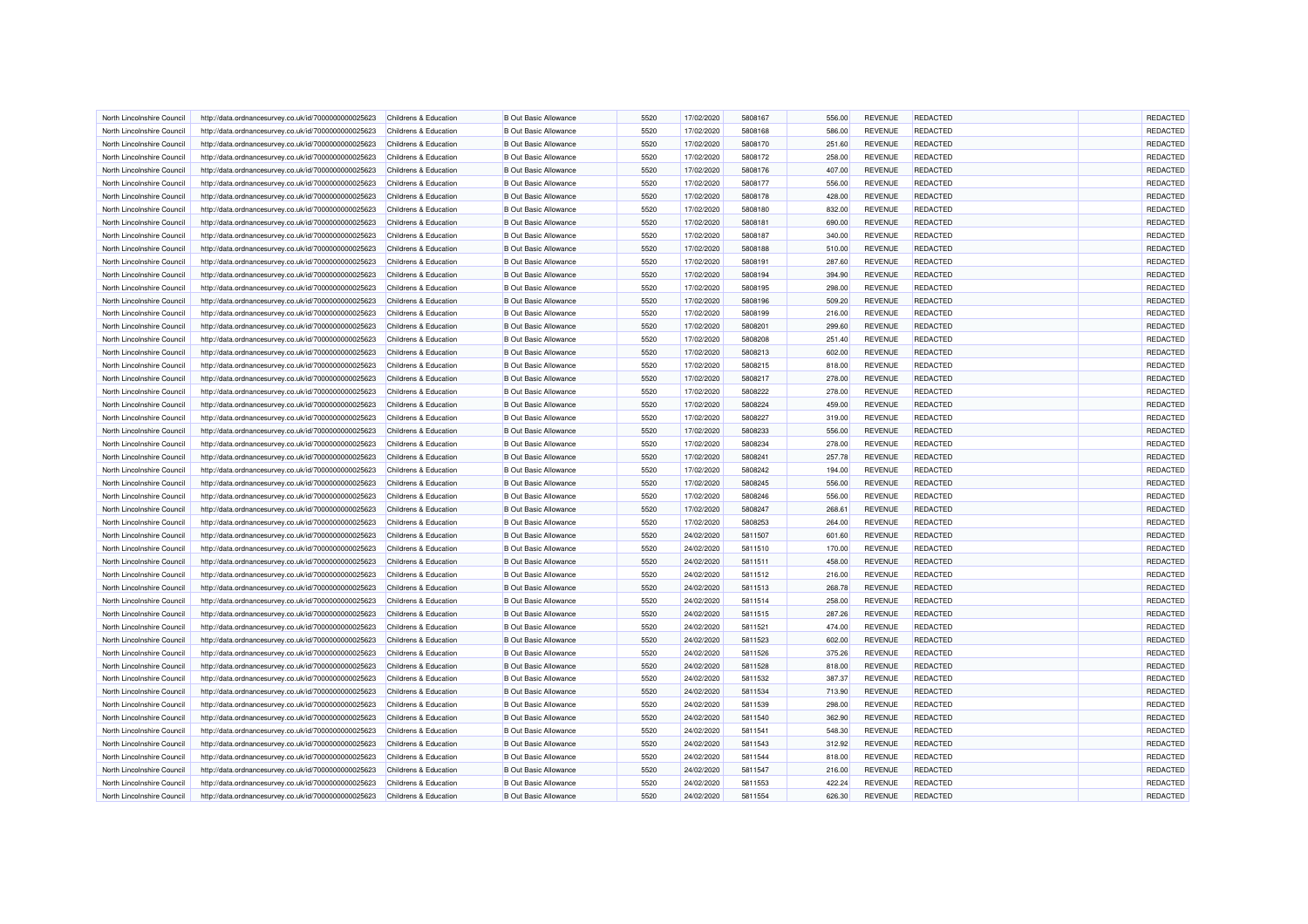| North Lincolnshire Council | http://data.ordnancesurvey.co.uk/id/7000000000025623 | Childrens & Education            | <b>B Out Basic Allowance</b> | 5520 | 17/02/2020 | 5808167 | 556.00 | <b>REVENUE</b> | <b>REDACTED</b> | <b>REDACTED</b> |
|----------------------------|------------------------------------------------------|----------------------------------|------------------------------|------|------------|---------|--------|----------------|-----------------|-----------------|
| North Lincolnshire Council | http://data.ordnancesurvey.co.uk/id/7000000000025623 | Childrens & Education            | <b>B</b> Out Basic Allowance | 5520 | 17/02/2020 | 5808168 | 586.00 | <b>REVENUE</b> | <b>REDACTED</b> | REDACTED        |
| North Lincolnshire Council | http://data.ordnancesurvey.co.uk/id/7000000000025623 | Childrens & Education            | <b>B Out Basic Allowance</b> | 5520 | 17/02/2020 | 5808170 | 251.60 | <b>REVENUE</b> | <b>REDACTED</b> | REDACTED        |
| North Lincolnshire Council | http://data.ordnancesurvey.co.uk/id/7000000000025623 | Childrens & Education            | <b>B</b> Out Basic Allowance | 5520 | 17/02/2020 | 5808172 | 258.00 | <b>REVENUE</b> | <b>REDACTED</b> | REDACTED        |
| North Lincolnshire Council | http://data.ordnancesurvey.co.uk/id/7000000000025623 | Childrens & Education            | <b>B Out Basic Allowance</b> | 5520 | 17/02/2020 | 5808176 | 407.00 | <b>REVENUE</b> | <b>REDACTED</b> | REDACTED        |
| North Lincolnshire Council | http://data.ordnancesurvey.co.uk/id/7000000000025623 | Childrens & Education            | <b>B</b> Out Basic Allowance | 5520 | 17/02/2020 | 5808177 | 556.00 | <b>REVENUE</b> | <b>REDACTED</b> | REDACTED        |
| North Lincolnshire Council | http://data.ordnancesurvey.co.uk/id/7000000000025623 | Childrens & Education            | <b>B Out Basic Allowance</b> | 5520 | 17/02/2020 | 5808178 | 428.00 | <b>REVENUE</b> | <b>REDACTED</b> | REDACTED        |
| North Lincolnshire Council | http://data.ordnancesurvey.co.uk/id/7000000000025623 | Childrens & Education            | <b>B Out Basic Allowance</b> | 5520 | 17/02/2020 | 5808180 | 832.00 | <b>REVENUE</b> | REDACTED        | REDACTED        |
| North Lincolnshire Council | http://data.ordnancesurvey.co.uk/id/7000000000025623 | Childrens & Education            | <b>B Out Basic Allowance</b> | 5520 | 17/02/2020 | 5808181 | 690.00 | <b>REVENUE</b> | <b>REDACTED</b> | REDACTED        |
| North Lincolnshire Council | http://data.ordnancesurvey.co.uk/id/7000000000025623 | Childrens & Education            | <b>B Out Basic Allowance</b> | 5520 | 17/02/2020 | 5808187 | 340.00 | <b>REVENUE</b> | <b>REDACTED</b> | REDACTED        |
| North Lincolnshire Council | http://data.ordnancesurvey.co.uk/id/7000000000025623 | Childrens & Education            | <b>B Out Basic Allowance</b> | 5520 | 17/02/2020 | 5808188 | 510.00 | <b>REVENUE</b> | <b>REDACTED</b> | REDACTED        |
| North Lincolnshire Council | http://data.ordnancesurvey.co.uk/id/7000000000025623 | Childrens & Education            | <b>B Out Basic Allowance</b> | 5520 | 17/02/2020 | 5808191 | 287.60 | <b>REVENUE</b> | <b>REDACTED</b> | REDACTED        |
| North Lincolnshire Council | http://data.ordnancesurvey.co.uk/id/7000000000025623 | Childrens & Education            | <b>B Out Basic Allowance</b> | 5520 | 17/02/2020 | 5808194 | 394.90 | <b>REVENUE</b> | <b>REDACTED</b> | REDACTED        |
| North Lincolnshire Council | http://data.ordnancesurvey.co.uk/id/7000000000025623 | Childrens & Education            | <b>B Out Basic Allowance</b> | 5520 | 17/02/2020 | 5808195 | 298.00 | <b>REVENUE</b> | <b>REDACTED</b> | REDACTED        |
| North Lincolnshire Council | http://data.ordnancesurvey.co.uk/id/7000000000025623 | Childrens & Education            | <b>B Out Basic Allowance</b> | 5520 | 17/02/2020 | 5808196 | 509.20 | <b>REVENUE</b> | <b>REDACTED</b> | REDACTED        |
| North Lincolnshire Council | http://data.ordnancesurvey.co.uk/id/7000000000025623 | Childrens & Education            | <b>B Out Basic Allowance</b> | 5520 | 17/02/2020 | 5808199 | 216.00 | <b>REVENUE</b> | <b>REDACTED</b> | REDACTED        |
| North Lincolnshire Council | http://data.ordnancesurvey.co.uk/id/7000000000025623 | Childrens & Education            | <b>B Out Basic Allowance</b> | 5520 | 17/02/2020 | 5808201 | 299.60 | <b>REVENUE</b> | <b>REDACTED</b> | REDACTED        |
| North Lincolnshire Council | http://data.ordnancesurvey.co.uk/id/7000000000025623 | Childrens & Education            | <b>B Out Basic Allowance</b> | 5520 | 17/02/2020 | 5808208 | 251.40 | <b>REVENUE</b> | <b>REDACTED</b> | REDACTED        |
| North Lincolnshire Council | http://data.ordnancesurvey.co.uk/id/7000000000025623 | Childrens & Education            | <b>B Out Basic Allowance</b> | 5520 | 17/02/2020 | 5808213 | 602.00 | <b>REVENUE</b> | <b>REDACTED</b> | REDACTED        |
| North Lincolnshire Council | http://data.ordnancesurvey.co.uk/id/7000000000025623 | Childrens & Education            | <b>B Out Basic Allowance</b> | 5520 | 17/02/2020 | 5808215 | 818.00 | <b>REVENUE</b> | <b>REDACTED</b> | REDACTED        |
| North Lincolnshire Council | http://data.ordnancesurvey.co.uk/id/7000000000025623 | Childrens & Education            | <b>B Out Basic Allowance</b> | 5520 | 17/02/2020 | 5808217 | 278.00 | <b>REVENUE</b> | <b>REDACTED</b> | REDACTED        |
| North Lincolnshire Council |                                                      | Childrens & Education            | <b>B Out Basic Allowance</b> | 5520 | 17/02/2020 | 5808222 | 278.00 | <b>REVENUE</b> | <b>REDACTED</b> | REDACTED        |
|                            | http://data.ordnancesurvey.co.uk/id/7000000000025623 |                                  |                              | 5520 |            | 5808224 |        |                | <b>REDACTED</b> |                 |
| North Lincolnshire Council | http://data.ordnancesurvey.co.uk/id/7000000000025623 | Childrens & Education            | <b>B Out Basic Allowance</b> |      | 17/02/2020 |         | 459.00 | <b>REVENUE</b> |                 | REDACTED        |
| North Lincolnshire Council | http://data.ordnancesurvey.co.uk/id/7000000000025623 | Childrens & Education            | <b>B Out Basic Allowance</b> | 5520 | 17/02/2020 | 5808227 | 319.00 | <b>REVENUE</b> | <b>REDACTED</b> | REDACTED        |
| North Lincolnshire Council | http://data.ordnancesurvey.co.uk/id/7000000000025623 | Childrens & Education            | <b>B Out Basic Allowance</b> | 5520 | 17/02/2020 | 5808233 | 556.00 | <b>REVENUE</b> | <b>REDACTED</b> | REDACTED        |
| North Lincolnshire Council | http://data.ordnancesurvey.co.uk/id/7000000000025623 | Childrens & Education            | <b>B Out Basic Allowance</b> | 5520 | 17/02/2020 | 5808234 | 278.00 | <b>REVENUE</b> | <b>REDACTED</b> | REDACTED        |
| North Lincolnshire Council | http://data.ordnancesurvey.co.uk/id/7000000000025623 | Childrens & Education            | <b>B Out Basic Allowance</b> | 5520 | 17/02/2020 | 5808241 | 257.78 | <b>REVENUE</b> | <b>REDACTED</b> | REDACTED        |
| North Lincolnshire Council | http://data.ordnancesurvey.co.uk/id/7000000000025623 | Childrens & Education            | <b>B Out Basic Allowance</b> | 5520 | 17/02/2020 | 5808242 | 194.00 | <b>REVENUE</b> | <b>REDACTED</b> | REDACTED        |
| North Lincolnshire Council | http://data.ordnancesurvey.co.uk/id/7000000000025623 | <b>Childrens &amp; Education</b> | <b>B Out Basic Allowance</b> | 5520 | 17/02/2020 | 5808245 | 556.00 | <b>REVENUE</b> | <b>REDACTED</b> | REDACTED        |
| North Lincolnshire Council | http://data.ordnancesurvey.co.uk/id/7000000000025623 | Childrens & Education            | <b>B Out Basic Allowance</b> | 5520 | 17/02/2020 | 5808246 | 556.00 | <b>REVENUE</b> | <b>REDACTED</b> | REDACTED        |
| North Lincolnshire Council | http://data.ordnancesurvey.co.uk/id/7000000000025623 | <b>Childrens &amp; Education</b> | <b>B Out Basic Allowance</b> | 5520 | 17/02/2020 | 5808247 | 268.61 | <b>REVENUE</b> | <b>REDACTED</b> | REDACTED        |
| North Lincolnshire Council | http://data.ordnancesurvey.co.uk/id/7000000000025623 | Childrens & Education            | <b>B Out Basic Allowance</b> | 5520 | 17/02/2020 | 5808253 | 264.00 | <b>REVENUE</b> | <b>REDACTED</b> | REDACTED        |
| North Lincolnshire Council | http://data.ordnancesurvey.co.uk/id/7000000000025623 | Childrens & Education            | <b>B Out Basic Allowance</b> | 5520 | 24/02/2020 | 5811507 | 601.60 | <b>REVENUE</b> | <b>REDACTED</b> | REDACTED        |
| North Lincolnshire Council | http://data.ordnancesurvey.co.uk/id/7000000000025623 | Childrens & Education            | <b>B Out Basic Allowance</b> | 5520 | 24/02/2020 | 5811510 | 170.00 | <b>REVENUE</b> | REDACTED        | REDACTED        |
| North Lincolnshire Council | http://data.ordnancesurvey.co.uk/id/7000000000025623 | Childrens & Education            | <b>B Out Basic Allowance</b> | 5520 | 24/02/2020 | 5811511 | 458.00 | <b>REVENUE</b> | <b>REDACTED</b> | REDACTED        |
| North Lincolnshire Council | http://data.ordnancesurvey.co.uk/id/7000000000025623 | Childrens & Education            | <b>B Out Basic Allowance</b> | 5520 | 24/02/2020 | 5811512 | 216.00 | <b>REVENUE</b> | <b>REDACTED</b> | REDACTED        |
| North Lincolnshire Council | http://data.ordnancesurvey.co.uk/id/7000000000025623 | Childrens & Education            | <b>B Out Basic Allowance</b> | 5520 | 24/02/2020 | 5811513 | 268.78 | <b>REVENUE</b> | <b>REDACTED</b> | REDACTED        |
| North Lincolnshire Council | http://data.ordnancesurvey.co.uk/id/7000000000025623 | Childrens & Education            | <b>B Out Basic Allowance</b> | 5520 | 24/02/2020 | 5811514 | 258.00 | <b>REVENUE</b> | <b>REDACTED</b> | REDACTED        |
| North Lincolnshire Council | http://data.ordnancesurvey.co.uk/id/7000000000025623 | <b>Childrens &amp; Education</b> | <b>B Out Basic Allowance</b> | 5520 | 24/02/2020 | 5811515 | 287.26 | <b>REVENUE</b> | <b>REDACTED</b> | REDACTED        |
| North Lincolnshire Council | http://data.ordnancesurvey.co.uk/id/7000000000025623 | Childrens & Education            | <b>B Out Basic Allowance</b> | 5520 | 24/02/2020 | 5811521 | 474.00 | <b>REVENUE</b> | <b>REDACTED</b> | REDACTED        |
| North Lincolnshire Council | http://data.ordnancesurvey.co.uk/id/7000000000025623 | <b>Childrens &amp; Education</b> | <b>B Out Basic Allowance</b> | 5520 | 24/02/2020 | 5811523 | 602.00 | <b>REVENUE</b> | <b>REDACTED</b> | REDACTED        |
| North Lincolnshire Council | http://data.ordnancesurvey.co.uk/id/7000000000025623 | Childrens & Education            | <b>B Out Basic Allowance</b> | 5520 | 24/02/2020 | 5811526 | 375.26 | <b>REVENUE</b> | <b>REDACTED</b> | REDACTED        |
| North Lincolnshire Council | http://data.ordnancesurvey.co.uk/id/7000000000025623 | Childrens & Education            | <b>B Out Basic Allowance</b> | 5520 | 24/02/2020 | 5811528 | 818.00 | <b>REVENUE</b> | <b>REDACTED</b> | REDACTED        |
| North Lincolnshire Council | http://data.ordnancesurvey.co.uk/id/7000000000025623 | Childrens & Education            | <b>B Out Basic Allowance</b> | 5520 | 24/02/2020 | 5811532 | 387.37 | <b>REVENUE</b> | <b>REDACTED</b> | REDACTED        |
| North Lincolnshire Council | http://data.ordnancesurvey.co.uk/id/7000000000025623 | <b>Childrens &amp; Education</b> | <b>B Out Basic Allowance</b> | 5520 | 24/02/2020 | 5811534 | 713.90 | <b>REVENUE</b> | <b>REDACTED</b> | REDACTED        |
| North Lincolnshire Council | http://data.ordnancesurvey.co.uk/id/7000000000025623 | Childrens & Education            | <b>B Out Basic Allowance</b> | 5520 | 24/02/2020 | 5811539 | 298.00 | <b>REVENUE</b> | <b>REDACTED</b> | REDACTED        |
| North Lincolnshire Council | http://data.ordnancesurvey.co.uk/id/7000000000025623 | Childrens & Education            | <b>B Out Basic Allowance</b> | 5520 | 24/02/2020 | 5811540 | 362.90 | <b>REVENUE</b> | <b>REDACTED</b> | REDACTED        |
| North Lincolnshire Council | http://data.ordnancesurvey.co.uk/id/7000000000025623 | Childrens & Education            | <b>B Out Basic Allowance</b> | 5520 | 24/02/2020 | 5811541 | 548.30 | <b>REVENUE</b> | <b>REDACTED</b> | REDACTED        |
| North Lincolnshire Council | http://data.ordnancesurvey.co.uk/id/7000000000025623 | Childrens & Education            | <b>B Out Basic Allowance</b> | 5520 | 24/02/2020 | 5811543 | 312.92 | <b>REVENUE</b> | <b>REDACTED</b> | REDACTED        |
| North Lincolnshire Council | http://data.ordnancesurvey.co.uk/id/7000000000025623 | Childrens & Education            | <b>B Out Basic Allowance</b> | 5520 | 24/02/2020 | 5811544 | 818.00 | <b>REVENUE</b> | <b>REDACTED</b> | REDACTED        |
| North Lincolnshire Council | http://data.ordnancesurvey.co.uk/id/7000000000025623 | Childrens & Education            | <b>B Out Basic Allowance</b> | 5520 | 24/02/2020 | 5811547 | 216.00 | <b>REVENUE</b> | <b>REDACTED</b> | REDACTED        |
| North Lincolnshire Council | http://data.ordnancesurvey.co.uk/id/7000000000025623 | Childrens & Education            | <b>B Out Basic Allowance</b> | 5520 | 24/02/2020 | 5811553 | 422.24 | <b>REVENUE</b> | <b>REDACTED</b> | REDACTED        |
|                            | http://data.ordnancesurvey.co.uk/id/7000000000025623 | Childrens & Education            | <b>B Out Basic Allowance</b> | 5520 | 24/02/2020 | 5811554 | 626.30 | <b>REVENUE</b> | <b>REDACTED</b> | REDACTED        |
| North Lincolnshire Council |                                                      |                                  |                              |      |            |         |        |                |                 |                 |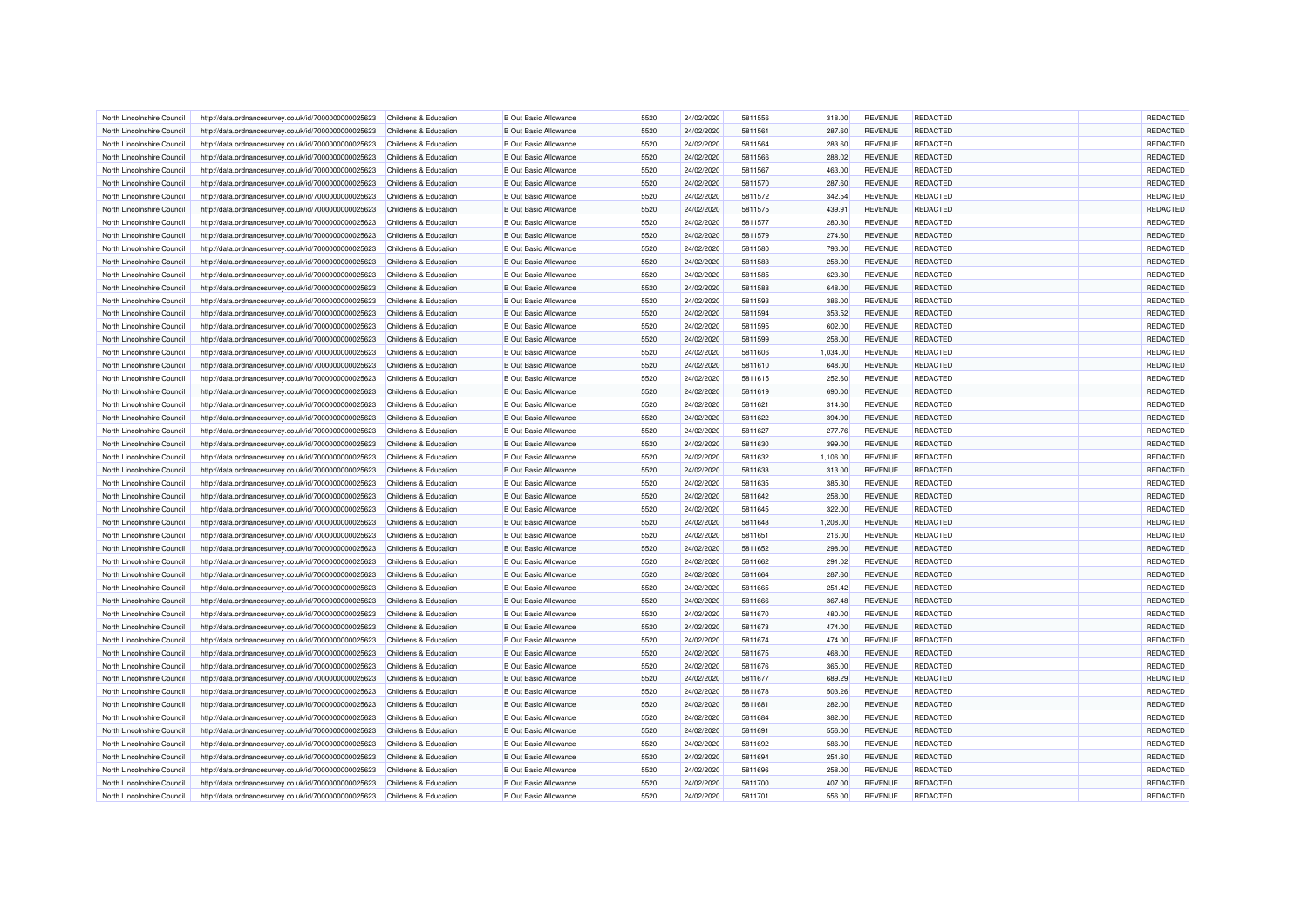| North Lincolnshire Council | http://data.ordnancesurvey.co.uk/id/7000000000025623 | Childrens & Education            | <b>B</b> Out Basic Allowance | 5520 | 24/02/2020 | 5811556 | 318.00   | <b>REVENUE</b> | <b>REDACTED</b> | REDACTED |
|----------------------------|------------------------------------------------------|----------------------------------|------------------------------|------|------------|---------|----------|----------------|-----------------|----------|
| North Lincolnshire Council | http://data.ordnancesurvey.co.uk/id/7000000000025623 | Childrens & Education            | <b>B Out Basic Allowance</b> | 5520 | 24/02/2020 | 5811561 | 287.60   | <b>REVENUE</b> | <b>REDACTED</b> | REDACTED |
| North Lincolnshire Council | http://data.ordnancesurvey.co.uk/id/7000000000025623 | Childrens & Education            | <b>B Out Basic Allowance</b> | 5520 | 24/02/2020 | 5811564 | 283.60   | <b>REVENUE</b> | <b>REDACTED</b> | REDACTED |
| North Lincolnshire Council | http://data.ordnancesurvey.co.uk/id/7000000000025623 | Childrens & Education            | <b>B Out Basic Allowance</b> | 5520 | 24/02/2020 | 5811566 | 288.02   | <b>REVENUE</b> | <b>REDACTED</b> | REDACTED |
| North Lincolnshire Council | http://data.ordnancesurvey.co.uk/id/7000000000025623 | Childrens & Education            | <b>B Out Basic Allowance</b> | 5520 | 24/02/2020 | 5811567 | 463.00   | <b>REVENUE</b> | <b>REDACTED</b> | REDACTED |
| North Lincolnshire Council | http://data.ordnancesurvey.co.uk/id/7000000000025623 | Childrens & Education            | <b>B</b> Out Basic Allowance | 5520 | 24/02/2020 | 5811570 | 287.60   | <b>REVENUE</b> | <b>REDACTED</b> | REDACTED |
| North Lincolnshire Council | http://data.ordnancesurvey.co.uk/id/7000000000025623 | Childrens & Education            | <b>B</b> Out Basic Allowance | 5520 | 24/02/2020 | 5811572 | 342.54   | <b>REVENUE</b> | <b>REDACTED</b> | REDACTED |
| North Lincolnshire Council | http://data.ordnancesurvey.co.uk/id/7000000000025623 | Childrens & Education            | <b>B Out Basic Allowance</b> | 5520 | 24/02/2020 | 5811575 | 439.91   | <b>REVENUE</b> | REDACTED        | REDACTED |
| North Lincolnshire Council | http://data.ordnancesurvey.co.uk/id/7000000000025623 | Childrens & Education            | <b>B Out Basic Allowance</b> | 5520 | 24/02/2020 | 5811577 | 280.30   | <b>REVENUE</b> | <b>REDACTED</b> | REDACTED |
| North Lincolnshire Council | http://data.ordnancesurvey.co.uk/id/7000000000025623 | Childrens & Education            | <b>B Out Basic Allowance</b> | 5520 | 24/02/2020 | 5811579 | 274.60   | <b>REVENUE</b> | <b>REDACTED</b> | REDACTED |
| North Lincolnshire Council | http://data.ordnancesurvey.co.uk/id/7000000000025623 | Childrens & Education            | <b>B Out Basic Allowance</b> | 5520 | 24/02/2020 | 5811580 | 793.00   | <b>REVENUE</b> | <b>REDACTED</b> | REDACTED |
| North Lincolnshire Council | http://data.ordnancesurvey.co.uk/id/7000000000025623 | Childrens & Education            | <b>B Out Basic Allowance</b> | 5520 | 24/02/2020 | 5811583 | 258.00   | <b>REVENUE</b> | <b>REDACTED</b> | REDACTED |
| North Lincolnshire Council | http://data.ordnancesurvey.co.uk/id/7000000000025623 | Childrens & Education            | <b>B Out Basic Allowance</b> | 5520 | 24/02/2020 | 5811585 | 623.30   | <b>REVENUE</b> | <b>REDACTED</b> | REDACTED |
| North Lincolnshire Council | http://data.ordnancesurvey.co.uk/id/7000000000025623 | Childrens & Education            | <b>B Out Basic Allowance</b> | 5520 | 24/02/2020 | 5811588 | 648.00   | <b>REVENUE</b> | REDACTED        | REDACTED |
| North Lincolnshire Council | http://data.ordnancesurvey.co.uk/id/7000000000025623 | Childrens & Education            | <b>B Out Basic Allowance</b> | 5520 | 24/02/2020 | 5811593 | 386.00   | <b>REVENUE</b> | <b>REDACTED</b> | REDACTED |
| North Lincolnshire Council | http://data.ordnancesurvey.co.uk/id/7000000000025623 | Childrens & Education            | <b>B Out Basic Allowance</b> | 5520 | 24/02/2020 | 5811594 | 353.52   | <b>REVENUE</b> | <b>REDACTED</b> | REDACTED |
| North Lincolnshire Council | http://data.ordnancesurvey.co.uk/id/7000000000025623 | Childrens & Education            | <b>B Out Basic Allowance</b> | 5520 | 24/02/2020 | 5811595 | 602.00   | <b>REVENUE</b> | <b>REDACTED</b> | REDACTED |
| North Lincolnshire Council | http://data.ordnancesurvey.co.uk/id/7000000000025623 | Childrens & Education            | <b>B Out Basic Allowance</b> | 5520 | 24/02/2020 | 5811599 | 258.00   | <b>REVENUE</b> | <b>REDACTED</b> | REDACTED |
|                            |                                                      | Childrens & Education            | <b>B Out Basic Allowance</b> | 5520 |            | 5811606 |          | <b>REVENUE</b> | REDACTED        | REDACTED |
| North Lincolnshire Council | http://data.ordnancesurvey.co.uk/id/7000000000025623 |                                  |                              | 5520 | 24/02/2020 | 5811610 | 1,034.00 |                | <b>REDACTED</b> | REDACTED |
| North Lincolnshire Council | http://data.ordnancesurvey.co.uk/id/7000000000025623 | Childrens & Education            | <b>B Out Basic Allowance</b> |      | 24/02/2020 |         | 648.00   | <b>REVENUE</b> |                 |          |
| North Lincolnshire Council | http://data.ordnancesurvey.co.uk/id/7000000000025623 | Childrens & Education            | <b>B Out Basic Allowance</b> | 5520 | 24/02/2020 | 5811615 | 252.60   | <b>REVENUE</b> | REDACTED        | REDACTED |
| North Lincolnshire Council | http://data.ordnancesurvey.co.uk/id/7000000000025623 | Childrens & Education            | <b>B Out Basic Allowance</b> | 5520 | 24/02/2020 | 5811619 | 690.00   | <b>REVENUE</b> | <b>REDACTED</b> | REDACTED |
| North Lincolnshire Council | http://data.ordnancesurvey.co.uk/id/7000000000025623 | Childrens & Education            | <b>B Out Basic Allowance</b> | 5520 | 24/02/2020 | 5811621 | 314.60   | <b>REVENUE</b> | <b>REDACTED</b> | REDACTED |
| North Lincolnshire Council | http://data.ordnancesurvey.co.uk/id/7000000000025623 | Childrens & Education            | <b>B Out Basic Allowance</b> | 5520 | 24/02/2020 | 5811622 | 394.90   | <b>REVENUE</b> | <b>REDACTED</b> | REDACTED |
| North Lincolnshire Council | http://data.ordnancesurvey.co.uk/id/7000000000025623 | Childrens & Education            | <b>B Out Basic Allowance</b> | 5520 | 24/02/2020 | 5811627 | 277.76   | <b>REVENUE</b> | <b>REDACTED</b> | REDACTED |
| North Lincolnshire Council | http://data.ordnancesurvey.co.uk/id/7000000000025623 | Childrens & Education            | <b>B Out Basic Allowance</b> | 5520 | 24/02/2020 | 5811630 | 399.00   | <b>REVENUE</b> | <b>REDACTED</b> | REDACTED |
| North Lincolnshire Council | http://data.ordnancesurvey.co.uk/id/7000000000025623 | Childrens & Education            | <b>B Out Basic Allowance</b> | 5520 | 24/02/2020 | 5811632 | 1,106.00 | <b>REVENUE</b> | <b>REDACTED</b> | REDACTED |
| North Lincolnshire Council | http://data.ordnancesurvey.co.uk/id/7000000000025623 | Childrens & Education            | <b>B Out Basic Allowance</b> | 5520 | 24/02/2020 | 5811633 | 313.00   | <b>REVENUE</b> | <b>REDACTED</b> | REDACTED |
| North Lincolnshire Council | http://data.ordnancesurvey.co.uk/id/7000000000025623 | Childrens & Education            | <b>B Out Basic Allowance</b> | 5520 | 24/02/2020 | 5811635 | 385.30   | <b>REVENUE</b> | <b>REDACTED</b> | REDACTED |
| North Lincolnshire Council | http://data.ordnancesurvey.co.uk/id/7000000000025623 | Childrens & Education            | <b>B Out Basic Allowance</b> | 5520 | 24/02/2020 | 5811642 | 258.00   | <b>REVENUE</b> | <b>REDACTED</b> | REDACTED |
| North Lincolnshire Council | http://data.ordnancesurvey.co.uk/id/7000000000025623 | Childrens & Education            | <b>B Out Basic Allowance</b> | 5520 | 24/02/2020 | 5811645 | 322.00   | <b>REVENUE</b> | <b>REDACTED</b> | REDACTED |
| North Lincolnshire Council | http://data.ordnancesurvey.co.uk/id/7000000000025623 | Childrens & Education            | <b>B Out Basic Allowance</b> | 5520 | 24/02/2020 | 5811648 | 1,208.00 | <b>REVENUE</b> | <b>REDACTED</b> | REDACTED |
| North Lincolnshire Council | http://data.ordnancesurvey.co.uk/id/7000000000025623 | Childrens & Education            | <b>B Out Basic Allowance</b> | 5520 | 24/02/2020 | 5811651 | 216.00   | <b>REVENUE</b> | <b>REDACTED</b> | REDACTED |
| North Lincolnshire Council | http://data.ordnancesurvey.co.uk/id/7000000000025623 | Childrens & Education            | <b>B Out Basic Allowance</b> | 5520 | 24/02/2020 | 5811652 | 298.00   | <b>REVENUE</b> | <b>REDACTED</b> | REDACTED |
| North Lincolnshire Council | http://data.ordnancesurvey.co.uk/id/7000000000025623 | Childrens & Education            | <b>B Out Basic Allowance</b> | 5520 | 24/02/2020 | 5811662 | 291.02   | <b>REVENUE</b> | <b>REDACTED</b> | REDACTED |
| North Lincolnshire Council | http://data.ordnancesurvey.co.uk/id/7000000000025623 | Childrens & Education            | <b>B Out Basic Allowance</b> | 5520 | 24/02/2020 | 5811664 | 287.60   | <b>REVENUE</b> | <b>REDACTED</b> | REDACTED |
| North Lincolnshire Council | http://data.ordnancesurvey.co.uk/id/7000000000025623 | Childrens & Education            | <b>B Out Basic Allowance</b> | 5520 | 24/02/2020 | 5811665 | 251.42   | <b>REVENUE</b> | <b>REDACTED</b> | REDACTED |
| North Lincolnshire Council | http://data.ordnancesurvey.co.uk/id/7000000000025623 | Childrens & Education            | <b>B Out Basic Allowance</b> | 5520 | 24/02/2020 | 5811666 | 367.48   | <b>REVENUE</b> | <b>REDACTED</b> | REDACTED |
| North Lincolnshire Council | http://data.ordnancesurvey.co.uk/id/7000000000025623 | Childrens & Education            | <b>B Out Basic Allowance</b> | 5520 | 24/02/2020 | 5811670 | 480.00   | <b>REVENUE</b> | <b>REDACTED</b> | REDACTED |
| North Lincolnshire Council | http://data.ordnancesurvey.co.uk/id/7000000000025623 | Childrens & Education            | <b>B Out Basic Allowance</b> | 5520 | 24/02/2020 | 5811673 | 474.00   | <b>REVENUE</b> | <b>REDACTED</b> | REDACTED |
| North Lincolnshire Council | http://data.ordnancesurvey.co.uk/id/7000000000025623 | Childrens & Education            | <b>B Out Basic Allowance</b> | 5520 | 24/02/2020 | 5811674 | 474.00   | <b>REVENUE</b> | <b>REDACTED</b> | REDACTED |
| North Lincolnshire Council | http://data.ordnancesurvey.co.uk/id/7000000000025623 | <b>Childrens &amp; Education</b> | <b>B Out Basic Allowance</b> | 5520 | 24/02/2020 | 5811675 | 468.00   | <b>REVENUE</b> | <b>REDACTED</b> | REDACTED |
| North Lincolnshire Council | http://data.ordnancesurvey.co.uk/id/7000000000025623 | Childrens & Education            | <b>B Out Basic Allowance</b> | 5520 | 24/02/2020 | 5811676 | 365.00   | <b>REVENUE</b> | <b>REDACTED</b> | REDACTED |
| North Lincolnshire Council | http://data.ordnancesurvey.co.uk/id/7000000000025623 | Childrens & Education            | <b>B Out Basic Allowance</b> | 5520 | 24/02/2020 | 5811677 | 689.29   | <b>REVENUE</b> | <b>REDACTED</b> | REDACTED |
|                            |                                                      |                                  |                              | 5520 |            | 5811678 | 503.26   | <b>REVENUE</b> | <b>REDACTED</b> | REDACTED |
| North Lincolnshire Council | http://data.ordnancesurvey.co.uk/id/7000000000025623 | Childrens & Education            | <b>B Out Basic Allowance</b> |      | 24/02/2020 |         |          |                |                 |          |
| North Lincolnshire Council | http://data.ordnancesurvey.co.uk/id/7000000000025623 | <b>Childrens &amp; Education</b> | <b>B Out Basic Allowance</b> | 5520 | 24/02/2020 | 5811681 | 282.00   | <b>REVENUE</b> | <b>REDACTED</b> | REDACTED |
| North Lincolnshire Council | http://data.ordnancesurvey.co.uk/id/7000000000025623 | Childrens & Education            | <b>B Out Basic Allowance</b> | 5520 | 24/02/2020 | 5811684 | 382.00   | <b>REVENUE</b> | <b>REDACTED</b> | REDACTED |
| North Lincolnshire Council | http://data.ordnancesurvey.co.uk/id/7000000000025623 | Childrens & Education            | <b>B Out Basic Allowance</b> | 5520 | 24/02/2020 | 5811691 | 556.00   | <b>REVENUE</b> | <b>REDACTED</b> | REDACTED |
| North Lincolnshire Council | http://data.ordnancesurvey.co.uk/id/7000000000025623 | Childrens & Education            | <b>B Out Basic Allowance</b> | 5520 | 24/02/2020 | 5811692 | 586.00   | <b>REVENUE</b> | <b>REDACTED</b> | REDACTED |
| North Lincolnshire Council | http://data.ordnancesurvey.co.uk/id/7000000000025623 | Childrens & Education            | <b>B Out Basic Allowance</b> | 5520 | 24/02/2020 | 5811694 | 251.60   | <b>REVENUE</b> | <b>REDACTED</b> | REDACTED |
| North Lincolnshire Council | http://data.ordnancesurvey.co.uk/id/7000000000025623 | Childrens & Education            | <b>B Out Basic Allowance</b> | 5520 | 24/02/2020 | 5811696 | 258.00   | <b>REVENUE</b> | REDACTED        | REDACTED |
| North Lincolnshire Council | http://data.ordnancesurvey.co.uk/id/7000000000025623 | Childrens & Education            | <b>B Out Basic Allowance</b> | 5520 | 24/02/2020 | 5811700 | 407.00   | <b>REVENUE</b> | <b>REDACTED</b> | REDACTED |
| North Lincolnshire Council | http://data.ordnancesurvey.co.uk/id/7000000000025623 | Childrens & Education            | <b>B Out Basic Allowance</b> | 5520 | 24/02/2020 | 5811701 | 556.00   | <b>REVENUE</b> | <b>REDACTED</b> | REDACTED |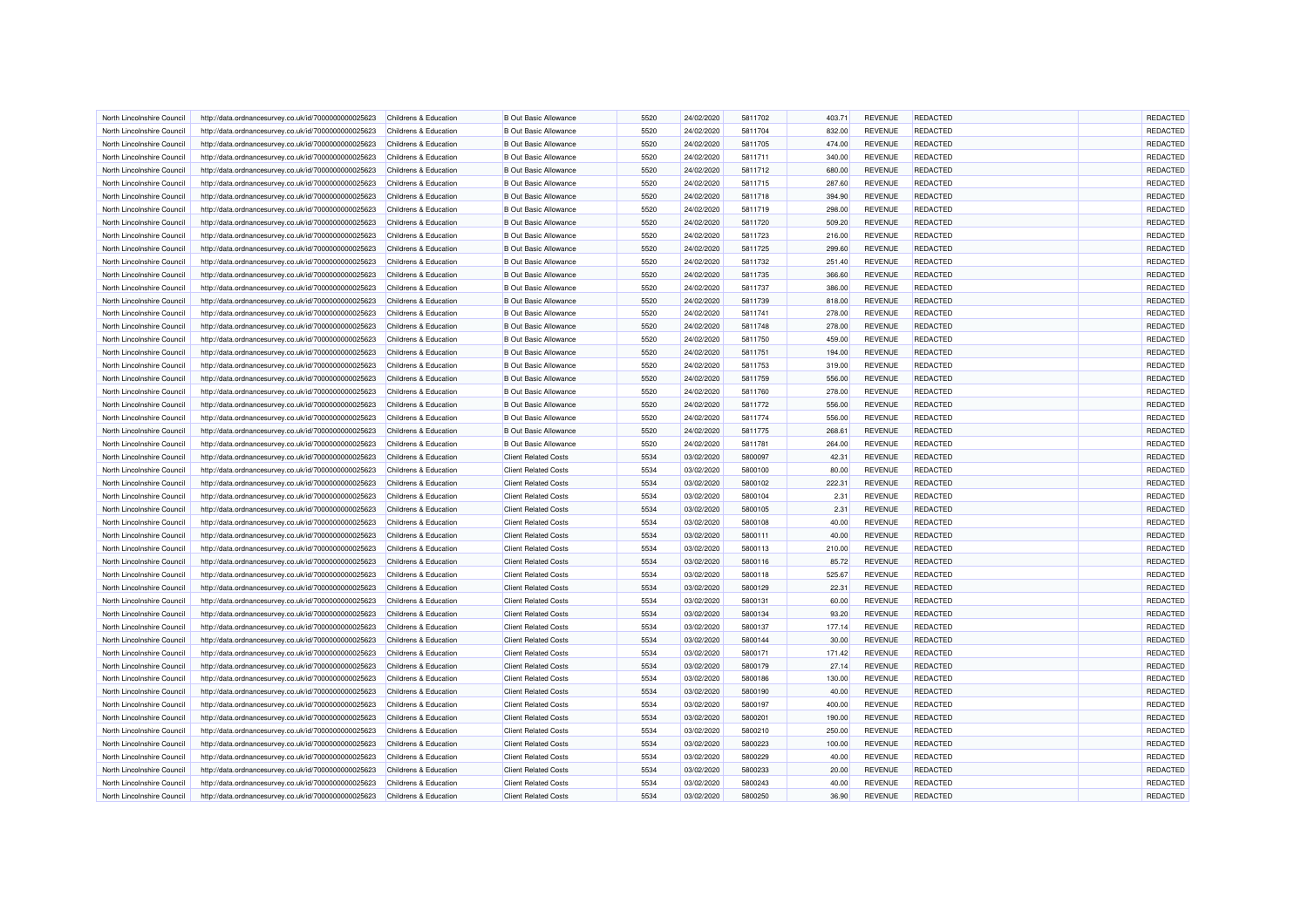| North Lincolnshire Council | http://data.ordnancesurvey.co.uk/id/7000000000025623 | Childrens & Education | <b>B Out Basic Allowance</b> | 5520 | 24/02/2020 | 5811702 | 403.71 | <b>REVENUE</b> | <b>REDACTED</b> | <b>REDACTED</b> |
|----------------------------|------------------------------------------------------|-----------------------|------------------------------|------|------------|---------|--------|----------------|-----------------|-----------------|
| North Lincolnshire Council | http://data.ordnancesurvey.co.uk/id/7000000000025623 | Childrens & Education | <b>B Out Basic Allowance</b> | 5520 | 24/02/2020 | 5811704 | 832.00 | <b>REVENUE</b> | <b>REDACTED</b> | REDACTED        |
| North Lincolnshire Council | http://data.ordnancesurvey.co.uk/id/7000000000025623 | Childrens & Education | <b>B Out Basic Allowance</b> | 5520 | 24/02/2020 | 5811705 | 474.00 | <b>REVENUE</b> | <b>REDACTED</b> | REDACTED        |
| North Lincolnshire Council | http://data.ordnancesurvey.co.uk/id/7000000000025623 | Childrens & Education | <b>B Out Basic Allowance</b> | 5520 | 24/02/2020 | 5811711 | 340.00 | <b>REVENUE</b> | <b>REDACTED</b> | REDACTED        |
| North Lincolnshire Council | http://data.ordnancesurvey.co.uk/id/7000000000025623 | Childrens & Education | <b>B Out Basic Allowance</b> | 5520 | 24/02/2020 | 5811712 | 680.00 | <b>REVENUE</b> | <b>REDACTED</b> | REDACTED        |
| North Lincolnshire Council | http://data.ordnancesurvey.co.uk/id/7000000000025623 | Childrens & Education | <b>B</b> Out Basic Allowance | 5520 | 24/02/2020 | 5811715 | 287.60 | <b>REVENUE</b> | <b>REDACTED</b> | REDACTED        |
| North Lincolnshire Council | http://data.ordnancesurvey.co.uk/id/7000000000025623 | Childrens & Education | <b>B Out Basic Allowance</b> | 5520 | 24/02/2020 | 5811718 | 394.90 | <b>REVENUE</b> | <b>REDACTED</b> | REDACTED        |
| North Lincolnshire Council | http://data.ordnancesurvey.co.uk/id/7000000000025623 | Childrens & Education | <b>B Out Basic Allowance</b> | 5520 | 24/02/2020 | 5811719 | 298.00 | <b>REVENUE</b> | REDACTED        | REDACTED        |
| North Lincolnshire Council | http://data.ordnancesurvey.co.uk/id/7000000000025623 | Childrens & Education | <b>B Out Basic Allowance</b> | 5520 | 24/02/2020 | 5811720 | 509.20 | <b>REVENUE</b> | <b>REDACTED</b> | REDACTED        |
| North Lincolnshire Council | http://data.ordnancesurvey.co.uk/id/7000000000025623 | Childrens & Education | <b>B Out Basic Allowance</b> | 5520 | 24/02/2020 | 5811723 | 216.00 | <b>REVENUE</b> | <b>REDACTED</b> | REDACTED        |
| North Lincolnshire Council | http://data.ordnancesurvey.co.uk/id/7000000000025623 | Childrens & Education | <b>B Out Basic Allowance</b> | 5520 | 24/02/2020 | 5811725 | 299.60 | <b>REVENUE</b> | <b>REDACTED</b> | REDACTED        |
| North Lincolnshire Council | http://data.ordnancesurvey.co.uk/id/7000000000025623 | Childrens & Education | <b>B Out Basic Allowance</b> | 5520 | 24/02/2020 | 5811732 | 251.40 | <b>REVENUE</b> | <b>REDACTED</b> | REDACTED        |
| North Lincolnshire Council | http://data.ordnancesurvey.co.uk/id/7000000000025623 | Childrens & Education | <b>B Out Basic Allowance</b> | 5520 | 24/02/2020 | 5811735 | 366.60 | <b>REVENUE</b> | <b>REDACTED</b> | REDACTED        |
| North Lincolnshire Council | http://data.ordnancesurvey.co.uk/id/7000000000025623 | Childrens & Education | <b>B Out Basic Allowance</b> | 5520 | 24/02/2020 | 5811737 | 386.00 | <b>REVENUE</b> | <b>REDACTED</b> | REDACTED        |
| North Lincolnshire Council | http://data.ordnancesurvey.co.uk/id/7000000000025623 | Childrens & Education | <b>B Out Basic Allowance</b> | 5520 | 24/02/2020 | 5811739 | 818.00 | <b>REVENUE</b> | <b>REDACTED</b> | REDACTED        |
| North Lincolnshire Council | http://data.ordnancesurvey.co.uk/id/7000000000025623 | Childrens & Education | <b>B Out Basic Allowance</b> | 5520 | 24/02/2020 | 5811741 | 278.00 | <b>REVENUE</b> | <b>REDACTED</b> | REDACTED        |
| North Lincolnshire Council | http://data.ordnancesurvey.co.uk/id/7000000000025623 | Childrens & Education | <b>B Out Basic Allowance</b> | 5520 | 24/02/2020 | 5811748 | 278.00 | <b>REVENUE</b> | <b>REDACTED</b> | REDACTED        |
| North Lincolnshire Council | http://data.ordnancesurvey.co.uk/id/7000000000025623 | Childrens & Education | <b>B Out Basic Allowance</b> | 5520 | 24/02/2020 | 5811750 | 459.00 | <b>REVENUE</b> | <b>REDACTED</b> | REDACTED        |
| North Lincolnshire Council | http://data.ordnancesurvey.co.uk/id/7000000000025623 | Childrens & Education | <b>B Out Basic Allowance</b> | 5520 | 24/02/2020 | 5811751 | 194.00 | <b>REVENUE</b> | <b>REDACTED</b> | REDACTED        |
| North Lincolnshire Council | http://data.ordnancesurvey.co.uk/id/7000000000025623 | Childrens & Education | <b>B Out Basic Allowance</b> | 5520 | 24/02/2020 | 5811753 | 319.00 | <b>REVENUE</b> | <b>REDACTED</b> | REDACTED        |
| North Lincolnshire Council | http://data.ordnancesurvey.co.uk/id/7000000000025623 | Childrens & Education | <b>B Out Basic Allowance</b> | 5520 | 24/02/2020 | 5811759 | 556.00 | <b>REVENUE</b> | <b>REDACTED</b> | REDACTED        |
| North Lincolnshire Council | http://data.ordnancesurvey.co.uk/id/7000000000025623 | Childrens & Education | <b>B Out Basic Allowance</b> | 5520 | 24/02/2020 | 5811760 | 278.00 | <b>REVENUE</b> | <b>REDACTED</b> | REDACTED        |
| North Lincolnshire Council | http://data.ordnancesurvey.co.uk/id/7000000000025623 | Childrens & Education | <b>B Out Basic Allowance</b> | 5520 | 24/02/2020 | 5811772 | 556.00 | <b>REVENUE</b> | <b>REDACTED</b> | REDACTED        |
| North Lincolnshire Council | http://data.ordnancesurvey.co.uk/id/7000000000025623 | Childrens & Education | <b>B Out Basic Allowance</b> | 5520 | 24/02/2020 | 5811774 | 556.00 | <b>REVENUE</b> | <b>REDACTED</b> | REDACTED        |
| North Lincolnshire Council | http://data.ordnancesurvey.co.uk/id/7000000000025623 | Childrens & Education | <b>B Out Basic Allowance</b> | 5520 | 24/02/2020 | 5811775 | 268.61 | <b>REVENUE</b> | <b>REDACTED</b> | REDACTED        |
|                            | http://data.ordnancesurvey.co.uk/id/7000000000025623 |                       | <b>B Out Basic Allowance</b> | 5520 | 24/02/2020 | 5811781 | 264.00 | <b>REVENUE</b> | <b>REDACTED</b> | REDACTED        |
| North Lincolnshire Council |                                                      | Childrens & Education |                              |      |            |         |        |                |                 | REDACTED        |
| North Lincolnshire Council | http://data.ordnancesurvey.co.uk/id/7000000000025623 | Childrens & Education | <b>Client Related Costs</b>  | 5534 | 03/02/2020 | 5800097 | 42.31  | <b>REVENUE</b> | <b>REDACTED</b> |                 |
| North Lincolnshire Council | http://data.ordnancesurvey.co.uk/id/7000000000025623 | Childrens & Education | <b>Client Related Costs</b>  | 5534 | 03/02/2020 | 5800100 | 80.00  | <b>REVENUE</b> | <b>REDACTED</b> | REDACTED        |
| North Lincolnshire Council | http://data.ordnancesurvey.co.uk/id/7000000000025623 | Childrens & Education | <b>Client Related Costs</b>  | 5534 | 03/02/2020 | 5800102 | 222.31 | <b>REVENUE</b> | <b>REDACTED</b> | REDACTED        |
| North Lincolnshire Council | http://data.ordnancesurvey.co.uk/id/7000000000025623 | Childrens & Education | <b>Client Related Costs</b>  | 5534 | 03/02/2020 | 5800104 | 2.31   | <b>REVENUE</b> | <b>REDACTED</b> | REDACTED        |
| North Lincolnshire Council | http://data.ordnancesurvey.co.uk/id/7000000000025623 | Childrens & Education | <b>Client Related Costs</b>  | 5534 | 03/02/2020 | 5800105 | 2.31   | <b>REVENUE</b> | <b>REDACTED</b> | REDACTED        |
| North Lincolnshire Council | http://data.ordnancesurvey.co.uk/id/7000000000025623 | Childrens & Education | <b>Client Related Costs</b>  | 5534 | 03/02/2020 | 5800108 | 40.00  | <b>REVENUE</b> | <b>REDACTED</b> | REDACTED        |
| North Lincolnshire Council | http://data.ordnancesurvey.co.uk/id/7000000000025623 | Childrens & Education | <b>Client Related Costs</b>  | 5534 | 03/02/2020 | 5800111 | 40.00  | <b>REVENUE</b> | <b>REDACTED</b> | REDACTED        |
| North Lincolnshire Council | http://data.ordnancesurvey.co.uk/id/7000000000025623 | Childrens & Education | <b>Client Related Costs</b>  | 5534 | 03/02/2020 | 5800113 | 210.00 | <b>REVENUE</b> | REDACTED        | REDACTED        |
| North Lincolnshire Council | http://data.ordnancesurvey.co.uk/id/7000000000025623 | Childrens & Education | <b>Client Related Costs</b>  | 5534 | 03/02/2020 | 5800116 | 85.72  | <b>REVENUE</b> | <b>REDACTED</b> | REDACTED        |
| North Lincolnshire Council | http://data.ordnancesurvey.co.uk/id/7000000000025623 | Childrens & Education | <b>Client Related Costs</b>  | 5534 | 03/02/2020 | 5800118 | 525.67 | <b>REVENUE</b> | <b>REDACTED</b> | REDACTED        |
| North Lincolnshire Council | http://data.ordnancesurvey.co.uk/id/7000000000025623 | Childrens & Education | <b>Client Related Costs</b>  | 5534 | 03/02/2020 | 5800129 | 22.31  | <b>REVENUE</b> | <b>REDACTED</b> | REDACTED        |
| North Lincolnshire Council | http://data.ordnancesurvey.co.uk/id/7000000000025623 | Childrens & Education | <b>Client Related Costs</b>  | 5534 | 03/02/2020 | 5800131 | 60.00  | <b>REVENUE</b> | <b>REDACTED</b> | REDACTED        |
| North Lincolnshire Council | http://data.ordnancesurvey.co.uk/id/7000000000025623 | Childrens & Education | <b>Client Related Costs</b>  | 5534 | 03/02/2020 | 5800134 | 93.20  | <b>REVENUE</b> | <b>REDACTED</b> | REDACTED        |
| North Lincolnshire Council | http://data.ordnancesurvey.co.uk/id/7000000000025623 | Childrens & Education | <b>Client Related Costs</b>  | 5534 | 03/02/2020 | 5800137 | 177.14 | <b>REVENUE</b> | <b>REDACTED</b> | REDACTED        |
| North Lincolnshire Council | http://data.ordnancesurvey.co.uk/id/7000000000025623 | Childrens & Education | <b>Client Related Costs</b>  | 5534 | 03/02/2020 | 5800144 | 30.00  | <b>REVENUE</b> | <b>REDACTED</b> | REDACTED        |
| North Lincolnshire Council | http://data.ordnancesurvey.co.uk/id/7000000000025623 | Childrens & Education | <b>Client Related Costs</b>  | 5534 | 03/02/2020 | 5800171 | 171.42 | <b>REVENUE</b> | <b>REDACTED</b> | REDACTED        |
| North Lincolnshire Council | http://data.ordnancesurvey.co.uk/id/7000000000025623 | Childrens & Education | <b>Client Related Costs</b>  | 5534 | 03/02/2020 | 5800179 | 27.14  | <b>REVENUE</b> | <b>REDACTED</b> | REDACTED        |
| North Lincolnshire Council | http://data.ordnancesurvey.co.uk/id/7000000000025623 | Childrens & Education | <b>Client Related Costs</b>  | 5534 | 03/02/2020 | 5800186 | 130.00 | <b>REVENUE</b> | <b>REDACTED</b> | REDACTED        |
| North Lincolnshire Council | http://data.ordnancesurvey.co.uk/id/7000000000025623 | Childrens & Education | <b>Client Related Costs</b>  | 5534 | 03/02/2020 | 5800190 | 40.00  | <b>REVENUE</b> | <b>REDACTED</b> | REDACTED        |
| North Lincolnshire Council | http://data.ordnancesurvey.co.uk/id/7000000000025623 | Childrens & Education | <b>Client Related Costs</b>  | 5534 | 03/02/2020 | 5800197 | 400.00 | <b>REVENUE</b> | <b>REDACTED</b> | REDACTED        |
| North Lincolnshire Council | http://data.ordnancesurvey.co.uk/id/7000000000025623 | Childrens & Education | <b>Client Related Costs</b>  | 5534 | 03/02/2020 | 5800201 | 190.00 | <b>REVENUE</b> | <b>REDACTED</b> | REDACTED        |
| North Lincolnshire Council | http://data.ordnancesurvey.co.uk/id/7000000000025623 | Childrens & Education | <b>Client Related Costs</b>  | 5534 | 03/02/2020 | 5800210 | 250.00 | <b>REVENUE</b> | <b>REDACTED</b> | REDACTED        |
| North Lincolnshire Council | http://data.ordnancesurvey.co.uk/id/7000000000025623 | Childrens & Education | <b>Client Related Costs</b>  | 5534 | 03/02/2020 | 5800223 | 100.00 | <b>REVENUE</b> | <b>REDACTED</b> | REDACTED        |
| North Lincolnshire Council | http://data.ordnancesurvey.co.uk/id/7000000000025623 | Childrens & Education | <b>Client Related Costs</b>  | 5534 | 03/02/2020 | 5800229 | 40.00  | <b>REVENUE</b> | <b>REDACTED</b> | REDACTED        |
| North Lincolnshire Council | http://data.ordnancesurvey.co.uk/id/7000000000025623 | Childrens & Education | <b>Client Related Costs</b>  | 5534 | 03/02/2020 | 5800233 | 20.00  | <b>REVENUE</b> | <b>REDACTED</b> | REDACTED        |
| North Lincolnshire Council | http://data.ordnancesurvey.co.uk/id/7000000000025623 | Childrens & Education | <b>Client Related Costs</b>  | 5534 | 03/02/2020 | 5800243 | 40.00  | <b>REVENUE</b> | <b>REDACTED</b> | REDACTED        |
| North Lincolnshire Council | http://data.ordnancesurvey.co.uk/id/7000000000025623 | Childrens & Education | <b>Client Related Costs</b>  | 5534 | 03/02/2020 | 5800250 | 36.90  | <b>REVENUE</b> | <b>REDACTED</b> | REDACTED        |
|                            |                                                      |                       |                              |      |            |         |        |                |                 |                 |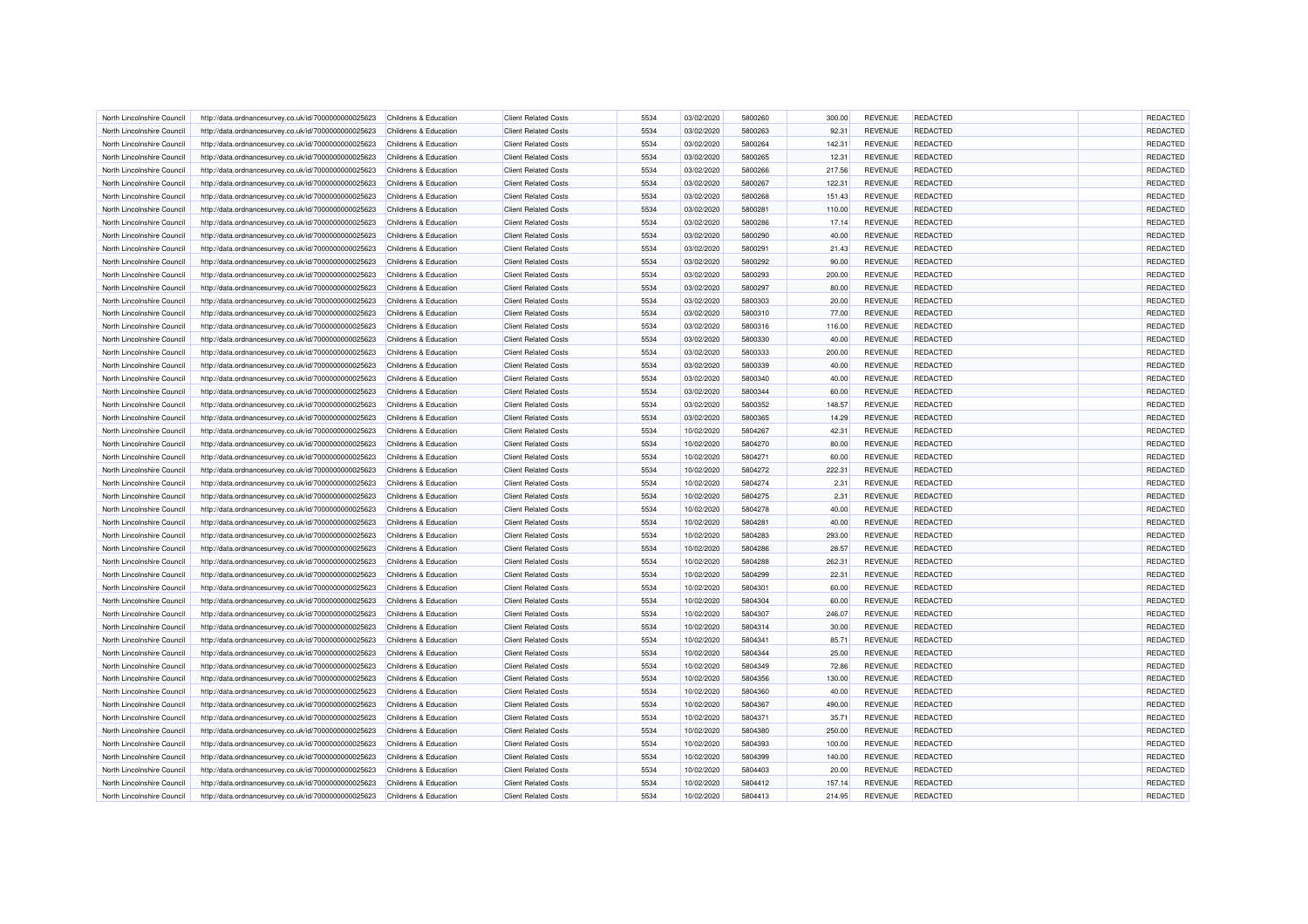| North Lincolnshire Council                               | http://data.ordnancesurvey.co.uk/id/7000000000025623 | Childrens & Education                          | <b>Client Related Costs</b> | 5534 | 03/02/2020               | 5800260 | 300.00         | <b>REVENUE</b> | REDACTED        | REDACTED |
|----------------------------------------------------------|------------------------------------------------------|------------------------------------------------|-----------------------------|------|--------------------------|---------|----------------|----------------|-----------------|----------|
| North Lincolnshire Council                               | http://data.ordnancesurvey.co.uk/id/7000000000025623 | Childrens & Education                          | <b>Client Related Costs</b> | 5534 | 03/02/2020               | 5800263 | 92.31          | <b>REVENUE</b> | <b>REDACTED</b> | REDACTED |
| North Lincolnshire Council                               | http://data.ordnancesurvey.co.uk/id/7000000000025623 | Childrens & Education                          | <b>Client Related Costs</b> | 5534 | 03/02/2020               | 5800264 | 142.31         | <b>REVENUE</b> | <b>REDACTED</b> | REDACTED |
| North Lincolnshire Council                               | http://data.ordnancesurvey.co.uk/id/7000000000025623 | Childrens & Education                          | <b>Client Related Costs</b> | 5534 | 03/02/2020               | 5800265 | 12.31          | <b>REVENUE</b> | <b>REDACTED</b> | REDACTED |
| North Lincolnshire Council                               | http://data.ordnancesurvey.co.uk/id/7000000000025623 | Childrens & Education                          | <b>Client Related Costs</b> | 5534 | 03/02/2020               | 5800266 | 217.56         | <b>REVENUE</b> | <b>REDACTED</b> | REDACTED |
| North Lincolnshire Council                               | http://data.ordnancesurvey.co.uk/id/7000000000025623 | Childrens & Education                          | <b>Client Related Costs</b> | 5534 | 03/02/2020               | 5800267 | 122.31         | <b>REVENUE</b> | <b>REDACTED</b> | REDACTED |
| North Lincolnshire Council                               | http://data.ordnancesurvey.co.uk/id/7000000000025623 | Childrens & Education                          | <b>Client Related Costs</b> | 5534 | 03/02/2020               | 5800268 | 151.43         | <b>REVENUE</b> | <b>REDACTED</b> | REDACTED |
| North Lincolnshire Council                               | http://data.ordnancesurvey.co.uk/id/7000000000025623 | Childrens & Education                          | <b>Client Related Costs</b> | 5534 | 03/02/2020               | 5800281 | 110.00         | <b>REVENUE</b> | <b>REDACTED</b> | REDACTED |
| North Lincolnshire Council                               | http://data.ordnancesurvey.co.uk/id/7000000000025623 | Childrens & Education                          | <b>Client Related Costs</b> | 5534 | 03/02/2020               | 5800286 | 17.14          | <b>REVENUE</b> | <b>REDACTED</b> | REDACTED |
|                                                          |                                                      |                                                | <b>Client Related Costs</b> | 5534 |                          | 5800290 |                | <b>REVENUE</b> | REDACTED        | REDACTED |
| North Lincolnshire Council<br>North Lincolnshire Council | http://data.ordnancesurvey.co.uk/id/7000000000025623 | Childrens & Education<br>Childrens & Education | <b>Client Related Costs</b> | 5534 | 03/02/2020<br>03/02/2020 | 5800291 | 40.00<br>21.43 | <b>REVENUE</b> | <b>REDACTED</b> | REDACTED |
|                                                          | http://data.ordnancesurvey.co.uk/id/7000000000025623 |                                                |                             |      |                          |         |                |                |                 |          |
| North Lincolnshire Council                               | http://data.ordnancesurvey.co.uk/id/7000000000025623 | Childrens & Education                          | <b>Client Related Costs</b> | 5534 | 03/02/2020               | 5800292 | 90.00          | <b>REVENUE</b> | <b>REDACTED</b> | REDACTED |
| North Lincolnshire Council                               | http://data.ordnancesurvey.co.uk/id/7000000000025623 | Childrens & Education                          | <b>Client Related Costs</b> | 5534 | 03/02/2020               | 5800293 | 200.00         | <b>REVENUE</b> | <b>REDACTED</b> | REDACTED |
| North Lincolnshire Council                               | http://data.ordnancesurvey.co.uk/id/7000000000025623 | Childrens & Education                          | <b>Client Related Costs</b> | 5534 | 03/02/2020               | 5800297 | 80.00          | <b>REVENUE</b> | <b>REDACTED</b> | REDACTED |
| North Lincolnshire Council                               | http://data.ordnancesurvey.co.uk/id/7000000000025623 | Childrens & Education                          | <b>Client Related Costs</b> | 5534 | 03/02/2020               | 5800303 | 20.00          | <b>REVENUE</b> | <b>REDACTED</b> | REDACTED |
| North Lincolnshire Council                               | http://data.ordnancesurvey.co.uk/id/7000000000025623 | Childrens & Education                          | <b>Client Related Costs</b> | 5534 | 03/02/2020               | 5800310 | 77.00          | <b>REVENUE</b> | <b>REDACTED</b> | REDACTED |
| North Lincolnshire Council                               | http://data.ordnancesurvey.co.uk/id/7000000000025623 | Childrens & Education                          | <b>Client Related Costs</b> | 5534 | 03/02/2020               | 5800316 | 116.00         | <b>REVENUE</b> | <b>REDACTED</b> | REDACTED |
| North Lincolnshire Council                               | http://data.ordnancesurvey.co.uk/id/7000000000025623 | Childrens & Education                          | <b>Client Related Costs</b> | 5534 | 03/02/2020               | 5800330 | 40.00          | <b>REVENUE</b> | <b>REDACTED</b> | REDACTED |
| North Lincolnshire Council                               | http://data.ordnancesurvey.co.uk/id/7000000000025623 | Childrens & Education                          | <b>Client Related Costs</b> | 5534 | 03/02/2020               | 5800333 | 200.00         | <b>REVENUE</b> | <b>REDACTED</b> | REDACTED |
| North Lincolnshire Council                               | http://data.ordnancesurvey.co.uk/id/7000000000025623 | Childrens & Education                          | <b>Client Related Costs</b> | 5534 | 03/02/2020               | 5800339 | 40.00          | <b>REVENUE</b> | REDACTED        | REDACTED |
| North Lincolnshire Council                               | http://data.ordnancesurvey.co.uk/id/7000000000025623 | Childrens & Education                          | <b>Client Related Costs</b> | 5534 | 03/02/2020               | 5800340 | 40.00          | <b>REVENUE</b> | <b>REDACTED</b> | REDACTED |
| North Lincolnshire Council                               | http://data.ordnancesurvey.co.uk/id/7000000000025623 | Childrens & Education                          | <b>Client Related Costs</b> | 5534 | 03/02/2020               | 5800344 | 60.00          | <b>REVENUE</b> | <b>REDACTED</b> | REDACTED |
| North Lincolnshire Council                               | http://data.ordnancesurvey.co.uk/id/7000000000025623 | Childrens & Education                          | <b>Client Related Costs</b> | 5534 | 03/02/2020               | 5800352 | 148.57         | <b>REVENUE</b> | <b>REDACTED</b> | REDACTED |
| North Lincolnshire Council                               | http://data.ordnancesurvey.co.uk/id/7000000000025623 | Childrens & Education                          | <b>Client Related Costs</b> | 5534 | 03/02/2020               | 5800365 | 14.29          | <b>REVENUE</b> | <b>REDACTED</b> | REDACTED |
| North Lincolnshire Council                               | http://data.ordnancesurvey.co.uk/id/7000000000025623 | Childrens & Education                          | <b>Client Related Costs</b> | 5534 | 10/02/2020               | 5804267 | 42.31          | <b>REVENUE</b> | REDACTED        | REDACTED |
| North Lincolnshire Council                               | http://data.ordnancesurvey.co.uk/id/7000000000025623 | Childrens & Education                          | <b>Client Related Costs</b> | 5534 | 10/02/2020               | 5804270 | 80.00          | <b>REVENUE</b> | <b>REDACTED</b> | REDACTED |
| North Lincolnshire Council                               | http://data.ordnancesurvey.co.uk/id/7000000000025623 | Childrens & Education                          | <b>Client Related Costs</b> | 5534 | 10/02/2020               | 5804271 | 60.00          | <b>REVENUE</b> | <b>REDACTED</b> | REDACTED |
| North Lincolnshire Council                               | http://data.ordnancesurvey.co.uk/id/7000000000025623 | Childrens & Education                          | <b>Client Related Costs</b> | 5534 | 10/02/2020               | 5804272 | 222.31         | <b>REVENUE</b> | <b>REDACTED</b> | REDACTED |
| North Lincolnshire Council                               | http://data.ordnancesurvey.co.uk/id/7000000000025623 | Childrens & Education                          | <b>Client Related Costs</b> | 5534 | 10/02/2020               | 5804274 | 2.31           | <b>REVENUE</b> | <b>REDACTED</b> | REDACTED |
| North Lincolnshire Council                               | http://data.ordnancesurvey.co.uk/id/7000000000025623 | Childrens & Education                          | <b>Client Related Costs</b> | 5534 | 10/02/2020               | 5804275 | 2.31           | <b>REVENUE</b> | <b>REDACTED</b> | REDACTED |
| North Lincolnshire Council                               | http://data.ordnancesurvey.co.uk/id/7000000000025623 | Childrens & Education                          | <b>Client Related Costs</b> | 5534 | 10/02/2020               | 5804278 | 40.00          | <b>REVENUE</b> | REDACTED        | REDACTED |
| North Lincolnshire Council                               | http://data.ordnancesurvey.co.uk/id/7000000000025623 | Childrens & Education                          | <b>Client Related Costs</b> | 5534 | 10/02/2020               | 5804281 | 40.00          | <b>REVENUE</b> | REDACTED        | REDACTED |
| North Lincolnshire Council                               | http://data.ordnancesurvey.co.uk/id/7000000000025623 | Childrens & Education                          | <b>Client Related Costs</b> | 5534 | 10/02/2020               | 5804283 | 293.00         | <b>REVENUE</b> | <b>REDACTED</b> | REDACTED |
| North Lincolnshire Council                               |                                                      | Childrens & Education                          | <b>Client Related Costs</b> | 5534 | 10/02/2020               | 5804286 | 28.57          | <b>REVENUE</b> | <b>REDACTED</b> | REDACTED |
|                                                          | http://data.ordnancesurvey.co.uk/id/7000000000025623 |                                                |                             | 5534 |                          | 5804288 |                | <b>REVENUE</b> |                 |          |
| North Lincolnshire Council                               | http://data.ordnancesurvey.co.uk/id/7000000000025623 | Childrens & Education                          | <b>Client Related Costs</b> |      | 10/02/2020               |         | 262.31         |                | REDACTED        | REDACTED |
| North Lincolnshire Council                               | http://data.ordnancesurvey.co.uk/id/7000000000025623 | Childrens & Education                          | <b>Client Related Costs</b> | 5534 | 10/02/2020               | 5804299 | 22.31          | <b>REVENUE</b> | REDACTED        | REDACTED |
| North Lincolnshire Council                               | http://data.ordnancesurvey.co.uk/id/7000000000025623 | Childrens & Education                          | <b>Client Related Costs</b> | 5534 | 10/02/2020               | 5804301 | 60.00          | <b>REVENUE</b> | <b>REDACTED</b> | REDACTED |
| North Lincolnshire Council                               | http://data.ordnancesurvey.co.uk/id/7000000000025623 | Childrens & Education                          | <b>Client Related Costs</b> | 5534 | 10/02/2020               | 5804304 | 60.00          | <b>REVENUE</b> | <b>REDACTED</b> | REDACTED |
| North Lincolnshire Council                               | http://data.ordnancesurvey.co.uk/id/7000000000025623 | Childrens & Education                          | <b>Client Related Costs</b> | 5534 | 10/02/2020               | 5804307 | 246.07         | <b>REVENUE</b> | REDACTED        | REDACTED |
| North Lincolnshire Council                               | http://data.ordnancesurvey.co.uk/id/7000000000025623 | Childrens & Education                          | <b>Client Related Costs</b> | 5534 | 10/02/2020               | 5804314 | 30.00          | <b>REVENUE</b> | <b>REDACTED</b> | REDACTED |
| North Lincolnshire Council                               | http://data.ordnancesurvey.co.uk/id/7000000000025623 | Childrens & Education                          | <b>Client Related Costs</b> | 5534 | 10/02/2020               | 5804341 | 85.71          | <b>REVENUE</b> | <b>REDACTED</b> | REDACTED |
| North Lincolnshire Council                               | http://data.ordnancesurvey.co.uk/id/7000000000025623 | Childrens & Education                          | <b>Client Related Costs</b> | 5534 | 10/02/2020               | 5804344 | 25.00          | <b>REVENUE</b> | <b>REDACTED</b> | REDACTED |
| North Lincolnshire Council                               | http://data.ordnancesurvey.co.uk/id/7000000000025623 | Childrens & Education                          | <b>Client Related Costs</b> | 5534 | 10/02/2020               | 5804349 | 72.86          | <b>REVENUE</b> | <b>REDACTED</b> | REDACTED |
| North Lincolnshire Council                               | http://data.ordnancesurvey.co.uk/id/7000000000025623 | Childrens & Education                          | <b>Client Related Costs</b> | 5534 | 10/02/2020               | 5804356 | 130.00         | <b>REVENUE</b> | <b>REDACTED</b> | REDACTED |
| North Lincolnshire Council                               | http://data.ordnancesurvey.co.uk/id/7000000000025623 | Childrens & Education                          | <b>Client Related Costs</b> | 5534 | 10/02/2020               | 5804360 | 40.00          | <b>REVENUE</b> | <b>REDACTED</b> | REDACTED |
| North Lincolnshire Council                               | http://data.ordnancesurvey.co.uk/id/7000000000025623 | Childrens & Education                          | <b>Client Related Costs</b> | 5534 | 10/02/2020               | 5804367 | 490.00         | <b>REVENUE</b> | <b>REDACTED</b> | REDACTED |
| North Lincolnshire Council                               | http://data.ordnancesurvey.co.uk/id/7000000000025623 | Childrens & Education                          | <b>Client Related Costs</b> | 5534 | 10/02/2020               | 5804371 | 35.71          | <b>REVENUE</b> | REDACTED        | REDACTED |
| North Lincolnshire Council                               | http://data.ordnancesurvey.co.uk/id/7000000000025623 | Childrens & Education                          | <b>Client Related Costs</b> | 5534 | 10/02/2020               | 5804380 | 250.00         | <b>REVENUE</b> | <b>REDACTED</b> | REDACTED |
| North Lincolnshire Council                               | http://data.ordnancesurvey.co.uk/id/7000000000025623 | Childrens & Education                          | <b>Client Related Costs</b> | 5534 | 10/02/2020               | 5804393 | 100.00         | <b>REVENUE</b> | <b>REDACTED</b> | REDACTED |
| North Lincolnshire Council                               | http://data.ordnancesurvey.co.uk/id/7000000000025623 | Childrens & Education                          | <b>Client Related Costs</b> | 5534 | 10/02/2020               | 5804399 | 140.00         | <b>REVENUE</b> | <b>REDACTED</b> | REDACTED |
| North Lincolnshire Council                               | http://data.ordnancesurvey.co.uk/id/7000000000025623 | Childrens & Education                          | <b>Client Related Costs</b> | 5534 | 10/02/2020               | 5804403 | 20.00          | <b>REVENUE</b> | REDACTED        | REDACTED |
| North Lincolnshire Council                               | http://data.ordnancesurvey.co.uk/id/7000000000025623 | Childrens & Education                          | <b>Client Related Costs</b> | 5534 | 10/02/2020               | 5804412 | 157.14         | <b>REVENUE</b> | REDACTED        | REDACTED |
| North Lincolnshire Council                               | http://data.ordnancesurvey.co.uk/id/7000000000025623 | Childrens & Education                          | <b>Client Related Costs</b> | 5534 | 10/02/2020               | 5804413 | 214.95         | <b>REVENUE</b> | <b>REDACTED</b> | REDACTED |
|                                                          |                                                      |                                                |                             |      |                          |         |                |                |                 |          |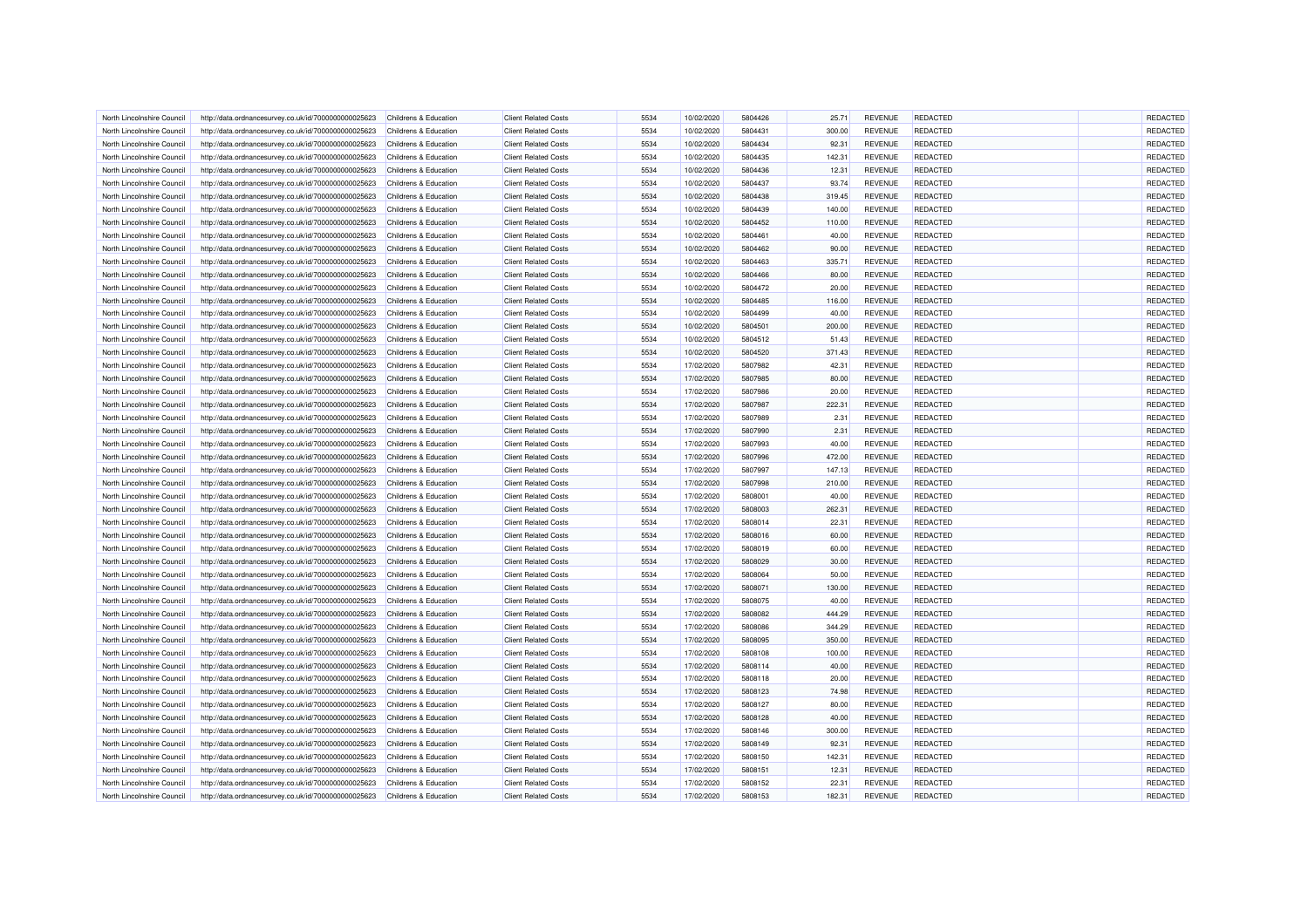| North Lincolnshire Council | http://data.ordnancesurvey.co.uk/id/7000000000025623 | Childrens & Education | <b>Client Related Costs</b> | 5534 | 10/02/2020 | 5804426 | 25.71  | <b>REVENUE</b> | <b>REDACTED</b> | <b>REDACTED</b> |
|----------------------------|------------------------------------------------------|-----------------------|-----------------------------|------|------------|---------|--------|----------------|-----------------|-----------------|
| North Lincolnshire Council | http://data.ordnancesurvey.co.uk/id/7000000000025623 | Childrens & Education | <b>Client Related Costs</b> | 5534 | 10/02/2020 | 5804431 | 300.00 | <b>REVENUE</b> | <b>REDACTED</b> | REDACTED        |
| North Lincolnshire Council | http://data.ordnancesurvey.co.uk/id/7000000000025623 | Childrens & Education | <b>Client Related Costs</b> | 5534 | 10/02/2020 | 5804434 | 92.31  | <b>REVENUE</b> | <b>REDACTED</b> | REDACTED        |
| North Lincolnshire Council | http://data.ordnancesurvey.co.uk/id/7000000000025623 | Childrens & Education | <b>Client Related Costs</b> | 5534 | 10/02/2020 | 5804435 | 142.31 | <b>REVENUE</b> | REDACTED        | REDACTED        |
| North Lincolnshire Council | http://data.ordnancesurvey.co.uk/id/7000000000025623 | Childrens & Education | <b>Client Related Costs</b> | 5534 | 10/02/2020 | 5804436 | 12.31  | <b>REVENUE</b> | <b>REDACTED</b> | REDACTED        |
| North Lincolnshire Council | http://data.ordnancesurvey.co.uk/id/7000000000025623 | Childrens & Education | <b>Client Related Costs</b> | 5534 | 10/02/2020 | 5804437 | 93.74  | <b>REVENUE</b> | <b>REDACTED</b> | REDACTED        |
|                            |                                                      |                       |                             |      |            |         |        |                |                 |                 |
| North Lincolnshire Council | http://data.ordnancesurvey.co.uk/id/7000000000025623 | Childrens & Education | <b>Client Related Costs</b> | 5534 | 10/02/2020 | 5804438 | 319.45 | <b>REVENUE</b> | <b>REDACTED</b> | REDACTED        |
| North Lincolnshire Council | http://data.ordnancesurvey.co.uk/id/7000000000025623 | Childrens & Education | <b>Client Related Costs</b> | 5534 | 10/02/2020 | 5804439 | 140.00 | <b>REVENUE</b> | <b>REDACTED</b> | REDACTED        |
| North Lincolnshire Council | http://data.ordnancesurvey.co.uk/id/7000000000025623 | Childrens & Education | <b>Client Related Costs</b> | 5534 | 10/02/2020 | 5804452 | 110.00 | <b>REVENUE</b> | <b>REDACTED</b> | REDACTED        |
| North Lincolnshire Council | http://data.ordnancesurvey.co.uk/id/7000000000025623 | Childrens & Education | <b>Client Related Costs</b> | 5534 | 10/02/2020 | 5804461 | 40.00  | <b>REVENUE</b> | <b>REDACTED</b> | REDACTED        |
| North Lincolnshire Council | http://data.ordnancesurvey.co.uk/id/7000000000025623 | Childrens & Education | <b>Client Related Costs</b> | 5534 | 10/02/2020 | 5804462 | 90.00  | <b>REVENUE</b> | <b>REDACTED</b> | REDACTED        |
| North Lincolnshire Council | http://data.ordnancesurvey.co.uk/id/7000000000025623 | Childrens & Education | <b>Client Related Costs</b> | 5534 | 10/02/2020 | 5804463 | 335.71 | <b>REVENUE</b> | <b>REDACTED</b> | REDACTED        |
| North Lincolnshire Council | http://data.ordnancesurvey.co.uk/id/7000000000025623 | Childrens & Education | <b>Client Related Costs</b> | 5534 | 10/02/2020 | 5804466 | 80.00  | <b>REVENUE</b> | <b>REDACTED</b> | REDACTED        |
| North Lincolnshire Council | http://data.ordnancesurvey.co.uk/id/7000000000025623 | Childrens & Education | <b>Client Related Costs</b> | 5534 | 10/02/2020 | 5804472 | 20.00  | <b>REVENUE</b> | <b>REDACTED</b> | REDACTED        |
| North Lincolnshire Council | http://data.ordnancesurvey.co.uk/id/7000000000025623 | Childrens & Education | <b>Client Related Costs</b> | 5534 | 10/02/2020 | 5804485 | 116.00 | <b>REVENUE</b> | <b>REDACTED</b> | REDACTED        |
| North Lincolnshire Council | http://data.ordnancesurvey.co.uk/id/7000000000025623 | Childrens & Education | <b>Client Related Costs</b> | 5534 | 10/02/2020 | 5804499 | 40.00  | <b>REVENUE</b> | <b>REDACTED</b> | REDACTED        |
| North Lincolnshire Council | http://data.ordnancesurvey.co.uk/id/7000000000025623 | Childrens & Education | <b>Client Related Costs</b> | 5534 | 10/02/2020 | 5804501 | 200.00 | <b>REVENUE</b> | <b>REDACTED</b> | REDACTED        |
| North Lincolnshire Council | http://data.ordnancesurvey.co.uk/id/7000000000025623 | Childrens & Education | <b>Client Related Costs</b> | 5534 | 10/02/2020 | 5804512 | 51.43  | <b>REVENUE</b> | <b>REDACTED</b> | REDACTED        |
| North Lincolnshire Council | http://data.ordnancesurvey.co.uk/id/7000000000025623 | Childrens & Education | <b>Client Related Costs</b> | 5534 | 10/02/2020 | 5804520 | 371.43 | <b>REVENUE</b> | <b>REDACTED</b> | REDACTED        |
| North Lincolnshire Council | http://data.ordnancesurvey.co.uk/id/7000000000025623 | Childrens & Education | <b>Client Related Costs</b> | 5534 | 17/02/2020 | 5807982 | 42.31  | <b>REVENUE</b> | REDACTED        | REDACTED        |
| North Lincolnshire Council | http://data.ordnancesurvey.co.uk/id/7000000000025623 | Childrens & Education | <b>Client Related Costs</b> | 5534 | 17/02/2020 | 5807985 | 80.00  | <b>REVENUE</b> | <b>REDACTED</b> | REDACTED        |
| North Lincolnshire Council | http://data.ordnancesurvey.co.uk/id/7000000000025623 | Childrens & Education | <b>Client Related Costs</b> | 5534 | 17/02/2020 | 5807986 | 20.00  | <b>REVENUE</b> | <b>REDACTED</b> | REDACTED        |
| North Lincolnshire Council | http://data.ordnancesurvey.co.uk/id/7000000000025623 | Childrens & Education | <b>Client Related Costs</b> | 5534 | 17/02/2020 | 5807987 | 222.31 | <b>REVENUE</b> | <b>REDACTED</b> | REDACTED        |
| North Lincolnshire Council | http://data.ordnancesurvey.co.uk/id/7000000000025623 | Childrens & Education | <b>Client Related Costs</b> | 5534 | 17/02/2020 | 5807989 | 2.31   | <b>REVENUE</b> | <b>REDACTED</b> | REDACTED        |
| North Lincolnshire Council |                                                      | Childrens & Education | <b>Client Related Costs</b> | 5534 | 17/02/2020 | 5807990 | 2.31   | <b>REVENUE</b> | REDACTED        | REDACTED        |
|                            | http://data.ordnancesurvey.co.uk/id/7000000000025623 |                       |                             |      |            |         |        |                |                 |                 |
| North Lincolnshire Council | http://data.ordnancesurvey.co.uk/id/7000000000025623 | Childrens & Education | <b>Client Related Costs</b> | 5534 | 17/02/2020 | 5807993 | 40.00  | <b>REVENUE</b> | <b>REDACTED</b> | REDACTED        |
| North Lincolnshire Council | http://data.ordnancesurvey.co.uk/id/7000000000025623 | Childrens & Education | <b>Client Related Costs</b> | 5534 | 17/02/2020 | 5807996 | 472.00 | <b>REVENUE</b> | REDACTED        | REDACTED        |
| North Lincolnshire Council | http://data.ordnancesurvey.co.uk/id/7000000000025623 | Childrens & Education | <b>Client Related Costs</b> | 5534 | 17/02/2020 | 5807997 | 147.13 | <b>REVENUE</b> | <b>REDACTED</b> | REDACTED        |
| North Lincolnshire Council | http://data.ordnancesurvey.co.uk/id/7000000000025623 | Childrens & Education | <b>Client Related Costs</b> | 5534 | 17/02/2020 | 5807998 | 210.00 | <b>REVENUE</b> | <b>REDACTED</b> | REDACTED        |
| North Lincolnshire Council | http://data.ordnancesurvey.co.uk/id/7000000000025623 | Childrens & Education | <b>Client Related Costs</b> | 5534 | 17/02/2020 | 5808001 | 40.00  | <b>REVENUE</b> | <b>REDACTED</b> | REDACTED        |
| North Lincolnshire Council | http://data.ordnancesurvey.co.uk/id/7000000000025623 | Childrens & Education | <b>Client Related Costs</b> | 5534 | 17/02/2020 | 5808003 | 262.31 | <b>REVENUE</b> | REDACTED        | REDACTED        |
| North Lincolnshire Council | http://data.ordnancesurvey.co.uk/id/7000000000025623 | Childrens & Education | <b>Client Related Costs</b> | 5534 | 17/02/2020 | 5808014 | 22.31  | <b>REVENUE</b> | <b>REDACTED</b> | REDACTED        |
| North Lincolnshire Council | http://data.ordnancesurvey.co.uk/id/7000000000025623 | Childrens & Education | <b>Client Related Costs</b> | 5534 | 17/02/2020 | 5808016 | 60.00  | <b>REVENUE</b> | <b>REDACTED</b> | REDACTED        |
| North Lincolnshire Council | http://data.ordnancesurvey.co.uk/id/7000000000025623 | Childrens & Education | <b>Client Related Costs</b> | 5534 | 17/02/2020 | 5808019 | 60.00  | <b>REVENUE</b> | <b>REDACTED</b> | REDACTED        |
| North Lincolnshire Council | http://data.ordnancesurvey.co.uk/id/7000000000025623 | Childrens & Education | <b>Client Related Costs</b> | 5534 | 17/02/2020 | 5808029 | 30.00  | <b>REVENUE</b> | REDACTED        | REDACTED        |
| North Lincolnshire Council | http://data.ordnancesurvey.co.uk/id/7000000000025623 | Childrens & Education | <b>Client Related Costs</b> | 5534 | 17/02/2020 | 5808064 | 50.00  | <b>REVENUE</b> | REDACTED        | REDACTED        |
| North Lincolnshire Council | http://data.ordnancesurvey.co.uk/id/7000000000025623 | Childrens & Education | <b>Client Related Costs</b> | 5534 | 17/02/2020 | 5808071 | 130.00 | <b>REVENUE</b> | REDACTED        | REDACTED        |
| North Lincolnshire Council | http://data.ordnancesurvey.co.uk/id/7000000000025623 | Childrens & Education | <b>Client Related Costs</b> | 5534 | 17/02/2020 | 5808075 | 40.00  | <b>REVENUE</b> | <b>REDACTED</b> | REDACTED        |
| North Lincolnshire Council | http://data.ordnancesurvey.co.uk/id/7000000000025623 | Childrens & Education | <b>Client Related Costs</b> | 5534 | 17/02/2020 | 5808082 | 444.29 | <b>REVENUE</b> | <b>REDACTED</b> | REDACTED        |
| North Lincolnshire Council | http://data.ordnancesurvey.co.uk/id/7000000000025623 | Childrens & Education | <b>Client Related Costs</b> | 5534 | 17/02/2020 | 5808086 | 344.29 | <b>REVENUE</b> | <b>REDACTED</b> | REDACTED        |
| North Lincolnshire Council | http://data.ordnancesurvey.co.uk/id/7000000000025623 | Childrens & Education | <b>Client Related Costs</b> | 5534 | 17/02/2020 | 5808095 | 350.00 | <b>REVENUE</b> | REDACTED        | REDACTED        |
| North Lincolnshire Council | http://data.ordnancesurvey.co.uk/id/7000000000025623 | Childrens & Education | <b>Client Related Costs</b> | 5534 | 17/02/2020 | 5808108 | 100.00 | <b>REVENUE</b> | <b>REDACTED</b> | REDACTED        |
| North Lincolnshire Council | http://data.ordnancesurvey.co.uk/id/7000000000025623 | Childrens & Education | <b>Client Related Costs</b> | 5534 | 17/02/2020 | 5808114 | 40.00  | <b>REVENUE</b> | <b>REDACTED</b> | REDACTED        |
| North Lincolnshire Council | http://data.ordnancesurvey.co.uk/id/7000000000025623 | Childrens & Education | <b>Client Related Costs</b> | 5534 | 17/02/2020 | 5808118 | 20.00  | <b>REVENUE</b> | <b>REDACTED</b> | REDACTED        |
| North Lincolnshire Council | http://data.ordnancesurvey.co.uk/id/7000000000025623 | Childrens & Education | <b>Client Related Costs</b> | 5534 | 17/02/2020 | 5808123 | 74.98  | <b>REVENUE</b> | <b>REDACTED</b> | REDACTED        |
|                            |                                                      | Childrens & Education | <b>Client Related Costs</b> | 5534 |            | 5808127 | 80.00  | <b>REVENUE</b> | <b>REDACTED</b> | REDACTED        |
| North Lincolnshire Council | http://data.ordnancesurvey.co.uk/id/7000000000025623 | Childrens & Education |                             | 5534 | 17/02/2020 | 5808128 | 40.00  | <b>REVENUE</b> | <b>REDACTED</b> |                 |
| North Lincolnshire Council | http://data.ordnancesurvey.co.uk/id/7000000000025623 |                       | <b>Client Related Costs</b> |      | 17/02/2020 |         |        |                |                 | REDACTED        |
| North Lincolnshire Council | http://data.ordnancesurvey.co.uk/id/7000000000025623 | Childrens & Education | <b>Client Related Costs</b> | 5534 | 17/02/2020 | 5808146 | 300.00 | <b>REVENUE</b> | <b>REDACTED</b> | REDACTED        |
| North Lincolnshire Council | http://data.ordnancesurvey.co.uk/id/7000000000025623 | Childrens & Education | <b>Client Related Costs</b> | 5534 | 17/02/2020 | 5808149 | 92.31  | <b>REVENUE</b> | <b>REDACTED</b> | REDACTED        |
| North Lincolnshire Council | http://data.ordnancesurvey.co.uk/id/7000000000025623 | Childrens & Education | <b>Client Related Costs</b> | 5534 | 17/02/2020 | 5808150 | 142.31 | <b>REVENUE</b> | <b>REDACTED</b> | REDACTED        |
| North Lincolnshire Council | http://data.ordnancesurvey.co.uk/id/7000000000025623 | Childrens & Education | <b>Client Related Costs</b> | 5534 | 17/02/2020 | 5808151 | 12.31  | <b>REVENUE</b> | REDACTED        | REDACTED        |
| North Lincolnshire Council | http://data.ordnancesurvey.co.uk/id/7000000000025623 | Childrens & Education | <b>Client Related Costs</b> | 5534 | 17/02/2020 | 5808152 | 22.31  | <b>REVENUE</b> | REDACTED        | REDACTED        |
| North Lincolnshire Council | http://data.ordnancesurvey.co.uk/id/7000000000025623 | Childrens & Education | <b>Client Related Costs</b> | 5534 | 17/02/2020 | 5808153 | 182.31 | <b>REVENUE</b> | <b>REDACTED</b> | REDACTED        |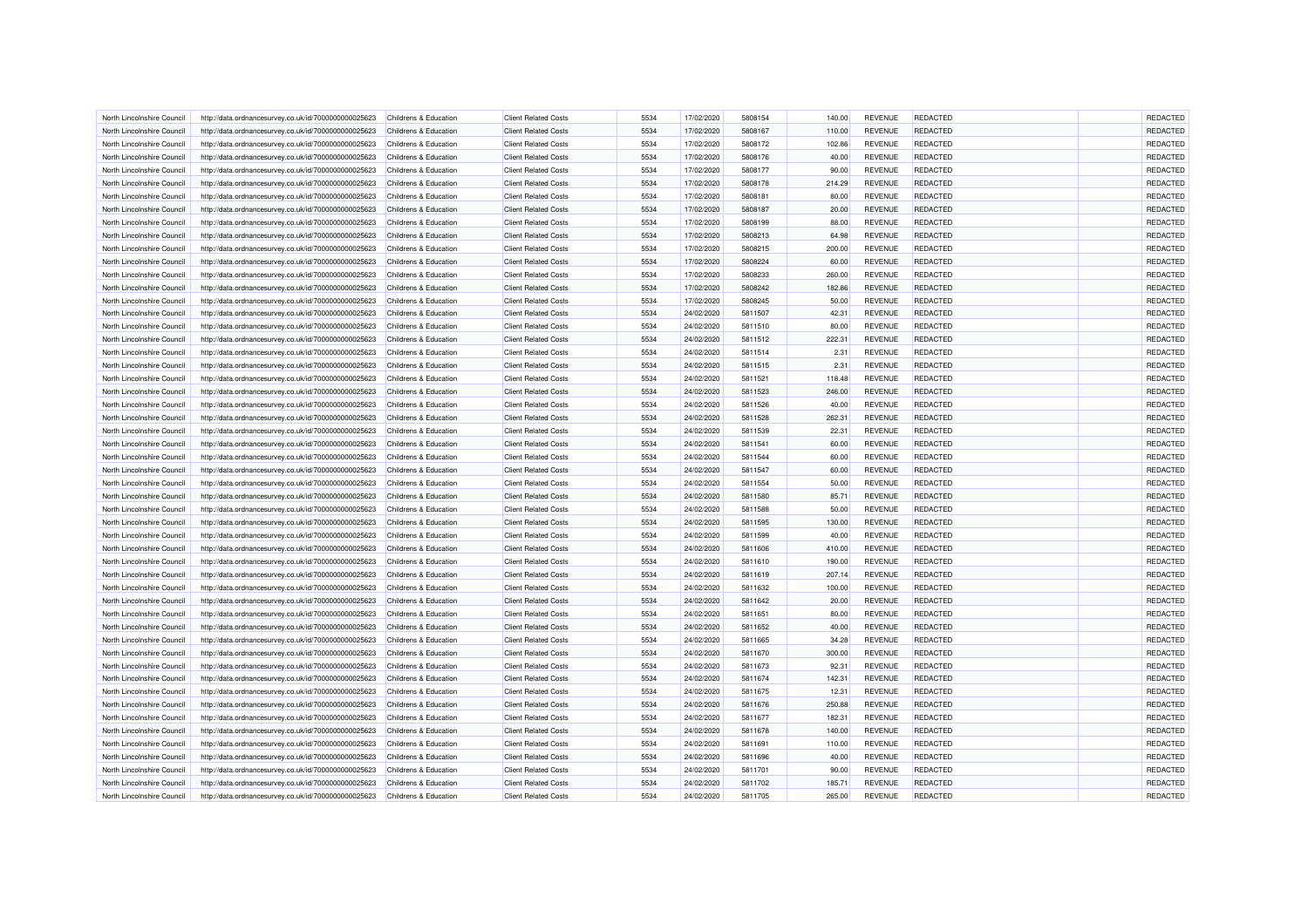| North Lincolnshire Council                               | http://data.ordnancesurvey.co.uk/id/7000000000025623 | Childrens & Education                          | <b>Client Related Costs</b>                                | 5534 | 17/02/2020               | 5808154            | 140.00          | <b>REVENUE</b> | REDACTED                           | REDACTED |
|----------------------------------------------------------|------------------------------------------------------|------------------------------------------------|------------------------------------------------------------|------|--------------------------|--------------------|-----------------|----------------|------------------------------------|----------|
| North Lincolnshire Council                               | http://data.ordnancesurvey.co.uk/id/7000000000025623 | Childrens & Education                          | <b>Client Related Costs</b>                                | 5534 | 17/02/2020               | 5808167            | 110.00          | <b>REVENUE</b> | <b>REDACTED</b>                    | REDACTED |
| North Lincolnshire Council                               | http://data.ordnancesurvey.co.uk/id/7000000000025623 | Childrens & Education                          | <b>Client Related Costs</b>                                | 5534 | 17/02/2020               | 5808172            | 102.86          | <b>REVENUE</b> | <b>REDACTED</b>                    | REDACTED |
| North Lincolnshire Council                               | http://data.ordnancesurvey.co.uk/id/7000000000025623 | Childrens & Education                          | <b>Client Related Costs</b>                                | 5534 | 17/02/2020               | 5808176            | 40.00           | <b>REVENUE</b> | <b>REDACTED</b>                    | REDACTED |
| North Lincolnshire Council                               | http://data.ordnancesurvey.co.uk/id/7000000000025623 | Childrens & Education                          | <b>Client Related Costs</b>                                | 5534 | 17/02/2020               | 5808177            | 90.00           | <b>REVENUE</b> | <b>REDACTED</b>                    | REDACTED |
| North Lincolnshire Council                               | http://data.ordnancesurvey.co.uk/id/7000000000025623 | Childrens & Education                          | <b>Client Related Costs</b>                                | 5534 | 17/02/2020               | 5808178            | 214.29          | <b>REVENUE</b> | <b>REDACTED</b>                    | REDACTED |
| North Lincolnshire Council                               | http://data.ordnancesurvey.co.uk/id/7000000000025623 | Childrens & Education                          | <b>Client Related Costs</b>                                | 5534 | 17/02/2020               | 5808181            | 80.00           | <b>REVENUE</b> | <b>REDACTED</b>                    | REDACTED |
| North Lincolnshire Council                               | http://data.ordnancesurvey.co.uk/id/7000000000025623 | Childrens & Education                          | <b>Client Related Costs</b>                                | 5534 | 17/02/2020               | 5808187            | 20.00           | <b>REVENUE</b> | <b>REDACTED</b>                    | REDACTED |
| North Lincolnshire Council                               | http://data.ordnancesurvey.co.uk/id/7000000000025623 | Childrens & Education                          | <b>Client Related Costs</b>                                | 5534 | 17/02/2020               | 5808199            | 88.00           | <b>REVENUE</b> | <b>REDACTED</b>                    | REDACTED |
|                                                          |                                                      |                                                | <b>Client Related Costs</b>                                | 5534 |                          | 5808213            |                 | <b>REVENUE</b> | REDACTED                           | REDACTED |
| North Lincolnshire Council<br>North Lincolnshire Council | http://data.ordnancesurvey.co.uk/id/7000000000025623 | Childrens & Education<br>Childrens & Education | <b>Client Related Costs</b>                                | 5534 | 17/02/2020<br>17/02/2020 | 5808215            | 64.98<br>200.00 | <b>REVENUE</b> | <b>REDACTED</b>                    | REDACTED |
|                                                          | http://data.ordnancesurvey.co.uk/id/7000000000025623 |                                                |                                                            |      |                          |                    |                 |                |                                    |          |
| North Lincolnshire Council                               | http://data.ordnancesurvey.co.uk/id/7000000000025623 | Childrens & Education                          | <b>Client Related Costs</b>                                | 5534 | 17/02/2020               | 5808224            | 60.00           | <b>REVENUE</b> | <b>REDACTED</b>                    | REDACTED |
| North Lincolnshire Council                               | http://data.ordnancesurvey.co.uk/id/7000000000025623 | Childrens & Education                          | <b>Client Related Costs</b>                                | 5534 | 17/02/2020               | 5808233            | 260.00          | <b>REVENUE</b> | <b>REDACTED</b>                    | REDACTED |
| North Lincolnshire Council                               | http://data.ordnancesurvey.co.uk/id/7000000000025623 | Childrens & Education                          | <b>Client Related Costs</b>                                | 5534 | 17/02/2020               | 5808242            | 182.86          | <b>REVENUE</b> | <b>REDACTED</b>                    | REDACTED |
| North Lincolnshire Council                               | http://data.ordnancesurvey.co.uk/id/7000000000025623 | Childrens & Education                          | <b>Client Related Costs</b>                                | 5534 | 17/02/2020               | 5808245            | 50.00           | <b>REVENUE</b> | <b>REDACTED</b>                    | REDACTED |
| North Lincolnshire Council                               | http://data.ordnancesurvey.co.uk/id/7000000000025623 | Childrens & Education                          | <b>Client Related Costs</b>                                | 5534 | 24/02/2020               | 5811507            | 42.31           | <b>REVENUE</b> | <b>REDACTED</b>                    | REDACTED |
| North Lincolnshire Council                               | http://data.ordnancesurvey.co.uk/id/7000000000025623 | Childrens & Education                          | <b>Client Related Costs</b>                                | 5534 | 24/02/2020               | 5811510            | 80.00           | <b>REVENUE</b> | <b>REDACTED</b>                    | REDACTED |
| North Lincolnshire Council                               | http://data.ordnancesurvey.co.uk/id/7000000000025623 | Childrens & Education                          | <b>Client Related Costs</b>                                | 5534 | 24/02/2020               | 5811512            | 222.31          | <b>REVENUE</b> | <b>REDACTED</b>                    | REDACTED |
| North Lincolnshire Council                               | http://data.ordnancesurvey.co.uk/id/7000000000025623 | Childrens & Education                          | <b>Client Related Costs</b>                                | 5534 | 24/02/2020               | 5811514            | 2.31            | <b>REVENUE</b> | <b>REDACTED</b>                    | REDACTED |
| North Lincolnshire Council                               | http://data.ordnancesurvey.co.uk/id/7000000000025623 | Childrens & Education                          | <b>Client Related Costs</b>                                | 5534 | 24/02/2020               | 5811515            | 2.31            | <b>REVENUE</b> | REDACTED                           | REDACTED |
| North Lincolnshire Council                               | http://data.ordnancesurvey.co.uk/id/7000000000025623 | Childrens & Education                          | <b>Client Related Costs</b>                                | 5534 | 24/02/2020               | 5811521            | 118.48          | <b>REVENUE</b> | <b>REDACTED</b>                    | REDACTED |
| North Lincolnshire Council                               | http://data.ordnancesurvey.co.uk/id/7000000000025623 | Childrens & Education                          | <b>Client Related Costs</b>                                | 5534 | 24/02/2020               | 5811523            | 246.00          | <b>REVENUE</b> | <b>REDACTED</b>                    | REDACTED |
| North Lincolnshire Council                               | http://data.ordnancesurvey.co.uk/id/7000000000025623 | Childrens & Education                          | <b>Client Related Costs</b>                                | 5534 | 24/02/2020               | 5811526            | 40.00           | <b>REVENUE</b> | <b>REDACTED</b>                    | REDACTED |
| North Lincolnshire Council                               | http://data.ordnancesurvey.co.uk/id/7000000000025623 | Childrens & Education                          | <b>Client Related Costs</b>                                | 5534 | 24/02/2020               | 5811528            | 262.31          | <b>REVENUE</b> | <b>REDACTED</b>                    | REDACTED |
| North Lincolnshire Council                               | http://data.ordnancesurvey.co.uk/id/7000000000025623 | Childrens & Education                          | <b>Client Related Costs</b>                                | 5534 | 24/02/2020               | 5811539            | 22.31           | <b>REVENUE</b> | REDACTED                           | REDACTED |
| North Lincolnshire Council                               | http://data.ordnancesurvey.co.uk/id/7000000000025623 | Childrens & Education                          | <b>Client Related Costs</b>                                | 5534 | 24/02/2020               | 5811541            | 60.00           | <b>REVENUE</b> | <b>REDACTED</b>                    | REDACTED |
| North Lincolnshire Council                               | http://data.ordnancesurvey.co.uk/id/7000000000025623 | Childrens & Education                          | <b>Client Related Costs</b>                                | 5534 | 24/02/2020               | 5811544            | 60.00           | <b>REVENUE</b> | <b>REDACTED</b>                    | REDACTED |
| North Lincolnshire Council                               | http://data.ordnancesurvey.co.uk/id/7000000000025623 | Childrens & Education                          | <b>Client Related Costs</b>                                | 5534 | 24/02/2020               | 5811547            | 60.00           | <b>REVENUE</b> | <b>REDACTED</b>                    | REDACTED |
| North Lincolnshire Council                               | http://data.ordnancesurvey.co.uk/id/7000000000025623 | Childrens & Education                          | <b>Client Related Costs</b>                                | 5534 | 24/02/2020               | 5811554            | 50.00           | <b>REVENUE</b> | <b>REDACTED</b>                    | REDACTED |
| North Lincolnshire Council                               | http://data.ordnancesurvey.co.uk/id/7000000000025623 | Childrens & Education                          | <b>Client Related Costs</b>                                | 5534 | 24/02/2020               | 5811580            | 85.71           | <b>REVENUE</b> | <b>REDACTED</b>                    | REDACTED |
| North Lincolnshire Council                               | http://data.ordnancesurvey.co.uk/id/7000000000025623 | Childrens & Education                          | <b>Client Related Costs</b>                                | 5534 | 24/02/2020               | 5811588            | 50.00           | <b>REVENUE</b> | REDACTED                           | REDACTED |
| North Lincolnshire Council                               | http://data.ordnancesurvey.co.uk/id/7000000000025623 | Childrens & Education                          | <b>Client Related Costs</b>                                | 5534 | 24/02/2020               | 5811595            | 130.00          | <b>REVENUE</b> | REDACTED                           | REDACTED |
| North Lincolnshire Council                               | http://data.ordnancesurvey.co.uk/id/7000000000025623 | Childrens & Education                          | <b>Client Related Costs</b>                                | 5534 | 24/02/2020               | 5811599            | 40.00           | <b>REVENUE</b> | <b>REDACTED</b>                    | REDACTED |
| North Lincolnshire Council                               | http://data.ordnancesurvey.co.uk/id/7000000000025623 | Childrens & Education                          | <b>Client Related Costs</b>                                | 5534 | 24/02/2020               | 5811606            | 410.00          | <b>REVENUE</b> | <b>REDACTED</b>                    | REDACTED |
| North Lincolnshire Council                               | http://data.ordnancesurvey.co.uk/id/7000000000025623 | Childrens & Education                          | <b>Client Related Costs</b>                                | 5534 | 24/02/2020               | 5811610            | 190.00          | <b>REVENUE</b> | REDACTED                           | REDACTED |
| North Lincolnshire Council                               | http://data.ordnancesurvey.co.uk/id/7000000000025623 | <b>Childrens &amp; Education</b>               | <b>Client Related Costs</b>                                | 5534 | 24/02/2020               | 5811619            | 207.14          | <b>REVENUE</b> | REDACTED                           | REDACTED |
|                                                          |                                                      |                                                |                                                            | 5534 |                          |                    |                 | <b>REVENUE</b> |                                    | REDACTED |
| North Lincolnshire Council<br>North Lincolnshire Council | http://data.ordnancesurvey.co.uk/id/7000000000025623 | Childrens & Education<br>Childrens & Education | <b>Client Related Costs</b><br><b>Client Related Costs</b> | 5534 | 24/02/2020<br>24/02/2020 | 5811632<br>5811642 | 100.00<br>20.00 | <b>REVENUE</b> | <b>REDACTED</b><br><b>REDACTED</b> | REDACTED |
|                                                          | http://data.ordnancesurvey.co.uk/id/7000000000025623 |                                                |                                                            |      |                          |                    |                 |                |                                    |          |
| North Lincolnshire Council                               | http://data.ordnancesurvey.co.uk/id/7000000000025623 | Childrens & Education                          | <b>Client Related Costs</b>                                | 5534 | 24/02/2020               | 5811651            | 80.00           | <b>REVENUE</b> | REDACTED                           | REDACTED |
| North Lincolnshire Council                               | http://data.ordnancesurvey.co.uk/id/7000000000025623 | Childrens & Education                          | <b>Client Related Costs</b>                                | 5534 | 24/02/2020               | 5811652            | 40.00           | <b>REVENUE</b> | <b>REDACTED</b>                    | REDACTED |
| North Lincolnshire Council                               | http://data.ordnancesurvey.co.uk/id/7000000000025623 | Childrens & Education                          | <b>Client Related Costs</b>                                | 5534 | 24/02/2020               | 5811665            | 34.28           | <b>REVENUE</b> | <b>REDACTED</b>                    | REDACTED |
| North Lincolnshire Council                               | http://data.ordnancesurvey.co.uk/id/7000000000025623 | Childrens & Education                          | <b>Client Related Costs</b>                                | 5534 | 24/02/2020               | 5811670            | 300.00          | <b>REVENUE</b> | <b>REDACTED</b>                    | REDACTED |
| North Lincolnshire Council                               | http://data.ordnancesurvey.co.uk/id/7000000000025623 | Childrens & Education                          | <b>Client Related Costs</b>                                | 5534 | 24/02/2020               | 5811673            | 92.31           | <b>REVENUE</b> | <b>REDACTED</b>                    | REDACTED |
| North Lincolnshire Council                               | http://data.ordnancesurvey.co.uk/id/7000000000025623 | Childrens & Education                          | <b>Client Related Costs</b>                                | 5534 | 24/02/2020               | 5811674            | 142.31          | <b>REVENUE</b> | <b>REDACTED</b>                    | REDACTED |
| North Lincolnshire Council                               | http://data.ordnancesurvey.co.uk/id/7000000000025623 | Childrens & Education                          | <b>Client Related Costs</b>                                | 5534 | 24/02/2020               | 5811675            | 12.31           | <b>REVENUE</b> | <b>REDACTED</b>                    | REDACTED |
| North Lincolnshire Council                               | http://data.ordnancesurvey.co.uk/id/7000000000025623 | Childrens & Education                          | <b>Client Related Costs</b>                                | 5534 | 24/02/2020               | 5811676            | 250.88          | <b>REVENUE</b> | <b>REDACTED</b>                    | REDACTED |
| North Lincolnshire Council                               | http://data.ordnancesurvey.co.uk/id/7000000000025623 | Childrens & Education                          | <b>Client Related Costs</b>                                | 5534 | 24/02/2020               | 5811677            | 182.31          | <b>REVENUE</b> | REDACTED                           | REDACTED |
| North Lincolnshire Council                               | http://data.ordnancesurvey.co.uk/id/7000000000025623 | Childrens & Education                          | <b>Client Related Costs</b>                                | 5534 | 24/02/2020               | 5811678            | 140.00          | <b>REVENUE</b> | <b>REDACTED</b>                    | REDACTED |
| North Lincolnshire Council                               | http://data.ordnancesurvey.co.uk/id/7000000000025623 | Childrens & Education                          | <b>Client Related Costs</b>                                | 5534 | 24/02/2020               | 5811691            | 110.00          | <b>REVENUE</b> | <b>REDACTED</b>                    | REDACTED |
| North Lincolnshire Council                               | http://data.ordnancesurvey.co.uk/id/7000000000025623 | Childrens & Education                          | <b>Client Related Costs</b>                                | 5534 | 24/02/2020               | 5811696            | 40.00           | <b>REVENUE</b> | <b>REDACTED</b>                    | REDACTED |
| North Lincolnshire Council                               | http://data.ordnancesurvey.co.uk/id/7000000000025623 | Childrens & Education                          | <b>Client Related Costs</b>                                | 5534 | 24/02/2020               | 5811701            | 90.00           | <b>REVENUE</b> | REDACTED                           | REDACTED |
| North Lincolnshire Council                               | http://data.ordnancesurvey.co.uk/id/7000000000025623 | Childrens & Education                          | <b>Client Related Costs</b>                                | 5534 | 24/02/2020               | 5811702            | 185.71          | <b>REVENUE</b> | REDACTED                           | REDACTED |
| North Lincolnshire Council                               | http://data.ordnancesurvey.co.uk/id/7000000000025623 | Childrens & Education                          | <b>Client Related Costs</b>                                | 5534 | 24/02/2020               | 5811705            | 265.00          | <b>REVENUE</b> | <b>REDACTED</b>                    | REDACTED |
|                                                          |                                                      |                                                |                                                            |      |                          |                    |                 |                |                                    |          |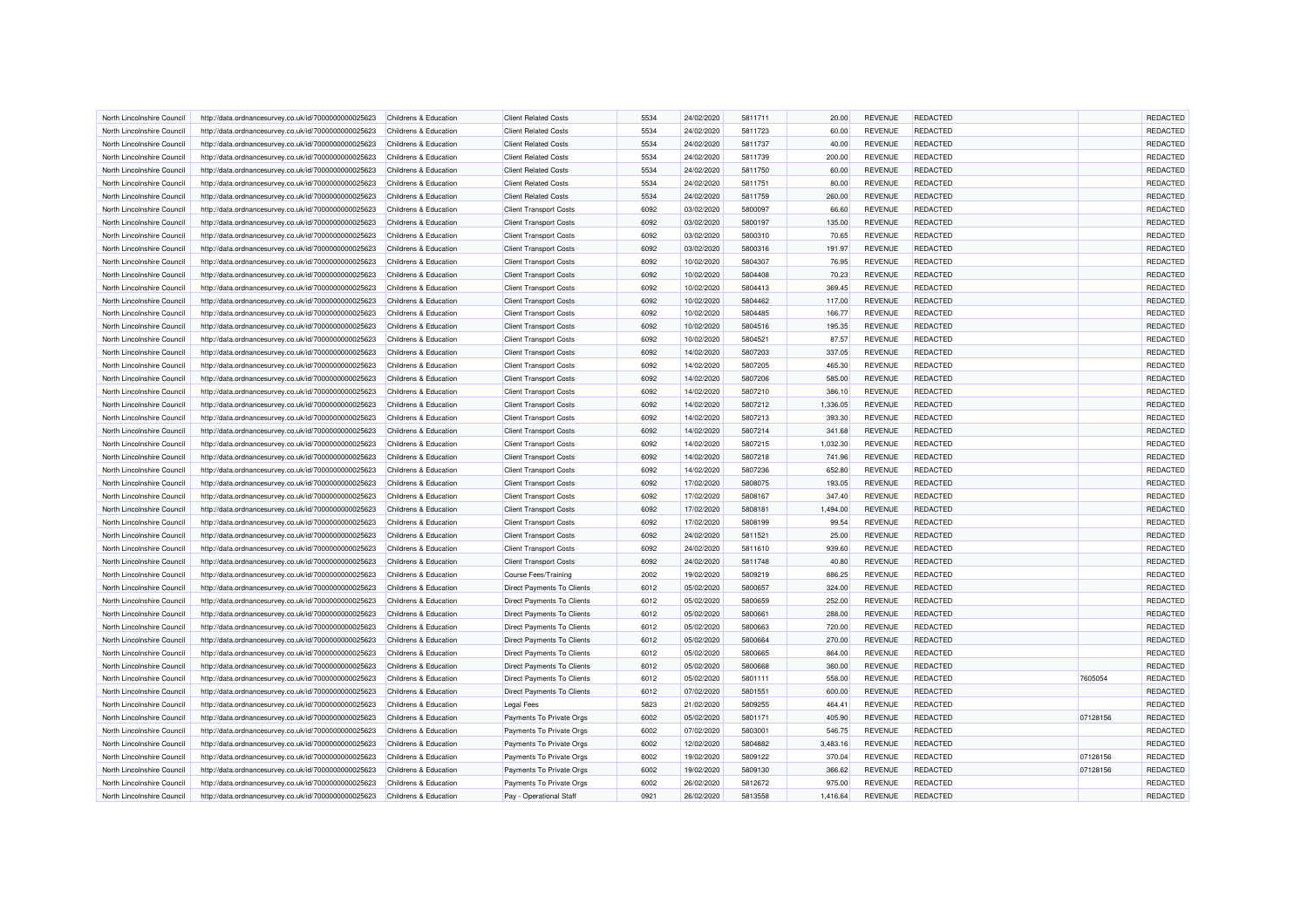| North Lincolnshire Council | http://data.ordnancesurvey.co.uk/id/7000000000025623 | Childrens & Education | <b>Client Related Costs</b>       | 5534 | 24/02/2020 | 5811711 | 20.00    | <b>REVENUE</b> | <b>REDACTED</b> |          | REDACTED |
|----------------------------|------------------------------------------------------|-----------------------|-----------------------------------|------|------------|---------|----------|----------------|-----------------|----------|----------|
| North Lincolnshire Council | http://data.ordnancesurvey.co.uk/id/7000000000025623 | Childrens & Education | <b>Client Related Costs</b>       | 5534 | 24/02/2020 | 5811723 | 60.00    | <b>REVENUE</b> | <b>REDACTED</b> |          | REDACTED |
| North Lincolnshire Council | http://data.ordnancesurvey.co.uk/id/7000000000025623 | Childrens & Education | <b>Client Related Costs</b>       | 5534 | 24/02/2020 | 5811737 | 40.00    | <b>REVENUE</b> | <b>REDACTED</b> |          | REDACTED |
| North Lincolnshire Council | http://data.ordnancesurvey.co.uk/id/7000000000025623 | Childrens & Education | <b>Client Related Costs</b>       | 5534 | 24/02/2020 | 5811739 | 200.00   | <b>REVENUE</b> | REDACTED        |          | REDACTED |
| North Lincolnshire Council | http://data.ordnancesurvey.co.uk/id/7000000000025623 | Childrens & Education | <b>Client Related Costs</b>       | 5534 | 24/02/2020 | 5811750 | 60.00    | <b>REVENUE</b> | <b>REDACTED</b> |          | REDACTED |
| North Lincolnshire Council | http://data.ordnancesurvey.co.uk/id/7000000000025623 | Childrens & Education | <b>Client Related Costs</b>       | 5534 | 24/02/2020 | 5811751 | 80.00    | <b>REVENUE</b> | <b>REDACTED</b> |          | REDACTED |
|                            |                                                      |                       |                                   |      |            |         |          |                |                 |          |          |
| North Lincolnshire Council | http://data.ordnancesurvey.co.uk/id/7000000000025623 | Childrens & Education | <b>Client Related Costs</b>       | 5534 | 24/02/2020 | 5811759 | 260.00   | <b>REVENUE</b> | <b>REDACTED</b> |          | REDACTED |
| North Lincolnshire Council | http://data.ordnancesurvey.co.uk/id/7000000000025623 | Childrens & Education | <b>Client Transport Costs</b>     | 6092 | 03/02/2020 | 5800097 | 66.60    | <b>REVENUE</b> | <b>REDACTED</b> |          | REDACTED |
| North Lincolnshire Council | http://data.ordnancesurvey.co.uk/id/7000000000025623 | Childrens & Education | <b>Client Transport Costs</b>     | 6092 | 03/02/2020 | 5800197 | 135.00   | <b>REVENUE</b> | REDACTED        |          | REDACTED |
| North Lincolnshire Council | http://data.ordnancesurvey.co.uk/id/7000000000025623 | Childrens & Education | <b>Client Transport Costs</b>     | 6092 | 03/02/2020 | 5800310 | 70.65    | <b>REVENUE</b> | <b>REDACTED</b> |          | REDACTED |
| North Lincolnshire Council | http://data.ordnancesurvey.co.uk/id/7000000000025623 | Childrens & Education | <b>Client Transport Costs</b>     | 6092 | 03/02/2020 | 5800316 | 191.97   | <b>REVENUE</b> | <b>REDACTED</b> |          | REDACTED |
| North Lincolnshire Council | http://data.ordnancesurvey.co.uk/id/7000000000025623 | Childrens & Education | <b>Client Transport Costs</b>     | 6092 | 10/02/2020 | 5804307 | 76.95    | <b>REVENUE</b> | REDACTED        |          | REDACTED |
| North Lincolnshire Council | http://data.ordnancesurvey.co.uk/id/7000000000025623 | Childrens & Education | <b>Client Transport Costs</b>     | 6092 | 10/02/2020 | 5804408 | 70.23    | <b>REVENUE</b> | <b>REDACTED</b> |          | REDACTED |
| North Lincolnshire Council | http://data.ordnancesurvey.co.uk/id/7000000000025623 | Childrens & Education | <b>Client Transport Costs</b>     | 6092 | 10/02/2020 | 5804413 | 369.45   | <b>REVENUE</b> | <b>REDACTED</b> |          | REDACTED |
| North Lincolnshire Council | http://data.ordnancesurvey.co.uk/id/7000000000025623 | Childrens & Education | <b>Client Transport Costs</b>     | 6092 | 10/02/2020 | 5804462 | 117.00   | <b>REVENUE</b> | <b>REDACTED</b> |          | REDACTED |
| North Lincolnshire Council | http://data.ordnancesurvey.co.uk/id/7000000000025623 | Childrens & Education | <b>Client Transport Costs</b>     | 6092 | 10/02/2020 | 5804485 | 166.77   | <b>REVENUE</b> | <b>REDACTED</b> |          | REDACTED |
| North Lincolnshire Council | http://data.ordnancesurvey.co.uk/id/7000000000025623 | Childrens & Education | <b>Client Transport Costs</b>     | 6092 | 10/02/2020 | 5804516 | 195.35   | <b>REVENUE</b> | <b>REDACTED</b> |          | REDACTED |
| North Lincolnshire Council | http://data.ordnancesurvey.co.uk/id/7000000000025623 | Childrens & Education | <b>Client Transport Costs</b>     | 6092 | 10/02/2020 | 5804521 | 87.57    | <b>REVENUE</b> | <b>REDACTED</b> |          | REDACTED |
| North Lincolnshire Council | http://data.ordnancesurvey.co.uk/id/7000000000025623 | Childrens & Education | <b>Client Transport Costs</b>     | 6092 | 14/02/2020 | 5807203 | 337.05   | <b>REVENUE</b> | <b>REDACTED</b> |          | REDACTED |
| North Lincolnshire Council | http://data.ordnancesurvey.co.uk/id/7000000000025623 | Childrens & Education | <b>Client Transport Costs</b>     | 6092 | 14/02/2020 | 5807205 | 465.30   | <b>REVENUE</b> | REDACTED        |          | REDACTED |
| North Lincolnshire Council | http://data.ordnancesurvey.co.uk/id/7000000000025623 | Childrens & Education | <b>Client Transport Costs</b>     | 6092 | 14/02/2020 | 5807206 | 585.00   | <b>REVENUE</b> | <b>REDACTED</b> |          | REDACTED |
| North Lincolnshire Council | http://data.ordnancesurvey.co.uk/id/7000000000025623 | Childrens & Education | <b>Client Transport Costs</b>     | 6092 | 14/02/2020 | 5807210 | 386.10   | <b>REVENUE</b> | <b>REDACTED</b> |          | REDACTED |
| North Lincolnshire Council | http://data.ordnancesurvey.co.uk/id/7000000000025623 | Childrens & Education | <b>Client Transport Costs</b>     | 6092 | 14/02/2020 | 5807212 | 1,336.05 | <b>REVENUE</b> | <b>REDACTED</b> |          | REDACTED |
| North Lincolnshire Council | http://data.ordnancesurvey.co.uk/id/7000000000025623 | Childrens & Education | <b>Client Transport Costs</b>     | 6092 | 14/02/2020 | 5807213 | 393.30   | <b>REVENUE</b> | REDACTED        |          | REDACTED |
| North Lincolnshire Council |                                                      | Childrens & Education |                                   | 6092 | 14/02/2020 | 5807214 | 341.68   | <b>REVENUE</b> | REDACTED        |          | REDACTED |
|                            | http://data.ordnancesurvey.co.uk/id/7000000000025623 |                       | <b>Client Transport Costs</b>     |      |            |         |          |                |                 |          |          |
| North Lincolnshire Council | http://data.ordnancesurvey.co.uk/id/7000000000025623 | Childrens & Education | <b>Client Transport Costs</b>     | 6092 | 14/02/2020 | 5807215 | 1,032.30 | <b>REVENUE</b> | <b>REDACTED</b> |          | REDACTED |
| North Lincolnshire Council | http://data.ordnancesurvey.co.uk/id/7000000000025623 | Childrens & Education | <b>Client Transport Costs</b>     | 6092 | 14/02/2020 | 5807218 | 741.96   | <b>REVENUE</b> | <b>REDACTED</b> |          | REDACTED |
| North Lincolnshire Council | http://data.ordnancesurvey.co.uk/id/7000000000025623 | Childrens & Education | <b>Client Transport Costs</b>     | 6092 | 14/02/2020 | 5807236 | 652.80   | <b>REVENUE</b> | REDACTED        |          | REDACTED |
| North Lincolnshire Council | http://data.ordnancesurvey.co.uk/id/7000000000025623 | Childrens & Education | <b>Client Transport Costs</b>     | 6092 | 17/02/2020 | 5808075 | 193.05   | <b>REVENUE</b> | <b>REDACTED</b> |          | REDACTED |
| North Lincolnshire Council | http://data.ordnancesurvey.co.uk/id/7000000000025623 | Childrens & Education | <b>Client Transport Costs</b>     | 6092 | 17/02/2020 | 5808167 | 347.40   | <b>REVENUE</b> | <b>REDACTED</b> |          | REDACTED |
| North Lincolnshire Council | http://data.ordnancesurvey.co.uk/id/7000000000025623 | Childrens & Education | <b>Client Transport Costs</b>     | 6092 | 17/02/2020 | 5808181 | 1,494.00 | <b>REVENUE</b> | REDACTED        |          | REDACTED |
| North Lincolnshire Council | http://data.ordnancesurvey.co.uk/id/7000000000025623 | Childrens & Education | <b>Client Transport Costs</b>     | 6092 | 17/02/2020 | 5808199 | 99.54    | <b>REVENUE</b> | <b>REDACTED</b> |          | REDACTED |
| North Lincolnshire Council | http://data.ordnancesurvey.co.uk/id/7000000000025623 | Childrens & Education | <b>Client Transport Costs</b>     | 6092 | 24/02/2020 | 5811521 | 25.00    | <b>REVENUE</b> | <b>REDACTED</b> |          | REDACTED |
| North Lincolnshire Council | http://data.ordnancesurvey.co.uk/id/7000000000025623 | Childrens & Education | <b>Client Transport Costs</b>     | 6092 | 24/02/2020 | 5811610 | 939.60   | <b>REVENUE</b> | <b>REDACTED</b> |          | REDACTED |
| North Lincolnshire Council | http://data.ordnancesurvey.co.uk/id/7000000000025623 | Childrens & Education | <b>Client Transport Costs</b>     | 6092 | 24/02/2020 | 5811748 | 40.80    | <b>REVENUE</b> | REDACTED        |          | REDACTED |
| North Lincolnshire Council | http://data.ordnancesurvey.co.uk/id/7000000000025623 | Childrens & Education | Course Fees/Training              | 2002 | 19/02/2020 | 5809219 | 886.25   | <b>REVENUE</b> | REDACTED        |          | REDACTED |
| North Lincolnshire Council | http://data.ordnancesurvey.co.uk/id/7000000000025623 | Childrens & Education | <b>Direct Payments To Clients</b> | 6012 | 05/02/2020 | 5800657 | 324.00   | <b>REVENUE</b> | <b>REDACTED</b> |          | REDACTED |
| North Lincolnshire Council | http://data.ordnancesurvey.co.uk/id/7000000000025623 | Childrens & Education | <b>Direct Payments To Clients</b> | 6012 | 05/02/2020 | 5800659 | 252.00   | <b>REVENUE</b> | <b>REDACTED</b> |          | REDACTED |
| North Lincolnshire Council | http://data.ordnancesurvey.co.uk/id/7000000000025623 | Childrens & Education | <b>Direct Payments To Clients</b> | 6012 | 05/02/2020 | 580066  | 288.00   | <b>REVENUE</b> | REDACTED        |          | REDACTED |
| North Lincolnshire Council | http://data.ordnancesurvey.co.uk/id/7000000000025623 | Childrens & Education | <b>Direct Payments To Clients</b> | 6012 | 05/02/2020 | 5800663 | 720.00   | <b>REVENUE</b> | <b>REDACTED</b> |          | REDACTED |
| North Lincolnshire Council | http://data.ordnancesurvey.co.uk/id/7000000000025623 | Childrens & Education | <b>Direct Payments To Clients</b> | 6012 | 05/02/2020 | 5800664 | 270.00   | <b>REVENUE</b> | REDACTED        |          | REDACTED |
| North Lincolnshire Council | http://data.ordnancesurvey.co.uk/id/7000000000025623 | Childrens & Education | <b>Direct Payments To Clients</b> | 6012 | 05/02/2020 | 5800665 | 864.00   | <b>REVENUE</b> | <b>REDACTED</b> |          | REDACTED |
| North Lincolnshire Council | http://data.ordnancesurvey.co.uk/id/7000000000025623 | Childrens & Education | <b>Direct Payments To Clients</b> | 6012 | 05/02/2020 | 5800668 | 360.00   | <b>REVENUE</b> | <b>REDACTED</b> |          | REDACTED |
| North Lincolnshire Council | http://data.ordnancesurvey.co.uk/id/7000000000025623 | Childrens & Education | <b>Direct Payments To Clients</b> | 6012 | 05/02/2020 | 5801111 | 558.00   | <b>REVENUE</b> | <b>REDACTED</b> | 7605054  | REDACTED |
| North Lincolnshire Council | http://data.ordnancesurvey.co.uk/id/7000000000025623 | Childrens & Education | <b>Direct Payments To Clients</b> | 6012 | 07/02/2020 | 5801551 | 600.00   | <b>REVENUE</b> | <b>REDACTED</b> |          | REDACTED |
| North Lincolnshire Council | http://data.ordnancesurvey.co.uk/id/7000000000025623 | Childrens & Education | <b>Legal Fees</b>                 | 5823 | 21/02/2020 | 5809255 | 464.41   | <b>REVENUE</b> | <b>REDACTED</b> |          | REDACTED |
| North Lincolnshire Council | http://data.ordnancesurvey.co.uk/id/7000000000025623 | Childrens & Education | Payments To Private Orgs          | 6002 | 05/02/2020 | 5801171 | 405.90   | <b>REVENUE</b> | <b>REDACTED</b> | 07128156 | REDACTED |
|                            |                                                      |                       |                                   |      |            | 5803001 |          |                |                 |          | REDACTED |
| North Lincolnshire Council | http://data.ordnancesurvey.co.uk/id/7000000000025623 | Childrens & Education | Payments To Private Orgs          | 6002 | 07/02/2020 |         | 546.75   | <b>REVENUE</b> | <b>REDACTED</b> |          |          |
| North Lincolnshire Council | http://data.ordnancesurvey.co.uk/id/7000000000025623 | Childrens & Education | Payments To Private Orgs          | 6002 | 12/02/2020 | 5804882 | 3,483.16 | <b>REVENUE</b> | <b>REDACTED</b> |          | REDACTED |
| North Lincolnshire Council | http://data.ordnancesurvey.co.uk/id/7000000000025623 | Childrens & Education | Payments To Private Orgs          | 6002 | 19/02/2020 | 5809122 | 370.04   | <b>REVENUE</b> | <b>REDACTED</b> | 07128156 | REDACTED |
| North Lincolnshire Council | http://data.ordnancesurvey.co.uk/id/7000000000025623 | Childrens & Education | Payments To Private Orgs          | 6002 | 19/02/2020 | 5809130 | 366.62   | <b>REVENUE</b> | REDACTED        | 07128156 | REDACTED |
| North Lincolnshire Council | http://data.ordnancesurvey.co.uk/id/7000000000025623 | Childrens & Education | Payments To Private Orgs          | 6002 | 26/02/2020 | 5812672 | 975.00   | <b>REVENUE</b> | REDACTED        |          | REDACTED |
| North Lincolnshire Council | http://data.ordnancesurvey.co.uk/id/7000000000025623 | Childrens & Education | Pay - Operational Staff           | 0921 | 26/02/2020 | 5813558 | 1,416.64 | <b>REVENUE</b> | <b>REDACTED</b> |          | REDACTED |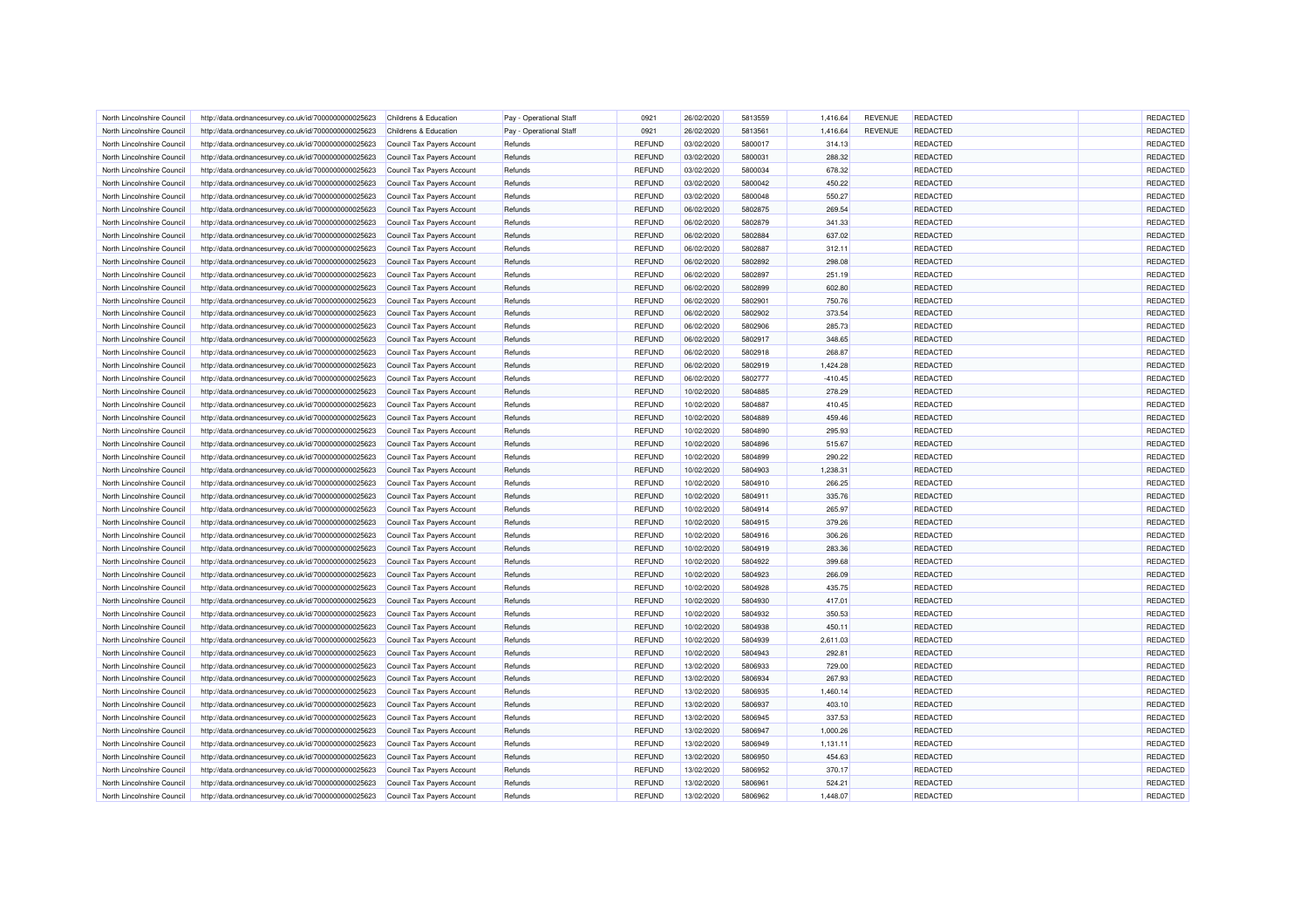| North Lincolnshire Council                               | http://data.ordnancesurvey.co.uk/id/7000000000025623 | Childrens & Education      | Pay - Operational Staff | 0921                           | 26/02/2020               | 5813559            | 1,416.64         | <b>REVENUE</b> | <b>REDACTED</b>             | REDACTED             |
|----------------------------------------------------------|------------------------------------------------------|----------------------------|-------------------------|--------------------------------|--------------------------|--------------------|------------------|----------------|-----------------------------|----------------------|
| North Lincolnshire Council                               | http://data.ordnancesurvey.co.uk/id/7000000000025623 | Childrens & Education      | Pay - Operational Staff | 0921                           | 26/02/2020               | 5813561            | 1,416.64         | <b>REVENUE</b> | REDACTED                    | REDACTED             |
| North Lincolnshire Council                               | http://data.ordnancesurvey.co.uk/id/7000000000025623 | Council Tax Payers Account | Refunds                 | <b>REFUND</b>                  | 03/02/2020               | 5800017            | 314.13           |                | REDACTED                    | REDACTED             |
| North Lincolnshire Council                               | http://data.ordnancesurvey.co.uk/id/7000000000025623 | Council Tax Payers Account | Refunds                 | <b>REFUND</b>                  | 03/02/2020               | 5800031            | 288.32           |                | REDACTED                    | REDACTED             |
| North Lincolnshire Council                               | http://data.ordnancesurvey.co.uk/id/7000000000025623 | Council Tax Payers Account | Refunds                 | REFUND                         | 03/02/2020               | 5800034            | 678.32           |                | REDACTED                    | REDACTED             |
| North Lincolnshire Council                               | http://data.ordnancesurvey.co.uk/id/7000000000025623 | Council Tax Payers Account | Refunds                 | <b>REFUND</b>                  | 03/02/2020               | 5800042            | 450.22           |                | <b>REDACTED</b>             | REDACTED             |
| North Lincolnshire Council                               | http://data.ordnancesurvey.co.uk/id/7000000000025623 | Council Tax Payers Account | Refunds                 | <b>REFUND</b>                  | 03/02/2020               | 5800048            | 550.27           |                | <b>REDACTED</b>             | REDACTED             |
| North Lincolnshire Council                               | http://data.ordnancesurvey.co.uk/id/7000000000025623 | Council Tax Payers Account | Refunds                 | <b>REFUND</b>                  | 06/02/2020               | 5802875            | 269.54           |                | REDACTED                    | REDACTED             |
| North Lincolnshire Council                               | http://data.ordnancesurvey.co.uk/id/7000000000025623 | Council Tax Payers Account | Refunds                 | <b>REFUND</b>                  | 06/02/2020               | 5802879            | 341.33           |                | <b>REDACTED</b>             | REDACTED             |
| North Lincolnshire Council                               | http://data.ordnancesurvey.co.uk/id/7000000000025623 | Council Tax Payers Account | Refunds                 | <b>REFUND</b>                  | 06/02/2020               | 5802884            | 637.02           |                | REDACTED                    | REDACTED             |
| North Lincolnshire Council                               | http://data.ordnancesurvey.co.uk/id/7000000000025623 | Council Tax Payers Account | Refunds                 | <b>REFUND</b>                  | 06/02/2020               | 5802887            | 312.11           |                | REDACTED                    | REDACTED             |
| North Lincolnshire Council                               | http://data.ordnancesurvey.co.uk/id/7000000000025623 | Council Tax Payers Account | Refunds                 | <b>REFUND</b>                  | 06/02/2020               | 5802892            | 298.08           |                | REDACTED                    | REDACTED             |
| North Lincolnshire Council                               | http://data.ordnancesurvey.co.uk/id/7000000000025623 | Council Tax Payers Account | Refunds                 | <b>REFUND</b>                  | 06/02/2020               | 5802897            | 251.19           |                | REDACTED                    | REDACTED             |
| North Lincolnshire Council                               | http://data.ordnancesurvey.co.uk/id/7000000000025623 | Council Tax Payers Account | Refunds                 | <b>REFUND</b>                  | 06/02/2020               | 5802899            | 602.80           |                | REDACTED                    | REDACTED             |
| North Lincolnshire Council                               | http://data.ordnancesurvey.co.uk/id/7000000000025623 | Council Tax Payers Account | Refunds                 | <b>REFUND</b>                  | 06/02/2020               | 5802901            | 750.76           |                | <b>REDACTED</b>             | REDACTED             |
| North Lincolnshire Council                               | http://data.ordnancesurvey.co.uk/id/7000000000025623 | Council Tax Payers Account | Refunds                 | <b>REFUND</b>                  | 06/02/2020               | 5802902            | 373.54           |                | <b>REDACTED</b>             | REDACTED             |
| North Lincolnshire Council                               | http://data.ordnancesurvey.co.uk/id/7000000000025623 | Council Tax Payers Account | Refunds                 | <b>REFUND</b>                  | 06/02/2020               | 5802906            | 285.73           |                | <b>REDACTED</b>             | REDACTED             |
| North Lincolnshire Council                               | http://data.ordnancesurvey.co.uk/id/7000000000025623 | Council Tax Payers Account | Refunds                 | <b>REFUND</b>                  | 06/02/2020               | 5802917            | 348.65           |                | <b>REDACTED</b>             | REDACTED             |
| North Lincolnshire Council                               | http://data.ordnancesurvey.co.uk/id/7000000000025623 | Council Tax Payers Account | Refunds                 | <b>REFUND</b>                  | 06/02/2020               | 5802918            | 268.87           |                | REDACTED                    | REDACTED             |
| North Lincolnshire Council                               | http://data.ordnancesurvey.co.uk/id/7000000000025623 | Council Tax Payers Account | Refunds                 | <b>REFUND</b>                  | 06/02/2020               | 5802919            | 1,424.28         |                | REDACTED                    | REDACTED             |
| North Lincolnshire Council                               | http://data.ordnancesurvey.co.uk/id/7000000000025623 | Council Tax Payers Account | Refunds                 | <b>REFUND</b>                  | 06/02/2020               | 5802777            | $-410.45$        |                | REDACTED                    | REDACTED             |
| North Lincolnshire Council                               | http://data.ordnancesurvey.co.uk/id/7000000000025623 | Council Tax Payers Account | Refunds                 | <b>REFUND</b>                  | 10/02/2020               | 5804885            | 278.29           |                | <b>REDACTED</b>             | REDACTED             |
| North Lincolnshire Council                               | http://data.ordnancesurvey.co.uk/id/7000000000025623 | Council Tax Payers Account | Refunds                 | <b>REFUND</b>                  | 10/02/2020               | 5804887            | 410.45           |                | <b>REDACTED</b>             | REDACTED             |
| North Lincolnshire Council                               | http://data.ordnancesurvey.co.uk/id/7000000000025623 | Council Tax Payers Account | Refunds                 | <b>REFUND</b>                  | 10/02/2020               | 5804889            | 459.46           |                | REDACTED                    | REDACTED             |
| North Lincolnshire Council                               | http://data.ordnancesurvey.co.uk/id/7000000000025623 | Council Tax Payers Account | Refunds                 | <b>REFUND</b>                  | 10/02/2020               | 5804890            | 295.93           |                | REDACTED                    | REDACTED             |
| North Lincolnshire Council                               | http://data.ordnancesurvey.co.uk/id/7000000000025623 | Council Tax Payers Account | Refunds                 | REFUND                         | 10/02/2020               | 5804896            | 515.67           |                | <b>REDACTED</b>             | REDACTED             |
| North Lincolnshire Council                               | http://data.ordnancesurvey.co.uk/id/7000000000025623 | Council Tax Payers Account | Refunds                 | <b>REFUND</b>                  | 10/02/2020               | 5804899            | 290.22           |                | REDACTED                    | REDACTED             |
| North Lincolnshire Council                               | http://data.ordnancesurvey.co.uk/id/7000000000025623 | Council Tax Payers Account | Refunds                 | <b>REFUND</b>                  | 10/02/2020               | 5804903            | 1,238.31         |                | REDACTED                    | REDACTED             |
| North Lincolnshire Council                               | http://data.ordnancesurvey.co.uk/id/7000000000025623 | Council Tax Payers Account | Refunds                 | <b>REFUND</b>                  | 10/02/2020               | 5804910            | 266.25           |                | REDACTED                    | REDACTED             |
| North Lincolnshire Council                               | http://data.ordnancesurvey.co.uk/id/7000000000025623 | Council Tax Payers Account | Refunds                 | <b>REFUND</b>                  | 10/02/2020               | 5804911            | 335.76           |                | REDACTED                    | REDACTED             |
| North Lincolnshire Council                               | http://data.ordnancesurvey.co.uk/id/7000000000025623 | Council Tax Payers Account | Refunds                 | <b>REFUND</b>                  | 10/02/2020               | 5804914            | 265.97           |                | REDACTED                    | REDACTED             |
| North Lincolnshire Council                               | http://data.ordnancesurvey.co.uk/id/7000000000025623 | Council Tax Payers Account | Refunds                 | <b>REFUND</b>                  | 10/02/2020               | 5804915            | 379.26           |                | REDACTED                    | REDACTED             |
| North Lincolnshire Council                               | http://data.ordnancesurvey.co.uk/id/7000000000025623 | Council Tax Payers Account | Refunds                 | <b>REFUND</b>                  | 10/02/2020               | 5804916            | 306.26           |                | REDACTED                    | REDACTED             |
| North Lincolnshire Council                               |                                                      |                            | Refunds                 | <b>REFUND</b>                  |                          | 5804919            | 283.36           |                |                             | REDACTED             |
|                                                          | http://data.ordnancesurvey.co.uk/id/7000000000025623 | Council Tax Payers Account |                         | REFUND                         | 10/02/2020               | 5804922            |                  |                | <b>REDACTED</b><br>REDACTED | REDACTED             |
| North Lincolnshire Council                               | http://data.ordnancesurvey.co.uk/id/7000000000025623 | Council Tax Payers Account | Refunds                 |                                | 10/02/2020               |                    | 399.68           |                | REDACTED                    |                      |
| North Lincolnshire Council                               | http://data.ordnancesurvey.co.uk/id/7000000000025623 | Council Tax Payers Account | Refunds                 | <b>REFUND</b>                  | 10/02/2020               | 5804923<br>5804928 | 266.09           |                |                             | REDACTED<br>REDACTED |
| North Lincolnshire Council<br>North Lincolnshire Council | http://data.ordnancesurvey.co.uk/id/7000000000025623 | Council Tax Payers Account | Refunds<br>Refunds      | REFUND<br><b>REFUND</b>        | 10/02/2020<br>10/02/2020 | 5804930            | 435.75<br>417.01 |                | REDACTED<br><b>REDACTED</b> | REDACTED             |
|                                                          | http://data.ordnancesurvey.co.uk/id/7000000000025623 | Council Tax Payers Account |                         |                                |                          | 5804932            |                  |                |                             |                      |
| North Lincolnshire Council                               | http://data.ordnancesurvey.co.uk/id/7000000000025623 | Council Tax Payers Account | Refunds                 | <b>REFUND</b><br><b>REFUND</b> | 10/02/2020<br>10/02/2020 | 5804938            | 350.53<br>450.11 |                | REDACTED                    | REDACTED<br>REDACTED |
| North Lincolnshire Council                               | http://data.ordnancesurvey.co.uk/id/7000000000025623 | Council Tax Payers Account | Refunds                 |                                |                          |                    |                  |                | REDACTED                    |                      |
| North Lincolnshire Council                               | http://data.ordnancesurvey.co.uk/id/7000000000025623 | Council Tax Payers Account | Refunds                 | <b>REFUND</b>                  | 10/02/2020               | 5804939            | 2,611.03         |                | REDACTED                    | REDACTED             |
| North Lincolnshire Council                               | http://data.ordnancesurvey.co.uk/id/7000000000025623 | Council Tax Payers Account | Refunds                 | <b>REFUND</b>                  | 10/02/2020               | 5804943            | 292.81           |                | <b>REDACTED</b>             | REDACTED             |
| North Lincolnshire Council                               | http://data.ordnancesurvey.co.uk/id/7000000000025623 | Council Tax Payers Account | Refunds                 | <b>REFUND</b>                  | 13/02/2020               | 5806933            | 729.00           |                | REDACTED                    | REDACTED             |
| North Lincolnshire Council                               | http://data.ordnancesurvey.co.uk/id/7000000000025623 | Council Tax Payers Account | Refunds                 | <b>REFUND</b>                  | 13/02/2020               | 5806934            | 267.93           |                | REDACTED                    | REDACTED             |
| North Lincolnshire Council                               | http://data.ordnancesurvey.co.uk/id/7000000000025623 | Council Tax Payers Account | Refunds                 | <b>REFUND</b>                  | 13/02/2020               | 5806935            | 1,460.14         |                | REDACTED                    | REDACTED             |
| North Lincolnshire Council                               | http://data.ordnancesurvey.co.uk/id/7000000000025623 | Council Tax Payers Account | Refunds                 | <b>REFUND</b>                  | 13/02/2020               | 5806937            | 403.10           |                | <b>REDACTED</b>             | REDACTED             |
| North Lincolnshire Council                               | http://data.ordnancesurvey.co.uk/id/7000000000025623 | Council Tax Payers Account | Refunds                 | <b>REFUND</b>                  | 13/02/2020               | 5806945            | 337.53           |                | REDACTED                    | REDACTED             |
| North Lincolnshire Council                               | http://data.ordnancesurvey.co.uk/id/7000000000025623 | Council Tax Payers Account | Refunds                 | <b>REFUND</b>                  | 13/02/2020               | 5806947            | 1,000.26         |                | <b>REDACTED</b>             | REDACTED             |
| North Lincolnshire Council                               | http://data.ordnancesurvey.co.uk/id/7000000000025623 | Council Tax Payers Account | Refunds                 | <b>REFUND</b>                  | 13/02/2020               | 5806949            | 1,131.11         |                | <b>REDACTED</b>             | REDACTED             |
| North Lincolnshire Council                               | http://data.ordnancesurvey.co.uk/id/7000000000025623 | Council Tax Payers Account | Refunds                 | <b>REFUND</b>                  | 13/02/2020               | 5806950            | 454.63           |                | <b>REDACTED</b>             | <b>REDACTED</b>      |
| North Lincolnshire Council                               | http://data.ordnancesurvey.co.uk/id/7000000000025623 | Council Tax Payers Account | Refunds                 | <b>REFUND</b>                  | 13/02/2020               | 5806952            | 370.17           |                | REDACTED                    | REDACTED             |
| North Lincolnshire Council                               | http://data.ordnancesurvey.co.uk/id/7000000000025623 | Council Tax Payers Account | Refunds                 | <b>REFUND</b>                  | 13/02/2020               | 5806961            | 524.21           |                | REDACTED                    | REDACTED             |
| North Lincolnshire Council                               | http://data.ordnancesurvey.co.uk/id/7000000000025623 | Council Tax Payers Account | Refunds                 | <b>REFUND</b>                  | 13/02/2020               | 5806962            | 1,448.07         |                | REDACTED                    | REDACTED             |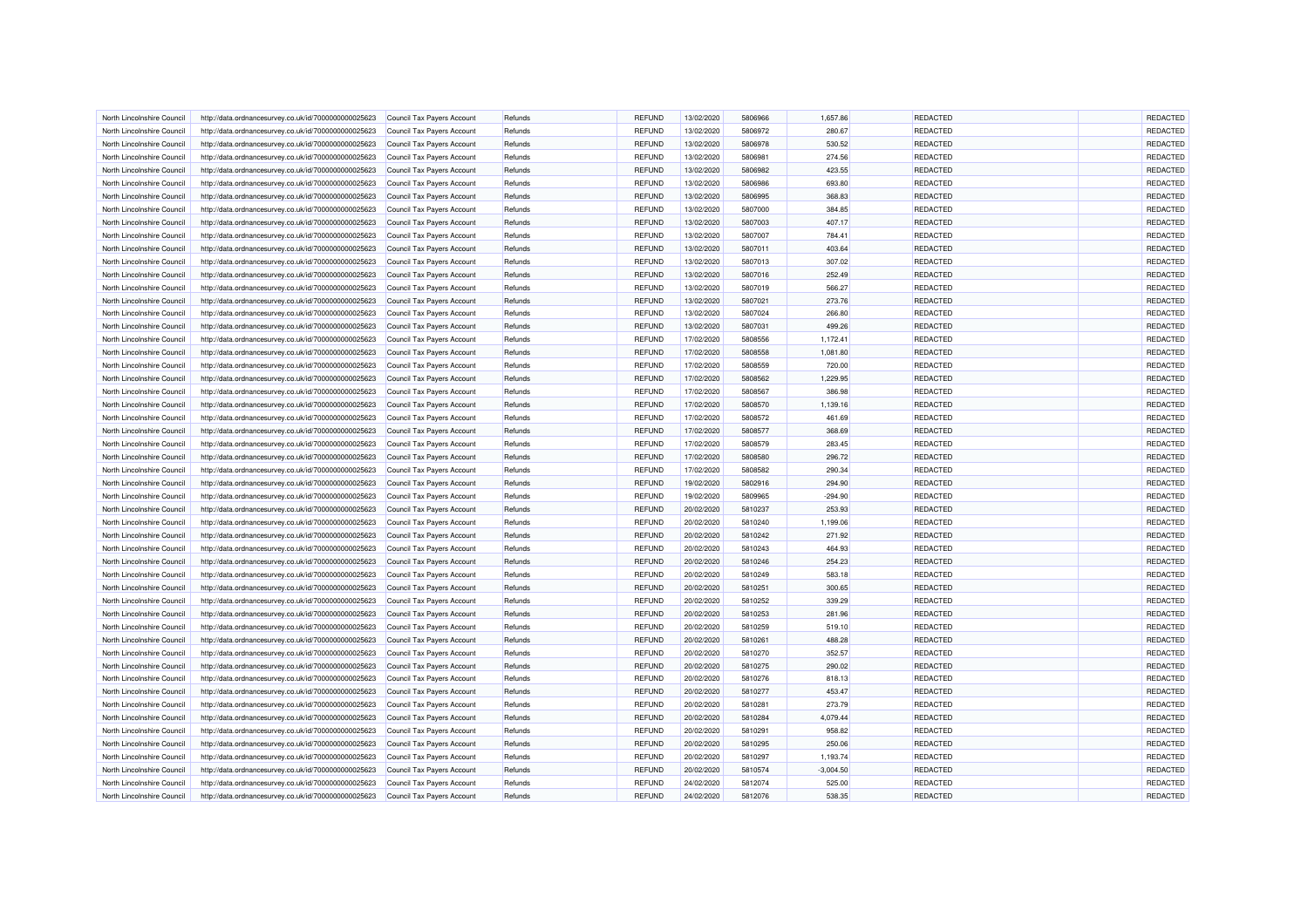| North Lincolnshire Council | http://data.ordnancesurvey.co.uk/id/7000000000025623                                                         | Council Tax Payers Account | Refunds | <b>REFUND</b> | 13/02/2020 | 5806966 | 1,657.86    | <b>REDACTED</b> | REDACTED |
|----------------------------|--------------------------------------------------------------------------------------------------------------|----------------------------|---------|---------------|------------|---------|-------------|-----------------|----------|
| North Lincolnshire Council | http://data.ordnancesurvey.co.uk/id/7000000000025623                                                         | Council Tax Payers Account | Refunds | <b>REFUND</b> | 13/02/2020 | 5806972 | 280.67      | <b>REDACTED</b> | REDACTED |
| North Lincolnshire Council | http://data.ordnancesurvey.co.uk/id/7000000000025623                                                         | Council Tax Payers Account | Refunds | <b>REFUND</b> | 13/02/2020 | 5806978 | 530.52      | REDACTED        | REDACTED |
| North Lincolnshire Council | http://data.ordnancesurvey.co.uk/id/7000000000025623                                                         | Council Tax Payers Account | Refunds | <b>REFUND</b> | 13/02/2020 | 5806981 | 274.56      | REDACTED        | REDACTED |
| North Lincolnshire Council |                                                                                                              |                            | Refunds | <b>REFUND</b> | 13/02/2020 | 5806982 | 423.55      | REDACTED        | REDACTED |
|                            | http://data.ordnancesurvey.co.uk/id/7000000000025623                                                         | Council Tax Payers Account |         | <b>REFUND</b> |            | 5806986 | 693.80      | <b>REDACTED</b> | REDACTED |
| North Lincolnshire Council | http://data.ordnancesurvey.co.uk/id/7000000000025623                                                         | Council Tax Payers Account | Refunds |               | 13/02/2020 |         |             |                 |          |
| North Lincolnshire Council | http://data.ordnancesurvey.co.uk/id/7000000000025623                                                         | Council Tax Payers Account | Refunds | <b>REFUND</b> | 13/02/2020 | 5806995 | 368.83      | <b>REDACTED</b> | REDACTED |
| North Lincolnshire Council | http://data.ordnancesurvey.co.uk/id/7000000000025623                                                         | Council Tax Payers Account | Refunds | <b>REFUND</b> | 13/02/2020 | 5807000 | 384.85      | REDACTED        | REDACTED |
| North Lincolnshire Council | http://data.ordnancesurvey.co.uk/id/7000000000025623                                                         | Council Tax Payers Account | Refunds | <b>REFUND</b> | 13/02/2020 | 5807003 | 407.17      | <b>REDACTED</b> | REDACTED |
| North Lincolnshire Council | http://data.ordnancesurvey.co.uk/id/7000000000025623                                                         | Council Tax Payers Account | Refunds | <b>REFUND</b> | 13/02/2020 | 5807007 | 784.41      | <b>REDACTED</b> | REDACTED |
| North Lincolnshire Council | http://data.ordnancesurvey.co.uk/id/7000000000025623                                                         | Council Tax Payers Account | Refunds | <b>REFUND</b> | 13/02/2020 | 5807011 | 403.64      | REDACTED        | REDACTED |
| North Lincolnshire Council | http://data.ordnancesurvey.co.uk/id/7000000000025623                                                         | Council Tax Payers Account | Refunds | <b>REFUND</b> | 13/02/2020 | 5807013 | 307.02      | REDACTED        | REDACTED |
| North Lincolnshire Council | http://data.ordnancesurvey.co.uk/id/7000000000025623                                                         | Council Tax Payers Account | Refunds | <b>REFUND</b> | 13/02/2020 | 5807016 | 252.49      | REDACTED        | REDACTED |
| North Lincolnshire Council | http://data.ordnancesurvey.co.uk/id/7000000000025623                                                         | Council Tax Payers Account | Refunds | <b>REFUND</b> | 13/02/2020 | 5807019 | 566.27      | REDACTED        | REDACTED |
| North Lincolnshire Council | http://data.ordnancesurvey.co.uk/id/7000000000025623                                                         | Council Tax Payers Account | Refunds | <b>REFUND</b> | 13/02/2020 | 5807021 | 273.76      | <b>REDACTED</b> | REDACTED |
| North Lincolnshire Council | http://data.ordnancesurvey.co.uk/id/7000000000025623                                                         | Council Tax Payers Account | Refunds | <b>REFUND</b> | 13/02/2020 | 5807024 | 266.80      | REDACTED        | REDACTED |
| North Lincolnshire Council | http://data.ordnancesurvey.co.uk/id/7000000000025623                                                         | Council Tax Payers Account | Refunds | <b>REFUND</b> | 13/02/2020 | 5807031 | 499.26      | <b>REDACTED</b> | REDACTED |
| North Lincolnshire Council | http://data.ordnancesurvey.co.uk/id/7000000000025623                                                         | Council Tax Payers Account | Refunds | <b>REFUND</b> | 17/02/2020 | 5808556 | 1,172.41    | <b>REDACTED</b> | REDACTED |
| North Lincolnshire Council | http://data.ordnancesurvey.co.uk/id/7000000000025623                                                         | Council Tax Payers Account | Refunds | <b>REFUND</b> | 17/02/2020 | 5808558 | 1,081.80    | REDACTED        | REDACTED |
| North Lincolnshire Council | http://data.ordnancesurvey.co.uk/id/7000000000025623                                                         | Council Tax Payers Account | Refunds | <b>REFUND</b> | 17/02/2020 | 5808559 | 720.00      | REDACTED        | REDACTED |
| North Lincolnshire Council | http://data.ordnancesurvey.co.uk/id/7000000000025623                                                         | Council Tax Payers Account | Refunds | <b>REFUND</b> | 17/02/2020 | 5808562 | 1,229.95    | <b>REDACTED</b> | REDACTED |
| North Lincolnshire Council | http://data.ordnancesurvey.co.uk/id/7000000000025623                                                         | Council Tax Payers Account | Refunds | <b>REFUND</b> | 17/02/2020 | 5808567 | 386.98      | REDACTED        | REDACTED |
| North Lincolnshire Council | http://data.ordnancesurvey.co.uk/id/7000000000025623                                                         | Council Tax Payers Account | Refunds | <b>REFUND</b> | 17/02/2020 | 5808570 | 1,139.16    | <b>REDACTED</b> | REDACTED |
| North Lincolnshire Council | http://data.ordnancesurvey.co.uk/id/7000000000025623                                                         | Council Tax Payers Account | Refunds | <b>REFUND</b> | 17/02/2020 | 5808572 | 461.69      | REDACTED        | REDACTED |
| North Lincolnshire Council | http://data.ordnancesurvey.co.uk/id/7000000000025623                                                         | Council Tax Payers Account | Refunds | <b>REFUND</b> | 17/02/2020 | 5808577 | 368.69      | REDACTED        | REDACTED |
| North Lincolnshire Council | http://data.ordnancesurvey.co.uk/id/7000000000025623                                                         | Council Tax Payers Account | Refunds | <b>REFUND</b> | 17/02/2020 | 5808579 | 283.45      | REDACTED        | REDACTED |
| North Lincolnshire Council | http://data.ordnancesurvey.co.uk/id/7000000000025623                                                         | Council Tax Payers Account | Refunds | <b>REFUND</b> | 17/02/2020 | 5808580 | 296.72      | <b>REDACTED</b> | REDACTED |
| North Lincolnshire Council | http://data.ordnancesurvey.co.uk/id/7000000000025623                                                         | Council Tax Payers Account | Refunds | <b>REFUND</b> | 17/02/2020 | 5808582 | 290.34      | REDACTED        | REDACTED |
| North Lincolnshire Council |                                                                                                              |                            | Refunds | <b>REFUND</b> | 19/02/2020 | 5802916 | 294.90      | <b>REDACTED</b> | REDACTED |
| North Lincolnshire Council | http://data.ordnancesurvey.co.uk/id/7000000000025623<br>http://data.ordnancesurvey.co.uk/id/7000000000025623 | Council Tax Payers Account | Refunds | <b>REFUND</b> | 19/02/2020 | 5809965 | $-294.90$   | REDACTED        | REDACTED |
|                            |                                                                                                              | Council Tax Payers Account |         |               |            |         |             |                 |          |
| North Lincolnshire Council | http://data.ordnancesurvey.co.uk/id/7000000000025623                                                         | Council Tax Payers Account | Refunds | <b>REFUND</b> | 20/02/2020 | 5810237 | 253.93      | REDACTED        | REDACTED |
| North Lincolnshire Council | http://data.ordnancesurvey.co.uk/id/7000000000025623                                                         | Council Tax Payers Account | Refunds | <b>REFUND</b> | 20/02/2020 | 5810240 | 1,199.06    | REDACTED        | REDACTED |
| North Lincolnshire Council | http://data.ordnancesurvey.co.uk/id/7000000000025623                                                         | Council Tax Payers Account | Refunds | <b>REFUND</b> | 20/02/2020 | 5810242 | 271.92      | <b>REDACTED</b> | REDACTED |
| North Lincolnshire Council | http://data.ordnancesurvey.co.uk/id/7000000000025623                                                         | Council Tax Payers Account | Refunds | <b>REFUND</b> | 20/02/2020 | 5810243 | 464.93      | <b>REDACTED</b> | REDACTED |
| North Lincolnshire Council | http://data.ordnancesurvey.co.uk/id/7000000000025623                                                         | Council Tax Payers Account | Refunds | <b>REFUND</b> | 20/02/2020 | 5810246 | 254.23      | REDACTED        | REDACTED |
| North Lincolnshire Council | http://data.ordnancesurvey.co.uk/id/7000000000025623                                                         | Council Tax Payers Account | Refunds | <b>REFUND</b> | 20/02/2020 | 5810249 | 583.18      | <b>REDACTED</b> | REDACTED |
| North Lincolnshire Council | http://data.ordnancesurvey.co.uk/id/7000000000025623                                                         | Council Tax Payers Account | Refunds | <b>REFUND</b> | 20/02/2020 | 5810251 | 300.65      | <b>REDACTED</b> | REDACTED |
| North Lincolnshire Council | http://data.ordnancesurvey.co.uk/id/7000000000025623                                                         | Council Tax Payers Account | Refunds | <b>REFUND</b> | 20/02/2020 | 5810252 | 339.29      | REDACTED        | REDACTED |
| North Lincolnshire Council | http://data.ordnancesurvey.co.uk/id/7000000000025623                                                         | Council Tax Payers Account | Refunds | <b>REFUND</b> | 20/02/2020 | 5810253 | 281.96      | <b>REDACTED</b> | REDACTED |
| North Lincolnshire Council | http://data.ordnancesurvey.co.uk/id/7000000000025623                                                         | Council Tax Payers Account | Refunds | <b>REFUND</b> | 20/02/2020 | 5810259 | 519.10      | REDACTED        | REDACTED |
| North Lincolnshire Council | http://data.ordnancesurvey.co.uk/id/7000000000025623                                                         | Council Tax Payers Account | Refunds | <b>REFUND</b> | 20/02/2020 | 5810261 | 488.28      | <b>REDACTED</b> | REDACTED |
| North Lincolnshire Council | http://data.ordnancesurvey.co.uk/id/7000000000025623                                                         | Council Tax Payers Account | Refunds | <b>REFUND</b> | 20/02/2020 | 5810270 | 352.57      | REDACTED        | REDACTED |
| North Lincolnshire Council | http://data.ordnancesurvey.co.uk/id/7000000000025623                                                         | Council Tax Payers Account | Refunds | <b>REFUND</b> | 20/02/2020 | 5810275 | 290.02      | <b>REDACTED</b> | REDACTED |
| North Lincolnshire Council | http://data.ordnancesurvey.co.uk/id/7000000000025623                                                         | Council Tax Payers Account | Refunds | <b>REFUND</b> | 20/02/2020 | 5810276 | 818.13      | REDACTED        | REDACTED |
| North Lincolnshire Council | http://data.ordnancesurvey.co.uk/id/7000000000025623                                                         | Council Tax Payers Account | Refunds | <b>REFUND</b> | 20/02/2020 | 5810277 | 453.47      | <b>REDACTED</b> | REDACTED |
| North Lincolnshire Council | http://data.ordnancesurvey.co.uk/id/7000000000025623                                                         | Council Tax Payers Account | Refunds | <b>REFUND</b> | 20/02/2020 | 5810281 | 273.79      | REDACTED        | REDACTED |
| North Lincolnshire Council | http://data.ordnancesurvey.co.uk/id/7000000000025623                                                         | Council Tax Payers Account | Refunds | <b>REFUND</b> | 20/02/2020 | 5810284 | 4,079.44    | REDACTED        | REDACTED |
| North Lincolnshire Council | http://data.ordnancesurvey.co.uk/id/7000000000025623                                                         | Council Tax Payers Account | Refunds | <b>REFUND</b> | 20/02/2020 | 5810291 | 958.82      | REDACTED        | REDACTED |
| North Lincolnshire Council | http://data.ordnancesurvey.co.uk/id/7000000000025623                                                         | Council Tax Payers Account | Refunds | <b>REFUND</b> | 20/02/2020 | 5810295 | 250.06      | <b>REDACTED</b> | REDACTED |
| North Lincolnshire Council | http://data.ordnancesurvey.co.uk/id/7000000000025623                                                         | Council Tax Payers Account | Refunds | <b>REFUND</b> | 20/02/2020 | 5810297 | 1,193.74    | <b>REDACTED</b> | REDACTED |
| North Lincolnshire Council | http://data.ordnancesurvey.co.uk/id/7000000000025623                                                         | Council Tax Payers Account | Refunds | <b>REFUND</b> | 20/02/2020 | 5810574 | $-3,004.50$ | REDACTED        | REDACTED |
| North Lincolnshire Council | http://data.ordnancesurvey.co.uk/id/7000000000025623                                                         | Council Tax Payers Account | Refunds | <b>REFUND</b> | 24/02/2020 | 5812074 | 525.00      | REDACTED        | REDACTED |
| North Lincolnshire Council | http://data.ordnancesurvey.co.uk/id/7000000000025623                                                         | Council Tax Payers Account | Refunds | <b>REFUND</b> | 24/02/2020 | 5812076 | 538.35      | <b>REDACTED</b> | REDACTED |
|                            |                                                                                                              |                            |         |               |            |         |             |                 |          |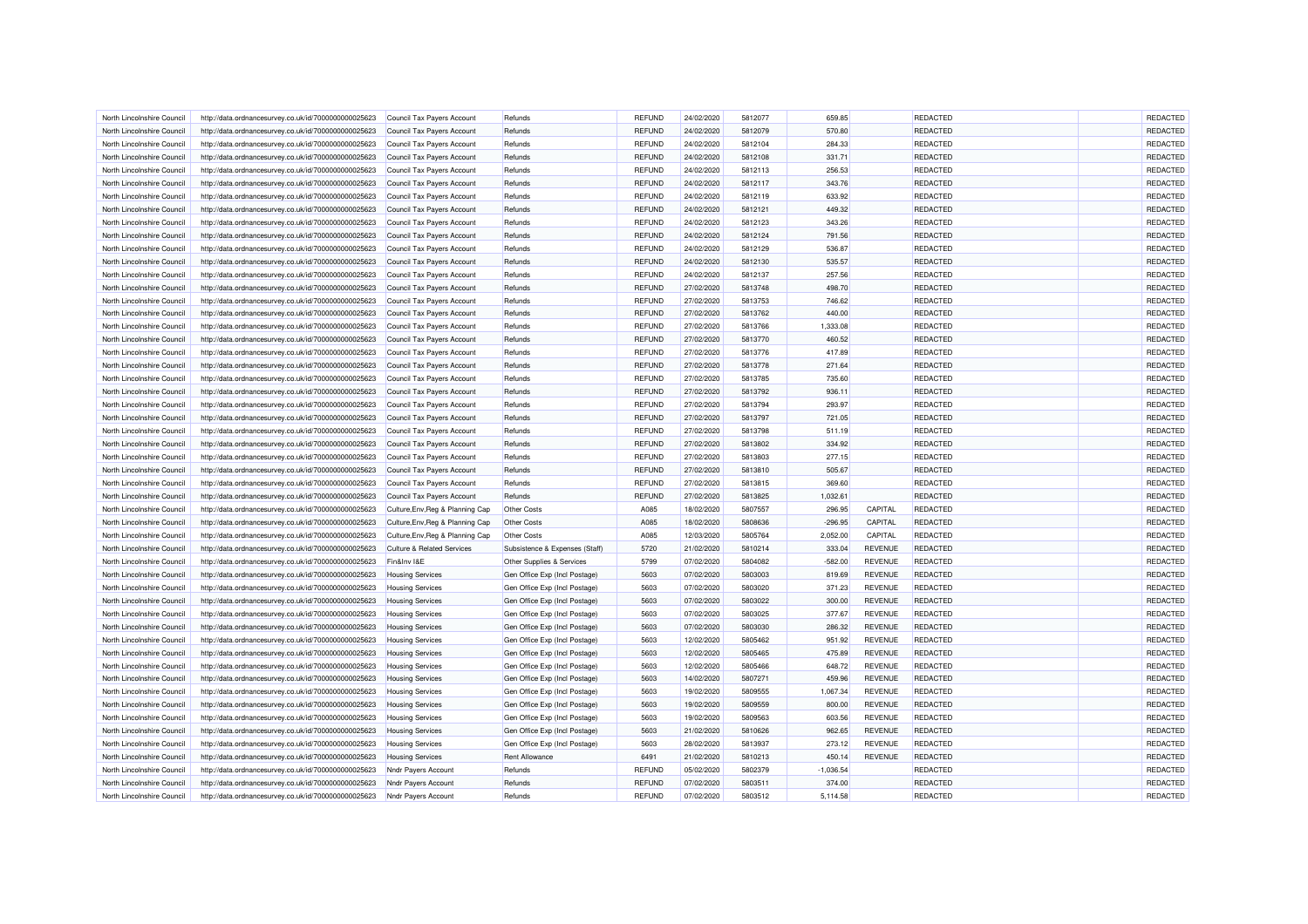| North Lincolnshire Council | http://data.ordnancesurvey.co.uk/id/7000000000025623 | Council Tax Payers Account            | Refunds                        | <b>REFUND</b> | 24/02/2020 | 5812077 | 659.85      |                | <b>REDACTED</b> | REDACTED |
|----------------------------|------------------------------------------------------|---------------------------------------|--------------------------------|---------------|------------|---------|-------------|----------------|-----------------|----------|
| North Lincolnshire Council | http://data.ordnancesurvey.co.uk/id/7000000000025623 | Council Tax Payers Account            | Refunds                        | <b>REFUND</b> | 24/02/2020 | 5812079 | 570.80      |                | REDACTED        | REDACTED |
| North Lincolnshire Council | http://data.ordnancesurvey.co.uk/id/7000000000025623 | Council Tax Payers Account            | Refunds                        | <b>REFUND</b> | 24/02/2020 | 5812104 | 284.33      |                | <b>REDACTED</b> | REDACTED |
| North Lincolnshire Council | http://data.ordnancesurvey.co.uk/id/7000000000025623 | Council Tax Payers Account            | Refunds                        | <b>REFUND</b> | 24/02/2020 | 5812108 | 331.71      |                | REDACTED        | REDACTED |
| North Lincolnshire Council | http://data.ordnancesurvey.co.uk/id/7000000000025623 | Council Tax Payers Account            | Refunds                        | REFUND        | 24/02/2020 | 5812113 | 256.53      |                | <b>REDACTED</b> | REDACTED |
| North Lincolnshire Council | http://data.ordnancesurvey.co.uk/id/7000000000025623 | Council Tax Payers Account            | Refunds                        | <b>REFUND</b> | 24/02/2020 | 5812117 | 343.76      |                | REDACTED        | REDACTED |
| North Lincolnshire Council | http://data.ordnancesurvey.co.uk/id/7000000000025623 | Council Tax Payers Account            | Refunds                        | <b>REFUND</b> | 24/02/2020 | 5812119 | 633.92      |                | <b>REDACTED</b> | REDACTED |
| North Lincolnshire Council | http://data.ordnancesurvey.co.uk/id/7000000000025623 | Council Tax Payers Account            | Refunds                        | <b>REFUND</b> | 24/02/2020 | 5812121 | 449.32      |                | REDACTED        | REDACTED |
| North Lincolnshire Council | http://data.ordnancesurvey.co.uk/id/7000000000025623 | Council Tax Pavers Account            | Refunds                        | <b>REFUND</b> | 24/02/2020 | 5812123 | 343.26      |                | REDACTED        | REDACTED |
| North Lincolnshire Council | http://data.ordnancesurvey.co.uk/id/7000000000025623 | Council Tax Payers Account            | Refunds                        | <b>REFUND</b> | 24/02/2020 | 5812124 | 791.56      |                | REDACTED        | REDACTED |
| North Lincolnshire Council | http://data.ordnancesurvey.co.uk/id/7000000000025623 | Council Tax Payers Account            | Refunds                        | <b>REFUND</b> | 24/02/2020 | 5812129 | 536.87      |                | REDACTED        | REDACTED |
| North Lincolnshire Council | http://data.ordnancesurvey.co.uk/id/7000000000025623 | Council Tax Payers Account            | Refunds                        | <b>REFUND</b> | 24/02/2020 | 5812130 | 535.57      |                | REDACTED        | REDACTED |
| North Lincolnshire Council | http://data.ordnancesurvey.co.uk/id/7000000000025623 | Council Tax Payers Account            | Refunds                        | <b>REFUND</b> | 24/02/2020 | 5812137 | 257.56      |                | REDACTED        | REDACTED |
| North Lincolnshire Council | http://data.ordnancesurvey.co.uk/id/7000000000025623 | Council Tax Payers Account            | Refunds                        | <b>REFUND</b> | 27/02/2020 | 5813748 | 498.70      |                | REDACTED        | REDACTED |
| North Lincolnshire Council | http://data.ordnancesurvey.co.uk/id/7000000000025623 | Council Tax Payers Account            | Refunds                        | <b>REFUND</b> | 27/02/2020 | 5813753 | 746.62      |                | <b>REDACTED</b> | REDACTED |
| North Lincolnshire Council | http://data.ordnancesurvey.co.uk/id/7000000000025623 | Council Tax Payers Account            | Refunds                        | <b>REFUND</b> | 27/02/2020 | 5813762 | 440.00      |                | <b>REDACTED</b> | REDACTED |
| North Lincolnshire Council | http://data.ordnancesurvey.co.uk/id/7000000000025623 | Council Tax Payers Account            | Refunds                        | <b>REFUND</b> | 27/02/2020 | 5813766 | 1,333.08    |                | REDACTED        | REDACTED |
| North Lincolnshire Council | http://data.ordnancesurvey.co.uk/id/7000000000025623 | Council Tax Payers Account            | Refunds                        | <b>REFUND</b> | 27/02/2020 | 5813770 | 460.52      |                | REDACTED        | REDACTED |
| North Lincolnshire Council | http://data.ordnancesurvey.co.uk/id/7000000000025623 | Council Tax Payers Account            | Refunds                        | <b>REFUND</b> | 27/02/2020 | 5813776 | 417.89      |                | <b>REDACTED</b> | REDACTED |
| North Lincolnshire Council | http://data.ordnancesurvey.co.uk/id/7000000000025623 | Council Tax Payers Account            | Refunds                        | <b>REFUND</b> | 27/02/2020 | 5813778 | 271.64      |                | REDACTED        | REDACTED |
| North Lincolnshire Council |                                                      |                                       | Refunds                        | <b>REFUND</b> | 27/02/2020 | 5813785 | 735.60      |                | REDACTED        | REDACTED |
| North Lincolnshire Council | http://data.ordnancesurvey.co.uk/id/7000000000025623 | Council Tax Payers Account            | Refunds                        | <b>REFUND</b> | 27/02/2020 | 5813792 | 936.11      |                | <b>REDACTED</b> | REDACTED |
|                            | http://data.ordnancesurvey.co.uk/id/7000000000025623 | Council Tax Payers Account            |                                |               |            |         |             |                |                 |          |
| North Lincolnshire Council | http://data.ordnancesurvey.co.uk/id/7000000000025623 | Council Tax Payers Account            | Refunds                        | <b>REFUND</b> | 27/02/2020 | 5813794 | 293.97      |                | REDACTED        | REDACTED |
| North Lincolnshire Council | http://data.ordnancesurvey.co.uk/id/7000000000025623 | Council Tax Payers Account            | Refunds                        | <b>REFUND</b> | 27/02/2020 | 5813797 | 721.05      |                | REDACTED        | REDACTED |
| North Lincolnshire Council | http://data.ordnancesurvey.co.uk/id/7000000000025623 | Council Tax Payers Account            | Refunds                        | <b>REFUND</b> | 27/02/2020 | 5813798 | 511.19      |                | REDACTED        | REDACTED |
| North Lincolnshire Council | http://data.ordnancesurvey.co.uk/id/7000000000025623 | Council Tax Payers Account            | Refunds                        | <b>REFUND</b> | 27/02/2020 | 5813802 | 334.92      |                | <b>REDACTED</b> | REDACTED |
| North Lincolnshire Council | http://data.ordnancesurvey.co.uk/id/7000000000025623 | Council Tax Payers Account            | Refunds                        | <b>REFUND</b> | 27/02/2020 | 5813803 | 277.15      |                | REDACTED        | REDACTED |
| North Lincolnshire Council | http://data.ordnancesurvey.co.uk/id/7000000000025623 | Council Tax Payers Account            | Refunds                        | <b>REFUND</b> | 27/02/2020 | 5813810 | 505.67      |                | REDACTED        | REDACTED |
| North Lincolnshire Council | http://data.ordnancesurvey.co.uk/id/7000000000025623 | Council Tax Payers Account            | Refunds                        | <b>REFUND</b> | 27/02/2020 | 5813815 | 369.60      |                | REDACTED        | REDACTED |
| North Lincolnshire Council | http://data.ordnancesurvey.co.uk/id/7000000000025623 | Council Tax Payers Account            | Refunds                        | <b>REFUND</b> | 27/02/2020 | 5813825 | 1.032.61    |                | REDACTED        | REDACTED |
| North Lincolnshire Council | http://data.ordnancesurvey.co.uk/id/7000000000025623 | Culture, Env, Reg & Planning Cap      | <b>Other Costs</b>             | A085          | 18/02/2020 | 5807557 | 296.95      | CAPITAL        | REDACTED        | REDACTED |
| North Lincolnshire Council | http://data.ordnancesurvey.co.uk/id/7000000000025623 | Culture, Env, Reg & Planning Cap      | <b>Other Costs</b>             | A085          | 18/02/2020 | 5808636 | $-296.95$   | CAPITAL        | REDACTED        | REDACTED |
| North Lincolnshire Council | http://data.ordnancesurvey.co.uk/id/7000000000025623 | Culture, Env, Reg & Planning Cap      | <b>Other Costs</b>             | A085          | 12/03/2020 | 5805764 | 2,052.00    | CAPITAL        | <b>REDACTED</b> | REDACTED |
| North Lincolnshire Council | http://data.ordnancesurvey.co.uk/id/7000000000025623 | <b>Culture &amp; Related Services</b> | Subsistence & Expenses (Staff) | 5720          | 21/02/2020 | 5810214 | 333.04      | <b>REVENUE</b> | <b>REDACTED</b> | REDACTED |
| North Lincolnshire Council | http://data.ordnancesurvey.co.uk/id/7000000000025623 | Fin&Inv I&E                           | Other Supplies & Services      | 5799          | 07/02/2020 | 5804082 | $-582.00$   | <b>REVENUE</b> | REDACTED        | REDACTED |
| North Lincolnshire Council | http://data.ordnancesurvey.co.uk/id/7000000000025623 | <b>Housing Services</b>               | Gen Office Exp (Incl Postage)  | 5603          | 07/02/2020 | 5803003 | 819.69      | <b>REVENUE</b> | <b>REDACTED</b> | REDACTED |
| North Lincolnshire Council | http://data.ordnancesurvey.co.uk/id/7000000000025623 | <b>Housing Services</b>               | Gen Office Exp (Incl Postage)  | 5603          | 07/02/2020 | 5803020 | 371.23      | <b>REVENUE</b> | REDACTED        | REDACTED |
| North Lincolnshire Council | http://data.ordnancesurvey.co.uk/id/7000000000025623 | <b>Housing Services</b>               | Gen Office Exp (Incl Postage)  | 5603          | 07/02/2020 | 5803022 | 300.00      | <b>REVENUE</b> | <b>REDACTED</b> | REDACTED |
| North Lincolnshire Council | http://data.ordnancesurvey.co.uk/id/7000000000025623 | <b>Housing Services</b>               | Gen Office Exp (Incl Postage)  | 5603          | 07/02/2020 | 5803025 | 377.67      | REVENUE        | <b>REDACTED</b> | REDACTED |
| North Lincolnshire Council | http://data.ordnancesurvey.co.uk/id/7000000000025623 | <b>Housing Services</b>               | Gen Office Exp (Incl Postage)  | 5603          | 07/02/2020 | 5803030 | 286.32      | <b>REVENUE</b> | REDACTED        | REDACTED |
| North Lincolnshire Council | http://data.ordnancesurvey.co.uk/id/7000000000025623 | <b>Housing Services</b>               | Gen Office Exp (Incl Postage)  | 5603          | 12/02/2020 | 5805462 | 951.92      | REVENUE        | <b>REDACTED</b> | REDACTED |
| North Lincolnshire Council | http://data.ordnancesurvey.co.uk/id/7000000000025623 | <b>Housing Services</b>               | Gen Office Exp (Incl Postage)  | 5603          | 12/02/2020 | 5805465 | 475.89      | <b>REVENUE</b> | <b>REDACTED</b> | REDACTED |
| North Lincolnshire Council | http://data.ordnancesurvey.co.uk/id/7000000000025623 | <b>Housing Services</b>               | Gen Office Exp (Incl Postage)  | 5603          | 12/02/2020 | 5805466 | 648.72      | <b>REVENUE</b> | REDACTED        | REDACTED |
| North Lincolnshire Council | http://data.ordnancesurvey.co.uk/id/7000000000025623 | <b>Housing Services</b>               | Gen Office Exp (Incl Postage)  | 5603          | 14/02/2020 | 5807271 | 459.96      | <b>REVENUE</b> | <b>REDACTED</b> | REDACTED |
| North Lincolnshire Council | http://data.ordnancesurvey.co.uk/id/7000000000025623 | <b>Housing Services</b>               | Gen Office Exp (Incl Postage)  | 5603          | 19/02/2020 | 5809555 | 1,067.34    | <b>REVENUE</b> | REDACTED        | REDACTED |
| North Lincolnshire Council | http://data.ordnancesurvey.co.uk/id/7000000000025623 | <b>Housing Services</b>               | Gen Office Exp (Incl Postage)  | 5603          | 19/02/2020 | 5809559 | 800.00      | <b>REVENUE</b> | <b>REDACTED</b> | REDACTED |
| North Lincolnshire Council | http://data.ordnancesurvey.co.uk/id/7000000000025623 | <b>Housing Services</b>               | Gen Office Exp (Incl Postage)  | 5603          | 19/02/2020 | 5809563 | 603.56      | <b>REVENUE</b> | REDACTED        | REDACTED |
| North Lincolnshire Council | http://data.ordnancesurvey.co.uk/id/7000000000025623 | <b>Housing Services</b>               | Gen Office Exp (Incl Postage)  | 5603          | 21/02/2020 | 5810626 | 962.65      | <b>REVENUE</b> | <b>REDACTED</b> | REDACTED |
| North Lincolnshire Council | http://data.ordnancesurvey.co.uk/id/7000000000025623 | <b>Housing Services</b>               | Gen Office Exp (Incl Postage)  | 5603          | 28/02/2020 | 5813937 | 273.12      | <b>REVENUE</b> | <b>REDACTED</b> | REDACTED |
| North Lincolnshire Council | http://data.ordnancesurvey.co.uk/id/7000000000025623 | <b>Housing Services</b>               | <b>Rent Allowance</b>          | 6491          | 21/02/2020 | 5810213 | 450.14      | <b>REVENUE</b> | <b>REDACTED</b> | REDACTED |
| North Lincolnshire Council | http://data.ordnancesurvey.co.uk/id/7000000000025623 | Nndr Payers Account                   | Refunds                        | <b>REFUND</b> | 05/02/2020 | 5802379 | $-1,036.54$ |                | REDACTED        | REDACTED |
| North Lincolnshire Council | http://data.ordnancesurvey.co.uk/id/7000000000025623 | Nndr Payers Account                   | Refunds                        | <b>REFUND</b> | 07/02/2020 | 580351  | 374.00      |                | REDACTED        | REDACTED |
| North Lincolnshire Council | http://data.ordnancesurvey.co.uk/id/7000000000025623 | Nndr Payers Account                   | Refunds                        | <b>REFUND</b> | 07/02/2020 | 5803512 | 5,114.58    |                | REDACTED        | REDACTED |
|                            |                                                      |                                       |                                |               |            |         |             |                |                 |          |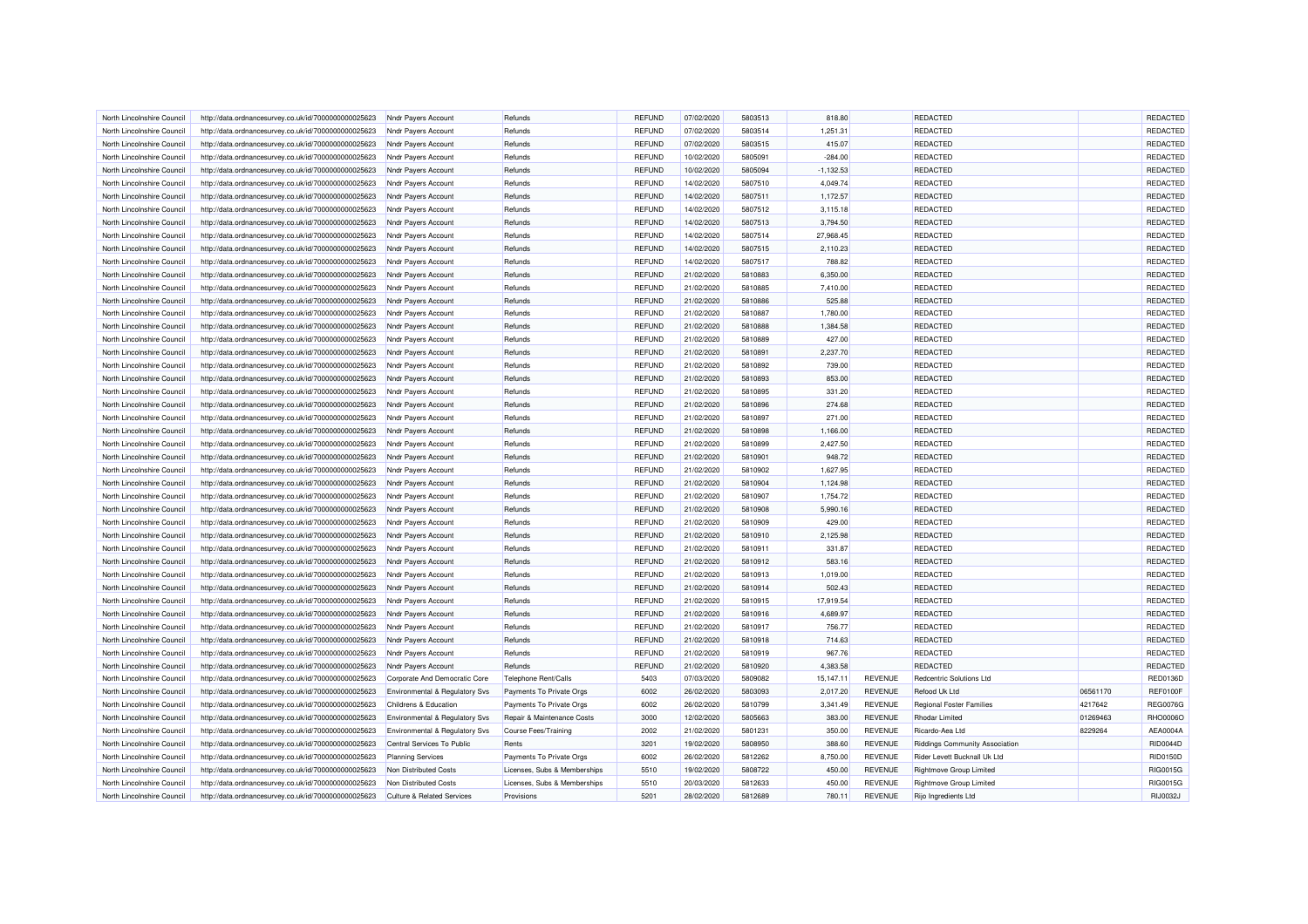| North Lincolnshire Council | http://data.ordnancesurvey.co.uk/id/7000000000025623 | Nndr Payers Account                       | Refunds                      | <b>REFUND</b>                  | 07/02/2020               | 5803513            | 818.80      |                | <b>REDACTED</b>                       |          | <b>REDACTED</b> |
|----------------------------|------------------------------------------------------|-------------------------------------------|------------------------------|--------------------------------|--------------------------|--------------------|-------------|----------------|---------------------------------------|----------|-----------------|
| North Lincolnshire Council | http://data.ordnancesurvey.co.uk/id/7000000000025623 | Nndr Payers Account                       | Refunds                      | <b>REFUND</b>                  | 07/02/2020               | 5803514            | 1,251.31    |                | REDACTED                              |          | REDACTED        |
| North Lincolnshire Council | http://data.ordnancesurvey.co.uk/id/7000000000025623 | Nndr Payers Account                       | Refunds                      | <b>REFUND</b>                  | 07/02/2020               | 5803515            | 415.07      |                | REDACTED                              |          | REDACTED        |
| North Lincolnshire Council | http://data.ordnancesurvey.co.uk/id/7000000000025623 | Nndr Payers Account                       | Refunds                      | <b>REFUND</b>                  | 10/02/2020               | 5805091            | $-284.00$   |                | REDACTED                              |          | REDACTED        |
| North Lincolnshire Council | http://data.ordnancesurvey.co.uk/id/7000000000025623 | Nndr Payers Account                       | Refunds                      | <b>REFUND</b>                  | 10/02/2020               | 5805094            | $-1,132.53$ |                | <b>REDACTED</b>                       |          | <b>REDACTED</b> |
| North Lincolnshire Council | http://data.ordnancesurvey.co.uk/id/7000000000025623 | Nndr Payers Account                       | Refunds                      | <b>REFUND</b>                  | 14/02/2020               | 5807510            | 4,049.74    |                | REDACTED                              |          | REDACTED        |
| North Lincolnshire Council | http://data.ordnancesurvey.co.uk/id/7000000000025623 | Nndr Payers Account                       | Refunds                      | <b>REFUND</b>                  | 14/02/2020               | 5807511            | 1,172.57    |                | <b>REDACTED</b>                       |          | REDACTED        |
| North Lincolnshire Council | http://data.ordnancesurvey.co.uk/id/7000000000025623 | Nndr Payers Account                       | Refunds                      | <b>REFUND</b>                  | 14/02/2020               | 5807512            | 3,115.18    |                | REDACTED                              |          | REDACTED        |
| North Lincolnshire Council | http://data.ordnancesurvey.co.uk/id/7000000000025623 | Nndr Payers Account                       | Refunds                      | <b>REFUND</b>                  | 14/02/2020               | 5807513            | 3,794.50    |                | REDACTED                              |          | REDACTED        |
| North Lincolnshire Council | http://data.ordnancesurvey.co.uk/id/7000000000025623 | Nndr Payers Account                       | Refunds                      | <b>REFUND</b>                  | 14/02/2020               | 5807514            | 27,968.45   |                | REDACTED                              |          | REDACTED        |
| North Lincolnshire Council | http://data.ordnancesurvey.co.uk/id/7000000000025623 | Nndr Payers Account                       | Refunds                      | <b>REFUND</b>                  | 14/02/2020               | 5807515            | 2,110.23    |                | <b>REDACTED</b>                       |          | REDACTED        |
| North Lincolnshire Council | http://data.ordnancesurvey.co.uk/id/7000000000025623 | Nndr Payers Account                       | Refunds                      | <b>REFUND</b>                  | 14/02/2020               | 5807517            | 788.82      |                | REDACTED                              |          | REDACTED        |
| North Lincolnshire Council | http://data.ordnancesurvey.co.uk/id/7000000000025623 | Nndr Payers Account                       | Refunds                      | <b>REFUND</b>                  | 21/02/2020               | 5810883            | 6,350.00    |                | <b>REDACTED</b>                       |          | REDACTED        |
| North Lincolnshire Council | http://data.ordnancesurvey.co.uk/id/7000000000025623 | Nndr Payers Account                       | Refunds                      | <b>REFUND</b>                  | 21/02/2020               | 5810885            | 7,410.00    |                | REDACTED                              |          | REDACTED        |
| North Lincolnshire Council | http://data.ordnancesurvey.co.uk/id/7000000000025623 | Nndr Payers Account                       | Refunds                      | <b>REFUND</b>                  | 21/02/2020               | 5810886            | 525.88      |                | REDACTED                              |          | REDACTED        |
| North Lincolnshire Council | http://data.ordnancesurvey.co.uk/id/7000000000025623 | Nndr Payers Account                       | Refunds                      | <b>REFUND</b>                  | 21/02/2020               | 5810887            | 1,780.00    |                | REDACTED                              |          | REDACTED        |
| North Lincolnshire Council | http://data.ordnancesurvey.co.uk/id/7000000000025623 | Nndr Payers Account                       | Refunds                      | <b>REFUND</b>                  | 21/02/2020               | 5810888            | 1.384.58    |                | REDACTED                              |          | REDACTED        |
| North Lincolnshire Council | http://data.ordnancesurvey.co.uk/id/7000000000025623 | Nndr Payers Account                       | Refunds                      | <b>REFUND</b>                  | 21/02/2020               | 5810889            | 427.00      |                | REDACTED                              |          | REDACTED        |
|                            |                                                      |                                           |                              |                                |                          |                    | 2,237.70    |                |                                       |          | REDACTED        |
| North Lincolnshire Council | http://data.ordnancesurvey.co.uk/id/7000000000025623 | Nndr Payers Account                       | Refunds                      | <b>REFUND</b><br><b>REFUND</b> | 21/02/2020<br>21/02/2020 | 5810891<br>5810892 | 739.00      |                | <b>REDACTED</b>                       |          | REDACTED        |
| North Lincolnshire Council | http://data.ordnancesurvey.co.uk/id/7000000000025623 | Nndr Payers Account                       | Refunds                      |                                |                          |                    |             |                | REDACTED                              |          |                 |
| North Lincolnshire Council | http://data.ordnancesurvey.co.uk/id/7000000000025623 | Nndr Payers Account                       | Refunds                      | <b>REFUND</b>                  | 21/02/2020               | 5810893            | 853.00      |                | <b>REDACTED</b>                       |          | <b>REDACTED</b> |
| North Lincolnshire Council | http://data.ordnancesurvey.co.uk/id/7000000000025623 | Nndr Payers Account                       | Refunds                      | <b>REFUND</b>                  | 21/02/2020               | 5810895            | 331.20      |                | REDACTED                              |          | REDACTED        |
| North Lincolnshire Council | http://data.ordnancesurvey.co.uk/id/7000000000025623 | Nndr Payers Account                       | Refunds                      | <b>REFUND</b>                  | 21/02/2020               | 5810896            | 274.68      |                | REDACTED                              |          | REDACTED        |
| North Lincolnshire Council | http://data.ordnancesurvey.co.uk/id/7000000000025623 | Nndr Payers Account                       | Refunds                      | <b>REFUND</b>                  | 21/02/2020               | 5810897            | 271.00      |                | REDACTED                              |          | REDACTED        |
| North Lincolnshire Council | http://data.ordnancesurvey.co.uk/id/7000000000025623 | Nndr Payers Account                       | Refunds                      | <b>REFUND</b>                  | 21/02/2020               | 5810898            | 1,166.00    |                | REDACTED                              |          | REDACTED        |
| North Lincolnshire Council | http://data.ordnancesurvey.co.uk/id/7000000000025623 | Nndr Payers Account                       | Refunds                      | <b>REFUND</b>                  | 21/02/2020               | 5810899            | 2,427.50    |                | REDACTED                              |          | REDACTED        |
| North Lincolnshire Council | http://data.ordnancesurvey.co.uk/id/7000000000025623 | Nndr Payers Account                       | Refunds                      | <b>REFUND</b>                  | 21/02/2020               | 5810901            | 948.72      |                | <b>REDACTED</b>                       |          | REDACTED        |
| North Lincolnshire Council | http://data.ordnancesurvey.co.uk/id/7000000000025623 | Nndr Payers Account                       | Refunds                      | <b>REFUND</b>                  | 21/02/2020               | 5810902            | 1,627.95    |                | REDACTED                              |          | REDACTED        |
| North Lincolnshire Council | http://data.ordnancesurvey.co.uk/id/7000000000025623 | Nndr Payers Account                       | Refunds                      | <b>REFUND</b>                  | 21/02/2020               | 5810904            | 1,124.98    |                | <b>REDACTED</b>                       |          | REDACTED        |
| North Lincolnshire Council | http://data.ordnancesurvey.co.uk/id/7000000000025623 | Nndr Payers Account                       | Refunds                      | <b>REFUND</b>                  | 21/02/2020               | 5810907            | 1,754.72    |                | REDACTED                              |          | REDACTED        |
| North Lincolnshire Council | http://data.ordnancesurvey.co.uk/id/7000000000025623 | Nndr Payers Account                       | Refunds                      | <b>REFUND</b>                  | 21/02/2020               | 5810908            | 5,990.16    |                | REDACTED                              |          | REDACTED        |
| North Lincolnshire Council | http://data.ordnancesurvey.co.uk/id/7000000000025623 | Nndr Payers Account                       | Refunds                      | <b>REFUND</b>                  | 21/02/2020               | 5810909            | 429.00      |                | REDACTED                              |          | REDACTED        |
| North Lincolnshire Council | http://data.ordnancesurvey.co.uk/id/7000000000025623 | Nndr Payers Account                       | Refunds                      | <b>REFUND</b>                  | 21/02/2020               | 5810910            | 2,125.98    |                | <b>REDACTED</b>                       |          | REDACTED        |
| North Lincolnshire Council | http://data.ordnancesurvey.co.uk/id/7000000000025623 | Nndr Payers Account                       | Refunds                      | <b>REFUND</b>                  | 21/02/2020               | 5810911            | 331.87      |                | REDACTED                              |          | REDACTED        |
| North Lincolnshire Council | http://data.ordnancesurvey.co.uk/id/7000000000025623 | Nndr Payers Account                       | Refunds                      | <b>REFUND</b>                  | 21/02/2020               | 5810912            | 583.16      |                | <b>REDACTED</b>                       |          | REDACTED        |
| North Lincolnshire Council | http://data.ordnancesurvey.co.uk/id/7000000000025623 | Nndr Payers Account                       | Refunds                      | <b>REFUND</b>                  | 21/02/2020               | 5810913            | 1,019.00    |                | REDACTED                              |          | REDACTED        |
| North Lincolnshire Council | http://data.ordnancesurvey.co.uk/id/7000000000025623 | Nndr Payers Account                       | Refunds                      | <b>REFUND</b>                  | 21/02/2020               | 5810914            | 502.43      |                | REDACTED                              |          | REDACTED        |
| North Lincolnshire Council | http://data.ordnancesurvey.co.uk/id/7000000000025623 | Nndr Payers Account                       | Refunds                      | <b>REFUND</b>                  | 21/02/2020               | 5810915            | 17,919.54   |                | REDACTED                              |          | REDACTED        |
| North Lincolnshire Council | http://data.ordnancesurvey.co.uk/id/7000000000025623 | Nndr Payers Account                       | Refunds                      | <b>REFUND</b>                  | 21/02/2020               | 5810916            | 4.689.97    |                | REDACTED                              |          | REDACTED        |
| North Lincolnshire Council | http://data.ordnancesurvey.co.uk/id/7000000000025623 | Nndr Payers Account                       | Refunds                      | <b>REFUND</b>                  | 21/02/2020               | 5810917            | 756.77      |                | REDACTED                              |          | REDACTED        |
| North Lincolnshire Council | http://data.ordnancesurvey.co.uk/id/7000000000025623 | Nndr Payers Account                       | Refunds                      | <b>REFUND</b>                  | 21/02/2020               | 5810918            | 714.63      |                | <b>REDACTED</b>                       |          | REDACTED        |
| North Lincolnshire Council | http://data.ordnancesurvey.co.uk/id/7000000000025623 | Nndr Payers Account                       | Refunds                      | <b>REFUND</b>                  | 21/02/2020               | 5810919            | 967.76      |                | REDACTED                              |          | REDACTED        |
| North Lincolnshire Council | http://data.ordnancesurvey.co.uk/id/7000000000025623 | Nndr Payers Account                       | Refunds                      | <b>REFUND</b>                  | 21/02/2020               | 5810920            | 4,383.58    |                | <b>REDACTED</b>                       |          | REDACTED        |
| North Lincolnshire Council | http://data.ordnancesurvey.co.uk/id/7000000000025623 | Corporate And Democratic Core             | Telephone Rent/Calls         | 5403                           | 07/03/2020               | 5809082            | 15,147.11   | <b>REVENUE</b> | Redcentric Solutions Ltd              |          | RED0136D        |
| North Lincolnshire Council | http://data.ordnancesurvey.co.uk/id/7000000000025623 | Environmental & Regulatory Svs            | Payments To Private Orgs     | 6002                           | 26/02/2020               | 5803093            | 2,017.20    | <b>REVENUE</b> | Refood Uk Ltd                         | 06561170 | <b>REF0100F</b> |
| North Lincolnshire Council | http://data.ordnancesurvey.co.uk/id/7000000000025623 | Childrens & Education                     | Payments To Private Orgs     | 6002                           | 26/02/2020               | 5810799            | 3,341.49    | <b>REVENUE</b> | <b>Regional Foster Families</b>       | 4217642  | <b>REG0076G</b> |
| North Lincolnshire Council | http://data.ordnancesurvey.co.uk/id/7000000000025623 | Environmental & Regulatory Svs            | Repair & Maintenance Costs   | 3000                           | 12/02/2020               | 5805663            | 383.00      | <b>REVENUE</b> | <b>Rhodar Limited</b>                 | 01269463 | RHO0006O        |
| North Lincolnshire Council | http://data.ordnancesurvey.co.uk/id/7000000000025623 | <b>Environmental &amp; Requlatory Svs</b> | <b>Course Fees/Training</b>  | 2002                           | 21/02/2020               | 5801231            | 350.00      | <b>REVENUE</b> | Ricardo-Aea Ltd                       | 8229264  | AEA0004A        |
| North Lincolnshire Council | http://data.ordnancesurvey.co.uk/id/7000000000025623 | Central Services To Public                | Rents                        | 3201                           | 19/02/2020               | 5808950            | 388.60      | <b>REVENUE</b> | <b>Riddings Community Association</b> |          | RID0044D        |
| North Lincolnshire Council | http://data.ordnancesurvey.co.uk/id/7000000000025623 | <b>Planning Services</b>                  | Payments To Private Orgs     | 6002                           | 26/02/2020               | 5812262            | 8,750.00    | <b>REVENUE</b> | Rider Levett Bucknall Uk I to         |          | RID0150D        |
| North Lincolnshire Council | http://data.ordnancesurvey.co.uk/id/7000000000025623 | Non Distributed Costs                     | Licenses, Subs & Memberships | 5510                           | 19/02/2020               | 5808722            | 450.00      | <b>REVENUE</b> | <b>Rightmove Group Limited</b>        |          | RIG0015G        |
| North Lincolnshire Council | http://data.ordnancesurvey.co.uk/id/7000000000025623 | Non Distributed Costs                     | Licenses, Subs & Memberships | 5510                           | 20/03/2020               | 5812633            | 450.00      | <b>REVENUE</b> | <b>Rightmove Group Limited</b>        |          | RIG0015G        |
| North Lincolnshire Council | http://data.ordnancesurvey.co.uk/id/7000000000025623 | <b>Culture &amp; Related Services</b>     | Provisions                   | 5201                           | 28/02/2020               | 5812689            | 780.11      | <b>REVENUE</b> | Rijo Ingredients Ltd                  |          | RIJ0032J        |
|                            |                                                      |                                           |                              |                                |                          |                    |             |                |                                       |          |                 |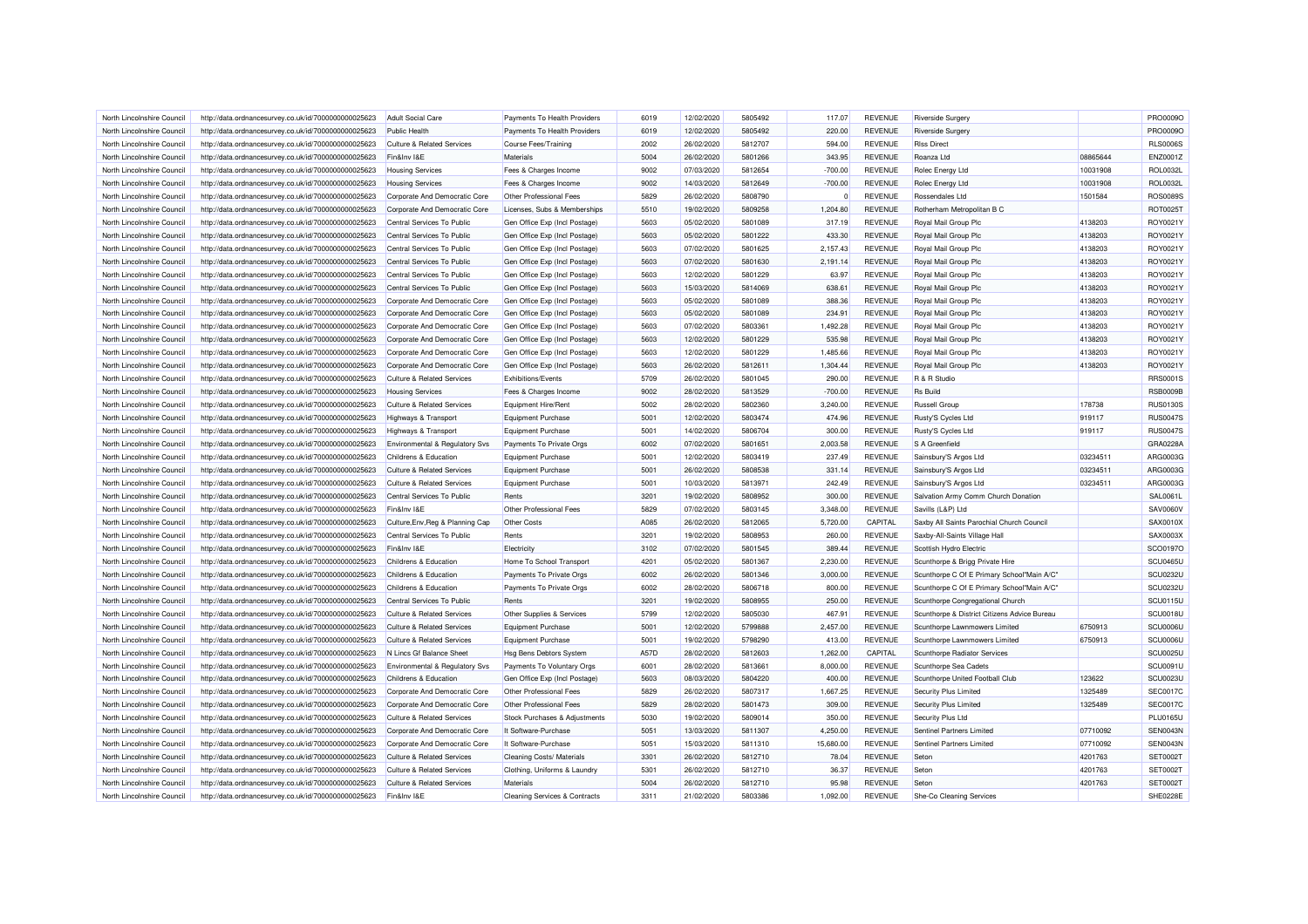| North Lincolnshire Council | http://data.ordnancesurvey.co.uk/id/7000000000025623 | <b>Adult Social Care</b>              | Payments To Health Providers             | 6019         | 12/02/2020 | 5805492            | 117.07           | <b>REVENUE</b>                   | <b>Riverside Surgery</b>                                 |          | PRO0009O             |
|----------------------------|------------------------------------------------------|---------------------------------------|------------------------------------------|--------------|------------|--------------------|------------------|----------------------------------|----------------------------------------------------------|----------|----------------------|
| North Lincolnshire Council | http://data.ordnancesurvey.co.uk/id/7000000000025623 | Public Health                         | Payments To Health Providers             | 6019         | 12/02/2020 | 5805492            | 220.00           | <b>REVENUE</b>                   | <b>Riverside Surgery</b>                                 |          | PRO0009O             |
| North Lincolnshire Council | http://data.ordnancesurvey.co.uk/id/7000000000025623 | <b>Culture &amp; Related Services</b> | Course Fees/Training                     | 2002         | 26/02/2020 | 5812707            | 594.00           | REVENUE                          | <b>RIss Direct</b>                                       |          | <b>RLS0006S</b>      |
| North Lincolnshire Council | http://data.ordnancesurvey.co.uk/id/7000000000025623 | Fin&Inv I&E                           | Materials                                | 5004         | 26/02/2020 | 5801266            | 343.95           | <b>REVENUE</b>                   | Roanza Ltd                                               | 08865644 | ENZ0001Z             |
| North Lincolnshire Council | http://data.ordnancesurvey.co.uk/id/7000000000025623 | <b>Housing Services</b>               | Fees & Charges Income                    | 9002         | 07/03/2020 | 5812654            | $-700.00$        | <b>REVENUE</b>                   | Rolec Energy Ltd                                         | 10031908 | <b>ROL0032L</b>      |
| North Lincolnshire Council | http://data.ordnancesurvey.co.uk/id/7000000000025623 | <b>Housing Services</b>               | Fees & Charges Income                    | 9002         | 14/03/2020 | 5812649            | $-700.00$        | <b>REVENUE</b>                   | Rolec Energy Ltd                                         | 10031908 | <b>ROL0032L</b>      |
| North Lincolnshire Council | http://data.ordnancesurvey.co.uk/id/7000000000025623 | Corporate And Democratic Core         | Other Professional Fees                  | 5829         | 26/02/2020 | 5808790            | $\Omega$         | <b>REVENUE</b>                   | Rossendales Ltd                                          | 1501584  | <b>ROS0089S</b>      |
| North Lincolnshire Council | http://data.ordnancesurvey.co.uk/id/7000000000025623 | Corporate And Democratic Core         | Licenses, Subs & Memberships             | 5510         | 19/02/2020 | 5809258            | 1,204.80         | <b>REVENUE</b>                   | Rotherham Metropolitan B C                               |          | ROT0025T             |
| North Lincolnshire Council | http://data.ordnancesurvey.co.uk/id/7000000000025623 | Central Services To Public            | Gen Office Exp (Incl Postage)            | 5603         | 05/02/2020 | 5801089            | 317.19           | <b>REVENUE</b>                   | Royal Mail Group Plc                                     | 4138203  | ROY0021Y             |
| North Lincolnshire Council | http://data.ordnancesurvey.co.uk/id/7000000000025623 | Central Services To Public            | Gen Office Exp (Incl Postage)            | 5603         | 05/02/2020 | 5801222            | 433.30           | <b>REVENUE</b>                   | Royal Mail Group Plc                                     | 4138203  | ROY0021Y             |
| North Lincolnshire Council | http://data.ordnancesurvey.co.uk/id/7000000000025623 | Central Services To Public            | Gen Office Exp (Incl Postage)            | 5603         | 07/02/2020 | 5801625            | 2,157.43         | <b>REVENUE</b>                   | Royal Mail Group Plc                                     | 4138203  | ROY0021Y             |
| North Lincolnshire Council | http://data.ordnancesurvey.co.uk/id/7000000000025623 | Central Services To Public            | Gen Office Exp (Incl Postage)            | 5603         | 07/02/2020 | 5801630            | 2.191.14         | <b>REVENUE</b>                   | Royal Mail Group Plc                                     | 4138203  | ROY0021Y             |
| North Lincolnshire Council | http://data.ordnancesurvey.co.uk/id/7000000000025623 | Central Services To Public            | Gen Office Exp (Incl Postage)            | 5603         | 12/02/2020 | 5801229            | 63.97            | <b>REVENUE</b>                   | Royal Mail Group Plc                                     | 4138203  | ROY0021Y             |
| North Lincolnshire Council | http://data.ordnancesurvey.co.uk/id/7000000000025623 | Central Services To Public            | Gen Office Exp (Incl Postage)            | 5603         | 15/03/2020 | 5814069            | 638.61           | <b>REVENUE</b>                   | Royal Mail Group Plc                                     | 4138203  | ROY0021Y             |
| North Lincolnshire Council | http://data.ordnancesurvey.co.uk/id/7000000000025623 | Corporate And Democratic Core         | Gen Office Exp (Incl Postage)            | 5603         | 05/02/2020 | 5801089            | 388.36           | <b>REVENUE</b>                   | Royal Mail Group Plc                                     | 4138203  | ROY0021Y             |
| North Lincolnshire Council | http://data.ordnancesurvey.co.uk/id/7000000000025623 | Corporate And Democratic Core         | Gen Office Exp (Incl Postage)            | 5603         | 05/02/2020 | 5801089            | 234.91           | <b>REVENUE</b>                   | Royal Mail Group Plc                                     | 4138203  | ROY0021Y             |
| North Lincolnshire Council | http://data.ordnancesurvey.co.uk/id/7000000000025623 | Corporate And Democratic Core         | Gen Office Exp (Incl Postage)            | 5603         | 07/02/2020 | 5803361            | 1,492.28         | <b>REVENUE</b>                   | Royal Mail Group Plc                                     | 4138203  | ROY0021Y             |
| North Lincolnshire Council | http://data.ordnancesurvey.co.uk/id/7000000000025623 | Corporate And Democratic Core         | Gen Office Exp (Incl Postage)            | 5603         | 12/02/2020 | 5801229            | 535.98           | <b>REVENUE</b>                   | Royal Mail Group Plc                                     | 4138203  | ROY0021Y             |
| North Lincolnshire Council | http://data.ordnancesurvey.co.uk/id/7000000000025623 | Corporate And Democratic Core         | Gen Office Exp (Incl Postage)            | 5603         | 12/02/2020 | 5801229            | 1,485.66         | <b>REVENUE</b>                   | Royal Mail Group Plc                                     | 4138203  | ROY0021Y             |
| North Lincolnshire Council | http://data.ordnancesurvey.co.uk/id/7000000000025623 | Corporate And Democratic Core         | Gen Office Exp (Incl Postage)            | 5603         | 26/02/2020 | 5812611            | 1,304.44         | <b>REVENUE</b>                   | Royal Mail Group Plc                                     | 4138203  | ROY0021Y             |
| North Lincolnshire Council | http://data.ordnancesurvey.co.uk/id/7000000000025623 | <b>Culture &amp; Related Services</b> | Exhibitions/Events                       | 5709         | 26/02/2020 | 5801045            | 290.00           | <b>REVENUE</b>                   | R & R Studio                                             |          | <b>RRS0001S</b>      |
| North Lincolnshire Council | http://data.ordnancesurvey.co.uk/id/7000000000025623 | <b>Housing Services</b>               | Fees & Charges Income                    | 9002         | 28/02/2020 | 5813529            | $-700.00$        | <b>REVENUE</b>                   | <b>Rs Build</b>                                          |          | <b>RSB0009B</b>      |
| North Lincolnshire Council | http://data.ordnancesurvey.co.uk/id/7000000000025623 | Culture & Related Services            | Equipment Hire/Rent                      | 5002         | 28/02/2020 | 5802360            | 3.240.00         | <b>REVENUE</b>                   | <b>Russell Group</b>                                     | 178738   | <b>RUS0130S</b>      |
| North Lincolnshire Council | http://data.ordnancesurvey.co.uk/id/7000000000025623 | Highways & Transport                  | <b>Equipment Purchase</b>                | 5001         | 12/02/2020 | 5803474            | 474.96           | <b>REVENUE</b>                   | Rusty'S Cycles Ltd                                       | 919117   | <b>RUS0047S</b>      |
| North Lincolnshire Council | http://data.ordnancesurvey.co.uk/id/7000000000025623 | Highways & Transport                  | Equipment Purchase                       | 5001         | 14/02/2020 | 5806704            | 300.00           | <b>REVENUE</b>                   | Rusty'S Cycles Ltd                                       | 919117   | <b>RUS0047S</b>      |
| North Lincolnshire Council | http://data.ordnancesurvey.co.uk/id/7000000000025623 | Environmental & Regulatory Svs        | Payments To Private Orgs                 | 6002         | 07/02/2020 | 5801651            | 2,003.58         | <b>REVENUE</b>                   | S A Greenfield                                           |          | GRA0228A             |
| North Lincolnshire Council | http://data.ordnancesurvey.co.uk/id/7000000000025623 | Childrens & Education                 | Equipment Purchase                       | 5001         | 12/02/2020 | 5803419            | 237.49           | <b>REVENUE</b>                   | Sainsbury'S Argos Ltd                                    | 03234511 | ARG0003G             |
| North Lincolnshire Council | http://data.ordnancesurvey.co.uk/id/7000000000025623 | <b>Culture &amp; Related Services</b> | Equipment Purchase                       | 5001         | 26/02/2020 | 5808538            | 331.14           | <b>REVENUE</b>                   | Sainsbury'S Argos Ltd                                    | 03234511 | ARG0003G             |
| North Lincolnshire Council | http://data.ordnancesurvey.co.uk/id/7000000000025623 | <b>Culture &amp; Related Services</b> | Equipment Purchase                       | 5001         | 10/03/2020 | 5813971            | 242.49           | <b>REVENUE</b>                   | Sainsbury'S Argos Ltd                                    | 03234511 | ARG0003G             |
| North Lincolnshire Council | http://data.ordnancesurvey.co.uk/id/7000000000025623 | Central Services To Public            | Rents                                    | 3201         | 19/02/2020 | 5808952            | 300.00           | <b>REVENUE</b>                   | Salvation Army Comm Church Donation                      |          | SAL0061L             |
| North Lincolnshire Council | http://data.ordnancesurvey.co.uk/id/7000000000025623 | Fin&Inv I&E                           | Other Professional Fees                  | 5829         | 07/02/2020 | 5803145            | 3,348.00         | <b>REVENUE</b>                   | Savills (L&P) Ltd                                        |          | SAV0060V             |
| North Lincolnshire Council | http://data.ordnancesurvey.co.uk/id/7000000000025623 | Culture, Env, Reg & Planning Cap      | Other Costs                              | A085         | 26/02/2020 | 5812065            | 5,720.00         | CAPITAL                          | Saxby All Saints Parochial Church Council                |          | SAX0010X             |
| North Lincolnshire Council |                                                      | Central Services To Public            | Rents                                    | 3201         | 19/02/2020 | 5808953            | 260.00           | <b>REVENUE</b>                   |                                                          |          | SAX0003X             |
| North Lincolnshire Council | http://data.ordnancesurvey.co.uk/id/7000000000025623 | Fin&Inv I&E                           |                                          | 3102         | 07/02/2020 | 5801545            | 389.44           | <b>REVENUE</b>                   | Saxby-All-Saints Village Hall<br>Scottish Hydro Electric |          | SCO0197O             |
|                            | http://data.ordnancesurvey.co.uk/id/7000000000025623 |                                       | Electricity                              | 4201         |            |                    |                  |                                  |                                                          |          | SCU0465U             |
| North Lincolnshire Council | http://data.ordnancesurvey.co.uk/id/7000000000025623 | Childrens & Education                 | Home To School Transport                 |              | 05/02/2020 | 5801367            | 2,230.00         | <b>REVENUE</b>                   | Scunthorpe & Brigg Private Hire                          |          |                      |
| North Lincolnshire Council | http://data.ordnancesurvey.co.uk/id/7000000000025623 | Childrens & Education                 | Payments To Private Orgs                 | 6002         | 26/02/2020 | 5801346            | 3,000.00         | <b>REVENUE</b>                   | Scunthorpe C Of E Primary School"Main A/C"               |          | SCU0232U             |
| North Lincolnshire Council | http://data.ordnancesurvey.co.uk/id/7000000000025623 | Childrens & Education                 | Payments To Private Orgs                 | 6002         | 28/02/2020 | 5806718            | 800.00           | <b>REVENUE</b>                   | Scunthorpe C Of E Primary School"Main A/C"               |          | <b>SCU0232U</b>      |
| North Lincolnshire Council | http://data.ordnancesurvey.co.uk/id/7000000000025623 | Central Services To Public            | Rents                                    | 3201<br>5799 | 19/02/2020 | 5808955<br>5805030 | 250.00<br>467.91 | <b>REVENUE</b><br><b>REVENUE</b> | Scunthorpe Congregational Church                         |          | SCU0115U<br>SCU0018U |
| North Lincolnshire Council | http://data.ordnancesurvey.co.uk/id/7000000000025623 | <b>Culture &amp; Related Services</b> | Other Supplies & Services                |              | 12/02/2020 |                    |                  |                                  | Scunthorpe & District Citizens Advice Bureau             |          |                      |
| North Lincolnshire Council | http://data.ordnancesurvey.co.uk/id/7000000000025623 | <b>Culture &amp; Related Services</b> | Equipment Purchase                       | 5001         | 12/02/2020 | 5799888            | 2,457.00         | <b>REVENUE</b>                   | Scunthorpe Lawnmowers Limited                            | 6750913  | SCU0006U             |
| North Lincolnshire Council | http://data.ordnancesurvey.co.uk/id/7000000000025623 | <b>Culture &amp; Related Services</b> | Equipment Purchase                       | 5001         | 19/02/2020 | 5798290            | 413.00           | <b>REVENUE</b>                   | Scunthorpe Lawnmowers Limited                            | 6750913  | SCU0006U             |
| North Lincolnshire Council | http://data.ordnancesurvey.co.uk/id/7000000000025623 | N Lincs Gf Balance Sheet              | <b>Hsg Bens Debtors System</b>           | A57D         | 28/02/2020 | 5812603            | 1,262.00         | CAPITAL                          | Scunthorpe Radiator Services                             |          | SCU0025U             |
| North Lincolnshire Council | http://data.ordnancesurvey.co.uk/id/7000000000025623 | Environmental & Regulatory Svs        | Payments To Voluntary Orgs               | 6001         | 28/02/2020 | 5813661            | 8,000.00         | <b>REVENUE</b>                   | Scunthorpe Sea Cadets                                    |          | SCU0091U             |
| North Lincolnshire Council | http://data.ordnancesurvey.co.uk/id/7000000000025623 | Childrens & Education                 | Gen Office Exp (Incl Postage)            | 5603         | 08/03/2020 | 5804220            | 400.00           | <b>REVENUE</b>                   | Scunthorpe United Football Club                          | 123622   | SCU0023U             |
| North Lincolnshire Council | http://data.ordnancesurvey.co.uk/id/7000000000025623 | Corporate And Democratic Core         | Other Professional Fees                  | 5829         | 26/02/2020 | 5807317            | 1,667.25         | <b>REVENUE</b>                   | Security Plus Limited                                    | 1325489  | <b>SEC0017C</b>      |
| North Lincolnshire Council | http://data.ordnancesurvey.co.uk/id/7000000000025623 | Corporate And Democratic Core         | Other Professional Fees                  | 5829         | 28/02/2020 | 5801473            | 309.00           | <b>REVENUE</b>                   | Security Plus Limited                                    | 1325489  | <b>SEC0017C</b>      |
| North Lincolnshire Council | http://data.ordnancesurvey.co.uk/id/7000000000025623 | <b>Culture &amp; Related Services</b> | Stock Purchases & Adjustments            | 5030         | 19/02/2020 | 5809014            | 350.00           | <b>REVENUE</b>                   | Security Plus Ltd                                        |          | <b>PLU0165U</b>      |
| North Lincolnshire Council | http://data.ordnancesurvey.co.uk/id/7000000000025623 | Corporate And Democratic Core         | It Software-Purchase                     | 5051         | 13/03/2020 | 5811307            | 4,250.00         | <b>REVENUE</b>                   | Sentinel Partners Limited                                | 07710092 | SEN0043N             |
| North Lincolnshire Council | http://data.ordnancesurvey.co.uk/id/7000000000025623 | Corporate And Democratic Core         | It Software-Purchase                     | 5051         | 15/03/2020 | 5811310            | 15,680.00        | <b>REVENUE</b>                   | Sentinel Partners Limited                                | 07710092 | SEN0043N             |
| North Lincolnshire Council | http://data.ordnancesurvey.co.uk/id/7000000000025623 | <b>Culture &amp; Related Services</b> | <b>Cleaning Costs/ Materials</b>         | 3301         | 26/02/2020 | 5812710            | 78.04            | <b>REVENUE</b>                   | Seton                                                    | 4201763  | <b>SET0002T</b>      |
| North Lincolnshire Council | http://data.ordnancesurvey.co.uk/id/7000000000025623 | <b>Culture &amp; Related Services</b> | Clothing, Uniforms & Laundry             | 5301         | 26/02/2020 | 5812710            | 36.37            | <b>REVENUE</b>                   | Seton                                                    | 4201763  | SET0002T             |
| North Lincolnshire Council | http://data.ordnancesurvey.co.uk/id/7000000000025623 | <b>Culture &amp; Related Services</b> | Materials                                | 5004         | 26/02/2020 | 5812710            | 95.98            | <b>REVENUE</b>                   | Seton                                                    | 4201763  | <b>SET0002T</b>      |
| North Lincolnshire Council | http://data.ordnancesurvey.co.uk/id/7000000000025623 | Fin&Inv I&F                           | <b>Cleaning Services &amp; Contracts</b> | 3311         | 21/02/2020 | 5803386            | 1,092.00         | <b>REVENUE</b>                   | She-Co Cleaning Services                                 |          | SHE0228E             |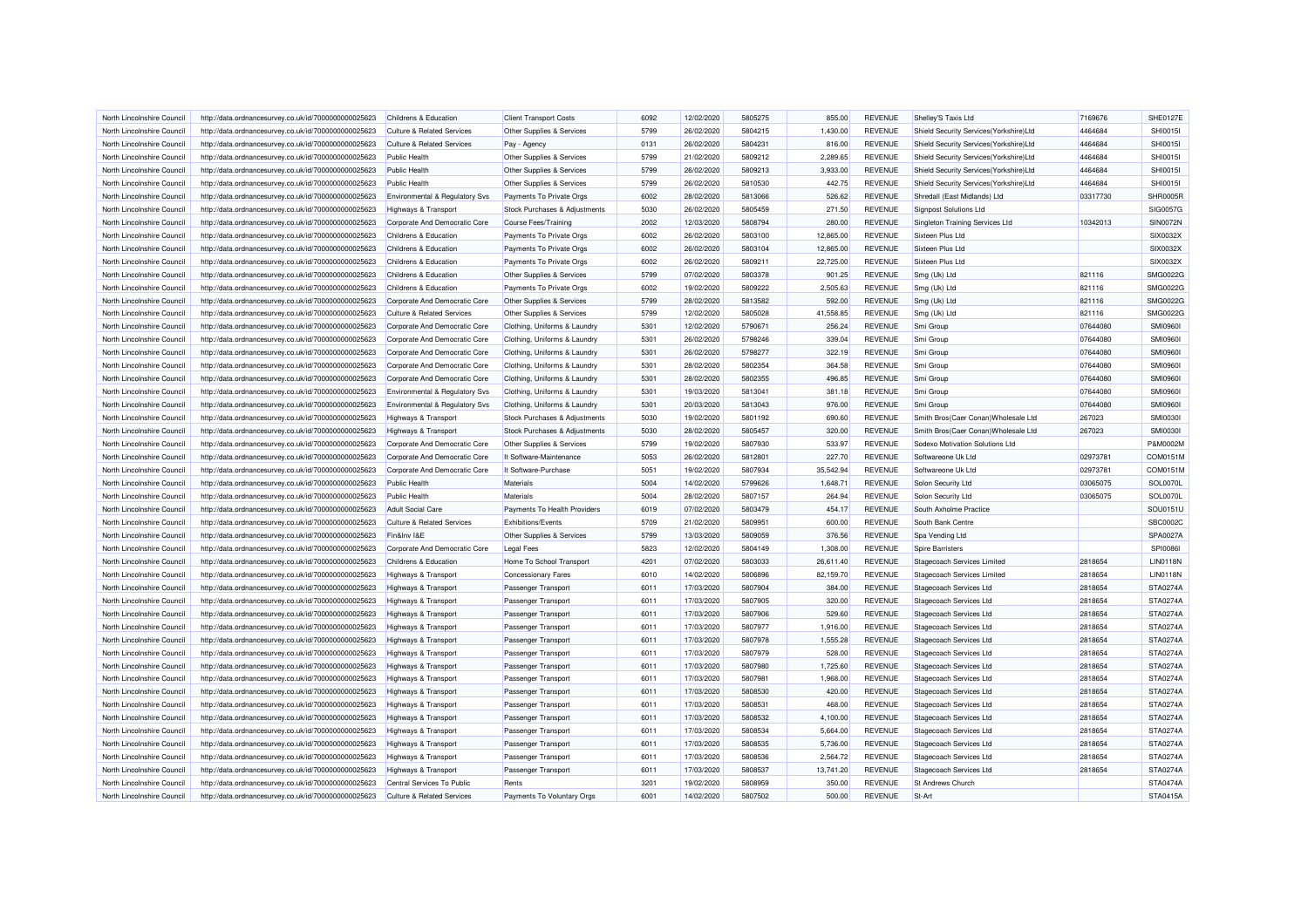| North Lincolnshire Council | http://data.ordnancesurvey.co.uk/id/7000000000025623 | Childrens & Education                 | <b>Client Transport Costs</b> | 6092 | 12/02/2020 | 5805275 | 855.00    | <b>REVENUE</b> | Shelley'S Taxis Ltd                     | 7169676  | <b>SHE0127E</b> |
|----------------------------|------------------------------------------------------|---------------------------------------|-------------------------------|------|------------|---------|-----------|----------------|-----------------------------------------|----------|-----------------|
| North Lincolnshire Council | http://data.ordnancesurvey.co.uk/id/7000000000025623 | <b>Culture &amp; Related Services</b> | Other Supplies & Services     | 5799 | 26/02/2020 | 5804215 | 1,430.00  | <b>REVENUE</b> | Shield Security Services(Yorkshire)Ltd  | 4464684  | <b>SHI0015I</b> |
| North Lincolnshire Council | http://data.ordnancesurvey.co.uk/id/7000000000025623 | <b>Culture &amp; Related Services</b> | Pay - Agency                  | 0131 | 26/02/2020 | 5804231 | 816.00    | <b>REVENUE</b> | Shield Security Services(Yorkshire)Ltd  | 4464684  | <b>SHI0015I</b> |
| North Lincolnshire Council | http://data.ordnancesurvey.co.uk/id/7000000000025623 | <b>Public Health</b>                  | Other Supplies & Services     | 5799 | 21/02/2020 | 5809212 | 2,289.65  | <b>REVENUE</b> | Shield Security Services(Yorkshire)Ltd  | 4464684  | <b>SHI0015I</b> |
| North Lincolnshire Council | http://data.ordnancesurvey.co.uk/id/7000000000025623 | <b>Public Health</b>                  | Other Supplies & Services     | 5799 | 26/02/2020 | 5809213 | 3,933.00  | <b>REVENUE</b> | Shield Security Services (Yorkshire)Ltd | 4464684  | <b>SHI0015I</b> |
| North Lincolnshire Council | http://data.ordnancesurvey.co.uk/id/7000000000025623 | Public Health                         | Other Supplies & Services     | 5799 | 26/02/2020 | 5810530 | 442.75    | <b>REVENUE</b> | Shield Security Services(Yorkshire)Ltd  | 4464684  | SHI0015I        |
| North Lincolnshire Council | http://data.ordnancesurvey.co.uk/id/7000000000025623 | Environmental & Regulatory Svs        | Payments To Private Orgs      | 6002 | 28/02/2020 | 5813066 | 526.62    | <b>REVENUE</b> | Shredall (East Midlands) Ltd            | 03317730 | SHR0005R        |
| North Lincolnshire Council | http://data.ordnancesurvey.co.uk/id/7000000000025623 | <b>Highways &amp; Transport</b>       | Stock Purchases & Adjustments | 5030 | 26/02/2020 | 5805459 | 271.50    | <b>REVENUE</b> | <b>Signpost Solutions Ltd</b>           |          | SIG0057G        |
| North Lincolnshire Council | http://data.ordnancesurvey.co.uk/id/7000000000025623 | Corporate And Democratic Core         | <b>Course Fees/Training</b>   | 2002 | 12/03/2020 | 5808794 | 280.00    | <b>REVENUE</b> | Singleton Training Services Ltd         | 10342013 | <b>SIN0072N</b> |
| North Lincolnshire Council | http://data.ordnancesurvey.co.uk/id/7000000000025623 | Childrens & Education                 | Payments To Private Orgs      | 6002 | 26/02/2020 | 5803100 | 12,865.00 | <b>REVENUE</b> | Sixteen Plus Ltd                        |          | SIX0032X        |
| North Lincolnshire Council | http://data.ordnancesurvey.co.uk/id/7000000000025623 | Childrens & Education                 | Payments To Private Orgs      | 6002 | 26/02/2020 | 5803104 | 12,865.00 | <b>REVENUE</b> | Sixteen Plus Ltd                        |          | SIX0032X        |
| North Lincolnshire Council | http://data.ordnancesurvey.co.uk/id/7000000000025623 | Childrens & Education                 | Payments To Private Orgs      | 6002 | 26/02/2020 | 5809211 | 22,725.00 | <b>REVENUE</b> | Sixteen Plus Ltd                        |          | SIX0032X        |
| North Lincolnshire Council | http://data.ordnancesurvey.co.uk/id/7000000000025623 | Childrens & Education                 | Other Supplies & Services     | 5799 | 07/02/2020 | 5803378 | 901.25    | <b>REVENUE</b> | Smg (Uk) Ltd                            | 821116   | SMG0022C        |
| North Lincolnshire Council | http://data.ordnancesurvey.co.uk/id/7000000000025623 | Childrens & Education                 | Payments To Private Orgs      | 6002 | 19/02/2020 | 5809222 | 2,505.63  | <b>REVENUE</b> | Smg (Uk) Ltd                            | 821116   | SMG0022G        |
| North Lincolnshire Council | http://data.ordnancesurvey.co.uk/id/7000000000025623 | Corporate And Democratic Core         | Other Supplies & Services     | 5799 | 28/02/2020 | 5813582 | 592.00    | <b>REVENUE</b> | Smg (Uk) Ltd                            | 821116   | SMG0022G        |
| North Lincolnshire Council | http://data.ordnancesurvey.co.uk/id/7000000000025623 | <b>Culture &amp; Related Services</b> | Other Supplies & Services     | 5799 | 12/02/2020 | 5805028 | 41,558.85 | <b>REVENUE</b> | Smg (Uk) Ltd                            | 821116   | SMG0022C        |
| North Lincolnshire Council | http://data.ordnancesurvey.co.uk/id/7000000000025623 | Corporate And Democratic Core         | Clothing, Uniforms & Laundry  | 5301 | 12/02/2020 | 5790671 | 256.24    | <b>REVENUE</b> | Smi Group                               | 07644080 | <b>SMI09601</b> |
| North Lincolnshire Council | http://data.ordnancesurvey.co.uk/id/7000000000025623 | Corporate And Democratic Core         | Clothing, Uniforms & Laundry  | 5301 | 26/02/2020 | 5798246 | 339.04    | <b>REVENUE</b> | Smi Group                               | 07644080 | <b>SMI09601</b> |
| North Lincolnshire Council | http://data.ordnancesurvey.co.uk/id/7000000000025623 | Corporate And Democratic Core         | Clothing, Uniforms & Laundry  | 5301 | 26/02/2020 | 5798277 | 322.19    | <b>REVENUE</b> | Smi Group                               | 07644080 | <b>SMI09601</b> |
| North Lincolnshire Council | http://data.ordnancesurvey.co.uk/id/7000000000025623 | Corporate And Democratic Core         | Clothing, Uniforms & Laundry  | 5301 | 28/02/2020 | 5802354 | 364.58    | <b>REVENUE</b> | Smi Group                               | 07644080 | <b>SMI0960I</b> |
| North Lincolnshire Council | http://data.ordnancesurvey.co.uk/id/7000000000025623 | Corporate And Democratic Core         | Clothing, Uniforms & Laundry  | 5301 | 28/02/2020 | 5802355 | 496.85    | <b>REVENUE</b> | Smi Group                               | 07644080 | <b>SMI09601</b> |
| North Lincolnshire Council | http://data.ordnancesurvey.co.uk/id/7000000000025623 | Environmental & Regulatory Svs        | Clothing, Uniforms & Laundry  | 5301 | 19/03/2020 | 5813041 | 381.18    | <b>REVENUE</b> | Smi Group                               | 07644080 | <b>SMI09601</b> |
| North Lincolnshire Council | http://data.ordnancesurvey.co.uk/id/7000000000025623 | Environmental & Regulatory Svs        | Clothing, Uniforms & Laundry  | 5301 | 20/03/2020 | 5813043 | 976.00    | <b>REVENUE</b> | Smi Group                               | 07644080 | <b>SMI09601</b> |
| North Lincolnshire Council | http://data.ordnancesurvey.co.uk/id/7000000000025623 | Highways & Transport                  | Stock Purchases & Adjustments | 5030 | 19/02/2020 | 5801192 | 690.60    | <b>REVENUE</b> | Smith Bros(Caer Conan) Wholesale Ltd    | 267023   | <b>SMI0030I</b> |
| North Lincolnshire Council | http://data.ordnancesurvey.co.uk/id/7000000000025623 | <b>Highways &amp; Transport</b>       | Stock Purchases & Adjustments | 5030 | 28/02/2020 | 5805457 | 320.00    | <b>REVENUE</b> | Smith Bros(Caer Conan) Wholesale Ltd    | 267023   | <b>SMI0030I</b> |
| North Lincolnshire Council | http://data.ordnancesurvey.co.uk/id/7000000000025623 | Corporate And Democratic Core         | Other Supplies & Services     | 5799 | 19/02/2020 | 5807930 | 533.97    | <b>REVENUE</b> | Sodexo Motivation Solutions Ltd         |          | P&M0002M        |
| North Lincolnshire Council | http://data.ordnancesurvey.co.uk/id/7000000000025623 | Corporate And Democratic Core         | It Software-Maintenance       | 5053 | 26/02/2020 | 5812801 | 227.70    | <b>REVENUE</b> | Softwareone Uk Ltd                      | 02973781 | COM0151M        |
| North Lincolnshire Council | http://data.ordnancesurvey.co.uk/id/7000000000025623 | Corporate And Democratic Core         | It Software-Purchase          | 5051 | 19/02/2020 | 5807934 | 35,542.94 | <b>REVENUE</b> | Softwareone Uk Ltd                      | 02973781 | COM0151M        |
| North Lincolnshire Council | http://data.ordnancesurvey.co.uk/id/7000000000025623 | <b>Public Health</b>                  | Materials                     | 5004 | 14/02/2020 | 5799626 | 1.648.71  | <b>REVENUE</b> | Solon Security Ltd                      | 03065075 | SOL0070L        |
| North Lincolnshire Council | http://data.ordnancesurvey.co.uk/id/7000000000025623 | Public Health                         | Materials                     | 5004 | 28/02/2020 | 5807157 | 264.94    | <b>REVENUE</b> | Solon Security Ltd                      | 03065075 | SOL0070L        |
| North Lincolnshire Council | http://data.ordnancesurvey.co.uk/id/7000000000025623 | <b>Adult Social Care</b>              | Payments To Health Providers  | 6019 | 07/02/2020 | 5803479 | 454.17    | <b>REVENUE</b> | South Axholme Practice                  |          | SOU0151L        |
| North Lincolnshire Council | http://data.ordnancesurvey.co.uk/id/7000000000025623 | <b>Culture &amp; Related Services</b> | Exhibitions/Events            | 5709 | 21/02/2020 | 5809951 | 600.00    | <b>REVENUE</b> | South Bank Centre                       |          | SBC0002C        |
| North Lincolnshire Council | http://data.ordnancesurvey.co.uk/id/7000000000025623 | Fin&Inv I&E                           | Other Supplies & Services     | 5799 | 13/03/2020 | 5809059 | 376.56    | <b>REVENUE</b> | Spa Vending Ltd                         |          | SPA0027A        |
| North Lincolnshire Council | http://data.ordnancesurvey.co.uk/id/7000000000025623 | Corporate And Democratic Core         | <b>Legal Fees</b>             | 5823 | 12/02/2020 | 5804149 | 1,308.00  | <b>REVENUE</b> | <b>Spire Barristers</b>                 |          | <b>SPI0086I</b> |
| North Lincolnshire Council | http://data.ordnancesurvey.co.uk/id/7000000000025623 | Childrens & Education                 | Home To School Transport      | 4201 | 07/02/2020 | 5803033 | 26.611.40 | <b>REVENUE</b> | Stagecoach Services Limited             | 2818654  | <b>LIN0118N</b> |
| North Lincolnshire Council | http://data.ordnancesurvey.co.uk/id/7000000000025623 | Highways & Transport                  | <b>Concessionary Fares</b>    | 6010 | 14/02/2020 | 5806896 | 82,159.70 | <b>REVENUE</b> | Stagecoach Services Limited             | 2818654  | <b>LIN0118N</b> |
| North Lincolnshire Council | http://data.ordnancesurvey.co.uk/id/7000000000025623 | Highways & Transport                  | Passenger Transport           | 6011 | 17/03/2020 | 5807904 | 384.00    | <b>REVENUE</b> | <b>Stagecoach Services Ltd</b>          | 2818654  | STA0274A        |
| North Lincolnshire Council | http://data.ordnancesurvey.co.uk/id/7000000000025623 | Highways & Transport                  | Passenger Transport           | 6011 | 17/03/2020 | 5807905 | 320.00    | <b>REVENUE</b> | Stagecoach Services Ltd                 | 2818654  | STA0274A        |
| North Lincolnshire Council | http://data.ordnancesurvey.co.uk/id/7000000000025623 | Highways & Transport                  | <b>Passenger Transport</b>    | 6011 | 17/03/2020 | 5807906 | 529.60    | <b>REVENUE</b> | Stagecoach Services Ltd                 | 2818654  | STA0274A        |
| North Lincolnshire Council | http://data.ordnancesurvey.co.uk/id/7000000000025623 | Highways & Transport                  | Passenger Transport           | 6011 | 17/03/2020 | 5807977 | 1,916.00  | <b>REVENUE</b> | <b>Stagecoach Services Ltd</b>          | 2818654  | STA0274A        |
| North Lincolnshire Council | http://data.ordnancesurvey.co.uk/id/7000000000025623 | <b>Highways &amp; Transport</b>       | Passenger Transport           | 6011 | 17/03/2020 | 5807978 | 1,555.28  | <b>REVENUE</b> | Stagecoach Services Ltd                 | 2818654  | STA0274A        |
| North Lincolnshire Council | http://data.ordnancesurvey.co.uk/id/7000000000025623 | Highways & Transport                  | Passenger Transport           | 6011 | 17/03/2020 | 5807979 | 528.00    | <b>REVENUE</b> | Stagecoach Services Ltd                 | 2818654  | STA0274A        |
| North Lincolnshire Council | http://data.ordnancesurvey.co.uk/id/7000000000025623 | Highways & Transport                  | Passenger Transport           | 6011 | 17/03/2020 | 5807980 | 1,725.60  | <b>REVENUE</b> | <b>Stagecoach Services Ltd</b>          | 2818654  | STA0274A        |
| North Lincolnshire Council | http://data.ordnancesurvey.co.uk/id/7000000000025623 | Highways & Transport                  | Passenger Transport           | 6011 | 17/03/2020 | 5807981 | 1.968.00  | <b>REVENUE</b> | Stagecoach Services Ltd                 | 2818654  | <b>STA0274A</b> |
| North Lincolnshire Council | http://data.ordnancesurvey.co.uk/id/7000000000025623 | <b>Highways &amp; Transport</b>       | Passenger Transport           | 6011 | 17/03/2020 | 5808530 | 420.00    | <b>REVENUE</b> | Stagecoach Services Ltd                 | 2818654  | STA0274A        |
| North Lincolnshire Council | http://data.ordnancesurvey.co.uk/id/7000000000025623 | <b>Highways &amp; Transport</b>       | Passenger Transport           | 6011 | 17/03/2020 | 5808531 | 468.00    | <b>REVENUE</b> | <b>Stagecoach Services Ltd</b>          | 2818654  | STA0274A        |
| North Lincolnshire Council | http://data.ordnancesurvey.co.uk/id/7000000000025623 | <b>Highways &amp; Transport</b>       | Passenger Transport           | 6011 | 17/03/2020 | 5808532 | 4,100.00  | <b>REVENUE</b> | <b>Stagecoach Services Ltd</b>          | 2818654  | STA0274A        |
| North Lincolnshire Council | http://data.ordnancesurvey.co.uk/id/7000000000025623 | <b>Highways &amp; Transport</b>       | Passenger Transport           | 6011 | 17/03/2020 | 5808534 | 5,664.00  | REVENUE        | Stagecoach Services Ltd                 | 2818654  | STA0274A        |
| North Lincolnshire Council | http://data.ordnancesurvey.co.uk/id/7000000000025623 | Highways & Transport                  | Passenger Transport           | 6011 | 17/03/2020 | 5808535 | 5,736.00  | <b>REVENUE</b> | Stagecoach Services Ltd                 | 2818654  | STA0274A        |
| North Lincolnshire Council | http://data.ordnancesurvey.co.uk/id/7000000000025623 | Highways & Transport                  | Passenger Transport           | 6011 | 17/03/2020 | 5808536 | 2,564.72  | <b>REVENUE</b> | Stagecoach Services Ltd                 | 2818654  | STA0274A        |
| North Lincolnshire Council | http://data.ordnancesurvey.co.uk/id/7000000000025623 | <b>Highways &amp; Transport</b>       | <b>Passenger Transport</b>    | 6011 | 17/03/2020 | 5808537 | 13,741.20 | <b>REVENUE</b> | Stagecoach Services Ltd                 | 2818654  | STA0274A        |
| North Lincolnshire Council | http://data.ordnancesurvey.co.uk/id/7000000000025623 | Central Services To Public            | Rents                         | 3201 | 19/02/2020 | 5808959 | 350.00    | <b>REVENUE</b> | <b>St Andrews Church</b>                |          | STA0474A        |
| North Lincolnshire Council | http://data.ordnancesurvey.co.uk/id/7000000000025623 | <b>Culture &amp; Related Services</b> | Payments To Voluntary Orgs    | 6001 | 14/02/2020 | 5807502 | 500.00    | <b>REVENUE</b> | St-Art                                  |          | <b>STA0415A</b> |
|                            |                                                      |                                       |                               |      |            |         |           |                |                                         |          |                 |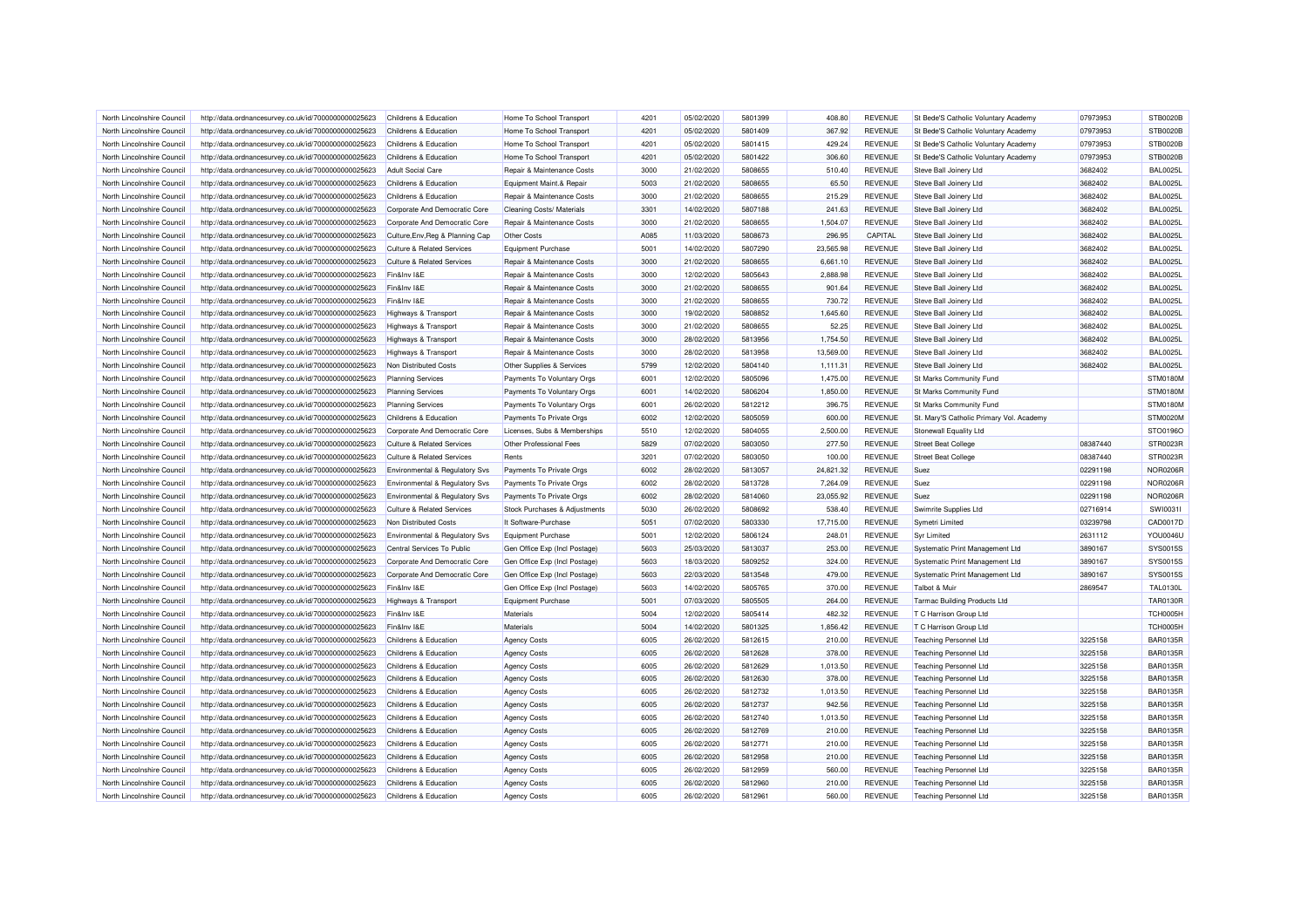| North Lincolnshire Council | http://data.ordnancesurvey.co.uk/id/7000000000025623 | Childrens & Education                     | Home To School Transport      | 4201 | 05/02/2020 | 5801399 | 408.80    | <b>REVENUE</b> | St Bede'S Catholic Voluntary Academy     | 07973953 | <b>STB0020B</b> |
|----------------------------|------------------------------------------------------|-------------------------------------------|-------------------------------|------|------------|---------|-----------|----------------|------------------------------------------|----------|-----------------|
| North Lincolnshire Council | http://data.ordnancesurvey.co.uk/id/7000000000025623 | Childrens & Education                     | Home To School Transport      | 4201 | 05/02/2020 | 5801409 | 367.92    | <b>REVENUE</b> | St Bede'S Catholic Voluntary Academy     | 07973953 | <b>STB0020B</b> |
| North Lincolnshire Council | http://data.ordnancesurvey.co.uk/id/7000000000025623 | Childrens & Education                     | Home To School Transport      | 4201 | 05/02/2020 | 5801415 | 429.24    | <b>REVENUE</b> | St Bede'S Catholic Voluntary Academy     | 07973953 | <b>STB0020B</b> |
| North Lincolnshire Council | http://data.ordnancesurvey.co.uk/id/7000000000025623 | <b>Childrens &amp; Education</b>          | Home To School Transport      | 4201 | 05/02/2020 | 5801422 | 306.60    | <b>REVENUE</b> | St Bede'S Catholic Voluntary Academy     | 07973953 | <b>STB0020B</b> |
| North Lincolnshire Council | http://data.ordnancesurvey.co.uk/id/7000000000025623 | <b>Adult Social Care</b>                  | Repair & Maintenance Costs    | 3000 | 21/02/2020 | 5808655 | 510.40    | <b>REVENUE</b> | Steve Ball Joinery Ltd                   | 3682402  | <b>BAL0025L</b> |
| North Lincolnshire Council | http://data.ordnancesurvey.co.uk/id/7000000000025623 | Childrens & Education                     | Equipment Maint.& Repair      | 5003 | 21/02/2020 | 5808655 | 65.50     | <b>REVENUE</b> | Steve Ball Joinery Ltd                   | 3682402  | <b>BAL0025L</b> |
| North Lincolnshire Council | http://data.ordnancesurvey.co.uk/id/7000000000025623 | Childrens & Education                     | Repair & Maintenance Costs    | 3000 | 21/02/2020 | 5808655 | 215.29    | <b>REVENUE</b> | Steve Ball Joinery Ltd                   | 3682402  | <b>BAL0025L</b> |
| North Lincolnshire Council | http://data.ordnancesurvey.co.uk/id/7000000000025623 | Corporate And Democratic Core             | Cleaning Costs/ Materials     | 3301 | 14/02/2020 | 5807188 | 241.63    | <b>REVENUE</b> | Steve Ball Joinery Ltd                   | 3682402  | <b>BAL0025L</b> |
| North Lincolnshire Council | http://data.ordnancesurvey.co.uk/id/7000000000025623 | Corporate And Democratic Core             | Repair & Maintenance Costs    | 3000 | 21/02/2020 | 5808655 | 1.504.07  | <b>REVENUE</b> | Steve Ball Joinery Ltd                   | 3682402  | <b>BAL0025L</b> |
| North Lincolnshire Council | http://data.ordnancesurvey.co.uk/id/7000000000025623 | Culture, Env, Reg & Planning Cap          | <b>Other Costs</b>            | A085 | 11/03/2020 | 5808673 | 296.95    | CAPITAL        | Steve Ball Joinery Ltd                   | 3682402  | <b>BAL0025L</b> |
| North Lincolnshire Council | http://data.ordnancesurvey.co.uk/id/7000000000025623 | <b>Culture &amp; Related Services</b>     | Equipment Purchase            | 5001 | 14/02/2020 | 5807290 | 23,565.98 | <b>REVENUE</b> | Steve Ball Joinery Ltd                   | 3682402  | <b>BAL0025L</b> |
| North Lincolnshire Council | http://data.ordnancesurvey.co.uk/id/7000000000025623 | <b>Culture &amp; Related Services</b>     | Repair & Maintenance Costs    | 3000 | 21/02/2020 | 5808655 | 6,661.10  | <b>REVENUE</b> | Steve Ball Joinery Ltd                   | 3682402  | <b>BAL0025L</b> |
| North Lincolnshire Council | http://data.ordnancesurvey.co.uk/id/7000000000025623 | Fin&Inv I&E                               | Repair & Maintenance Costs    | 3000 | 12/02/2020 | 5805643 | 2,888.98  | <b>REVENUE</b> | Steve Ball Joinery Ltd                   | 3682402  | <b>BAL0025I</b> |
| North Lincolnshire Council | http://data.ordnancesurvey.co.uk/id/7000000000025623 | Fin&Inv I&E                               | Repair & Maintenance Costs    | 3000 | 21/02/2020 | 5808655 | 901.64    | <b>REVENUE</b> | Steve Ball Joinery Ltd                   | 3682402  | <b>BAL0025L</b> |
| North Lincolnshire Council | http://data.ordnancesurvey.co.uk/id/7000000000025623 | Fin&Inv I&E                               | Repair & Maintenance Costs    | 3000 | 21/02/2020 | 5808655 | 730.72    | <b>REVENUE</b> | Steve Ball Joinery Ltd                   | 3682402  | <b>BAL0025L</b> |
| North Lincolnshire Council | http://data.ordnancesurvey.co.uk/id/7000000000025623 | Highways & Transport                      | Repair & Maintenance Costs    | 3000 | 19/02/2020 | 5808852 | 1,645.60  | <b>REVENUE</b> | Steve Ball Joinery Ltd                   | 3682402  | <b>BAL0025L</b> |
| North Lincolnshire Council | http://data.ordnancesurvey.co.uk/id/7000000000025623 | Highways & Transport                      | Repair & Maintenance Costs    | 3000 | 21/02/2020 | 5808655 | 52.25     | <b>REVENUE</b> | Steve Ball Joinery Ltd                   | 3682402  | <b>BAL0025L</b> |
| North Lincolnshire Council | http://data.ordnancesurvey.co.uk/id/7000000000025623 | Highways & Transport                      | Repair & Maintenance Costs    | 3000 | 28/02/2020 | 5813956 | 1,754.50  | <b>REVENUE</b> | Steve Ball Joinery Ltd                   | 3682402  | <b>BAL0025L</b> |
| North Lincolnshire Council | http://data.ordnancesurvey.co.uk/id/7000000000025623 | Highways & Transport                      | Repair & Maintenance Costs    | 3000 | 28/02/2020 | 5813958 | 13,569.00 | <b>REVENUE</b> | Steve Ball Joinery Ltd                   | 3682402  | <b>BAL0025L</b> |
| North Lincolnshire Council | http://data.ordnancesurvey.co.uk/id/7000000000025623 | Non Distributed Costs                     | Other Supplies & Services     | 5799 | 12/02/2020 | 5804140 | 1,111.31  | <b>REVENUE</b> | Steve Ball Joinery Ltd                   | 3682402  | <b>BAL0025L</b> |
| North Lincolnshire Council | http://data.ordnancesurvey.co.uk/id/7000000000025623 | <b>Planning Services</b>                  | Payments To Voluntary Orgs    | 6001 | 12/02/2020 | 5805096 | 1,475.00  | <b>REVENUE</b> | St Marks Community Fund                  |          | <b>STM0180M</b> |
| North Lincolnshire Council | http://data.ordnancesurvey.co.uk/id/7000000000025623 |                                           | Payments To Voluntary Orgs    | 6001 | 14/02/2020 | 5806204 | 1,850.00  | <b>REVENUE</b> | St Marks Community Fund                  |          | <b>STM0180M</b> |
|                            | http://data.ordnancesurvey.co.uk/id/7000000000025623 | <b>Planning Services</b>                  |                               | 6001 | 26/02/2020 | 5812212 | 396.75    | <b>REVENUE</b> |                                          |          | <b>STM0180M</b> |
| North Lincolnshire Council |                                                      | <b>Planning Services</b>                  | Payments To Voluntary Orgs    |      |            |         |           |                | St Marks Community Fund                  |          |                 |
| North Lincolnshire Council | http://data.ordnancesurvey.co.uk/id/7000000000025623 | Childrens & Education                     | Payments To Private Orgs      | 6002 | 12/02/2020 | 5805059 | 600.00    | <b>REVENUE</b> | St. Mary'S Catholic Primary Vol. Academy |          | STM0020M        |
| North Lincolnshire Council | http://data.ordnancesurvey.co.uk/id/7000000000025623 | Corporate And Democratic Core             | Licenses, Subs & Memberships  | 5510 | 12/02/2020 | 5804055 | 2,500.00  | <b>REVENUE</b> | Stonewall Equality Ltd                   |          | STO0196O        |
| North Lincolnshire Council | http://data.ordnancesurvey.co.uk/id/7000000000025623 | <b>Culture &amp; Related Services</b>     | Other Professional Fees       | 5829 | 07/02/2020 | 5803050 | 277.50    | <b>REVENUE</b> | <b>Street Beat College</b>               | 08387440 | STR0023R        |
| North Lincolnshire Council | http://data.ordnancesurvey.co.uk/id/7000000000025623 | <b>Culture &amp; Related Services</b>     | Rents                         | 3201 | 07/02/2020 | 5803050 | 100.00    | <b>REVENUE</b> | <b>Street Beat College</b>               | 08387440 | STR0023R        |
| North Lincolnshire Council | http://data.ordnancesurvey.co.uk/id/7000000000025623 | <b>Environmental &amp; Regulatory Svs</b> | Payments To Private Orgs      | 6002 | 28/02/2020 | 5813057 | 24.821.32 | <b>REVENUE</b> | Suez                                     | 02291198 | <b>NOR0206R</b> |
| North Lincolnshire Council | http://data.ordnancesurvey.co.uk/id/7000000000025623 | <b>Environmental &amp; Regulatory Svs</b> | Payments To Private Orgs      | 6002 | 28/02/2020 | 5813728 | 7,264.09  | <b>REVENUE</b> | Suez                                     | 02291198 | <b>NOR0206R</b> |
| North Lincolnshire Council | http://data.ordnancesurvey.co.uk/id/7000000000025623 | Environmental & Regulatory Svs            | Payments To Private Orgs      | 6002 | 28/02/2020 | 5814060 | 23,055.92 | <b>REVENUE</b> | Suez                                     | 02291198 | <b>NOR0206R</b> |
| North Lincolnshire Council | http://data.ordnancesurvey.co.uk/id/7000000000025623 | Culture & Related Services                | Stock Purchases & Adjustments | 5030 | 26/02/2020 | 5808692 | 538.40    | <b>REVENUE</b> | Swimrite Supplies Ltd                    | 02716914 | SW100311        |
| North Lincolnshire Council | http://data.ordnancesurvey.co.uk/id/7000000000025623 | Non Distributed Costs                     | It Software-Purchase          | 5051 | 07/02/2020 | 5803330 | 17,715.00 | <b>REVENUE</b> | Symetri Limited                          | 03239798 | CAD0017D        |
| North Lincolnshire Council | http://data.ordnancesurvey.co.uk/id/7000000000025623 | Environmental & Regulatory Svs            | Equipment Purchase            | 5001 | 12/02/2020 | 5806124 | 248.01    | <b>REVENUE</b> | <b>Syr Limited</b>                       | 2631112  | <b>YOU0046U</b> |
| North Lincolnshire Council | http://data.ordnancesurvey.co.uk/id/7000000000025623 | Central Services To Public                | Gen Office Exp (Incl Postage) | 5603 | 25/03/2020 | 5813037 | 253.00    | <b>REVENUE</b> | Systematic Print Management Ltd          | 3890167  | SYS0015S        |
| North Lincolnshire Council | http://data.ordnancesurvey.co.uk/id/7000000000025623 | Corporate And Democratic Core             | Gen Office Exp (Incl Postage) | 5603 | 18/03/2020 | 5809252 | 324.00    | <b>REVENUE</b> | Systematic Print Management Ltd          | 3890167  | SYS0015S        |
| North Lincolnshire Council | http://data.ordnancesurvey.co.uk/id/7000000000025623 | Corporate And Democratic Core             | Gen Office Exp (Incl Postage) | 5603 | 22/03/2020 | 5813548 | 479.00    | <b>REVENUE</b> | Systematic Print Management Ltd          | 3890167  | SYS0015S        |
| North Lincolnshire Council | http://data.ordnancesurvey.co.uk/id/7000000000025623 | Fin&Inv I&E                               | Gen Office Exp (Incl Postage) | 5603 | 14/02/2020 | 5805765 | 370.00    | <b>REVENUE</b> | Talbot & Muir                            | 2869547  | <b>TAL0130L</b> |
| North Lincolnshire Council | http://data.ordnancesurvey.co.uk/id/7000000000025623 | <b>Highways &amp; Transport</b>           | Equipment Purchase            | 5001 | 07/03/2020 | 5805505 | 264.00    | <b>REVENUE</b> | <b>Tarmac Building Products Ltd</b>      |          | <b>TAR0130R</b> |
| North Lincolnshire Council | http://data.ordnancesurvey.co.uk/id/7000000000025623 | Fin&Inv I&E                               | Materials                     | 5004 | 12/02/2020 | 5805414 | 482.32    | <b>REVENUE</b> | T C Harrison Group Ltd                   |          | TCH0005H        |
| North Lincolnshire Council | http://data.ordnancesurvey.co.uk/id/7000000000025623 | Fin&Inv I&E                               | Materials                     | 5004 | 14/02/2020 | 5801325 | 1.856.42  | <b>REVENUE</b> | T C Harrison Group Ltd                   |          | TCH0005H        |
| North Lincolnshire Council | http://data.ordnancesurvey.co.uk/id/7000000000025623 | Childrens & Education                     | <b>Agency Costs</b>           | 6005 | 26/02/2020 | 5812615 | 210.00    | <b>REVENUE</b> | <b>Teaching Personnel Ltd</b>            | 3225158  | <b>BAR0135R</b> |
| North Lincolnshire Council | http://data.ordnancesurvey.co.uk/id/7000000000025623 | Childrens & Education                     | <b>Agency Costs</b>           | 6005 | 26/02/2020 | 5812628 | 378.00    | <b>REVENUE</b> | <b>Teaching Personnel Ltd</b>            | 3225158  | <b>BAR0135R</b> |
| North Lincolnshire Council | http://data.ordnancesurvey.co.uk/id/7000000000025623 | Childrens & Education                     | <b>Agency Costs</b>           | 6005 | 26/02/2020 | 5812629 | 1,013.50  | <b>REVENUE</b> | <b>Teaching Personnel Ltd</b>            | 3225158  | <b>BAR0135R</b> |
| North Lincolnshire Council | http://data.ordnancesurvey.co.uk/id/7000000000025623 | Childrens & Education                     | <b>Agency Costs</b>           | 6005 | 26/02/2020 | 5812630 | 378.00    | <b>REVENUE</b> | <b>Teaching Personnel Ltd</b>            | 3225158  | <b>BAR0135R</b> |
| North Lincolnshire Council | http://data.ordnancesurvey.co.uk/id/7000000000025623 | Childrens & Education                     | <b>Agency Costs</b>           | 6005 | 26/02/2020 | 5812732 | 1,013.50  | <b>REVENUE</b> | <b>Teaching Personnel Ltd</b>            | 3225158  | <b>BAR0135R</b> |
| North Lincolnshire Council | http://data.ordnancesurvey.co.uk/id/7000000000025623 | Childrens & Education                     | <b>Agency Costs</b>           | 6005 | 26/02/2020 | 5812737 | 942.56    | <b>REVENUE</b> | <b>Teaching Personnel Ltd</b>            | 3225158  | <b>BAR0135R</b> |
| North Lincolnshire Council | http://data.ordnancesurvey.co.uk/id/7000000000025623 | Childrens & Education                     | <b>Agency Costs</b>           | 6005 | 26/02/2020 | 5812740 | 1,013.50  | <b>REVENUE</b> | <b>Teaching Personnel Ltd</b>            | 3225158  | <b>BAR0135R</b> |
| North Lincolnshire Council | http://data.ordnancesurvey.co.uk/id/7000000000025623 | Childrens & Education                     | <b>Agency Costs</b>           | 6005 | 26/02/2020 | 5812769 | 210.00    | <b>REVENUE</b> | <b>Teaching Personnel Ltd</b>            | 3225158  | <b>BAR0135R</b> |
| North Lincolnshire Council | http://data.ordnancesurvey.co.uk/id/7000000000025623 | Childrens & Education                     | <b>Agency Costs</b>           | 6005 | 26/02/2020 | 5812771 | 210.00    | <b>REVENUE</b> | <b>Teaching Personnel Ltd</b>            | 3225158  | <b>BAR0135R</b> |
| North Lincolnshire Council | http://data.ordnancesurvey.co.uk/id/7000000000025623 | Childrens & Education                     | <b>Agency Costs</b>           | 6005 | 26/02/2020 | 5812958 | 210.00    | <b>REVENUE</b> | <b>Teaching Personnel Ltd</b>            | 3225158  | <b>BAR0135R</b> |
| North Lincolnshire Council | http://data.ordnancesurvey.co.uk/id/7000000000025623 | Childrens & Education                     | <b>Agency Costs</b>           | 6005 | 26/02/2020 | 5812959 | 560.00    | <b>REVENUE</b> | <b>Teaching Personnel Ltd</b>            | 3225158  | <b>BAR0135R</b> |
| North Lincolnshire Council | http://data.ordnancesurvey.co.uk/id/7000000000025623 | Childrens & Education                     | <b>Agency Costs</b>           | 6005 | 26/02/2020 | 5812960 | 210.00    | <b>REVENUE</b> | <b>Teaching Personnel Ltd</b>            | 3225158  | <b>BAR0135R</b> |
| North Lincolnshire Council | http://data.ordnancesurvey.co.uk/id/7000000000025623 | Childrens & Education                     | <b>Agency Costs</b>           | 6005 | 26/02/2020 | 5812961 | 560.00    | <b>REVENUE</b> | <b>Teaching Personnel Ltd</b>            | 3225158  | <b>BAR0135R</b> |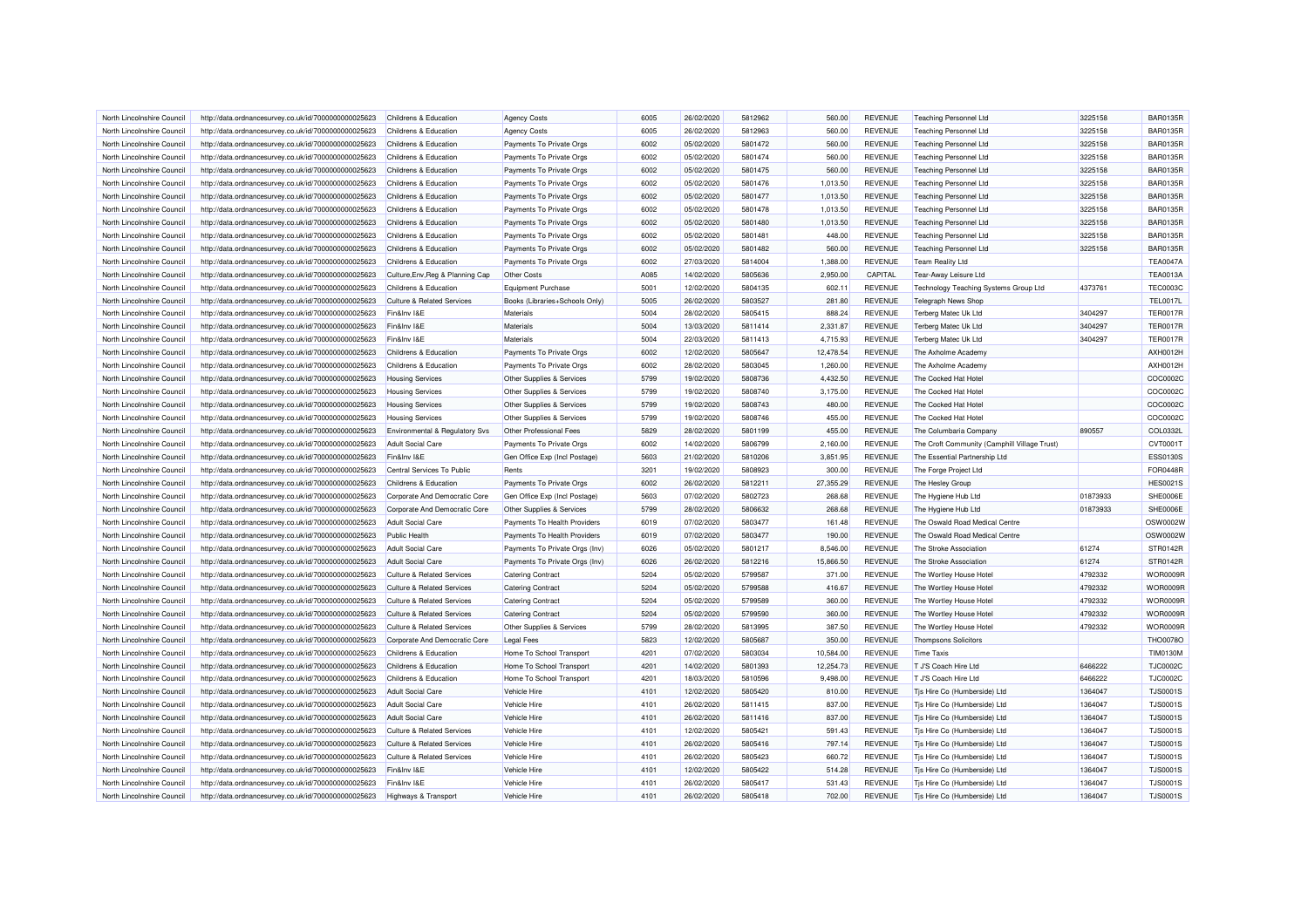| North Lincolnshire Council | http://data.ordnancesurvey.co.uk/id/7000000000025623 | Childrens & Education                 | <b>Agency Costs</b>            | 6005 | 26/02/2020 | 5812962 | 560.00    | <b>REVENUE</b> | <b>Teaching Personnel Ltd</b>                | 3225158  | <b>BAR0135R</b> |
|----------------------------|------------------------------------------------------|---------------------------------------|--------------------------------|------|------------|---------|-----------|----------------|----------------------------------------------|----------|-----------------|
| North Lincolnshire Council | http://data.ordnancesurvey.co.uk/id/7000000000025623 | Childrens & Education                 | <b>Agency Costs</b>            | 6005 | 26/02/2020 | 5812963 | 560.00    | <b>REVENUE</b> | <b>Teaching Personnel Ltd</b>                | 3225158  | <b>BAR0135R</b> |
| North Lincolnshire Council | http://data.ordnancesurvey.co.uk/id/7000000000025623 | Childrens & Education                 | Payments To Private Orgs       | 6002 | 05/02/2020 | 5801472 | 560.00    | <b>REVENUE</b> | <b>Teaching Personnel Ltd</b>                | 3225158  | <b>BAR0135R</b> |
| North Lincolnshire Council | http://data.ordnancesurvey.co.uk/id/7000000000025623 | Childrens & Education                 | Payments To Private Orgs       | 6002 | 05/02/2020 | 5801474 | 560.00    | <b>REVENUE</b> | <b>Teaching Personnel Ltd</b>                | 3225158  | <b>BAR0135R</b> |
| North Lincolnshire Council | http://data.ordnancesurvey.co.uk/id/7000000000025623 | Childrens & Education                 | Payments To Private Orgs       | 6002 | 05/02/2020 | 5801475 | 560.00    | <b>REVENUE</b> | <b>Teaching Personnel Ltd</b>                | 3225158  | <b>BAR0135R</b> |
| North Lincolnshire Council | http://data.ordnancesurvey.co.uk/id/7000000000025623 | Childrens & Education                 | Payments To Private Orgs       | 6002 | 05/02/2020 | 5801476 | 1.013.50  | <b>REVENUE</b> | Teaching Personnel Ltd                       | 3225158  | <b>BAR0135R</b> |
| North Lincolnshire Council | http://data.ordnancesurvey.co.uk/id/7000000000025623 | Childrens & Education                 | Payments To Private Orgs       | 6002 | 05/02/2020 | 5801477 | 1,013.50  | <b>REVENUE</b> | <b>Teaching Personnel Ltd</b>                | 3225158  | <b>BAR0135R</b> |
| North Lincolnshire Council | http://data.ordnancesurvey.co.uk/id/7000000000025623 | Childrens & Education                 | Payments To Private Orgs       | 6002 | 05/02/2020 | 5801478 | 1,013.50  | <b>REVENUE</b> | <b>Teaching Personnel Ltd</b>                | 3225158  | <b>BAR0135R</b> |
| North Lincolnshire Council | http://data.ordnancesurvey.co.uk/id/7000000000025623 | Childrens & Education                 | Payments To Private Orgs       | 6002 | 05/02/2020 | 5801480 | 1,013.50  | <b>REVENUE</b> | <b>Teaching Personnel Ltd</b>                | 3225158  | <b>BAR0135R</b> |
| North Lincolnshire Council | http://data.ordnancesurvey.co.uk/id/7000000000025623 | Childrens & Education                 | Payments To Private Orgs       | 6002 | 05/02/2020 | 5801481 | 448.00    | <b>REVENUE</b> | <b>Teaching Personnel Ltd</b>                | 3225158  | <b>BAR0135R</b> |
| North Lincolnshire Council | http://data.ordnancesurvey.co.uk/id/7000000000025623 | Childrens & Education                 | Payments To Private Orgs       | 6002 | 05/02/2020 | 5801482 | 560.00    | <b>REVENUE</b> | <b>Teaching Personnel Ltd</b>                | 3225158  | <b>BAR0135R</b> |
| North Lincolnshire Council | http://data.ordnancesurvey.co.uk/id/7000000000025623 | Childrens & Education                 | Payments To Private Orgs       | 6002 | 27/03/2020 | 5814004 | 1.388.00  | <b>REVENUE</b> | <b>Team Reality Ltd</b>                      |          | <b>TEA0047A</b> |
| North Lincolnshire Council | http://data.ordnancesurvey.co.uk/id/7000000000025623 | Culture, Env, Reg & Planning Cap      | Other Costs                    | A085 | 14/02/2020 | 5805636 | 2,950.00  | CAPITAL        | Tear-Away Leisure Ltd                        |          | <b>TEA0013A</b> |
| North Lincolnshire Council | http://data.ordnancesurvey.co.uk/id/7000000000025623 | Childrens & Education                 | Equipment Purchase             | 5001 | 12/02/2020 | 5804135 | 602.11    | <b>REVENUE</b> | Technology Teaching Systems Group Ltd        | 4373761  | <b>TEC0003C</b> |
| North Lincolnshire Council | http://data.ordnancesurvey.co.uk/id/7000000000025623 | <b>Culture &amp; Related Services</b> | Books (Libraries+Schools Only) | 5005 | 26/02/2020 | 5803527 | 281.80    | <b>REVENUE</b> | <b>Telegraph News Shop</b>                   |          | <b>TEL0017L</b> |
| North Lincolnshire Council | http://data.ordnancesurvey.co.uk/id/7000000000025623 | Fin&Inv I&E                           | Materials                      | 5004 | 28/02/2020 | 5805415 | 888.24    | <b>REVENUE</b> | Terberg Matec Uk Ltd                         | 3404297  | <b>TER0017R</b> |
| North Lincolnshire Council | http://data.ordnancesurvey.co.uk/id/7000000000025623 | Fin&Inv I&E                           | Materials                      | 5004 | 13/03/2020 | 5811414 | 2,331.87  | <b>REVENUE</b> | Terberg Matec Uk Ltd                         | 3404297  | <b>TER0017R</b> |
| North Lincolnshire Council | http://data.ordnancesurvey.co.uk/id/7000000000025623 | Fin&Inv I&E                           | Materials                      | 5004 | 22/03/2020 | 5811413 | 4,715.93  | <b>REVENUE</b> | Terberg Matec Uk Ltd                         | 3404297  | <b>TER0017R</b> |
| North Lincolnshire Council | http://data.ordnancesurvey.co.uk/id/7000000000025623 | Childrens & Education                 | Payments To Private Orgs       | 6002 | 12/02/2020 | 5805647 | 12,478.54 | <b>REVENUE</b> | The Axholme Academ                           |          | AXH0012H        |
| North Lincolnshire Council | http://data.ordnancesurvey.co.uk/id/7000000000025623 | Childrens & Education                 | Payments To Private Orgs       | 6002 | 28/02/2020 | 5803045 | 1,260.00  | <b>REVENUE</b> | The Axholme Academy                          |          | <b>AXH0012H</b> |
| North Lincolnshire Council |                                                      | <b>Housing Services</b>               |                                | 5799 | 19/02/2020 | 5808736 | 4,432.50  | <b>REVENUE</b> | The Cocked Hat Hotel                         |          | COC0002C        |
|                            | http://data.ordnancesurvey.co.uk/id/7000000000025623 |                                       | Other Supplies & Services      |      |            |         |           |                |                                              |          | COC0002C        |
| North Lincolnshire Council | http://data.ordnancesurvey.co.uk/id/7000000000025623 | <b>Housing Services</b>               | Other Supplies & Services      | 5799 | 19/02/2020 | 5808740 | 3,175.00  | <b>REVENUE</b> | The Cocked Hat Hotel                         |          |                 |
| North Lincolnshire Council | http://data.ordnancesurvey.co.uk/id/7000000000025623 | <b>Housing Services</b>               | Other Supplies & Services      | 5799 | 19/02/2020 | 5808743 | 480.00    | <b>REVENUE</b> | The Cocked Hat Hotel                         |          | COC0002C        |
| North Lincolnshire Council | http://data.ordnancesurvey.co.uk/id/7000000000025623 | <b>Housing Services</b>               | Other Supplies & Services      | 5799 | 19/02/2020 | 5808746 | 455.00    | <b>REVENUE</b> | The Cocked Hat Hotel                         |          | COC0002C        |
| North Lincolnshire Council | http://data.ordnancesurvey.co.uk/id/7000000000025623 | Environmental & Regulatory Svs        | Other Professional Fees        | 5829 | 28/02/2020 | 5801199 | 455.00    | <b>REVENUE</b> | The Columbaria Company                       | 890557   | COL0332L        |
| North Lincolnshire Council | http://data.ordnancesurvey.co.uk/id/7000000000025623 | Adult Social Care                     | Payments To Private Orgs       | 6002 | 14/02/2020 | 5806799 | 2,160.00  | <b>REVENUE</b> | The Croft Community (Camphill Village Trust) |          | CVT0001T        |
| North Lincolnshire Council | http://data.ordnancesurvey.co.uk/id/7000000000025623 | Fin&Inv I&E                           | Gen Office Exp (Incl Postage)  | 5603 | 21/02/2020 | 5810206 | 3,851.95  | <b>REVENUE</b> | The Essential Partnership Ltd                |          | <b>ESS0130S</b> |
| North Lincolnshire Council | http://data.ordnancesurvey.co.uk/id/7000000000025623 | Central Services To Public            | Rents                          | 3201 | 19/02/2020 | 5808923 | 300.00    | <b>REVENUE</b> | The Forge Project Ltd                        |          | <b>FOR0448R</b> |
| North Lincolnshire Council | http://data.ordnancesurvey.co.uk/id/7000000000025623 | Childrens & Education                 | Payments To Private Orgs       | 6002 | 26/02/2020 | 5812211 | 27,355.29 | <b>REVENUE</b> | The Hesley Group                             |          | <b>HES0021S</b> |
| North Lincolnshire Council | http://data.ordnancesurvey.co.uk/id/7000000000025623 | Corporate And Democratic Core         | Gen Office Exp (Incl Postage)  | 5603 | 07/02/2020 | 5802723 | 268.68    | <b>REVENUE</b> | The Hygiene Hub Ltd                          | 01873933 | SHE0006E        |
| North Lincolnshire Council | http://data.ordnancesurvey.co.uk/id/7000000000025623 | Corporate And Democratic Core         | Other Supplies & Services      | 5799 | 28/02/2020 | 5806632 | 268.68    | <b>REVENUE</b> | The Hygiene Hub Ltd                          | 01873933 | SHE0006E        |
| North Lincolnshire Council | http://data.ordnancesurvey.co.uk/id/7000000000025623 | <b>Adult Social Care</b>              | Payments To Health Providers   | 6019 | 07/02/2020 | 5803477 | 161.48    | <b>REVENUE</b> | The Oswald Road Medical Centre               |          | OSW0002W        |
| North Lincolnshire Council | http://data.ordnancesurvey.co.uk/id/7000000000025623 | <b>Public Health</b>                  | Payments To Health Providers   | 6019 | 07/02/2020 | 5803477 | 190.00    | <b>REVENUE</b> | The Oswald Road Medical Centre               |          | OSW0002W        |
| North Lincolnshire Council | http://data.ordnancesurvey.co.uk/id/7000000000025623 | <b>Adult Social Care</b>              | Payments To Private Orgs (Inv) | 6026 | 05/02/2020 | 5801217 | 8,546.00  | <b>REVENUE</b> | The Stroke Association                       | 61274    | STR0142R        |
| North Lincolnshire Council | http://data.ordnancesurvey.co.uk/id/7000000000025623 | <b>Adult Social Care</b>              | Payments To Private Orgs (Inv) | 6026 | 26/02/2020 | 5812216 | 15,866.50 | <b>REVENUE</b> | The Stroke Association                       | 61274    | STR0142R        |
| North Lincolnshire Council | http://data.ordnancesurvey.co.uk/id/7000000000025623 | Culture & Related Services            | <b>Catering Contract</b>       | 5204 | 05/02/2020 | 5799587 | 371.00    | <b>REVENUE</b> | The Wortley House Hotel                      | 4792332  | WOR0009F        |
| North Lincolnshire Council | http://data.ordnancesurvey.co.uk/id/7000000000025623 | <b>Culture &amp; Related Services</b> | <b>Catering Contract</b>       | 5204 | 05/02/2020 | 5799588 | 416.67    | <b>REVENUE</b> | The Wortley House Hotel                      | 4792332  | WOR0009R        |
| North Lincolnshire Council | http://data.ordnancesurvey.co.uk/id/7000000000025623 | <b>Culture &amp; Related Services</b> | <b>Catering Contract</b>       | 5204 | 05/02/2020 | 5799589 | 360.00    | <b>REVENUE</b> | The Wortley House Hotel                      | 4792332  | WOR0009R        |
| North Lincolnshire Council | http://data.ordnancesurvey.co.uk/id/7000000000025623 | <b>Culture &amp; Related Services</b> | <b>Catering Contract</b>       | 5204 | 05/02/2020 | 5799590 | 360.00    | <b>REVENUE</b> | The Wortley House Hotel                      | 4792332  | WOR0009R        |
| North Lincolnshire Council | http://data.ordnancesurvey.co.uk/id/7000000000025623 | <b>Culture &amp; Related Services</b> | Other Supplies & Services      | 5799 | 28/02/2020 | 5813995 | 387.50    | <b>REVENUE</b> | The Wortley House Hotel                      | 4792332  | WOR0009R        |
| North Lincolnshire Council | http://data.ordnancesurvey.co.uk/id/7000000000025623 | Corporate And Democratic Core         | <b>Legal Fees</b>              | 5823 | 12/02/2020 | 5805687 | 350.00    | <b>REVENUE</b> | <b>Thompsons Solicitors</b>                  |          | <b>THO0078O</b> |
| North Lincolnshire Council | http://data.ordnancesurvey.co.uk/id/7000000000025623 | Childrens & Education                 | Home To School Transport       | 4201 | 07/02/2020 | 5803034 | 10,584.00 | <b>REVENUE</b> | <b>Time Taxis</b>                            |          | <b>TIM0130M</b> |
| North Lincolnshire Council | http://data.ordnancesurvey.co.uk/id/7000000000025623 | <b>Childrens &amp; Education</b>      | Home To School Transport       | 4201 | 14/02/2020 | 5801393 | 12,254.73 | <b>REVENUE</b> | T J'S Coach Hire Ltd                         | 6466222  | <b>TJC0002C</b> |
| North Lincolnshire Council | http://data.ordnancesurvey.co.uk/id/7000000000025623 | Childrens & Education                 | Home To School Transport       | 4201 | 18/03/2020 | 5810596 | 9,498.00  | <b>REVENUE</b> | T J'S Coach Hire Ltd                         | 6466222  | <b>TJC0002C</b> |
| North Lincolnshire Council | http://data.ordnancesurvey.co.uk/id/7000000000025623 | <b>Adult Social Care</b>              | Vehicle Hire                   | 4101 | 12/02/2020 | 5805420 | 810.00    | <b>REVENUE</b> | Tis Hire Co (Humberside) Ltd                 | 1364047  | <b>TJS0001S</b> |
| North Lincolnshire Council | http://data.ordnancesurvey.co.uk/id/7000000000025623 | <b>Adult Social Care</b>              | Vehicle Hire                   | 4101 | 26/02/2020 | 5811415 | 837.00    | <b>REVENUE</b> | Tis Hire Co (Humberside) Ltd                 | 1364047  | <b>TJS0001S</b> |
| North Lincolnshire Council | http://data.ordnancesurvey.co.uk/id/7000000000025623 | Adult Social Care                     | Vehicle Hire                   | 4101 | 26/02/2020 | 5811416 | 837.00    | <b>REVENUE</b> | Tjs Hire Co (Humberside) Ltd                 | 1364047  | <b>TJS0001S</b> |
| North Lincolnshire Council | http://data.ordnancesurvey.co.uk/id/7000000000025623 | Culture & Related Services            | Vehicle Hire                   | 4101 | 12/02/2020 | 5805421 | 591.43    | <b>REVENUE</b> | Tis Hire Co (Humberside) Ltd                 | 1364047  | <b>TJS0001S</b> |
| North Lincolnshire Council | http://data.ordnancesurvey.co.uk/id/7000000000025623 | <b>Culture &amp; Related Services</b> | Vehicle Hire                   | 4101 | 26/02/2020 | 5805416 | 797.14    | <b>REVENUE</b> | Tis Hire Co (Humberside) Ltd                 | 1364047  | <b>TJS0001S</b> |
| North Lincolnshire Council | http://data.ordnancesurvey.co.uk/id/7000000000025623 | <b>Culture &amp; Related Services</b> | Vehicle Hire                   | 4101 | 26/02/2020 | 5805423 | 660.72    | <b>REVENUE</b> | Tjs Hire Co (Humberside) Ltd                 | 1364047  | <b>TJS0001S</b> |
| North Lincolnshire Council | http://data.ordnancesurvey.co.uk/id/7000000000025623 | Fin&Inv I&E                           | Vehicle Hire                   | 4101 | 12/02/2020 | 5805422 | 514.28    | <b>REVENUE</b> | Tis Hire Co (Humberside) Ltd                 | 1364047  | <b>TJS0001S</b> |
| North Lincolnshire Council | http://data.ordnancesurvey.co.uk/id/7000000000025623 | Fin&Inv I&E                           | Vehicle Hire                   | 4101 | 26/02/2020 | 5805417 | 531.43    | <b>REVENUE</b> | Tjs Hire Co (Humberside) Ltd                 | 1364047  | <b>TJS0001S</b> |
| North Lincolnshire Council | http://data.ordnancesurvey.co.uk/id/7000000000025623 | <b>Highways &amp; Transport</b>       | Vehicle Hire                   | 4101 | 26/02/2020 | 5805418 | 702.00    | <b>REVENUE</b> | Tis Hire Co (Humberside) Ltd                 | 1364047  | <b>TJS0001S</b> |
|                            |                                                      |                                       |                                |      |            |         |           |                |                                              |          |                 |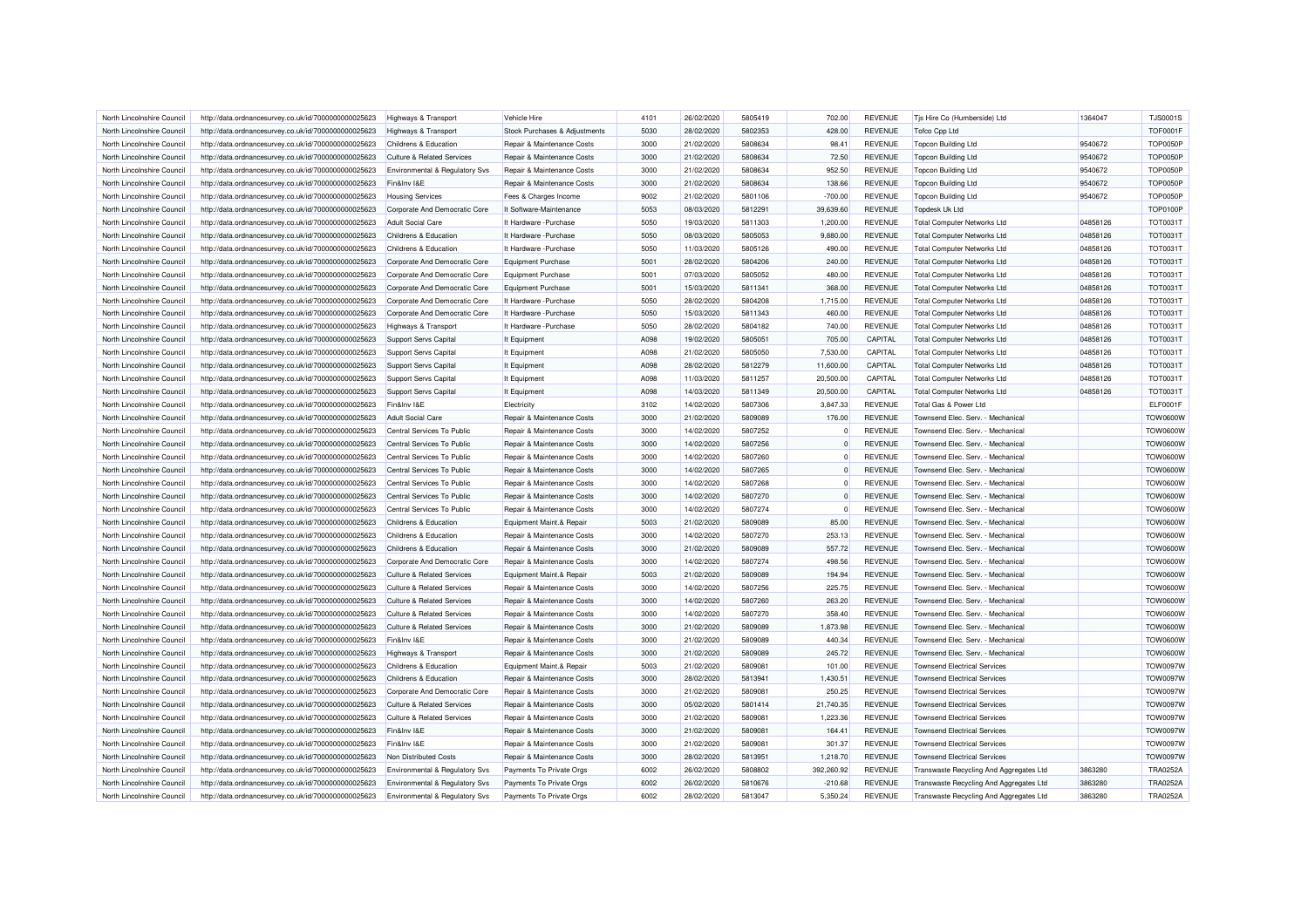| North Lincolnshire Council | http://data.ordnancesurvey.co.uk/id/7000000000025623 | Highways & Transport                      | Vehicle Hire                  | 4101 | 26/02/2020 | 5805419 | 702.00     | <b>REVENUE</b> | Tis Hire Co (Humberside) Ltd            | 1364047  | <b>TJS0001S</b> |
|----------------------------|------------------------------------------------------|-------------------------------------------|-------------------------------|------|------------|---------|------------|----------------|-----------------------------------------|----------|-----------------|
| North Lincolnshire Council | http://data.ordnancesurvey.co.uk/id/7000000000025623 | <b>Highways &amp; Transport</b>           | Stock Purchases & Adjustments | 5030 | 28/02/2020 | 5802353 | 428.00     | <b>REVENUE</b> | <b>Tofco Cpp Ltd</b>                    |          | <b>TOF0001F</b> |
| North Lincolnshire Council | http://data.ordnancesurvey.co.uk/id/7000000000025623 | Childrens & Education                     | Repair & Maintenance Costs    | 3000 | 21/02/2020 | 5808634 | 98.41      | <b>REVENUE</b> | <b>Topcon Building Ltd</b>              | 9540672  | <b>TOP0050P</b> |
| North Lincolnshire Council | http://data.ordnancesurvey.co.uk/id/7000000000025623 | Culture & Related Services                | Repair & Maintenance Costs    | 3000 | 21/02/2020 | 5808634 | 72.50      | <b>REVENUE</b> | <b>Topcon Building Ltd</b>              | 9540672  | <b>TOP0050P</b> |
| North Lincolnshire Council | http://data.ordnancesurvey.co.uk/id/7000000000025623 | Environmental & Regulatory Svs            | Repair & Maintenance Costs    | 3000 | 21/02/2020 | 5808634 | 952.50     | <b>REVENUE</b> | Topcon Building Ltd                     | 9540672  | <b>TOP0050P</b> |
| North Lincolnshire Council | http://data.ordnancesurvey.co.uk/id/7000000000025623 | Fin&Inv I&E                               | Repair & Maintenance Costs    | 3000 | 21/02/2020 | 5808634 | 138.66     | <b>REVENUE</b> | <b>Topcon Building Ltd</b>              | 9540672  | <b>TOP0050P</b> |
| North Lincolnshire Council | http://data.ordnancesurvey.co.uk/id/7000000000025623 | <b>Housing Services</b>                   | Fees & Charges Income         | 9002 | 21/02/2020 | 5801106 | $-700.00$  | <b>REVENUE</b> | <b>Topcon Building Ltd</b>              | 9540672  | <b>TOP0050P</b> |
| North Lincolnshire Council | http://data.ordnancesurvey.co.uk/id/7000000000025623 | Corporate And Democratic Core             | It Software-Maintenance       | 5053 | 08/03/2020 | 5812291 | 39,639.60  | <b>REVENUE</b> | <b>Topdesk Uk Ltd</b>                   |          | <b>TOP0100P</b> |
| North Lincolnshire Council | http://data.ordnancesurvey.co.uk/id/7000000000025623 | <b>Adult Social Care</b>                  | It Hardware - Purchase        | 5050 | 19/03/2020 | 5811303 | 1,200.00   | <b>REVENUE</b> | <b>Total Computer Networks Ltd</b>      | 04858126 | TOT0031T        |
| North Lincolnshire Council | http://data.ordnancesurvey.co.uk/id/7000000000025623 | Childrens & Education                     | It Hardware - Purchase        | 5050 | 08/03/2020 | 5805053 | 9,880.00   | <b>REVENUE</b> | <b>Total Computer Networks Ltd</b>      | 04858126 | <b>TOT0031T</b> |
| North Lincolnshire Council | http://data.ordnancesurvey.co.uk/id/7000000000025623 | Childrens & Education                     | It Hardware - Purchase        | 5050 | 11/03/2020 | 5805126 | 490.00     | <b>REVENUE</b> | <b>Total Computer Networks Ltd</b>      | 04858126 | TOT0031T        |
| North Lincolnshire Council | http://data.ordnancesurvey.co.uk/id/7000000000025623 | Corporate And Democratic Core             | Equipment Purchase            | 5001 | 28/02/2020 | 5804206 | 240.00     | <b>REVENUE</b> | <b>Total Computer Networks Ltd</b>      | 04858126 | <b>TOT0031T</b> |
| North Lincolnshire Council | http://data.ordnancesurvey.co.uk/id/7000000000025623 | Corporate And Democratic Core             | Equipment Purchase            | 5001 | 07/03/2020 | 5805052 | 480.00     | <b>REVENUE</b> | <b>Total Computer Networks Ltd</b>      | 04858126 | <b>TOT0031T</b> |
| North Lincolnshire Council | http://data.ordnancesurvey.co.uk/id/7000000000025623 | Corporate And Democratic Core             | Equipment Purchase            | 5001 | 15/03/2020 | 5811341 | 368.00     | <b>REVENUE</b> | <b>Total Computer Networks Ltd</b>      | 04858126 | TOT0031T        |
| North Lincolnshire Council | http://data.ordnancesurvey.co.uk/id/7000000000025623 | Corporate And Democratic Core             | It Hardware - Purchase        | 5050 | 28/02/2020 | 5804208 | 1,715.00   | <b>REVENUE</b> | <b>Total Computer Networks Ltd</b>      | 04858126 | <b>TOT0031T</b> |
| North Lincolnshire Council | http://data.ordnancesurvey.co.uk/id/7000000000025623 | Corporate And Democratic Core             | It Hardware - Purchase        | 5050 | 15/03/2020 | 5811343 | 460.00     | <b>REVENUE</b> | <b>Total Computer Networks Ltd</b>      | 04858126 | TOT0031T        |
| North Lincolnshire Council | http://data.ordnancesurvey.co.uk/id/7000000000025623 | Highways & Transport                      | It Hardware - Purchase        | 5050 | 28/02/2020 | 5804182 | 740.00     | <b>REVENUE</b> | <b>Total Computer Networks Ltd</b>      | 04858126 | TOT0031T        |
| North Lincolnshire Council | http://data.ordnancesurvey.co.uk/id/7000000000025623 | <b>Support Servs Capital</b>              | It Equipment                  | A098 | 19/02/2020 | 5805051 | 705.00     | CAPITAL        | <b>Total Computer Networks Ltd</b>      | 04858126 | <b>TOT0031T</b> |
| North Lincolnshire Council | http://data.ordnancesurvey.co.uk/id/7000000000025623 | Support Servs Capital                     | It Equipment                  | A098 | 21/02/2020 | 5805050 | 7,530.00   | CAPITAL        | <b>Total Computer Networks Ltd</b>      | 04858126 | TOT0031T        |
| North Lincolnshire Council |                                                      |                                           | It Equipment                  | A098 | 28/02/2020 | 5812279 | 11,600.00  | CAPITAL        | <b>Total Computer Networks Ltd</b>      | 04858126 | <b>TOT0031T</b> |
| North Lincolnshire Council | http://data.ordnancesurvey.co.uk/id/7000000000025623 | Support Servs Capital                     |                               | A098 | 11/03/2020 | 5811257 | 20,500.00  | CAPITAL        |                                         |          | TOT0031T        |
|                            | http://data.ordnancesurvey.co.uk/id/7000000000025623 | Support Servs Capital                     | It Equipment                  |      |            |         |            |                | <b>Total Computer Networks Ltd</b>      | 04858126 |                 |
| North Lincolnshire Council | http://data.ordnancesurvey.co.uk/id/7000000000025623 | Support Servs Capital                     | It Equipment                  | A098 | 14/03/2020 | 5811349 | 20,500.00  | CAPITAL        | <b>Total Computer Networks Ltd</b>      | 04858126 | TOT0031T        |
| North Lincolnshire Council | http://data.ordnancesurvey.co.uk/id/7000000000025623 | Fin&Inv I&E                               | Electricity                   | 3102 | 14/02/2020 | 5807306 | 3.847.33   | <b>REVENUE</b> | Total Gas & Power Ltd                   |          | <b>ELF0001F</b> |
| North Lincolnshire Council | http://data.ordnancesurvey.co.uk/id/7000000000025623 | <b>Adult Social Care</b>                  | Repair & Maintenance Costs    | 3000 | 21/02/2020 | 5809089 | 176.00     | <b>REVENUE</b> | Townsend Elec. Serv. - Mechanical       |          | <b>TOW0600W</b> |
| North Lincolnshire Council | http://data.ordnancesurvey.co.uk/id/7000000000025623 | Central Services To Public                | Repair & Maintenance Costs    | 3000 | 14/02/2020 | 5807252 | $\Omega$   | <b>REVENUE</b> | Townsend Elec. Serv. - Mechanical       |          | <b>TOW0600W</b> |
| North Lincolnshire Council | http://data.ordnancesurvey.co.uk/id/7000000000025623 | Central Services To Public                | Repair & Maintenance Costs    | 3000 | 14/02/2020 | 5807256 | $\Omega$   | <b>REVENUE</b> | Townsend Elec, Serv. - Mechanical       |          | <b>TOW0600W</b> |
| North Lincolnshire Council | http://data.ordnancesurvey.co.uk/id/7000000000025623 | Central Services To Public                | Repair & Maintenance Costs    | 3000 | 14/02/2020 | 5807260 | $\Omega$   | <b>REVENUE</b> | Townsend Elec. Serv. - Mechanical       |          | <b>TOW0600W</b> |
| North Lincolnshire Council | http://data.ordnancesurvey.co.uk/id/7000000000025623 | Central Services To Public                | Repair & Maintenance Costs    | 3000 | 14/02/2020 | 5807265 | $\Omega$   | <b>REVENUE</b> | Townsend Elec. Serv. - Mechanical       |          | <b>TOW0600W</b> |
| North Lincolnshire Council | http://data.ordnancesurvey.co.uk/id/7000000000025623 | Central Services To Public                | Repair & Maintenance Costs    | 3000 | 14/02/2020 | 5807268 | $\Omega$   | <b>REVENUE</b> | Townsend Elec. Serv. - Mechanical       |          | <b>TOW0600W</b> |
| North Lincolnshire Council | http://data.ordnancesurvey.co.uk/id/7000000000025623 | Central Services To Public                | Repair & Maintenance Costs    | 3000 | 14/02/2020 | 5807270 |            | <b>REVENUE</b> | Townsend Elec. Serv. - Mechanical       |          | <b>TOW0600W</b> |
| North Lincolnshire Council | http://data.ordnancesurvey.co.uk/id/7000000000025623 | Central Services To Public                | Repair & Maintenance Costs    | 3000 | 14/02/2020 | 5807274 | $\Omega$   | <b>REVENUE</b> | Townsend Elec. Serv. - Mechanical       |          | <b>TOW0600W</b> |
| North Lincolnshire Council | http://data.ordnancesurvey.co.uk/id/7000000000025623 | Childrens & Education                     | Equipment Maint.& Repair      | 5003 | 21/02/2020 | 5809089 | 85.00      | <b>REVENUE</b> | Townsend Elec. Serv. - Mechanical       |          | <b>TOW0600W</b> |
| North Lincolnshire Council | http://data.ordnancesurvey.co.uk/id/7000000000025623 | Childrens & Education                     | Repair & Maintenance Costs    | 3000 | 14/02/2020 | 5807270 | 253.13     | <b>REVENUE</b> | Townsend Flec. Serv. - Mechanical       |          | <b>TOW0600W</b> |
| North Lincolnshire Council | http://data.ordnancesurvey.co.uk/id/7000000000025623 | Childrens & Education                     | Repair & Maintenance Costs    | 3000 | 21/02/2020 | 5809089 | 557.72     | <b>REVENUE</b> | Townsend Elec. Serv. - Mechanical       |          | <b>TOW0600W</b> |
| North Lincolnshire Council | http://data.ordnancesurvey.co.uk/id/7000000000025623 | Corporate And Democratic Core             | Repair & Maintenance Costs    | 3000 | 14/02/2020 | 5807274 | 498.56     | <b>REVENUE</b> | Townsend Elec. Serv. - Mechanical       |          | <b>TOW0600W</b> |
| North Lincolnshire Council | http://data.ordnancesurvey.co.uk/id/7000000000025623 | Culture & Related Services                | Equipment Maint.& Repair      | 5003 | 21/02/2020 | 5809089 | 194.94     | <b>REVENUE</b> | Townsend Elec. Serv. - Mechanical       |          | <b>TOW0600W</b> |
| North Lincolnshire Council | http://data.ordnancesurvey.co.uk/id/7000000000025623 | <b>Culture &amp; Related Services</b>     | Repair & Maintenance Costs    | 3000 | 14/02/2020 | 5807256 | 225.75     | <b>REVENUE</b> | Townsend Elec. Serv. - Mechanical       |          | <b>TOW0600W</b> |
| North Lincolnshire Council | http://data.ordnancesurvey.co.uk/id/7000000000025623 | <b>Culture &amp; Related Services</b>     | Repair & Maintenance Costs    | 3000 | 14/02/2020 | 5807260 | 263.20     | <b>REVENUE</b> | Townsend Elec. Serv. - Mechanical       |          | <b>TOW0600W</b> |
| North Lincolnshire Council | http://data.ordnancesurvey.co.uk/id/7000000000025623 | Culture & Related Services                | Repair & Maintenance Costs    | 3000 | 14/02/2020 | 5807270 | 358.40     | <b>REVENUE</b> | Townsend Elec. Serv. - Mechanical       |          | <b>TOW0600W</b> |
| North Lincolnshire Council | http://data.ordnancesurvey.co.uk/id/7000000000025623 | <b>Culture &amp; Related Services</b>     | Repair & Maintenance Costs    | 3000 | 21/02/2020 | 5809089 | 1,873.98   | <b>REVENUE</b> | Townsend Elec. Serv. - Mechanical       |          | <b>TOW0600W</b> |
| North Lincolnshire Council | http://data.ordnancesurvey.co.uk/id/7000000000025623 | Fin&Inv I&E                               | Repair & Maintenance Costs    | 3000 | 21/02/2020 | 5809089 | 440.34     | <b>REVENUE</b> | Townsend Elec. Serv. - Mechanical       |          | <b>TOW0600W</b> |
| North Lincolnshire Council | http://data.ordnancesurvey.co.uk/id/7000000000025623 | Highways & Transport                      | Repair & Maintenance Costs    | 3000 | 21/02/2020 | 5809089 | 245.72     | <b>REVENUE</b> | Townsend Elec. Serv. - Mechanical       |          | <b>TOW0600W</b> |
| North Lincolnshire Council | http://data.ordnancesurvey.co.uk/id/7000000000025623 | Childrens & Education                     | Equipment Maint.& Repair      | 5003 | 21/02/2020 | 5809081 | 101.00     | <b>REVENUE</b> | <b>Townsend Electrical Services</b>     |          | TOW0097W        |
| North Lincolnshire Council | http://data.ordnancesurvey.co.uk/id/7000000000025623 | Childrens & Education                     | Repair & Maintenance Costs    | 3000 | 28/02/2020 | 5813941 | 1,430.51   | <b>REVENUE</b> | <b>Townsend Electrical Services</b>     |          | <b>TOW0097W</b> |
| North Lincolnshire Council | http://data.ordnancesurvey.co.uk/id/7000000000025623 | Corporate And Democratic Core             | Repair & Maintenance Costs    | 3000 | 21/02/2020 | 5809081 | 250.25     | <b>REVENUE</b> | <b>Townsend Electrical Services</b>     |          | <b>TOW0097W</b> |
| North Lincolnshire Council | http://data.ordnancesurvey.co.uk/id/7000000000025623 | <b>Culture &amp; Related Services</b>     | Repair & Maintenance Costs    | 3000 | 05/02/2020 | 5801414 | 21,740.35  | <b>REVENUE</b> | <b>Townsend Electrical Services</b>     |          | <b>TOW0097W</b> |
| North Lincolnshire Council | http://data.ordnancesurvey.co.uk/id/7000000000025623 | <b>Culture &amp; Related Services</b>     | Repair & Maintenance Costs    | 3000 | 21/02/2020 | 5809081 | 1,223.36   | <b>REVENUE</b> | <b>Townsend Electrical Services</b>     |          | <b>TOW0097W</b> |
| North Lincolnshire Council | http://data.ordnancesurvey.co.uk/id/7000000000025623 | Fin&Inv I&E                               | Repair & Maintenance Costs    | 3000 | 21/02/2020 | 5809081 | 164.41     | <b>REVENUE</b> | <b>Townsend Electrical Services</b>     |          | <b>TOW0097W</b> |
| North Lincolnshire Council | http://data.ordnancesurvey.co.uk/id/7000000000025623 | Fin&Inv I&E                               | Repair & Maintenance Costs    | 3000 | 21/02/2020 | 5809081 | 301.37     | <b>REVENUE</b> | <b>Townsend Electrical Services</b>     |          | <b>TOW0097W</b> |
| North Lincolnshire Council | http://data.ordnancesurvey.co.uk/id/7000000000025623 | Non Distributed Costs                     | Repair & Maintenance Costs    | 3000 | 28/02/2020 | 5813951 | 1,218.70   | <b>REVENUE</b> | <b>Townsend Electrical Services</b>     |          | <b>TOW0097W</b> |
| North Lincolnshire Council | http://data.ordnancesurvey.co.uk/id/7000000000025623 | <b>Environmental &amp; Regulatory Svs</b> | Payments To Private Orgs      | 6002 | 26/02/2020 | 5808802 | 392,260.92 | <b>REVENUE</b> | Transwaste Recycling And Aggregates Ltd | 3863280  | <b>TRA0252A</b> |
| North Lincolnshire Council | http://data.ordnancesurvey.co.uk/id/7000000000025623 | Environmental & Regulatory Svs            | Payments To Private Orgs      | 6002 | 26/02/2020 | 5810676 | $-210.68$  | <b>REVENUE</b> | Transwaste Recycling And Aggregates Ltd | 3863280  | <b>TRA0252A</b> |
| North Lincolnshire Council | http://data.ordnancesurvey.co.uk/id/7000000000025623 | Environmental & Regulatory Svs            | Payments To Private Orgs      | 6002 | 28/02/2020 | 5813047 | 5,350.24   | <b>REVENUE</b> | Transwaste Recycling And Aggregates Ltd | 3863280  | <b>TRA0252A</b> |
|                            |                                                      |                                           |                               |      |            |         |            |                |                                         |          |                 |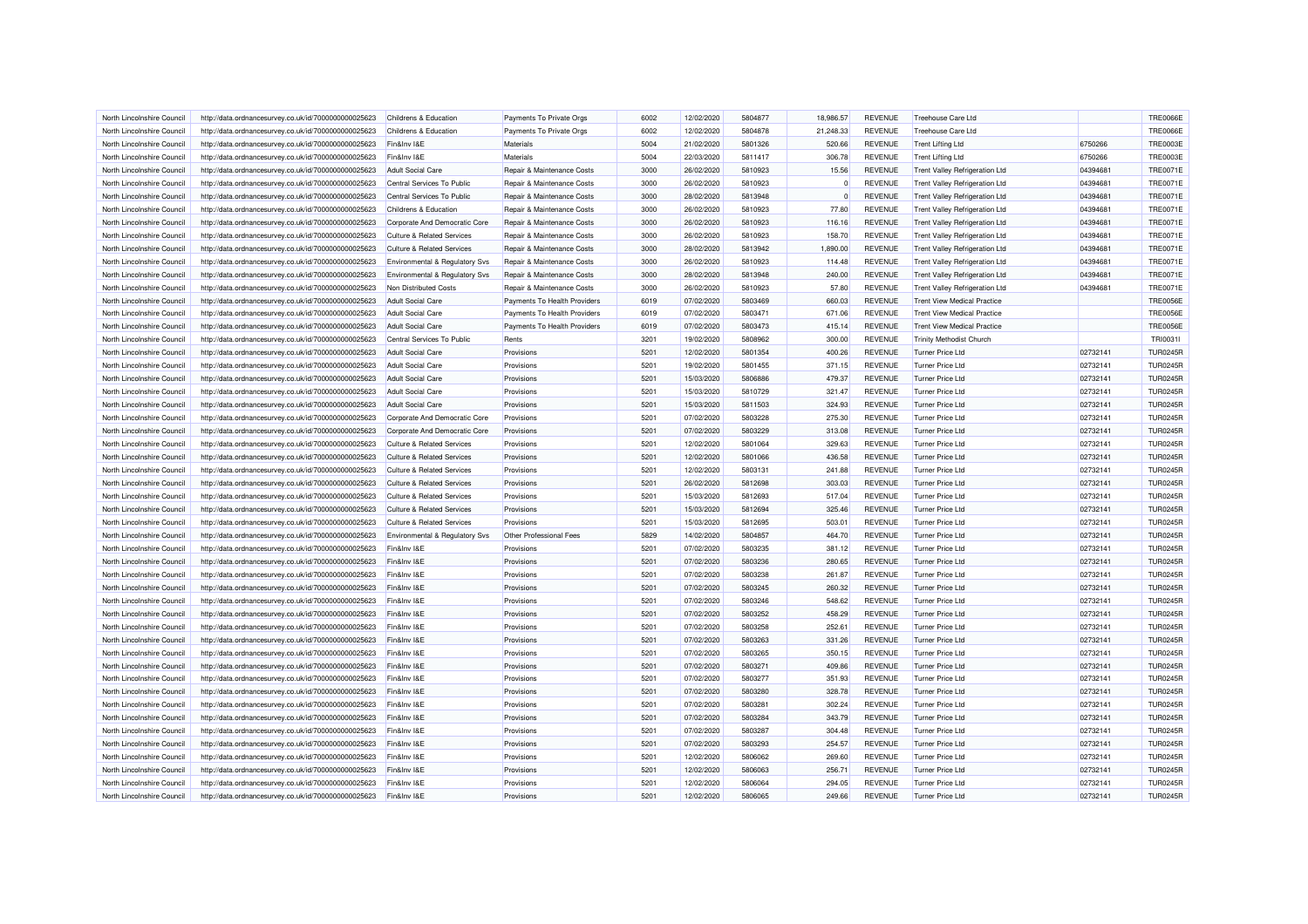| North Lincolnshire Council | http://data.ordnancesurvey.co.uk/id/7000000000025623 | Childrens & Education                 | Payments To Private Orgs     | 6002 | 12/02/2020 | 5804877 | 18,986.57 | <b>REVENUE</b> | Treehouse Care Ltd                    |          | <b>TRE0066E</b> |
|----------------------------|------------------------------------------------------|---------------------------------------|------------------------------|------|------------|---------|-----------|----------------|---------------------------------------|----------|-----------------|
| North Lincolnshire Council | http://data.ordnancesurvey.co.uk/id/7000000000025623 | Childrens & Education                 | Payments To Private Orgs     | 6002 | 12/02/2020 | 5804878 | 21,248.33 | <b>REVENUE</b> | <b>Treehouse Care Ltd</b>             |          | <b>TRE0066E</b> |
| North Lincolnshire Council | http://data.ordnancesurvey.co.uk/id/7000000000025623 | Fin&Inv I&E                           | Materials                    | 5004 | 21/02/2020 | 5801326 | 520.66    | <b>REVENUE</b> | <b>Trent Lifting Ltd</b>              | 6750266  | <b>TRE0003E</b> |
| North Lincolnshire Council | http://data.ordnancesurvey.co.uk/id/7000000000025623 | Fin&Inv I&E                           | Materials                    | 5004 | 22/03/2020 | 5811417 | 306.78    | <b>REVENUE</b> | <b>Trent Lifting Ltd</b>              | 6750266  | <b>TRE0003E</b> |
| North Lincolnshire Council | http://data.ordnancesurvey.co.uk/id/7000000000025623 | <b>Adult Social Care</b>              | Repair & Maintenance Costs   | 3000 | 26/02/2020 | 5810923 | 15.56     | <b>REVENUE</b> | <b>Trent Valley Refrigeration Ltd</b> | 04394681 | <b>TRE0071E</b> |
| North Lincolnshire Council | http://data.ordnancesurvey.co.uk/id/7000000000025623 | Central Services To Public            | Repair & Maintenance Costs   | 3000 | 26/02/2020 | 5810923 |           | <b>REVENUE</b> | <b>Trent Valley Refrigeration Ltd</b> | 04394681 | <b>TRE0071E</b> |
| North Lincolnshire Council | http://data.ordnancesurvey.co.uk/id/7000000000025623 | Central Services To Public            | Repair & Maintenance Costs   | 3000 | 28/02/2020 | 5813948 | $\Omega$  | <b>REVENUE</b> | <b>Trent Valley Refrigeration Ltd</b> | 04394681 | <b>TRE0071E</b> |
| North Lincolnshire Council | http://data.ordnancesurvey.co.uk/id/7000000000025623 | Childrens & Education                 | Repair & Maintenance Costs   | 3000 | 26/02/2020 | 5810923 | 77.80     | <b>REVENUE</b> | <b>Trent Valley Refrigeration Ltd</b> | 04394681 | <b>TRE0071E</b> |
| North Lincolnshire Council | http://data.ordnancesurvey.co.uk/id/7000000000025623 | Corporate And Democratic Core         | Repair & Maintenance Costs   | 3000 | 26/02/2020 | 5810923 | 116.16    | <b>REVENUE</b> | <b>Trent Valley Refrigeration Ltd</b> | 04394681 | <b>TRE0071E</b> |
| North Lincolnshire Council | http://data.ordnancesurvey.co.uk/id/7000000000025623 | <b>Culture &amp; Related Services</b> | Repair & Maintenance Costs   | 3000 | 26/02/2020 | 5810923 | 158.70    | <b>REVENUE</b> | <b>Trent Valley Refrigeration Ltd</b> | 04394681 | <b>TRE0071E</b> |
| North Lincolnshire Council | http://data.ordnancesurvey.co.uk/id/7000000000025623 | <b>Culture &amp; Related Services</b> | Repair & Maintenance Costs   | 3000 | 28/02/2020 | 5813942 | 1,890.00  | <b>REVENUE</b> | <b>Trent Valley Refrigeration Ltd</b> | 04394681 | <b>TRE0071E</b> |
| North Lincolnshire Council | http://data.ordnancesurvey.co.uk/id/7000000000025623 | Environmental & Regulatory Svs        | Repair & Maintenance Costs   | 3000 | 26/02/2020 | 5810923 | 114.48    | <b>REVENUE</b> | <b>Trent Valley Refrigeration Ltd</b> | 04394681 | <b>TRE0071E</b> |
| North Lincolnshire Council | http://data.ordnancesurvey.co.uk/id/7000000000025623 | Environmental & Regulatory Svs        | Repair & Maintenance Costs   | 3000 | 28/02/2020 | 5813948 | 240.00    | <b>REVENUE</b> | <b>Trent Valley Refrigeration Ltd</b> | 04394681 | <b>TRE0071E</b> |
| North Lincolnshire Council | http://data.ordnancesurvey.co.uk/id/7000000000025623 | Non Distributed Costs                 | Repair & Maintenance Costs   | 3000 | 26/02/2020 | 5810923 | 57.80     | <b>REVENUE</b> | <b>Trent Valley Refrigeration Ltd</b> | 04394681 | <b>TRE0071E</b> |
| North Lincolnshire Council | http://data.ordnancesurvey.co.uk/id/7000000000025623 | Adult Social Care                     | Payments To Health Providers | 6019 | 07/02/2020 | 5803469 | 660.03    | <b>REVENUE</b> | <b>Trent View Medical Practice</b>    |          | <b>TRE0056E</b> |
| North Lincolnshire Council | http://data.ordnancesurvey.co.uk/id/7000000000025623 | <b>Adult Social Care</b>              | Payments To Health Providers | 6019 | 07/02/2020 | 5803471 | 671.06    | <b>REVENUE</b> | <b>Trent View Medical Practice</b>    |          | <b>TRE0056E</b> |
| North Lincolnshire Council | http://data.ordnancesurvey.co.uk/id/7000000000025623 | <b>Adult Social Care</b>              | Payments To Health Providers | 6019 | 07/02/2020 | 5803473 | 415.14    | <b>REVENUE</b> | <b>Trent View Medical Practice</b>    |          | <b>TRE0056E</b> |
| North Lincolnshire Council | http://data.ordnancesurvey.co.uk/id/7000000000025623 | Central Services To Public            | Rents                        | 3201 | 19/02/2020 | 5808962 | 300.00    | <b>REVENUE</b> | <b>Trinity Methodist Church</b>       |          | TRI0031I        |
| North Lincolnshire Council | http://data.ordnancesurvey.co.uk/id/7000000000025623 | <b>Adult Social Care</b>              | Provisions                   | 5201 | 12/02/2020 | 5801354 | 400.26    | <b>REVENUE</b> | <b>Turner Price Ltd</b>               | 02732141 | <b>TUR0245R</b> |
| North Lincolnshire Council | http://data.ordnancesurvey.co.uk/id/7000000000025623 | <b>Adult Social Care</b>              | Provisions                   | 5201 | 19/02/2020 | 5801455 | 371.15    | <b>REVENUE</b> | Turner Price Ltd                      | 02732141 | <b>TUR0245R</b> |
| North Lincolnshire Council | http://data.ordnancesurvey.co.uk/id/7000000000025623 | <b>Adult Social Care</b>              | Provisions                   | 5201 | 15/03/2020 | 5806886 | 479.37    | <b>REVENUE</b> | Turner Price Ltd                      | 02732141 | <b>TUR0245R</b> |
| North Lincolnshire Council | http://data.ordnancesurvey.co.uk/id/7000000000025623 | <b>Adult Social Care</b>              | Provisions                   | 5201 | 15/03/2020 | 5810729 | 321.47    | <b>REVENUE</b> | Turner Price Ltd                      | 02732141 | <b>TUR0245R</b> |
| North Lincolnshire Council | http://data.ordnancesurvey.co.uk/id/7000000000025623 | <b>Adult Social Care</b>              | Provisions                   | 5201 | 15/03/2020 | 5811503 | 324.93    | <b>REVENUE</b> | Turner Price Ltd                      | 02732141 | <b>TUR0245R</b> |
|                            |                                                      |                                       |                              | 5201 |            | 5803228 |           |                |                                       | 02732141 | <b>TUR0245R</b> |
| North Lincolnshire Council | http://data.ordnancesurvey.co.uk/id/7000000000025623 | Corporate And Democratic Core         | Provisions                   |      | 07/02/2020 | 5803229 | 275.30    | <b>REVENUE</b> | <b>Turner Price Ltd</b>               |          |                 |
| North Lincolnshire Council | http://data.ordnancesurvey.co.uk/id/7000000000025623 | Corporate And Democratic Core         | Provisions                   | 5201 | 07/02/2020 |         | 313.08    | <b>REVENUE</b> | Turner Price Ltd                      | 02732141 | <b>TUR0245R</b> |
| North Lincolnshire Council | http://data.ordnancesurvey.co.uk/id/7000000000025623 | <b>Culture &amp; Related Services</b> | Provisions                   | 5201 | 12/02/2020 | 5801064 | 329.63    | <b>REVENUE</b> | <b>Turner Price Ltd</b>               | 02732141 | <b>TUR0245R</b> |
| North Lincolnshire Council | http://data.ordnancesurvey.co.uk/id/7000000000025623 | <b>Culture &amp; Related Services</b> | Provisions                   | 5201 | 12/02/2020 | 5801066 | 436.58    | <b>REVENUE</b> | <b>Turner Price Ltd</b>               | 02732141 | <b>TUR0245R</b> |
| North Lincolnshire Council | http://data.ordnancesurvey.co.uk/id/7000000000025623 | <b>Culture &amp; Related Services</b> | Provisions                   | 5201 | 12/02/2020 | 5803131 | 241.88    | <b>REVENUE</b> | Turner Price Ltd                      | 02732141 | <b>TUR0245R</b> |
| North Lincolnshire Council | http://data.ordnancesurvey.co.uk/id/7000000000025623 | <b>Culture &amp; Related Services</b> | Provisions                   | 5201 | 26/02/2020 | 5812698 | 303.03    | <b>REVENUE</b> | Turner Price Ltd                      | 02732141 | <b>TUR0245R</b> |
| North Lincolnshire Council | http://data.ordnancesurvey.co.uk/id/7000000000025623 | <b>Culture &amp; Related Services</b> | Provisions                   | 5201 | 15/03/2020 | 5812693 | 517.04    | <b>REVENUE</b> | Turner Price Ltd                      | 02732141 | <b>TUR0245R</b> |
| North Lincolnshire Council | http://data.ordnancesurvey.co.uk/id/7000000000025623 | Culture & Related Services            | Provisions                   | 5201 | 15/03/2020 | 5812694 | 325.46    | <b>REVENUE</b> | Turner Price Ltd                      | 02732141 | <b>TUR0245R</b> |
| North Lincolnshire Council | http://data.ordnancesurvey.co.uk/id/7000000000025623 | <b>Culture &amp; Related Services</b> | Provisions                   | 5201 | 15/03/2020 | 5812695 | 503.01    | <b>REVENUE</b> | Turner Price Ltd                      | 02732141 | <b>TUR0245R</b> |
| North Lincolnshire Council | http://data.ordnancesurvey.co.uk/id/7000000000025623 | Environmental & Regulatory Svs        | Other Professional Fees      | 5829 | 14/02/2020 | 5804857 | 464.70    | <b>REVENUE</b> | <b>Turner Price Ltd</b>               | 02732141 | <b>TUR0245R</b> |
| North Lincolnshire Council | http://data.ordnancesurvey.co.uk/id/7000000000025623 | Fin&Inv I&E                           | Provisions                   | 5201 | 07/02/2020 | 5803235 | 381.12    | <b>REVENUE</b> | Turner Price Ltd                      | 02732141 | <b>TUR0245R</b> |
| North Lincolnshire Council | http://data.ordnancesurvey.co.uk/id/7000000000025623 | Fin&Inv I&E                           | Provisions                   | 5201 | 07/02/2020 | 5803236 | 280.65    | <b>REVENUE</b> | <b>Turner Price Ltd</b>               | 02732141 | <b>TUR0245R</b> |
| North Lincolnshire Council | http://data.ordnancesurvey.co.uk/id/7000000000025623 | Fin&Inv I&E                           | Provisions                   | 5201 | 07/02/2020 | 5803238 | 261.87    | <b>REVENUE</b> | Turner Price Ltd                      | 02732141 | <b>TUR0245R</b> |
| North Lincolnshire Council | http://data.ordnancesurvey.co.uk/id/7000000000025623 | Fin&Inv I&E                           | Provisions                   | 5201 | 07/02/2020 | 5803245 | 260.32    | <b>REVENUE</b> | Turner Price Ltd                      | 02732141 | <b>TUR0245R</b> |
| North Lincolnshire Council | http://data.ordnancesurvey.co.uk/id/7000000000025623 | Fin&Inv I&E                           | Provisions                   | 5201 | 07/02/2020 | 5803246 | 548.62    | <b>REVENUE</b> | <b>Turner Price Ltd</b>               | 02732141 | <b>TUR0245R</b> |
| North Lincolnshire Council | http://data.ordnancesurvey.co.uk/id/7000000000025623 | Fin&Inv I&E                           | Provisions                   | 5201 | 07/02/2020 | 5803252 | 458.29    | <b>REVENUE</b> | Turner Price Ltd                      | 02732141 | <b>TUR0245R</b> |
| North Lincolnshire Council | http://data.ordnancesurvey.co.uk/id/7000000000025623 | Fin&Inv I&E                           | Provisions                   | 5201 | 07/02/2020 | 5803258 | 252.61    | <b>REVENUE</b> | <b>Turner Price Ltd</b>               | 02732141 | <b>TUR0245R</b> |
| North Lincolnshire Council | http://data.ordnancesurvey.co.uk/id/7000000000025623 | Fin&Inv I&E                           | Provisions                   | 5201 | 07/02/2020 | 5803263 | 331.26    | <b>REVENUE</b> | Turner Price Ltd                      | 02732141 | <b>TUR0245R</b> |
| North Lincolnshire Council | http://data.ordnancesurvey.co.uk/id/7000000000025623 | Fin&Inv I&E                           | Provisions                   | 5201 | 07/02/2020 | 5803265 | 350.15    | <b>REVENUE</b> | Turner Price Ltd                      | 02732141 | <b>TUR0245R</b> |
| North Lincolnshire Council | http://data.ordnancesurvey.co.uk/id/7000000000025623 | Fin&Inv I&E                           | Provisions                   | 5201 | 07/02/2020 | 5803271 | 409.86    | <b>REVENUE</b> | <b>Turner Price Ltd</b>               | 02732141 | <b>TUR0245R</b> |
| North Lincolnshire Council | http://data.ordnancesurvey.co.uk/id/7000000000025623 | Fin&Inv I&E                           | Provisions                   | 5201 | 07/02/2020 | 5803277 | 351.93    | <b>REVENUE</b> | Turner Price Ltd                      | 02732141 | <b>TUR0245R</b> |
| North Lincolnshire Council | http://data.ordnancesurvey.co.uk/id/7000000000025623 | Fin&Inv I&E                           | Provisions                   | 5201 | 07/02/2020 | 5803280 | 328.78    | <b>REVENUE</b> | <b>Turner Price Ltd</b>               | 02732141 | <b>TUR0245R</b> |
| North Lincolnshire Council | http://data.ordnancesurvey.co.uk/id/7000000000025623 | Fin&Inv I&E                           | Provisions                   | 5201 | 07/02/2020 | 5803281 | 302.24    | <b>REVENUE</b> | <b>Turner Price Ltd</b>               | 02732141 | <b>TUR0245R</b> |
| North Lincolnshire Council | http://data.ordnancesurvey.co.uk/id/7000000000025623 | Fin&Inv I&E                           | Provisions                   | 5201 | 07/02/2020 | 5803284 | 343.79    | <b>REVENUE</b> | <b>Turner Price Ltd</b>               | 02732141 | <b>TUR0245R</b> |
| North Lincolnshire Council | http://data.ordnancesurvey.co.uk/id/7000000000025623 | Fin&Inv I&E                           | Provisions                   | 5201 | 07/02/2020 | 5803287 | 304.48    | <b>REVENUE</b> | Turner Price Ltd                      | 02732141 | <b>TUR0245R</b> |
| North Lincolnshire Council | http://data.ordnancesurvey.co.uk/id/7000000000025623 | Fin&Inv I&E                           | Provisions                   | 5201 | 07/02/2020 | 5803293 | 254.57    | <b>REVENUE</b> | <b>Turner Price Ltd</b>               | 02732141 | <b>TUR0245R</b> |
| North Lincolnshire Council | http://data.ordnancesurvey.co.uk/id/7000000000025623 | Fin&Inv I&E                           | Provisions                   | 5201 | 12/02/2020 | 5806062 | 269.60    | <b>REVENUE</b> | Turner Price Ltd                      | 02732141 | <b>TUR0245R</b> |
| North Lincolnshire Council | http://data.ordnancesurvey.co.uk/id/7000000000025623 | Fin&Inv I&E                           | Provisions                   | 5201 | 12/02/2020 | 5806063 | 256.71    | <b>REVENUE</b> | <b>Turner Price Ltd</b>               | 02732141 | <b>TUR0245R</b> |
| North Lincolnshire Council | http://data.ordnancesurvey.co.uk/id/7000000000025623 | Fin&Inv I&E                           | Provisions                   | 5201 | 12/02/2020 | 5806064 | 294.05    | <b>REVENUE</b> | <b>Turner Price Ltd</b>               | 02732141 | <b>TUR0245R</b> |
| North Lincolnshire Council | http://data.ordnancesurvey.co.uk/id/7000000000025623 | Fin&Inv I&E                           | Provisions                   | 5201 | 12/02/2020 | 5806065 | 249.66    | <b>REVENUE</b> | <b>Turner Price Ltd</b>               | 02732141 | <b>TUR0245R</b> |
|                            |                                                      |                                       |                              |      |            |         |           |                |                                       |          |                 |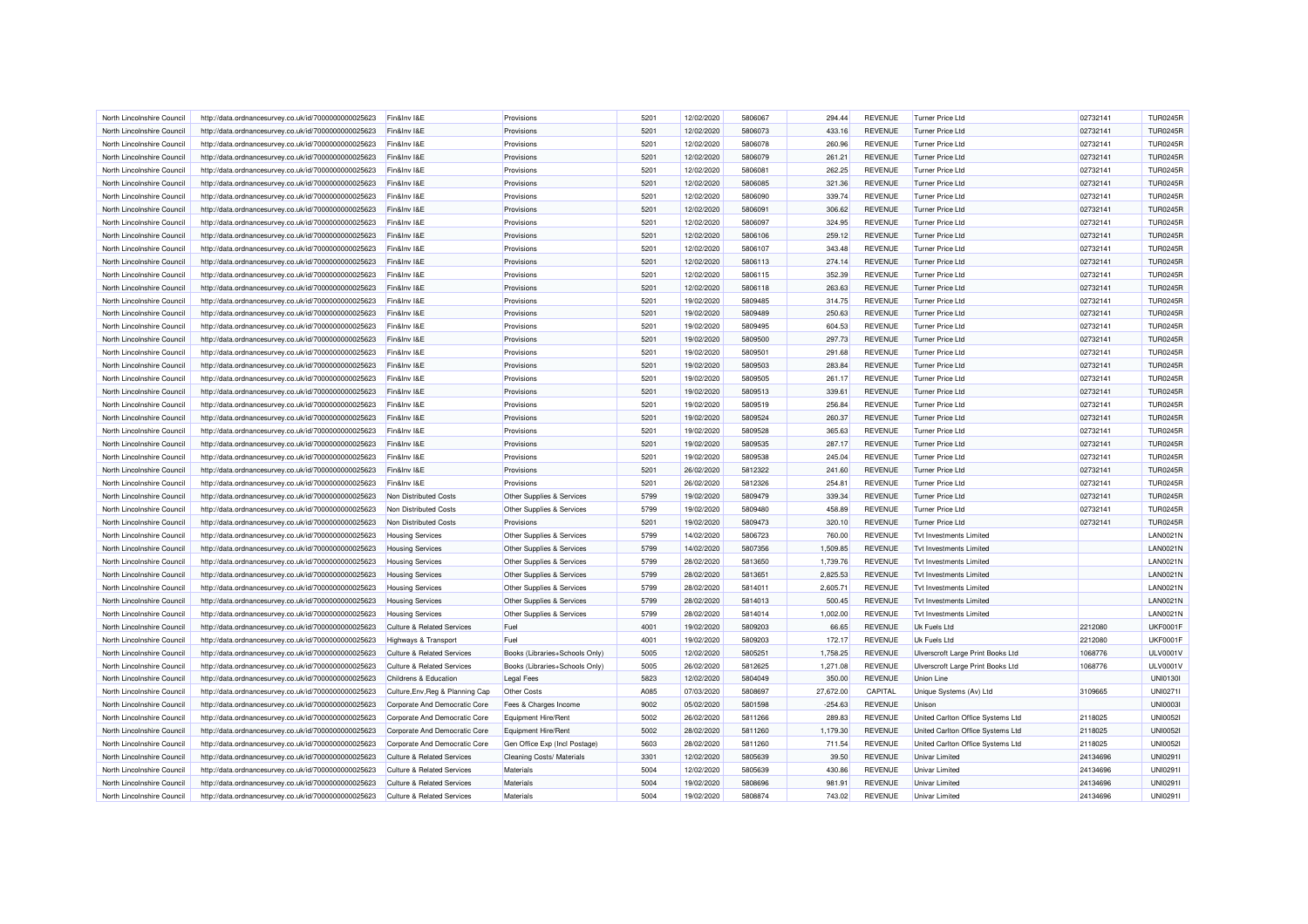| North Lincolnshire Council | http://data.ordnancesurvey.co.uk/id/7000000000025623 | Fin&Inv I&E                           | Provisions                       | 5201 | 12/02/2020 | 5806067 | 294.44    | <b>REVENUE</b> | Turner Price Ltd                  | 02732141 | <b>TUR0245R</b> |
|----------------------------|------------------------------------------------------|---------------------------------------|----------------------------------|------|------------|---------|-----------|----------------|-----------------------------------|----------|-----------------|
| North Lincolnshire Council | http://data.ordnancesurvey.co.uk/id/7000000000025623 | Fin&Inv I&E                           | Provisions                       | 5201 | 12/02/2020 | 5806073 | 433.16    | <b>REVENUE</b> | Turner Price Ltd                  | 02732141 | <b>TUR0245R</b> |
| North Lincolnshire Council | http://data.ordnancesurvey.co.uk/id/7000000000025623 | Fin&Inv I&E                           | Provisions                       | 5201 | 12/02/2020 | 5806078 | 260.96    | <b>REVENUE</b> | Turner Price Ltd                  | 02732141 | <b>TUR0245R</b> |
| North Lincolnshire Council | http://data.ordnancesurvey.co.uk/id/7000000000025623 | Fin&Inv I&E                           | Provisions                       | 5201 | 12/02/2020 | 5806079 | 261.21    | <b>REVENUE</b> | <b>Turner Price Ltd</b>           | 02732141 | <b>TUR0245R</b> |
| North Lincolnshire Council | http://data.ordnancesurvey.co.uk/id/7000000000025623 | Fin&Inv I&E                           | Provisions                       | 5201 | 12/02/2020 | 5806081 | 262.25    | <b>REVENUE</b> | Turner Price Ltd                  | 02732141 | <b>TUR0245R</b> |
| North Lincolnshire Council | http://data.ordnancesurvey.co.uk/id/7000000000025623 | Fin&Inv I&E                           | Provisions                       | 5201 | 12/02/2020 | 5806085 | 321.36    | <b>REVENUE</b> | <b>Turner Price Ltd</b>           | 02732141 | <b>TUR0245R</b> |
| North Lincolnshire Council | http://data.ordnancesurvey.co.uk/id/7000000000025623 | Fin&Inv I&E                           | Provisions                       | 5201 | 12/02/2020 | 5806090 | 339.74    | <b>REVENUE</b> | Turner Price Ltd                  | 02732141 | <b>TUR0245R</b> |
| North Lincolnshire Council | http://data.ordnancesurvey.co.uk/id/7000000000025623 | Fin&Inv I&E                           | Provisions                       | 5201 | 12/02/2020 | 5806091 | 306.62    | <b>REVENUE</b> | Turner Price Ltd                  | 02732141 | <b>TUR0245R</b> |
|                            |                                                      |                                       |                                  |      |            |         |           |                |                                   |          |                 |
| North Lincolnshire Council | http://data.ordnancesurvey.co.uk/id/7000000000025623 | Fin&Inv I&E                           | Provisions                       | 5201 | 12/02/2020 | 5806097 | 324.95    | <b>REVENUE</b> | Turner Price Ltd                  | 02732141 | <b>TUR0245R</b> |
| North Lincolnshire Council | http://data.ordnancesurvey.co.uk/id/7000000000025623 | Fin&Inv I&E                           | Provisions                       | 5201 | 12/02/2020 | 5806106 | 259.12    | <b>REVENUE</b> | Turner Price Ltd                  | 02732141 | <b>TUR0245R</b> |
| North Lincolnshire Council | http://data.ordnancesurvey.co.uk/id/7000000000025623 | Fin&Inv I&E                           | Provisions                       | 5201 | 12/02/2020 | 5806107 | 343.48    | <b>REVENUE</b> | Turner Price Ltd                  | 02732141 | <b>TUR0245R</b> |
| North Lincolnshire Council | http://data.ordnancesurvey.co.uk/id/7000000000025623 | Fin&Inv I&E                           | Provisions                       | 5201 | 12/02/2020 | 5806113 | 274.14    | <b>REVENUE</b> | Turner Price Ltd                  | 02732141 | <b>TUR0245R</b> |
| North Lincolnshire Council | http://data.ordnancesurvey.co.uk/id/7000000000025623 | Fin&Inv I&E                           | Provisions                       | 5201 | 12/02/2020 | 5806115 | 352.39    | <b>REVENUE</b> | Turner Price Ltd                  | 02732141 | <b>TUR0245R</b> |
| North Lincolnshire Council | http://data.ordnancesurvey.co.uk/id/7000000000025623 | Fin&Inv I&E                           | Provisions                       | 5201 | 12/02/2020 | 5806118 | 263.63    | <b>REVENUE</b> | Turner Price Ltd                  | 02732141 | <b>TUR0245R</b> |
| North Lincolnshire Council | http://data.ordnancesurvey.co.uk/id/7000000000025623 | Fin&Inv I&E                           | Provisions                       | 5201 | 19/02/2020 | 5809485 | 314.75    | <b>REVENUE</b> | Turner Price Ltd                  | 02732141 | <b>TUR0245R</b> |
| North Lincolnshire Council | http://data.ordnancesurvey.co.uk/id/7000000000025623 | Fin&Inv I&E                           | Provisions                       | 5201 | 19/02/2020 | 5809489 | 250.63    | <b>REVENUE</b> | Turner Price Ltd                  | 02732141 | <b>TUR0245R</b> |
| North Lincolnshire Council | http://data.ordnancesurvey.co.uk/id/7000000000025623 | Fin&Inv I&E                           | Provisions                       | 5201 | 19/02/2020 | 5809495 | 604.53    | <b>REVENUE</b> | Turner Price Ltd                  | 02732141 | <b>TUR0245R</b> |
| North Lincolnshire Council | http://data.ordnancesurvey.co.uk/id/7000000000025623 | Fin&Inv I&E                           | Provisions                       | 5201 | 19/02/2020 | 5809500 | 297.73    | <b>REVENUE</b> | Turner Price Ltd                  | 02732141 | <b>TUR0245R</b> |
| North Lincolnshire Council | http://data.ordnancesurvey.co.uk/id/7000000000025623 | Fin&Inv I&E                           | Provisions                       | 5201 | 19/02/2020 | 5809501 | 291.68    | <b>REVENUE</b> | Turner Price Ltd                  | 02732141 | <b>TUR0245R</b> |
| North Lincolnshire Council | http://data.ordnancesurvey.co.uk/id/7000000000025623 | Fin&Inv I&E                           | Provisions                       | 5201 | 19/02/2020 | 5809503 | 283.84    | <b>REVENUE</b> | Turner Price Ltd                  | 02732141 | <b>TUR0245R</b> |
| North Lincolnshire Council | http://data.ordnancesurvey.co.uk/id/7000000000025623 | Fin&Inv I&E                           | Provisions                       | 5201 | 19/02/2020 | 5809505 | 261.17    | <b>REVENUE</b> | <b>Turner Price Ltd</b>           | 02732141 | <b>TUR0245R</b> |
| North Lincolnshire Council | http://data.ordnancesurvey.co.uk/id/7000000000025623 | Fin&Inv I&E                           | Provisions                       | 5201 | 19/02/2020 | 5809513 | 339.61    | <b>REVENUE</b> | Turner Price Ltd                  | 02732141 | <b>TUR0245R</b> |
| North Lincolnshire Council | http://data.ordnancesurvey.co.uk/id/7000000000025623 | Fin&Inv I&E                           | Provisions                       | 5201 | 19/02/2020 | 5809519 | 256.84    | <b>REVENUE</b> | <b>Turner Price Ltd</b>           | 02732141 | <b>TUR0245R</b> |
| North Lincolnshire Council | http://data.ordnancesurvey.co.uk/id/7000000000025623 | Fin&Inv I&E                           | Provisions                       | 5201 | 19/02/2020 | 5809524 | 260.37    | <b>REVENUE</b> | Turner Price Ltd                  | 02732141 | <b>TUR0245R</b> |
| North Lincolnshire Council | http://data.ordnancesurvey.co.uk/id/7000000000025623 | Fin&Inv I&E                           | Provisions                       | 5201 | 19/02/2020 | 5809528 | 365.63    | <b>REVENUE</b> | Turner Price Ltd                  | 02732141 | <b>TUR0245R</b> |
|                            |                                                      |                                       |                                  |      |            |         |           |                |                                   |          |                 |
| North Lincolnshire Council | http://data.ordnancesurvey.co.uk/id/7000000000025623 | Fin&Inv I&E                           | Provisions                       | 5201 | 19/02/2020 | 5809535 | 287.17    | <b>REVENUE</b> | Turner Price Ltd                  | 02732141 | <b>TUR0245R</b> |
| North Lincolnshire Council | http://data.ordnancesurvey.co.uk/id/7000000000025623 | Fin&Inv I&E                           | Provisions                       | 5201 | 19/02/2020 | 5809538 | 245.04    | <b>REVENUE</b> | Turner Price Ltd                  | 02732141 | <b>TUR0245R</b> |
| North Lincolnshire Council | http://data.ordnancesurvey.co.uk/id/7000000000025623 | Fin&Inv I&E                           | Provisions                       | 5201 | 26/02/2020 | 5812322 | 241.60    | <b>REVENUE</b> | <b>Turner Price Ltd</b>           | 02732141 | <b>TUR0245R</b> |
| North Lincolnshire Council | http://data.ordnancesurvey.co.uk/id/7000000000025623 | Fin&Inv I&E                           | Provisions                       | 5201 | 26/02/2020 | 5812326 | 254.81    | <b>REVENUE</b> | <b>Turner Price Ltd</b>           | 02732141 | <b>TUR0245R</b> |
| North Lincolnshire Council | http://data.ordnancesurvey.co.uk/id/7000000000025623 | Non Distributed Costs                 | Other Supplies & Services        | 5799 | 19/02/2020 | 5809479 | 339.34    | <b>REVENUE</b> | <b>Turner Price Ltd</b>           | 02732141 | <b>TUR0245R</b> |
| North Lincolnshire Council | http://data.ordnancesurvey.co.uk/id/7000000000025623 | Non Distributed Costs                 | Other Supplies & Services        | 5799 | 19/02/2020 | 5809480 | 458.89    | <b>REVENUE</b> | Turner Price Ltd                  | 02732141 | <b>TUR0245R</b> |
| North Lincolnshire Council | http://data.ordnancesurvey.co.uk/id/7000000000025623 | Non Distributed Costs                 | Provisions                       | 5201 | 19/02/2020 | 5809473 | 320.10    | <b>REVENUE</b> | Turner Price Ltd                  | 02732141 | <b>TUR0245R</b> |
| North Lincolnshire Council | http://data.ordnancesurvey.co.uk/id/7000000000025623 | <b>Housing Services</b>               | Other Supplies & Services        | 5799 | 14/02/2020 | 5806723 | 760.00    | <b>REVENUE</b> | Tyt Investments I imited          |          | <b>LAN0021N</b> |
| North Lincolnshire Council | http://data.ordnancesurvey.co.uk/id/7000000000025623 | <b>Housing Services</b>               | Other Supplies & Services        | 5799 | 14/02/2020 | 5807356 | 1,509.85  | <b>REVENUE</b> | <b>Tvt Investments Limited</b>    |          | <b>LAN0021N</b> |
| North Lincolnshire Council | http://data.ordnancesurvey.co.uk/id/7000000000025623 | <b>Housing Services</b>               | Other Supplies & Services        | 5799 | 28/02/2020 | 5813650 | 1,739.76  | <b>REVENUE</b> | Tyt Investments Limited           |          | LAN0021N        |
| North Lincolnshire Council | http://data.ordnancesurvey.co.uk/id/7000000000025623 | <b>Housing Services</b>               | Other Supplies & Services        | 5799 | 28/02/2020 | 5813651 | 2,825.53  | <b>REVENUE</b> | <b>Tvt Investments Limited</b>    |          | <b>LAN0021N</b> |
| North Lincolnshire Council | http://data.ordnancesurvey.co.uk/id/7000000000025623 | <b>Housing Services</b>               | Other Supplies & Services        | 5799 | 28/02/2020 | 5814011 | 2,605.71  | <b>REVENUE</b> | Tyt Investments Limited           |          | <b>LAN0021N</b> |
| North Lincolnshire Council | http://data.ordnancesurvey.co.uk/id/7000000000025623 | <b>Housing Services</b>               | Other Supplies & Services        | 5799 | 28/02/2020 | 5814013 | 500.45    | <b>REVENUE</b> | Tyt Investments I imited          |          | <b>LAN0021N</b> |
| North Lincolnshire Council | http://data.ordnancesurvey.co.uk/id/7000000000025623 | <b>Housing Services</b>               | Other Supplies & Services        | 5799 | 28/02/2020 | 5814014 | 1,002.00  | <b>REVENUE</b> | Tyt Investments Limited           |          | <b>LAN0021N</b> |
| North Lincolnshire Council | http://data.ordnancesurvey.co.uk/id/7000000000025623 | <b>Culture &amp; Related Services</b> | Fuel                             | 4001 | 19/02/2020 | 5809203 | 66.65     | <b>REVENUE</b> | Uk Fuels Ltd                      | 2212080  | <b>UKF0001F</b> |
| North Lincolnshire Council | http://data.ordnancesurvey.co.uk/id/7000000000025623 | Highways & Transport                  | Fuel                             | 4001 | 19/02/2020 | 5809203 | 172.17    | <b>REVENUE</b> | Uk Fuels Ltd                      | 2212080  | <b>UKF0001F</b> |
| North Lincolnshire Council | http://data.ordnancesurvey.co.uk/id/7000000000025623 | <b>Culture &amp; Related Services</b> | Books (Libraries+Schools Only)   | 5005 | 12/02/2020 | 5805251 | 1.758.25  | <b>REVENUE</b> | Ulverscroft Large Print Books Ltd | 1068776  | <b>ULV0001V</b> |
| North Lincolnshire Council | http://data.ordnancesurvey.co.uk/id/7000000000025623 | <b>Culture &amp; Related Services</b> | Books (Libraries+Schools Only)   | 5005 | 26/02/2020 | 5812625 | 1,271.08  | <b>REVENUE</b> | Ulverscroft Large Print Books Ltd | 1068776  | <b>ULV0001V</b> |
| North Lincolnshire Council | http://data.ordnancesurvey.co.uk/id/7000000000025623 | Childrens & Education                 | <b>Legal Fees</b>                | 5823 | 12/02/2020 | 5804049 | 350.00    | <b>REVENUE</b> | <b>Union Line</b>                 |          | <b>UNI01301</b> |
|                            |                                                      |                                       |                                  |      |            |         |           |                |                                   |          |                 |
| North Lincolnshire Council | http://data.ordnancesurvey.co.uk/id/7000000000025623 | Culture, Env, Reg & Planning Cap      | Other Costs                      | A085 | 07/03/2020 | 5808697 | 27,672.00 | CAPITAL        | Unique Systems (Av) Ltd           | 3109665  | <b>UNI0271I</b> |
| North Lincolnshire Council | http://data.ordnancesurvey.co.uk/id/7000000000025623 | Corporate And Democratic Core         | Fees & Charges Income            | 9002 | 05/02/2020 | 5801598 | $-254.63$ | <b>REVENUE</b> | Unison                            |          | <b>UNI00031</b> |
| North Lincolnshire Council | http://data.ordnancesurvey.co.uk/id/7000000000025623 | Corporate And Democratic Core         | Equipment Hire/Rent              | 5002 | 26/02/2020 | 5811266 | 289.83    | <b>REVENUE</b> | United Carlton Office Systems Ltd | 2118025  | <b>UNI00521</b> |
| North Lincolnshire Council | http://data.ordnancesurvey.co.uk/id/7000000000025623 | Corporate And Democratic Core         | Equipment Hire/Rent              | 5002 | 28/02/2020 | 5811260 | 1,179.30  | <b>REVENUE</b> | United Carlton Office Systems Ltd | 2118025  | <b>UNI00521</b> |
| North Lincolnshire Council | http://data.ordnancesurvey.co.uk/id/7000000000025623 | Corporate And Democratic Core         | Gen Office Exp (Incl Postage)    | 5603 | 28/02/2020 | 5811260 | 711.54    | <b>REVENUE</b> | United Carlton Office Systems Ltd | 2118025  | <b>UNI00521</b> |
| North Lincolnshire Council | http://data.ordnancesurvey.co.uk/id/7000000000025623 | <b>Culture &amp; Related Services</b> | <b>Cleaning Costs/ Materials</b> | 3301 | 12/02/2020 | 5805639 | 39.50     | <b>REVENUE</b> | <b>Univar Limited</b>             | 24134696 | <b>UNI0291I</b> |
| North Lincolnshire Council | http://data.ordnancesurvey.co.uk/id/7000000000025623 | <b>Culture &amp; Related Services</b> | Materials                        | 5004 | 12/02/2020 | 5805639 | 430.86    | <b>REVENUE</b> | Univar Limited                    | 24134696 | UNI0291         |
| North Lincolnshire Council | http://data.ordnancesurvey.co.uk/id/7000000000025623 | <b>Culture &amp; Related Services</b> | Materials                        | 5004 | 19/02/2020 | 5808696 | 981.91    | <b>REVENUE</b> | <b>Univar Limited</b>             | 24134696 | <b>UNI0291I</b> |
| North Lincolnshire Council | http://data.ordnancesurvey.co.uk/id/7000000000025623 | <b>Culture &amp; Related Services</b> | Materials                        | 5004 | 19/02/2020 | 5808874 | 743.02    | <b>REVENUE</b> | Univar Limited                    | 24134696 | UNI0291I        |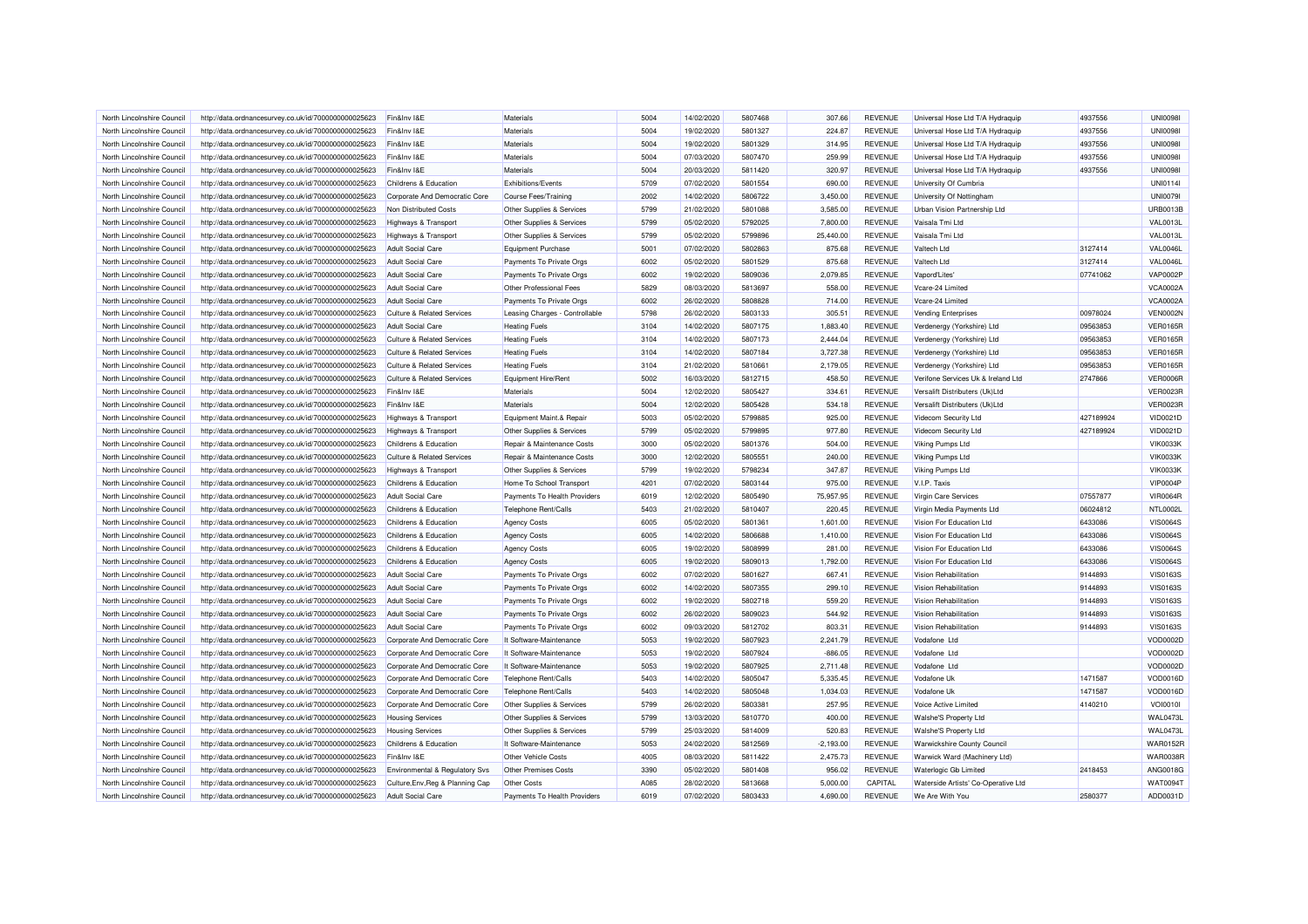| North Lincolnshire Council | http://data.ordnancesurvey.co.uk/id/7000000000025623 | Fin&Inv I&E                           | Materials                      | 5004 | 14/02/2020 | 5807468 | 307.66      | <b>REVENUE</b> | Universal Hose Ltd T/A Hydraquip    | 4937556   | <b>UNI0098I</b> |
|----------------------------|------------------------------------------------------|---------------------------------------|--------------------------------|------|------------|---------|-------------|----------------|-------------------------------------|-----------|-----------------|
| North Lincolnshire Council | http://data.ordnancesurvey.co.uk/id/7000000000025623 | Fin&Inv I&E                           | Materials                      | 5004 | 19/02/2020 | 5801327 | 224.87      | <b>REVENUE</b> | Universal Hose Ltd T/A Hydraquip    | 4937556   | <b>UNI0098I</b> |
| North Lincolnshire Council | http://data.ordnancesurvey.co.uk/id/7000000000025623 | Fin&Inv I&E                           | Materials                      | 5004 | 19/02/2020 | 5801329 | 314.95      | <b>REVENUE</b> | Universal Hose Ltd T/A Hydraquip    | 4937556   | <b>UNI0098I</b> |
| North Lincolnshire Council | http://data.ordnancesurvey.co.uk/id/7000000000025623 | Fin&Inv I&E                           | Materials                      | 5004 | 07/03/2020 | 5807470 | 259.99      | <b>REVENUE</b> | Universal Hose Ltd T/A Hydraquip    | 4937556   | <b>UNI0098I</b> |
| North Lincolnshire Council | http://data.ordnancesurvey.co.uk/id/7000000000025623 | Fin&Inv I&E                           | Materials                      | 5004 | 20/03/2020 | 5811420 | 320.97      | <b>REVENUE</b> | Universal Hose Ltd T/A Hydraquip    | 4937556   | <b>UNI0098I</b> |
| North Lincolnshire Council | http://data.ordnancesurvey.co.uk/id/7000000000025623 | Childrens & Education                 | Exhibitions/Events             | 5709 | 07/02/2020 | 5801554 | 690.00      | <b>REVENUE</b> | University Of Cumbria               |           | <b>UNI0114I</b> |
| North Lincolnshire Council | http://data.ordnancesurvey.co.uk/id/7000000000025623 | Corporate And Democratic Core         | Course Fees/Training           | 2002 | 14/02/2020 | 5806722 | 3,450.00    | <b>REVENUE</b> | University Of Nottingham            |           | <b>UNI00791</b> |
| North Lincolnshire Council | http://data.ordnancesurvey.co.uk/id/7000000000025623 | Non Distributed Costs                 | Other Supplies & Services      | 5799 | 21/02/2020 | 5801088 | 3,585.00    | <b>REVENUE</b> | Urban Vision Partnership Ltd        |           | <b>URB0013B</b> |
| North Lincolnshire Council | http://data.ordnancesurvey.co.uk/id/7000000000025623 | Highways & Transport                  | Other Supplies & Services      | 5799 | 05/02/2020 | 5792025 | 7,800.00    | <b>REVENUE</b> | Vaisala Tmi I to                    |           | <b>VAL0013L</b> |
| North Lincolnshire Council | http://data.ordnancesurvey.co.uk/id/7000000000025623 | <b>Highways &amp; Transport</b>       | Other Supplies & Services      | 5799 | 05/02/2020 | 5799896 | 25,440.00   | <b>REVENUE</b> | Vaisala Tmi Ltd                     |           | <b>VAL0013L</b> |
| North Lincolnshire Council | http://data.ordnancesurvey.co.uk/id/7000000000025623 | <b>Adult Social Care</b>              | <b>Equipment Purchase</b>      | 5001 | 07/02/2020 | 5802863 | 875.68      | <b>REVENUE</b> | Valtech Ltd                         | 3127414   | <b>VAL0046L</b> |
| North Lincolnshire Council | http://data.ordnancesurvey.co.uk/id/7000000000025623 | <b>Adult Social Care</b>              | Payments To Private Orgs       | 6002 | 05/02/2020 | 5801529 | 875.68      | <b>REVENUE</b> | Valtech Ltd                         | 3127414   | VAL0046L        |
| North Lincolnshire Council | http://data.ordnancesurvey.co.uk/id/7000000000025623 | <b>Adult Social Care</b>              | Payments To Private Orgs       | 6002 | 19/02/2020 | 5809036 | 2,079.85    | <b>REVENUE</b> | Vapord'Lites'                       | 07741062  | <b>VAP0002P</b> |
| North Lincolnshire Council | http://data.ordnancesurvey.co.uk/id/7000000000025623 | <b>Adult Social Care</b>              | Other Professional Fees        | 5829 | 08/03/2020 | 5813697 | 558.00      | <b>REVENUE</b> | Vcare-24 Limited                    |           | <b>VCA0002A</b> |
| North Lincolnshire Council | http://data.ordnancesurvey.co.uk/id/7000000000025623 | <b>Adult Social Care</b>              | Payments To Private Orgs       | 6002 | 26/02/2020 | 5808828 | 714.00      | <b>REVENUE</b> | Vcare-24 Limited                    |           | <b>VCA0002A</b> |
| North Lincolnshire Council | http://data.ordnancesurvey.co.uk/id/7000000000025623 | <b>Culture &amp; Related Services</b> | Leasing Charges - Controllable | 5798 | 26/02/2020 | 5803133 | 305.51      | <b>REVENUE</b> | <b>Vending Enterprises</b>          | 00978024  | <b>VEN0002N</b> |
| North Lincolnshire Council | http://data.ordnancesurvey.co.uk/id/7000000000025623 | <b>Adult Social Care</b>              | <b>Heating Fuels</b>           | 3104 | 14/02/2020 | 5807175 | 1.883.40    | <b>REVENUE</b> | Verdenergy (Yorkshire) Ltd          | 09563853  | <b>VER0165R</b> |
| North Lincolnshire Council | http://data.ordnancesurvey.co.uk/id/7000000000025623 | <b>Culture &amp; Related Services</b> | <b>Heating Fuels</b>           | 3104 | 14/02/2020 | 5807173 | 2,444.04    | <b>REVENUE</b> | Verdenergy (Yorkshire) Ltd          | 09563853  | <b>VER0165R</b> |
| North Lincolnshire Council | http://data.ordnancesurvey.co.uk/id/7000000000025623 | <b>Culture &amp; Related Services</b> | <b>Heating Fuels</b>           | 3104 | 14/02/2020 | 5807184 | 3,727.38    | <b>REVENUE</b> | Verdenergy (Yorkshire) Ltd          | 09563853  | <b>VER0165R</b> |
| North Lincolnshire Council | http://data.ordnancesurvey.co.uk/id/7000000000025623 | <b>Culture &amp; Related Services</b> | <b>Heating Fuels</b>           | 3104 | 21/02/2020 | 5810661 | 2,179.05    | REVENUE        | Verdenergy (Yorkshire) Ltd          | 09563853  | <b>VER0165R</b> |
| North Lincolnshire Council | http://data.ordnancesurvey.co.uk/id/7000000000025623 | <b>Culture &amp; Related Services</b> | Equipment Hire/Rent            | 5002 | 16/03/2020 | 5812715 | 458.50      | <b>REVENUE</b> | Verifone Services Uk & Ireland Ltd  | 2747866   | <b>VER0006R</b> |
| North Lincolnshire Council | http://data.ordnancesurvey.co.uk/id/7000000000025623 | Fin&Inv I&E                           | Materials                      | 5004 | 12/02/2020 | 5805427 | 334.61      | <b>REVENUE</b> | Versalift Distributers (Uk)Ltd      |           | <b>VER0023R</b> |
| North Lincolnshire Council | http://data.ordnancesurvey.co.uk/id/7000000000025623 | Fin&Inv I&E                           | Materials                      | 5004 | 12/02/2020 | 5805428 | 534.18      | <b>REVENUE</b> | Versalift Distributers (Uk)Ltd      |           | <b>VER0023R</b> |
| North Lincolnshire Council | http://data.ordnancesurvey.co.uk/id/7000000000025623 | <b>Highways &amp; Transport</b>       | Equipment Maint.& Repair       | 5003 | 05/02/2020 | 5799885 | 925.00      | <b>REVENUE</b> | Videcom Security Ltd                | 427189924 | VID0021D        |
| North Lincolnshire Council | http://data.ordnancesurvey.co.uk/id/7000000000025623 | Highways & Transport                  | Other Supplies & Services      | 5799 | 05/02/2020 | 5799895 | 977.80      | <b>REVENUE</b> | Videcom Security Ltd                | 427189924 | VID0021D        |
| North Lincolnshire Council | http://data.ordnancesurvey.co.uk/id/7000000000025623 | Childrens & Education                 | Repair & Maintenance Costs     | 3000 | 05/02/2020 | 5801376 | 504.00      | <b>REVENUE</b> | Viking Pumps Ltd                    |           | <b>VIK0033K</b> |
| North Lincolnshire Council | http://data.ordnancesurvey.co.uk/id/7000000000025623 | <b>Culture &amp; Related Services</b> | Repair & Maintenance Costs     | 3000 | 12/02/2020 | 5805551 | 240.00      | <b>REVENUE</b> | Viking Pumps Ltd                    |           | <b>VIK0033K</b> |
| North Lincolnshire Council | http://data.ordnancesurvey.co.uk/id/7000000000025623 | <b>Highways &amp; Transport</b>       | Other Supplies & Services      | 5799 | 19/02/2020 | 5798234 | 347.87      | <b>REVENUE</b> | Viking Pumps Ltd                    |           | <b>VIK0033K</b> |
| North Lincolnshire Council |                                                      |                                       |                                | 4201 |            | 5803144 | 975.00      | <b>REVENUE</b> |                                     |           | <b>VIP0004P</b> |
|                            | http://data.ordnancesurvey.co.uk/id/7000000000025623 | Childrens & Education                 | Home To School Transport       |      | 07/02/2020 |         |             |                | V.I.P. Taxis                        |           |                 |
| North Lincolnshire Council | http://data.ordnancesurvey.co.uk/id/7000000000025623 | <b>Adult Social Care</b>              | Payments To Health Providers   | 6019 | 12/02/2020 | 5805490 | 75,957.95   | <b>REVENUE</b> | Virgin Care Services                | 07557877  | <b>VIR0064R</b> |
| North Lincolnshire Council | http://data.ordnancesurvey.co.uk/id/7000000000025623 | Childrens & Education                 | Telephone Rent/Calls           | 5403 | 21/02/2020 | 5810407 | 220.45      | <b>REVENUE</b> | Virgin Media Payments Ltd           | 06024812  | <b>NTL0002L</b> |
| North Lincolnshire Council | http://data.ordnancesurvey.co.uk/id/7000000000025623 | Childrens & Education                 | <b>Agency Costs</b>            | 6005 | 05/02/2020 | 580136  | 1.601.00    | <b>REVENUE</b> | Vision For Education Ltd            | 6433086   | <b>VIS0064S</b> |
| North Lincolnshire Council | http://data.ordnancesurvey.co.uk/id/7000000000025623 | Childrens & Education                 | <b>Agency Costs</b>            | 6005 | 14/02/2020 | 5806688 | 1,410.00    | <b>REVENUE</b> | Vision For Education Ltd            | 6433086   | <b>VIS0064S</b> |
| North Lincolnshire Council | http://data.ordnancesurvey.co.uk/id/7000000000025623 | Childrens & Education                 | <b>Agency Costs</b>            | 6005 | 19/02/2020 | 5808999 | 281.00      | <b>REVENUE</b> | Vision For Education Ltd            | 6433086   | <b>VIS0064S</b> |
| North Lincolnshire Council | http://data.ordnancesurvey.co.uk/id/7000000000025623 | Childrens & Education                 | <b>Agency Costs</b>            | 6005 | 19/02/2020 | 5809013 | 1,792.00    | <b>REVENUE</b> | Vision For Education Ltd            | 6433086   | <b>VIS0064S</b> |
| North Lincolnshire Council | http://data.ordnancesurvey.co.uk/id/7000000000025623 | Adult Social Care                     | Payments To Private Orgs       | 6002 | 07/02/2020 | 5801627 | 667.41      | <b>REVENUE</b> | Vision Rehabilitation               | 9144893   | <b>VIS0163S</b> |
| North Lincolnshire Council | http://data.ordnancesurvey.co.uk/id/7000000000025623 | Adult Social Care                     | Payments To Private Orgs       | 6002 | 14/02/2020 | 5807355 | 299.10      | <b>REVENUE</b> | Vision Rehabilitation               | 9144893   | <b>VIS0163S</b> |
| North Lincolnshire Council | http://data.ordnancesurvey.co.uk/id/7000000000025623 | <b>Adult Social Care</b>              | Payments To Private Orgs       | 6002 | 19/02/2020 | 5802718 | 559.20      | <b>REVENUE</b> | Vision Rehabilitation               | 9144893   | <b>VIS0163S</b> |
| North Lincolnshire Council | http://data.ordnancesurvey.co.uk/id/7000000000025623 | <b>Adult Social Care</b>              | Payments To Private Orgs       | 6002 | 26/02/2020 | 5809023 | 544.92      | <b>REVENUE</b> | Vision Rehabilitation               | 9144893   | <b>VIS0163S</b> |
| North Lincolnshire Council | http://data.ordnancesurvey.co.uk/id/7000000000025623 | <b>Adult Social Care</b>              | Payments To Private Orgs       | 6002 | 09/03/2020 | 5812702 | 803.31      | <b>REVENUE</b> | Vision Rehabilitation               | 9144893   | <b>VIS0163S</b> |
| North Lincolnshire Council | http://data.ordnancesurvey.co.uk/id/7000000000025623 | Corporate And Democratic Core         | It Software-Maintenance        | 5053 | 19/02/2020 | 5807923 | 2,241.79    | <b>REVENUE</b> | Vodafone Ltd                        |           | VOD0002D        |
| North Lincolnshire Council | http://data.ordnancesurvey.co.uk/id/7000000000025623 | Corporate And Democratic Core         | It Software-Maintenance        | 5053 | 19/02/2020 | 5807924 | $-886.05$   | <b>REVENUE</b> | Vodafone Ltd                        |           | VOD0002D        |
| North Lincolnshire Council | http://data.ordnancesurvey.co.uk/id/7000000000025623 | Corporate And Democratic Core         | It Software-Maintenance        | 5053 | 19/02/2020 | 5807925 | 2.711.48    | <b>REVENUE</b> | Vodafone Ltd                        |           | VOD0002D        |
| North Lincolnshire Council | http://data.ordnancesurvey.co.uk/id/7000000000025623 | Corporate And Democratic Core         | <b>Telephone Rent/Calls</b>    | 5403 | 14/02/2020 | 5805047 | 5,335.45    | <b>REVENUE</b> | Vodafone Uk                         | 1471587   | VOD0016D        |
| North Lincolnshire Council | http://data.ordnancesurvey.co.uk/id/7000000000025623 | Corporate And Democratic Core         | Telephone Rent/Calls           | 5403 | 14/02/2020 | 5805048 | 1,034.03    | <b>REVENUE</b> | Vodafone Uk                         | 1471587   | VOD0016D        |
| North Lincolnshire Council | http://data.ordnancesurvey.co.uk/id/7000000000025623 | Corporate And Democratic Core         | Other Supplies & Services      | 5799 | 26/02/2020 | 580338  | 257.95      | <b>REVENUE</b> | Voice Active Limited                | 4140210   | <b>VOI0010I</b> |
| North Lincolnshire Council | http://data.ordnancesurvey.co.uk/id/7000000000025623 | <b>Housing Services</b>               | Other Supplies & Services      | 5799 | 13/03/2020 | 5810770 | 400.00      | <b>REVENUE</b> | Walshe'S Property Ltd               |           | WAL0473L        |
| North Lincolnshire Council | http://data.ordnancesurvey.co.uk/id/7000000000025623 | <b>Housing Services</b>               | Other Supplies & Services      | 5799 | 25/03/2020 | 5814009 | 520.83      | <b>REVENUE</b> | <b>Walshe'S Property Ltd</b>        |           | WAL0473L        |
| North Lincolnshire Council | http://data.ordnancesurvey.co.uk/id/7000000000025623 | Childrens & Education                 | It Software-Maintenance        | 5053 | 24/02/2020 | 5812569 | $-2,193.00$ | <b>REVENUE</b> | Warwickshire County Council         |           | <b>WAR0152F</b> |
| North Lincolnshire Council | http://data.ordnancesurvey.co.uk/id/7000000000025623 | Fin&Inv I&E                           | Other Vehicle Costs            | 4005 | 08/03/2020 | 5811422 | 2,475.73    | <b>REVENUE</b> | Warwick Ward (Machinery Ltd)        |           | <b>WAR0038F</b> |
| North Lincolnshire Council | http://data.ordnancesurvey.co.uk/id/7000000000025623 | Environmental & Regulatory Svs        | Other Premises Costs           | 3390 | 05/02/2020 | 5801408 | 956.02      | <b>REVENUE</b> | <b>Waterlogic Gb Limited</b>        | 2418453   | ANG0018G        |
| North Lincolnshire Council | http://data.ordnancesurvey.co.uk/id/7000000000025623 | Culture, Env, Reg & Planning Cap      | <b>Other Costs</b>             | A085 | 28/02/2020 | 5813668 | 5,000.00    | CAPITAL        | Waterside Artists' Co-Operative Ltd |           | WAT0094T        |
| North Lincolnshire Council | http://data.ordnancesurvey.co.uk/id/7000000000025623 | Adult Social Care                     | Payments To Health Providers   | 6019 | 07/02/2020 | 5803433 | 4,690.00    | <b>REVENUE</b> | We Are With You                     | 2580377   | ADD0031D        |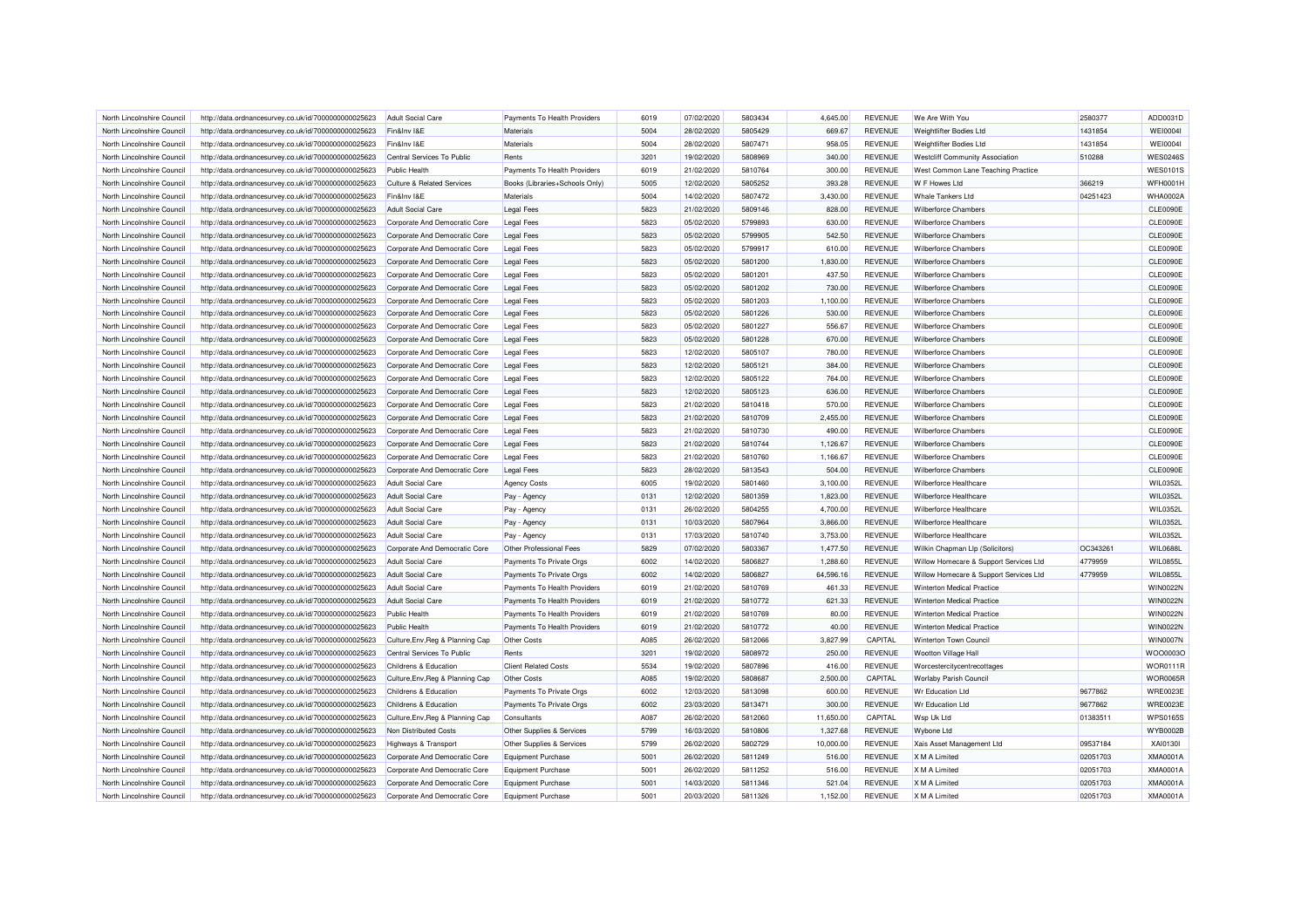| North Lincolnshire Council | http://data.ordnancesurvey.co.uk/id/7000000000025623                                                         | <b>Adult Social Care</b>              | Payments To Health Providers   | 6019 | 07/02/2020 | 5803434 | 4.645.00  | <b>REVENUE</b>                   | We Are With You                        | 2580377  | ADD0031D                           |
|----------------------------|--------------------------------------------------------------------------------------------------------------|---------------------------------------|--------------------------------|------|------------|---------|-----------|----------------------------------|----------------------------------------|----------|------------------------------------|
| North Lincolnshire Council | http://data.ordnancesurvey.co.uk/id/7000000000025623                                                         | Fin&Inv I&E                           | Materials                      | 5004 | 28/02/2020 | 5805429 | 669.67    | <b>REVENUE</b>                   | Weightlifter Bodies Ltd                | 1431854  | <b>WEI0004I</b>                    |
| North Lincolnshire Council | http://data.ordnancesurvey.co.uk/id/7000000000025623                                                         | Fin&Inv I&E                           | Materials                      | 5004 | 28/02/2020 | 5807471 | 958.05    | <b>REVENUE</b>                   | <b>Weightlifter Bodies Ltd</b>         | 1431854  | <b>WEI0004I</b>                    |
| North Lincolnshire Council | http://data.ordnancesurvey.co.uk/id/7000000000025623                                                         | Central Services To Public            | Rents                          | 3201 | 19/02/2020 | 5808969 | 340.00    | <b>REVENUE</b>                   | <b>Westcliff Community Association</b> | 510288   | <b>WES0246S</b>                    |
| North Lincolnshire Council | http://data.ordnancesurvey.co.uk/id/7000000000025623                                                         | <b>Public Health</b>                  | Payments To Health Providers   | 6019 | 21/02/2020 | 5810764 | 300.00    | <b>REVENUE</b>                   | West Common Lane Teaching Practice     |          | <b>WES0101S</b>                    |
| North Lincolnshire Council | http://data.ordnancesurvey.co.uk/id/7000000000025623                                                         | <b>Culture &amp; Related Services</b> | Books (Libraries+Schools Only) | 5005 | 12/02/2020 | 5805252 | 393.28    | <b>REVENUE</b>                   | W F Howes Ltd                          | 366219   | <b>WFH0001H</b>                    |
| North Lincolnshire Council | http://data.ordnancesurvey.co.uk/id/7000000000025623                                                         | Fin&Inv I&E                           | Materials                      | 5004 | 14/02/2020 | 5807472 | 3,430.00  | <b>REVENUE</b>                   | <b>Whale Tankers Ltd</b>               | 04251423 | <b>WHA0002A</b>                    |
| North Lincolnshire Council | http://data.ordnancesurvey.co.uk/id/7000000000025623                                                         | <b>Adult Social Care</b>              | <b>Legal Fees</b>              | 5823 | 21/02/2020 | 5809146 | 828.00    | <b>REVENUE</b>                   | <b>Wilberforce Chambers</b>            |          | <b>CLE0090E</b>                    |
| North Lincolnshire Council | http://data.ordnancesurvey.co.uk/id/7000000000025623                                                         | Corporate And Democratic Core         | <b>Legal Fees</b>              | 5823 | 05/02/2020 | 5799893 | 630.00    | <b>REVENUE</b>                   | <b>Wilberforce Chambers</b>            |          | <b>CLE0090E</b>                    |
| North Lincolnshire Council | http://data.ordnancesurvey.co.uk/id/7000000000025623                                                         | Corporate And Democratic Core         | <b>Legal Fees</b>              | 5823 | 05/02/2020 | 5799905 | 542.50    | <b>REVENUE</b>                   | <b>Wilberforce Chambers</b>            |          | <b>CLE0090E</b>                    |
| North Lincolnshire Council | http://data.ordnancesurvey.co.uk/id/7000000000025623                                                         | Corporate And Democratic Core         | <b>Legal Fees</b>              | 5823 | 05/02/2020 | 5799917 | 610.00    | <b>REVENUE</b>                   | <b>Wilberforce Chambers</b>            |          | <b>CLE0090E</b>                    |
| North Lincolnshire Council | http://data.ordnancesurvey.co.uk/id/7000000000025623                                                         | Corporate And Democratic Core         | <b>Legal Fees</b>              | 5823 | 05/02/2020 | 5801200 | 1.830.00  | <b>REVENUE</b>                   | <b>Wilberforce Chambers</b>            |          | <b>CLE0090E</b>                    |
| North Lincolnshire Council | http://data.ordnancesurvey.co.uk/id/7000000000025623                                                         | Corporate And Democratic Core         | <b>Legal Fees</b>              | 5823 | 05/02/2020 | 5801201 | 437.50    | <b>REVENUE</b>                   | <b>Wilberforce Chambers</b>            |          | CLE0090E                           |
| North Lincolnshire Council | http://data.ordnancesurvey.co.uk/id/7000000000025623                                                         | Corporate And Democratic Core         | <b>Legal Fees</b>              | 5823 | 05/02/2020 | 5801202 | 730.00    | <b>REVENUE</b>                   | <b>Wilberforce Chambers</b>            |          | <b>CLE0090E</b>                    |
| North Lincolnshire Council | http://data.ordnancesurvey.co.uk/id/7000000000025623                                                         | Corporate And Democratic Core         | <b>Legal Fees</b>              | 5823 | 05/02/2020 | 5801203 | 1,100.00  | <b>REVENUE</b>                   | <b>Wilberforce Chambers</b>            |          | CLE0090E                           |
| North Lincolnshire Council | http://data.ordnancesurvey.co.uk/id/7000000000025623                                                         | Corporate And Democratic Core         | <b>Legal Fees</b>              | 5823 | 05/02/2020 | 5801226 | 530.00    | <b>REVENUE</b>                   | <b>Wilberforce Chambers</b>            |          | <b>CLE0090E</b>                    |
| North Lincolnshire Council | http://data.ordnancesurvey.co.uk/id/7000000000025623                                                         | Corporate And Democratic Core         | <b>Legal Fees</b>              | 5823 | 05/02/2020 | 5801227 | 556.67    | <b>REVENUE</b>                   | <b>Wilberforce Chambers</b>            |          | <b>CLE0090E</b>                    |
| North Lincolnshire Council | http://data.ordnancesurvey.co.uk/id/7000000000025623                                                         | Corporate And Democratic Core         | <b>Legal Fees</b>              | 5823 | 05/02/2020 | 5801228 | 670.00    | <b>REVENUE</b>                   | <b>Wilberforce Chambers</b>            |          | <b>CLE0090E</b>                    |
| North Lincolnshire Council |                                                                                                              | Corporate And Democratic Core         |                                | 5823 | 12/02/2020 | 5805107 | 780.00    | <b>REVENUE</b>                   | <b>Wilberforce Chambers</b>            |          | <b>CLE0090E</b>                    |
| North Lincolnshire Council | http://data.ordnancesurvey.co.uk/id/7000000000025623<br>http://data.ordnancesurvey.co.uk/id/7000000000025623 |                                       | <b>Legal Fees</b>              | 5823 | 12/02/2020 | 5805121 | 384.00    | <b>REVENUE</b>                   | <b>Wilberforce Chambers</b>            |          | <b>CLE0090E</b>                    |
| North Lincolnshire Council |                                                                                                              | Corporate And Democratic Core         | <b>Legal Fees</b>              | 5823 | 12/02/2020 | 5805122 | 764.00    | <b>REVENUE</b>                   | <b>Wilberforce Chambers</b>            |          | <b>CLE0090E</b>                    |
|                            | http://data.ordnancesurvey.co.uk/id/7000000000025623                                                         | Corporate And Democratic Core         | <b>Legal Fees</b>              |      |            |         |           |                                  |                                        |          |                                    |
| North Lincolnshire Council | http://data.ordnancesurvey.co.uk/id/7000000000025623                                                         | Corporate And Democratic Core         | <b>Legal Fees</b>              | 5823 | 12/02/2020 | 5805123 | 636.00    | <b>REVENUE</b><br><b>REVENUE</b> | <b>Wilberforce Chambers</b>            |          | <b>CLE0090E</b><br><b>CLE0090E</b> |
| North Lincolnshire Council | http://data.ordnancesurvey.co.uk/id/7000000000025623                                                         | Corporate And Democratic Core         | <b>Legal Fees</b>              | 5823 | 21/02/2020 | 5810418 | 570.00    |                                  | <b>Wilberforce Chambers</b>            |          |                                    |
| North Lincolnshire Council | http://data.ordnancesurvey.co.uk/id/7000000000025623                                                         | Corporate And Democratic Core         | <b>Legal Fees</b>              | 5823 | 21/02/2020 | 5810709 | 2,455.00  | <b>REVENUE</b>                   | <b>Wilberforce Chambers</b>            |          | <b>CLE0090E</b>                    |
| North Lincolnshire Council | http://data.ordnancesurvey.co.uk/id/7000000000025623                                                         | Corporate And Democratic Core         | <b>Legal Fees</b>              | 5823 | 21/02/2020 | 5810730 | 490.00    | <b>REVENUE</b>                   | <b>Wilberforce Chambers</b>            |          | <b>CLE0090E</b>                    |
| North Lincolnshire Council | http://data.ordnancesurvey.co.uk/id/7000000000025623                                                         | Corporate And Democratic Core         | <b>Legal Fees</b>              | 5823 | 21/02/2020 | 5810744 | 1,126.67  | <b>REVENUE</b>                   | <b>Wilberforce Chambers</b>            |          | <b>CLE0090E</b>                    |
| North Lincolnshire Council | http://data.ordnancesurvey.co.uk/id/7000000000025623                                                         | Corporate And Democratic Core         | <b>Legal Fees</b>              | 5823 | 21/02/2020 | 5810760 | 1,166.67  | <b>REVENUE</b>                   | <b>Wilberforce Chambers</b>            |          | <b>CLE0090E</b>                    |
| North Lincolnshire Council | http://data.ordnancesurvey.co.uk/id/7000000000025623                                                         | Corporate And Democratic Core         | <b>Legal Fees</b>              | 5823 | 28/02/2020 | 5813543 | 504.00    | <b>REVENUE</b>                   | <b>Wilberforce Chambers</b>            |          | <b>CLE0090E</b>                    |
| North Lincolnshire Council | http://data.ordnancesurvey.co.uk/id/7000000000025623                                                         | <b>Adult Social Care</b>              | <b>Agency Costs</b>            | 6005 | 19/02/2020 | 5801460 | 3,100.00  | <b>REVENUE</b>                   | Wilberforce Healthcare                 |          | WIL0352L                           |
| North Lincolnshire Council | http://data.ordnancesurvey.co.uk/id/7000000000025623                                                         | Adult Social Care                     | Pay - Agency                   | 0131 | 12/02/2020 | 5801359 | 1,823.00  | <b>REVENUE</b>                   | Wilberforce Healthcare                 |          | WIL0352L                           |
| North Lincolnshire Council | http://data.ordnancesurvey.co.uk/id/7000000000025623                                                         | <b>Adult Social Care</b>              | Pay - Agency                   | 0131 | 26/02/2020 | 5804255 | 4,700.00  | <b>REVENUE</b>                   | Wilberforce Healthcare                 |          | <b>WIL0352L</b>                    |
| North Lincolnshire Council | http://data.ordnancesurvey.co.uk/id/7000000000025623                                                         | <b>Adult Social Care</b>              | Pay - Agency                   | 0131 | 10/03/2020 | 5807964 | 3,866.00  | <b>REVENUE</b>                   | Wilberforce Healthcare                 |          | WIL0352L                           |
| North Lincolnshire Council | http://data.ordnancesurvey.co.uk/id/7000000000025623                                                         | <b>Adult Social Care</b>              | Pay - Agency                   | 0131 | 17/03/2020 | 5810740 | 3,753.00  | <b>REVENUE</b>                   | Wilberforce Healthcare                 |          | WIL0352L                           |
| North Lincolnshire Council | http://data.ordnancesurvey.co.uk/id/7000000000025623                                                         | Corporate And Democratic Core         | Other Professional Fees        | 5829 | 07/02/2020 | 5803367 | 1,477.50  | <b>REVENUE</b>                   | Wilkin Chapman Llp (Solicitors)        | OC343261 | WIL0688L                           |
| North Lincolnshire Council | http://data.ordnancesurvey.co.uk/id/7000000000025623                                                         | <b>Adult Social Care</b>              | Payments To Private Orgs       | 6002 | 14/02/2020 | 5806827 | 1,288.60  | <b>REVENUE</b>                   | Willow Homecare & Support Services Ltd | 4779959  | WIL0855L                           |
| North Lincolnshire Council | http://data.ordnancesurvey.co.uk/id/7000000000025623                                                         | Adult Social Care                     | Payments To Private Orgs       | 6002 | 14/02/2020 | 5806827 | 64,596.16 | <b>REVENUE</b>                   | Willow Homecare & Support Services Ltd | 4779959  | WIL0855L                           |
| North Lincolnshire Council | http://data.ordnancesurvey.co.uk/id/7000000000025623                                                         | <b>Adult Social Care</b>              | Payments To Health Providers   | 6019 | 21/02/2020 | 5810769 | 461.33    | <b>REVENUE</b>                   | <b>Winterton Medical Practice</b>      |          | <b>WIN0022N</b>                    |
| North Lincolnshire Council | http://data.ordnancesurvey.co.uk/id/7000000000025623                                                         | <b>Adult Social Care</b>              | Payments To Health Providers   | 6019 | 21/02/2020 | 5810772 | 621.33    | <b>REVENUE</b>                   | <b>Winterton Medical Practice</b>      |          | <b>WIN0022N</b>                    |
| North Lincolnshire Council | http://data.ordnancesurvey.co.uk/id/7000000000025623                                                         | <b>Public Health</b>                  | Payments To Health Providers   | 6019 | 21/02/2020 | 5810769 | 80.00     | <b>REVENUE</b>                   | <b>Winterton Medical Practice</b>      |          | <b>WIN0022N</b>                    |
| North Lincolnshire Council | http://data.ordnancesurvey.co.uk/id/7000000000025623                                                         | <b>Public Health</b>                  | Payments To Health Providers   | 6019 | 21/02/2020 | 5810772 | 40.00     | <b>REVENUE</b>                   | <b>Winterton Medical Practice</b>      |          | <b>WIN0022N</b>                    |
| North Lincolnshire Council | http://data.ordnancesurvey.co.uk/id/7000000000025623                                                         | Culture, Env, Reg & Planning Cap      | Other Costs                    | A085 | 26/02/2020 | 5812066 | 3,827.99  | CAPITAL                          | Winterton Town Council                 |          | <b>WIN0007N</b>                    |
| North Lincolnshire Council | http://data.ordnancesurvey.co.uk/id/7000000000025623                                                         | Central Services To Public            | Rents                          | 3201 | 19/02/2020 | 5808972 | 250.00    | <b>REVENUE</b>                   | <b>Wootton Village Hall</b>            |          | WOO0003C                           |
| North Lincolnshire Council | http://data.ordnancesurvey.co.uk/id/7000000000025623                                                         | Childrens & Education                 | <b>Client Related Costs</b>    | 5534 | 19/02/2020 | 5807896 | 416.00    | <b>REVENUE</b>                   | Worcestercitycentrecottages            |          | <b>WOR0111R</b>                    |
| North Lincolnshire Council | http://data.ordnancesurvey.co.uk/id/7000000000025623                                                         | Culture, Env, Reg & Planning Cap      | Other Costs                    | A085 | 19/02/2020 | 5808687 | 2,500.00  | CAPITAL                          | <b>Worlaby Parish Council</b>          |          | <b>WOR0065F</b>                    |
| North Lincolnshire Council | http://data.ordnancesurvey.co.uk/id/7000000000025623                                                         | Childrens & Education                 | Payments To Private Orgs       | 6002 | 12/03/2020 | 5813098 | 600.00    | <b>REVENUE</b>                   | <b>Wr Education Ltd</b>                | 9677862  | <b>WRE0023E</b>                    |
| North Lincolnshire Council | http://data.ordnancesurvey.co.uk/id/7000000000025623                                                         | Childrens & Education                 | Payments To Private Orgs       | 6002 | 23/03/2020 | 5813471 | 300.00    | <b>REVENUE</b>                   | <b>Wr Education Ltd</b>                | 9677862  | <b>WRE0023E</b>                    |
| North Lincolnshire Council | http://data.ordnancesurvey.co.uk/id/7000000000025623                                                         | Culture, Env, Reg & Planning Cap      | Consultants                    | A087 | 26/02/2020 | 5812060 | 11,650.00 | CAPITAL                          | Wsp Uk Ltd                             | 01383511 | <b>WPS0165S</b>                    |
| North Lincolnshire Council | http://data.ordnancesurvey.co.uk/id/7000000000025623                                                         | Non Distributed Costs                 | Other Supplies & Services      | 5799 | 16/03/2020 | 5810806 | 1,327.68  | <b>REVENUE</b>                   | <b>Wybone Ltd</b>                      |          | WYB0002B                           |
| North Lincolnshire Council | http://data.ordnancesurvey.co.uk/id/7000000000025623                                                         | Highways & Transport                  | Other Supplies & Services      | 5799 | 26/02/2020 | 5802729 | 10,000.00 | <b>REVENUE</b>                   | Xais Asset Management Ltd              | 09537184 | XAI0130I                           |
| North Lincolnshire Council | http://data.ordnancesurvey.co.uk/id/7000000000025623                                                         | Corporate And Democratic Core         | Equipment Purchase             | 5001 | 26/02/2020 | 5811249 | 516.00    | <b>REVENUE</b>                   | X M A Limited                          | 02051703 | <b>XMA0001A</b>                    |
| North Lincolnshire Council | http://data.ordnancesurvey.co.uk/id/7000000000025623                                                         | Corporate And Democratic Core         | <b>Equipment Purchase</b>      | 500  | 26/02/2020 | 5811252 | 516.00    | <b>REVENUE</b>                   | X M A Limited                          | 02051703 | <b>XMA0001A</b>                    |
| North Lincolnshire Council | http://data.ordnancesurvey.co.uk/id/7000000000025623                                                         | Corporate And Democratic Core         | Equipment Purchase             | 5001 | 14/03/2020 | 5811346 | 521.04    | <b>REVENUE</b>                   | X M A Limited                          | 02051703 | <b>XMA0001A</b>                    |
| North Lincolnshire Council | http://data.ordnancesurvey.co.uk/id/7000000000025623                                                         | Corporate And Democratic Core         | <b>Equipment Purchase</b>      | 5001 | 20/03/2020 | 5811326 | 1,152.00  | <b>REVENUE</b>                   | X M A Limited                          | 02051703 | <b>XMA0001A</b>                    |
|                            |                                                                                                              |                                       |                                |      |            |         |           |                                  |                                        |          |                                    |